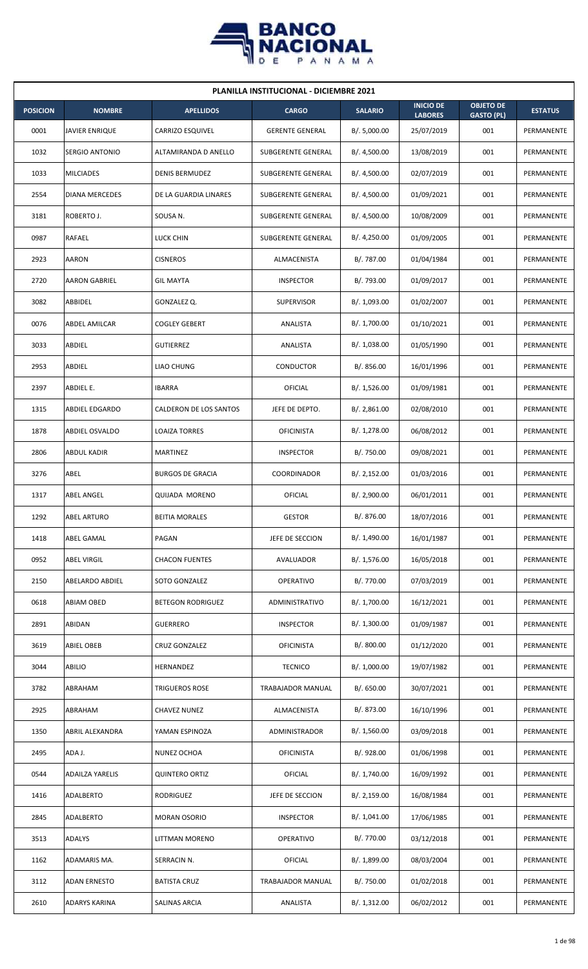

| <b>PLANILLA INSTITUCIONAL - DICIEMBRE 2021</b> |                        |                         |                           |                |                                    |                                       |                |  |  |  |
|------------------------------------------------|------------------------|-------------------------|---------------------------|----------------|------------------------------------|---------------------------------------|----------------|--|--|--|
| <b>POSICION</b>                                | <b>NOMBRE</b>          | <b>APELLIDOS</b>        | <b>CARGO</b>              | <b>SALARIO</b> | <b>INICIO DE</b><br><b>LABORES</b> | <b>OBJETO DE</b><br><b>GASTO (PL)</b> | <b>ESTATUS</b> |  |  |  |
| 0001                                           | <b>JAVIER ENRIQUE</b>  | CARRIZO ESQUIVEL        | <b>GERENTE GENERAL</b>    | B/. 5,000.00   | 25/07/2019                         | 001                                   | PERMANENTE     |  |  |  |
| 1032                                           | <b>SERGIO ANTONIO</b>  | ALTAMIRANDA D ANELLO    | SUBGERENTE GENERAL        | B/. 4,500.00   | 13/08/2019                         | 001                                   | PERMANENTE     |  |  |  |
| 1033                                           | <b>MILCIADES</b>       | <b>DENIS BERMUDEZ</b>   | SUBGERENTE GENERAL        | B/. 4,500.00   | 02/07/2019                         | 001                                   | PERMANENTE     |  |  |  |
| 2554                                           | <b>DIANA MERCEDES</b>  | DE LA GUARDIA LINARES   | <b>SUBGERENTE GENERAL</b> | B/. 4,500.00   | 01/09/2021                         | 001                                   | PERMANENTE     |  |  |  |
| 3181                                           | ROBERTO J.             | SOUSA N.                | SUBGERENTE GENERAL        | B/. 4,500.00   | 10/08/2009                         | 001                                   | PERMANENTE     |  |  |  |
| 0987                                           | RAFAEL                 | LUCK CHIN               | SUBGERENTE GENERAL        | B/.4,250.00    | 01/09/2005                         | 001                                   | PERMANENTE     |  |  |  |
| 2923                                           | <b>AARON</b>           | <b>CISNEROS</b>         | ALMACENISTA               | B/. 787.00     | 01/04/1984                         | 001                                   | PERMANENTE     |  |  |  |
| 2720                                           | <b>AARON GABRIEL</b>   | <b>GIL MAYTA</b>        | <b>INSPECTOR</b>          | B/. 793.00     | 01/09/2017                         | 001                                   | PERMANENTE     |  |  |  |
| 3082                                           | ABBIDEL                | GONZALEZ Q.             | <b>SUPERVISOR</b>         | B/. 1,093.00   | 01/02/2007                         | 001                                   | PERMANENTE     |  |  |  |
| 0076                                           | ABDEL AMILCAR          | <b>COGLEY GEBERT</b>    | ANALISTA                  | B/. 1,700.00   | 01/10/2021                         | 001                                   | PERMANENTE     |  |  |  |
| 3033                                           | ABDIEL                 | <b>GUTIERREZ</b>        | ANALISTA                  | B/. 1,038.00   | 01/05/1990                         | 001                                   | PERMANENTE     |  |  |  |
| 2953                                           | ABDIEL                 | <b>LIAO CHUNG</b>       | <b>CONDUCTOR</b>          | B/. 856.00     | 16/01/1996                         | 001                                   | PERMANENTE     |  |  |  |
| 2397                                           | ABDIEL E.              | <b>IBARRA</b>           | OFICIAL                   | B/. 1,526.00   | 01/09/1981                         | 001                                   | PERMANENTE     |  |  |  |
| 1315                                           | ABDIEL EDGARDO         | CALDERON DE LOS SANTOS  | JEFE DE DEPTO.            | B/.2,861.00    | 02/08/2010                         | 001                                   | PERMANENTE     |  |  |  |
| 1878                                           | ABDIEL OSVALDO         | <b>LOAIZA TORRES</b>    | <b>OFICINISTA</b>         | B/.1,278.00    | 06/08/2012                         | 001                                   | PERMANENTE     |  |  |  |
| 2806                                           | ABDUL KADIR            | MARTINEZ                | <b>INSPECTOR</b>          | B/. 750.00     | 09/08/2021                         | 001                                   | PERMANENTE     |  |  |  |
| 3276                                           | ABEL                   | <b>BURGOS DE GRACIA</b> | COORDINADOR               | B/.2,152.00    | 01/03/2016                         | 001                                   | PERMANENTE     |  |  |  |
| 1317                                           | <b>ABEL ANGEL</b>      | <b>QUIJADA MORENO</b>   | OFICIAL                   | B/. 2,900.00   | 06/01/2011                         | 001                                   | PERMANENTE     |  |  |  |
| 1292                                           | <b>ABEL ARTURO</b>     | <b>BEITIA MORALES</b>   | <b>GESTOR</b>             | B/. 876.00     | 18/07/2016                         | 001                                   | PERMANENTE     |  |  |  |
| 1418                                           | ABEL GAMAL             | PAGAN                   | JEFE DE SECCION           | B/. 1,490.00   | 16/01/1987                         | 001                                   | PERMANENTE     |  |  |  |
| 0952                                           | <b>ABEL VIRGIL</b>     | <b>CHACON FUENTES</b>   | AVALUADOR                 | B/. 1,576.00   | 16/05/2018                         | 001                                   | PERMANENTE     |  |  |  |
| 2150                                           | ABELARDO ABDIEL        | SOTO GONZALEZ           | OPERATIVO                 | B/. 770.00     | 07/03/2019                         | 001                                   | PERMANENTE     |  |  |  |
| 0618                                           | ABIAM OBED             | BETEGON RODRIGUEZ       | ADMINISTRATIVO            | B/. 1,700.00   | 16/12/2021                         | 001                                   | PERMANENTE     |  |  |  |
| 2891                                           | ABIDAN                 | <b>GUERRERO</b>         | <b>INSPECTOR</b>          | B/. 1,300.00   | 01/09/1987                         | 001                                   | PERMANENTE     |  |  |  |
| 3619                                           | <b>ABIEL OBEB</b>      | CRUZ GONZALEZ           | <b>OFICINISTA</b>         | B/. 800.00     | 01/12/2020                         | 001                                   | PERMANENTE     |  |  |  |
| 3044                                           | ABILIO                 | HERNANDEZ               | <b>TECNICO</b>            | B/. 1,000.00   | 19/07/1982                         | 001                                   | PERMANENTE     |  |  |  |
| 3782                                           | ABRAHAM                | TRIGUEROS ROSE          | TRABAJADOR MANUAL         | B/. 650.00     | 30/07/2021                         | 001                                   | PERMANENTE     |  |  |  |
| 2925                                           | ABRAHAM                | <b>CHAVEZ NUNEZ</b>     | ALMACENISTA               | B/. 873.00     | 16/10/1996                         | 001                                   | PERMANENTE     |  |  |  |
| 1350                                           | ABRIL ALEXANDRA        | YAMAN ESPINOZA          | ADMINISTRADOR             | B/. 1,560.00   | 03/09/2018                         | 001                                   | PERMANENTE     |  |  |  |
| 2495                                           | ADA J.                 | NUNEZ OCHOA             | <b>OFICINISTA</b>         | B/. 928.00     | 01/06/1998                         | 001                                   | PERMANENTE     |  |  |  |
| 0544                                           | <b>ADAILZA YARELIS</b> | <b>QUINTERO ORTIZ</b>   | <b>OFICIAL</b>            | B/. 1,740.00   | 16/09/1992                         | 001                                   | PERMANENTE     |  |  |  |
| 1416                                           | ADALBERTO              | RODRIGUEZ               | JEFE DE SECCION           | B/.2,159.00    | 16/08/1984                         | 001                                   | PERMANENTE     |  |  |  |
| 2845                                           | ADALBERTO              | <b>MORAN OSORIO</b>     | <b>INSPECTOR</b>          | B/. 1,041.00   | 17/06/1985                         | 001                                   | PERMANENTE     |  |  |  |
| 3513                                           | ADALYS                 | LITTMAN MORENO          | OPERATIVO                 | B/. 770.00     | 03/12/2018                         | 001                                   | PERMANENTE     |  |  |  |
| 1162                                           | ADAMARIS MA.           | SERRACIN N.             | <b>OFICIAL</b>            | B/. 1,899.00   | 08/03/2004                         | 001                                   | PERMANENTE     |  |  |  |
| 3112                                           | <b>ADAN ERNESTO</b>    | <b>BATISTA CRUZ</b>     | TRABAJADOR MANUAL         | B/. 750.00     | 01/02/2018                         | 001                                   | PERMANENTE     |  |  |  |
| 2610                                           | <b>ADARYS KARINA</b>   | SALINAS ARCIA           | ANALISTA                  | B/. 1,312.00   | 06/02/2012                         | 001                                   | PERMANENTE     |  |  |  |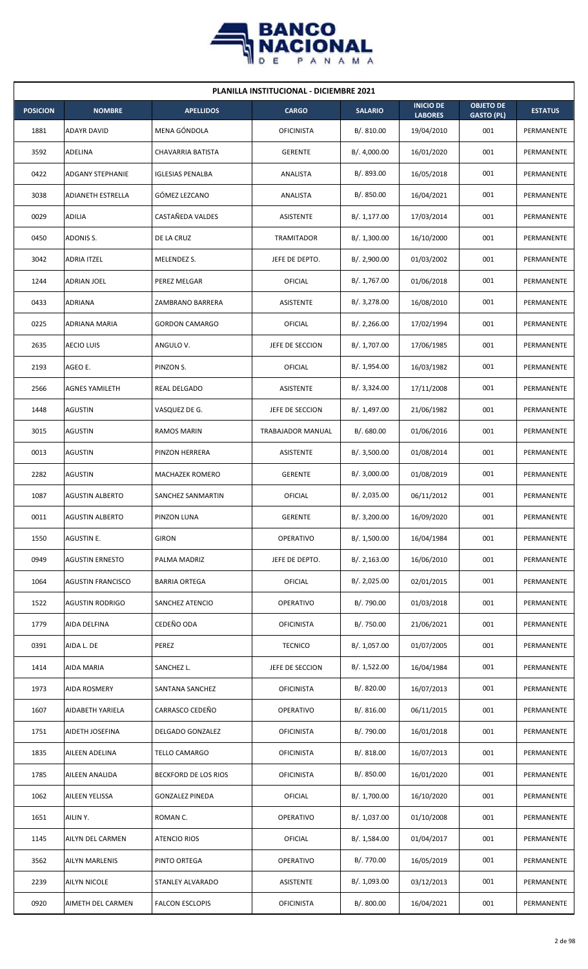

| <b>PLANILLA INSTITUCIONAL - DICIEMBRE 2021</b> |                          |                         |                   |                |                                    |                                       |                |  |  |  |
|------------------------------------------------|--------------------------|-------------------------|-------------------|----------------|------------------------------------|---------------------------------------|----------------|--|--|--|
| <b>POSICION</b>                                | <b>NOMBRE</b>            | <b>APELLIDOS</b>        | <b>CARGO</b>      | <b>SALARIO</b> | <b>INICIO DE</b><br><b>LABORES</b> | <b>OBJETO DE</b><br><b>GASTO (PL)</b> | <b>ESTATUS</b> |  |  |  |
| 1881                                           | <b>ADAYR DAVID</b>       | MENA GÓNDOLA            | <b>OFICINISTA</b> | B/. 810.00     | 19/04/2010                         | 001                                   | PERMANENTE     |  |  |  |
| 3592                                           | ADELINA                  | CHAVARRIA BATISTA       | <b>GERENTE</b>    | B/. 4,000.00   | 16/01/2020                         | 001                                   | PERMANENTE     |  |  |  |
| 0422                                           | <b>ADGANY STEPHANIE</b>  | <b>IGLESIAS PENALBA</b> | ANALISTA          | B/. 893.00     | 16/05/2018                         | 001                                   | PERMANENTE     |  |  |  |
| 3038                                           | <b>ADIANETH ESTRELLA</b> | GÓMEZ LEZCANO           | ANALISTA          | B/. 850.00     | 16/04/2021                         | 001                                   | PERMANENTE     |  |  |  |
| 0029                                           | <b>ADILIA</b>            | CASTAÑEDA VALDES        | ASISTENTE         | B/. 1,177.00   | 17/03/2014                         | 001                                   | PERMANENTE     |  |  |  |
| 0450                                           | ADONIS S.                | DE LA CRUZ              | TRAMITADOR        | B/.1,300.00    | 16/10/2000                         | 001                                   | PERMANENTE     |  |  |  |
| 3042                                           | <b>ADRIA ITZEL</b>       | MELENDEZ S.             | JEFE DE DEPTO.    | B/. 2,900.00   | 01/03/2002                         | 001                                   | PERMANENTE     |  |  |  |
| 1244                                           | <b>ADRIAN JOEL</b>       | PEREZ MELGAR            | OFICIAL           | B/. 1,767.00   | 01/06/2018                         | 001                                   | PERMANENTE     |  |  |  |
| 0433                                           | ADRIANA                  | ZAMBRANO BARRERA        | <b>ASISTENTE</b>  | B/. 3,278.00   | 16/08/2010                         | 001                                   | PERMANENTE     |  |  |  |
| 0225                                           | ADRIANA MARIA            | <b>GORDON CAMARGO</b>   | <b>OFICIAL</b>    | B/.2,266.00    | 17/02/1994                         | 001                                   | PERMANENTE     |  |  |  |
| 2635                                           | <b>AECIO LUIS</b>        | ANGULO V.               | JEFE DE SECCION   | B/. 1,707.00   | 17/06/1985                         | 001                                   | PERMANENTE     |  |  |  |
| 2193                                           | AGEO E.                  | PINZON S.               | OFICIAL           | B/. 1,954.00   | 16/03/1982                         | 001                                   | PERMANENTE     |  |  |  |
| 2566                                           | <b>AGNES YAMILETH</b>    | REAL DELGADO            | ASISTENTE         | B/. 3,324.00   | 17/11/2008                         | 001                                   | PERMANENTE     |  |  |  |
| 1448                                           | <b>AGUSTIN</b>           | VASQUEZ DE G.           | JEFE DE SECCION   | B/. 1,497.00   | 21/06/1982                         | 001                                   | PERMANENTE     |  |  |  |
| 3015                                           | <b>AGUSTIN</b>           | RAMOS MARIN             | TRABAJADOR MANUAL | B/. 680.00     | 01/06/2016                         | 001                                   | PERMANENTE     |  |  |  |
| 0013                                           | <b>AGUSTIN</b>           | PINZON HERRERA          | <b>ASISTENTE</b>  | B/. 3,500.00   | 01/08/2014                         | 001                                   | PERMANENTE     |  |  |  |
| 2282                                           | AGUSTIN                  | MACHAZEK ROMERO         | <b>GERENTE</b>    | B/. 3,000.00   | 01/08/2019                         | 001                                   | PERMANENTE     |  |  |  |
| 1087                                           | <b>AGUSTIN ALBERTO</b>   | SANCHEZ SANMARTIN       | <b>OFICIAL</b>    | B/.2,035.00    | 06/11/2012                         | 001                                   | PERMANENTE     |  |  |  |
| 0011                                           | <b>AGUSTIN ALBERTO</b>   | PINZON LUNA             | <b>GERENTE</b>    | B/. 3,200.00   | 16/09/2020                         | 001                                   | PERMANENTE     |  |  |  |
| 1550                                           | AGUSTIN E.               | <b>GIRON</b>            | OPERATIVO         | B/. 1,500.00   | 16/04/1984                         | 001                                   | PERMANENTE     |  |  |  |
| 0949                                           | <b>AGUSTIN ERNESTO</b>   | PALMA MADRIZ            | JEFE DE DEPTO.    | B/.2,163.00    | 16/06/2010                         | 001                                   | PERMANENTE     |  |  |  |
| 1064                                           | <b>AGUSTIN FRANCISCO</b> | <b>BARRIA ORTEGA</b>    | <b>OFICIAL</b>    | B/. 2,025.00   | 02/01/2015                         | 001                                   | PERMANENTE     |  |  |  |
| 1522                                           | <b>AGUSTIN RODRIGO</b>   | SANCHEZ ATENCIO         | OPERATIVO         | B/. 790.00     | 01/03/2018                         | 001                                   | PERMANENTE     |  |  |  |
| 1779                                           | AIDA DELFINA             | CEDEÑO ODA              | <b>OFICINISTA</b> | B/. 750.00     | 21/06/2021                         | 001                                   | PERMANENTE     |  |  |  |
| 0391                                           | AIDA L. DE               | PEREZ                   | <b>TECNICO</b>    | B/. 1,057.00   | 01/07/2005                         | 001                                   | PERMANENTE     |  |  |  |
| 1414                                           | AIDA MARIA               | SANCHEZ L.              | JEFE DE SECCION   | B/. 1,522.00   | 16/04/1984                         | 001                                   | PERMANENTE     |  |  |  |
| 1973                                           | AIDA ROSMERY             | SANTANA SANCHEZ         | <b>OFICINISTA</b> | B/. 820.00     | 16/07/2013                         | 001                                   | PERMANENTE     |  |  |  |
| 1607                                           | AIDABETH YARIELA         | CARRASCO CEDEÑO         | OPERATIVO         | B/.816.00      | 06/11/2015                         | 001                                   | PERMANENTE     |  |  |  |
| 1751                                           | AIDETH JOSEFINA          | DELGADO GONZALEZ        | <b>OFICINISTA</b> | B/. 790.00     | 16/01/2018                         | 001                                   | PERMANENTE     |  |  |  |
| 1835                                           | AILEEN ADELINA           | <b>TELLO CAMARGO</b>    | <b>OFICINISTA</b> | B/. 818.00     | 16/07/2013                         | 001                                   | PERMANENTE     |  |  |  |
| 1785                                           | AILEEN ANALIDA           | BECKFORD DE LOS RIOS    | <b>OFICINISTA</b> | B/. 850.00     | 16/01/2020                         | 001                                   | PERMANENTE     |  |  |  |
| 1062                                           | AILEEN YELISSA           | <b>GONZALEZ PINEDA</b>  | OFICIAL           | B/. 1,700.00   | 16/10/2020                         | 001                                   | PERMANENTE     |  |  |  |
| 1651                                           | AILIN Y.                 | ROMAN C.                | <b>OPERATIVO</b>  | B/. 1,037.00   | 01/10/2008                         | 001                                   | PERMANENTE     |  |  |  |
| 1145                                           | AILYN DEL CARMEN         | <b>ATENCIO RIOS</b>     | <b>OFICIAL</b>    | B/. 1,584.00   | 01/04/2017                         | 001                                   | PERMANENTE     |  |  |  |
| 3562                                           | <b>AILYN MARLENIS</b>    | PINTO ORTEGA            | <b>OPERATIVO</b>  | B/. 770.00     | 16/05/2019                         | 001                                   | PERMANENTE     |  |  |  |
| 2239                                           | <b>AILYN NICOLE</b>      | STANLEY ALVARADO        | ASISTENTE         | B/. 1,093.00   | 03/12/2013                         | 001                                   | PERMANENTE     |  |  |  |
| 0920                                           | AIMETH DEL CARMEN        | <b>FALCON ESCLOPIS</b>  | <b>OFICINISTA</b> | B/. 800.00     | 16/04/2021                         | 001                                   | PERMANENTE     |  |  |  |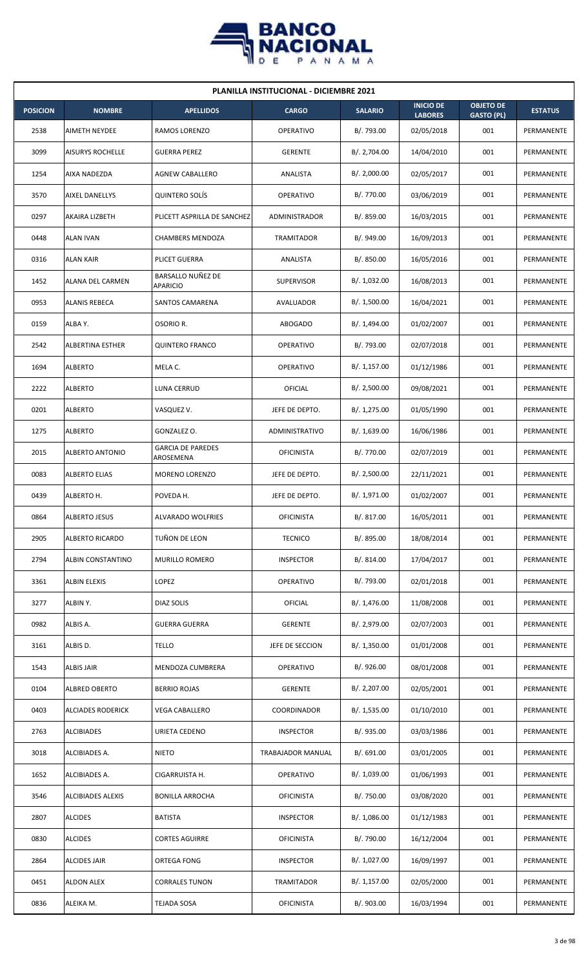

| <b>PLANILLA INSTITUCIONAL - DICIEMBRE 2021</b> |                          |                                       |                   |                |                                    |                                       |                   |  |  |  |
|------------------------------------------------|--------------------------|---------------------------------------|-------------------|----------------|------------------------------------|---------------------------------------|-------------------|--|--|--|
| <b>POSICION</b>                                | <b>NOMBRE</b>            | <b>APELLIDOS</b>                      | <b>CARGO</b>      | <b>SALARIO</b> | <b>INICIO DE</b><br><b>LABORES</b> | <b>OBJETO DE</b><br><b>GASTO (PL)</b> | <b>ESTATUS</b>    |  |  |  |
| 2538                                           | AIMETH NEYDEE            | RAMOS LORENZO                         | <b>OPERATIVO</b>  | B/. 793.00     | 02/05/2018                         | 001                                   | PERMANENTE        |  |  |  |
| 3099                                           | <b>AISURYS ROCHELLE</b>  | <b>GUERRA PEREZ</b>                   | <b>GERENTE</b>    | B/. 2,704.00   | 14/04/2010                         | 001                                   | PERMANENTE        |  |  |  |
| 1254                                           | AIXA NADEZDA             | <b>AGNEW CABALLERO</b>                | ANALISTA          | B/.2,000.00    | 02/05/2017                         | 001                                   | PERMANENTE        |  |  |  |
| 3570                                           | AIXEL DANELLYS           | <b>QUINTERO SOLÍS</b>                 | <b>OPERATIVO</b>  | B/. 770.00     | 03/06/2019                         | 001                                   | PERMANENTE        |  |  |  |
| 0297                                           | AKAIRA LIZBETH           | PLICETT ASPRILLA DE SANCHEZ           | ADMINISTRADOR     | B/.859.00      | 16/03/2015                         | 001                                   | PERMANENTE        |  |  |  |
| 0448                                           | <b>ALAN IVAN</b>         | <b>CHAMBERS MENDOZA</b>               | TRAMITADOR        | B/. 949.00     | 16/09/2013                         | 001                                   | PERMANENTE        |  |  |  |
| 0316                                           | <b>ALAN KAIR</b>         | PLICET GUERRA                         | ANALISTA          | B/0.850.00     | 16/05/2016                         | 001                                   | PERMANENTE        |  |  |  |
| 1452                                           | ALANA DEL CARMEN         | BARSALLO NUÑEZ DE<br>APARICIO         | <b>SUPERVISOR</b> | B/. 1,032.00   | 16/08/2013                         | 001                                   | PERMANENTE        |  |  |  |
| 0953                                           | <b>ALANIS REBECA</b>     | SANTOS CAMARENA                       | AVALUADOR         | B/. 1,500.00   | 16/04/2021                         | 001                                   | PERMANENTE        |  |  |  |
| 0159                                           | ALBA Y.                  | OSORIO R.                             | <b>ABOGADO</b>    | B/. 1,494.00   | 01/02/2007                         | 001                                   | PERMANENTE        |  |  |  |
| 2542                                           | <b>ALBERTINA ESTHER</b>  | <b>QUINTERO FRANCO</b>                | OPERATIVO         | B/. 793.00     | 02/07/2018                         | 001                                   | PERMANENTE        |  |  |  |
| 1694                                           | <b>ALBERTO</b>           | MELA C.                               | <b>OPERATIVO</b>  | B/. 1,157.00   | 01/12/1986                         | 001                                   | PERMANENTE        |  |  |  |
| 2222                                           | <b>ALBERTO</b>           | LUNA CERRUD                           | OFICIAL           | B/.2,500.00    | 09/08/2021                         | 001                                   | PERMANENTE        |  |  |  |
| 0201                                           | <b>ALBERTO</b>           | VASQUEZ V.                            | JEFE DE DEPTO.    | B/. 1,275.00   | 01/05/1990                         | 001                                   | PERMANENTE        |  |  |  |
| 1275                                           | <b>ALBERTO</b>           | GONZALEZ O.                           | ADMINISTRATIVO    | B/. 1,639.00   | 16/06/1986                         | 001                                   | PERMANENTE        |  |  |  |
| 2015                                           | ALBERTO ANTONIO          | <b>GARCIA DE PAREDES</b><br>AROSEMENA | <b>OFICINISTA</b> | B/. 770.00     | 02/07/2019                         | 001                                   | PERMANENTE        |  |  |  |
| 0083                                           | <b>ALBERTO ELIAS</b>     | MORENO LORENZO                        | JEFE DE DEPTO.    | B/. 2,500.00   | 22/11/2021                         | 001                                   | PERMANENTE        |  |  |  |
| 0439                                           | ALBERTO H.               | POVEDA H.                             | JEFE DE DEPTO.    | B/. 1,971.00   | 01/02/2007                         | 001                                   | <b>PERMANENTE</b> |  |  |  |
| 0864                                           | <b>ALBERTO JESUS</b>     | ALVARADO WOLFRIES                     | <b>OFICINISTA</b> | B/. 817.00     | 16/05/2011                         | 001                                   | PERMANENTE        |  |  |  |
| 2905                                           | <b>ALBERTO RICARDO</b>   | TUÑON DE LEON                         | <b>TECNICO</b>    | B/. 895.00     | 18/08/2014                         | 001                                   | PERMANENTE        |  |  |  |
| 2794                                           | ALBIN CONSTANTINO        | MURILLO ROMERO                        | <b>INSPECTOR</b>  | B/. 814.00     | 17/04/2017                         | 001                                   | PERMANENTE        |  |  |  |
| 3361                                           | ALBIN ELEXIS             | LOPEZ                                 | <b>OPERATIVO</b>  | B/. 793.00     | 02/01/2018                         | 001                                   | PERMANENTE        |  |  |  |
| 3277                                           | ALBIN Y.                 | DIAZ SOLIS                            | OFICIAL           | B/. 1,476.00   | 11/08/2008                         | 001                                   | PERMANENTE        |  |  |  |
| 0982                                           | ALBIS A.                 | <b>GUERRA GUERRA</b>                  | <b>GERENTE</b>    | B/. 2,979.00   | 02/07/2003                         | 001                                   | PERMANENTE        |  |  |  |
| 3161                                           | ALBIS D.                 | <b>TELLO</b>                          | JEFE DE SECCION   | B/. 1,350.00   | 01/01/2008                         | 001                                   | PERMANENTE        |  |  |  |
| 1543                                           | <b>ALBIS JAIR</b>        | MENDOZA CUMBRERA                      | <b>OPERATIVO</b>  | B/. 926.00     | 08/01/2008                         | 001                                   | PERMANENTE        |  |  |  |
| 0104                                           | ALBRED OBERTO            | <b>BERRIO ROJAS</b>                   | <b>GERENTE</b>    | B/. 2,207.00   | 02/05/2001                         | 001                                   | PERMANENTE        |  |  |  |
| 0403                                           | ALCIADES RODERICK        | <b>VEGA CABALLERO</b>                 | COORDINADOR       | B/. 1,535.00   | 01/10/2010                         | 001                                   | PERMANENTE        |  |  |  |
| 2763                                           | <b>ALCIBIADES</b>        | URIETA CEDENO                         | <b>INSPECTOR</b>  | B/. 935.00     | 03/03/1986                         | 001                                   | PERMANENTE        |  |  |  |
| 3018                                           | ALCIBIADES A.            | <b>NIETO</b>                          | TRABAJADOR MANUAL | B/. 691.00     | 03/01/2005                         | 001                                   | PERMANENTE        |  |  |  |
| 1652                                           | ALCIBIADES A.            | CIGARRUISTA H.                        | <b>OPERATIVO</b>  | B/. 1,039.00   | 01/06/1993                         | 001                                   | PERMANENTE        |  |  |  |
| 3546                                           | <b>ALCIBIADES ALEXIS</b> | <b>BONILLA ARROCHA</b>                | <b>OFICINISTA</b> | B/. 750.00     | 03/08/2020                         | 001                                   | PERMANENTE        |  |  |  |
| 2807                                           | <b>ALCIDES</b>           | <b>BATISTA</b>                        | <b>INSPECTOR</b>  | B/. 1,086.00   | 01/12/1983                         | 001                                   | PERMANENTE        |  |  |  |
| 0830                                           | <b>ALCIDES</b>           | <b>CORTES AGUIRRE</b>                 | <b>OFICINISTA</b> | B/.790.00      | 16/12/2004                         | 001                                   | PERMANENTE        |  |  |  |
| 2864                                           | ALCIDES JAIR             | ORTEGA FONG                           | <b>INSPECTOR</b>  | B/. 1,027.00   | 16/09/1997                         | 001                                   | PERMANENTE        |  |  |  |
| 0451                                           | <b>ALDON ALEX</b>        | <b>CORRALES TUNON</b>                 | <b>TRAMITADOR</b> | B/. 1,157.00   | 02/05/2000                         | 001                                   | PERMANENTE        |  |  |  |
| 0836                                           | ALEIKA M.                | TEJADA SOSA                           | <b>OFICINISTA</b> | B/. 903.00     | 16/03/1994                         | 001                                   | PERMANENTE        |  |  |  |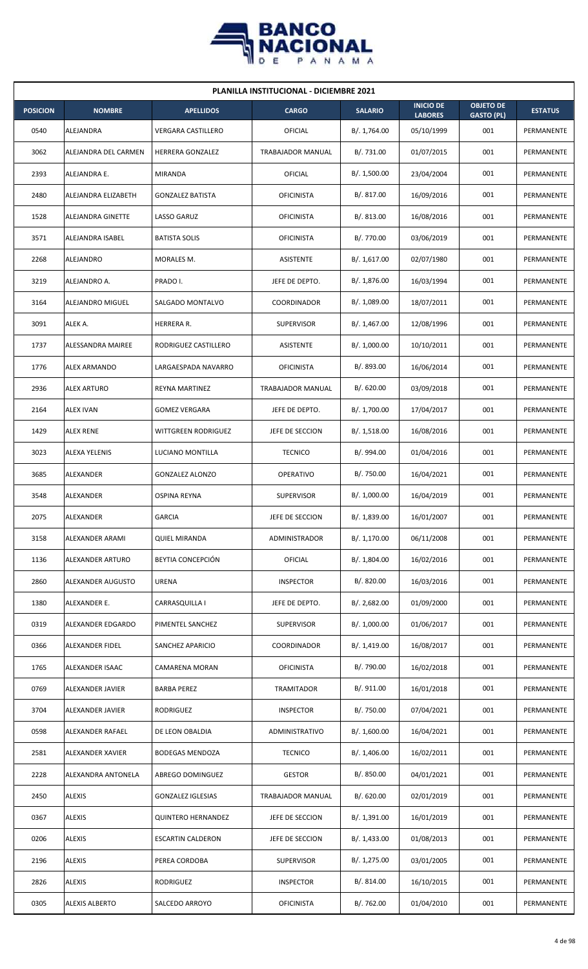

| <b>PLANILLA INSTITUCIONAL - DICIEMBRE 2021</b> |                       |                           |                   |                |                                    |                                       |                   |  |  |  |
|------------------------------------------------|-----------------------|---------------------------|-------------------|----------------|------------------------------------|---------------------------------------|-------------------|--|--|--|
| <b>POSICION</b>                                | <b>NOMBRE</b>         | <b>APELLIDOS</b>          | <b>CARGO</b>      | <b>SALARIO</b> | <b>INICIO DE</b><br><b>LABORES</b> | <b>OBJETO DE</b><br><b>GASTO (PL)</b> | <b>ESTATUS</b>    |  |  |  |
| 0540                                           | ALEJANDRA             | <b>VERGARA CASTILLERO</b> | OFICIAL           | B/. 1,764.00   | 05/10/1999                         | 001                                   | PERMANENTE        |  |  |  |
| 3062                                           | ALEJANDRA DEL CARMEN  | HERRERA GONZALEZ          | TRABAJADOR MANUAL | B/. 731.00     | 01/07/2015                         | 001                                   | <b>PERMANENTE</b> |  |  |  |
| 2393                                           | ALEJANDRA E.          | MIRANDA                   | OFICIAL           | B/. 1,500.00   | 23/04/2004                         | 001                                   | PERMANENTE        |  |  |  |
| 2480                                           | ALEJANDRA ELIZABETH   | <b>GONZALEZ BATISTA</b>   | <b>OFICINISTA</b> | B/.817.00      | 16/09/2016                         | 001                                   | PERMANENTE        |  |  |  |
| 1528                                           | ALEJANDRA GINETTE     | LASSO GARUZ               | <b>OFICINISTA</b> | B/.813.00      | 16/08/2016                         | 001                                   | PERMANENTE        |  |  |  |
| 3571                                           | ALEJANDRA ISABEL      | <b>BATISTA SOLIS</b>      | <b>OFICINISTA</b> | B/. 770.00     | 03/06/2019                         | 001                                   | PERMANENTE        |  |  |  |
| 2268                                           | ALEJANDRO             | MORALES M.                | <b>ASISTENTE</b>  | B/.1,617.00    | 02/07/1980                         | 001                                   | PERMANENTE        |  |  |  |
| 3219                                           | ALEJANDRO A.          | PRADO I.                  | JEFE DE DEPTO.    | B/. 1,876.00   | 16/03/1994                         | 001                                   | PERMANENTE        |  |  |  |
| 3164                                           | ALEJANDRO MIGUEL      | SALGADO MONTALVO          | COORDINADOR       | B/. 1,089.00   | 18/07/2011                         | 001                                   | PERMANENTE        |  |  |  |
| 3091                                           | ALEK A.               | HERRERA R.                | <b>SUPERVISOR</b> | B/. 1,467.00   | 12/08/1996                         | 001                                   | PERMANENTE        |  |  |  |
| 1737                                           | ALESSANDRA MAIREE     | RODRIGUEZ CASTILLERO      | <b>ASISTENTE</b>  | B/. 1,000.00   | 10/10/2011                         | 001                                   | PERMANENTE        |  |  |  |
| 1776                                           | <b>ALEX ARMANDO</b>   | LARGAESPADA NAVARRO       | <b>OFICINISTA</b> | B/. 893.00     | 16/06/2014                         | 001                                   | PERMANENTE        |  |  |  |
| 2936                                           | <b>ALEX ARTURO</b>    | REYNA MARTINEZ            | TRABAJADOR MANUAL | B/0.620.00     | 03/09/2018                         | 001                                   | PERMANENTE        |  |  |  |
| 2164                                           | <b>ALEX IVAN</b>      | <b>GOMEZ VERGARA</b>      | JEFE DE DEPTO.    | B/. 1,700.00   | 17/04/2017                         | 001                                   | PERMANENTE        |  |  |  |
| 1429                                           | <b>ALEX RENE</b>      | WITTGREEN RODRIGUEZ       | JEFE DE SECCION   | B/.1,518.00    | 16/08/2016                         | 001                                   | PERMANENTE        |  |  |  |
| 3023                                           | ALEXA YELENIS         | LUCIANO MONTILLA          | <b>TECNICO</b>    | B/. 994.00     | 01/04/2016                         | 001                                   | PERMANENTE        |  |  |  |
| 3685                                           | ALEXANDER             | <b>GONZALEZ ALONZO</b>    | <b>OPERATIVO</b>  | B/. 750.00     | 16/04/2021                         | 001                                   | PERMANENTE        |  |  |  |
| 3548                                           | ALEXANDER             | <b>OSPINA REYNA</b>       | <b>SUPERVISOR</b> | B/. 1,000.00   | 16/04/2019                         | 001                                   | PERMANENTE        |  |  |  |
| 2075                                           | ALEXANDER             | <b>GARCIA</b>             | JEFE DE SECCION   | B/. 1,839.00   | 16/01/2007                         | 001                                   | PERMANENTE        |  |  |  |
| 3158                                           | ALEXANDER ARAMI       | <b>QUIEL MIRANDA</b>      | ADMINISTRADOR     | B/. 1,170.00   | 06/11/2008                         | 001                                   | PERMANENTE        |  |  |  |
| 1136                                           | ALEXANDER ARTURO      | BEYTIA CONCEPCIÓN         | <b>OFICIAL</b>    | B/. 1,804.00   | 16/02/2016                         | 001                                   | PERMANENTE        |  |  |  |
| 2860                                           | ALEXANDER AUGUSTO     | <b>URENA</b>              | <b>INSPECTOR</b>  | B/. 820.00     | 16/03/2016                         | 001                                   | PERMANENTE        |  |  |  |
| 1380                                           | ALEXANDER E.          | CARRASQUILLA I            | JEFE DE DEPTO.    | B/.2,682.00    | 01/09/2000                         | 001                                   | PERMANENTE        |  |  |  |
| 0319                                           | ALEXANDER EDGARDO     | PIMENTEL SANCHEZ          | <b>SUPERVISOR</b> | B/. 1,000.00   | 01/06/2017                         | 001                                   | PERMANENTE        |  |  |  |
| 0366                                           | ALEXANDER FIDEL       | SANCHEZ APARICIO          | COORDINADOR       | B/. 1,419.00   | 16/08/2017                         | 001                                   | PERMANENTE        |  |  |  |
| 1765                                           | ALEXANDER ISAAC       | CAMARENA MORAN            | <b>OFICINISTA</b> | B/. 790.00     | 16/02/2018                         | 001                                   | PERMANENTE        |  |  |  |
| 0769                                           | ALEXANDER JAVIER      | <b>BARBA PEREZ</b>        | <b>TRAMITADOR</b> | B/. 911.00     | 16/01/2018                         | 001                                   | PERMANENTE        |  |  |  |
| 3704                                           | ALEXANDER JAVIER      | RODRIGUEZ                 | <b>INSPECTOR</b>  | B/. 750.00     | 07/04/2021                         | 001                                   | PERMANENTE        |  |  |  |
| 0598                                           | ALEXANDER RAFAEL      | DE LEON OBALDIA           | ADMINISTRATIVO    | B/. 1,600.00   | 16/04/2021                         | 001                                   | PERMANENTE        |  |  |  |
| 2581                                           | ALEXANDER XAVIER      | <b>BODEGAS MENDOZA</b>    | <b>TECNICO</b>    | B/. 1,406.00   | 16/02/2011                         | 001                                   | PERMANENTE        |  |  |  |
| 2228                                           | ALEXANDRA ANTONELA    | ABREGO DOMINGUEZ          | <b>GESTOR</b>     | B/. 850.00     | 04/01/2021                         | 001                                   | PERMANENTE        |  |  |  |
| 2450                                           | <b>ALEXIS</b>         | <b>GONZALEZ IGLESIAS</b>  | TRABAJADOR MANUAL | B/0.620.00     | 02/01/2019                         | 001                                   | PERMANENTE        |  |  |  |
| 0367                                           | <b>ALEXIS</b>         | <b>QUINTERO HERNANDEZ</b> | JEFE DE SECCION   | B/.1,391.00    | 16/01/2019                         | 001                                   | PERMANENTE        |  |  |  |
| 0206                                           | <b>ALEXIS</b>         | <b>ESCARTIN CALDERON</b>  | JEFE DE SECCION   | B/. 1,433.00   | 01/08/2013                         | 001                                   | PERMANENTE        |  |  |  |
| 2196                                           | <b>ALEXIS</b>         | PEREA CORDOBA             | <b>SUPERVISOR</b> | B/. 1,275.00   | 03/01/2005                         | 001                                   | PERMANENTE        |  |  |  |
| 2826                                           | <b>ALEXIS</b>         | RODRIGUEZ                 | <b>INSPECTOR</b>  | B/. 814.00     | 16/10/2015                         | 001                                   | PERMANENTE        |  |  |  |
| 0305                                           | <b>ALEXIS ALBERTO</b> | SALCEDO ARROYO            | <b>OFICINISTA</b> | B/. 762.00     | 01/04/2010                         | 001                                   | PERMANENTE        |  |  |  |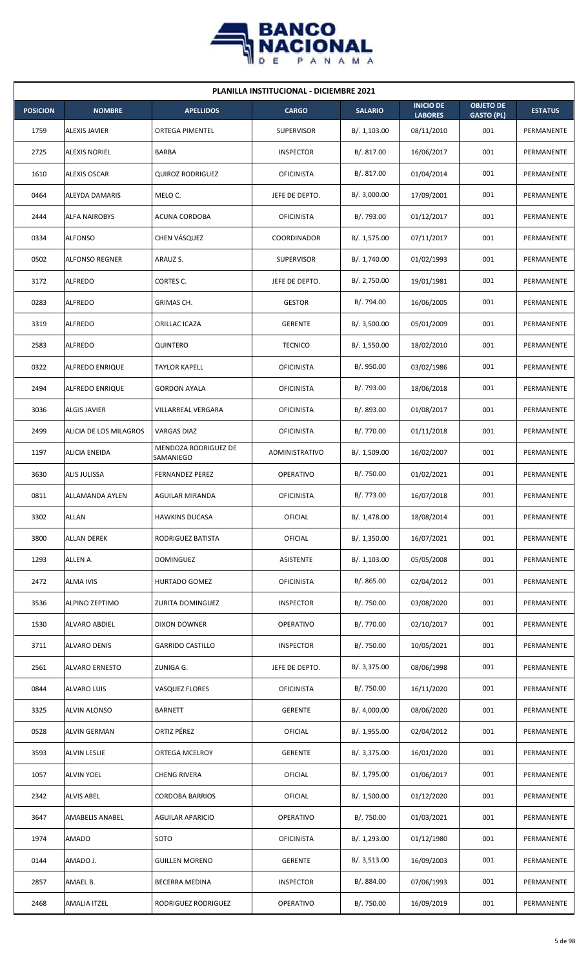

| <b>PLANILLA INSTITUCIONAL - DICIEMBRE 2021</b> |                        |                                   |                   |                |                                    |                                       |                |  |  |  |
|------------------------------------------------|------------------------|-----------------------------------|-------------------|----------------|------------------------------------|---------------------------------------|----------------|--|--|--|
| <b>POSICION</b>                                | <b>NOMBRE</b>          | <b>APELLIDOS</b>                  | <b>CARGO</b>      | <b>SALARIO</b> | <b>INICIO DE</b><br><b>LABORES</b> | <b>OBJETO DE</b><br><b>GASTO (PL)</b> | <b>ESTATUS</b> |  |  |  |
| 1759                                           | <b>ALEXIS JAVIER</b>   | <b>ORTEGA PIMENTEL</b>            | <b>SUPERVISOR</b> | B/.1,103.00    | 08/11/2010                         | 001                                   | PERMANENTE     |  |  |  |
| 2725                                           | <b>ALEXIS NORIEL</b>   | BARBA                             | <b>INSPECTOR</b>  | B/. 817.00     | 16/06/2017                         | 001                                   | PERMANENTE     |  |  |  |
| 1610                                           | <b>ALEXIS OSCAR</b>    | <b>QUIROZ RODRIGUEZ</b>           | <b>OFICINISTA</b> | B/. 817.00     | 01/04/2014                         | 001                                   | PERMANENTE     |  |  |  |
| 0464                                           | ALEYDA DAMARIS         | MELO C.                           | JEFE DE DEPTO.    | B/.3,000.00    | 17/09/2001                         | 001                                   | PERMANENTE     |  |  |  |
| 2444                                           | <b>ALFA NAIROBYS</b>   | ACUNA CORDOBA                     | <b>OFICINISTA</b> | B/. 793.00     | 01/12/2017                         | 001                                   | PERMANENTE     |  |  |  |
| 0334                                           | <b>ALFONSO</b>         | CHEN VÁSQUEZ                      | COORDINADOR       | B/. 1,575.00   | 07/11/2017                         | 001                                   | PERMANENTE     |  |  |  |
| 0502                                           | <b>ALFONSO REGNER</b>  | ARAUZ S.                          | <b>SUPERVISOR</b> | B/. 1,740.00   | 01/02/1993                         | 001                                   | PERMANENTE     |  |  |  |
| 3172                                           | <b>ALFREDO</b>         | CORTES C.                         | JEFE DE DEPTO.    | B/. 2,750.00   | 19/01/1981                         | 001                                   | PERMANENTE     |  |  |  |
| 0283                                           | <b>ALFREDO</b>         | GRIMAS CH.                        | <b>GESTOR</b>     | B/. 794.00     | 16/06/2005                         | 001                                   | PERMANENTE     |  |  |  |
| 3319                                           | <b>ALFREDO</b>         | ORILLAC ICAZA                     | <b>GERENTE</b>    | B/.3,500.00    | 05/01/2009                         | 001                                   | PERMANENTE     |  |  |  |
| 2583                                           | <b>ALFREDO</b>         | QUINTERO                          | <b>TECNICO</b>    | B/. 1,550.00   | 18/02/2010                         | 001                                   | PERMANENTE     |  |  |  |
| 0322                                           | ALFREDO ENRIQUE        | <b>TAYLOR KAPELL</b>              | <b>OFICINISTA</b> | B/. 950.00     | 03/02/1986                         | 001                                   | PERMANENTE     |  |  |  |
| 2494                                           | ALFREDO ENRIQUE        | <b>GORDON AYALA</b>               | <b>OFICINISTA</b> | B/. 793.00     | 18/06/2018                         | 001                                   | PERMANENTE     |  |  |  |
| 3036                                           | <b>ALGIS JAVIER</b>    | VILLARREAL VERGARA                | <b>OFICINISTA</b> | B/. 893.00     | 01/08/2017                         | 001                                   | PERMANENTE     |  |  |  |
| 2499                                           | ALICIA DE LOS MILAGROS | <b>VARGAS DIAZ</b>                | <b>OFICINISTA</b> | B/. 770.00     | 01/11/2018                         | 001                                   | PERMANENTE     |  |  |  |
| 1197                                           | ALICIA ENEIDA          | MENDOZA RODRIGUEZ DE<br>SAMANIEGO | ADMINISTRATIVO    | B/. 1,509.00   | 16/02/2007                         | 001                                   | PERMANENTE     |  |  |  |
| 3630                                           | ALIS JULISSA           | <b>FERNANDEZ PEREZ</b>            | <b>OPERATIVO</b>  | B/. 750.00     | 01/02/2021                         | 001                                   | PERMANENTE     |  |  |  |
| 0811                                           | <b>ALLAMANDA AYLEN</b> | AGUILAR MIRANDA                   | <b>OFICINISTA</b> | B/. 773.00     | 16/07/2018                         | 001                                   | PERMANENTE     |  |  |  |
| 3302                                           | <b>ALLAN</b>           | <b>HAWKINS DUCASA</b>             | OFICIAL           | B/. 1,478.00   | 18/08/2014                         | 001                                   | PERMANENTE     |  |  |  |
| 3800                                           | <b>ALLAN DEREK</b>     | RODRIGUEZ BATISTA                 | <b>OFICIAL</b>    | B/.1,350.00    | 16/07/2021                         | 001                                   | PERMANENTE     |  |  |  |
| 1293                                           | ALLEN A.               | <b>DOMINGUEZ</b>                  | ASISTENTE         | B/. 1,103.00   | 05/05/2008                         | 001                                   | PERMANENTE     |  |  |  |
| 2472                                           | <b>ALMA IVIS</b>       | HURTADO GOMEZ                     | <b>OFICINISTA</b> | B/. 865.00     | 02/04/2012                         | 001                                   | PERMANENTE     |  |  |  |
| 3536                                           | ALPINO ZEPTIMO         | ZURITA DOMINGUEZ                  | <b>INSPECTOR</b>  | B/. 750.00     | 03/08/2020                         | 001                                   | PERMANENTE     |  |  |  |
| 1530                                           | ALVARO ABDIEL          | DIXON DOWNER                      | OPERATIVO         | B/. 770.00     | 02/10/2017                         | 001                                   | PERMANENTE     |  |  |  |
| 3711                                           | ALVARO DENIS           | <b>GARRIDO CASTILLO</b>           | <b>INSPECTOR</b>  | B/. 750.00     | 10/05/2021                         | 001                                   | PERMANENTE     |  |  |  |
| 2561                                           | <b>ALVARO ERNESTO</b>  | ZUNIGA G.                         | JEFE DE DEPTO.    | B/.3,375.00    | 08/06/1998                         | 001                                   | PERMANENTE     |  |  |  |
| 0844                                           | ALVARO LUIS            | VASQUEZ FLORES                    | <b>OFICINISTA</b> | B/. 750.00     | 16/11/2020                         | 001                                   | PERMANENTE     |  |  |  |
| 3325                                           | <b>ALVIN ALONSO</b>    | <b>BARNETT</b>                    | <b>GERENTE</b>    | B/. 4,000.00   | 08/06/2020                         | 001                                   | PERMANENTE     |  |  |  |
| 0528                                           | ALVIN GERMAN           | ORTIZ PÉREZ                       | OFICIAL           | B/. 1,955.00   | 02/04/2012                         | 001                                   | PERMANENTE     |  |  |  |
| 3593                                           | <b>ALVIN LESLIE</b>    | ORTEGA MCELROY                    | <b>GERENTE</b>    | B/. 3,375.00   | 16/01/2020                         | 001                                   | PERMANENTE     |  |  |  |
| 1057                                           | <b>ALVIN YOEL</b>      | <b>CHENG RIVERA</b>               | <b>OFICIAL</b>    | B/. 1,795.00   | 01/06/2017                         | 001                                   | PERMANENTE     |  |  |  |
| 2342                                           | <b>ALVIS ABEL</b>      | <b>CORDOBA BARRIOS</b>            | <b>OFICIAL</b>    | B/. 1,500.00   | 01/12/2020                         | 001                                   | PERMANENTE     |  |  |  |
| 3647                                           | AMABELIS ANABEL        | <b>AGUILAR APARICIO</b>           | OPERATIVO         | B/. 750.00     | 01/03/2021                         | 001                                   | PERMANENTE     |  |  |  |
| 1974                                           | <b>AMADO</b>           | SOTO                              | <b>OFICINISTA</b> | B/. 1,293.00   | 01/12/1980                         | 001                                   | PERMANENTE     |  |  |  |
| 0144                                           | AMADO J.               | <b>GUILLEN MORENO</b>             | <b>GERENTE</b>    | B/. 3,513.00   | 16/09/2003                         | 001                                   | PERMANENTE     |  |  |  |
| 2857                                           | AMAEL B.               | BECERRA MEDINA                    | <b>INSPECTOR</b>  | B/. 884.00     | 07/06/1993                         | 001                                   | PERMANENTE     |  |  |  |
| 2468                                           | AMALIA ITZEL           | RODRIGUEZ RODRIGUEZ               | OPERATIVO         | B/. 750.00     | 16/09/2019                         | 001                                   | PERMANENTE     |  |  |  |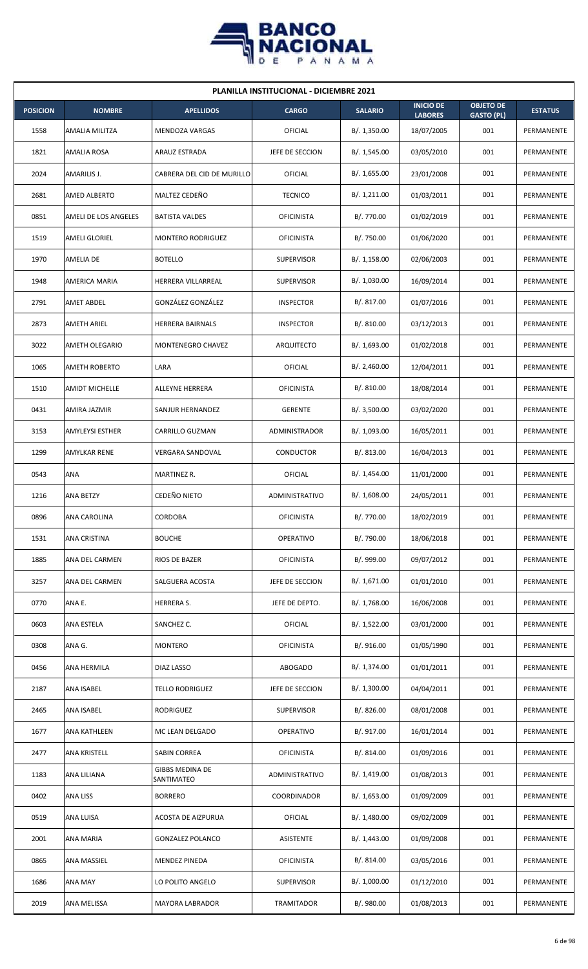

| <b>PLANILLA INSTITUCIONAL - DICIEMBRE 2021</b> |                        |                                      |                   |                |                                    |                                       |                |  |  |  |
|------------------------------------------------|------------------------|--------------------------------------|-------------------|----------------|------------------------------------|---------------------------------------|----------------|--|--|--|
| <b>POSICION</b>                                | <b>NOMBRE</b>          | <b>APELLIDOS</b>                     | <b>CARGO</b>      | <b>SALARIO</b> | <b>INICIO DE</b><br><b>LABORES</b> | <b>OBJETO DE</b><br><b>GASTO (PL)</b> | <b>ESTATUS</b> |  |  |  |
| 1558                                           | AMALIA MILITZA         | <b>MENDOZA VARGAS</b>                | OFICIAL           | B/.1,350.00    | 18/07/2005                         | 001                                   | PERMANENTE     |  |  |  |
| 1821                                           | AMALIA ROSA            | ARAUZ ESTRADA                        | JEFE DE SECCION   | B/. 1,545.00   | 03/05/2010                         | 001                                   | PERMANENTE     |  |  |  |
| 2024                                           | AMARILIS J.            | CABRERA DEL CID DE MURILLO           | OFICIAL           | B/. 1,655.00   | 23/01/2008                         | 001                                   | PERMANENTE     |  |  |  |
| 2681                                           | <b>AMED ALBERTO</b>    | MALTEZ CEDEÑO                        | <b>TECNICO</b>    | B/. 1,211.00   | 01/03/2011                         | 001                                   | PERMANENTE     |  |  |  |
| 0851                                           | AMELI DE LOS ANGELES   | <b>BATISTA VALDES</b>                | <b>OFICINISTA</b> | B/. 770.00     | 01/02/2019                         | 001                                   | PERMANENTE     |  |  |  |
| 1519                                           | AMELI GLORIEL          | <b>MONTERO RODRIGUEZ</b>             | <b>OFICINISTA</b> | B/. 750.00     | 01/06/2020                         | 001                                   | PERMANENTE     |  |  |  |
| 1970                                           | AMELIA DE              | <b>BOTELLO</b>                       | <b>SUPERVISOR</b> | B/.1,158.00    | 02/06/2003                         | 001                                   | PERMANENTE     |  |  |  |
| 1948                                           | AMERICA MARIA          | HERRERA VILLARREAL                   | <b>SUPERVISOR</b> | B/. 1,030.00   | 16/09/2014                         | 001                                   | PERMANENTE     |  |  |  |
| 2791                                           | AMET ABDEL             | GONZÁLEZ GONZÁLEZ                    | <b>INSPECTOR</b>  | B/. 817.00     | 01/07/2016                         | 001                                   | PERMANENTE     |  |  |  |
| 2873                                           | <b>AMETH ARIEL</b>     | HERRERA BAIRNALS                     | <b>INSPECTOR</b>  | B/.810.00      | 03/12/2013                         | 001                                   | PERMANENTE     |  |  |  |
| 3022                                           | <b>AMETH OLEGARIO</b>  | <b>MONTENEGRO CHAVEZ</b>             | <b>ARQUITECTO</b> | B/. 1,693.00   | 01/02/2018                         | 001                                   | PERMANENTE     |  |  |  |
| 1065                                           | <b>AMETH ROBERTO</b>   | LARA                                 | OFICIAL           | B/.2,460.00    | 12/04/2011                         | 001                                   | PERMANENTE     |  |  |  |
| 1510                                           | <b>AMIDT MICHELLE</b>  | ALLEYNE HERRERA                      | <b>OFICINISTA</b> | B/. 810.00     | 18/08/2014                         | 001                                   | PERMANENTE     |  |  |  |
| 0431                                           | AMIRA JAZMIR           | SANJUR HERNANDEZ                     | <b>GERENTE</b>    | B/.3,500.00    | 03/02/2020                         | 001                                   | PERMANENTE     |  |  |  |
| 3153                                           | <b>AMYLEYSI ESTHER</b> | CARRILLO GUZMAN                      | ADMINISTRADOR     | B/. 1,093.00   | 16/05/2011                         | 001                                   | PERMANENTE     |  |  |  |
| 1299                                           | AMYLKAR RENE           | <b>VERGARA SANDOVAL</b>              | CONDUCTOR         | B/. 813.00     | 16/04/2013                         | 001                                   | PERMANENTE     |  |  |  |
| 0543                                           | ANA                    | MARTINEZ R.                          | <b>OFICIAL</b>    | B/.1,454.00    | 11/01/2000                         | 001                                   | PERMANENTE     |  |  |  |
| 1216                                           | <b>ANA BETZY</b>       | CEDEÑO NIETO                         | ADMINISTRATIVO    | B/. 1,608.00   | 24/05/2011                         | 001                                   | PERMANENTE     |  |  |  |
| 0896                                           | ANA CAROLINA           | CORDOBA                              | <b>OFICINISTA</b> | B/. 770.00     | 18/02/2019                         | 001                                   | PERMANENTE     |  |  |  |
| 1531                                           | ANA CRISTINA           | <b>BOUCHE</b>                        | OPERATIVO         | B/. 790.00     | 18/06/2018                         | 001                                   | PERMANENTE     |  |  |  |
| 1885                                           | ANA DEL CARMEN         | RIOS DE BAZER                        | <b>OFICINISTA</b> | B/. 999.00     | 09/07/2012                         | 001                                   | PERMANENTE     |  |  |  |
| 3257                                           | ANA DEL CARMEN         | SALGUERA ACOSTA                      | JEFE DE SECCION   | B/. 1,671.00   | 01/01/2010                         | 001                                   | PERMANENTE     |  |  |  |
| 0770                                           | ANA E.                 | HERRERA S.                           | JEFE DE DEPTO.    | B/. 1,768.00   | 16/06/2008                         | 001                                   | PERMANENTE     |  |  |  |
| 0603                                           | ANA ESTELA             | SANCHEZ C.                           | <b>OFICIAL</b>    | B/. 1,522.00   | 03/01/2000                         | 001                                   | PERMANENTE     |  |  |  |
| 0308                                           | ANA G.                 | <b>MONTERO</b>                       | <b>OFICINISTA</b> | B/. 916.00     | 01/05/1990                         | 001                                   | PERMANENTE     |  |  |  |
| 0456                                           | ANA HERMILA            | DIAZ LASSO                           | ABOGADO           | B/. 1,374.00   | 01/01/2011                         | 001                                   | PERMANENTE     |  |  |  |
| 2187                                           | ANA ISABEL             | <b>TELLO RODRIGUEZ</b>               | JEFE DE SECCION   | B/.1,300.00    | 04/04/2011                         | 001                                   | PERMANENTE     |  |  |  |
| 2465                                           | ANA ISABEL             | RODRIGUEZ                            | <b>SUPERVISOR</b> | B/. 826.00     | 08/01/2008                         | 001                                   | PERMANENTE     |  |  |  |
| 1677                                           | ANA KATHLEEN           | MC LEAN DELGADO                      | OPERATIVO         | B/. 917.00     | 16/01/2014                         | 001                                   | PERMANENTE     |  |  |  |
| 2477                                           | ANA KRISTELL           | SABIN CORREA                         | <b>OFICINISTA</b> | B/. 814.00     | 01/09/2016                         | 001                                   | PERMANENTE     |  |  |  |
| 1183                                           | ANA LILIANA            | <b>GIBBS MEDINA DE</b><br>SANTIMATEO | ADMINISTRATIVO    | B/. 1,419.00   | 01/08/2013                         | 001                                   | PERMANENTE     |  |  |  |
| 0402                                           | ANA LISS               | <b>BORRERO</b>                       | COORDINADOR       | B/. 1,653.00   | 01/09/2009                         | 001                                   | PERMANENTE     |  |  |  |
| 0519                                           | ANA LUISA              | <b>ACOSTA DE AIZPURUA</b>            | <b>OFICIAL</b>    | B/. 1,480.00   | 09/02/2009                         | 001                                   | PERMANENTE     |  |  |  |
| 2001                                           | ANA MARIA              | <b>GONZALEZ POLANCO</b>              | ASISTENTE         | B/.1,443.00    | 01/09/2008                         | 001                                   | PERMANENTE     |  |  |  |
| 0865                                           | ANA MASSIEL            | <b>MENDEZ PINEDA</b>                 | <b>OFICINISTA</b> | B/. 814.00     | 03/05/2016                         | 001                                   | PERMANENTE     |  |  |  |
| 1686                                           | ANA MAY                | LO POLITO ANGELO                     | <b>SUPERVISOR</b> | B/. 1,000.00   | 01/12/2010                         | 001                                   | PERMANENTE     |  |  |  |
| 2019                                           | ANA MELISSA            | <b>MAYORA LABRADOR</b>               | <b>TRAMITADOR</b> | B/. 980.00     | 01/08/2013                         | 001                                   | PERMANENTE     |  |  |  |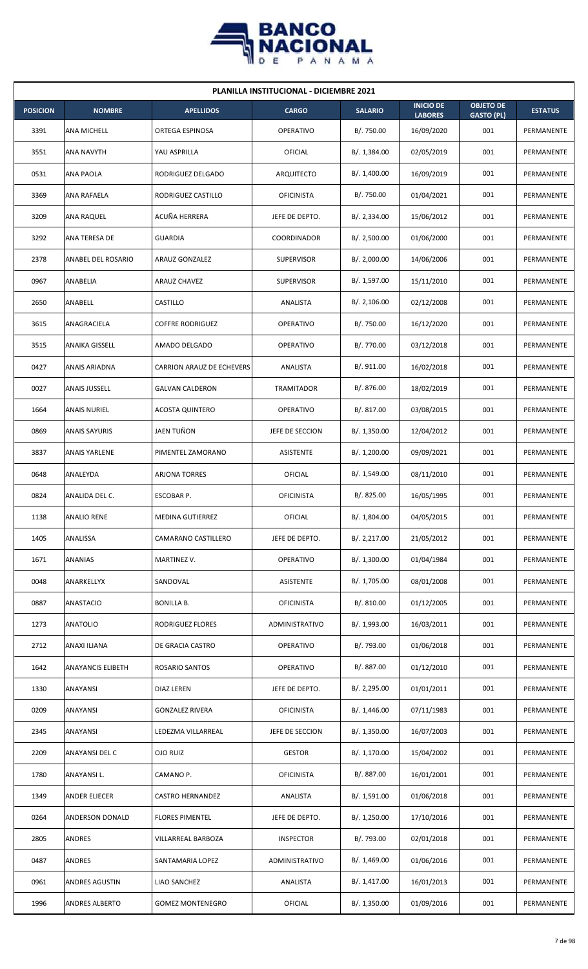

| <b>PLANILLA INSTITUCIONAL - DICIEMBRE 2021</b> |                          |                                  |                   |                |                                    |                                       |                |  |  |  |
|------------------------------------------------|--------------------------|----------------------------------|-------------------|----------------|------------------------------------|---------------------------------------|----------------|--|--|--|
| <b>POSICION</b>                                | <b>NOMBRE</b>            | <b>APELLIDOS</b>                 | <b>CARGO</b>      | <b>SALARIO</b> | <b>INICIO DE</b><br><b>LABORES</b> | <b>OBJETO DE</b><br><b>GASTO (PL)</b> | <b>ESTATUS</b> |  |  |  |
| 3391                                           | ANA MICHELL              | ORTEGA ESPINOSA                  | OPERATIVO         | B/. 750.00     | 16/09/2020                         | 001                                   | PERMANENTE     |  |  |  |
| 3551                                           | ANA NAVYTH               | YAU ASPRILLA                     | OFICIAL           | B/.1,384.00    | 02/05/2019                         | 001                                   | PERMANENTE     |  |  |  |
| 0531                                           | ANA PAOLA                | RODRIGUEZ DELGADO                | ARQUITECTO        | B/. 1,400.00   | 16/09/2019                         | 001                                   | PERMANENTE     |  |  |  |
| 3369                                           | ANA RAFAELA              | RODRIGUEZ CASTILLO               | <b>OFICINISTA</b> | B/. 750.00     | 01/04/2021                         | 001                                   | PERMANENTE     |  |  |  |
| 3209                                           | ANA RAQUEL               | ACUÑA HERRERA                    | JEFE DE DEPTO.    | B/.2,334.00    | 15/06/2012                         | 001                                   | PERMANENTE     |  |  |  |
| 3292                                           | ANA TERESA DE            | <b>GUARDIA</b>                   | COORDINADOR       | B/.2,500.00    | 01/06/2000                         | 001                                   | PERMANENTE     |  |  |  |
| 2378                                           | ANABEL DEL ROSARIO       | <b>ARAUZ GONZALEZ</b>            | <b>SUPERVISOR</b> | B/.2,000.00    | 14/06/2006                         | 001                                   | PERMANENTE     |  |  |  |
| 0967                                           | ANABELIA                 | <b>ARAUZ CHAVEZ</b>              | <b>SUPERVISOR</b> | B/. 1,597.00   | 15/11/2010                         | 001                                   | PERMANENTE     |  |  |  |
| 2650                                           | ANABELL                  | CASTILLO                         | ANALISTA          | B/.2,106.00    | 02/12/2008                         | 001                                   | PERMANENTE     |  |  |  |
| 3615                                           | ANAGRACIELA              | <b>COFFRE RODRIGUEZ</b>          | <b>OPERATIVO</b>  | B/. 750.00     | 16/12/2020                         | 001                                   | PERMANENTE     |  |  |  |
| 3515                                           | <b>ANAIKA GISSELL</b>    | AMADO DELGADO                    | <b>OPERATIVO</b>  | B/. 770.00     | 03/12/2018                         | 001                                   | PERMANENTE     |  |  |  |
| 0427                                           | ANAIS ARIADNA            | <b>CARRION ARAUZ DE ECHEVERS</b> | ANALISTA          | B/. 911.00     | 16/02/2018                         | 001                                   | PERMANENTE     |  |  |  |
| 0027                                           | <b>ANAIS JUSSELL</b>     | <b>GALVAN CALDERON</b>           | TRAMITADOR        | B/. 876.00     | 18/02/2019                         | 001                                   | PERMANENTE     |  |  |  |
| 1664                                           | <b>ANAIS NURIEL</b>      | <b>ACOSTA QUINTERO</b>           | <b>OPERATIVO</b>  | B/. 817.00     | 03/08/2015                         | 001                                   | PERMANENTE     |  |  |  |
| 0869                                           | <b>ANAIS SAYURIS</b>     | JAEN TUÑON                       | JEFE DE SECCION   | B/.1,350.00    | 12/04/2012                         | 001                                   | PERMANENTE     |  |  |  |
| 3837                                           | <b>ANAIS YARLENE</b>     | PIMENTEL ZAMORANO                | <b>ASISTENTE</b>  | B/. 1,200.00   | 09/09/2021                         | 001                                   | PERMANENTE     |  |  |  |
| 0648                                           | ANALEYDA                 | ARJONA TORRES                    | <b>OFICIAL</b>    | B/.1,549.00    | 08/11/2010                         | 001                                   | PERMANENTE     |  |  |  |
| 0824                                           | ANALIDA DEL C.           | ESCOBAR P.                       | <b>OFICINISTA</b> | B/. 825.00     | 16/05/1995                         | 001                                   | PERMANENTE     |  |  |  |
| 1138                                           | <b>ANALIO RENE</b>       | MEDINA GUTIERREZ                 | OFICIAL           | B/. 1,804.00   | 04/05/2015                         | 001                                   | PERMANENTE     |  |  |  |
| 1405                                           | ANALISSA                 | CAMARANO CASTILLERO              | JEFE DE DEPTO.    | B/.2,217.00    | 21/05/2012                         | 001                                   | PERMANENTE     |  |  |  |
| 1671                                           | ANANIAS                  | MARTINEZ V.                      | <b>OPERATIVO</b>  | B/. 1,300.00   | 01/04/1984                         | 001                                   | PERMANENTE     |  |  |  |
| 0048                                           | ANARKELLYX               | SANDOVAL                         | ASISTENTE         | B/. 1,705.00   | 08/01/2008                         | 001                                   | PERMANENTE     |  |  |  |
| 0887                                           | ANASTACIO                | <b>BONILLA B.</b>                | <b>OFICINISTA</b> | B/. 810.00     | 01/12/2005                         | 001                                   | PERMANENTE     |  |  |  |
| 1273                                           | <b>ANATOLIO</b>          | RODRIGUEZ FLORES                 | ADMINISTRATIVO    | B/. 1,993.00   | 16/03/2011                         | 001                                   | PERMANENTE     |  |  |  |
| 2712                                           | ANAXI ILIANA             | DE GRACIA CASTRO                 | OPERATIVO         | B/. 793.00     | 01/06/2018                         | 001                                   | PERMANENTE     |  |  |  |
| 1642                                           | <b>ANAYANCIS ELIBETH</b> | ROSARIO SANTOS                   | OPERATIVO         | B/. 887.00     | 01/12/2010                         | 001                                   | PERMANENTE     |  |  |  |
| 1330                                           | ANAYANSI                 | DIAZ LEREN                       | JEFE DE DEPTO.    | B/. 2,295.00   | 01/01/2011                         | 001                                   | PERMANENTE     |  |  |  |
| 0209                                           | ANAYANSI                 | <b>GONZALEZ RIVERA</b>           | <b>OFICINISTA</b> | B/. 1,446.00   | 07/11/1983                         | 001                                   | PERMANENTE     |  |  |  |
| 2345                                           | ANAYANSI                 | LEDEZMA VILLARREAL               | JEFE DE SECCION   | B/. 1,350.00   | 16/07/2003                         | 001                                   | PERMANENTE     |  |  |  |
| 2209                                           | ANAYANSI DEL C           | OJO RUIZ                         | <b>GESTOR</b>     | B/. 1,170.00   | 15/04/2002                         | 001                                   | PERMANENTE     |  |  |  |
| 1780                                           | ANAYANSI L.              | CAMANO P.                        | <b>OFICINISTA</b> | B/. 887.00     | 16/01/2001                         | 001                                   | PERMANENTE     |  |  |  |
| 1349                                           | ANDER ELIECER            | <b>CASTRO HERNANDEZ</b>          | ANALISTA          | B/. 1,591.00   | 01/06/2018                         | 001                                   | PERMANENTE     |  |  |  |
| 0264                                           | ANDERSON DONALD          | <b>FLORES PIMENTEL</b>           | JEFE DE DEPTO.    | B/. 1,250.00   | 17/10/2016                         | 001                                   | PERMANENTE     |  |  |  |
| 2805                                           | ANDRES                   | VILLARREAL BARBOZA               | <b>INSPECTOR</b>  | B/. 793.00     | 02/01/2018                         | 001                                   | PERMANENTE     |  |  |  |
| 0487                                           | ANDRES                   | SANTAMARIA LOPEZ                 | ADMINISTRATIVO    | B/.1,469.00    | 01/06/2016                         | 001                                   | PERMANENTE     |  |  |  |
| 0961                                           | ANDRES AGUSTIN           | LIAO SANCHEZ                     | ANALISTA          | B/. 1,417.00   | 16/01/2013                         | 001                                   | PERMANENTE     |  |  |  |
| 1996                                           | ANDRES ALBERTO           | <b>GOMEZ MONTENEGRO</b>          | <b>OFICIAL</b>    | B/.1,350.00    | 01/09/2016                         | 001                                   | PERMANENTE     |  |  |  |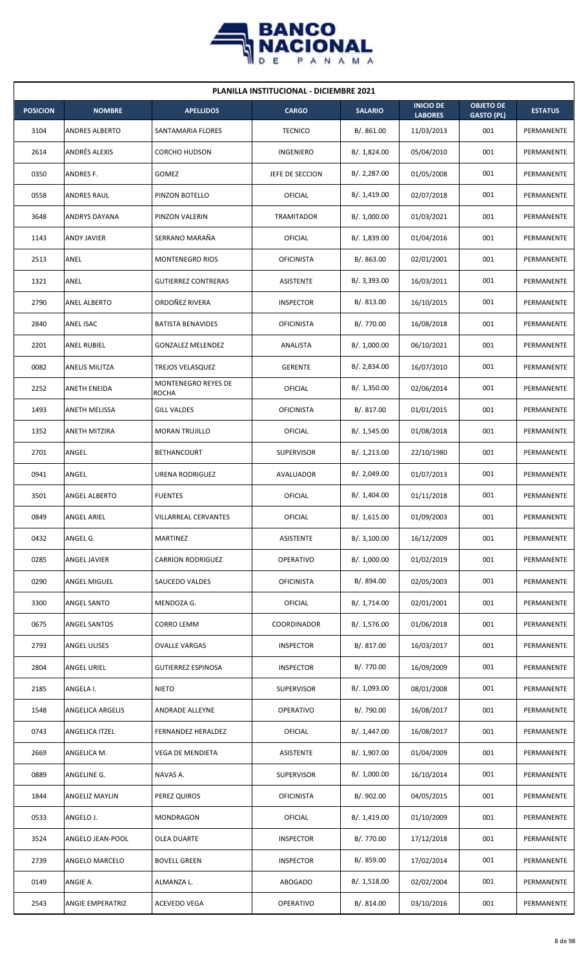

| <b>PLANILLA INSTITUCIONAL - DICIEMBRE 2021</b> |                       |                                     |                   |                |                                    |                                       |                |  |  |  |
|------------------------------------------------|-----------------------|-------------------------------------|-------------------|----------------|------------------------------------|---------------------------------------|----------------|--|--|--|
| <b>POSICION</b>                                | <b>NOMBRE</b>         | <b>APELLIDOS</b>                    | <b>CARGO</b>      | <b>SALARIO</b> | <b>INICIO DE</b><br><b>LABORES</b> | <b>OBJETO DE</b><br><b>GASTO (PL)</b> | <b>ESTATUS</b> |  |  |  |
| 3104                                           | <b>ANDRES ALBERTO</b> | SANTAMARIA FLORES                   | <b>TECNICO</b>    | B/. 861.00     | 11/03/2013                         | 001                                   | PERMANENTE     |  |  |  |
| 2614                                           | <b>ANDRÉS ALEXIS</b>  | <b>CORCHO HUDSON</b>                | INGENIERO         | B/. 1,824.00   | 05/04/2010                         | 001                                   | PERMANENTE     |  |  |  |
| 0350                                           | ANDRES F.             | GOMEZ                               | JEFE DE SECCION   | B/.2,287.00    | 01/05/2008                         | 001                                   | PERMANENTE     |  |  |  |
| 0558                                           | ANDRES RAUL           | PINZON BOTELLO                      | OFICIAL           | B/.1,419.00    | 02/07/2018                         | 001                                   | PERMANENTE     |  |  |  |
| 3648                                           | ANDRYS DAYANA         | PINZON VALERIN                      | TRAMITADOR        | B/. 1,000.00   | 01/03/2021                         | 001                                   | PERMANENTE     |  |  |  |
| 1143                                           | ANDY JAVIER           | SERRANO MARAÑA                      | OFICIAL           | B/. 1,839.00   | 01/04/2016                         | 001                                   | PERMANENTE     |  |  |  |
| 2513                                           | ANEL                  | <b>MONTENEGRO RIOS</b>              | <b>OFICINISTA</b> | B/0.863.00     | 02/01/2001                         | 001                                   | PERMANENTE     |  |  |  |
| 1321                                           | ANEL                  | <b>GUTIERREZ CONTRERAS</b>          | ASISTENTE         | B/. 3,393.00   | 16/03/2011                         | 001                                   | PERMANENTE     |  |  |  |
| 2790                                           | <b>ANEL ALBERTO</b>   | ORDOÑEZ RIVERA                      | <b>INSPECTOR</b>  | B/. 813.00     | 16/10/2015                         | 001                                   | PERMANENTE     |  |  |  |
| 2840                                           | ANEL ISAC             | <b>BATISTA BENAVIDES</b>            | <b>OFICINISTA</b> | B/. 770.00     | 16/08/2018                         | 001                                   | PERMANENTE     |  |  |  |
| 2201                                           | <b>ANEL RUBIEL</b>    | <b>GONZALEZ MELENDEZ</b>            | ANALISTA          | B/. 1,000.00   | 06/10/2021                         | 001                                   | PERMANENTE     |  |  |  |
| 0082                                           | ANELIS MILITZA        | TREJOS VELASQUEZ                    | <b>GERENTE</b>    | B/.2,834.00    | 16/07/2010                         | 001                                   | PERMANENTE     |  |  |  |
| 2252                                           | ANETH ENEIDA          | MONTENEGRO REYES DE<br><b>ROCHA</b> | OFICIAL           | B/. 1,350.00   | 02/06/2014                         | 001                                   | PERMANENTE     |  |  |  |
| 1493                                           | ANETH MELISSA         | <b>GILL VALDES</b>                  | <b>OFICINISTA</b> | B/. 817.00     | 01/01/2015                         | 001                                   | PERMANENTE     |  |  |  |
| 1352                                           | ANETH MITZIRA         | <b>MORAN TRUJILLO</b>               | OFICIAL           | B/. 1,545.00   | 01/08/2018                         | 001                                   | PERMANENTE     |  |  |  |
| 2701                                           | ANGEL                 | <b>BETHANCOURT</b>                  | <b>SUPERVISOR</b> | B/. 1,213.00   | 22/10/1980                         | 001                                   | PERMANENTE     |  |  |  |
| 0941                                           | ANGEL                 | URENA RODRIGUEZ                     | AVALUADOR         | B/. 2,049.00   | 01/07/2013                         | 001                                   | PERMANENTE     |  |  |  |
| 3501                                           | <b>ANGEL ALBERTO</b>  | <b>FUENTES</b>                      | OFICIAL           | B/. 1,404.00   | 01/11/2018                         | 001                                   | PERMANENTE     |  |  |  |
| 0849                                           | ANGEL ARIEL           | VILLARREAL CERVANTES                | OFICIAL           | B/. 1,615.00   | 01/09/2003                         | 001                                   | PERMANENTE     |  |  |  |
| 0432                                           | ANGEL G.              | MARTINEZ                            | ASISTENTE         | B/. 3,100.00   | 16/12/2009                         | 001                                   | PERMANENTE     |  |  |  |
| 0285                                           | ANGEL JAVIER          | <b>CARRION RODRIGUEZ</b>            | OPERATIVO         | B/. 1,000.00   | 01/02/2019                         | 001                                   | PERMANENTE     |  |  |  |
| 0290                                           | ANGEL MIGUEL          | SAUCEDO VALDES                      | <b>OFICINISTA</b> | B/. 894.00     | 02/05/2003                         | 001                                   | PERMANENTE     |  |  |  |
| 3300                                           | ANGEL SANTO           | MENDOZA G.                          | OFICIAL           | B/. 1,714.00   | 02/01/2001                         | 001                                   | PERMANENTE     |  |  |  |
| 0675                                           | ANGEL SANTOS          | CORRO LEMM                          | COORDINADOR       | B/. 1,576.00   | 01/06/2018                         | 001                                   | PERMANENTE     |  |  |  |
| 2793                                           | <b>ANGEL ULISES</b>   | <b>OVALLE VARGAS</b>                | <b>INSPECTOR</b>  | B/. 817.00     | 16/03/2017                         | 001                                   | PERMANENTE     |  |  |  |
| 2804                                           | ANGEL URIEL           | <b>GUTIERREZ ESPINOSA</b>           | <b>INSPECTOR</b>  | B/. 770.00     | 16/09/2009                         | 001                                   | PERMANENTE     |  |  |  |
| 2185                                           | ANGELA I.             | <b>NIETO</b>                        | <b>SUPERVISOR</b> | B/. 1,093.00   | 08/01/2008                         | 001                                   | PERMANENTE     |  |  |  |
| 1548                                           | ANGELICA ARGELIS      | ANDRADE ALLEYNE                     | <b>OPERATIVO</b>  | B/. 790.00     | 16/08/2017                         | 001                                   | PERMANENTE     |  |  |  |
| 0743                                           | ANGELICA ITZEL        | FERNANDEZ HERALDEZ                  | OFICIAL           | B/. 1,447.00   | 16/08/2017                         | 001                                   | PERMANENTE     |  |  |  |
| 2669                                           | ANGELICA M.           | <b>VEGA DE MENDIETA</b>             | ASISTENTE         | B/. 1,907.00   | 01/04/2009                         | 001                                   | PERMANENTE     |  |  |  |
| 0889                                           | ANGELINE G.           | NAVAS A.                            | <b>SUPERVISOR</b> | B/. 1,000.00   | 16/10/2014                         | 001                                   | PERMANENTE     |  |  |  |
| 1844                                           | ANGELIZ MAYLIN        | PEREZ QUIROS                        | <b>OFICINISTA</b> | B/. 902.00     | 04/05/2015                         | 001                                   | PERMANENTE     |  |  |  |
| 0533                                           | ANGELO J.             | <b>MONDRAGON</b>                    | OFICIAL           | B/.1,419.00    | 01/10/2009                         | 001                                   | PERMANENTE     |  |  |  |
| 3524                                           | ANGELO JEAN-POOL      | OLEA DUARTE                         | <b>INSPECTOR</b>  | B/. 770.00     | 17/12/2018                         | 001                                   | PERMANENTE     |  |  |  |
| 2739                                           | ANGELO MARCELO        | <b>BOVELL GREEN</b>                 | <b>INSPECTOR</b>  | B/. 859.00     | 17/02/2014                         | 001                                   | PERMANENTE     |  |  |  |
| 0149                                           | ANGIE A.              | ALMANZA L.                          | ABOGADO           | B/.1,518.00    | 02/02/2004                         | 001                                   | PERMANENTE     |  |  |  |
| 2543                                           | ANGIE EMPERATRIZ      | ACEVEDO VEGA                        | OPERATIVO         | B/. 814.00     | 03/10/2016                         | 001                                   | PERMANENTE     |  |  |  |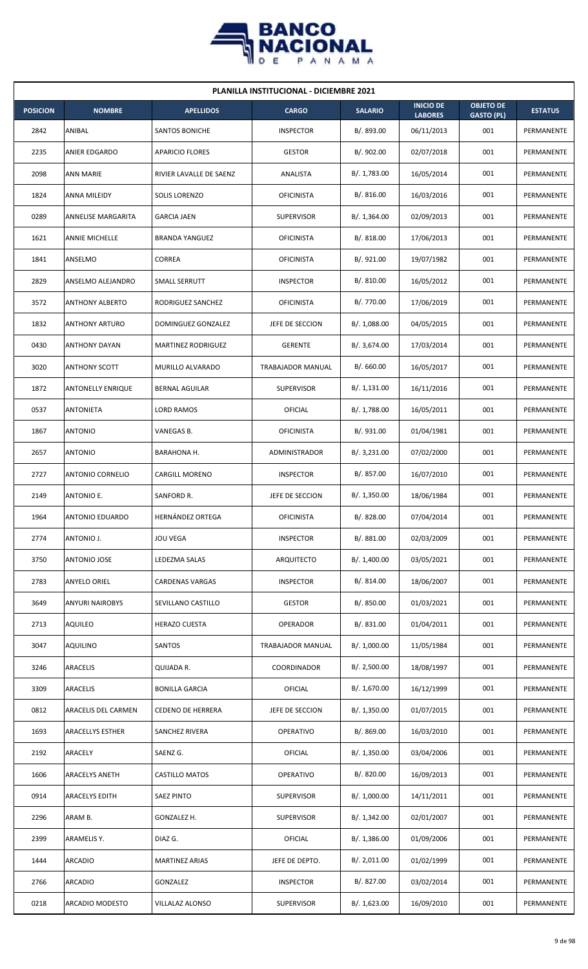

| <b>PLANILLA INSTITUCIONAL - DICIEMBRE 2021</b> |                           |                           |                   |                |                                    |                                       |                |  |  |  |
|------------------------------------------------|---------------------------|---------------------------|-------------------|----------------|------------------------------------|---------------------------------------|----------------|--|--|--|
| <b>POSICION</b>                                | <b>NOMBRE</b>             | <b>APELLIDOS</b>          | <b>CARGO</b>      | <b>SALARIO</b> | <b>INICIO DE</b><br><b>LABORES</b> | <b>OBJETO DE</b><br><b>GASTO (PL)</b> | <b>ESTATUS</b> |  |  |  |
| 2842                                           | ANIBAL                    | <b>SANTOS BONICHE</b>     | <b>INSPECTOR</b>  | B/. 893.00     | 06/11/2013                         | 001                                   | PERMANENTE     |  |  |  |
| 2235                                           | ANIER EDGARDO             | <b>APARICIO FLORES</b>    | <b>GESTOR</b>     | B/. 902.00     | 02/07/2018                         | 001                                   | PERMANENTE     |  |  |  |
| 2098                                           | <b>ANN MARIE</b>          | RIVIER LAVALLE DE SAENZ   | ANALISTA          | B/. 1,783.00   | 16/05/2014                         | 001                                   | PERMANENTE     |  |  |  |
| 1824                                           | ANNA MILEIDY              | <b>SOLIS LORENZO</b>      | <b>OFICINISTA</b> | B/.816.00      | 16/03/2016                         | 001                                   | PERMANENTE     |  |  |  |
| 0289                                           | <b>ANNELISE MARGARITA</b> | <b>GARCIA JAEN</b>        | <b>SUPERVISOR</b> | B/.1,364.00    | 02/09/2013                         | 001                                   | PERMANENTE     |  |  |  |
| 1621                                           | <b>ANNIE MICHELLE</b>     | <b>BRANDA YANGUEZ</b>     | <b>OFICINISTA</b> | B/.818.00      | 17/06/2013                         | 001                                   | PERMANENTE     |  |  |  |
| 1841                                           | ANSELMO                   | CORREA                    | <b>OFICINISTA</b> | B/. 921.00     | 19/07/1982                         | 001                                   | PERMANENTE     |  |  |  |
| 2829                                           | ANSELMO ALEJANDRO         | SMALL SERRUTT             | <b>INSPECTOR</b>  | B/.810.00      | 16/05/2012                         | 001                                   | PERMANENTE     |  |  |  |
| 3572                                           | <b>ANTHONY ALBERTO</b>    | RODRIGUEZ SANCHEZ         | <b>OFICINISTA</b> | B/. 770.00     | 17/06/2019                         | 001                                   | PERMANENTE     |  |  |  |
| 1832                                           | <b>ANTHONY ARTURO</b>     | DOMINGUEZ GONZALEZ        | JEFE DE SECCION   | B/.1,088.00    | 04/05/2015                         | 001                                   | PERMANENTE     |  |  |  |
| 0430                                           | <b>ANTHONY DAYAN</b>      | <b>MARTINEZ RODRIGUEZ</b> | <b>GERENTE</b>    | B/. 3,674.00   | 17/03/2014                         | 001                                   | PERMANENTE     |  |  |  |
| 3020                                           | <b>ANTHONY SCOTT</b>      | MURILLO ALVARADO          | TRABAJADOR MANUAL | B/0.660.00     | 16/05/2017                         | 001                                   | PERMANENTE     |  |  |  |
| 1872                                           | <b>ANTONELLY ENRIQUE</b>  | BERNAL AGUILAR            | <b>SUPERVISOR</b> | B/.1,131.00    | 16/11/2016                         | 001                                   | PERMANENTE     |  |  |  |
| 0537                                           | <b>ANTONIETA</b>          | LORD RAMOS                | OFICIAL           | B/. 1,788.00   | 16/05/2011                         | 001                                   | PERMANENTE     |  |  |  |
| 1867                                           | <b>ANTONIO</b>            | VANEGAS B.                | <b>OFICINISTA</b> | B/. 931.00     | 01/04/1981                         | 001                                   | PERMANENTE     |  |  |  |
| 2657                                           | <b>ANTONIO</b>            | BARAHONA H.               | ADMINISTRADOR     | B/. 3,231.00   | 07/02/2000                         | 001                                   | PERMANENTE     |  |  |  |
| 2727                                           | <b>ANTONIO CORNELIO</b>   | <b>CARGILL MORENO</b>     | <b>INSPECTOR</b>  | B/. 857.00     | 16/07/2010                         | 001                                   | PERMANENTE     |  |  |  |
| 2149                                           | ANTONIO E.                | SANFORD R.                | JEFE DE SECCION   | B/. 1,350.00   | 18/06/1984                         | 001                                   | PERMANENTE     |  |  |  |
| 1964                                           | <b>ANTONIO EDUARDO</b>    | HERNÁNDEZ ORTEGA          | <b>OFICINISTA</b> | B/. 828.00     | 07/04/2014                         | 001                                   | PERMANENTE     |  |  |  |
| 2774                                           | ANTONIO J.                | <b>JOU VEGA</b>           | <b>INSPECTOR</b>  | B/. 881.00     | 02/03/2009                         | 001                                   | PERMANENTE     |  |  |  |
| 3750                                           | ANTONIO JOSE              | LEDEZMA SALAS             | ARQUITECTO        | B/. 1,400.00   | 03/05/2021                         | 001                                   | PERMANENTE     |  |  |  |
| 2783                                           | <b>ANYELO ORIEL</b>       | <b>CARDENAS VARGAS</b>    | <b>INSPECTOR</b>  | B/. 814.00     | 18/06/2007                         | 001                                   | PERMANENTE     |  |  |  |
| 3649                                           | <b>ANYURI NAIROBYS</b>    | SEVILLANO CASTILLO        | <b>GESTOR</b>     | B/. 850.00     | 01/03/2021                         | 001                                   | PERMANENTE     |  |  |  |
| 2713                                           | <b>AQUILEO</b>            | <b>HERAZO CUESTA</b>      | OPERADOR          | B/. 831.00     | 01/04/2011                         | 001                                   | PERMANENTE     |  |  |  |
| 3047                                           | <b>AQUILINO</b>           | SANTOS                    | TRABAJADOR MANUAL | B/. 1,000.00   | 11/05/1984                         | 001                                   | PERMANENTE     |  |  |  |
| 3246                                           | <b>ARACELIS</b>           | QUIJADA R.                | COORDINADOR       | B/.2,500.00    | 18/08/1997                         | 001                                   | PERMANENTE     |  |  |  |
| 3309                                           | ARACELIS                  | <b>BONILLA GARCIA</b>     | <b>OFICIAL</b>    | B/. 1,670.00   | 16/12/1999                         | 001                                   | PERMANENTE     |  |  |  |
| 0812                                           | ARACELIS DEL CARMEN       | <b>CEDENO DE HERRERA</b>  | JEFE DE SECCION   | B/.1,350.00    | 01/07/2015                         | 001                                   | PERMANENTE     |  |  |  |
| 1693                                           | ARACELLYS ESTHER          | SANCHEZ RIVERA            | OPERATIVO         | B/. 869.00     | 16/03/2010                         | 001                                   | PERMANENTE     |  |  |  |
| 2192                                           | ARACELY                   | SAENZ G.                  | <b>OFICIAL</b>    | B/. 1,350.00   | 03/04/2006                         | 001                                   | PERMANENTE     |  |  |  |
| 1606                                           | <b>ARACELYS ANETH</b>     | <b>CASTILLO MATOS</b>     | OPERATIVO         | B/. 820.00     | 16/09/2013                         | 001                                   | PERMANENTE     |  |  |  |
| 0914                                           | ARACELYS EDITH            | <b>SAEZ PINTO</b>         | <b>SUPERVISOR</b> | B/. 1,000.00   | 14/11/2011                         | 001                                   | PERMANENTE     |  |  |  |
| 2296                                           | ARAM B.                   | GONZALEZ H.               | <b>SUPERVISOR</b> | B/.1,342.00    | 02/01/2007                         | 001                                   | PERMANENTE     |  |  |  |
| 2399                                           | ARAMELIS Y.               | DIAZ G.                   | OFICIAL           | B/.1,386.00    | 01/09/2006                         | 001                                   | PERMANENTE     |  |  |  |
| 1444                                           | ARCADIO                   | <b>MARTINEZ ARIAS</b>     | JEFE DE DEPTO.    | B/. 2,011.00   | 01/02/1999                         | 001                                   | PERMANENTE     |  |  |  |
| 2766                                           | ARCADIO                   | GONZALEZ                  | <b>INSPECTOR</b>  | B/. 827.00     | 03/02/2014                         | 001                                   | PERMANENTE     |  |  |  |
| 0218                                           | ARCADIO MODESTO           | VILLALAZ ALONSO           | <b>SUPERVISOR</b> | B/. 1,623.00   | 16/09/2010                         | 001                                   | PERMANENTE     |  |  |  |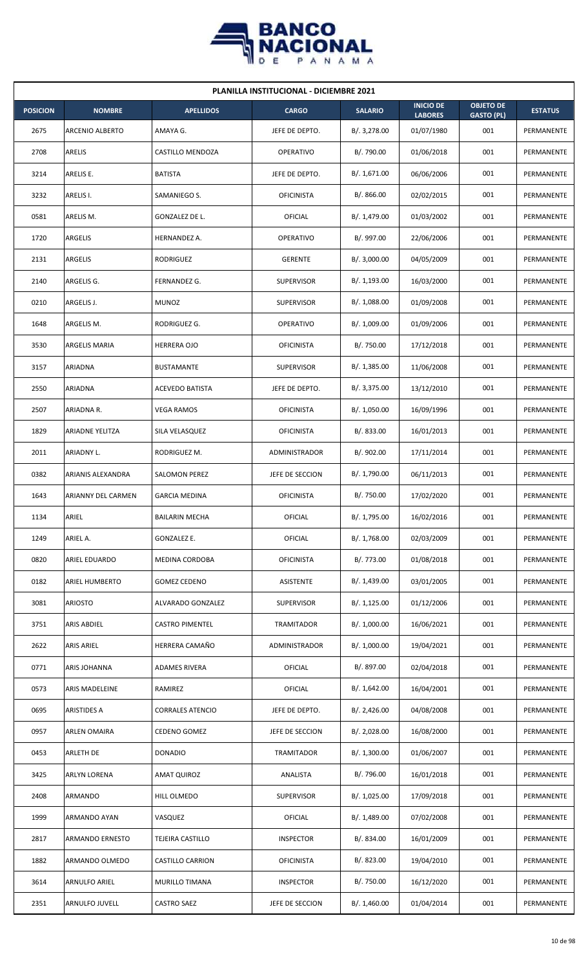

| <b>PLANILLA INSTITUCIONAL - DICIEMBRE 2021</b> |                        |                         |                   |                |                                    |                                       |                |  |  |  |
|------------------------------------------------|------------------------|-------------------------|-------------------|----------------|------------------------------------|---------------------------------------|----------------|--|--|--|
| <b>POSICION</b>                                | <b>NOMBRE</b>          | <b>APELLIDOS</b>        | <b>CARGO</b>      | <b>SALARIO</b> | <b>INICIO DE</b><br><b>LABORES</b> | <b>OBJETO DE</b><br><b>GASTO (PL)</b> | <b>ESTATUS</b> |  |  |  |
| 2675                                           | ARCENIO ALBERTO        | AMAYA G.                | JEFE DE DEPTO.    | B/.3,278.00    | 01/07/1980                         | 001                                   | PERMANENTE     |  |  |  |
| 2708                                           | ARELIS                 | CASTILLO MENDOZA        | OPERATIVO         | B/. 790.00     | 01/06/2018                         | 001                                   | PERMANENTE     |  |  |  |
| 3214                                           | ARELIS E.              | <b>BATISTA</b>          | JEFE DE DEPTO.    | B/. 1,671.00   | 06/06/2006                         | 001                                   | PERMANENTE     |  |  |  |
| 3232                                           | ARELIS I.              | SAMANIEGO S.            | <b>OFICINISTA</b> | B/.866.00      | 02/02/2015                         | 001                                   | PERMANENTE     |  |  |  |
| 0581                                           | ARELIS M.              | GONZALEZ DE L.          | OFICIAL           | B/. 1,479.00   | 01/03/2002                         | 001                                   | PERMANENTE     |  |  |  |
| 1720                                           | ARGELIS                | HERNANDEZ A.            | <b>OPERATIVO</b>  | B/. 997.00     | 22/06/2006                         | 001                                   | PERMANENTE     |  |  |  |
| 2131                                           | ARGELIS                | RODRIGUEZ               | <b>GERENTE</b>    | B/.3,000.00    | 04/05/2009                         | 001                                   | PERMANENTE     |  |  |  |
| 2140                                           | ARGELIS G.             | FERNANDEZ G.            | <b>SUPERVISOR</b> | B/. 1,193.00   | 16/03/2000                         | 001                                   | PERMANENTE     |  |  |  |
| 0210                                           | ARGELIS J.             | <b>MUNOZ</b>            | <b>SUPERVISOR</b> | B/.1,088.00    | 01/09/2008                         | 001                                   | PERMANENTE     |  |  |  |
| 1648                                           | ARGELIS M.             | RODRIGUEZ G.            | OPERATIVO         | B/. 1,009.00   | 01/09/2006                         | 001                                   | PERMANENTE     |  |  |  |
| 3530                                           | <b>ARGELIS MARIA</b>   | <b>HERRERA OJO</b>      | <b>OFICINISTA</b> | B/. 750.00     | 17/12/2018                         | 001                                   | PERMANENTE     |  |  |  |
| 3157                                           | ARIADNA                | <b>BUSTAMANTE</b>       | <b>SUPERVISOR</b> | B/. 1,385.00   | 11/06/2008                         | 001                                   | PERMANENTE     |  |  |  |
| 2550                                           | ARIADNA                | ACEVEDO BATISTA         | JEFE DE DEPTO.    | B/. 3,375.00   | 13/12/2010                         | 001                                   | PERMANENTE     |  |  |  |
| 2507                                           | ARIADNA R.             | <b>VEGA RAMOS</b>       | <b>OFICINISTA</b> | B/. 1,050.00   | 16/09/1996                         | 001                                   | PERMANENTE     |  |  |  |
| 1829                                           | <b>ARIADNE YELITZA</b> | SILA VELASQUEZ          | <b>OFICINISTA</b> | B/0.833.00     | 16/01/2013                         | 001                                   | PERMANENTE     |  |  |  |
| 2011                                           | ARIADNY L.             | RODRIGUEZ M.            | ADMINISTRADOR     | B/. 902.00     | 17/11/2014                         | 001                                   | PERMANENTE     |  |  |  |
| 0382                                           | ARIANIS ALEXANDRA      | <b>SALOMON PEREZ</b>    | JEFE DE SECCION   | B/. 1,790.00   | 06/11/2013                         | 001                                   | PERMANENTE     |  |  |  |
| 1643                                           | ARIANNY DEL CARMEN     | <b>GARCIA MEDINA</b>    | <b>OFICINISTA</b> | B/. 750.00     | 17/02/2020                         | 001                                   | PERMANENTE     |  |  |  |
| 1134                                           | ARIEL                  | <b>BAILARIN MECHA</b>   | OFICIAL           | B/. 1,795.00   | 16/02/2016                         | 001                                   | PERMANENTE     |  |  |  |
| 1249                                           | ARIEL A.               | GONZALEZ E.             | <b>OFICIAL</b>    | B/. 1,768.00   | 02/03/2009                         | 001                                   | PERMANENTE     |  |  |  |
| 0820                                           | ARIEL EDUARDO          | MEDINA CORDOBA          | <b>OFICINISTA</b> | B/. 773.00     | 01/08/2018                         | 001                                   | PERMANENTE     |  |  |  |
| 0182                                           | <b>ARIEL HUMBERTO</b>  | <b>GOMEZ CEDENO</b>     | ASISTENTE         | B/. 1,439.00   | 03/01/2005                         | 001                                   | PERMANENTE     |  |  |  |
| 3081                                           | <b>ARIOSTO</b>         | ALVARADO GONZALEZ       | <b>SUPERVISOR</b> | B/. 1,125.00   | 01/12/2006                         | 001                                   | PERMANENTE     |  |  |  |
| 3751                                           | ARIS ABDIEL            | <b>CASTRO PIMENTEL</b>  | TRAMITADOR        | B/. 1,000.00   | 16/06/2021                         | 001                                   | PERMANENTE     |  |  |  |
| 2622                                           | ARIS ARIEL             | HERRERA CAMAÑO          | ADMINISTRADOR     | B/. 1,000.00   | 19/04/2021                         | 001                                   | PERMANENTE     |  |  |  |
| 0771                                           | ARIS JOHANNA           | ADAMES RIVERA           | OFICIAL           | B/. 897.00     | 02/04/2018                         | 001                                   | PERMANENTE     |  |  |  |
| 0573                                           | ARIS MADELEINE         | RAMIREZ                 | OFICIAL           | B/.1,642.00    | 16/04/2001                         | 001                                   | PERMANENTE     |  |  |  |
| 0695                                           | ARISTIDES A            | <b>CORRALES ATENCIO</b> | JEFE DE DEPTO.    | B/. 2,426.00   | 04/08/2008                         | 001                                   | PERMANENTE     |  |  |  |
| 0957                                           | <b>ARLEN OMAIRA</b>    | <b>CEDENO GOMEZ</b>     | JEFE DE SECCION   | B/.2,028.00    | 16/08/2000                         | 001                                   | PERMANENTE     |  |  |  |
| 0453                                           | ARLETH DE              | <b>DONADIO</b>          | TRAMITADOR        | B/. 1,300.00   | 01/06/2007                         | 001                                   | PERMANENTE     |  |  |  |
| 3425                                           | ARLYN LORENA           | <b>AMAT QUIROZ</b>      | ANALISTA          | B/. 796.00     | 16/01/2018                         | 001                                   | PERMANENTE     |  |  |  |
| 2408                                           | ARMANDO                | HILL OLMEDO             | SUPERVISOR        | B/. 1,025.00   | 17/09/2018                         | 001                                   | PERMANENTE     |  |  |  |
| 1999                                           | ARMANDO AYAN           | VASQUEZ                 | <b>OFICIAL</b>    | B/. 1,489.00   | 07/02/2008                         | 001                                   | PERMANENTE     |  |  |  |
| 2817                                           | ARMANDO ERNESTO        | TEJEIRA CASTILLO        | <b>INSPECTOR</b>  | B/. 834.00     | 16/01/2009                         | 001                                   | PERMANENTE     |  |  |  |
| 1882                                           | ARMANDO OLMEDO         | CASTILLO CARRION        | <b>OFICINISTA</b> | B/0.823.00     | 19/04/2010                         | 001                                   | PERMANENTE     |  |  |  |
| 3614                                           | ARNULFO ARIEL          | MURILLO TIMANA          | <b>INSPECTOR</b>  | B/. 750.00     | 16/12/2020                         | 001                                   | PERMANENTE     |  |  |  |
| 2351                                           | ARNULFO JUVELL         | <b>CASTRO SAEZ</b>      | JEFE DE SECCION   | B/.1,460.00    | 01/04/2014                         | 001                                   | PERMANENTE     |  |  |  |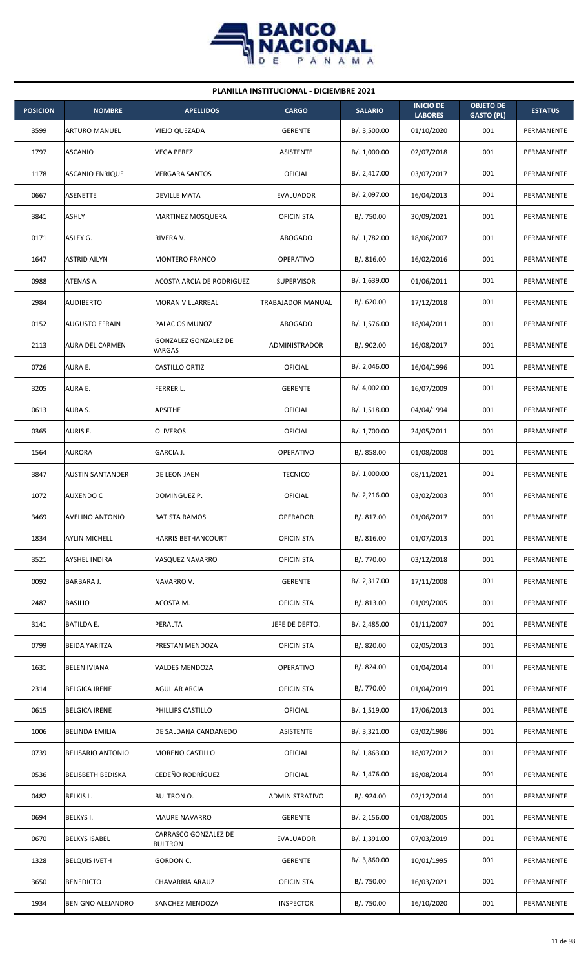

| <b>PLANILLA INSTITUCIONAL - DICIEMBRE 2021</b> |                          |                                        |                   |                |                                    |                                       |                |  |  |  |
|------------------------------------------------|--------------------------|----------------------------------------|-------------------|----------------|------------------------------------|---------------------------------------|----------------|--|--|--|
| <b>POSICION</b>                                | <b>NOMBRE</b>            | <b>APELLIDOS</b>                       | <b>CARGO</b>      | <b>SALARIO</b> | <b>INICIO DE</b><br><b>LABORES</b> | <b>OBJETO DE</b><br><b>GASTO (PL)</b> | <b>ESTATUS</b> |  |  |  |
| 3599                                           | <b>ARTURO MANUEL</b>     | VIEJO QUEZADA                          | <b>GERENTE</b>    | B/. 3,500.00   | 01/10/2020                         | 001                                   | PERMANENTE     |  |  |  |
| 1797                                           | <b>ASCANIO</b>           | <b>VEGA PEREZ</b>                      | <b>ASISTENTE</b>  | B/. 1,000.00   | 02/07/2018                         | 001                                   | PERMANENTE     |  |  |  |
| 1178                                           | <b>ASCANIO ENRIQUE</b>   | VERGARA SANTOS                         | <b>OFICIAL</b>    | B/.2,417.00    | 03/07/2017                         | 001                                   | PERMANENTE     |  |  |  |
| 0667                                           | <b>ASENETTE</b>          | <b>DEVILLE MATA</b>                    | EVALUADOR         | B/. 2,097.00   | 16/04/2013                         | 001                                   | PERMANENTE     |  |  |  |
| 3841                                           | <b>ASHLY</b>             | <b>MARTINEZ MOSQUERA</b>               | <b>OFICINISTA</b> | B/. 750.00     | 30/09/2021                         | 001                                   | PERMANENTE     |  |  |  |
| 0171                                           | ASLEY G.                 | RIVERA V.                              | <b>ABOGADO</b>    | B/. 1,782.00   | 18/06/2007                         | 001                                   | PERMANENTE     |  |  |  |
| 1647                                           | <b>ASTRID AILYN</b>      | MONTERO FRANCO                         | <b>OPERATIVO</b>  | B/. 816.00     | 16/02/2016                         | 001                                   | PERMANENTE     |  |  |  |
| 0988                                           | ATENAS A.                | <b>ACOSTA ARCIA DE RODRIGUEZ</b>       | <b>SUPERVISOR</b> | B/. 1,639.00   | 01/06/2011                         | 001                                   | PERMANENTE     |  |  |  |
| 2984                                           | <b>AUDIBERTO</b>         | <b>MORAN VILLARREAL</b>                | TRABAJADOR MANUAL | B/. 620.00     | 17/12/2018                         | 001                                   | PERMANENTE     |  |  |  |
| 0152                                           | <b>AUGUSTO EFRAIN</b>    | PALACIOS MUNOZ                         | <b>ABOGADO</b>    | B/. 1,576.00   | 18/04/2011                         | 001                                   | PERMANENTE     |  |  |  |
| 2113                                           | <b>AURA DEL CARMEN</b>   | GONZALEZ GONZALEZ DE<br>VARGAS         | ADMINISTRADOR     | B/. 902.00     | 16/08/2017                         | 001                                   | PERMANENTE     |  |  |  |
| 0726                                           | AURA E.                  | CASTILLO ORTIZ                         | <b>OFICIAL</b>    | B/.2,046.00    | 16/04/1996                         | 001                                   | PERMANENTE     |  |  |  |
| 3205                                           | AURA E.                  | FERRER L.                              | <b>GERENTE</b>    | B/. 4,002.00   | 16/07/2009                         | 001                                   | PERMANENTE     |  |  |  |
| 0613                                           | AURA S.                  | APSITHE                                | OFICIAL           | B/.1,518.00    | 04/04/1994                         | 001                                   | PERMANENTE     |  |  |  |
| 0365                                           | <b>AURIS E.</b>          | <b>OLIVEROS</b>                        | OFICIAL           | B/. 1,700.00   | 24/05/2011                         | 001                                   | PERMANENTE     |  |  |  |
| 1564                                           | <b>AURORA</b>            | GARCIA J.                              | <b>OPERATIVO</b>  | B/. 858.00     | 01/08/2008                         | 001                                   | PERMANENTE     |  |  |  |
| 3847                                           | <b>AUSTIN SANTANDER</b>  | DE LEON JAEN                           | <b>TECNICO</b>    | B/. 1,000.00   | 08/11/2021                         | 001                                   | PERMANENTE     |  |  |  |
| 1072                                           | <b>AUXENDO C</b>         | DOMINGUEZ P.                           | OFICIAL           | B/. 2,216.00   | 03/02/2003                         | 001                                   | PERMANENTE     |  |  |  |
| 3469                                           | <b>AVELINO ANTONIO</b>   | <b>BATISTA RAMOS</b>                   | <b>OPERADOR</b>   | B/. 817.00     | 01/06/2017                         | 001                                   | PERMANENTE     |  |  |  |
| 1834                                           | <b>AYLIN MICHELL</b>     | <b>HARRIS BETHANCOURT</b>              | <b>OFICINISTA</b> | B/. 816.00     | 01/07/2013                         | 001                                   | PERMANENTE     |  |  |  |
| 3521                                           | <b>AYSHEL INDIRA</b>     | VASQUEZ NAVARRO                        | <b>OFICINISTA</b> | B/. 770.00     | 03/12/2018                         | 001                                   | PERMANENTE     |  |  |  |
| 0092                                           | BARBARA J.               | NAVARRO V.                             | <b>GERENTE</b>    | B/.2,317.00    | 17/11/2008                         | 001                                   | PERMANENTE     |  |  |  |
| 2487                                           | <b>BASILIO</b>           | ACOSTA M.                              | <b>OFICINISTA</b> | B/. 813.00     | 01/09/2005                         | 001                                   | PERMANENTE     |  |  |  |
| 3141                                           | <b>BATILDA E.</b>        | PERALTA                                | JEFE DE DEPTO.    | B/. 2,485.00   | 01/11/2007                         | 001                                   | PERMANENTE     |  |  |  |
| 0799                                           | <b>BEIDA YARITZA</b>     | PRESTAN MENDOZA                        | <b>OFICINISTA</b> | B/. 820.00     | 02/05/2013                         | 001                                   | PERMANENTE     |  |  |  |
| 1631                                           | <b>BELEN IVIANA</b>      | <b>VALDES MENDOZA</b>                  | <b>OPERATIVO</b>  | B/. 824.00     | 01/04/2014                         | 001                                   | PERMANENTE     |  |  |  |
| 2314                                           | <b>BELGICA IRENE</b>     | AGUILAR ARCIA                          | <b>OFICINISTA</b> | B/. 770.00     | 01/04/2019                         | 001                                   | PERMANENTE     |  |  |  |
| 0615                                           | <b>BELGICA IRENE</b>     | PHILLIPS CASTILLO                      | <b>OFICIAL</b>    | B/.1,519.00    | 17/06/2013                         | 001                                   | PERMANENTE     |  |  |  |
| 1006                                           | <b>BELINDA EMILIA</b>    | DE SALDANA CANDANEDO                   | <b>ASISTENTE</b>  | B/.3,321.00    | 03/02/1986                         | 001                                   | PERMANENTE     |  |  |  |
| 0739                                           | <b>BELISARIO ANTONIO</b> | MORENO CASTILLO                        | <b>OFICIAL</b>    | B/.1,863.00    | 18/07/2012                         | 001                                   | PERMANENTE     |  |  |  |
| 0536                                           | <b>BELISBETH BEDISKA</b> | CEDEÑO RODRÍGUEZ                       | OFICIAL           | B/. 1,476.00   | 18/08/2014                         | 001                                   | PERMANENTE     |  |  |  |
| 0482                                           | <b>BELKIS L.</b>         | <b>BULTRON O.</b>                      | ADMINISTRATIVO    | B/. 924.00     | 02/12/2014                         | 001                                   | PERMANENTE     |  |  |  |
| 0694                                           | <b>BELKYS I.</b>         | <b>MAURE NAVARRO</b>                   | <b>GERENTE</b>    | B/.2,156.00    | 01/08/2005                         | 001                                   | PERMANENTE     |  |  |  |
| 0670                                           | <b>BELKYS ISABEL</b>     | CARRASCO GONZALEZ DE<br><b>BULTRON</b> | EVALUADOR         | B/. 1,391.00   | 07/03/2019                         | 001                                   | PERMANENTE     |  |  |  |
| 1328                                           | <b>BELQUIS IVETH</b>     | GORDON C.                              | <b>GERENTE</b>    | B/. 3,860.00   | 10/01/1995                         | 001                                   | PERMANENTE     |  |  |  |
| 3650                                           | <b>BENEDICTO</b>         | CHAVARRIA ARAUZ                        | <b>OFICINISTA</b> | B/. 750.00     | 16/03/2021                         | 001                                   | PERMANENTE     |  |  |  |
| 1934                                           | <b>BENIGNO ALEJANDRO</b> | SANCHEZ MENDOZA                        | <b>INSPECTOR</b>  | B/. 750.00     | 16/10/2020                         | 001                                   | PERMANENTE     |  |  |  |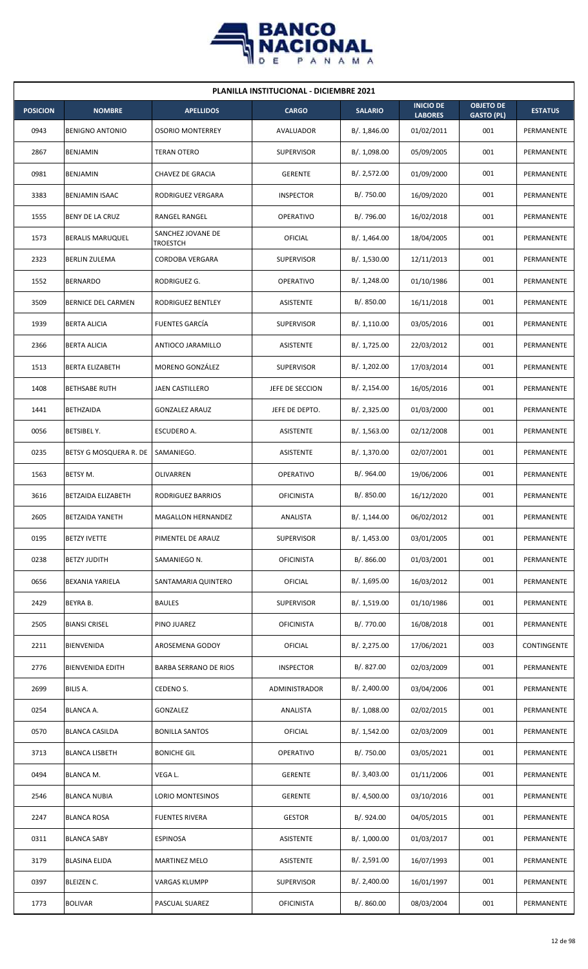

| <b>PLANILLA INSTITUCIONAL - DICIEMBRE 2021</b> |                           |                               |                   |                |                                    |                                       |                |  |  |  |
|------------------------------------------------|---------------------------|-------------------------------|-------------------|----------------|------------------------------------|---------------------------------------|----------------|--|--|--|
| <b>POSICION</b>                                | <b>NOMBRE</b>             | <b>APELLIDOS</b>              | <b>CARGO</b>      | <b>SALARIO</b> | <b>INICIO DE</b><br><b>LABORES</b> | <b>OBJETO DE</b><br><b>GASTO (PL)</b> | <b>ESTATUS</b> |  |  |  |
| 0943                                           | <b>BENIGNO ANTONIO</b>    | <b>OSORIO MONTERREY</b>       | AVALUADOR         | B/.1,846.00    | 01/02/2011                         | 001                                   | PERMANENTE     |  |  |  |
| 2867                                           | BENJAMIN                  | <b>TERAN OTERO</b>            | <b>SUPERVISOR</b> | B/.1,098.00    | 05/09/2005                         | 001                                   | PERMANENTE     |  |  |  |
| 0981                                           | BENJAMIN                  | CHAVEZ DE GRACIA              | <b>GERENTE</b>    | B/.2,572.00    | 01/09/2000                         | 001                                   | PERMANENTE     |  |  |  |
| 3383                                           | <b>BENJAMIN ISAAC</b>     | RODRIGUEZ VERGARA             | <b>INSPECTOR</b>  | B/. 750.00     | 16/09/2020                         | 001                                   | PERMANENTE     |  |  |  |
| 1555                                           | BENY DE LA CRUZ           | <b>RANGEL RANGEL</b>          | <b>OPERATIVO</b>  | B/. 796.00     | 16/02/2018                         | 001                                   | PERMANENTE     |  |  |  |
| 1573                                           | <b>BERALIS MARUQUEL</b>   | SANCHEZ JOVANE DE<br>TROESTCH | OFICIAL           | B/. 1,464.00   | 18/04/2005                         | 001                                   | PERMANENTE     |  |  |  |
| 2323                                           | <b>BERLIN ZULEMA</b>      | <b>CORDOBA VERGARA</b>        | <b>SUPERVISOR</b> | B/. 1,530.00   | 12/11/2013                         | 001                                   | PERMANENTE     |  |  |  |
| 1552                                           | <b>BERNARDO</b>           | RODRIGUEZ G.                  | <b>OPERATIVO</b>  | B/.1,248.00    | 01/10/1986                         | 001                                   | PERMANENTE     |  |  |  |
| 3509                                           | BERNICE DEL CARMEN        | RODRIGUEZ BENTLEY             | <b>ASISTENTE</b>  | B/. 850.00     | 16/11/2018                         | 001                                   | PERMANENTE     |  |  |  |
| 1939                                           | <b>BERTA ALICIA</b>       | <b>FUENTES GARCÍA</b>         | <b>SUPERVISOR</b> | B/.1,110.00    | 03/05/2016                         | 001                                   | PERMANENTE     |  |  |  |
| 2366                                           | <b>BERTA ALICIA</b>       | ANTIOCO JARAMILLO             | <b>ASISTENTE</b>  | B/.1,725.00    | 22/03/2012                         | 001                                   | PERMANENTE     |  |  |  |
| 1513                                           | <b>BERTA ELIZABETH</b>    | MORENO GONZÁLEZ               | <b>SUPERVISOR</b> | B/. 1,202.00   | 17/03/2014                         | 001                                   | PERMANENTE     |  |  |  |
| 1408                                           | <b>BETHSABE RUTH</b>      | JAEN CASTILLERO               | JEFE DE SECCION   | B/.2,154.00    | 16/05/2016                         | 001                                   | PERMANENTE     |  |  |  |
| 1441                                           | <b>BETHZAIDA</b>          | <b>GONZALEZ ARAUZ</b>         | JEFE DE DEPTO.    | B/.2,325.00    | 01/03/2000                         | 001                                   | PERMANENTE     |  |  |  |
| 0056                                           | <b>BETSIBEL Y.</b>        | ESCUDERO A.                   | <b>ASISTENTE</b>  | B/.1,563.00    | 02/12/2008                         | 001                                   | PERMANENTE     |  |  |  |
| 0235                                           | BETSY G MOSQUERA R. DE    | SAMANIEGO.                    | <b>ASISTENTE</b>  | B/. 1,370.00   | 02/07/2001                         | 001                                   | PERMANENTE     |  |  |  |
| 1563                                           | BETSY M.                  | OLIVARREN                     | OPERATIVO         | B/. 964.00     | 19/06/2006                         | 001                                   | PERMANENTE     |  |  |  |
| 3616                                           | <b>BETZAIDA ELIZABETH</b> | RODRIGUEZ BARRIOS             | <b>OFICINISTA</b> | B/. 850.00     | 16/12/2020                         | 001                                   | PERMANENTE     |  |  |  |
| 2605                                           | <b>BETZAIDA YANETH</b>    | MAGALLON HERNANDEZ            | ANALISTA          | B/. 1,144.00   | 06/02/2012                         | 001                                   | PERMANENTE     |  |  |  |
| 0195                                           | <b>BETZY IVETTE</b>       | PIMENTEL DE ARAUZ             | <b>SUPERVISOR</b> | B/. 1,453.00   | 03/01/2005                         | 001                                   | PERMANENTE     |  |  |  |
| 0238                                           | <b>BETZY JUDITH</b>       | SAMANIEGO N.                  | <b>OFICINISTA</b> | B/. 866.00     | 01/03/2001                         | 001                                   | PERMANENTE     |  |  |  |
| 0656                                           | BEXANIA YARIELA           | SANTAMARIA QUINTERO           | OFICIAL           | B/. 1,695.00   | 16/03/2012                         | 001                                   | PERMANENTE     |  |  |  |
| 2429                                           | BEYRA B.                  | <b>BAULES</b>                 | <b>SUPERVISOR</b> | B/. 1,519.00   | 01/10/1986                         | 001                                   | PERMANENTE     |  |  |  |
| 2505                                           | <b>BIANSI CRISEL</b>      | PINO JUAREZ                   | <b>OFICINISTA</b> | B/. 770.00     | 16/08/2018                         | 001                                   | PERMANENTE     |  |  |  |
| 2211                                           | <b>BIENVENIDA</b>         | AROSEMENA GODOY               | OFICIAL           | B/. 2,275.00   | 17/06/2021                         | 003                                   | CONTINGENTE    |  |  |  |
| 2776                                           | <b>BIENVENIDA EDITH</b>   | <b>BARBA SERRANO DE RIOS</b>  | <b>INSPECTOR</b>  | B/. 827.00     | 02/03/2009                         | 001                                   | PERMANENTE     |  |  |  |
| 2699                                           | BILIS A.                  | CEDENO S.                     | ADMINISTRADOR     | B/. 2,400.00   | 03/04/2006                         | 001                                   | PERMANENTE     |  |  |  |
| 0254                                           | <b>BLANCA A.</b>          | GONZALEZ                      | ANALISTA          | B/.1,088.00    | 02/02/2015                         | 001                                   | PERMANENTE     |  |  |  |
| 0570                                           | <b>BLANCA CASILDA</b>     | <b>BONILLA SANTOS</b>         | OFICIAL           | B/. 1,542.00   | 02/03/2009                         | 001                                   | PERMANENTE     |  |  |  |
| 3713                                           | <b>BLANCA LISBETH</b>     | <b>BONICHE GIL</b>            | <b>OPERATIVO</b>  | B/. 750.00     | 03/05/2021                         | 001                                   | PERMANENTE     |  |  |  |
| 0494                                           | <b>BLANCA M.</b>          | VEGA L.                       | <b>GERENTE</b>    | B/. 3,403.00   | 01/11/2006                         | 001                                   | PERMANENTE     |  |  |  |
| 2546                                           | <b>BLANCA NUBIA</b>       | LORIO MONTESINOS              | <b>GERENTE</b>    | B/. 4,500.00   | 03/10/2016                         | 001                                   | PERMANENTE     |  |  |  |
| 2247                                           | <b>BLANCA ROSA</b>        | <b>FUENTES RIVERA</b>         | <b>GESTOR</b>     | B/. 924.00     | 04/05/2015                         | 001                                   | PERMANENTE     |  |  |  |
| 0311                                           | <b>BLANCA SABY</b>        | <b>ESPINOSA</b>               | <b>ASISTENTE</b>  | B/. 1,000.00   | 01/03/2017                         | 001                                   | PERMANENTE     |  |  |  |
| 3179                                           | <b>BLASINA ELIDA</b>      | <b>MARTINEZ MELO</b>          | <b>ASISTENTE</b>  | B/.2,591.00    | 16/07/1993                         | 001                                   | PERMANENTE     |  |  |  |
| 0397                                           | <b>BLEIZEN C.</b>         | VARGAS KLUMPP                 | <b>SUPERVISOR</b> | B/. 2,400.00   | 16/01/1997                         | 001                                   | PERMANENTE     |  |  |  |
| 1773                                           | <b>BOLIVAR</b>            | PASCUAL SUAREZ                | <b>OFICINISTA</b> | B/. 860.00     | 08/03/2004                         | 001                                   | PERMANENTE     |  |  |  |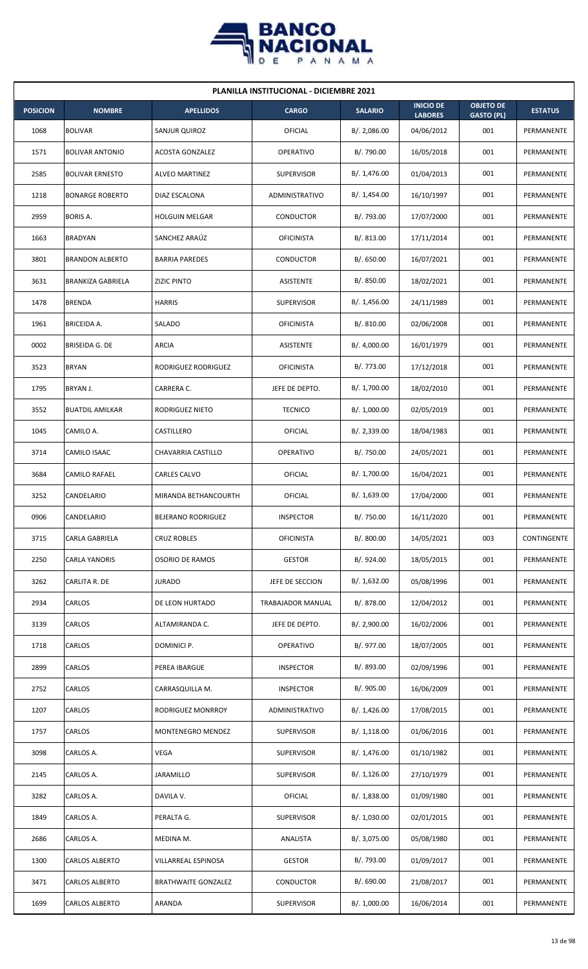

|                 | <b>PLANILLA INSTITUCIONAL - DICIEMBRE 2021</b> |                            |                       |                |                                    |                                       |                   |  |  |  |  |
|-----------------|------------------------------------------------|----------------------------|-----------------------|----------------|------------------------------------|---------------------------------------|-------------------|--|--|--|--|
| <b>POSICION</b> | <b>NOMBRE</b>                                  | <b>APELLIDOS</b>           | <b>CARGO</b>          | <b>SALARIO</b> | <b>INICIO DE</b><br><b>LABORES</b> | <b>OBJETO DE</b><br><b>GASTO (PL)</b> | <b>ESTATUS</b>    |  |  |  |  |
| 1068            | <b>BOLIVAR</b>                                 | SANJUR QUIROZ              | <b>OFICIAL</b>        | B/.2,086.00    | 04/06/2012                         | 001                                   | PERMANENTE        |  |  |  |  |
| 1571            | <b>BOLIVAR ANTONIO</b>                         | <b>ACOSTA GONZALEZ</b>     | OPERATIVO             | B/. 790.00     | 16/05/2018                         | 001                                   | PERMANENTE        |  |  |  |  |
| 2585            | <b>BOLIVAR ERNESTO</b>                         | <b>ALVEO MARTINEZ</b>      | <b>SUPERVISOR</b>     | B/. 1,476.00   | 01/04/2013                         | 001                                   | PERMANENTE        |  |  |  |  |
| 1218            | <b>BONARGE ROBERTO</b>                         | DIAZ ESCALONA              | <b>ADMINISTRATIVO</b> | B/. 1,454.00   | 16/10/1997                         | 001                                   | PERMANENTE        |  |  |  |  |
| 2959            | <b>BORIS A.</b>                                | <b>HOLGUIN MELGAR</b>      | CONDUCTOR             | B/. 793.00     | 17/07/2000                         | 001                                   | PERMANENTE        |  |  |  |  |
| 1663            | <b>BRADYAN</b>                                 | SANCHEZ ARAÚZ              | <b>OFICINISTA</b>     | B/. 813.00     | 17/11/2014                         | 001                                   | PERMANENTE        |  |  |  |  |
| 3801            | <b>BRANDON ALBERTO</b>                         | <b>BARRIA PAREDES</b>      | CONDUCTOR             | B/0.650.00     | 16/07/2021                         | 001                                   | PERMANENTE        |  |  |  |  |
| 3631            | <b>BRANKIZA GABRIELA</b>                       | <b>ZIZIC PINTO</b>         | <b>ASISTENTE</b>      | B/. 850.00     | 18/02/2021                         | 001                                   | PERMANENTE        |  |  |  |  |
| 1478            | <b>BRENDA</b>                                  | <b>HARRIS</b>              | <b>SUPERVISOR</b>     | B/. 1,456.00   | 24/11/1989                         | 001                                   | PERMANENTE        |  |  |  |  |
| 1961            | <b>BRICEIDA A.</b>                             | SALADO                     | <b>OFICINISTA</b>     | B/. 810.00     | 02/06/2008                         | 001                                   | PERMANENTE        |  |  |  |  |
| 0002            | <b>BRISEIDA G. DE</b>                          | <b>ARCIA</b>               | ASISTENTE             | B/. 4,000.00   | 16/01/1979                         | 001                                   | <b>PERMANENTE</b> |  |  |  |  |
| 3523            | <b>BRYAN</b>                                   | RODRIGUEZ RODRIGUEZ        | <b>OFICINISTA</b>     | B/. 773.00     | 17/12/2018                         | 001                                   | PERMANENTE        |  |  |  |  |
| 1795            | BRYAN J.                                       | CARRERA C.                 | JEFE DE DEPTO.        | B/. 1,700.00   | 18/02/2010                         | 001                                   | PERMANENTE        |  |  |  |  |
| 3552            | <b>BUATDIL AMILKAR</b>                         | RODRIGUEZ NIETO            | <b>TECNICO</b>        | B/. 1,000.00   | 02/05/2019                         | 001                                   | PERMANENTE        |  |  |  |  |
| 1045            | CAMILO A.                                      | CASTILLERO                 | OFICIAL               | B/.2,339.00    | 18/04/1983                         | 001                                   | PERMANENTE        |  |  |  |  |
| 3714            | CAMILO ISAAC                                   | CHAVARRIA CASTILLO         | OPERATIVO             | B/. 750.00     | 24/05/2021                         | 001                                   | PERMANENTE        |  |  |  |  |
| 3684            | CAMILO RAFAEL                                  | CARLES CALVO               | OFICIAL               | B/. 1,700.00   | 16/04/2021                         | 001                                   | PERMANENTE        |  |  |  |  |
| 3252            | CANDELARIO                                     | MIRANDA BETHANCOURTH       | OFICIAL               | B/. 1,639.00   | 17/04/2000                         | 001                                   | PERMANENTE        |  |  |  |  |
| 0906            | CANDELARIO                                     | <b>BEJERANO RODRIGUEZ</b>  | <b>INSPECTOR</b>      | B/. 750.00     | 16/11/2020                         | 001                                   | PERMANENTE        |  |  |  |  |
| 3715            | CARLA GABRIELA                                 | <b>CRUZ ROBLES</b>         | <b>OFICINISTA</b>     | B/. 800.00     | 14/05/2021                         | 003                                   | CONTINGENTE       |  |  |  |  |
| 2250            | <b>CARLA YANORIS</b>                           | <b>OSORIO DE RAMOS</b>     | <b>GESTOR</b>         | B/. 924.00     | 18/05/2015                         | 001                                   | PERMANENTE        |  |  |  |  |
| 3262            | CARLITA R. DE                                  | <b>JURADO</b>              | JEFE DE SECCION       | B/. 1,632.00   | 05/08/1996                         | 001                                   | PERMANENTE        |  |  |  |  |
| 2934            | CARLOS                                         | DE LEON HURTADO            | TRABAJADOR MANUAL     | B/. 878.00     | 12/04/2012                         | 001                                   | PERMANENTE        |  |  |  |  |
| 3139            | CARLOS                                         | ALTAMIRANDA C.             | JEFE DE DEPTO.        | B/. 2,900.00   | 16/02/2006                         | 001                                   | PERMANENTE        |  |  |  |  |
| 1718            | CARLOS                                         | DOMINICI P.                | OPERATIVO             | B/. 977.00     | 18/07/2005                         | 001                                   | PERMANENTE        |  |  |  |  |
| 2899            | CARLOS                                         | PEREA IBARGUE              | <b>INSPECTOR</b>      | B/. 893.00     | 02/09/1996                         | 001                                   | PERMANENTE        |  |  |  |  |
| 2752            | CARLOS                                         | CARRASQUILLA M.            | <b>INSPECTOR</b>      | B/. 905.00     | 16/06/2009                         | 001                                   | PERMANENTE        |  |  |  |  |
| 1207            | CARLOS                                         | RODRIGUEZ MONRROY          | ADMINISTRATIVO        | B/.1,426.00    | 17/08/2015                         | 001                                   | PERMANENTE        |  |  |  |  |
| 1757            | CARLOS                                         | MONTENEGRO MENDEZ          | SUPERVISOR            | B/.1,118.00    | 01/06/2016                         | 001                                   | PERMANENTE        |  |  |  |  |
| 3098            | CARLOS A.                                      | VEGA                       | <b>SUPERVISOR</b>     | B/. 1,476.00   | 01/10/1982                         | 001                                   | PERMANENTE        |  |  |  |  |
| 2145            | CARLOS A.                                      | JARAMILLO                  | <b>SUPERVISOR</b>     | B/. 1,126.00   | 27/10/1979                         | 001                                   | PERMANENTE        |  |  |  |  |
| 3282            | CARLOS A.                                      | DAVILA V.                  | OFICIAL               | B/. 1,838.00   | 01/09/1980                         | 001                                   | PERMANENTE        |  |  |  |  |
| 1849            | CARLOS A.                                      | PERALTA G.                 | <b>SUPERVISOR</b>     | B/. 1,030.00   | 02/01/2015                         | 001                                   | PERMANENTE        |  |  |  |  |
| 2686            | CARLOS A.                                      | MEDINA M.                  | ANALISTA              | B/. 3,075.00   | 05/08/1980                         | 001                                   | PERMANENTE        |  |  |  |  |
| 1300            | CARLOS ALBERTO                                 | VILLARREAL ESPINOSA        | <b>GESTOR</b>         | B/. 793.00     | 01/09/2017                         | 001                                   | PERMANENTE        |  |  |  |  |
| 3471            | CARLOS ALBERTO                                 | <b>BRATHWAITE GONZALEZ</b> | CONDUCTOR             | B/. 690.00     | 21/08/2017                         | 001                                   | PERMANENTE        |  |  |  |  |
| 1699            | <b>CARLOS ALBERTO</b>                          | ARANDA                     | <b>SUPERVISOR</b>     | B/. 1,000.00   | 16/06/2014                         | 001                                   | PERMANENTE        |  |  |  |  |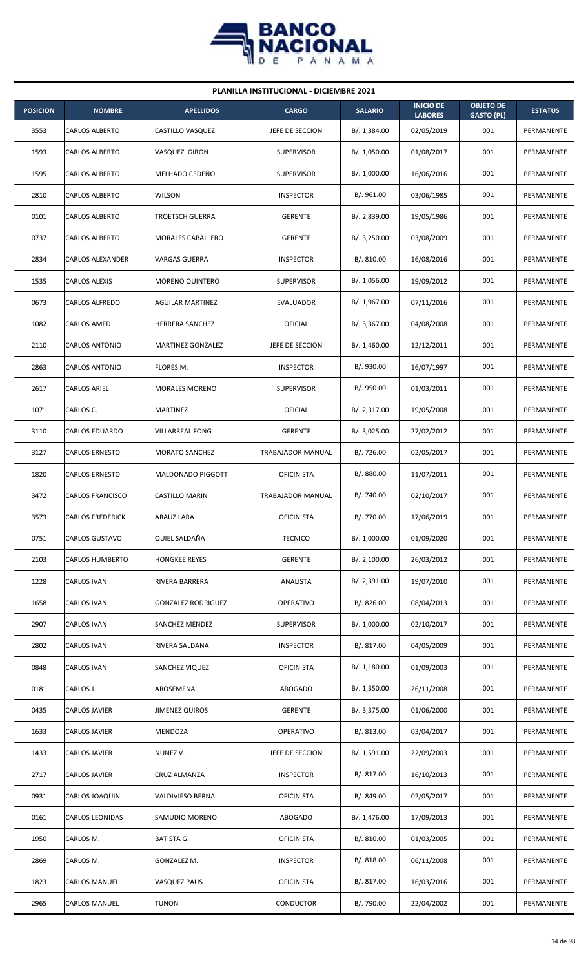

| <b>PLANILLA INSTITUCIONAL - DICIEMBRE 2021</b> |                         |                           |                   |                |                                    |                                       |                |  |  |  |
|------------------------------------------------|-------------------------|---------------------------|-------------------|----------------|------------------------------------|---------------------------------------|----------------|--|--|--|
| <b>POSICION</b>                                | <b>NOMBRE</b>           | <b>APELLIDOS</b>          | <b>CARGO</b>      | <b>SALARIO</b> | <b>INICIO DE</b><br><b>LABORES</b> | <b>OBJETO DE</b><br><b>GASTO (PL)</b> | <b>ESTATUS</b> |  |  |  |
| 3553                                           | <b>CARLOS ALBERTO</b>   | CASTILLO VASQUEZ          | JEFE DE SECCION   | B/.1,384.00    | 02/05/2019                         | 001                                   | PERMANENTE     |  |  |  |
| 1593                                           | <b>CARLOS ALBERTO</b>   | VASQUEZ GIRON             | <b>SUPERVISOR</b> | B/. 1,050.00   | 01/08/2017                         | 001                                   | PERMANENTE     |  |  |  |
| 1595                                           | <b>CARLOS ALBERTO</b>   | MELHADO CEDEÑO            | <b>SUPERVISOR</b> | B/. 1,000.00   | 16/06/2016                         | 001                                   | PERMANENTE     |  |  |  |
| 2810                                           | <b>CARLOS ALBERTO</b>   | <b>WILSON</b>             | <b>INSPECTOR</b>  | B/. 961.00     | 03/06/1985                         | 001                                   | PERMANENTE     |  |  |  |
| 0101                                           | <b>CARLOS ALBERTO</b>   | <b>TROETSCH GUERRA</b>    | <b>GERENTE</b>    | B/.2,839.00    | 19/05/1986                         | 001                                   | PERMANENTE     |  |  |  |
| 0737                                           | CARLOS ALBERTO          | MORALES CABALLERO         | <b>GERENTE</b>    | B/.3,250.00    | 03/08/2009                         | 001                                   | PERMANENTE     |  |  |  |
| 2834                                           | CARLOS ALEXANDER        | <b>VARGAS GUERRA</b>      | <b>INSPECTOR</b>  | B/.810.00      | 16/08/2016                         | 001                                   | PERMANENTE     |  |  |  |
| 1535                                           | <b>CARLOS ALEXIS</b>    | <b>MORENO QUINTERO</b>    | <b>SUPERVISOR</b> | B/. 1,056.00   | 19/09/2012                         | 001                                   | PERMANENTE     |  |  |  |
| 0673                                           | CARLOS ALFREDO          | <b>AGUILAR MARTINEZ</b>   | EVALUADOR         | B/. 1,967.00   | 07/11/2016                         | 001                                   | PERMANENTE     |  |  |  |
| 1082                                           | CARLOS AMED             | HERRERA SANCHEZ           | OFICIAL           | B/. 3,367.00   | 04/08/2008                         | 001                                   | PERMANENTE     |  |  |  |
| 2110                                           | <b>CARLOS ANTONIO</b>   | MARTINEZ GONZALEZ         | JEFE DE SECCION   | B/.1,460.00    | 12/12/2011                         | 001                                   | PERMANENTE     |  |  |  |
| 2863                                           | CARLOS ANTONIO          | FLORES M.                 | <b>INSPECTOR</b>  | B/. 930.00     | 16/07/1997                         | 001                                   | PERMANENTE     |  |  |  |
| 2617                                           | <b>CARLOS ARIEL</b>     | <b>MORALES MORENO</b>     | <b>SUPERVISOR</b> | B/. 950.00     | 01/03/2011                         | 001                                   | PERMANENTE     |  |  |  |
| 1071                                           | CARLOS C.               | <b>MARTINEZ</b>           | OFICIAL           | B/.2,317.00    | 19/05/2008                         | 001                                   | PERMANENTE     |  |  |  |
| 3110                                           | <b>CARLOS EDUARDO</b>   | <b>VILLARREAL FONG</b>    | <b>GERENTE</b>    | B/.3,025.00    | 27/02/2012                         | 001                                   | PERMANENTE     |  |  |  |
| 3127                                           | <b>CARLOS ERNESTO</b>   | <b>MORATO SANCHEZ</b>     | TRABAJADOR MANUAL | B/. 726.00     | 02/05/2017                         | 001                                   | PERMANENTE     |  |  |  |
| 1820                                           | <b>CARLOS ERNESTO</b>   | MALDONADO PIGGOTT         | <b>OFICINISTA</b> | B/. 880.00     | 11/07/2011                         | 001                                   | PERMANENTE     |  |  |  |
| 3472                                           | <b>CARLOS FRANCISCO</b> | CASTILLO MARIN            | TRABAJADOR MANUAL | B/. 740.00     | 02/10/2017                         | 001                                   | PERMANENTE     |  |  |  |
| 3573                                           | <b>CARLOS FREDERICK</b> | ARAUZ LARA                | <b>OFICINISTA</b> | B/. 770.00     | 17/06/2019                         | 001                                   | PERMANENTE     |  |  |  |
| 0751                                           | <b>CARLOS GUSTAVO</b>   | QUIEL SALDAÑA             | <b>TECNICO</b>    | B/. 1,000.00   | 01/09/2020                         | 001                                   | PERMANENTE     |  |  |  |
| 2103                                           | <b>CARLOS HUMBERTO</b>  | <b>HONGKEE REYES</b>      | <b>GERENTE</b>    | B/.2,100.00    | 26/03/2012                         | 001                                   | PERMANENTE     |  |  |  |
| 1228                                           | <b>CARLOS IVAN</b>      | RIVERA BARRERA            | ANALISTA          | B/. 2,391.00   | 19/07/2010                         | 001                                   | PERMANENTE     |  |  |  |
| 1658                                           | CARLOS IVAN             | <b>GONZALEZ RODRIGUEZ</b> | <b>OPERATIVO</b>  | B/.826.00      | 08/04/2013                         | 001                                   | PERMANENTE     |  |  |  |
| 2907                                           | <b>CARLOS IVAN</b>      | SANCHEZ MENDEZ            | <b>SUPERVISOR</b> | B/. 1,000.00   | 02/10/2017                         | 001                                   | PERMANENTE     |  |  |  |
| 2802                                           | CARLOS IVAN             | RIVERA SALDANA            | <b>INSPECTOR</b>  | B/. 817.00     | 04/05/2009                         | 001                                   | PERMANENTE     |  |  |  |
| 0848                                           | <b>CARLOS IVAN</b>      | SANCHEZ VIQUEZ            | <b>OFICINISTA</b> | B/.1,180.00    | 01/09/2003                         | 001                                   | PERMANENTE     |  |  |  |
| 0181                                           | CARLOS J.               | AROSEMENA                 | <b>ABOGADO</b>    | B/. 1,350.00   | 26/11/2008                         | 001                                   | PERMANENTE     |  |  |  |
| 0435                                           | CARLOS JAVIER           | <b>JIMENEZ QUIROS</b>     | <b>GERENTE</b>    | B/. 3,375.00   | 01/06/2000                         | 001                                   | PERMANENTE     |  |  |  |
| 1633                                           | CARLOS JAVIER           | MENDOZA                   | <b>OPERATIVO</b>  | B/. 813.00     | 03/04/2017                         | 001                                   | PERMANENTE     |  |  |  |
| 1433                                           | CARLOS JAVIER           | NUNEZ V.                  | JEFE DE SECCION   | B/. 1,591.00   | 22/09/2003                         | 001                                   | PERMANENTE     |  |  |  |
| 2717                                           | CARLOS JAVIER           | CRUZ ALMANZA              | <b>INSPECTOR</b>  | B/. 817.00     | 16/10/2013                         | 001                                   | PERMANENTE     |  |  |  |
| 0931                                           | CARLOS JOAQUIN          | VALDIVIESO BERNAL         | <b>OFICINISTA</b> | B/. 849.00     | 02/05/2017                         | 001                                   | PERMANENTE     |  |  |  |
| 0161                                           | CARLOS LEONIDAS         | SAMUDIO MORENO            | <b>ABOGADO</b>    | B/. 1,476.00   | 17/09/2013                         | 001                                   | PERMANENTE     |  |  |  |
| 1950                                           | CARLOS M.               | BATISTA G.                | <b>OFICINISTA</b> | B/.810.00      | 01/03/2005                         | 001                                   | PERMANENTE     |  |  |  |
| 2869                                           | CARLOS M.               | GONZALEZ M.               | <b>INSPECTOR</b>  | B/. 818.00     | 06/11/2008                         | 001                                   | PERMANENTE     |  |  |  |
| 1823                                           | <b>CARLOS MANUEL</b>    | <b>VASQUEZ PAUS</b>       | <b>OFICINISTA</b> | B/. 817.00     | 16/03/2016                         | 001                                   | PERMANENTE     |  |  |  |
| 2965                                           | <b>CARLOS MANUEL</b>    | <b>TUNON</b>              | CONDUCTOR         | B/.790.00      | 22/04/2002                         | 001                                   | PERMANENTE     |  |  |  |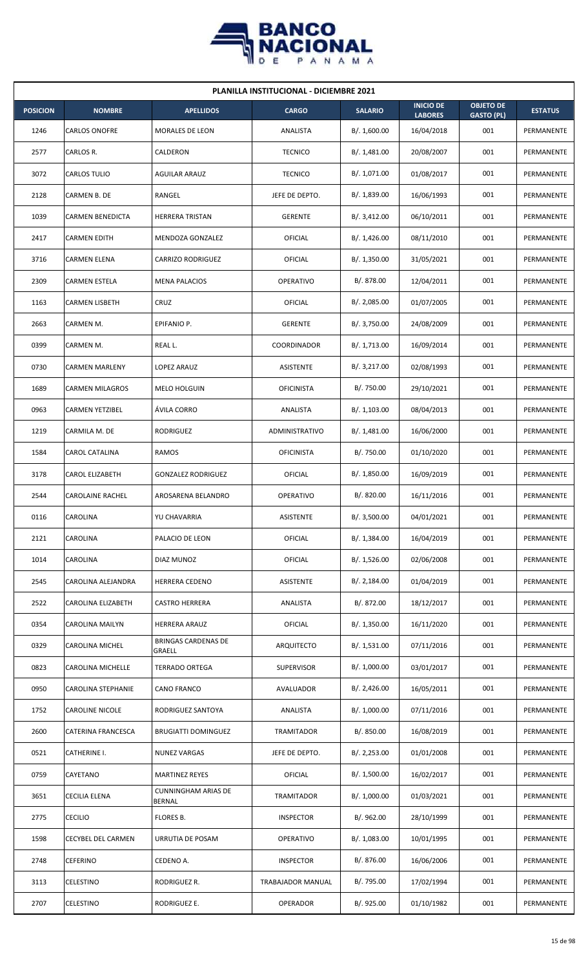

| <b>PLANILLA INSTITUCIONAL - DICIEMBRE 2021</b> |                         |                                      |                   |                |                                    |                                       |                |  |  |  |
|------------------------------------------------|-------------------------|--------------------------------------|-------------------|----------------|------------------------------------|---------------------------------------|----------------|--|--|--|
| <b>POSICION</b>                                | <b>NOMBRE</b>           | <b>APELLIDOS</b>                     | <b>CARGO</b>      | <b>SALARIO</b> | <b>INICIO DE</b><br><b>LABORES</b> | <b>OBJETO DE</b><br><b>GASTO (PL)</b> | <b>ESTATUS</b> |  |  |  |
| 1246                                           | CARLOS ONOFRE           | <b>MORALES DE LEON</b>               | ANALISTA          | B/. 1,600.00   | 16/04/2018                         | 001                                   | PERMANENTE     |  |  |  |
| 2577                                           | CARLOS R.               | CALDERON                             | <b>TECNICO</b>    | B/.1,481.00    | 20/08/2007                         | 001                                   | PERMANENTE     |  |  |  |
| 3072                                           | CARLOS TULIO            | <b>AGUILAR ARAUZ</b>                 | <b>TECNICO</b>    | B/. 1,071.00   | 01/08/2017                         | 001                                   | PERMANENTE     |  |  |  |
| 2128                                           | CARMEN B. DE            | RANGEL                               | JEFE DE DEPTO.    | B/. 1,839.00   | 16/06/1993                         | 001                                   | PERMANENTE     |  |  |  |
| 1039                                           | <b>CARMEN BENEDICTA</b> | <b>HERRERA TRISTAN</b>               | <b>GERENTE</b>    | B/.3,412.00    | 06/10/2011                         | 001                                   | PERMANENTE     |  |  |  |
| 2417                                           | CARMEN EDITH            | MENDOZA GONZALEZ                     | OFICIAL           | B/.1,426.00    | 08/11/2010                         | 001                                   | PERMANENTE     |  |  |  |
| 3716                                           | CARMEN ELENA            | <b>CARRIZO RODRIGUEZ</b>             | OFICIAL           | B/.1,350.00    | 31/05/2021                         | 001                                   | PERMANENTE     |  |  |  |
| 2309                                           | <b>CARMEN ESTELA</b>    | <b>MENA PALACIOS</b>                 | <b>OPERATIVO</b>  | B/. 878.00     | 12/04/2011                         | 001                                   | PERMANENTE     |  |  |  |
| 1163                                           | CARMEN LISBETH          | CRUZ                                 | OFICIAL           | B/.2,085.00    | 01/07/2005                         | 001                                   | PERMANENTE     |  |  |  |
| 2663                                           | CARMEN M.               | EPIFANIO P.                          | <b>GERENTE</b>    | B/. 3,750.00   | 24/08/2009                         | 001                                   | PERMANENTE     |  |  |  |
| 0399                                           | CARMEN M.               | REAL L.                              | COORDINADOR       | B/. 1,713.00   | 16/09/2014                         | 001                                   | PERMANENTE     |  |  |  |
| 0730                                           | <b>CARMEN MARLENY</b>   | LOPEZ ARAUZ                          | <b>ASISTENTE</b>  | B/.3,217.00    | 02/08/1993                         | 001                                   | PERMANENTE     |  |  |  |
| 1689                                           | <b>CARMEN MILAGROS</b>  | MELO HOLGUIN                         | <b>OFICINISTA</b> | B/. 750.00     | 29/10/2021                         | 001                                   | PERMANENTE     |  |  |  |
| 0963                                           | <b>CARMEN YETZIBEL</b>  | ÁVILA CORRO                          | ANALISTA          | B/.1,103.00    | 08/04/2013                         | 001                                   | PERMANENTE     |  |  |  |
| 1219                                           | CARMILA M. DE           | <b>RODRIGUEZ</b>                     | ADMINISTRATIVO    | B/.1,481.00    | 16/06/2000                         | 001                                   | PERMANENTE     |  |  |  |
| 1584                                           | CAROL CATALINA          | RAMOS                                | <b>OFICINISTA</b> | B/. 750.00     | 01/10/2020                         | 001                                   | PERMANENTE     |  |  |  |
| 3178                                           | <b>CAROL ELIZABETH</b>  | <b>GONZALEZ RODRIGUEZ</b>            | OFICIAL           | B/. 1,850.00   | 16/09/2019                         | 001                                   | PERMANENTE     |  |  |  |
| 2544                                           | <b>CAROLAINE RACHEL</b> | AROSARENA BELANDRO                   | OPERATIVO         | B/0.820.00     | 16/11/2016                         | 001                                   | PERMANENTE     |  |  |  |
| 0116                                           | CAROLINA                | YU CHAVARRIA                         | ASISTENTE         | B/. 3,500.00   | 04/01/2021                         | 001                                   | PERMANENTE     |  |  |  |
| 2121                                           | CAROLINA                | PALACIO DE LEON                      | <b>OFICIAL</b>    | B/.1,384.00    | 16/04/2019                         | 001                                   | PERMANENTE     |  |  |  |
| 1014                                           | CAROLINA                | DIAZ MUNOZ                           | <b>OFICIAL</b>    | B/. 1,526.00   | 02/06/2008                         | 001                                   | PERMANENTE     |  |  |  |
| 2545                                           | CAROLINA ALEJANDRA      | HERRERA CEDENO                       | ASISTENTE         | B/.2,184.00    | 01/04/2019                         | 001                                   | PERMANENTE     |  |  |  |
| 2522                                           | CAROLINA ELIZABETH      | <b>CASTRO HERRERA</b>                | ANALISTA          | B/. 872.00     | 18/12/2017                         | 001                                   | PERMANENTE     |  |  |  |
| 0354                                           | CAROLINA MAILYN         | HERRERA ARAUZ                        | OFICIAL           | B/. 1,350.00   | 16/11/2020                         | 001                                   | PERMANENTE     |  |  |  |
| 0329                                           | CAROLINA MICHEL         | <b>BRINGAS CARDENAS DE</b><br>GRAELL | ARQUITECTO        | B/.1,531.00    | 07/11/2016                         | 001                                   | PERMANENTE     |  |  |  |
| 0823                                           | CAROLINA MICHELLE       | <b>TERRADO ORTEGA</b>                | <b>SUPERVISOR</b> | B/. 1,000.00   | 03/01/2017                         | 001                                   | PERMANENTE     |  |  |  |
| 0950                                           | CAROLINA STEPHANIE      | CANO FRANCO                          | AVALUADOR         | B/.2,426.00    | 16/05/2011                         | 001                                   | PERMANENTE     |  |  |  |
| 1752                                           | CAROLINE NICOLE         | RODRIGUEZ SANTOYA                    | ANALISTA          | B/. 1,000.00   | 07/11/2016                         | 001                                   | PERMANENTE     |  |  |  |
| 2600                                           | CATERINA FRANCESCA      | <b>BRUGIATTI DOMINGUEZ</b>           | <b>TRAMITADOR</b> | B/. 850.00     | 16/08/2019                         | 001                                   | PERMANENTE     |  |  |  |
| 0521                                           | CATHERINE I.            | <b>NUNEZ VARGAS</b>                  | JEFE DE DEPTO.    | B/.2,253.00    | 01/01/2008                         | 001                                   | PERMANENTE     |  |  |  |
| 0759                                           | CAYETANO                | <b>MARTINEZ REYES</b>                | <b>OFICIAL</b>    | B/. 1,500.00   | 16/02/2017                         | 001                                   | PERMANENTE     |  |  |  |
| 3651                                           | CECILIA ELENA           | <b>CUNNINGHAM ARIAS DE</b><br>BERNAL | TRAMITADOR        | B/. 1,000.00   | 01/03/2021                         | 001                                   | PERMANENTE     |  |  |  |
| 2775                                           | <b>CECILIO</b>          | FLORES B.                            | <b>INSPECTOR</b>  | B/.962.00      | 28/10/1999                         | 001                                   | PERMANENTE     |  |  |  |
| 1598                                           | CECYBEL DEL CARMEN      | URRUTIA DE POSAM                     | OPERATIVO         | B/. 1,083.00   | 10/01/1995                         | 001                                   | PERMANENTE     |  |  |  |
| 2748                                           | CEFERINO                | CEDENO A.                            | <b>INSPECTOR</b>  | B/. 876.00     | 16/06/2006                         | 001                                   | PERMANENTE     |  |  |  |
| 3113                                           | CELESTINO               | RODRIGUEZ R.                         | TRABAJADOR MANUAL | B/. 795.00     | 17/02/1994                         | 001                                   | PERMANENTE     |  |  |  |
| 2707                                           | CELESTINO               | RODRIGUEZ E.                         | OPERADOR          | B/. 925.00     | 01/10/1982                         | 001                                   | PERMANENTE     |  |  |  |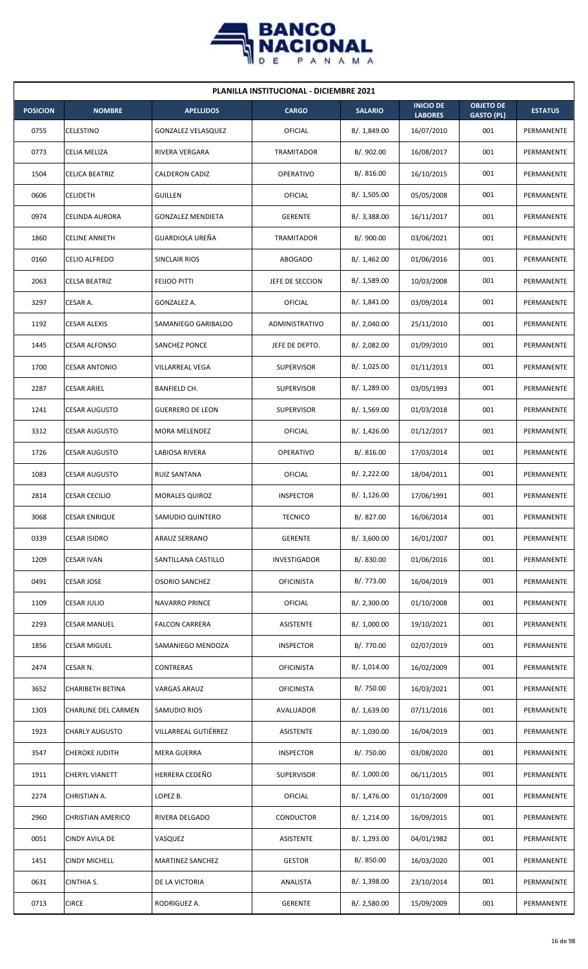

| <b>PLANILLA INSTITUCIONAL - DICIEMBRE 2021</b> |                         |                           |                     |                |                                    |                                       |                |  |  |  |
|------------------------------------------------|-------------------------|---------------------------|---------------------|----------------|------------------------------------|---------------------------------------|----------------|--|--|--|
| <b>POSICION</b>                                | <b>NOMBRE</b>           | <b>APELLIDOS</b>          | <b>CARGO</b>        | <b>SALARIO</b> | <b>INICIO DE</b><br><b>LABORES</b> | <b>OBJETO DE</b><br><b>GASTO (PL)</b> | <b>ESTATUS</b> |  |  |  |
| 0755                                           | CELESTINO               | <b>GONZALEZ VELASQUEZ</b> | OFICIAL             | B/. 1,849.00   | 16/07/2010                         | 001                                   | PERMANENTE     |  |  |  |
| 0773                                           | CELIA MELIZA            | RIVERA VERGARA            | TRAMITADOR          | B/.902.00      | 16/08/2017                         | 001                                   | PERMANENTE     |  |  |  |
| 1504                                           | <b>CELICA BEATRIZ</b>   | CALDERON CADIZ            | <b>OPERATIVO</b>    | B/.816.00      | 16/10/2015                         | 001                                   | PERMANENTE     |  |  |  |
| 0606                                           | <b>CELIDETH</b>         | <b>GUILLEN</b>            | OFICIAL             | B/. 1,505.00   | 05/05/2008                         | 001                                   | PERMANENTE     |  |  |  |
| 0974                                           | <b>CELINDA AURORA</b>   | <b>GONZALEZ MENDIETA</b>  | <b>GERENTE</b>      | B/. 3,388.00   | 16/11/2017                         | 001                                   | PERMANENTE     |  |  |  |
| 1860                                           | <b>CELINE ANNETH</b>    | GUARDIOLA UREÑA           | <b>TRAMITADOR</b>   | B/.900.00      | 03/06/2021                         | 001                                   | PERMANENTE     |  |  |  |
| 0160                                           | <b>CELIO ALFREDO</b>    | SINCLAIR RIOS             | <b>ABOGADO</b>      | B/.1,462.00    | 01/06/2016                         | 001                                   | PERMANENTE     |  |  |  |
| 2063                                           | <b>CELSA BEATRIZ</b>    | <b>FEIJOO PITTI</b>       | JEFE DE SECCION     | B/. 1,589.00   | 10/03/2008                         | 001                                   | PERMANENTE     |  |  |  |
| 3297                                           | CESAR A.                | GONZALEZ A.               | OFICIAL             | B/.1,841.00    | 03/09/2014                         | 001                                   | PERMANENTE     |  |  |  |
| 1192                                           | <b>CESAR ALEXIS</b>     | SAMANIEGO GARIBALDO       | ADMINISTRATIVO      | B/.2,040.00    | 25/11/2010                         | 001                                   | PERMANENTE     |  |  |  |
| 1445                                           | <b>CESAR ALFONSO</b>    | SANCHEZ PONCE             | JEFE DE DEPTO.      | B/.2,082.00    | 01/09/2010                         | 001                                   | PERMANENTE     |  |  |  |
| 1700                                           | <b>CESAR ANTONIO</b>    | VILLARREAL VEGA           | <b>SUPERVISOR</b>   | B/. 1,025.00   | 01/11/2013                         | 001                                   | PERMANENTE     |  |  |  |
| 2287                                           | <b>CESAR ARIEL</b>      | BANFIELD CH.              | <b>SUPERVISOR</b>   | B/. 1,289.00   | 03/05/1993                         | 001                                   | PERMANENTE     |  |  |  |
| 1241                                           | <b>CESAR AUGUSTO</b>    | <b>GUERRERO DE LEON</b>   | <b>SUPERVISOR</b>   | B/.1,569.00    | 01/03/2018                         | 001                                   | PERMANENTE     |  |  |  |
| 3312                                           | <b>CESAR AUGUSTO</b>    | <b>MORA MELENDEZ</b>      | OFICIAL             | B/.1,426.00    | 01/12/2017                         | 001                                   | PERMANENTE     |  |  |  |
| 1726                                           | <b>CESAR AUGUSTO</b>    | LABIOSA RIVERA            | <b>OPERATIVO</b>    | B/. 816.00     | 17/03/2014                         | 001                                   | PERMANENTE     |  |  |  |
| 1083                                           | <b>CESAR AUGUSTO</b>    | <b>RUIZ SANTANA</b>       | <b>OFICIAL</b>      | B/.2,222.00    | 18/04/2011                         | 001                                   | PERMANENTE     |  |  |  |
| 2814                                           | <b>CESAR CECILIO</b>    | <b>MORALES QUIROZ</b>     | <b>INSPECTOR</b>    | B/.1,126.00    | 17/06/1991                         | 001                                   | PERMANENTE     |  |  |  |
| 3068                                           | <b>CESAR ENRIQUE</b>    | SAMUDIO QUINTERO          | <b>TECNICO</b>      | B/. 827.00     | 16/06/2014                         | 001                                   | PERMANENTE     |  |  |  |
| 0339                                           | CESAR ISIDRO            | ARAUZ SERRANO             | <b>GERENTE</b>      | B/.3,600.00    | 16/01/2007                         | 001                                   | PERMANENTE     |  |  |  |
| 1209                                           | <b>CESAR IVAN</b>       | SANTILLANA CASTILLO       | <b>INVESTIGADOR</b> | B/. 830.00     | 01/06/2016                         | 001                                   | PERMANENTE     |  |  |  |
| 0491                                           | CESAR JOSE              | <b>OSORIO SANCHEZ</b>     | <b>OFICINISTA</b>   | B/. 773.00     | 16/04/2019                         | 001                                   | PERMANENTE     |  |  |  |
| 1109                                           | <b>CESAR JULIO</b>      | <b>NAVARRO PRINCE</b>     | <b>OFICIAL</b>      | B/.2,300.00    | 01/10/2008                         | 001                                   | PERMANENTE     |  |  |  |
| 2293                                           | <b>CESAR MANUEL</b>     | <b>FALCON CARRERA</b>     | <b>ASISTENTE</b>    | B/. 1,000.00   | 19/10/2021                         | 001                                   | PERMANENTE     |  |  |  |
| 1856                                           | <b>CESAR MIGUEL</b>     | SAMANIEGO MENDOZA         | <b>INSPECTOR</b>    | B/. 770.00     | 02/07/2019                         | 001                                   | PERMANENTE     |  |  |  |
| 2474                                           | CESAR N.                | CONTRERAS                 | <b>OFICINISTA</b>   | B/. 1,014.00   | 16/02/2009                         | 001                                   | PERMANENTE     |  |  |  |
| 3652                                           | <b>CHARIBETH BETINA</b> | VARGAS ARAUZ              | <b>OFICINISTA</b>   | B/. 750.00     | 16/03/2021                         | 001                                   | PERMANENTE     |  |  |  |
| 1303                                           | CHARLINE DEL CARMEN     | SAMUDIO RIOS              | AVALUADOR           | B/. 1,639.00   | 07/11/2016                         | 001                                   | PERMANENTE     |  |  |  |
| 1923                                           | <b>CHARLY AUGUSTO</b>   | VILLARREAL GUTIÉRREZ      | ASISTENTE           | B/. 1,030.00   | 16/04/2019                         | 001                                   | PERMANENTE     |  |  |  |
| 3547                                           | <b>CHEROKE JUDITH</b>   | MERA GUERRA               | <b>INSPECTOR</b>    | B/. 750.00     | 03/08/2020                         | 001                                   | PERMANENTE     |  |  |  |
| 1911                                           | <b>CHERYL VIANETT</b>   | HERRERA CEDEÑO            | <b>SUPERVISOR</b>   | B/. 1,000.00   | 06/11/2015                         | 001                                   | PERMANENTE     |  |  |  |
| 2274                                           | CHRISTIAN A.            | LOPEZ B.                  | <b>OFICIAL</b>      | B/. 1,476.00   | 01/10/2009                         | 001                                   | PERMANENTE     |  |  |  |
| 2960                                           | CHRISTIAN AMERICO       | RIVERA DELGADO            | <b>CONDUCTOR</b>    | B/. 1,214.00   | 16/09/2015                         | 001                                   | PERMANENTE     |  |  |  |
| 0051                                           | CINDY AVILA DE          | VASQUEZ                   | <b>ASISTENTE</b>    | B/. 1,293.00   | 04/01/1982                         | 001                                   | PERMANENTE     |  |  |  |
| 1451                                           | <b>CINDY MICHELL</b>    | MARTINEZ SANCHEZ          | <b>GESTOR</b>       | B/. 850.00     | 16/03/2020                         | 001                                   | PERMANENTE     |  |  |  |
| 0631                                           | CINTHIA S.              | DE LA VICTORIA            | ANALISTA            | B/. 1,398.00   | 23/10/2014                         | 001                                   | PERMANENTE     |  |  |  |
| 0713                                           | <b>CIRCE</b>            | RODRIGUEZ A.              | <b>GERENTE</b>      | B/.2,580.00    | 15/09/2009                         | 001                                   | PERMANENTE     |  |  |  |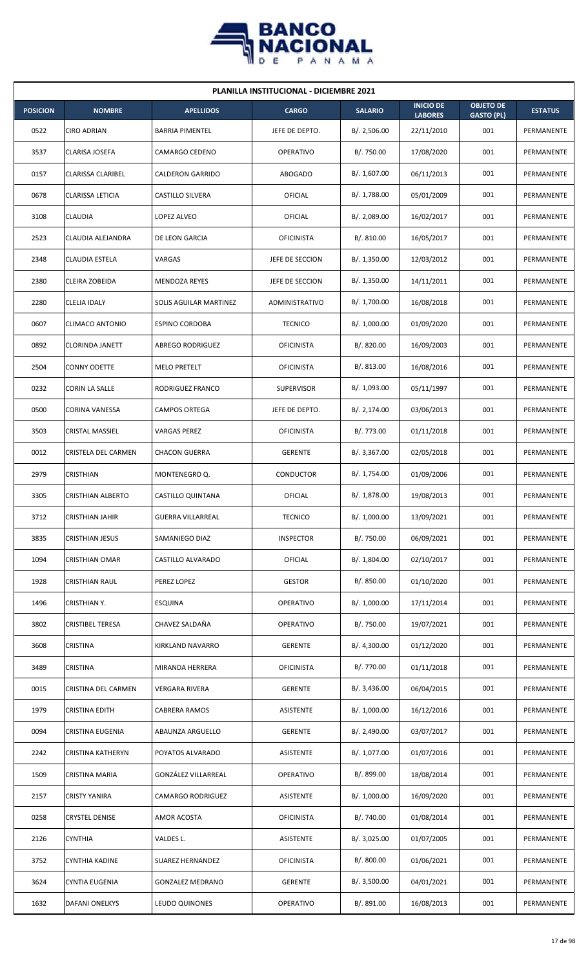

| <b>PLANILLA INSTITUCIONAL - DICIEMBRE 2021</b> |                          |                          |                   |                |                                    |                                       |                |  |  |  |
|------------------------------------------------|--------------------------|--------------------------|-------------------|----------------|------------------------------------|---------------------------------------|----------------|--|--|--|
| <b>POSICION</b>                                | <b>NOMBRE</b>            | <b>APELLIDOS</b>         | <b>CARGO</b>      | <b>SALARIO</b> | <b>INICIO DE</b><br><b>LABORES</b> | <b>OBJETO DE</b><br><b>GASTO (PL)</b> | <b>ESTATUS</b> |  |  |  |
| 0522                                           | <b>CIRO ADRIAN</b>       | <b>BARRIA PIMENTEL</b>   | JEFE DE DEPTO.    | B/.2,506.00    | 22/11/2010                         | 001                                   | PERMANENTE     |  |  |  |
| 3537                                           | CLARISA JOSEFA           | CAMARGO CEDENO           | <b>OPERATIVO</b>  | B/. 750.00     | 17/08/2020                         | 001                                   | PERMANENTE     |  |  |  |
| 0157                                           | <b>CLARISSA CLARIBEL</b> | <b>CALDERON GARRIDO</b>  | <b>ABOGADO</b>    | B/. 1,607.00   | 06/11/2013                         | 001                                   | PERMANENTE     |  |  |  |
| 0678                                           | <b>CLARISSA LETICIA</b>  | <b>CASTILLO SILVERA</b>  | OFICIAL           | B/. 1,788.00   | 05/01/2009                         | 001                                   | PERMANENTE     |  |  |  |
| 3108                                           | <b>CLAUDIA</b>           | LOPEZ ALVEO              | OFICIAL           | B/. 2,089.00   | 16/02/2017                         | 001                                   | PERMANENTE     |  |  |  |
| 2523                                           | CLAUDIA ALEJANDRA        | DE LEON GARCIA           | <b>OFICINISTA</b> | B/.810.00      | 16/05/2017                         | 001                                   | PERMANENTE     |  |  |  |
| 2348                                           | CLAUDIA ESTELA           | VARGAS                   | JEFE DE SECCION   | B/.1,350.00    | 12/03/2012                         | 001                                   | PERMANENTE     |  |  |  |
| 2380                                           | CLEIRA ZOBEIDA           | <b>MENDOZA REYES</b>     | JEFE DE SECCION   | B/.1,350.00    | 14/11/2011                         | 001                                   | PERMANENTE     |  |  |  |
| 2280                                           | CLELIA IDALY             | SOLIS AGUILAR MARTINEZ   | ADMINISTRATIVO    | B/. 1,700.00   | 16/08/2018                         | 001                                   | PERMANENTE     |  |  |  |
| 0607                                           | <b>CLIMACO ANTONIO</b>   | <b>ESPINO CORDOBA</b>    | <b>TECNICO</b>    | B/. 1,000.00   | 01/09/2020                         | 001                                   | PERMANENTE     |  |  |  |
| 0892                                           | <b>CLORINDA JANETT</b>   | <b>ABREGO RODRIGUEZ</b>  | <b>OFICINISTA</b> | B/. 820.00     | 16/09/2003                         | 001                                   | PERMANENTE     |  |  |  |
| 2504                                           | <b>CONNY ODETTE</b>      | <b>MELO PRETELT</b>      | <b>OFICINISTA</b> | B/. 813.00     | 16/08/2016                         | 001                                   | PERMANENTE     |  |  |  |
| 0232                                           | CORIN LA SALLE           | RODRIGUEZ FRANCO         | <b>SUPERVISOR</b> | B/. 1,093.00   | 05/11/1997                         | 001                                   | PERMANENTE     |  |  |  |
| 0500                                           | <b>CORINA VANESSA</b>    | <b>CAMPOS ORTEGA</b>     | JEFE DE DEPTO.    | B/.2,174.00    | 03/06/2013                         | 001                                   | PERMANENTE     |  |  |  |
| 3503                                           | <b>CRISTAL MASSIEL</b>   | <b>VARGAS PEREZ</b>      | <b>OFICINISTA</b> | B/. 773.00     | 01/11/2018                         | 001                                   | PERMANENTE     |  |  |  |
| 0012                                           | CRISTELA DEL CARMEN      | <b>CHACON GUERRA</b>     | <b>GERENTE</b>    | B/. 3,367.00   | 02/05/2018                         | 001                                   | PERMANENTE     |  |  |  |
| 2979                                           | <b>CRISTHIAN</b>         | MONTENEGRO Q.            | <b>CONDUCTOR</b>  | B/. 1,754.00   | 01/09/2006                         | 001                                   | PERMANENTE     |  |  |  |
| 3305                                           | <b>CRISTHIAN ALBERTO</b> | CASTILLO QUINTANA        | OFICIAL           | B/. 1,878.00   | 19/08/2013                         | 001                                   | PERMANENTE     |  |  |  |
| 3712                                           | <b>CRISTHIAN JAHIR</b>   | <b>GUERRA VILLARREAL</b> | <b>TECNICO</b>    | B/. 1,000.00   | 13/09/2021                         | 001                                   | PERMANENTE     |  |  |  |
| 3835                                           | CRISTHIAN JESUS          | SAMANIEGO DIAZ           | <b>INSPECTOR</b>  | B/. 750.00     | 06/09/2021                         | 001                                   | PERMANENTE     |  |  |  |
| 1094                                           | CRISTHIAN OMAR           | CASTILLO ALVARADO        | <b>OFICIAL</b>    | B/. 1,804.00   | 02/10/2017                         | 001                                   | PERMANENTE     |  |  |  |
| 1928                                           | CRISTHIAN RAUL           | PEREZ LOPEZ              | <b>GESTOR</b>     | B/. 850.00     | 01/10/2020                         | 001                                   | PERMANENTE     |  |  |  |
| 1496                                           | <b>CRISTHIAN Y.</b>      | <b>ESQUINA</b>           | OPERATIVO         | B/. 1,000.00   | 17/11/2014                         | 001                                   | PERMANENTE     |  |  |  |
| 3802                                           | CRISTIBEL TERESA         | CHAVEZ SALDAÑA           | OPERATIVO         | B/. 750.00     | 19/07/2021                         | 001                                   | PERMANENTE     |  |  |  |
| 3608                                           | CRISTINA                 | KIRKLAND NAVARRO         | <b>GERENTE</b>    | B/. 4,300.00   | 01/12/2020                         | 001                                   | PERMANENTE     |  |  |  |
| 3489                                           | CRISTINA                 | MIRANDA HERRERA          | <b>OFICINISTA</b> | B/. 770.00     | 01/11/2018                         | 001                                   | PERMANENTE     |  |  |  |
| 0015                                           | CRISTINA DEL CARMEN      | VERGARA RIVERA           | <b>GERENTE</b>    | B/.3,436.00    | 06/04/2015                         | 001                                   | PERMANENTE     |  |  |  |
| 1979                                           | <b>CRISTINA EDITH</b>    | <b>CABRERA RAMOS</b>     | ASISTENTE         | B/. 1,000.00   | 16/12/2016                         | 001                                   | PERMANENTE     |  |  |  |
| 0094                                           | CRISTINA EUGENIA         | ABAUNZA ARGUELLO         | <b>GERENTE</b>    | B/. 2,490.00   | 03/07/2017                         | 001                                   | PERMANENTE     |  |  |  |
| 2242                                           | CRISTINA KATHERYN        | POYATOS ALVARADO         | ASISTENTE         | B/. 1,077.00   | 01/07/2016                         | 001                                   | PERMANENTE     |  |  |  |
| 1509                                           | CRISTINA MARIA           | GONZÁLEZ VILLARREAL      | OPERATIVO         | B/. 899.00     | 18/08/2014                         | 001                                   | PERMANENTE     |  |  |  |
| 2157                                           | <b>CRISTY YANIRA</b>     | CAMARGO RODRIGUEZ        | ASISTENTE         | B/. 1,000.00   | 16/09/2020                         | 001                                   | PERMANENTE     |  |  |  |
| 0258                                           | <b>CRYSTEL DENISE</b>    | AMOR ACOSTA              | <b>OFICINISTA</b> | B/. 740.00     | 01/08/2014                         | 001                                   | PERMANENTE     |  |  |  |
| 2126                                           | CYNTHIA                  | VALDES L.                | ASISTENTE         | B/.3,025.00    | 01/07/2005                         | 001                                   | PERMANENTE     |  |  |  |
| 3752                                           | CYNTHIA KADINE           | SUAREZ HERNANDEZ         | <b>OFICINISTA</b> | B/. 800.00     | 01/06/2021                         | 001                                   | PERMANENTE     |  |  |  |
| 3624                                           | CYNTIA EUGENIA           | <b>GONZALEZ MEDRANO</b>  | <b>GERENTE</b>    | B/.3,500.00    | 04/01/2021                         | 001                                   | PERMANENTE     |  |  |  |
| 1632                                           | DAFANI ONELKYS           | LEUDO QUINONES           | <b>OPERATIVO</b>  | B/. 891.00     | 16/08/2013                         | 001                                   | PERMANENTE     |  |  |  |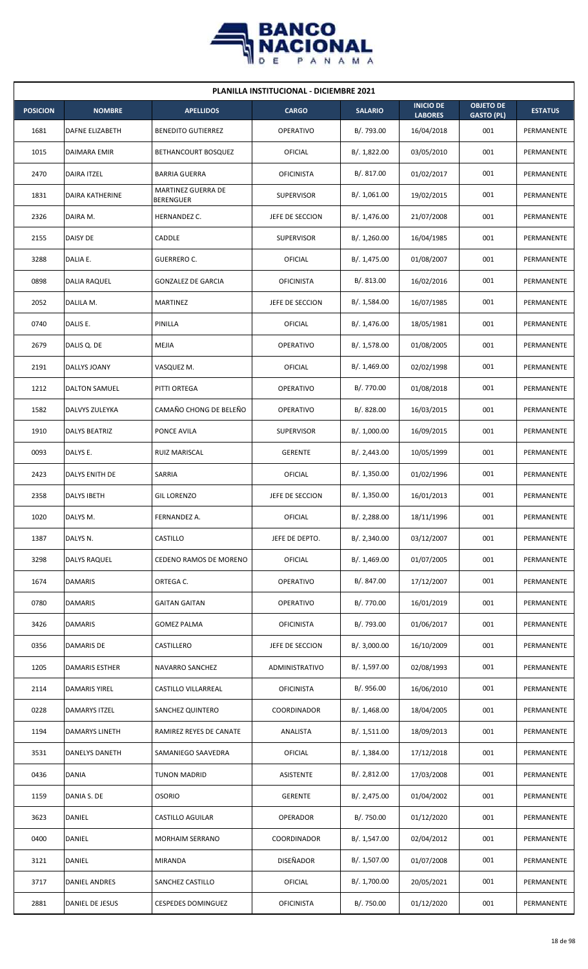

| <b>PLANILLA INSTITUCIONAL - DICIEMBRE 2021</b> |                        |                                 |                   |                |                                    |                                       |                |  |  |  |
|------------------------------------------------|------------------------|---------------------------------|-------------------|----------------|------------------------------------|---------------------------------------|----------------|--|--|--|
| <b>POSICION</b>                                | <b>NOMBRE</b>          | <b>APELLIDOS</b>                | <b>CARGO</b>      | <b>SALARIO</b> | <b>INICIO DE</b><br><b>LABORES</b> | <b>OBJETO DE</b><br><b>GASTO (PL)</b> | <b>ESTATUS</b> |  |  |  |
| 1681                                           | DAFNE ELIZABETH        | <b>BENEDITO GUTIERREZ</b>       | OPERATIVO         | B/. 793.00     | 16/04/2018                         | 001                                   | PERMANENTE     |  |  |  |
| 1015                                           | DAIMARA EMIR           | BETHANCOURT BOSQUEZ             | OFICIAL           | B/.1,822.00    | 03/05/2010                         | 001                                   | PERMANENTE     |  |  |  |
| 2470                                           | DAIRA ITZEL            | <b>BARRIA GUERRA</b>            | <b>OFICINISTA</b> | B/. 817.00     | 01/02/2017                         | 001                                   | PERMANENTE     |  |  |  |
| 1831                                           | <b>DAIRA KATHERINE</b> | MARTINEZ GUERRA DE<br>BERENGUER | <b>SUPERVISOR</b> | B/. 1,061.00   | 19/02/2015                         | 001                                   | PERMANENTE     |  |  |  |
| 2326                                           | DAIRA M.               | HERNANDEZ C.                    | JEFE DE SECCION   | B/. 1,476.00   | 21/07/2008                         | 001                                   | PERMANENTE     |  |  |  |
| 2155                                           | <b>DAISY DE</b>        | CADDLE                          | <b>SUPERVISOR</b> | B/. 1,260.00   | 16/04/1985                         | 001                                   | PERMANENTE     |  |  |  |
| 3288                                           | DALIA E.               | <b>GUERRERO C.</b>              | <b>OFICIAL</b>    | B/. 1,475.00   | 01/08/2007                         | 001                                   | PERMANENTE     |  |  |  |
| 0898                                           | <b>DALIA RAQUEL</b>    | <b>GONZALEZ DE GARCIA</b>       | <b>OFICINISTA</b> | B/0.813.00     | 16/02/2016                         | 001                                   | PERMANENTE     |  |  |  |
| 2052                                           | DALILA M.              | MARTINEZ                        | JEFE DE SECCION   | B/. 1,584.00   | 16/07/1985                         | 001                                   | PERMANENTE     |  |  |  |
| 0740                                           | DALIS E.               | PINILLA                         | OFICIAL           | B/. 1,476.00   | 18/05/1981                         | 001                                   | PERMANENTE     |  |  |  |
| 2679                                           | DALIS Q. DE            | MEJIA                           | <b>OPERATIVO</b>  | B/. 1,578.00   | 01/08/2005                         | 001                                   | PERMANENTE     |  |  |  |
| 2191                                           | DALLYS JOANY           | VASQUEZ M.                      | OFICIAL           | B/. 1,469.00   | 02/02/1998                         | 001                                   | PERMANENTE     |  |  |  |
| 1212                                           | DALTON SAMUEL          | PITTI ORTEGA                    | <b>OPERATIVO</b>  | B/. 770.00     | 01/08/2018                         | 001                                   | PERMANENTE     |  |  |  |
| 1582                                           | DALVYS ZULEYKA         | CAMAÑO CHONG DE BELEÑO          | <b>OPERATIVO</b>  | B/. 828.00     | 16/03/2015                         | 001                                   | PERMANENTE     |  |  |  |
| 1910                                           | <b>DALYS BEATRIZ</b>   | PONCE AVILA                     | <b>SUPERVISOR</b> | B/. 1,000.00   | 16/09/2015                         | 001                                   | PERMANENTE     |  |  |  |
| 0093                                           | DALYS E.               | RUIZ MARISCAL                   | <b>GERENTE</b>    | B/.2,443.00    | 10/05/1999                         | 001                                   | PERMANENTE     |  |  |  |
| 2423                                           | DALYS ENITH DE         | SARRIA                          | <b>OFICIAL</b>    | B/. 1,350.00   | 01/02/1996                         | 001                                   | PERMANENTE     |  |  |  |
| 2358                                           | <b>DALYS IBETH</b>     | <b>GIL LORENZO</b>              | JEFE DE SECCION   | B/. 1,350.00   | 16/01/2013                         | 001                                   | PERMANENTE     |  |  |  |
| 1020                                           | DALYS M.               | FERNANDEZ A.                    | OFICIAL           | B/. 2,288.00   | 18/11/1996                         | 001                                   | PERMANENTE     |  |  |  |
| 1387                                           | DALYS N.               | CASTILLO                        | JEFE DE DEPTO.    | B/.2,340.00    | 03/12/2007                         | 001                                   | PERMANENTE     |  |  |  |
| 3298                                           | <b>DALYS RAQUEL</b>    | CEDENO RAMOS DE MORENO          | <b>OFICIAL</b>    | B/. 1,469.00   | 01/07/2005                         | 001                                   | PERMANENTE     |  |  |  |
| 1674                                           | <b>DAMARIS</b>         | ORTEGA C.                       | OPERATIVO         | B/. 847.00     | 17/12/2007                         | 001                                   | PERMANENTE     |  |  |  |
| 0780                                           | <b>DAMARIS</b>         | <b>GAITAN GAITAN</b>            | <b>OPERATIVO</b>  | B/. 770.00     | 16/01/2019                         | 001                                   | PERMANENTE     |  |  |  |
| 3426                                           | DAMARIS                | <b>GOMEZ PALMA</b>              | <b>OFICINISTA</b> | B/. 793.00     | 01/06/2017                         | 001                                   | PERMANENTE     |  |  |  |
| 0356                                           | DAMARIS DE             | CASTILLERO                      | JEFE DE SECCION   | B/.3,000.00    | 16/10/2009                         | 001                                   | PERMANENTE     |  |  |  |
| 1205                                           | DAMARIS ESTHER         | NAVARRO SANCHEZ                 | ADMINISTRATIVO    | B/. 1,597.00   | 02/08/1993                         | 001                                   | PERMANENTE     |  |  |  |
| 2114                                           | DAMARIS YIREL          | CASTILLO VILLARREAL             | <b>OFICINISTA</b> | B/. 956.00     | 16/06/2010                         | 001                                   | PERMANENTE     |  |  |  |
| 0228                                           | DAMARYS ITZEL          | SANCHEZ QUINTERO                | COORDINADOR       | B/. 1,468.00   | 18/04/2005                         | 001                                   | PERMANENTE     |  |  |  |
| 1194                                           | DAMARYS LINETH         | RAMIREZ REYES DE CANATE         | ANALISTA          | B/.1,511.00    | 18/09/2013                         | 001                                   | PERMANENTE     |  |  |  |
| 3531                                           | DANELYS DANETH         | SAMANIEGO SAAVEDRA              | <b>OFICIAL</b>    | B/. 1,384.00   | 17/12/2018                         | 001                                   | PERMANENTE     |  |  |  |
| 0436                                           | <b>DANIA</b>           | TUNON MADRID                    | ASISTENTE         | B/. 2,812.00   | 17/03/2008                         | 001                                   | PERMANENTE     |  |  |  |
| 1159                                           | DANIA S. DE            | <b>OSORIO</b>                   | <b>GERENTE</b>    | B/.2,475.00    | 01/04/2002                         | 001                                   | PERMANENTE     |  |  |  |
| 3623                                           | DANIEL                 | CASTILLO AGUILAR                | OPERADOR          | B/. 750.00     | 01/12/2020                         | 001                                   | PERMANENTE     |  |  |  |
| 0400                                           | DANIEL                 | MORHAIM SERRANO                 | COORDINADOR       | B/. 1,547.00   | 02/04/2012                         | 001                                   | PERMANENTE     |  |  |  |
| 3121                                           | DANIEL                 | MIRANDA                         | DISEÑADOR         | B/. 1,507.00   | 01/07/2008                         | 001                                   | PERMANENTE     |  |  |  |
| 3717                                           | <b>DANIEL ANDRES</b>   | SANCHEZ CASTILLO                | OFICIAL           | B/. 1,700.00   | 20/05/2021                         | 001                                   | PERMANENTE     |  |  |  |
| 2881                                           | DANIEL DE JESUS        | <b>CESPEDES DOMINGUEZ</b>       | <b>OFICINISTA</b> | B/. 750.00     | 01/12/2020                         | 001                                   | PERMANENTE     |  |  |  |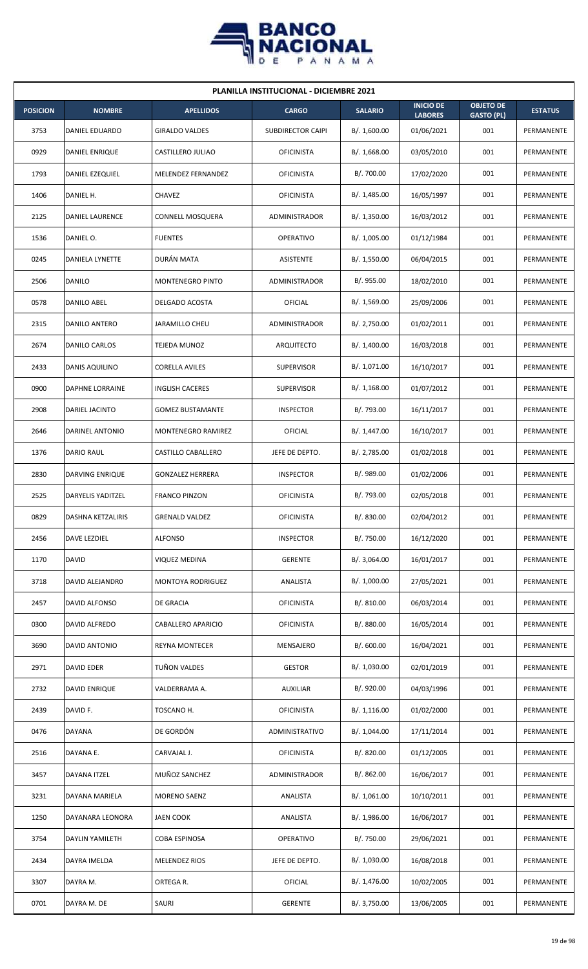

| <b>PLANILLA INSTITUCIONAL - DICIEMBRE 2021</b> |                          |                         |                      |                |                                    |                                       |                |  |  |  |
|------------------------------------------------|--------------------------|-------------------------|----------------------|----------------|------------------------------------|---------------------------------------|----------------|--|--|--|
| <b>POSICION</b>                                | <b>NOMBRE</b>            | <b>APELLIDOS</b>        | <b>CARGO</b>         | <b>SALARIO</b> | <b>INICIO DE</b><br><b>LABORES</b> | <b>OBJETO DE</b><br><b>GASTO (PL)</b> | <b>ESTATUS</b> |  |  |  |
| 3753                                           | DANIEL EDUARDO           | <b>GIRALDO VALDES</b>   | SUBDIRECTOR CAIPI    | B/. 1,600.00   | 01/06/2021                         | 001                                   | PERMANENTE     |  |  |  |
| 0929                                           | DANIEL ENRIQUE           | CASTILLERO JULIAO       | <b>OFICINISTA</b>    | B/.1,668.00    | 03/05/2010                         | 001                                   | PERMANENTE     |  |  |  |
| 1793                                           | DANIEL EZEQUIEL          | MELENDEZ FERNANDEZ      | <b>OFICINISTA</b>    | B/. 700.00     | 17/02/2020                         | 001                                   | PERMANENTE     |  |  |  |
| 1406                                           | DANIEL H.                | <b>CHAVEZ</b>           | <b>OFICINISTA</b>    | B/.1,485.00    | 16/05/1997                         | 001                                   | PERMANENTE     |  |  |  |
| 2125                                           | DANIEL LAURENCE          | <b>CONNELL MOSQUERA</b> | ADMINISTRADOR        | B/. 1,350.00   | 16/03/2012                         | 001                                   | PERMANENTE     |  |  |  |
| 1536                                           | DANIEL O.                | <b>FUENTES</b>          | <b>OPERATIVO</b>     | B/. 1,005.00   | 01/12/1984                         | 001                                   | PERMANENTE     |  |  |  |
| 0245                                           | <b>DANIELA LYNETTE</b>   | DURÁN MATA              | ASISTENTE            | B/. 1,550.00   | 06/04/2015                         | 001                                   | PERMANENTE     |  |  |  |
| 2506                                           | DANILO                   | <b>MONTENEGRO PINTO</b> | <b>ADMINISTRADOR</b> | B/.955.00      | 18/02/2010                         | 001                                   | PERMANENTE     |  |  |  |
| 0578                                           | DANILO ABEL              | DELGADO ACOSTA          | OFICIAL              | B/.1,569.00    | 25/09/2006                         | 001                                   | PERMANENTE     |  |  |  |
| 2315                                           | DANILO ANTERO            | JARAMILLO CHEU          | ADMINISTRADOR        | B/.2,750.00    | 01/02/2011                         | 001                                   | PERMANENTE     |  |  |  |
| 2674                                           | DANILO CARLOS            | TEJEDA MUNOZ            | ARQUITECTO           | B/. 1,400.00   | 16/03/2018                         | 001                                   | PERMANENTE     |  |  |  |
| 2433                                           | DANIS AQUILINO           | <b>CORELLA AVILES</b>   | <b>SUPERVISOR</b>    | B/. 1,071.00   | 16/10/2017                         | 001                                   | PERMANENTE     |  |  |  |
| 0900                                           | DAPHNE LORRAINE          | INGLISH CACERES         | <b>SUPERVISOR</b>    | B/.1,168.00    | 01/07/2012                         | 001                                   | PERMANENTE     |  |  |  |
| 2908                                           | DARIEL JACINTO           | <b>GOMEZ BUSTAMANTE</b> | <b>INSPECTOR</b>     | B/. 793.00     | 16/11/2017                         | 001                                   | PERMANENTE     |  |  |  |
| 2646                                           | DARINEL ANTONIO          | MONTENEGRO RAMIREZ      | OFICIAL              | B/.1,447.00    | 16/10/2017                         | 001                                   | PERMANENTE     |  |  |  |
| 1376                                           | DARIO RAUL               | CASTILLO CABALLERO      | JEFE DE DEPTO.       | B/. 2,785.00   | 01/02/2018                         | 001                                   | PERMANENTE     |  |  |  |
| 2830                                           | DARVING ENRIQUE          | <b>GONZALEZ HERRERA</b> | <b>INSPECTOR</b>     | B/. 989.00     | 01/02/2006                         | 001                                   | PERMANENTE     |  |  |  |
| 2525                                           | DARYELIS YADITZEL        | <b>FRANCO PINZON</b>    | <b>OFICINISTA</b>    | B/. 793.00     | 02/05/2018                         | 001                                   | PERMANENTE     |  |  |  |
| 0829                                           | <b>DASHNA KETZALIRIS</b> | <b>GRENALD VALDEZ</b>   | <b>OFICINISTA</b>    | B/. 830.00     | 02/04/2012                         | 001                                   | PERMANENTE     |  |  |  |
| 2456                                           | DAVE LEZDIEL             | <b>ALFONSO</b>          | <b>INSPECTOR</b>     | B/. 750.00     | 16/12/2020                         | 001                                   | PERMANENTE     |  |  |  |
| 1170                                           | <b>DAVID</b>             | <b>VIQUEZ MEDINA</b>    | <b>GERENTE</b>       | B/. 3,064.00   | 16/01/2017                         | 001                                   | PERMANENTE     |  |  |  |
| 3718                                           | DAVID ALEJANDRO          | MONTOYA RODRIGUEZ       | ANALISTA             | B/. 1,000.00   | 27/05/2021                         | 001                                   | PERMANENTE     |  |  |  |
| 2457                                           | DAVID ALFONSO            | DE GRACIA               | <b>OFICINISTA</b>    | B/. 810.00     | 06/03/2014                         | 001                                   | PERMANENTE     |  |  |  |
| 0300                                           | DAVID ALFREDO            | CABALLERO APARICIO      | <b>OFICINISTA</b>    | B/. 880.00     | 16/05/2014                         | 001                                   | PERMANENTE     |  |  |  |
| 3690                                           | DAVID ANTONIO            | <b>REYNA MONTECER</b>   | MENSAJERO            | B/.600.00      | 16/04/2021                         | 001                                   | PERMANENTE     |  |  |  |
| 2971                                           | <b>DAVID EDER</b>        | TUÑON VALDES            | <b>GESTOR</b>        | B/. 1,030.00   | 02/01/2019                         | 001                                   | PERMANENTE     |  |  |  |
| 2732                                           | DAVID ENRIQUE            | VALDERRAMA A.           | AUXILIAR             | B/. 920.00     | 04/03/1996                         | 001                                   | PERMANENTE     |  |  |  |
| 2439                                           | DAVID F.                 | TOSCANO H.              | <b>OFICINISTA</b>    | B/. 1,116.00   | 01/02/2000                         | 001                                   | PERMANENTE     |  |  |  |
| 0476                                           | DAYANA                   | DE GORDÓN               | ADMINISTRATIVO       | B/. 1,044.00   | 17/11/2014                         | 001                                   | PERMANENTE     |  |  |  |
| 2516                                           | DAYANA E.                | CARVAJAL J.             | <b>OFICINISTA</b>    | B/. 820.00     | 01/12/2005                         | 001                                   | PERMANENTE     |  |  |  |
| 3457                                           | DAYANA ITZEL             | MUÑOZ SANCHEZ           | ADMINISTRADOR        | B/. 862.00     | 16/06/2017                         | 001                                   | PERMANENTE     |  |  |  |
| 3231                                           | DAYANA MARIELA           | MORENO SAENZ            | ANALISTA             | B/. 1,061.00   | 10/10/2011                         | 001                                   | PERMANENTE     |  |  |  |
| 1250                                           | DAYANARA LEONORA         | <b>JAEN COOK</b>        | ANALISTA             | B/.1,986.00    | 16/06/2017                         | 001                                   | PERMANENTE     |  |  |  |
| 3754                                           | DAYLIN YAMILETH          | COBA ESPINOSA           | OPERATIVO            | B/. 750.00     | 29/06/2021                         | 001                                   | PERMANENTE     |  |  |  |
| 2434                                           | DAYRA IMELDA             | MELENDEZ RIOS           | JEFE DE DEPTO.       | B/. 1,030.00   | 16/08/2018                         | 001                                   | PERMANENTE     |  |  |  |
| 3307                                           | DAYRA M.                 | ORTEGA R.               | OFICIAL              | B/. 1,476.00   | 10/02/2005                         | 001                                   | PERMANENTE     |  |  |  |
| 0701                                           | DAYRA M. DE              | SAURI                   | <b>GERENTE</b>       | B/. 3,750.00   | 13/06/2005                         | 001                                   | PERMANENTE     |  |  |  |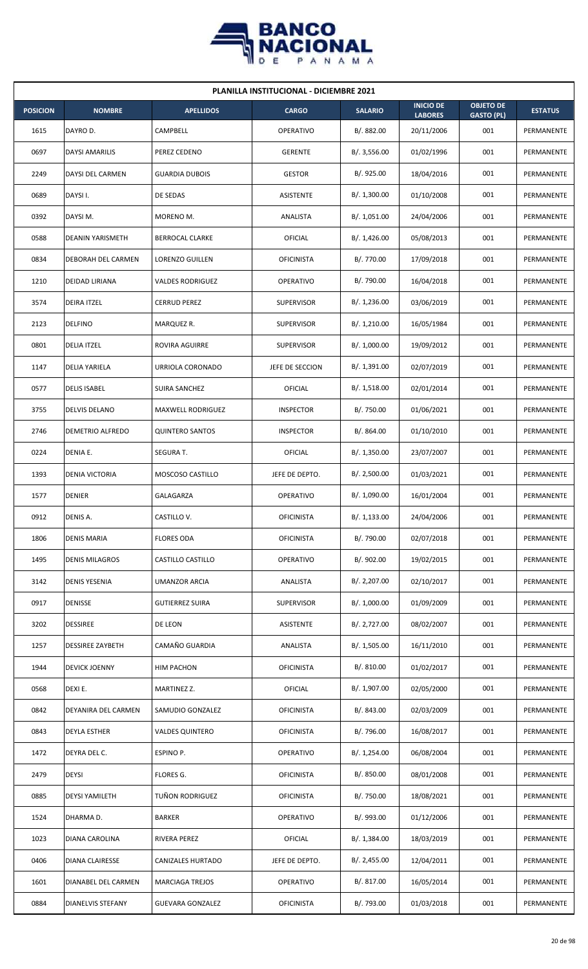

| <b>PLANILLA INSTITUCIONAL - DICIEMBRE 2021</b> |                           |                          |                   |                |                                    |                                       |                |  |  |  |
|------------------------------------------------|---------------------------|--------------------------|-------------------|----------------|------------------------------------|---------------------------------------|----------------|--|--|--|
| <b>POSICION</b>                                | <b>NOMBRE</b>             | <b>APELLIDOS</b>         | <b>CARGO</b>      | <b>SALARIO</b> | <b>INICIO DE</b><br><b>LABORES</b> | <b>OBJETO DE</b><br><b>GASTO (PL)</b> | <b>ESTATUS</b> |  |  |  |
| 1615                                           | DAYRO D.                  | CAMPBELL                 | <b>OPERATIVO</b>  | B/. 882.00     | 20/11/2006                         | 001                                   | PERMANENTE     |  |  |  |
| 0697                                           | <b>DAYSI AMARILIS</b>     | PEREZ CEDENO             | <b>GERENTE</b>    | B/.3,556.00    | 01/02/1996                         | 001                                   | PERMANENTE     |  |  |  |
| 2249                                           | DAYSI DEL CARMEN          | <b>GUARDIA DUBOIS</b>    | <b>GESTOR</b>     | B/. 925.00     | 18/04/2016                         | 001                                   | PERMANENTE     |  |  |  |
| 0689                                           | DAYSI I.                  | DE SEDAS                 | <b>ASISTENTE</b>  | B/. 1,300.00   | 01/10/2008                         | 001                                   | PERMANENTE     |  |  |  |
| 0392                                           | DAYSI M.                  | MORENO M.                | ANALISTA          | B/. 1,051.00   | 24/04/2006                         | 001                                   | PERMANENTE     |  |  |  |
| 0588                                           | <b>DEANIN YARISMETH</b>   | <b>BERROCAL CLARKE</b>   | OFICIAL           | B/.1,426.00    | 05/08/2013                         | 001                                   | PERMANENTE     |  |  |  |
| 0834                                           | <b>DEBORAH DEL CARMEN</b> | <b>LORENZO GUILLEN</b>   | <b>OFICINISTA</b> | B/. 770.00     | 17/09/2018                         | 001                                   | PERMANENTE     |  |  |  |
| 1210                                           | <b>DEIDAD LIRIANA</b>     | <b>VALDES RODRIGUEZ</b>  | <b>OPERATIVO</b>  | B/. 790.00     | 16/04/2018                         | 001                                   | PERMANENTE     |  |  |  |
| 3574                                           | <b>DEIRA ITZEL</b>        | CERRUD PEREZ             | <b>SUPERVISOR</b> | B/. 1,236.00   | 03/06/2019                         | 001                                   | PERMANENTE     |  |  |  |
| 2123                                           | <b>DELFINO</b>            | MARQUEZ R.               | <b>SUPERVISOR</b> | B/. 1,210.00   | 16/05/1984                         | 001                                   | PERMANENTE     |  |  |  |
| 0801                                           | <b>DELIA ITZEL</b>        | ROVIRA AGUIRRE           | <b>SUPERVISOR</b> | B/. 1,000.00   | 19/09/2012                         | 001                                   | PERMANENTE     |  |  |  |
| 1147                                           | <b>DELIA YARIELA</b>      | URRIOLA CORONADO         | JEFE DE SECCION   | B/. 1,391.00   | 02/07/2019                         | 001                                   | PERMANENTE     |  |  |  |
| 0577                                           | <b>DELIS ISABEL</b>       | SUIRA SANCHEZ            | OFICIAL           | B/. 1,518.00   | 02/01/2014                         | 001                                   | PERMANENTE     |  |  |  |
| 3755                                           | <b>DELVIS DELANO</b>      | <b>MAXWELL RODRIGUEZ</b> | <b>INSPECTOR</b>  | B/. 750.00     | 01/06/2021                         | 001                                   | PERMANENTE     |  |  |  |
| 2746                                           | <b>DEMETRIO ALFREDO</b>   | <b>QUINTERO SANTOS</b>   | <b>INSPECTOR</b>  | B/.864.00      | 01/10/2010                         | 001                                   | PERMANENTE     |  |  |  |
| 0224                                           | DENIA E.                  | SEGURA T.                | OFICIAL           | B/.1,350.00    | 23/07/2007                         | 001                                   | PERMANENTE     |  |  |  |
| 1393                                           | <b>DENIA VICTORIA</b>     | MOSCOSO CASTILLO         | JEFE DE DEPTO.    | B/.2,500.00    | 01/03/2021                         | 001                                   | PERMANENTE     |  |  |  |
| 1577                                           | <b>DENIER</b>             | GALAGARZA                | <b>OPERATIVO</b>  | B/. 1,090.00   | 16/01/2004                         | 001                                   | PERMANENTE     |  |  |  |
| 0912                                           | DENIS A.                  | CASTILLO V.              | <b>OFICINISTA</b> | B/. 1,133.00   | 24/04/2006                         | 001                                   | PERMANENTE     |  |  |  |
| 1806                                           | <b>DENIS MARIA</b>        | <b>FLORES ODA</b>        | <b>OFICINISTA</b> | B/. 790.00     | 02/07/2018                         | 001                                   | PERMANENTE     |  |  |  |
| 1495                                           | <b>DENIS MILAGROS</b>     | CASTILLO CASTILLO        | <b>OPERATIVO</b>  | B/. 902.00     | 19/02/2015                         | 001                                   | PERMANENTE     |  |  |  |
| 3142                                           | <b>DENIS YESENIA</b>      | <b>UMANZOR ARCIA</b>     | ANALISTA          | B/. 2,207.00   | 02/10/2017                         | 001                                   | PERMANENTE     |  |  |  |
| 0917                                           | <b>DENISSE</b>            | <b>GUTIERREZ SUIRA</b>   | SUPERVISOR        | B/. 1,000.00   | 01/09/2009                         | 001                                   | PERMANENTE     |  |  |  |
| 3202                                           | <b>DESSIREE</b>           | DE LEON                  | <b>ASISTENTE</b>  | B/. 2,727.00   | 08/02/2007                         | 001                                   | PERMANENTE     |  |  |  |
| 1257                                           | <b>DESSIREE ZAYBETH</b>   | CAMAÑO GUARDIA           | ANALISTA          | B/. 1,505.00   | 16/11/2010                         | 001                                   | PERMANENTE     |  |  |  |
| 1944                                           | <b>DEVICK JOENNY</b>      | HIM PACHON               | <b>OFICINISTA</b> | B/. 810.00     | 01/02/2017                         | 001                                   | PERMANENTE     |  |  |  |
| 0568                                           | DEXI E.                   | MARTINEZ Z.              | OFICIAL           | B/. 1,907.00   | 02/05/2000                         | 001                                   | PERMANENTE     |  |  |  |
| 0842                                           | DEYANIRA DEL CARMEN       | SAMUDIO GONZALEZ         | <b>OFICINISTA</b> | B/. 843.00     | 02/03/2009                         | 001                                   | PERMANENTE     |  |  |  |
| 0843                                           | <b>DEYLA ESTHER</b>       | <b>VALDES QUINTERO</b>   | <b>OFICINISTA</b> | B/. 796.00     | 16/08/2017                         | 001                                   | PERMANENTE     |  |  |  |
| 1472                                           | DEYRA DEL C.              | ESPINO P.                | OPERATIVO         | B/. 1,254.00   | 06/08/2004                         | 001                                   | PERMANENTE     |  |  |  |
| 2479                                           | <b>DEYSI</b>              | FLORES G.                | <b>OFICINISTA</b> | B/. 850.00     | 08/01/2008                         | 001                                   | PERMANENTE     |  |  |  |
| 0885                                           | <b>DEYSI YAMILETH</b>     | TUÑON RODRIGUEZ          | <b>OFICINISTA</b> | B/. 750.00     | 18/08/2021                         | 001                                   | PERMANENTE     |  |  |  |
| 1524                                           | DHARMA D.                 | <b>BARKER</b>            | OPERATIVO         | B/. 993.00     | 01/12/2006                         | 001                                   | PERMANENTE     |  |  |  |
| 1023                                           | DIANA CAROLINA            | RIVERA PEREZ             | <b>OFICIAL</b>    | B/. 1,384.00   | 18/03/2019                         | 001                                   | PERMANENTE     |  |  |  |
| 0406                                           | <b>DIANA CLAIRESSE</b>    | CANIZALES HURTADO        | JEFE DE DEPTO.    | B/. 2,455.00   | 12/04/2011                         | 001                                   | PERMANENTE     |  |  |  |
| 1601                                           | DIANABEL DEL CARMEN       | <b>MARCIAGA TREJOS</b>   | <b>OPERATIVO</b>  | B/. 817.00     | 16/05/2014                         | 001                                   | PERMANENTE     |  |  |  |
| 0884                                           | <b>DIANELVIS STEFANY</b>  | <b>GUEVARA GONZALEZ</b>  | <b>OFICINISTA</b> | B/. 793.00     | 01/03/2018                         | 001                                   | PERMANENTE     |  |  |  |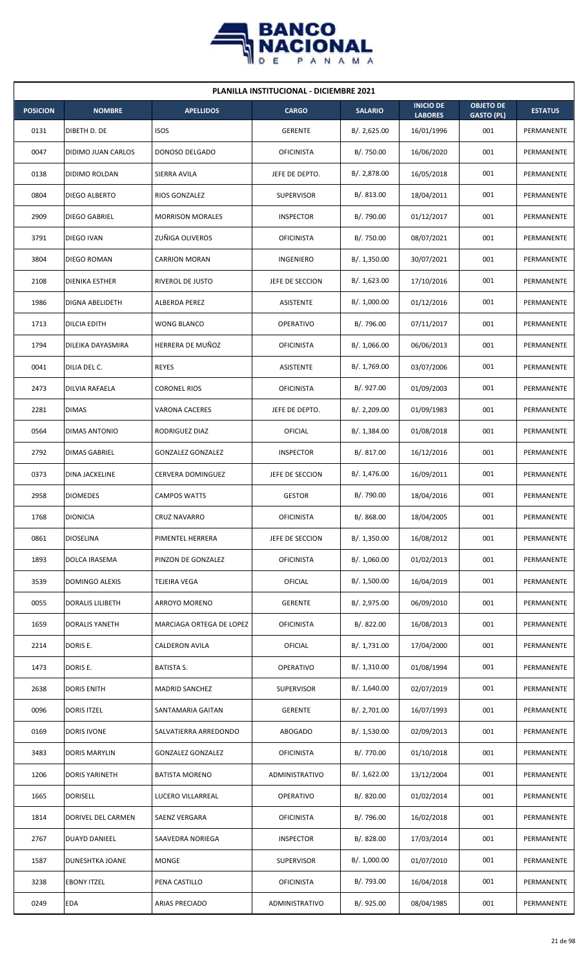

| <b>PLANILLA INSTITUCIONAL - DICIEMBRE 2021</b> |                     |                          |                   |                |                                    |                                       |                |  |  |  |
|------------------------------------------------|---------------------|--------------------------|-------------------|----------------|------------------------------------|---------------------------------------|----------------|--|--|--|
| <b>POSICION</b>                                | <b>NOMBRE</b>       | <b>APELLIDOS</b>         | <b>CARGO</b>      | <b>SALARIO</b> | <b>INICIO DE</b><br><b>LABORES</b> | <b>OBJETO DE</b><br><b>GASTO (PL)</b> | <b>ESTATUS</b> |  |  |  |
| 0131                                           | DIBETH D. DE        | <b>ISOS</b>              | <b>GERENTE</b>    | B/.2,625.00    | 16/01/1996                         | 001                                   | PERMANENTE     |  |  |  |
| 0047                                           | DIDIMO JUAN CARLOS  | DONOSO DELGADO           | <b>OFICINISTA</b> | B/. 750.00     | 16/06/2020                         | 001                                   | PERMANENTE     |  |  |  |
| 0138                                           | DIDIMO ROLDAN       | SIERRA AVILA             | JEFE DE DEPTO.    | B/. 2,878.00   | 16/05/2018                         | 001                                   | PERMANENTE     |  |  |  |
| 0804                                           | DIEGO ALBERTO       | RIOS GONZALEZ            | <b>SUPERVISOR</b> | B/0.813.00     | 18/04/2011                         | 001                                   | PERMANENTE     |  |  |  |
| 2909                                           | DIEGO GABRIEL       | <b>MORRISON MORALES</b>  | <b>INSPECTOR</b>  | B/. 790.00     | 01/12/2017                         | 001                                   | PERMANENTE     |  |  |  |
| 3791                                           | DIEGO IVAN          | ZUÑIGA OLIVEROS          | <b>OFICINISTA</b> | B/. 750.00     | 08/07/2021                         | 001                                   | PERMANENTE     |  |  |  |
| 3804                                           | DIEGO ROMAN         | <b>CARRION MORAN</b>     | <b>INGENIERO</b>  | B/.1,350.00    | 30/07/2021                         | 001                                   | PERMANENTE     |  |  |  |
| 2108                                           | DIENIKA ESTHER      | RIVEROL DE JUSTO         | JEFE DE SECCION   | B/. 1,623.00   | 17/10/2016                         | 001                                   | PERMANENTE     |  |  |  |
| 1986                                           | DIGNA ABELIDETH     | ALBERDA PEREZ            | <b>ASISTENTE</b>  | B/. 1,000.00   | 01/12/2016                         | 001                                   | PERMANENTE     |  |  |  |
| 1713                                           | <b>DILCIA EDITH</b> | <b>WONG BLANCO</b>       | <b>OPERATIVO</b>  | B/. 796.00     | 07/11/2017                         | 001                                   | PERMANENTE     |  |  |  |
| 1794                                           | DILEIKA DAYASMIRA   | HERRERA DE MUÑOZ         | <b>OFICINISTA</b> | B/.1,066.00    | 06/06/2013                         | 001                                   | PERMANENTE     |  |  |  |
| 0041                                           | DILIA DEL C.        | <b>REYES</b>             | ASISTENTE         | B/. 1,769.00   | 03/07/2006                         | 001                                   | PERMANENTE     |  |  |  |
| 2473                                           | DILVIA RAFAELA      | <b>CORONEL RIOS</b>      | <b>OFICINISTA</b> | B/. 927.00     | 01/09/2003                         | 001                                   | PERMANENTE     |  |  |  |
| 2281                                           | <b>DIMAS</b>        | <b>VARONA CACERES</b>    | JEFE DE DEPTO.    | B/.2,209.00    | 01/09/1983                         | 001                                   | PERMANENTE     |  |  |  |
| 0564                                           | DIMAS ANTONIO       | RODRIGUEZ DIAZ           | OFICIAL           | B/.1,384.00    | 01/08/2018                         | 001                                   | PERMANENTE     |  |  |  |
| 2792                                           | DIMAS GABRIEL       | <b>GONZALEZ GONZALEZ</b> | <b>INSPECTOR</b>  | B/. 817.00     | 16/12/2016                         | 001                                   | PERMANENTE     |  |  |  |
| 0373                                           | DINA JACKELINE      | <b>CERVERA DOMINGUEZ</b> | JEFE DE SECCION   | B/. 1,476.00   | 16/09/2011                         | 001                                   | PERMANENTE     |  |  |  |
| 2958                                           | <b>DIOMEDES</b>     | <b>CAMPOS WATTS</b>      | <b>GESTOR</b>     | B/. 790.00     | 18/04/2016                         | 001                                   | PERMANENTE     |  |  |  |
| 1768                                           | <b>DIONICIA</b>     | <b>CRUZ NAVARRO</b>      | <b>OFICINISTA</b> | B/.868.00      | 18/04/2005                         | 001                                   | PERMANENTE     |  |  |  |
| 0861                                           | <b>DIOSELINA</b>    | PIMENTEL HERRERA         | JEFE DE SECCION   | B/. 1,350.00   | 16/08/2012                         | 001                                   | PERMANENTE     |  |  |  |
| 1893                                           | DOLCA IRASEMA       | PINZON DE GONZALEZ       | <b>OFICINISTA</b> | B/. 1,060.00   | 01/02/2013                         | 001                                   | PERMANENTE     |  |  |  |
| 3539                                           | DOMINGO ALEXIS      | TEJEIRA VEGA             | OFICIAL           | B/. 1,500.00   | 16/04/2019                         | 001                                   | PERMANENTE     |  |  |  |
| 0055                                           | DORALIS LILIBETH    | ARROYO MORENO            | <b>GERENTE</b>    | B/. 2,975.00   | 06/09/2010                         | 001                                   | PERMANENTE     |  |  |  |
| 1659                                           | DORALIS YANETH      | MARCIAGA ORTEGA DE LOPEZ | <b>OFICINISTA</b> | B/. 822.00     | 16/08/2013                         | 001                                   | PERMANENTE     |  |  |  |
| 2214                                           | DORIS E.            | CALDERON AVILA           | <b>OFICIAL</b>    | B/. 1,731.00   | 17/04/2000                         | 001                                   | PERMANENTE     |  |  |  |
| 1473                                           | DORIS E.            | <b>BATISTA S.</b>        | <b>OPERATIVO</b>  | B/.1,310.00    | 01/08/1994                         | 001                                   | PERMANENTE     |  |  |  |
| 2638                                           | <b>DORIS ENITH</b>  | <b>MADRID SANCHEZ</b>    | <b>SUPERVISOR</b> | B/. 1,640.00   | 02/07/2019                         | 001                                   | PERMANENTE     |  |  |  |
| 0096                                           | <b>DORIS ITZEL</b>  | SANTAMARIA GAITAN        | <b>GERENTE</b>    | B/.2,701.00    | 16/07/1993                         | 001                                   | PERMANENTE     |  |  |  |
| 0169                                           | <b>DORIS IVONE</b>  | SALVATIERRA ARREDONDO    | ABOGADO           | B/. 1,530.00   | 02/09/2013                         | 001                                   | PERMANENTE     |  |  |  |
| 3483                                           | DORIS MARYLIN       | <b>GONZALEZ GONZALEZ</b> | <b>OFICINISTA</b> | B/. 770.00     | 01/10/2018                         | 001                                   | PERMANENTE     |  |  |  |
| 1206                                           | DORIS YARINETH      | <b>BATISTA MORENO</b>    | ADMINISTRATIVO    | B/. 1,622.00   | 13/12/2004                         | 001                                   | PERMANENTE     |  |  |  |
| 1665                                           | <b>DORISELL</b>     | LUCERO VILLARREAL        | OPERATIVO         | B/. 820.00     | 01/02/2014                         | 001                                   | PERMANENTE     |  |  |  |
| 1814                                           | DORIVEL DEL CARMEN  | SAENZ VERGARA            | <b>OFICINISTA</b> | B/. 796.00     | 16/02/2018                         | 001                                   | PERMANENTE     |  |  |  |
| 2767                                           | DUAYD DANIEEL       | SAAVEDRA NORIEGA         | <b>INSPECTOR</b>  | B/. 828.00     | 17/03/2014                         | 001                                   | PERMANENTE     |  |  |  |
| 1587                                           | DUNESHTKA JOANE     | <b>MONGE</b>             | <b>SUPERVISOR</b> | B/. 1,000.00   | 01/07/2010                         | 001                                   | PERMANENTE     |  |  |  |
| 3238                                           | <b>EBONY ITZEL</b>  | PENA CASTILLO            | <b>OFICINISTA</b> | B/. 793.00     | 16/04/2018                         | 001                                   | PERMANENTE     |  |  |  |
| 0249                                           | <b>EDA</b>          | <b>ARIAS PRECIADO</b>    | ADMINISTRATIVO    | B/. 925.00     | 08/04/1985                         | 001                                   | PERMANENTE     |  |  |  |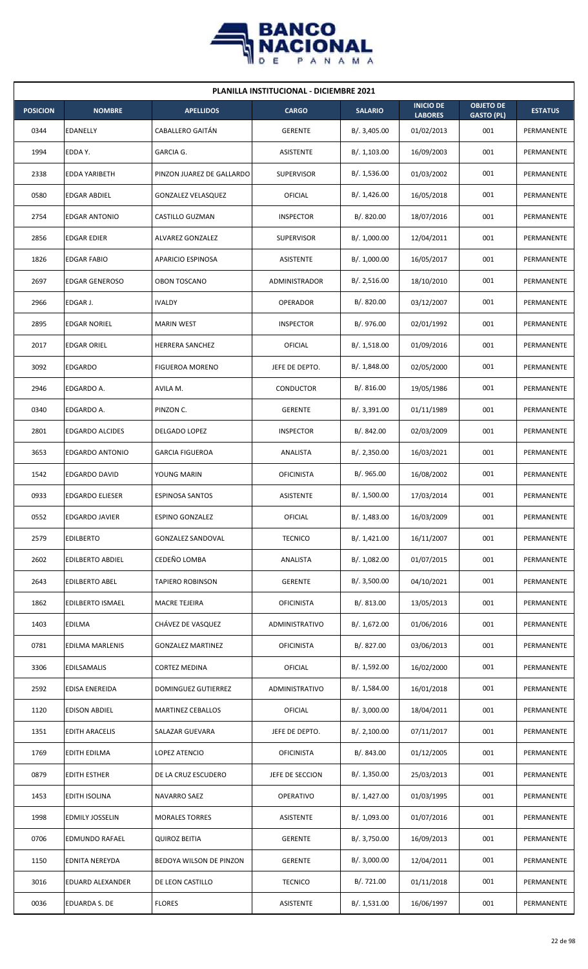

| <b>PLANILLA INSTITUCIONAL - DICIEMBRE 2021</b> |                         |                           |                   |                |                                    |                                       |                |  |  |  |
|------------------------------------------------|-------------------------|---------------------------|-------------------|----------------|------------------------------------|---------------------------------------|----------------|--|--|--|
| <b>POSICION</b>                                | <b>NOMBRE</b>           | <b>APELLIDOS</b>          | <b>CARGO</b>      | <b>SALARIO</b> | <b>INICIO DE</b><br><b>LABORES</b> | <b>OBJETO DE</b><br><b>GASTO (PL)</b> | <b>ESTATUS</b> |  |  |  |
| 0344                                           | EDANELLY                | CABALLERO GAITÁN          | <b>GERENTE</b>    | B/. 3,405.00   | 01/02/2013                         | 001                                   | PERMANENTE     |  |  |  |
| 1994                                           | EDDA Y.                 | GARCIA G.                 | <b>ASISTENTE</b>  | B/.1,103.00    | 16/09/2003                         | 001                                   | PERMANENTE     |  |  |  |
| 2338                                           | EDDA YARIBETH           | PINZON JUAREZ DE GALLARDO | <b>SUPERVISOR</b> | B/. 1,536.00   | 01/03/2002                         | 001                                   | PERMANENTE     |  |  |  |
| 0580                                           | <b>EDGAR ABDIEL</b>     | <b>GONZALEZ VELASQUEZ</b> | <b>OFICIAL</b>    | B/. 1,426.00   | 16/05/2018                         | 001                                   | PERMANENTE     |  |  |  |
| 2754                                           | <b>EDGAR ANTONIO</b>    | CASTILLO GUZMAN           | <b>INSPECTOR</b>  | B/. 820.00     | 18/07/2016                         | 001                                   | PERMANENTE     |  |  |  |
| 2856                                           | <b>EDGAR EDIER</b>      | ALVAREZ GONZALEZ          | <b>SUPERVISOR</b> | B/. 1,000.00   | 12/04/2011                         | 001                                   | PERMANENTE     |  |  |  |
| 1826                                           | <b>EDGAR FABIO</b>      | APARICIO ESPINOSA         | <b>ASISTENTE</b>  | B/. 1,000.00   | 16/05/2017                         | 001                                   | PERMANENTE     |  |  |  |
| 2697                                           | <b>EDGAR GENEROSO</b>   | <b>OBON TOSCANO</b>       | ADMINISTRADOR     | B/.2,516.00    | 18/10/2010                         | 001                                   | PERMANENTE     |  |  |  |
| 2966                                           | EDGAR J.                | <b>IVALDY</b>             | <b>OPERADOR</b>   | B/.820.00      | 03/12/2007                         | 001                                   | PERMANENTE     |  |  |  |
| 2895                                           | <b>EDGAR NORIEL</b>     | <b>MARIN WEST</b>         | <b>INSPECTOR</b>  | B/. 976.00     | 02/01/1992                         | 001                                   | PERMANENTE     |  |  |  |
| 2017                                           | <b>EDGAR ORIEL</b>      | <b>HERRERA SANCHEZ</b>    | OFICIAL           | B/.1,518.00    | 01/09/2016                         | 001                                   | PERMANENTE     |  |  |  |
| 3092                                           | <b>EDGARDO</b>          | <b>FIGUEROA MORENO</b>    | JEFE DE DEPTO.    | B/.1,848.00    | 02/05/2000                         | 001                                   | PERMANENTE     |  |  |  |
| 2946                                           | EDGARDO A.              | AVILA M.                  | CONDUCTOR         | B/.816.00      | 19/05/1986                         | 001                                   | PERMANENTE     |  |  |  |
| 0340                                           | EDGARDO A.              | PINZON C.                 | <b>GERENTE</b>    | B/. 3,391.00   | 01/11/1989                         | 001                                   | PERMANENTE     |  |  |  |
| 2801                                           | <b>EDGARDO ALCIDES</b>  | DELGADO LOPEZ             | <b>INSPECTOR</b>  | B/. 842.00     | 02/03/2009                         | 001                                   | PERMANENTE     |  |  |  |
| 3653                                           | <b>EDGARDO ANTONIO</b>  | <b>GARCIA FIGUEROA</b>    | ANALISTA          | B/.2,350.00    | 16/03/2021                         | 001                                   | PERMANENTE     |  |  |  |
| 1542                                           | EDGARDO DAVID           | YOUNG MARIN               | <b>OFICINISTA</b> | B/.965.00      | 16/08/2002                         | 001                                   | PERMANENTE     |  |  |  |
| 0933                                           | <b>EDGARDO ELIESER</b>  | <b>ESPINOSA SANTOS</b>    | ASISTENTE         | B/. 1,500.00   | 17/03/2014                         | 001                                   | PERMANENTE     |  |  |  |
| 0552                                           | <b>EDGARDO JAVIER</b>   | <b>ESPINO GONZALEZ</b>    | OFICIAL           | B/. 1,483.00   | 16/03/2009                         | 001                                   | PERMANENTE     |  |  |  |
| 2579                                           | <b>EDILBERTO</b>        | GONZALEZ SANDOVAL         | <b>TECNICO</b>    | B/. 1,421.00   | 16/11/2007                         | 001                                   | PERMANENTE     |  |  |  |
| 2602                                           | <b>EDILBERTO ABDIEL</b> | CEDEÑO LOMBA              | ANALISTA          | B/. 1,082.00   | 01/07/2015                         | 001                                   | PERMANENTE     |  |  |  |
| 2643                                           | <b>EDILBERTO ABEL</b>   | TAPIERO ROBINSON          | <b>GERENTE</b>    | B/. 3,500.00   | 04/10/2021                         | 001                                   | PERMANENTE     |  |  |  |
| 1862                                           | EDILBERTO ISMAEL        | <b>MACRE TEJEIRA</b>      | <b>OFICINISTA</b> | B/. 813.00     | 13/05/2013                         | 001                                   | PERMANENTE     |  |  |  |
| 1403                                           | <b>EDILMA</b>           | CHÁVEZ DE VASQUEZ         | ADMINISTRATIVO    | B/. 1,672.00   | 01/06/2016                         | 001                                   | PERMANENTE     |  |  |  |
| 0781                                           | <b>EDILMA MARLENIS</b>  | <b>GONZALEZ MARTINEZ</b>  | <b>OFICINISTA</b> | B/. 827.00     | 03/06/2013                         | 001                                   | PERMANENTE     |  |  |  |
| 3306                                           | <b>EDILSAMALIS</b>      | CORTEZ MEDINA             | OFICIAL           | B/. 1,592.00   | 16/02/2000                         | 001                                   | PERMANENTE     |  |  |  |
| 2592                                           | EDISA ENEREIDA          | DOMINGUEZ GUTIERREZ       | ADMINISTRATIVO    | B/. 1,584.00   | 16/01/2018                         | 001                                   | PERMANENTE     |  |  |  |
| 1120                                           | <b>EDISON ABDIEL</b>    | MARTINEZ CEBALLOS         | <b>OFICIAL</b>    | B/.3,000.00    | 18/04/2011                         | 001                                   | PERMANENTE     |  |  |  |
| 1351                                           | <b>EDITH ARACELIS</b>   | SALAZAR GUEVARA           | JEFE DE DEPTO.    | B/.2,100.00    | 07/11/2017                         | 001                                   | PERMANENTE     |  |  |  |
| 1769                                           | EDITH EDILMA            | LOPEZ ATENCIO             | <b>OFICINISTA</b> | B/. 843.00     | 01/12/2005                         | 001                                   | PERMANENTE     |  |  |  |
| 0879                                           | <b>EDITH ESTHER</b>     | DE LA CRUZ ESCUDERO       | JEFE DE SECCION   | B/. 1,350.00   | 25/03/2013                         | 001                                   | PERMANENTE     |  |  |  |
| 1453                                           | <b>EDITH ISOLINA</b>    | NAVARRO SAEZ              | <b>OPERATIVO</b>  | B/. 1,427.00   | 01/03/1995                         | 001                                   | PERMANENTE     |  |  |  |
| 1998                                           | <b>EDMILY JOSSELIN</b>  | <b>MORALES TORRES</b>     | <b>ASISTENTE</b>  | B/. 1,093.00   | 01/07/2016                         | 001                                   | PERMANENTE     |  |  |  |
| 0706                                           | EDMUNDO RAFAEL          | <b>QUIROZ BEITIA</b>      | <b>GERENTE</b>    | B/. 3,750.00   | 16/09/2013                         | 001                                   | PERMANENTE     |  |  |  |
| 1150                                           | EDNITA NEREYDA          | BEDOYA WILSON DE PINZON   | <b>GERENTE</b>    | B/.3,000.00    | 12/04/2011                         | 001                                   | PERMANENTE     |  |  |  |
| 3016                                           | <b>EDUARD ALEXANDER</b> | DE LEON CASTILLO          | <b>TECNICO</b>    | B/. 721.00     | 01/11/2018                         | 001                                   | PERMANENTE     |  |  |  |
| 0036                                           | EDUARDA S. DE           | <b>FLORES</b>             | <b>ASISTENTE</b>  | B/.1,531.00    | 16/06/1997                         | 001                                   | PERMANENTE     |  |  |  |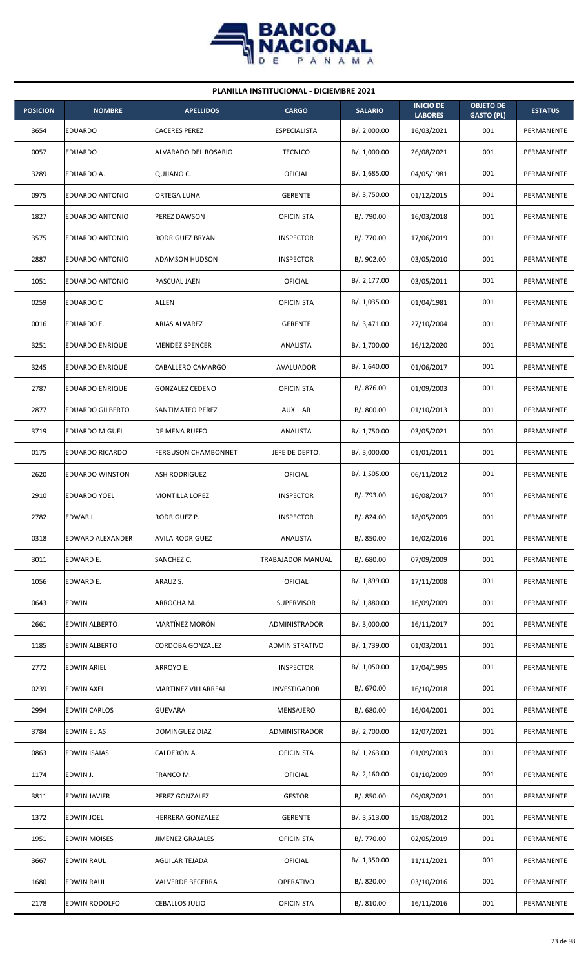

| <b>PLANILLA INSTITUCIONAL - DICIEMBRE 2021</b> |                         |                            |                     |                |                                    |                                       |                |  |  |  |
|------------------------------------------------|-------------------------|----------------------------|---------------------|----------------|------------------------------------|---------------------------------------|----------------|--|--|--|
| <b>POSICION</b>                                | <b>NOMBRE</b>           | <b>APELLIDOS</b>           | <b>CARGO</b>        | <b>SALARIO</b> | <b>INICIO DE</b><br><b>LABORES</b> | <b>OBJETO DE</b><br><b>GASTO (PL)</b> | <b>ESTATUS</b> |  |  |  |
| 3654                                           | <b>EDUARDO</b>          | <b>CACERES PEREZ</b>       | <b>ESPECIALISTA</b> | B/.2,000.00    | 16/03/2021                         | 001                                   | PERMANENTE     |  |  |  |
| 0057                                           | <b>EDUARDO</b>          | ALVARADO DEL ROSARIO       | <b>TECNICO</b>      | B/. 1,000.00   | 26/08/2021                         | 001                                   | PERMANENTE     |  |  |  |
| 3289                                           | EDUARDO A.              | QUIJANO C.                 | OFICIAL             | B/. 1,685.00   | 04/05/1981                         | 001                                   | PERMANENTE     |  |  |  |
| 0975                                           | <b>EDUARDO ANTONIO</b>  | ORTEGA LUNA                | <b>GERENTE</b>      | B/. 3,750.00   | 01/12/2015                         | 001                                   | PERMANENTE     |  |  |  |
| 1827                                           | <b>EDUARDO ANTONIO</b>  | PEREZ DAWSON               | <b>OFICINISTA</b>   | B/. 790.00     | 16/03/2018                         | 001                                   | PERMANENTE     |  |  |  |
| 3575                                           | EDUARDO ANTONIO         | RODRIGUEZ BRYAN            | <b>INSPECTOR</b>    | B/. 770.00     | 17/06/2019                         | 001                                   | PERMANENTE     |  |  |  |
| 2887                                           | EDUARDO ANTONIO         | <b>ADAMSON HUDSON</b>      | <b>INSPECTOR</b>    | B/. 902.00     | 03/05/2010                         | 001                                   | PERMANENTE     |  |  |  |
| 1051                                           | <b>EDUARDO ANTONIO</b>  | PASCUAL JAEN               | <b>OFICIAL</b>      | B/.2,177.00    | 03/05/2011                         | 001                                   | PERMANENTE     |  |  |  |
| 0259                                           | EDUARDO C               | ALLEN                      | <b>OFICINISTA</b>   | B/. 1,035.00   | 01/04/1981                         | 001                                   | PERMANENTE     |  |  |  |
| 0016                                           | EDUARDO E.              | ARIAS ALVAREZ              | <b>GERENTE</b>      | B/. 3,471.00   | 27/10/2004                         | 001                                   | PERMANENTE     |  |  |  |
| 3251                                           | <b>EDUARDO ENRIQUE</b>  | <b>MENDEZ SPENCER</b>      | ANALISTA            | B/. 1,700.00   | 16/12/2020                         | 001                                   | PERMANENTE     |  |  |  |
| 3245                                           | <b>EDUARDO ENRIQUE</b>  | CABALLERO CAMARGO          | AVALUADOR           | B/. 1,640.00   | 01/06/2017                         | 001                                   | PERMANENTE     |  |  |  |
| 2787                                           | EDUARDO ENRIQUE         | <b>GONZALEZ CEDENO</b>     | <b>OFICINISTA</b>   | B/. 876.00     | 01/09/2003                         | 001                                   | PERMANENTE     |  |  |  |
| 2877                                           | <b>EDUARDO GILBERTO</b> | SANTIMATEO PEREZ           | <b>AUXILIAR</b>     | B/. 800.00     | 01/10/2013                         | 001                                   | PERMANENTE     |  |  |  |
| 3719                                           | <b>EDUARDO MIGUEL</b>   | DE MENA RUFFO              | ANALISTA            | B/. 1,750.00   | 03/05/2021                         | 001                                   | PERMANENTE     |  |  |  |
| 0175                                           | <b>EDUARDO RICARDO</b>  | <b>FERGUSON CHAMBONNET</b> | JEFE DE DEPTO.      | B/.3,000.00    | 01/01/2011                         | 001                                   | PERMANENTE     |  |  |  |
| 2620                                           | <b>EDUARDO WINSTON</b>  | <b>ASH RODRIGUEZ</b>       | <b>OFICIAL</b>      | B/. 1,505.00   | 06/11/2012                         | 001                                   | PERMANENTE     |  |  |  |
| 2910                                           | EDUARDO YOEL            | <b>MONTILLA LOPEZ</b>      | <b>INSPECTOR</b>    | B/. 793.00     | 16/08/2017                         | 001                                   | PERMANENTE     |  |  |  |
| 2782                                           | EDWAR I.                | RODRIGUEZ P.               | <b>INSPECTOR</b>    | B/. 824.00     | 18/05/2009                         | 001                                   | PERMANENTE     |  |  |  |
| 0318                                           | EDWARD ALEXANDER        | AVILA RODRIGUEZ            | ANALISTA            | B/. 850.00     | 16/02/2016                         | 001                                   | PERMANENTE     |  |  |  |
| 3011                                           | EDWARD E.               | SANCHEZ C.                 | TRABAJADOR MANUAL   | B/. 680.00     | 07/09/2009                         | 001                                   | PERMANENTE     |  |  |  |
| 1056                                           | EDWARD E.               | ARAUZ S.                   | OFICIAL             | B/. 1,899.00   | 17/11/2008                         | 001                                   | PERMANENTE     |  |  |  |
| 0643                                           | <b>EDWIN</b>            | ARROCHA M.                 | <b>SUPERVISOR</b>   | B/. 1,880.00   | 16/09/2009                         | 001                                   | PERMANENTE     |  |  |  |
| 2661                                           | EDWIN ALBERTO           | MARTÍNEZ MORÓN             | ADMINISTRADOR       | B/. 3,000.00   | 16/11/2017                         | 001                                   | PERMANENTE     |  |  |  |
| 1185                                           | EDWIN ALBERTO           | CORDOBA GONZALEZ           | ADMINISTRATIVO      | B/. 1,739.00   | 01/03/2011                         | 001                                   | PERMANENTE     |  |  |  |
| 2772                                           | EDWIN ARIEL             | ARROYO E.                  | <b>INSPECTOR</b>    | B/. 1,050.00   | 17/04/1995                         | 001                                   | PERMANENTE     |  |  |  |
| 0239                                           | <b>EDWIN AXEL</b>       | MARTINEZ VILLARREAL        | <b>INVESTIGADOR</b> | B/. 670.00     | 16/10/2018                         | 001                                   | PERMANENTE     |  |  |  |
| 2994                                           | <b>EDWIN CARLOS</b>     | <b>GUEVARA</b>             | MENSAJERO           | B/. 680.00     | 16/04/2001                         | 001                                   | PERMANENTE     |  |  |  |
| 3784                                           | <b>EDWIN ELIAS</b>      | DOMINGUEZ DIAZ             | ADMINISTRADOR       | B/. 2,700.00   | 12/07/2021                         | 001                                   | PERMANENTE     |  |  |  |
| 0863                                           | <b>EDWIN ISAIAS</b>     | CALDERON A.                | <b>OFICINISTA</b>   | B/. 1,263.00   | 01/09/2003                         | 001                                   | PERMANENTE     |  |  |  |
| 1174                                           | EDWIN J.                | FRANCO M.                  | <b>OFICIAL</b>      | B/. 2,160.00   | 01/10/2009                         | 001                                   | PERMANENTE     |  |  |  |
| 3811                                           | <b>EDWIN JAVIER</b>     | PEREZ GONZALEZ             | <b>GESTOR</b>       | B/. 850.00     | 09/08/2021                         | 001                                   | PERMANENTE     |  |  |  |
| 1372                                           | EDWIN JOEL              | HERRERA GONZALEZ           | <b>GERENTE</b>      | B/.3,513.00    | 15/08/2012                         | 001                                   | PERMANENTE     |  |  |  |
| 1951                                           | <b>EDWIN MOISES</b>     | <b>JIMENEZ GRAJALES</b>    | <b>OFICINISTA</b>   | B/. 770.00     | 02/05/2019                         | 001                                   | PERMANENTE     |  |  |  |
| 3667                                           | EDWIN RAUL              | AGUILAR TEJADA             | OFICIAL             | B/.1,350.00    | 11/11/2021                         | 001                                   | PERMANENTE     |  |  |  |
| 1680                                           | EDWIN RAUL              | <b>VALVERDE BECERRA</b>    | OPERATIVO           | B/. 820.00     | 03/10/2016                         | 001                                   | PERMANENTE     |  |  |  |
| 2178                                           | <b>EDWIN RODOLFO</b>    | <b>CEBALLOS JULIO</b>      | <b>OFICINISTA</b>   | B/. 810.00     | 16/11/2016                         | 001                                   | PERMANENTE     |  |  |  |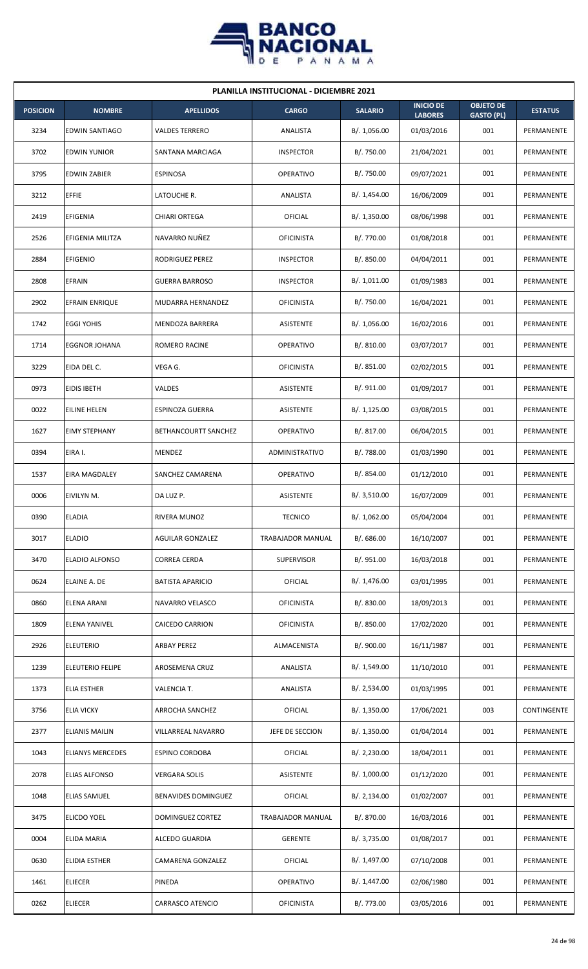

| <b>PLANILLA INSTITUCIONAL - DICIEMBRE 2021</b> |                         |                         |                   |                |                                    |                                       |                |  |  |  |
|------------------------------------------------|-------------------------|-------------------------|-------------------|----------------|------------------------------------|---------------------------------------|----------------|--|--|--|
| <b>POSICION</b>                                | <b>NOMBRE</b>           | <b>APELLIDOS</b>        | <b>CARGO</b>      | <b>SALARIO</b> | <b>INICIO DE</b><br><b>LABORES</b> | <b>OBJETO DE</b><br><b>GASTO (PL)</b> | <b>ESTATUS</b> |  |  |  |
| 3234                                           | <b>EDWIN SANTIAGO</b>   | <b>VALDES TERRERO</b>   | ANALISTA          | B/. 1,056.00   | 01/03/2016                         | 001                                   | PERMANENTE     |  |  |  |
| 3702                                           | <b>EDWIN YUNIOR</b>     | SANTANA MARCIAGA        | <b>INSPECTOR</b>  | B/. 750.00     | 21/04/2021                         | 001                                   | PERMANENTE     |  |  |  |
| 3795                                           | <b>EDWIN ZABIER</b>     | <b>ESPINOSA</b>         | <b>OPERATIVO</b>  | B/. 750.00     | 09/07/2021                         | 001                                   | PERMANENTE     |  |  |  |
| 3212                                           | <b>EFFIE</b>            | LATOUCHE R.             | ANALISTA          | B/. 1,454.00   | 16/06/2009                         | 001                                   | PERMANENTE     |  |  |  |
| 2419                                           | EFIGENIA                | <b>CHIARI ORTEGA</b>    | OFICIAL           | B/. 1,350.00   | 08/06/1998                         | 001                                   | PERMANENTE     |  |  |  |
| 2526                                           | EFIGENIA MILITZA        | NAVARRO NUÑEZ           | <b>OFICINISTA</b> | B/. 770.00     | 01/08/2018                         | 001                                   | PERMANENTE     |  |  |  |
| 2884                                           | <b>EFIGENIO</b>         | RODRIGUEZ PEREZ         | <b>INSPECTOR</b>  | B/. 850.00     | 04/04/2011                         | 001                                   | PERMANENTE     |  |  |  |
| 2808                                           | EFRAIN                  | <b>GUERRA BARROSO</b>   | <b>INSPECTOR</b>  | B/. 1,011.00   | 01/09/1983                         | 001                                   | PERMANENTE     |  |  |  |
| 2902                                           | EFRAIN ENRIQUE          | MUDARRA HERNANDEZ       | <b>OFICINISTA</b> | B/. 750.00     | 16/04/2021                         | 001                                   | PERMANENTE     |  |  |  |
| 1742                                           | <b>EGGI YOHIS</b>       | MENDOZA BARRERA         | ASISTENTE         | B/. 1,056.00   | 16/02/2016                         | 001                                   | PERMANENTE     |  |  |  |
| 1714                                           | <b>EGGNOR JOHANA</b>    | <b>ROMERO RACINE</b>    | <b>OPERATIVO</b>  | B/. 810.00     | 03/07/2017                         | 001                                   | PERMANENTE     |  |  |  |
| 3229                                           | EIDA DEL C.             | VEGA G.                 | <b>OFICINISTA</b> | B/. 851.00     | 02/02/2015                         | 001                                   | PERMANENTE     |  |  |  |
| 0973                                           | EIDIS IBETH             | VALDES                  | ASISTENTE         | B/.911.00      | 01/09/2017                         | 001                                   | PERMANENTE     |  |  |  |
| 0022                                           | <b>EILINE HELEN</b>     | <b>ESPINOZA GUERRA</b>  | ASISTENTE         | B/. 1,125.00   | 03/08/2015                         | 001                                   | PERMANENTE     |  |  |  |
| 1627                                           | <b>EIMY STEPHANY</b>    | BETHANCOURTT SANCHEZ    | <b>OPERATIVO</b>  | B/. 817.00     | 06/04/2015                         | 001                                   | PERMANENTE     |  |  |  |
| 0394                                           | EIRA I.                 | MENDEZ                  | ADMINISTRATIVO    | B/. 788.00     | 01/03/1990                         | 001                                   | PERMANENTE     |  |  |  |
| 1537                                           | EIRA MAGDALEY           | SANCHEZ CAMARENA        | <b>OPERATIVO</b>  | B/. 854.00     | 01/12/2010                         | 001                                   | PERMANENTE     |  |  |  |
| 0006                                           | EIVILYN M.              | DA LUZ P.               | ASISTENTE         | B/. 3,510.00   | 16/07/2009                         | 001                                   | PERMANENTE     |  |  |  |
| 0390                                           | <b>ELADIA</b>           | RIVERA MUNOZ            | <b>TECNICO</b>    | B/. 1,062.00   | 05/04/2004                         | 001                                   | PERMANENTE     |  |  |  |
| 3017                                           | <b>ELADIO</b>           | <b>AGUILAR GONZALEZ</b> | TRABAJADOR MANUAL | B/. 686.00     | 16/10/2007                         | 001                                   | PERMANENTE     |  |  |  |
| 3470                                           | <b>ELADIO ALFONSO</b>   | <b>CORREA CERDA</b>     | SUPERVISOR        | B/. 951.00     | 16/03/2018                         | 001                                   | PERMANENTE     |  |  |  |
| 0624                                           | ELAINE A. DE            | <b>BATISTA APARICIO</b> | <b>OFICIAL</b>    | B/. 1,476.00   | 03/01/1995                         | 001                                   | PERMANENTE     |  |  |  |
| 0860                                           | <b>ELENA ARANI</b>      | NAVARRO VELASCO         | <b>OFICINISTA</b> | B/. 830.00     | 18/09/2013                         | 001                                   | PERMANENTE     |  |  |  |
| 1809                                           | ELENA YANIVEL           | CAICEDO CARRION         | <b>OFICINISTA</b> | B/. 850.00     | 17/02/2020                         | 001                                   | PERMANENTE     |  |  |  |
| 2926                                           | <b>ELEUTERIO</b>        | ARBAY PEREZ             | ALMACENISTA       | B/. 900.00     | 16/11/1987                         | 001                                   | PERMANENTE     |  |  |  |
| 1239                                           | <b>ELEUTERIO FELIPE</b> | AROSEMENA CRUZ          | ANALISTA          | B/. 1,549.00   | 11/10/2010                         | 001                                   | PERMANENTE     |  |  |  |
| 1373                                           | <b>ELIA ESTHER</b>      | VALENCIA T.             | ANALISTA          | B/. 2,534.00   | 01/03/1995                         | 001                                   | PERMANENTE     |  |  |  |
| 3756                                           | <b>ELIA VICKY</b>       | ARROCHA SANCHEZ         | OFICIAL           | B/. 1,350.00   | 17/06/2021                         | 003                                   | CONTINGENTE    |  |  |  |
| 2377                                           | <b>ELIANIS MAILIN</b>   | VILLARREAL NAVARRO      | JEFE DE SECCION   | B/. 1,350.00   | 01/04/2014                         | 001                                   | PERMANENTE     |  |  |  |
| 1043                                           | <b>ELIANYS MERCEDES</b> | <b>ESPINO CORDOBA</b>   | <b>OFICIAL</b>    | B/.2,230.00    | 18/04/2011                         | 001                                   | PERMANENTE     |  |  |  |
| 2078                                           | <b>ELIAS ALFONSO</b>    | <b>VERGARA SOLIS</b>    | ASISTENTE         | B/. 1,000.00   | 01/12/2020                         | 001                                   | PERMANENTE     |  |  |  |
| 1048                                           | <b>ELIAS SAMUEL</b>     | BENAVIDES DOMINGUEZ     | <b>OFICIAL</b>    | B/.2,134.00    | 01/02/2007                         | 001                                   | PERMANENTE     |  |  |  |
| 3475                                           | <b>ELICDO YOEL</b>      | DOMINGUEZ CORTEZ        | TRABAJADOR MANUAL | B/. 870.00     | 16/03/2016                         | 001                                   | PERMANENTE     |  |  |  |
| 0004                                           | <b>ELIDA MARIA</b>      | ALCEDO GUARDIA          | <b>GERENTE</b>    | B/. 3,735.00   | 01/08/2017                         | 001                                   | PERMANENTE     |  |  |  |
| 0630                                           | <b>ELIDIA ESTHER</b>    | CAMARENA GONZALEZ       | OFICIAL           | B/. 1,497.00   | 07/10/2008                         | 001                                   | PERMANENTE     |  |  |  |
| 1461                                           | <b>ELIECER</b>          | PINEDA                  | OPERATIVO         | B/. 1,447.00   | 02/06/1980                         | 001                                   | PERMANENTE     |  |  |  |
| 0262                                           | <b>ELIECER</b>          | CARRASCO ATENCIO        | <b>OFICINISTA</b> | B/. 773.00     | 03/05/2016                         | 001                                   | PERMANENTE     |  |  |  |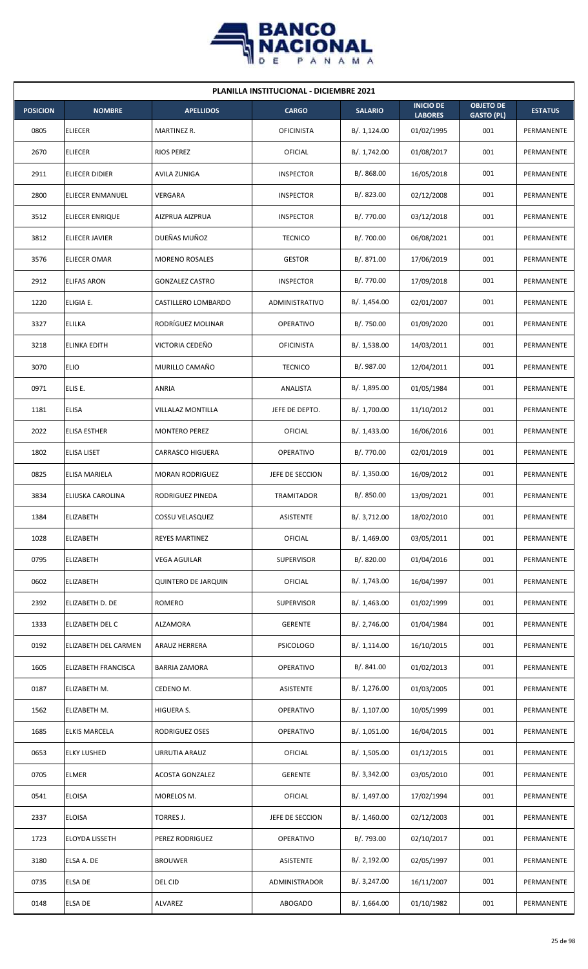

| <b>PLANILLA INSTITUCIONAL - DICIEMBRE 2021</b> |                        |                            |                   |                |                                    |                                       |                |  |  |
|------------------------------------------------|------------------------|----------------------------|-------------------|----------------|------------------------------------|---------------------------------------|----------------|--|--|
| <b>POSICION</b>                                | <b>NOMBRE</b>          | <b>APELLIDOS</b>           | <b>CARGO</b>      | <b>SALARIO</b> | <b>INICIO DE</b><br><b>LABORES</b> | <b>OBJETO DE</b><br><b>GASTO (PL)</b> | <b>ESTATUS</b> |  |  |
| 0805                                           | <b>ELIECER</b>         | MARTINEZ R.                | <b>OFICINISTA</b> | B/.1,124.00    | 01/02/1995                         | 001                                   | PERMANENTE     |  |  |
| 2670                                           | <b>ELIECER</b>         | <b>RIOS PEREZ</b>          | OFICIAL           | B/. 1,742.00   | 01/08/2017                         | 001                                   | PERMANENTE     |  |  |
| 2911                                           | <b>ELIECER DIDIER</b>  | AVILA ZUNIGA               | <b>INSPECTOR</b>  | B/. 868.00     | 16/05/2018                         | 001                                   | PERMANENTE     |  |  |
| 2800                                           | ELIECER ENMANUEL       | VERGARA                    | <b>INSPECTOR</b>  | B/. 823.00     | 02/12/2008                         | 001                                   | PERMANENTE     |  |  |
| 3512                                           | ELIECER ENRIQUE        | AIZPRUA AIZPRUA            | <b>INSPECTOR</b>  | B/. 770.00     | 03/12/2018                         | 001                                   | PERMANENTE     |  |  |
| 3812                                           | <b>ELIECER JAVIER</b>  | DUEÑAS MUÑOZ               | <b>TECNICO</b>    | B/. 700.00     | 06/08/2021                         | 001                                   | PERMANENTE     |  |  |
| 3576                                           | <b>ELIECER OMAR</b>    | <b>MORENO ROSALES</b>      | <b>GESTOR</b>     | B/. 871.00     | 17/06/2019                         | 001                                   | PERMANENTE     |  |  |
| 2912                                           | <b>ELIFAS ARON</b>     | <b>GONZALEZ CASTRO</b>     | <b>INSPECTOR</b>  | B/. 770.00     | 17/09/2018                         | 001                                   | PERMANENTE     |  |  |
| 1220                                           | ELIGIA E.              | CASTILLERO LOMBARDO        | ADMINISTRATIVO    | B/. 1,454.00   | 02/01/2007                         | 001                                   | PERMANENTE     |  |  |
| 3327                                           | <b>ELILKA</b>          | RODRÍGUEZ MOLINAR          | <b>OPERATIVO</b>  | B/. 750.00     | 01/09/2020                         | 001                                   | PERMANENTE     |  |  |
| 3218                                           | <b>ELINKA EDITH</b>    | VICTORIA CEDEÑO            | <b>OFICINISTA</b> | B/. 1,538.00   | 14/03/2011                         | 001                                   | PERMANENTE     |  |  |
| 3070                                           | <b>ELIO</b>            | MURILLO CAMAÑO             | <b>TECNICO</b>    | B/. 987.00     | 12/04/2011                         | 001                                   | PERMANENTE     |  |  |
| 0971                                           | ELIS E.                | ANRIA                      | ANALISTA          | B/. 1,895.00   | 01/05/1984                         | 001                                   | PERMANENTE     |  |  |
| 1181                                           | <b>ELISA</b>           | VILLALAZ MONTILLA          | JEFE DE DEPTO.    | B/. 1,700.00   | 11/10/2012                         | 001                                   | PERMANENTE     |  |  |
| 2022                                           | <b>ELISA ESTHER</b>    | <b>MONTERO PEREZ</b>       | OFICIAL           | B/. 1,433.00   | 16/06/2016                         | 001                                   | PERMANENTE     |  |  |
| 1802                                           | <b>ELISA LISET</b>     | <b>CARRASCO HIGUERA</b>    | <b>OPERATIVO</b>  | B/. 770.00     | 02/01/2019                         | 001                                   | PERMANENTE     |  |  |
| 0825                                           | ELISA MARIELA          | <b>MORAN RODRIGUEZ</b>     | JEFE DE SECCION   | B/.1,350.00    | 16/09/2012                         | 001                                   | PERMANENTE     |  |  |
| 3834                                           | ELIUSKA CAROLINA       | RODRIGUEZ PINEDA           | <b>TRAMITADOR</b> | B/. 850.00     | 13/09/2021                         | 001                                   | PERMANENTE     |  |  |
| 1384                                           | <b>ELIZABETH</b>       | COSSU VELASQUEZ            | ASISTENTE         | B/. 3,712.00   | 18/02/2010                         | 001                                   | PERMANENTE     |  |  |
| 1028                                           | <b>ELIZABETH</b>       | REYES MARTINEZ             | OFICIAL           | B/.1,469.00    | 03/05/2011                         | 001                                   | PERMANENTE     |  |  |
| 0795                                           | <b>ELIZABETH</b>       | <b>VEGA AGUILAR</b>        | <b>SUPERVISOR</b> | B/. 820.00     | 01/04/2016                         | 001                                   | PERMANENTE     |  |  |
| 0602                                           | <b>ELIZABETH</b>       | <b>QUINTERO DE JARQUIN</b> | OFICIAL           | B/. 1,743.00   | 16/04/1997                         | 001                                   | PERMANENTE     |  |  |
| 2392                                           | ELIZABETH D. DE        | <b>ROMERO</b>              | <b>SUPERVISOR</b> | B/. 1,463.00   | 01/02/1999                         | 001                                   | PERMANENTE     |  |  |
| 1333                                           | <b>ELIZABETH DEL C</b> | ALZAMORA                   | <b>GERENTE</b>    | B/.2,746.00    | 01/04/1984                         | 001                                   | PERMANENTE     |  |  |
| 0192                                           | ELIZABETH DEL CARMEN   | ARAUZ HERRERA              | <b>PSICOLOGO</b>  | B/.1,114.00    | 16/10/2015                         | 001                                   | PERMANENTE     |  |  |
| 1605                                           | ELIZABETH FRANCISCA    | BARRIA ZAMORA              | OPERATIVO         | B/. 841.00     | 01/02/2013                         | 001                                   | PERMANENTE     |  |  |
| 0187                                           | ELIZABETH M.           | CEDENO M.                  | ASISTENTE         | B/. 1,276.00   | 01/03/2005                         | 001                                   | PERMANENTE     |  |  |
| 1562                                           | ELIZABETH M.           | HIGUERA S.                 | <b>OPERATIVO</b>  | B/. 1,107.00   | 10/05/1999                         | 001                                   | PERMANENTE     |  |  |
| 1685                                           | <b>ELKIS MARCELA</b>   | RODRIGUEZ OSES             | OPERATIVO         | B/. 1,051.00   | 16/04/2015                         | 001                                   | PERMANENTE     |  |  |
| 0653                                           | <b>ELKY LUSHED</b>     | URRUTIA ARAUZ              | OFICIAL           | B/. 1,505.00   | 01/12/2015                         | 001                                   | PERMANENTE     |  |  |
| 0705                                           | <b>ELMER</b>           | <b>ACOSTA GONZALEZ</b>     | <b>GERENTE</b>    | B/. 3,342.00   | 03/05/2010                         | 001                                   | PERMANENTE     |  |  |
| 0541                                           | <b>ELOISA</b>          | MORELOS M.                 | OFICIAL           | B/. 1,497.00   | 17/02/1994                         | 001                                   | PERMANENTE     |  |  |
| 2337                                           | <b>ELOISA</b>          | TORRES J.                  | JEFE DE SECCION   | B/. 1,460.00   | 02/12/2003                         | 001                                   | PERMANENTE     |  |  |
| 1723                                           | ELOYDA LISSETH         | PEREZ RODRIGUEZ            | OPERATIVO         | B/.793.00      | 02/10/2017                         | 001                                   | PERMANENTE     |  |  |
| 3180                                           | ELSA A. DE             | <b>BROUWER</b>             | ASISTENTE         | B/.2,192.00    | 02/05/1997                         | 001                                   | PERMANENTE     |  |  |
| 0735                                           | <b>ELSA DE</b>         | DEL CID                    | ADMINISTRADOR     | B/. 3,247.00   | 16/11/2007                         | 001                                   | PERMANENTE     |  |  |
| 0148                                           | <b>ELSA DE</b>         | ALVAREZ                    | <b>ABOGADO</b>    | B/. 1,664.00   | 01/10/1982                         | 001                                   | PERMANENTE     |  |  |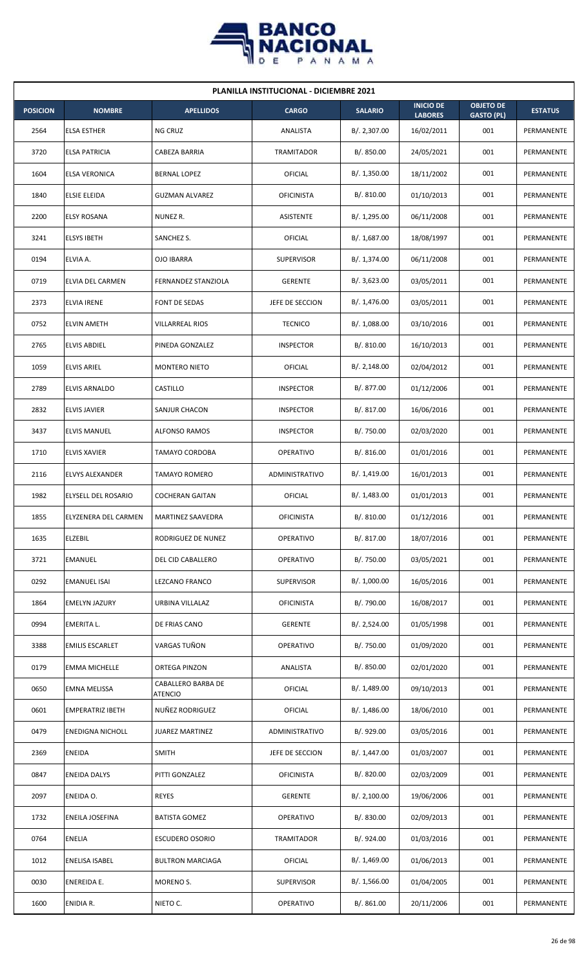

| <b>PLANILLA INSTITUCIONAL - DICIEMBRE 2021</b> |                             |                               |                   |                |                                    |                                       |                |  |  |
|------------------------------------------------|-----------------------------|-------------------------------|-------------------|----------------|------------------------------------|---------------------------------------|----------------|--|--|
| <b>POSICION</b>                                | <b>NOMBRE</b>               | <b>APELLIDOS</b>              | <b>CARGO</b>      | <b>SALARIO</b> | <b>INICIO DE</b><br><b>LABORES</b> | <b>OBJETO DE</b><br><b>GASTO (PL)</b> | <b>ESTATUS</b> |  |  |
| 2564                                           | <b>ELSA ESTHER</b>          | NG CRUZ                       | ANALISTA          | B/. 2,307.00   | 16/02/2011                         | 001                                   | PERMANENTE     |  |  |
| 3720                                           | <b>ELSA PATRICIA</b>        | CABEZA BARRIA                 | TRAMITADOR        | B/.850.00      | 24/05/2021                         | 001                                   | PERMANENTE     |  |  |
| 1604                                           | <b>ELSA VERONICA</b>        | <b>BERNAL LOPEZ</b>           | <b>OFICIAL</b>    | B/. 1,350.00   | 18/11/2002                         | 001                                   | PERMANENTE     |  |  |
| 1840                                           | <b>ELSIE ELEIDA</b>         | <b>GUZMAN ALVAREZ</b>         | <b>OFICINISTA</b> | B/. 810.00     | 01/10/2013                         | 001                                   | PERMANENTE     |  |  |
| 2200                                           | <b>ELSY ROSANA</b>          | NUNEZ R.                      | <b>ASISTENTE</b>  | B/. 1,295.00   | 06/11/2008                         | 001                                   | PERMANENTE     |  |  |
| 3241                                           | <b>ELSYS IBETH</b>          | SANCHEZ S.                    | <b>OFICIAL</b>    | B/. 1,687.00   | 18/08/1997                         | 001                                   | PERMANENTE     |  |  |
| 0194                                           | ELVIA A.                    | <b>OJO IBARRA</b>             | <b>SUPERVISOR</b> | B/. 1,374.00   | 06/11/2008                         | 001                                   | PERMANENTE     |  |  |
| 0719                                           | ELVIA DEL CARMEN            | <b>FERNANDEZ STANZIOLA</b>    | <b>GERENTE</b>    | B/.3,623.00    | 03/05/2011                         | 001                                   | PERMANENTE     |  |  |
| 2373                                           | <b>ELVIA IRENE</b>          | FONT DE SEDAS                 | JEFE DE SECCION   | B/. 1,476.00   | 03/05/2011                         | 001                                   | PERMANENTE     |  |  |
| 0752                                           | <b>ELVIN AMETH</b>          | <b>VILLARREAL RIOS</b>        | <b>TECNICO</b>    | B/.1,088.00    | 03/10/2016                         | 001                                   | PERMANENTE     |  |  |
| 2765                                           | <b>ELVIS ABDIEL</b>         | PINEDA GONZALEZ               | <b>INSPECTOR</b>  | B/. 810.00     | 16/10/2013                         | 001                                   | PERMANENTE     |  |  |
| 1059                                           | <b>ELVIS ARIEL</b>          | <b>MONTERO NIETO</b>          | OFICIAL           | B/.2,148.00    | 02/04/2012                         | 001                                   | PERMANENTE     |  |  |
| 2789                                           | ELVIS ARNALDO               | CASTILLO                      | <b>INSPECTOR</b>  | B/. 877.00     | 01/12/2006                         | 001                                   | PERMANENTE     |  |  |
| 2832                                           | <b>ELVIS JAVIER</b>         | SANJUR CHACON                 | <b>INSPECTOR</b>  | B/. 817.00     | 16/06/2016                         | 001                                   | PERMANENTE     |  |  |
| 3437                                           | <b>ELVIS MANUEL</b>         | <b>ALFONSO RAMOS</b>          | <b>INSPECTOR</b>  | B/. 750.00     | 02/03/2020                         | 001                                   | PERMANENTE     |  |  |
| 1710                                           | <b>ELVIS XAVIER</b>         | <b>TAMAYO CORDOBA</b>         | <b>OPERATIVO</b>  | B/. 816.00     | 01/01/2016                         | 001                                   | PERMANENTE     |  |  |
| 2116                                           | <b>ELVYS ALEXANDER</b>      | <b>TAMAYO ROMERO</b>          | ADMINISTRATIVO    | B/. 1,419.00   | 16/01/2013                         | 001                                   | PERMANENTE     |  |  |
| 1982                                           | ELYSELL DEL ROSARIO         | <b>COCHERAN GAITAN</b>        | OFICIAL           | B/. 1,483.00   | 01/01/2013                         | 001                                   | PERMANENTE     |  |  |
| 1855                                           | <b>ELYZENERA DEL CARMEN</b> | MARTINEZ SAAVEDRA             | <b>OFICINISTA</b> | B/. 810.00     | 01/12/2016                         | 001                                   | PERMANENTE     |  |  |
| 1635                                           | ELZEBIL                     | RODRIGUEZ DE NUNEZ            | OPERATIVO         | B/. 817.00     | 18/07/2016                         | 001                                   | PERMANENTE     |  |  |
| 3721                                           | EMANUEL                     | DEL CID CABALLERO             | <b>OPERATIVO</b>  | B/. 750.00     | 03/05/2021                         | 001                                   | PERMANENTE     |  |  |
| 0292                                           | <b>EMANUEL ISAI</b>         | LEZCANO FRANCO                | <b>SUPERVISOR</b> | B/. 1,000.00   | 16/05/2016                         | 001                                   | PERMANENTE     |  |  |
| 1864                                           | <b>EMELYN JAZURY</b>        | URBINA VILLALAZ               | <b>OFICINISTA</b> | B/. 790.00     | 16/08/2017                         | 001                                   | PERMANENTE     |  |  |
| 0994                                           | EMERITA L.                  | DE FRIAS CANO                 | <b>GERENTE</b>    | B/. 2,524.00   | 01/05/1998                         | 001                                   | PERMANENTE     |  |  |
| 3388                                           | <b>EMILIS ESCARLET</b>      | VARGAS TUÑON                  | <b>OPERATIVO</b>  | B/. 750.00     | 01/09/2020                         | 001                                   | PERMANENTE     |  |  |
| 0179                                           | <b>EMMA MICHELLE</b>        | ORTEGA PINZON                 | ANALISTA          | B/. 850.00     | 02/01/2020                         | 001                                   | PERMANENTE     |  |  |
| 0650                                           | EMNA MELISSA                | CABALLERO BARBA DE<br>ATENCIO | OFICIAL           | B/. 1,489.00   | 09/10/2013                         | 001                                   | PERMANENTE     |  |  |
| 0601                                           | <b>EMPERATRIZ IBETH</b>     | NUÑEZ RODRIGUEZ               | <b>OFICIAL</b>    | B/. 1,486.00   | 18/06/2010                         | 001                                   | PERMANENTE     |  |  |
| 0479                                           | <b>ENEDIGNA NICHOLL</b>     | <b>JUAREZ MARTINEZ</b>        | ADMINISTRATIVO    | B/. 929.00     | 03/05/2016                         | 001                                   | PERMANENTE     |  |  |
| 2369                                           | ENEIDA                      | <b>SMITH</b>                  | JEFE DE SECCION   | B/. 1,447.00   | 01/03/2007                         | 001                                   | PERMANENTE     |  |  |
| 0847                                           | <b>ENEIDA DALYS</b>         | PITTI GONZALEZ                | <b>OFICINISTA</b> | B/. 820.00     | 02/03/2009                         | 001                                   | PERMANENTE     |  |  |
| 2097                                           | ENEIDA O.                   | <b>REYES</b>                  | <b>GERENTE</b>    | B/.2,100.00    | 19/06/2006                         | 001                                   | PERMANENTE     |  |  |
| 1732                                           | ENEILA JOSEFINA             | <b>BATISTA GOMEZ</b>          | <b>OPERATIVO</b>  | B/. 830.00     | 02/09/2013                         | 001                                   | PERMANENTE     |  |  |
| 0764                                           | ENELIA                      | <b>ESCUDERO OSORIO</b>        | <b>TRAMITADOR</b> | B/. 924.00     | 01/03/2016                         | 001                                   | PERMANENTE     |  |  |
| 1012                                           | ENELISA ISABEL              | <b>BULTRON MARCIAGA</b>       | OFICIAL           | B/.1,469.00    | 01/06/2013                         | 001                                   | PERMANENTE     |  |  |
| 0030                                           | <b>ENEREIDA E.</b>          | MORENO S.                     | <b>SUPERVISOR</b> | B/.1,566.00    | 01/04/2005                         | 001                                   | PERMANENTE     |  |  |
| 1600                                           | ENIDIA R.                   | NIETO C.                      | OPERATIVO         | B/. 861.00     | 20/11/2006                         | 001                                   | PERMANENTE     |  |  |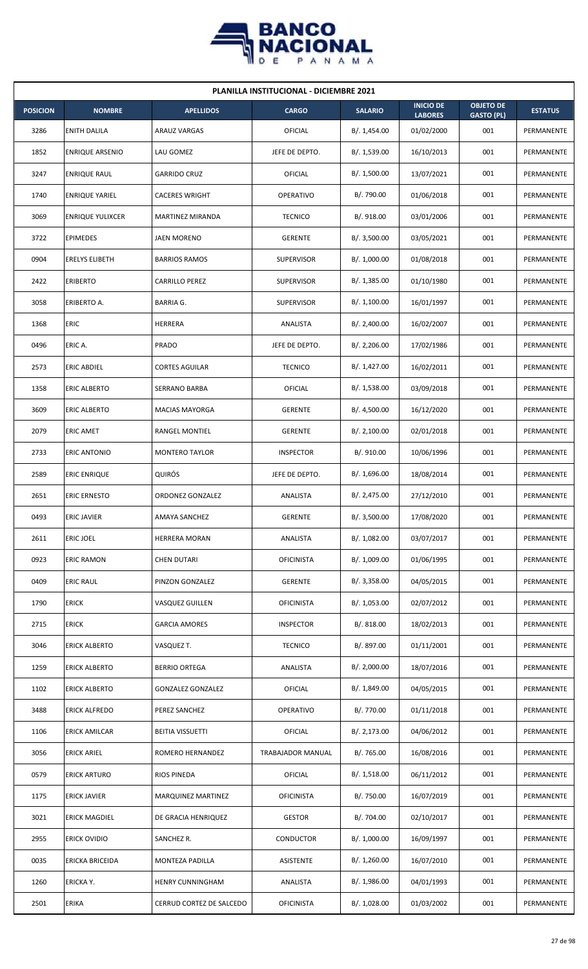

| <b>PLANILLA INSTITUCIONAL - DICIEMBRE 2021</b> |                         |                           |                   |                |                                    |                                       |                |  |  |  |
|------------------------------------------------|-------------------------|---------------------------|-------------------|----------------|------------------------------------|---------------------------------------|----------------|--|--|--|
| <b>POSICION</b>                                | <b>NOMBRE</b>           | <b>APELLIDOS</b>          | <b>CARGO</b>      | <b>SALARIO</b> | <b>INICIO DE</b><br><b>LABORES</b> | <b>OBJETO DE</b><br><b>GASTO (PL)</b> | <b>ESTATUS</b> |  |  |  |
| 3286                                           | <b>ENITH DALILA</b>     | <b>ARAUZ VARGAS</b>       | OFICIAL           | B/. 1,454.00   | 01/02/2000                         | 001                                   | PERMANENTE     |  |  |  |
| 1852                                           | <b>ENRIQUE ARSENIO</b>  | LAU GOMEZ                 | JEFE DE DEPTO.    | B/. 1,539.00   | 16/10/2013                         | 001                                   | PERMANENTE     |  |  |  |
| 3247                                           | <b>ENRIQUE RAUL</b>     | <b>GARRIDO CRUZ</b>       | <b>OFICIAL</b>    | B/. 1,500.00   | 13/07/2021                         | 001                                   | PERMANENTE     |  |  |  |
| 1740                                           | <b>ENRIQUE YARIEL</b>   | <b>CACERES WRIGHT</b>     | OPERATIVO         | B/. 790.00     | 01/06/2018                         | 001                                   | PERMANENTE     |  |  |  |
| 3069                                           | <b>ENRIQUE YULIXCER</b> | <b>MARTINEZ MIRANDA</b>   | <b>TECNICO</b>    | B/. 918.00     | 03/01/2006                         | 001                                   | PERMANENTE     |  |  |  |
| 3722                                           | <b>EPIMEDES</b>         | JAEN MORENO               | <b>GERENTE</b>    | B/. 3,500.00   | 03/05/2021                         | 001                                   | PERMANENTE     |  |  |  |
| 0904                                           | <b>ERELYS ELIBETH</b>   | <b>BARRIOS RAMOS</b>      | <b>SUPERVISOR</b> | B/. 1,000.00   | 01/08/2018                         | 001                                   | PERMANENTE     |  |  |  |
| 2422                                           | <b>ERIBERTO</b>         | <b>CARRILLO PEREZ</b>     | <b>SUPERVISOR</b> | B/.1,385.00    | 01/10/1980                         | 001                                   | PERMANENTE     |  |  |  |
| 3058                                           | ERIBERTO A.             | <b>BARRIA G.</b>          | <b>SUPERVISOR</b> | B/. 1,100.00   | 16/01/1997                         | 001                                   | PERMANENTE     |  |  |  |
| 1368                                           | ERIC                    | HERRERA                   | ANALISTA          | B/.2,400.00    | 16/02/2007                         | 001                                   | PERMANENTE     |  |  |  |
| 0496                                           | ERIC A.                 | PRADO                     | JEFE DE DEPTO.    | B/. 2,206.00   | 17/02/1986                         | 001                                   | PERMANENTE     |  |  |  |
| 2573                                           | <b>ERIC ABDIEL</b>      | <b>CORTES AGUILAR</b>     | <b>TECNICO</b>    | B/. 1,427.00   | 16/02/2011                         | 001                                   | PERMANENTE     |  |  |  |
| 1358                                           | ERIC ALBERTO            | SERRANO BARBA             | OFICIAL           | B/. 1,538.00   | 03/09/2018                         | 001                                   | PERMANENTE     |  |  |  |
| 3609                                           | <b>ERIC ALBERTO</b>     | <b>MACIAS MAYORGA</b>     | <b>GERENTE</b>    | B/. 4,500.00   | 16/12/2020                         | 001                                   | PERMANENTE     |  |  |  |
| 2079                                           | <b>ERIC AMET</b>        | RANGEL MONTIEL            | <b>GERENTE</b>    | B/.2,100.00    | 02/01/2018                         | 001                                   | PERMANENTE     |  |  |  |
| 2733                                           | <b>ERIC ANTONIO</b>     | <b>MONTERO TAYLOR</b>     | <b>INSPECTOR</b>  | B/. 910.00     | 10/06/1996                         | 001                                   | PERMANENTE     |  |  |  |
| 2589                                           | <b>ERIC ENRIQUE</b>     | QUIRÓS                    | JEFE DE DEPTO.    | B/.1,696.00    | 18/08/2014                         | 001                                   | PERMANENTE     |  |  |  |
| 2651                                           | <b>ERIC ERNESTO</b>     | ORDONEZ GONZALEZ          | ANALISTA          | B/.2,475.00    | 27/12/2010                         | 001                                   | PERMANENTE     |  |  |  |
| 0493                                           | <b>ERIC JAVIER</b>      | <b>AMAYA SANCHEZ</b>      | <b>GERENTE</b>    | B/. 3,500.00   | 17/08/2020                         | 001                                   | PERMANENTE     |  |  |  |
| 2611                                           | ERIC JOEL               | <b>HERRERA MORAN</b>      | ANALISTA          | B/. 1,082.00   | 03/07/2017                         | 001                                   | PERMANENTE     |  |  |  |
| 0923                                           | <b>ERIC RAMON</b>       | <b>CHEN DUTARI</b>        | <b>OFICINISTA</b> | B/. 1,009.00   | 01/06/1995                         | 001                                   | PERMANENTE     |  |  |  |
| 0409                                           | <b>ERIC RAUL</b>        | PINZON GONZALEZ           | <b>GERENTE</b>    | B/. 3,358.00   | 04/05/2015                         | 001                                   | PERMANENTE     |  |  |  |
| 1790                                           | <b>ERICK</b>            | VASQUEZ GUILLEN           | <b>OFICINISTA</b> | B/. 1,053.00   | 02/07/2012                         | 001                                   | PERMANENTE     |  |  |  |
| 2715                                           | <b>ERICK</b>            | <b>GARCIA AMORES</b>      | <b>INSPECTOR</b>  | B/. 818.00     | 18/02/2013                         | 001                                   | PERMANENTE     |  |  |  |
| 3046                                           | <b>ERICK ALBERTO</b>    | VASQUEZ T.                | <b>TECNICO</b>    | B/. 897.00     | 01/11/2001                         | 001                                   | PERMANENTE     |  |  |  |
| 1259                                           | <b>ERICK ALBERTO</b>    | <b>BERRIO ORTEGA</b>      | ANALISTA          | B/.2,000.00    | 18/07/2016                         | 001                                   | PERMANENTE     |  |  |  |
| 1102                                           | ERICK ALBERTO           | <b>GONZALEZ GONZALEZ</b>  | OFICIAL           | B/. 1,849.00   | 04/05/2015                         | 001                                   | PERMANENTE     |  |  |  |
| 3488                                           | <b>ERICK ALFREDO</b>    | PEREZ SANCHEZ             | OPERATIVO         | B/. 770.00     | 01/11/2018                         | 001                                   | PERMANENTE     |  |  |  |
| 1106                                           | <b>ERICK AMILCAR</b>    | <b>BEITIA VISSUETTI</b>   | <b>OFICIAL</b>    | B/.2,173.00    | 04/06/2012                         | 001                                   | PERMANENTE     |  |  |  |
| 3056                                           | <b>ERICK ARIEL</b>      | ROMERO HERNANDEZ          | TRABAJADOR MANUAL | B/. 765.00     | 16/08/2016                         | 001                                   | PERMANENTE     |  |  |  |
| 0579                                           | <b>ERICK ARTURO</b>     | RIOS PINEDA               | <b>OFICIAL</b>    | B/. 1,518.00   | 06/11/2012                         | 001                                   | PERMANENTE     |  |  |  |
| 1175                                           | <b>ERICK JAVIER</b>     | <b>MARQUINEZ MARTINEZ</b> | <b>OFICINISTA</b> | B/. 750.00     | 16/07/2019                         | 001                                   | PERMANENTE     |  |  |  |
| 3021                                           | <b>ERICK MAGDIEL</b>    | DE GRACIA HENRIQUEZ       | <b>GESTOR</b>     | B/. 704.00     | 02/10/2017                         | 001                                   | PERMANENTE     |  |  |  |
| 2955                                           | <b>ERICK OVIDIO</b>     | SANCHEZ R.                | <b>CONDUCTOR</b>  | B/. 1,000.00   | 16/09/1997                         | 001                                   | PERMANENTE     |  |  |  |
| 0035                                           | ERICKA BRICEIDA         | MONTEZA PADILLA           | ASISTENTE         | B/. 1,260.00   | 16/07/2010                         | 001                                   | PERMANENTE     |  |  |  |
| 1260                                           | ERICKA Y.               | HENRY CUNNINGHAM          | ANALISTA          | B/. 1,986.00   | 04/01/1993                         | 001                                   | PERMANENTE     |  |  |  |
| 2501                                           | <b>ERIKA</b>            | CERRUD CORTEZ DE SALCEDO  | <b>OFICINISTA</b> | B/. 1,028.00   | 01/03/2002                         | 001                                   | PERMANENTE     |  |  |  |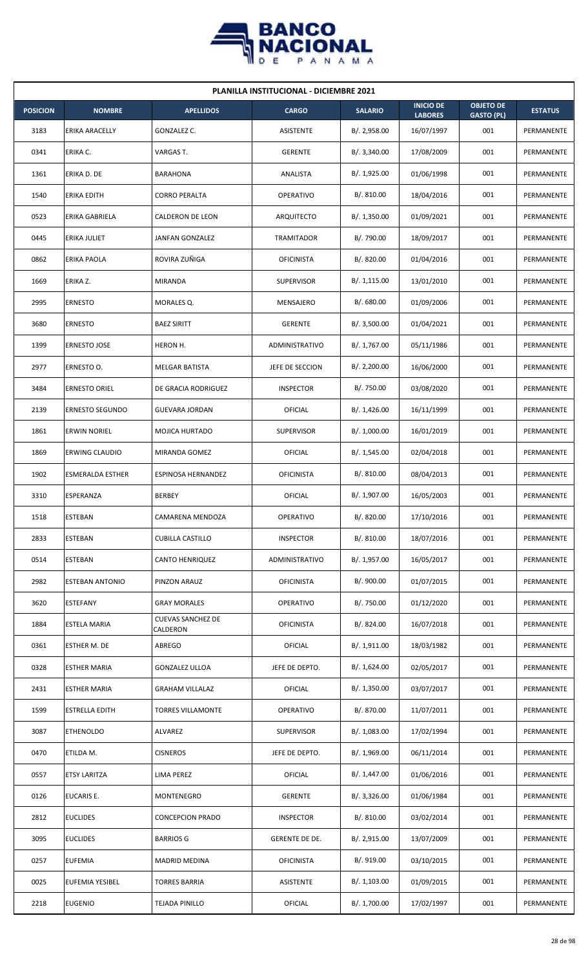

| <b>PLANILLA INSTITUCIONAL - DICIEMBRE 2021</b> |                         |                                      |                   |                |                                    |                                       |                |  |  |  |
|------------------------------------------------|-------------------------|--------------------------------------|-------------------|----------------|------------------------------------|---------------------------------------|----------------|--|--|--|
| <b>POSICION</b>                                | <b>NOMBRE</b>           | <b>APELLIDOS</b>                     | <b>CARGO</b>      | <b>SALARIO</b> | <b>INICIO DE</b><br><b>LABORES</b> | <b>OBJETO DE</b><br><b>GASTO (PL)</b> | <b>ESTATUS</b> |  |  |  |
| 3183                                           | ERIKA ARACELLY          | GONZALEZ C.                          | <b>ASISTENTE</b>  | B/.2,958.00    | 16/07/1997                         | 001                                   | PERMANENTE     |  |  |  |
| 0341                                           | ERIKA C.                | VARGAS T.                            | <b>GERENTE</b>    | B/.3,340.00    | 17/08/2009                         | 001                                   | PERMANENTE     |  |  |  |
| 1361                                           | ERIKA D. DE             | <b>BARAHONA</b>                      | ANALISTA          | B/. 1,925.00   | 01/06/1998                         | 001                                   | PERMANENTE     |  |  |  |
| 1540                                           | <b>ERIKA EDITH</b>      | <b>CORRO PERALTA</b>                 | OPERATIVO         | B/. 810.00     | 18/04/2016                         | 001                                   | PERMANENTE     |  |  |  |
| 0523                                           | ERIKA GABRIELA          | CALDERON DE LEON                     | ARQUITECTO        | B/. 1,350.00   | 01/09/2021                         | 001                                   | PERMANENTE     |  |  |  |
| 0445                                           | <b>ERIKA JULIET</b>     | JANFAN GONZALEZ                      | <b>TRAMITADOR</b> | B/. 790.00     | 18/09/2017                         | 001                                   | PERMANENTE     |  |  |  |
| 0862                                           | ERIKA PAOLA             | ROVIRA ZUÑIGA                        | <b>OFICINISTA</b> | B/. 820.00     | 01/04/2016                         | 001                                   | PERMANENTE     |  |  |  |
| 1669                                           | ERIKA Z.                | <b>MIRANDA</b>                       | <b>SUPERVISOR</b> | B/.1,115.00    | 13/01/2010                         | 001                                   | PERMANENTE     |  |  |  |
| 2995                                           | <b>ERNESTO</b>          | MORALES Q.                           | MENSAJERO         | B/0.680.00     | 01/09/2006                         | 001                                   | PERMANENTE     |  |  |  |
| 3680                                           | <b>ERNESTO</b>          | <b>BAEZ SIRITT</b>                   | <b>GERENTE</b>    | B/.3,500.00    | 01/04/2021                         | 001                                   | PERMANENTE     |  |  |  |
| 1399                                           | <b>ERNESTO JOSE</b>     | HERON H.                             | ADMINISTRATIVO    | B/. 1,767.00   | 05/11/1986                         | 001                                   | PERMANENTE     |  |  |  |
| 2977                                           | ERNESTO O.              | MELGAR BATISTA                       | JEFE DE SECCION   | B/.2,200.00    | 16/06/2000                         | 001                                   | PERMANENTE     |  |  |  |
| 3484                                           | ERNESTO ORIEL           | DE GRACIA RODRIGUEZ                  | <b>INSPECTOR</b>  | B/. 750.00     | 03/08/2020                         | 001                                   | PERMANENTE     |  |  |  |
| 2139                                           | <b>ERNESTO SEGUNDO</b>  | <b>GUEVARA JORDAN</b>                | OFICIAL           | B/.1,426.00    | 16/11/1999                         | 001                                   | PERMANENTE     |  |  |  |
| 1861                                           | <b>ERWIN NORIEL</b>     | MOJICA HURTADO                       | <b>SUPERVISOR</b> | B/. 1,000.00   | 16/01/2019                         | 001                                   | PERMANENTE     |  |  |  |
| 1869                                           | <b>ERWING CLAUDIO</b>   | MIRANDA GOMEZ                        | <b>OFICIAL</b>    | B/.1,545.00    | 02/04/2018                         | 001                                   | PERMANENTE     |  |  |  |
| 1902                                           | <b>ESMERALDA ESTHER</b> | ESPINOSA HERNANDEZ                   | <b>OFICINISTA</b> | B/.810.00      | 08/04/2013                         | 001                                   | PERMANENTE     |  |  |  |
| 3310                                           | ESPERANZA               | <b>BERBEY</b>                        | OFICIAL           | B/. 1,907.00   | 16/05/2003                         | 001                                   | PERMANENTE     |  |  |  |
| 1518                                           | <b>ESTEBAN</b>          | CAMARENA MENDOZA                     | OPERATIVO         | B/. 820.00     | 17/10/2016                         | 001                                   | PERMANENTE     |  |  |  |
| 2833                                           | <b>ESTEBAN</b>          | CUBILLA CASTILLO                     | <b>INSPECTOR</b>  | B/. 810.00     | 18/07/2016                         | 001                                   | PERMANENTE     |  |  |  |
| 0514                                           | <b>ESTEBAN</b>          | <b>CANTO HENRIQUEZ</b>               | ADMINISTRATIVO    | B/. 1,957.00   | 16/05/2017                         | 001                                   | PERMANENTE     |  |  |  |
| 2982                                           | <b>ESTEBAN ANTONIO</b>  | PINZON ARAUZ                         | <b>OFICINISTA</b> | B/. 900.00     | 01/07/2015                         | 001                                   | PERMANENTE     |  |  |  |
| 3620                                           | <b>ESTEFANY</b>         | <b>GRAY MORALES</b>                  | OPERATIVO         | B/. 750.00     | 01/12/2020                         | 001                                   | PERMANENTE     |  |  |  |
| 1884                                           | ESTELA MARIA            | <b>CUEVAS SANCHEZ DE</b><br>CALDERON | <b>OFICINISTA</b> | B/. 824.00     | 16/07/2018                         | 001                                   | PERMANENTE     |  |  |  |
| 0361                                           | <b>ESTHER M. DE</b>     | <b>ABREGO</b>                        | <b>OFICIAL</b>    | B/. 1,911.00   | 18/03/1982                         | 001                                   | PERMANENTE     |  |  |  |
| 0328                                           | <b>ESTHER MARIA</b>     | <b>GONZALEZ ULLOA</b>                | JEFE DE DEPTO.    | B/. 1,624.00   | 02/05/2017                         | 001                                   | PERMANENTE     |  |  |  |
| 2431                                           | <b>ESTHER MARIA</b>     | GRAHAM VILLALAZ                      | OFICIAL           | B/.1,350.00    | 03/07/2017                         | 001                                   | PERMANENTE     |  |  |  |
| 1599                                           | <b>ESTRELLA EDITH</b>   | <b>TORRES VILLAMONTE</b>             | <b>OPERATIVO</b>  | B/. 870.00     | 11/07/2011                         | 001                                   | PERMANENTE     |  |  |  |
| 3087                                           | <b>ETHENOLDO</b>        | ALVAREZ                              | SUPERVISOR        | B/. 1,083.00   | 17/02/1994                         | 001                                   | PERMANENTE     |  |  |  |
| 0470                                           | ETILDA M.               | <b>CISNEROS</b>                      | JEFE DE DEPTO.    | B/. 1,969.00   | 06/11/2014                         | 001                                   | PERMANENTE     |  |  |  |
| 0557                                           | <b>ETSY LARITZA</b>     | <b>LIMA PEREZ</b>                    | <b>OFICIAL</b>    | B/. 1,447.00   | 01/06/2016                         | 001                                   | PERMANENTE     |  |  |  |
| 0126                                           | <b>EUCARIS E.</b>       | MONTENEGRO                           | <b>GERENTE</b>    | B/. 3,326.00   | 01/06/1984                         | 001                                   | PERMANENTE     |  |  |  |
| 2812                                           | <b>EUCLIDES</b>         | <b>CONCEPCION PRADO</b>              | <b>INSPECTOR</b>  | B/. 810.00     | 03/02/2014                         | 001                                   | PERMANENTE     |  |  |  |
| 3095                                           | <b>EUCLIDES</b>         | <b>BARRIOS G</b>                     | GERENTE DE DE.    | B/. 2,915.00   | 13/07/2009                         | 001                                   | PERMANENTE     |  |  |  |
| 0257                                           | <b>EUFEMIA</b>          | <b>MADRID MEDINA</b>                 | <b>OFICINISTA</b> | B/. 919.00     | 03/10/2015                         | 001                                   | PERMANENTE     |  |  |  |
| 0025                                           | <b>EUFEMIA YESIBEL</b>  | <b>TORRES BARRIA</b>                 | <b>ASISTENTE</b>  | B/. 1,103.00   | 01/09/2015                         | 001                                   | PERMANENTE     |  |  |  |
| 2218                                           | <b>EUGENIO</b>          | <b>TEJADA PINILLO</b>                | <b>OFICIAL</b>    | B/. 1,700.00   | 17/02/1997                         | 001                                   | PERMANENTE     |  |  |  |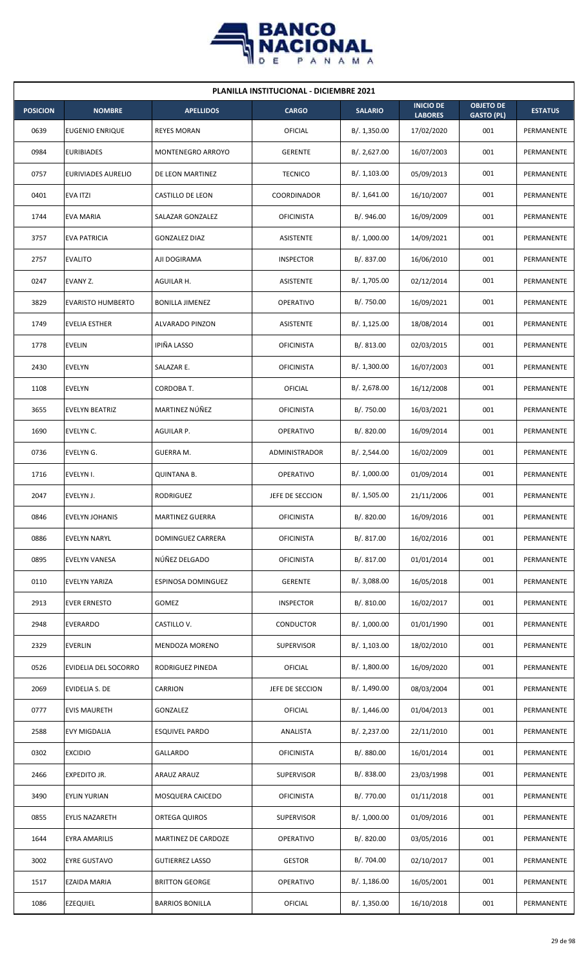

| <b>PLANILLA INSTITUCIONAL - DICIEMBRE 2021</b> |                           |                        |                   |                |                                    |                                       |                |  |  |
|------------------------------------------------|---------------------------|------------------------|-------------------|----------------|------------------------------------|---------------------------------------|----------------|--|--|
| <b>POSICION</b>                                | <b>NOMBRE</b>             | <b>APELLIDOS</b>       | <b>CARGO</b>      | <b>SALARIO</b> | <b>INICIO DE</b><br><b>LABORES</b> | <b>OBJETO DE</b><br><b>GASTO (PL)</b> | <b>ESTATUS</b> |  |  |
| 0639                                           | EUGENIO ENRIQUE           | <b>REYES MORAN</b>     | <b>OFICIAL</b>    | B/.1,350.00    | 17/02/2020                         | 001                                   | PERMANENTE     |  |  |
| 0984                                           | <b>EURIBIADES</b>         | MONTENEGRO ARROYO      | <b>GERENTE</b>    | B/. 2,627.00   | 16/07/2003                         | 001                                   | PERMANENTE     |  |  |
| 0757                                           | <b>EURIVIADES AURELIO</b> | DE LEON MARTINEZ       | <b>TECNICO</b>    | B/. 1,103.00   | 05/09/2013                         | 001                                   | PERMANENTE     |  |  |
| 0401                                           | <b>EVA ITZI</b>           | CASTILLO DE LEON       | COORDINADOR       | B/.1,641.00    | 16/10/2007                         | 001                                   | PERMANENTE     |  |  |
| 1744                                           | EVA MARIA                 | SALAZAR GONZALEZ       | <b>OFICINISTA</b> | B/. 946.00     | 16/09/2009                         | 001                                   | PERMANENTE     |  |  |
| 3757                                           | EVA PATRICIA              | <b>GONZALEZ DIAZ</b>   | ASISTENTE         | B/. 1,000.00   | 14/09/2021                         | 001                                   | PERMANENTE     |  |  |
| 2757                                           | <b>EVALITO</b>            | AJI DOGIRAMA           | <b>INSPECTOR</b>  | B/. 837.00     | 16/06/2010                         | 001                                   | PERMANENTE     |  |  |
| 0247                                           | EVANY Z.                  | AGUILAR H.             | ASISTENTE         | B/. 1,705.00   | 02/12/2014                         | 001                                   | PERMANENTE     |  |  |
| 3829                                           | <b>EVARISTO HUMBERTO</b>  | <b>BONILLA JIMENEZ</b> | OPERATIVO         | B/. 750.00     | 16/09/2021                         | 001                                   | PERMANENTE     |  |  |
| 1749                                           | <b>EVELIA ESTHER</b>      | ALVARADO PINZON        | ASISTENTE         | B/. 1,125.00   | 18/08/2014                         | 001                                   | PERMANENTE     |  |  |
| 1778                                           | <b>EVELIN</b>             | IPIÑA LASSO            | <b>OFICINISTA</b> | B/. 813.00     | 02/03/2015                         | 001                                   | PERMANENTE     |  |  |
| 2430                                           | EVELYN                    | SALAZAR E.             | <b>OFICINISTA</b> | B/. 1,300.00   | 16/07/2003                         | 001                                   | PERMANENTE     |  |  |
| 1108                                           | <b>EVELYN</b>             | CORDOBA T.             | OFICIAL           | B/.2,678.00    | 16/12/2008                         | 001                                   | PERMANENTE     |  |  |
| 3655                                           | EVELYN BEATRIZ            | MARTINEZ NÚÑEZ         | <b>OFICINISTA</b> | B/. 750.00     | 16/03/2021                         | 001                                   | PERMANENTE     |  |  |
| 1690                                           | EVELYN C.                 | AGUILAR P.             | <b>OPERATIVO</b>  | B/. 820.00     | 16/09/2014                         | 001                                   | PERMANENTE     |  |  |
| 0736                                           | EVELYN G.                 | GUERRA M.              | ADMINISTRADOR     | B/. 2,544.00   | 16/02/2009                         | 001                                   | PERMANENTE     |  |  |
| 1716                                           | EVELYN I.                 | <b>QUINTANA B.</b>     | OPERATIVO         | B/. 1,000.00   | 01/09/2014                         | 001                                   | PERMANENTE     |  |  |
| 2047                                           | EVELYN J.                 | RODRIGUEZ              | JEFE DE SECCION   | B/. 1,505.00   | 21/11/2006                         | 001                                   | PERMANENTE     |  |  |
| 0846                                           | <b>EVELYN JOHANIS</b>     | <b>MARTINEZ GUERRA</b> | <b>OFICINISTA</b> | B/. 820.00     | 16/09/2016                         | 001                                   | PERMANENTE     |  |  |
| 0886                                           | <b>EVELYN NARYL</b>       | DOMINGUEZ CARRERA      | <b>OFICINISTA</b> | B/. 817.00     | 16/02/2016                         | 001                                   | PERMANENTE     |  |  |
| 0895                                           | EVELYN VANESA             | NÚÑEZ DELGADO          | <b>OFICINISTA</b> | B/. 817.00     | 01/01/2014                         | 001                                   | PERMANENTE     |  |  |
| 0110                                           | EVELYN YARIZA             | ESPINOSA DOMINGUEZ     | <b>GERENTE</b>    | B/. 3,088.00   | 16/05/2018                         | 001                                   | PERMANENTE     |  |  |
| 2913                                           | <b>EVER ERNESTO</b>       | GOMEZ                  | <b>INSPECTOR</b>  | B/. 810.00     | 16/02/2017                         | 001                                   | PERMANENTE     |  |  |
| 2948                                           | <b>EVERARDO</b>           | CASTILLO V.            | <b>CONDUCTOR</b>  | B/. 1,000.00   | 01/01/1990                         | 001                                   | PERMANENTE     |  |  |
| 2329                                           | <b>EVERLIN</b>            | MENDOZA MORENO         | <b>SUPERVISOR</b> | B/.1,103.00    | 18/02/2010                         | 001                                   | PERMANENTE     |  |  |
| 0526                                           | EVIDELIA DEL SOCORRO      | RODRIGUEZ PINEDA       | <b>OFICIAL</b>    | B/. 1,800.00   | 16/09/2020                         | 001                                   | PERMANENTE     |  |  |
| 2069                                           | EVIDELIA S. DE            | CARRION                | JEFE DE SECCION   | B/. 1,490.00   | 08/03/2004                         | 001                                   | PERMANENTE     |  |  |
| 0777                                           | <b>EVIS MAURETH</b>       | GONZALEZ               | <b>OFICIAL</b>    | B/.1,446.00    | 01/04/2013                         | 001                                   | PERMANENTE     |  |  |
| 2588                                           | <b>EVY MIGDALIA</b>       | <b>ESQUIVEL PARDO</b>  | ANALISTA          | B/.2,237.00    | 22/11/2010                         | 001                                   | PERMANENTE     |  |  |
| 0302                                           | <b>EXCIDIO</b>            | GALLARDO               | <b>OFICINISTA</b> | B/. 880.00     | 16/01/2014                         | 001                                   | PERMANENTE     |  |  |
| 2466                                           | EXPEDITO JR.              | ARAUZ ARAUZ            | <b>SUPERVISOR</b> | B/0.838.00     | 23/03/1998                         | 001                                   | PERMANENTE     |  |  |
| 3490                                           | <b>EYLIN YURIAN</b>       | MOSQUERA CAICEDO       | <b>OFICINISTA</b> | B/. 770.00     | 01/11/2018                         | 001                                   | PERMANENTE     |  |  |
| 0855                                           | <b>EYLIS NAZARETH</b>     | ORTEGA QUIROS          | <b>SUPERVISOR</b> | B/. 1,000.00   | 01/09/2016                         | 001                                   | PERMANENTE     |  |  |
| 1644                                           | EYRA AMARILIS             | MARTINEZ DE CARDOZE    | OPERATIVO         | B/. 820.00     | 03/05/2016                         | 001                                   | PERMANENTE     |  |  |
| 3002                                           | <b>EYRE GUSTAVO</b>       | <b>GUTIERREZ LASSO</b> | <b>GESTOR</b>     | B/. 704.00     | 02/10/2017                         | 001                                   | PERMANENTE     |  |  |
| 1517                                           | EZAIDA MARIA              | <b>BRITTON GEORGE</b>  | OPERATIVO         | B/.1,186.00    | 16/05/2001                         | 001                                   | PERMANENTE     |  |  |
| 1086                                           | <b>EZEQUIEL</b>           | <b>BARRIOS BONILLA</b> | OFICIAL           | B/. 1,350.00   | 16/10/2018                         | 001                                   | PERMANENTE     |  |  |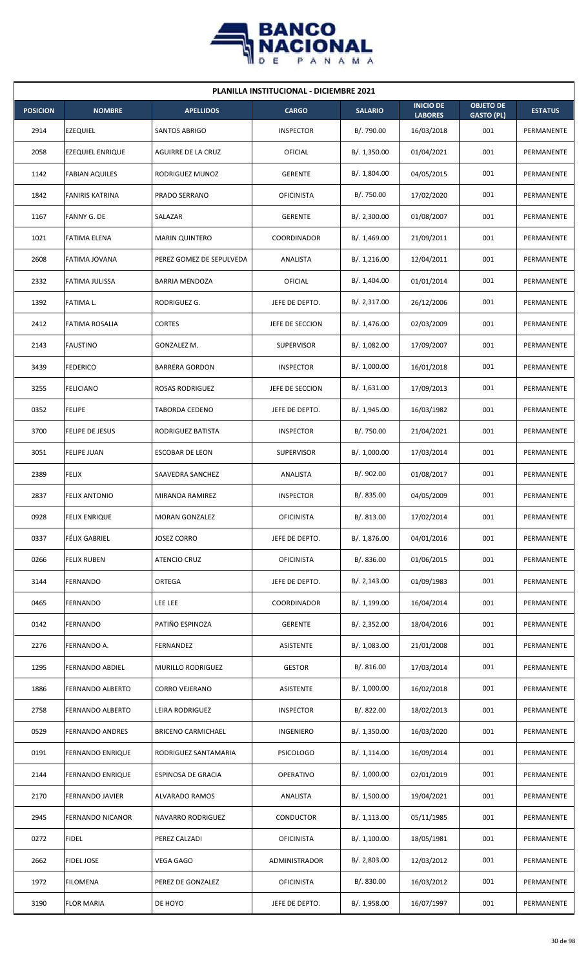

| <b>PLANILLA INSTITUCIONAL - DICIEMBRE 2021</b> |                         |                           |                    |                |                                    |                                       |                |  |  |  |
|------------------------------------------------|-------------------------|---------------------------|--------------------|----------------|------------------------------------|---------------------------------------|----------------|--|--|--|
| <b>POSICION</b>                                | <b>NOMBRE</b>           | <b>APELLIDOS</b>          | <b>CARGO</b>       | <b>SALARIO</b> | <b>INICIO DE</b><br><b>LABORES</b> | <b>OBJETO DE</b><br><b>GASTO (PL)</b> | <b>ESTATUS</b> |  |  |  |
| 2914                                           | <b>EZEQUIEL</b>         | <b>SANTOS ABRIGO</b>      | <b>INSPECTOR</b>   | B/. 790.00     | 16/03/2018                         | 001                                   | PERMANENTE     |  |  |  |
| 2058                                           | <b>EZEQUIEL ENRIQUE</b> | AGUIRRE DE LA CRUZ        | OFICIAL            | B/. 1,350.00   | 01/04/2021                         | 001                                   | PERMANENTE     |  |  |  |
| 1142                                           | <b>FABIAN AQUILES</b>   | RODRIGUEZ MUNOZ           | <b>GERENTE</b>     | B/. 1,804.00   | 04/05/2015                         | 001                                   | PERMANENTE     |  |  |  |
| 1842                                           | <b>FANIRIS KATRINA</b>  | <b>PRADO SERRANO</b>      | <b>OFICINISTA</b>  | B/. 750.00     | 17/02/2020                         | 001                                   | PERMANENTE     |  |  |  |
| 1167                                           | <b>FANNY G. DE</b>      | SALAZAR                   | <b>GERENTE</b>     | B/.2,300.00    | 01/08/2007                         | 001                                   | PERMANENTE     |  |  |  |
| 1021                                           | <b>FATIMA ELENA</b>     | <b>MARIN QUINTERO</b>     | COORDINADOR        | B/. 1,469.00   | 21/09/2011                         | 001                                   | PERMANENTE     |  |  |  |
| 2608                                           | FATIMA JOVANA           | PEREZ GOMEZ DE SEPULVEDA  | ANALISTA           | B/.1,216.00    | 12/04/2011                         | 001                                   | PERMANENTE     |  |  |  |
| 2332                                           | FATIMA JULISSA          | <b>BARRIA MENDOZA</b>     | <b>OFICIAL</b>     | B/. 1,404.00   | 01/01/2014                         | 001                                   | PERMANENTE     |  |  |  |
| 1392                                           | FATIMA L.               | RODRIGUEZ G.              | JEFE DE DEPTO.     | B/. 2,317.00   | 26/12/2006                         | 001                                   | PERMANENTE     |  |  |  |
| 2412                                           | FATIMA ROSALIA          | <b>CORTES</b>             | JEFE DE SECCION    | B/. 1,476.00   | 02/03/2009                         | 001                                   | PERMANENTE     |  |  |  |
| 2143                                           | <b>FAUSTINO</b>         | GONZALEZ M.               | <b>SUPERVISOR</b>  | B/. 1,082.00   | 17/09/2007                         | 001                                   | PERMANENTE     |  |  |  |
| 3439                                           | FEDERICO                | <b>BARRERA GORDON</b>     | <b>INSPECTOR</b>   | B/. 1,000.00   | 16/01/2018                         | 001                                   | PERMANENTE     |  |  |  |
| 3255                                           | FELICIANO               | ROSAS RODRIGUEZ           | JEFE DE SECCION    | B/. 1,631.00   | 17/09/2013                         | 001                                   | PERMANENTE     |  |  |  |
| 0352                                           | <b>FELIPE</b>           | <b>TABORDA CEDENO</b>     | JEFE DE DEPTO.     | B/. 1,945.00   | 16/03/1982                         | 001                                   | PERMANENTE     |  |  |  |
| 3700                                           | <b>FELIPE DE JESUS</b>  | RODRIGUEZ BATISTA         | <b>INSPECTOR</b>   | B/. 750.00     | 21/04/2021                         | 001                                   | PERMANENTE     |  |  |  |
| 3051                                           | <b>FELIPE JUAN</b>      | ESCOBAR DE LEON           | <b>SUPERVISOR</b>  | B/. 1,000.00   | 17/03/2014                         | 001                                   | PERMANENTE     |  |  |  |
| 2389                                           | <b>FELIX</b>            | SAAVEDRA SANCHEZ          | ANALISTA           | B/. 902.00     | 01/08/2017                         | 001                                   | PERMANENTE     |  |  |  |
| 2837                                           | <b>FELIX ANTONIO</b>    | MIRANDA RAMIREZ           | <b>INSPECTOR</b>   | B/. 835.00     | 04/05/2009                         | 001                                   | PERMANENTE     |  |  |  |
| 0928                                           | <b>FELIX ENRIQUE</b>    | <b>MORAN GONZALEZ</b>     | <b>OFICINISTA</b>  | B/. 813.00     | 17/02/2014                         | 001                                   | PERMANENTE     |  |  |  |
| 0337                                           | FÉLIX GABRIEL           | JOSEZ CORRO               | JEFE DE DEPTO.     | B/. 1,876.00   | 04/01/2016                         | 001                                   | PERMANENTE     |  |  |  |
| 0266                                           | <b>FELIX RUBEN</b>      | <b>ATENCIO CRUZ</b>       | <b>OFICINISTA</b>  | B/. 836.00     | 01/06/2015                         | 001                                   | PERMANENTE     |  |  |  |
| 3144                                           | FERNANDO                | <b>ORTEGA</b>             | JEFE DE DEPTO.     | B/.2,143.00    | 01/09/1983                         | 001                                   | PERMANENTE     |  |  |  |
| 0465                                           | <b>FERNANDO</b>         | <b>LEE LEE</b>            | <b>COORDINADOR</b> | B/. 1,199.00   | 16/04/2014                         | 001                                   | PERMANENTE     |  |  |  |
| 0142                                           | FERNANDO                | PATIÑO ESPINOZA           | <b>GERENTE</b>     | B/. 2,352.00   | 18/04/2016                         | 001                                   | PERMANENTE     |  |  |  |
| 2276                                           | FERNANDO A.             | FERNANDEZ                 | ASISTENTE          | B/. 1,083.00   | 21/01/2008                         | 001                                   | PERMANENTE     |  |  |  |
| 1295                                           | FERNANDO ABDIEL         | MURILLO RODRIGUEZ         | <b>GESTOR</b>      | B/.816.00      | 17/03/2014                         | 001                                   | PERMANENTE     |  |  |  |
| 1886                                           | FERNANDO ALBERTO        | CORRO VEJERANO            | ASISTENTE          | B/. 1,000.00   | 16/02/2018                         | 001                                   | PERMANENTE     |  |  |  |
| 2758                                           | FERNANDO ALBERTO        | LEIRA RODRIGUEZ           | <b>INSPECTOR</b>   | B/. 822.00     | 18/02/2013                         | 001                                   | PERMANENTE     |  |  |  |
| 0529                                           | <b>FERNANDO ANDRES</b>  | <b>BRICENO CARMICHAEL</b> | INGENIERO          | B/. 1,350.00   | 16/03/2020                         | 001                                   | PERMANENTE     |  |  |  |
| 0191                                           | <b>FERNANDO ENRIQUE</b> | RODRIGUEZ SANTAMARIA      | <b>PSICOLOGO</b>   | B/.1,114.00    | 16/09/2014                         | 001                                   | PERMANENTE     |  |  |  |
| 2144                                           | <b>FERNANDO ENRIQUE</b> | ESPINOSA DE GRACIA        | OPERATIVO          | B/. 1,000.00   | 02/01/2019                         | 001                                   | PERMANENTE     |  |  |  |
| 2170                                           | <b>FERNANDO JAVIER</b>  | ALVARADO RAMOS            | ANALISTA           | B/. 1,500.00   | 19/04/2021                         | 001                                   | PERMANENTE     |  |  |  |
| 2945                                           | FERNANDO NICANOR        | NAVARRO RODRIGUEZ         | <b>CONDUCTOR</b>   | B/.1,113.00    | 05/11/1985                         | 001                                   | PERMANENTE     |  |  |  |
| 0272                                           | <b>FIDEL</b>            | PEREZ CALZADI             | <b>OFICINISTA</b>  | B/.1,100.00    | 18/05/1981                         | 001                                   | PERMANENTE     |  |  |  |
| 2662                                           | <b>FIDEL JOSE</b>       | <b>VEGA GAGO</b>          | ADMINISTRADOR      | B/.2,803.00    | 12/03/2012                         | 001                                   | PERMANENTE     |  |  |  |
| 1972                                           | <b>FILOMENA</b>         | PEREZ DE GONZALEZ         | <b>OFICINISTA</b>  | B/. 830.00     | 16/03/2012                         | 001                                   | PERMANENTE     |  |  |  |
| 3190                                           | <b>FLOR MARIA</b>       | DE HOYO                   | JEFE DE DEPTO.     | B/. 1,958.00   | 16/07/1997                         | 001                                   | PERMANENTE     |  |  |  |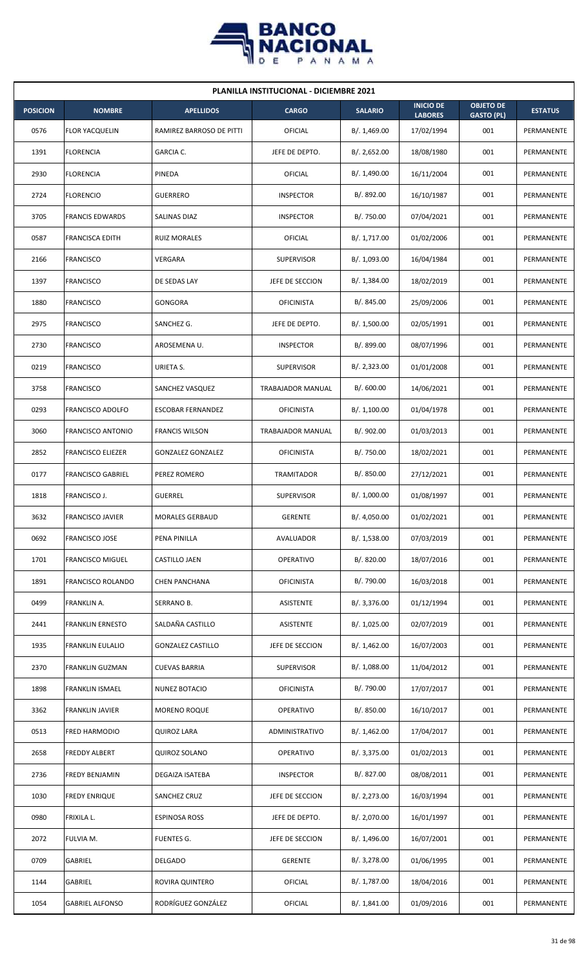

| <b>PLANILLA INSTITUCIONAL - DICIEMBRE 2021</b> |                          |                          |                   |                |                                    |                                       |                   |  |  |
|------------------------------------------------|--------------------------|--------------------------|-------------------|----------------|------------------------------------|---------------------------------------|-------------------|--|--|
| <b>POSICION</b>                                | <b>NOMBRE</b>            | <b>APELLIDOS</b>         | <b>CARGO</b>      | <b>SALARIO</b> | <b>INICIO DE</b><br><b>LABORES</b> | <b>OBJETO DE</b><br><b>GASTO (PL)</b> | <b>ESTATUS</b>    |  |  |
| 0576                                           | <b>FLOR YACQUELIN</b>    | RAMIREZ BARROSO DE PITTI | <b>OFICIAL</b>    | B/.1,469.00    | 17/02/1994                         | 001                                   | PERMANENTE        |  |  |
| 1391                                           | <b>FLORENCIA</b>         | GARCIA C.                | JEFE DE DEPTO.    | B/. 2,652.00   | 18/08/1980                         | 001                                   | PERMANENTE        |  |  |
| 2930                                           | <b>FLORENCIA</b>         | PINEDA                   | OFICIAL           | B/. 1,490.00   | 16/11/2004                         | 001                                   | PERMANENTE        |  |  |
| 2724                                           | <b>FLORENCIO</b>         | <b>GUERRERO</b>          | <b>INSPECTOR</b>  | B/. 892.00     | 16/10/1987                         | 001                                   | <b>PERMANENTE</b> |  |  |
| 3705                                           | <b>FRANCIS EDWARDS</b>   | SALINAS DIAZ             | <b>INSPECTOR</b>  | B/. 750.00     | 07/04/2021                         | 001                                   | PERMANENTE        |  |  |
| 0587                                           | <b>FRANCISCA EDITH</b>   | <b>RUIZ MORALES</b>      | OFICIAL           | B/. 1,717.00   | 01/02/2006                         | 001                                   | PERMANENTE        |  |  |
| 2166                                           | <b>FRANCISCO</b>         | VERGARA                  | <b>SUPERVISOR</b> | B/. 1,093.00   | 16/04/1984                         | 001                                   | PERMANENTE        |  |  |
| 1397                                           | <b>FRANCISCO</b>         | DE SEDAS LAY             | JEFE DE SECCION   | B/.1,384.00    | 18/02/2019                         | 001                                   | PERMANENTE        |  |  |
| 1880                                           | <b>FRANCISCO</b>         | GONGORA                  | <b>OFICINISTA</b> | B/. 845.00     | 25/09/2006                         | 001                                   | PERMANENTE        |  |  |
| 2975                                           | <b>FRANCISCO</b>         | SANCHEZ G.               | JEFE DE DEPTO.    | B/. 1,500.00   | 02/05/1991                         | 001                                   | PERMANENTE        |  |  |
| 2730                                           | <b>FRANCISCO</b>         | AROSEMENA U.             | <b>INSPECTOR</b>  | B/. 899.00     | 08/07/1996                         | 001                                   | PERMANENTE        |  |  |
| 0219                                           | <b>FRANCISCO</b>         | URIETA S.                | <b>SUPERVISOR</b> | B/.2,323.00    | 01/01/2008                         | 001                                   | PERMANENTE        |  |  |
| 3758                                           | <b>FRANCISCO</b>         | SANCHEZ VASQUEZ          | TRABAJADOR MANUAL | B/.600.00      | 14/06/2021                         | 001                                   | PERMANENTE        |  |  |
| 0293                                           | <b>FRANCISCO ADOLFO</b>  | <b>ESCOBAR FERNANDEZ</b> | <b>OFICINISTA</b> | B/.1,100.00    | 01/04/1978                         | 001                                   | PERMANENTE        |  |  |
| 3060                                           | <b>FRANCISCO ANTONIO</b> | <b>FRANCIS WILSON</b>    | TRABAJADOR MANUAL | B/. 902.00     | 01/03/2013                         | 001                                   | PERMANENTE        |  |  |
| 2852                                           | <b>FRANCISCO ELIEZER</b> | <b>GONZALEZ GONZALEZ</b> | <b>OFICINISTA</b> | B/. 750.00     | 18/02/2021                         | 001                                   | PERMANENTE        |  |  |
| 0177                                           | <b>FRANCISCO GABRIEL</b> | PEREZ ROMERO             | TRAMITADOR        | B/.850.00      | 27/12/2021                         | 001                                   | PERMANENTE        |  |  |
| 1818                                           | FRANCISCO J.             | <b>GUERREL</b>           | <b>SUPERVISOR</b> | B/. 1,000.00   | 01/08/1997                         | 001                                   | PERMANENTE        |  |  |
| 3632                                           | <b>FRANCISCO JAVIER</b>  | <b>MORALES GERBAUD</b>   | GERENTE           | B/. 4,050.00   | 01/02/2021                         | 001                                   | PERMANENTE        |  |  |
| 0692                                           | <b>FRANCISCO JOSE</b>    | PENA PINILLA             | AVALUADOR         | B/. 1,538.00   | 07/03/2019                         | 001                                   | PERMANENTE        |  |  |
| 1701                                           | <b>FRANCISCO MIGUEL</b>  | CASTILLO JAEN            | OPERATIVO         | B/. 820.00     | 18/07/2016                         | 001                                   | PERMANENTE        |  |  |
| 1891                                           | <b>FRANCISCO ROLANDO</b> | <b>CHEN PANCHANA</b>     | <b>OFICINISTA</b> | B/. 790.00     | 16/03/2018                         | 001                                   | PERMANENTE        |  |  |
| 0499                                           | FRANKLIN A.              | SERRANO B.               | ASISTENTE         | B/. 3,376.00   | 01/12/1994                         | 001                                   | PERMANENTE        |  |  |
| 2441                                           | <b>FRANKLIN ERNESTO</b>  | SALDAÑA CASTILLO         | ASISTENTE         | B/. 1,025.00   | 02/07/2019                         | 001                                   | PERMANENTE        |  |  |
| 1935                                           | <b>FRANKLIN EULALIO</b>  | <b>GONZALEZ CASTILLO</b> | JEFE DE SECCION   | B/.1,462.00    | 16/07/2003                         | 001                                   | PERMANENTE        |  |  |
| 2370                                           | FRANKLIN GUZMAN          | <b>CUEVAS BARRIA</b>     | <b>SUPERVISOR</b> | B/.1,088.00    | 11/04/2012                         | 001                                   | PERMANENTE        |  |  |
| 1898                                           | <b>FRANKLIN ISMAEL</b>   | NUNEZ BOTACIO            | <b>OFICINISTA</b> | B/. 790.00     | 17/07/2017                         | 001                                   | PERMANENTE        |  |  |
| 3362                                           | <b>FRANKLIN JAVIER</b>   | <b>MORENO ROQUE</b>      | OPERATIVO         | B/. 850.00     | 16/10/2017                         | 001                                   | PERMANENTE        |  |  |
| 0513                                           | <b>FRED HARMODIO</b>     | <b>QUIROZ LARA</b>       | ADMINISTRATIVO    | B/. 1,462.00   | 17/04/2017                         | 001                                   | PERMANENTE        |  |  |
| 2658                                           | <b>FREDDY ALBERT</b>     | <b>QUIROZ SOLANO</b>     | OPERATIVO         | B/. 3,375.00   | 01/02/2013                         | 001                                   | PERMANENTE        |  |  |
| 2736                                           | FREDY BENJAMIN           | DEGAIZA ISATEBA          | <b>INSPECTOR</b>  | B/. 827.00     | 08/08/2011                         | 001                                   | PERMANENTE        |  |  |
| 1030                                           | <b>FREDY ENRIQUE</b>     | SANCHEZ CRUZ             | JEFE DE SECCION   | B/.2,273.00    | 16/03/1994                         | 001                                   | PERMANENTE        |  |  |
| 0980                                           | FRIXILA L.               | <b>ESPINOSA ROSS</b>     | JEFE DE DEPTO.    | B/. 2,070.00   | 16/01/1997                         | 001                                   | PERMANENTE        |  |  |
| 2072                                           | FULVIA M.                | <b>FUENTES G.</b>        | JEFE DE SECCION   | B/. 1,496.00   | 16/07/2001                         | 001                                   | PERMANENTE        |  |  |
| 0709                                           | GABRIEL                  | DELGADO                  | <b>GERENTE</b>    | B/. 3,278.00   | 01/06/1995                         | 001                                   | PERMANENTE        |  |  |
| 1144                                           | GABRIEL                  | ROVIRA QUINTERO          | <b>OFICIAL</b>    | B/. 1,787.00   | 18/04/2016                         | 001                                   | PERMANENTE        |  |  |
| 1054                                           | <b>GABRIEL ALFONSO</b>   | RODRÍGUEZ GONZÁLEZ       | OFICIAL           | B/. 1,841.00   | 01/09/2016                         | 001                                   | PERMANENTE        |  |  |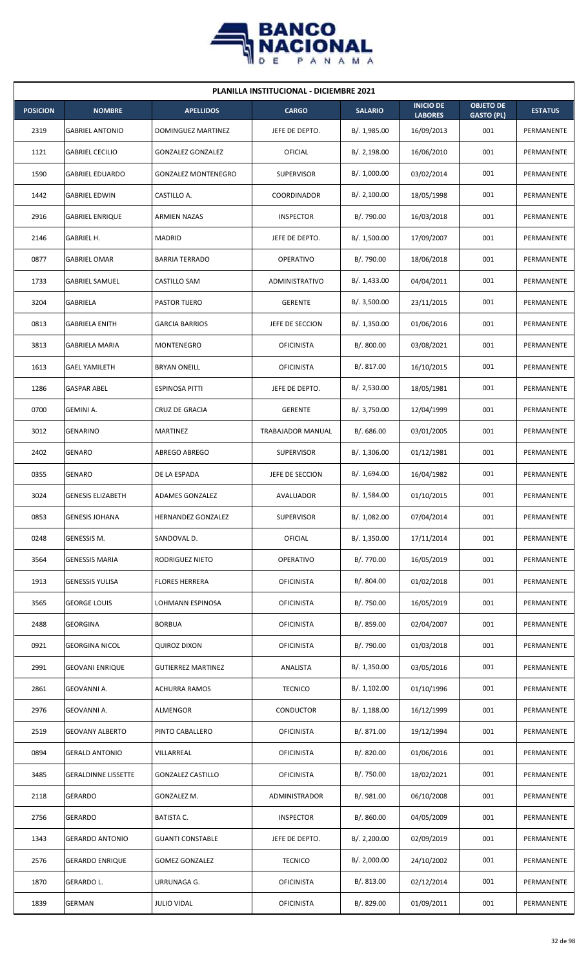

| <b>PLANILLA INSTITUCIONAL - DICIEMBRE 2021</b> |                            |                            |                          |                |                                    |                                       |                |  |  |
|------------------------------------------------|----------------------------|----------------------------|--------------------------|----------------|------------------------------------|---------------------------------------|----------------|--|--|
| <b>POSICION</b>                                | <b>NOMBRE</b>              | <b>APELLIDOS</b>           | <b>CARGO</b>             | <b>SALARIO</b> | <b>INICIO DE</b><br><b>LABORES</b> | <b>OBJETO DE</b><br><b>GASTO (PL)</b> | <b>ESTATUS</b> |  |  |
| 2319                                           | <b>GABRIEL ANTONIO</b>     | DOMINGUEZ MARTINEZ         | JEFE DE DEPTO.           | B/. 1,985.00   | 16/09/2013                         | 001                                   | PERMANENTE     |  |  |
| 1121                                           | <b>GABRIEL CECILIO</b>     | <b>GONZALEZ GONZALEZ</b>   | OFICIAL                  | B/.2,198.00    | 16/06/2010                         | 001                                   | PERMANENTE     |  |  |
| 1590                                           | <b>GABRIEL EDUARDO</b>     | <b>GONZALEZ MONTENEGRO</b> | <b>SUPERVISOR</b>        | B/. 1,000.00   | 03/02/2014                         | 001                                   | PERMANENTE     |  |  |
| 1442                                           | <b>GABRIEL EDWIN</b>       | CASTILLO A.                | <b>COORDINADOR</b>       | B/.2,100.00    | 18/05/1998                         | 001                                   | PERMANENTE     |  |  |
| 2916                                           | <b>GABRIEL ENRIQUE</b>     | <b>ARMIEN NAZAS</b>        | <b>INSPECTOR</b>         | B/. 790.00     | 16/03/2018                         | 001                                   | PERMANENTE     |  |  |
| 2146                                           | GABRIEL H.                 | <b>MADRID</b>              | JEFE DE DEPTO.           | B/. 1,500.00   | 17/09/2007                         | 001                                   | PERMANENTE     |  |  |
| 0877                                           | <b>GABRIEL OMAR</b>        | <b>BARRIA TERRADO</b>      | <b>OPERATIVO</b>         | B/. 790.00     | 18/06/2018                         | 001                                   | PERMANENTE     |  |  |
| 1733                                           | <b>GABRIEL SAMUEL</b>      | <b>CASTILLO SAM</b>        | <b>ADMINISTRATIVO</b>    | B/. 1,433.00   | 04/04/2011                         | 001                                   | PERMANENTE     |  |  |
| 3204                                           | GABRIELA                   | PASTOR TIJERO              | <b>GERENTE</b>           | B/.3,500.00    | 23/11/2015                         | 001                                   | PERMANENTE     |  |  |
| 0813                                           | GABRIELA ENITH             | <b>GARCIA BARRIOS</b>      | JEFE DE SECCION          | B/.1,350.00    | 01/06/2016                         | 001                                   | PERMANENTE     |  |  |
| 3813                                           | <b>GABRIELA MARIA</b>      | MONTENEGRO                 | <b>OFICINISTA</b>        | B/. 800.00     | 03/08/2021                         | 001                                   | PERMANENTE     |  |  |
| 1613                                           | <b>GAEL YAMILETH</b>       | <b>BRYAN ONEILL</b>        | <b>OFICINISTA</b>        | B/. 817.00     | 16/10/2015                         | 001                                   | PERMANENTE     |  |  |
| 1286                                           | <b>GASPAR ABEL</b>         | ESPINOSA PITTI             | JEFE DE DEPTO.           | B/. 2,530.00   | 18/05/1981                         | 001                                   | PERMANENTE     |  |  |
| 0700                                           | <b>GEMINI A.</b>           | <b>CRUZ DE GRACIA</b>      | <b>GERENTE</b>           | B/. 3,750.00   | 12/04/1999                         | 001                                   | PERMANENTE     |  |  |
| 3012                                           | <b>GENARINO</b>            | <b>MARTINEZ</b>            | <b>TRABAJADOR MANUAL</b> | B/0.686.00     | 03/01/2005                         | 001                                   | PERMANENTE     |  |  |
| 2402                                           | <b>GENARO</b>              | ABREGO ABREGO              | <b>SUPERVISOR</b>        | B/.1,306.00    | 01/12/1981                         | 001                                   | PERMANENTE     |  |  |
| 0355                                           | <b>GENARO</b>              | DE LA ESPADA               | JEFE DE SECCION          | B/. 1,694.00   | 16/04/1982                         | 001                                   | PERMANENTE     |  |  |
| 3024                                           | <b>GENESIS ELIZABETH</b>   | ADAMES GONZALEZ            | AVALUADOR                | B/. 1,584.00   | 01/10/2015                         | 001                                   | PERMANENTE     |  |  |
| 0853                                           | <b>GENESIS JOHANA</b>      | HERNANDEZ GONZALEZ         | <b>SUPERVISOR</b>        | B/. 1,082.00   | 07/04/2014                         | 001                                   | PERMANENTE     |  |  |
| 0248                                           | GENESSIS M.                | SANDOVAL D.                | OFICIAL                  | B/. 1,350.00   | 17/11/2014                         | 001                                   | PERMANENTE     |  |  |
| 3564                                           | <b>GENESSIS MARIA</b>      | RODRIGUEZ NIETO            | <b>OPERATIVO</b>         | B/. 770.00     | 16/05/2019                         | 001                                   | PERMANENTE     |  |  |
| 1913                                           | <b>GENESSIS YULISA</b>     | <b>FLORES HERRERA</b>      | <b>OFICINISTA</b>        | B/. 804.00     | 01/02/2018                         | 001                                   | PERMANENTE     |  |  |
| 3565                                           | <b>GEORGE LOUIS</b>        | LOHMANN ESPINOSA           | <b>OFICINISTA</b>        | B/. 750.00     | 16/05/2019                         | 001                                   | PERMANENTE     |  |  |
| 2488                                           | <b>GEORGINA</b>            | <b>BORBUA</b>              | <b>OFICINISTA</b>        | B/. 859.00     | 02/04/2007                         | 001                                   | PERMANENTE     |  |  |
| 0921                                           | <b>GEORGINA NICOL</b>      | <b>QUIROZ DIXON</b>        | <b>OFICINISTA</b>        | B/. 790.00     | 01/03/2018                         | 001                                   | PERMANENTE     |  |  |
| 2991                                           | <b>GEOVANI ENRIQUE</b>     | <b>GUTIERREZ MARTINEZ</b>  | ANALISTA                 | B/. 1,350.00   | 03/05/2016                         | 001                                   | PERMANENTE     |  |  |
| 2861                                           | GEOVANNI A.                | <b>ACHURRA RAMOS</b>       | <b>TECNICO</b>           | B/. 1,102.00   | 01/10/1996                         | 001                                   | PERMANENTE     |  |  |
| 2976                                           | GEOVANNI A.                | ALMENGOR                   | <b>CONDUCTOR</b>         | B/.1,188.00    | 16/12/1999                         | 001                                   | PERMANENTE     |  |  |
| 2519                                           | <b>GEOVANY ALBERTO</b>     | PINTO CABALLERO            | <b>OFICINISTA</b>        | B/. 871.00     | 19/12/1994                         | 001                                   | PERMANENTE     |  |  |
| 0894                                           | <b>GERALD ANTONIO</b>      | VILLARREAL                 | <b>OFICINISTA</b>        | B/. 820.00     | 01/06/2016                         | 001                                   | PERMANENTE     |  |  |
| 3485                                           | <b>GERALDINNE LISSETTE</b> | <b>GONZALEZ CASTILLO</b>   | <b>OFICINISTA</b>        | B/. 750.00     | 18/02/2021                         | 001                                   | PERMANENTE     |  |  |
| 2118                                           | <b>GERARDO</b>             | GONZALEZ M.                | ADMINISTRADOR            | B/. 981.00     | 06/10/2008                         | 001                                   | PERMANENTE     |  |  |
| 2756                                           | <b>GERARDO</b>             | <b>BATISTA C.</b>          | <b>INSPECTOR</b>         | B/. 860.00     | 04/05/2009                         | 001                                   | PERMANENTE     |  |  |
| 1343                                           | <b>GERARDO ANTONIO</b>     | <b>GUANTI CONSTABLE</b>    | JEFE DE DEPTO.           | B/.2,200.00    | 02/09/2019                         | 001                                   | PERMANENTE     |  |  |
| 2576                                           | <b>GERARDO ENRIQUE</b>     | <b>GOMEZ GONZALEZ</b>      | <b>TECNICO</b>           | B/.2,000.00    | 24/10/2002                         | 001                                   | PERMANENTE     |  |  |
| 1870                                           | GERARDO L.                 | URRUNAGA G.                | <b>OFICINISTA</b>        | B/. 813.00     | 02/12/2014                         | 001                                   | PERMANENTE     |  |  |
| 1839                                           | GERMAN                     | <b>JULIO VIDAL</b>         | <b>OFICINISTA</b>        | B/. 829.00     | 01/09/2011                         | 001                                   | PERMANENTE     |  |  |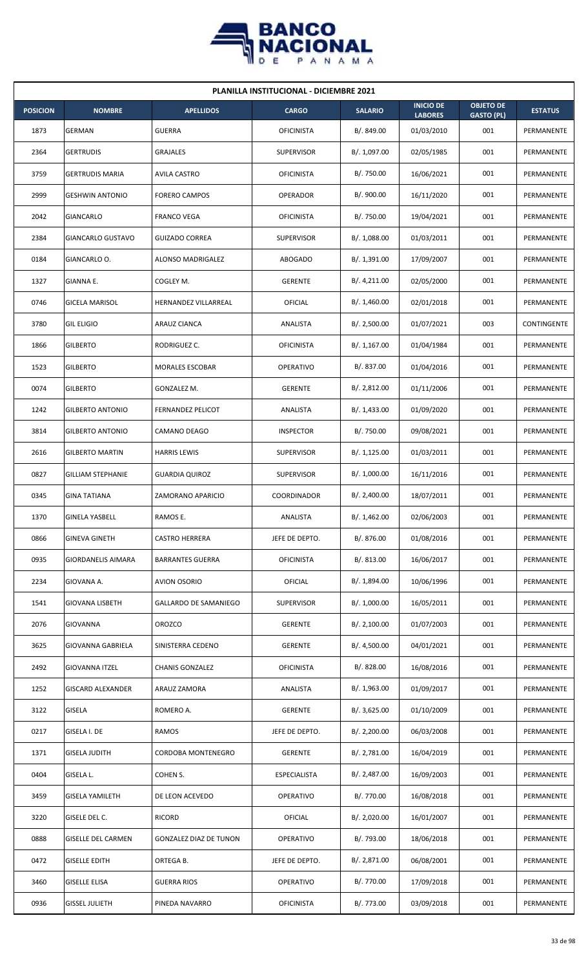

| <b>PLANILLA INSTITUCIONAL - DICIEMBRE 2021</b> |                           |                               |                     |                |                                    |                                       |                |  |  |
|------------------------------------------------|---------------------------|-------------------------------|---------------------|----------------|------------------------------------|---------------------------------------|----------------|--|--|
| <b>POSICION</b>                                | <b>NOMBRE</b>             | <b>APELLIDOS</b>              | <b>CARGO</b>        | <b>SALARIO</b> | <b>INICIO DE</b><br><b>LABORES</b> | <b>OBJETO DE</b><br><b>GASTO (PL)</b> | <b>ESTATUS</b> |  |  |
| 1873                                           | GERMAN                    | <b>GUERRA</b>                 | <b>OFICINISTA</b>   | B/. 849.00     | 01/03/2010                         | 001                                   | PERMANENTE     |  |  |
| 2364                                           | <b>GERTRUDIS</b>          | GRAJALES                      | <b>SUPERVISOR</b>   | B/. 1,097.00   | 02/05/1985                         | 001                                   | PERMANENTE     |  |  |
| 3759                                           | <b>GERTRUDIS MARIA</b>    | <b>AVILA CASTRO</b>           | <b>OFICINISTA</b>   | B/. 750.00     | 16/06/2021                         | 001                                   | PERMANENTE     |  |  |
| 2999                                           | <b>GESHWIN ANTONIO</b>    | <b>FORERO CAMPOS</b>          | <b>OPERADOR</b>     | B/. 900.00     | 16/11/2020                         | 001                                   | PERMANENTE     |  |  |
| 2042                                           | GIANCARLO                 | <b>FRANCO VEGA</b>            | <b>OFICINISTA</b>   | B/. 750.00     | 19/04/2021                         | 001                                   | PERMANENTE     |  |  |
| 2384                                           | <b>GIANCARLO GUSTAVO</b>  | <b>GUIZADO CORREA</b>         | <b>SUPERVISOR</b>   | B/.1,088.00    | 01/03/2011                         | 001                                   | PERMANENTE     |  |  |
| 0184                                           | GIANCARLO O.              | ALONSO MADRIGALEZ             | <b>ABOGADO</b>      | B/.1,391.00    | 17/09/2007                         | 001                                   | PERMANENTE     |  |  |
| 1327                                           | <b>GIANNA E.</b>          | COGLEY M.                     | <b>GERENTE</b>      | B/.4,211.00    | 02/05/2000                         | 001                                   | PERMANENTE     |  |  |
| 0746                                           | <b>GICELA MARISOL</b>     | HERNANDEZ VILLARREAL          | OFICIAL             | B/.1,460.00    | 02/01/2018                         | 001                                   | PERMANENTE     |  |  |
| 3780                                           | <b>GIL ELIGIO</b>         | ARAUZ CIANCA                  | ANALISTA            | B/.2,500.00    | 01/07/2021                         | 003                                   | CONTINGENTE    |  |  |
| 1866                                           | <b>GILBERTO</b>           | RODRIGUEZ C.                  | <b>OFICINISTA</b>   | B/.1,167.00    | 01/04/1984                         | 001                                   | PERMANENTE     |  |  |
| 1523                                           | <b>GILBERTO</b>           | <b>MORALES ESCOBAR</b>        | <b>OPERATIVO</b>    | B/. 837.00     | 01/04/2016                         | 001                                   | PERMANENTE     |  |  |
| 0074                                           | <b>GILBERTO</b>           | GONZALEZ M.                   | <b>GERENTE</b>      | B/. 2,812.00   | 01/11/2006                         | 001                                   | PERMANENTE     |  |  |
| 1242                                           | <b>GILBERTO ANTONIO</b>   | <b>FERNANDEZ PELICOT</b>      | ANALISTA            | B/.1,433.00    | 01/09/2020                         | 001                                   | PERMANENTE     |  |  |
| 3814                                           | <b>GILBERTO ANTONIO</b>   | CAMANO DEAGO                  | <b>INSPECTOR</b>    | B/. 750.00     | 09/08/2021                         | 001                                   | PERMANENTE     |  |  |
| 2616                                           | <b>GILBERTO MARTIN</b>    | <b>HARRIS LEWIS</b>           | <b>SUPERVISOR</b>   | B/.1,125.00    | 01/03/2011                         | 001                                   | PERMANENTE     |  |  |
| 0827                                           | <b>GILLIAM STEPHANIE</b>  | <b>GUARDIA QUIROZ</b>         | <b>SUPERVISOR</b>   | B/. 1,000.00   | 16/11/2016                         | 001                                   | PERMANENTE     |  |  |
| 0345                                           | <b>GINA TATIANA</b>       | ZAMORANO APARICIO             | COORDINADOR         | B/.2,400.00    | 18/07/2011                         | 001                                   | PERMANENTE     |  |  |
| 1370                                           | <b>GINELA YASBELL</b>     | RAMOS E.                      | <b>ANALISTA</b>     | B/. 1,462.00   | 02/06/2003                         | 001                                   | PERMANENTE     |  |  |
| 0866                                           | <b>GINEVA GINETH</b>      | <b>CASTRO HERRERA</b>         | JEFE DE DEPTO.      | B/. 876.00     | 01/08/2016                         | 001                                   | PERMANENTE     |  |  |
| 0935                                           | <b>GIORDANELIS AIMARA</b> | <b>BARRANTES GUERRA</b>       | <b>OFICINISTA</b>   | B/. 813.00     | 16/06/2017                         | 001                                   | PERMANENTE     |  |  |
| 2234                                           | GIOVANA A.                | <b>AVION OSORIO</b>           | <b>OFICIAL</b>      | B/. 1,894.00   | 10/06/1996                         | 001                                   | PERMANENTE     |  |  |
| 1541                                           | <b>GIOVANA LISBETH</b>    | GALLARDO DE SAMANIEGO         | <b>SUPERVISOR</b>   | B/. 1,000.00   | 16/05/2011                         | 001                                   | PERMANENTE     |  |  |
| 2076                                           | <b>GIOVANNA</b>           | <b>OROZCO</b>                 | <b>GERENTE</b>      | B/. 2,100.00   | 01/07/2003                         | 001                                   | PERMANENTE     |  |  |
| 3625                                           | <b>GIOVANNA GABRIELA</b>  | SINISTERRA CEDENO             | <b>GERENTE</b>      | B/. 4,500.00   | 04/01/2021                         | 001                                   | PERMANENTE     |  |  |
| 2492                                           | <b>GIOVANNA ITZEL</b>     | <b>CHANIS GONZALEZ</b>        | <b>OFICINISTA</b>   | B/. 828.00     | 16/08/2016                         | 001                                   | PERMANENTE     |  |  |
| 1252                                           | <b>GISCARD ALEXANDER</b>  | ARAUZ ZAMORA                  | ANALISTA            | B/.1,963.00    | 01/09/2017                         | 001                                   | PERMANENTE     |  |  |
| 3122                                           | GISELA                    | ROMERO A.                     | <b>GERENTE</b>      | B/.3,625.00    | 01/10/2009                         | 001                                   | PERMANENTE     |  |  |
| 0217                                           | GISELA I. DE              | <b>RAMOS</b>                  | JEFE DE DEPTO.      | B/.2,200.00    | 06/03/2008                         | 001                                   | PERMANENTE     |  |  |
| 1371                                           | <b>GISELA JUDITH</b>      | CORDOBA MONTENEGRO            | <b>GERENTE</b>      | B/. 2,781.00   | 16/04/2019                         | 001                                   | PERMANENTE     |  |  |
| 0404                                           | GISELA L.                 | COHEN S.                      | <b>ESPECIALISTA</b> | B/. 2,487.00   | 16/09/2003                         | 001                                   | PERMANENTE     |  |  |
| 3459                                           | <b>GISELA YAMILETH</b>    | DE LEON ACEVEDO               | <b>OPERATIVO</b>    | B/. 770.00     | 16/08/2018                         | 001                                   | PERMANENTE     |  |  |
| 3220                                           | GISELE DEL C.             | RICORD                        | <b>OFICIAL</b>      | B/.2,020.00    | 16/01/2007                         | 001                                   | PERMANENTE     |  |  |
| 0888                                           | <b>GISELLE DEL CARMEN</b> | <b>GONZALEZ DIAZ DE TUNON</b> | <b>OPERATIVO</b>    | B/. 793.00     | 18/06/2018                         | 001                                   | PERMANENTE     |  |  |
| 0472                                           | <b>GISELLE EDITH</b>      | ORTEGA B.                     | JEFE DE DEPTO.      | B/. 2,871.00   | 06/08/2001                         | 001                                   | PERMANENTE     |  |  |
| 3460                                           | <b>GISELLE ELISA</b>      | <b>GUERRA RIOS</b>            | <b>OPERATIVO</b>    | B/. 770.00     | 17/09/2018                         | 001                                   | PERMANENTE     |  |  |
| 0936                                           | <b>GISSEL JULIETH</b>     | PINEDA NAVARRO                | <b>OFICINISTA</b>   | B/. 773.00     | 03/09/2018                         | 001                                   | PERMANENTE     |  |  |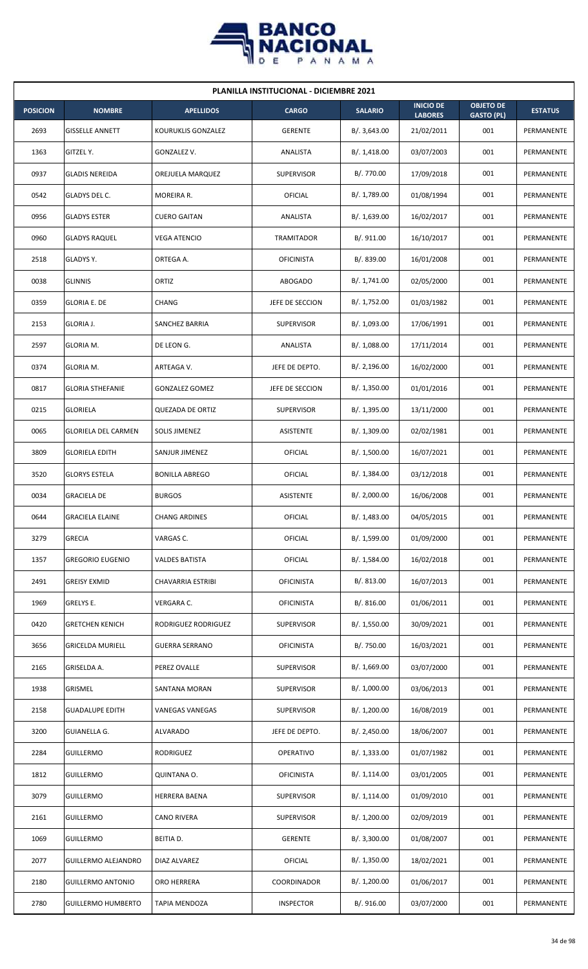

| <b>PLANILLA INSTITUCIONAL - DICIEMBRE 2021</b> |                            |                         |                   |                |                                    |                                       |                |  |  |
|------------------------------------------------|----------------------------|-------------------------|-------------------|----------------|------------------------------------|---------------------------------------|----------------|--|--|
| <b>POSICION</b>                                | <b>NOMBRE</b>              | <b>APELLIDOS</b>        | <b>CARGO</b>      | <b>SALARIO</b> | <b>INICIO DE</b><br><b>LABORES</b> | <b>OBJETO DE</b><br><b>GASTO (PL)</b> | <b>ESTATUS</b> |  |  |
| 2693                                           | <b>GISSELLE ANNETT</b>     | KOURUKLIS GONZALEZ      | <b>GERENTE</b>    | B/.3,643.00    | 21/02/2011                         | 001                                   | PERMANENTE     |  |  |
| 1363                                           | GITZEL Y.                  | GONZALEZ V.             | ANALISTA          | B/.1,418.00    | 03/07/2003                         | 001                                   | PERMANENTE     |  |  |
| 0937                                           | <b>GLADIS NEREIDA</b>      | OREJUELA MARQUEZ        | <b>SUPERVISOR</b> | B/. 770.00     | 17/09/2018                         | 001                                   | PERMANENTE     |  |  |
| 0542                                           | GLADYS DEL C.              | MOREIRA R.              | OFICIAL           | B/. 1,789.00   | 01/08/1994                         | 001                                   | PERMANENTE     |  |  |
| 0956                                           | <b>GLADYS ESTER</b>        | <b>CUERO GAITAN</b>     | ANALISTA          | B/. 1,639.00   | 16/02/2017                         | 001                                   | PERMANENTE     |  |  |
| 0960                                           | <b>GLADYS RAQUEL</b>       | <b>VEGA ATENCIO</b>     | TRAMITADOR        | B/. 911.00     | 16/10/2017                         | 001                                   | PERMANENTE     |  |  |
| 2518                                           | GLADYS Y.                  | ORTEGA A.               | <b>OFICINISTA</b> | B/. 839.00     | 16/01/2008                         | 001                                   | PERMANENTE     |  |  |
| 0038                                           | <b>GLINNIS</b>             | ORTIZ                   | <b>ABOGADO</b>    | B/. 1,741.00   | 02/05/2000                         | 001                                   | PERMANENTE     |  |  |
| 0359                                           | <b>GLORIA E. DE</b>        | <b>CHANG</b>            | JEFE DE SECCION   | B/. 1,752.00   | 01/03/1982                         | 001                                   | PERMANENTE     |  |  |
| 2153                                           | GLORIA J.                  | SANCHEZ BARRIA          | <b>SUPERVISOR</b> | B/. 1,093.00   | 17/06/1991                         | 001                                   | PERMANENTE     |  |  |
| 2597                                           | GLORIA M.                  | DE LEON G.              | ANALISTA          | B/. 1,088.00   | 17/11/2014                         | 001                                   | PERMANENTE     |  |  |
| 0374                                           | GLORIA M.                  | ARTEAGA V.              | JEFE DE DEPTO.    | B/.2,196.00    | 16/02/2000                         | 001                                   | PERMANENTE     |  |  |
| 0817                                           | <b>GLORIA STHEFANIE</b>    | <b>GONZALEZ GOMEZ</b>   | JEFE DE SECCION   | B/. 1,350.00   | 01/01/2016                         | 001                                   | PERMANENTE     |  |  |
| 0215                                           | <b>GLORIELA</b>            | <b>QUEZADA DE ORTIZ</b> | <b>SUPERVISOR</b> | B/.1,395.00    | 13/11/2000                         | 001                                   | PERMANENTE     |  |  |
| 0065                                           | <b>GLORIELA DEL CARMEN</b> | <b>SOLIS JIMENEZ</b>    | <b>ASISTENTE</b>  | B/.1,309.00    | 02/02/1981                         | 001                                   | PERMANENTE     |  |  |
| 3809                                           | <b>GLORIELA EDITH</b>      | SANJUR JIMENEZ          | <b>OFICIAL</b>    | B/. 1,500.00   | 16/07/2021                         | 001                                   | PERMANENTE     |  |  |
| 3520                                           | <b>GLORYS ESTELA</b>       | <b>BONILLA ABREGO</b>   | <b>OFICIAL</b>    | B/.1,384.00    | 03/12/2018                         | 001                                   | PERMANENTE     |  |  |
| 0034                                           | <b>GRACIELA DE</b>         | <b>BURGOS</b>           | ASISTENTE         | B/.2,000.00    | 16/06/2008                         | 001                                   | PERMANENTE     |  |  |
| 0644                                           | <b>GRACIELA ELAINE</b>     | <b>CHANG ARDINES</b>    | OFICIAL           | B/. 1,483.00   | 04/05/2015                         | 001                                   | PERMANENTE     |  |  |
| 3279                                           | <b>GRECIA</b>              | VARGAS C.               | <b>OFICIAL</b>    | B/. 1,599.00   | 01/09/2000                         | 001                                   | PERMANENTE     |  |  |
| 1357                                           | <b>GREGORIO EUGENIO</b>    | <b>VALDES BATISTA</b>   | <b>OFICIAL</b>    | B/. 1,584.00   | 16/02/2018                         | 001                                   | PERMANENTE     |  |  |
| 2491                                           | <b>GREISY EXMID</b>        | CHAVARRIA ESTRIBI       | <b>OFICINISTA</b> | B/. 813.00     | 16/07/2013                         | 001                                   | PERMANENTE     |  |  |
| 1969                                           | GRELYS E.                  | VERGARA C.              | <b>OFICINISTA</b> | B/. 816.00     | 01/06/2011                         | 001                                   | PERMANENTE     |  |  |
| 0420                                           | <b>GRETCHEN KENICH</b>     | RODRIGUEZ RODRIGUEZ     | <b>SUPERVISOR</b> | B/. 1,550.00   | 30/09/2021                         | 001                                   | PERMANENTE     |  |  |
| 3656                                           | <b>GRICELDA MURIELL</b>    | <b>GUERRA SERRANO</b>   | <b>OFICINISTA</b> | B/. 750.00     | 16/03/2021                         | 001                                   | PERMANENTE     |  |  |
| 2165                                           | GRISELDA A.                | PEREZ OVALLE            | <b>SUPERVISOR</b> | B/.1,669.00    | 03/07/2000                         | 001                                   | PERMANENTE     |  |  |
| 1938                                           | <b>GRISMEL</b>             | SANTANA MORAN           | SUPERVISOR        | B/. 1,000.00   | 03/06/2013                         | 001                                   | PERMANENTE     |  |  |
| 2158                                           | <b>GUADALUPE EDITH</b>     | VANEGAS VANEGAS         | <b>SUPERVISOR</b> | B/. 1,200.00   | 16/08/2019                         | 001                                   | PERMANENTE     |  |  |
| 3200                                           | <b>GUIANELLA G.</b>        | <b>ALVARADO</b>         | JEFE DE DEPTO.    | B/.2,450.00    | 18/06/2007                         | 001                                   | PERMANENTE     |  |  |
| 2284                                           | <b>GUILLERMO</b>           | <b>RODRIGUEZ</b>        | OPERATIVO         | B/. 1,333.00   | 01/07/1982                         | 001                                   | PERMANENTE     |  |  |
| 1812                                           | <b>GUILLERMO</b>           | QUINTANA O.             | <b>OFICINISTA</b> | B/. 1,114.00   | 03/01/2005                         | 001                                   | PERMANENTE     |  |  |
| 3079                                           | <b>GUILLERMO</b>           | HERRERA BAENA           | <b>SUPERVISOR</b> | B/. 1,114.00   | 01/09/2010                         | 001                                   | PERMANENTE     |  |  |
| 2161                                           | <b>GUILLERMO</b>           | CANO RIVERA             | SUPERVISOR        | B/. 1,200.00   | 02/09/2019                         | 001                                   | PERMANENTE     |  |  |
| 1069                                           | <b>GUILLERMO</b>           | BEITIA D.               | <b>GERENTE</b>    | B/.3,300.00    | 01/08/2007                         | 001                                   | PERMANENTE     |  |  |
| 2077                                           | GUILLERMO ALEJANDRO        | DIAZ ALVAREZ            | OFICIAL           | B/. 1,350.00   | 18/02/2021                         | 001                                   | PERMANENTE     |  |  |
| 2180                                           | <b>GUILLERMO ANTONIO</b>   | ORO HERRERA             | COORDINADOR       | B/. 1,200.00   | 01/06/2017                         | 001                                   | PERMANENTE     |  |  |
| 2780                                           | <b>GUILLERMO HUMBERTO</b>  | TAPIA MENDOZA           | <b>INSPECTOR</b>  | B/. 916.00     | 03/07/2000                         | 001                                   | PERMANENTE     |  |  |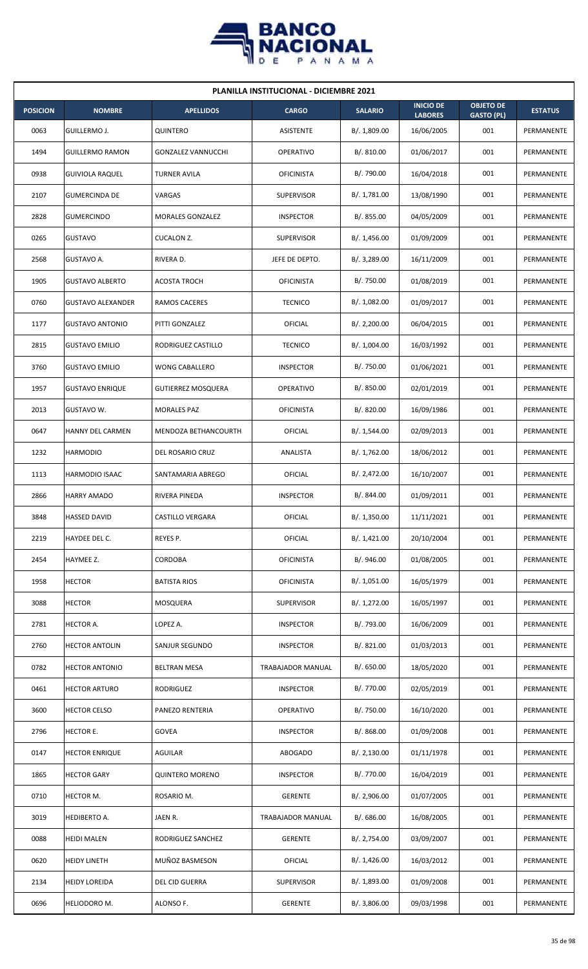

| <b>PLANILLA INSTITUCIONAL - DICIEMBRE 2021</b> |                          |                           |                   |                |                                    |                                       |                |  |  |
|------------------------------------------------|--------------------------|---------------------------|-------------------|----------------|------------------------------------|---------------------------------------|----------------|--|--|
| <b>POSICION</b>                                | <b>NOMBRE</b>            | <b>APELLIDOS</b>          | <b>CARGO</b>      | <b>SALARIO</b> | <b>INICIO DE</b><br><b>LABORES</b> | <b>OBJETO DE</b><br><b>GASTO (PL)</b> | <b>ESTATUS</b> |  |  |
| 0063                                           | GUILLERMO J.             | QUINTERO                  | ASISTENTE         | B/. 1,809.00   | 16/06/2005                         | 001                                   | PERMANENTE     |  |  |
| 1494                                           | <b>GUILLERMO RAMON</b>   | <b>GONZALEZ VANNUCCHI</b> | OPERATIVO         | B/. 810.00     | 01/06/2017                         | 001                                   | PERMANENTE     |  |  |
| 0938                                           | <b>GUIVIOLA RAQUEL</b>   | <b>TURNER AVILA</b>       | <b>OFICINISTA</b> | B/. 790.00     | 16/04/2018                         | 001                                   | PERMANENTE     |  |  |
| 2107                                           | <b>GUMERCINDA DE</b>     | VARGAS                    | <b>SUPERVISOR</b> | B/. 1,781.00   | 13/08/1990                         | 001                                   | PERMANENTE     |  |  |
| 2828                                           | <b>GUMERCINDO</b>        | MORALES GONZALEZ          | <b>INSPECTOR</b>  | B/. 855.00     | 04/05/2009                         | 001                                   | PERMANENTE     |  |  |
| 0265                                           | <b>GUSTAVO</b>           | CUCALON Z.                | <b>SUPERVISOR</b> | B/.1,456.00    | 01/09/2009                         | 001                                   | PERMANENTE     |  |  |
| 2568                                           | GUSTAVO A.               | RIVERA D.                 | JEFE DE DEPTO.    | B/.3,289.00    | 16/11/2009                         | 001                                   | PERMANENTE     |  |  |
| 1905                                           | <b>GUSTAVO ALBERTO</b>   | <b>ACOSTA TROCH</b>       | <b>OFICINISTA</b> | B/. 750.00     | 01/08/2019                         | 001                                   | PERMANENTE     |  |  |
| 0760                                           | <b>GUSTAVO ALEXANDER</b> | RAMOS CACERES             | <b>TECNICO</b>    | B/. 1,082.00   | 01/09/2017                         | 001                                   | PERMANENTE     |  |  |
| 1177                                           | <b>GUSTAVO ANTONIO</b>   | PITTI GONZALEZ            | <b>OFICIAL</b>    | B/.2,200.00    | 06/04/2015                         | 001                                   | PERMANENTE     |  |  |
| 2815                                           | <b>GUSTAVO EMILIO</b>    | RODRIGUEZ CASTILLO        | <b>TECNICO</b>    | B/. 1,004.00   | 16/03/1992                         | 001                                   | PERMANENTE     |  |  |
| 3760                                           | <b>GUSTAVO EMILIO</b>    | <b>WONG CABALLERO</b>     | <b>INSPECTOR</b>  | B/. 750.00     | 01/06/2021                         | 001                                   | PERMANENTE     |  |  |
| 1957                                           | <b>GUSTAVO ENRIQUE</b>   | <b>GUTIERREZ MOSQUERA</b> | OPERATIVO         | B/. 850.00     | 02/01/2019                         | 001                                   | PERMANENTE     |  |  |
| 2013                                           | GUSTAVO W.               | <b>MORALES PAZ</b>        | <b>OFICINISTA</b> | B/0.820.00     | 16/09/1986                         | 001                                   | PERMANENTE     |  |  |
| 0647                                           | HANNY DEL CARMEN         | MENDOZA BETHANCOURTH      | OFICIAL           | B/. 1,544.00   | 02/09/2013                         | 001                                   | PERMANENTE     |  |  |
| 1232                                           | <b>HARMODIO</b>          | DEL ROSARIO CRUZ          | ANALISTA          | B/. 1,762.00   | 18/06/2012                         | 001                                   | PERMANENTE     |  |  |
| 1113                                           | HARMODIO ISAAC           | SANTAMARIA ABREGO         | OFICIAL           | B/.2,472.00    | 16/10/2007                         | 001                                   | PERMANENTE     |  |  |
| 2866                                           | <b>HARRY AMADO</b>       | RIVERA PINEDA             | <b>INSPECTOR</b>  | B/. 844.00     | 01/09/2011                         | 001                                   | PERMANENTE     |  |  |
| 3848                                           | <b>HASSED DAVID</b>      | CASTILLO VERGARA          | OFICIAL           | B/. 1,350.00   | 11/11/2021                         | 001                                   | PERMANENTE     |  |  |
| 2219                                           | HAYDEE DEL C.            | REYES P.                  | <b>OFICIAL</b>    | B/.1,421.00    | 20/10/2004                         | 001                                   | PERMANENTE     |  |  |
| 2454                                           | HAYMEE Z.                | <b>CORDOBA</b>            | <b>OFICINISTA</b> | B/. 946.00     | 01/08/2005                         | 001                                   | PERMANENTE     |  |  |
| 1958                                           | <b>HECTOR</b>            | <b>BATISTA RIOS</b>       | <b>OFICINISTA</b> | B/. 1,051.00   | 16/05/1979                         | 001                                   | PERMANENTE     |  |  |
| 3088                                           | <b>HECTOR</b>            | MOSQUERA                  | <b>SUPERVISOR</b> | B/. 1,272.00   | 16/05/1997                         | 001                                   | PERMANENTE     |  |  |
| 2781                                           | HECTOR A.                | LOPEZ A.                  | <b>INSPECTOR</b>  | B/. 793.00     | 16/06/2009                         | 001                                   | PERMANENTE     |  |  |
| 2760                                           | <b>HECTOR ANTOLIN</b>    | SANJUR SEGUNDO            | <b>INSPECTOR</b>  | B/.821.00      | 01/03/2013                         | 001                                   | PERMANENTE     |  |  |
| 0782                                           | <b>HECTOR ANTONIO</b>    | <b>BELTRAN MESA</b>       | TRABAJADOR MANUAL | B/. 650.00     | 18/05/2020                         | 001                                   | PERMANENTE     |  |  |
| 0461                                           | <b>HECTOR ARTURO</b>     | RODRIGUEZ                 | <b>INSPECTOR</b>  | B/. 770.00     | 02/05/2019                         | 001                                   | PERMANENTE     |  |  |
| 3600                                           | <b>HECTOR CELSO</b>      | PANEZO RENTERIA           | OPERATIVO         | B/. 750.00     | 16/10/2020                         | 001                                   | PERMANENTE     |  |  |
| 2796                                           | HECTOR E.                | <b>GOVEA</b>              | <b>INSPECTOR</b>  | B/. 868.00     | 01/09/2008                         | 001                                   | PERMANENTE     |  |  |
| 0147                                           | <b>HECTOR ENRIQUE</b>    | AGUILAR                   | <b>ABOGADO</b>    | B/.2,130.00    | 01/11/1978                         | 001                                   | PERMANENTE     |  |  |
| 1865                                           | <b>HECTOR GARY</b>       | <b>QUINTERO MORENO</b>    | <b>INSPECTOR</b>  | B/. 770.00     | 16/04/2019                         | 001                                   | PERMANENTE     |  |  |
| 0710                                           | HECTOR M.                | ROSARIO M.                | <b>GERENTE</b>    | B/.2,906.00    | 01/07/2005                         | 001                                   | PERMANENTE     |  |  |
| 3019                                           | HEDIBERTO A.             | JAEN R.                   | TRABAJADOR MANUAL | B/0.686.00     | 16/08/2005                         | 001                                   | PERMANENTE     |  |  |
| 0088                                           | <b>HEIDI MALEN</b>       | RODRIGUEZ SANCHEZ         | <b>GERENTE</b>    | B/. 2,754.00   | 03/09/2007                         | 001                                   | PERMANENTE     |  |  |
| 0620                                           | <b>HEIDY LINETH</b>      | MUÑOZ BASMESON            | <b>OFICIAL</b>    | B/. 1,426.00   | 16/03/2012                         | 001                                   | PERMANENTE     |  |  |
| 2134                                           | <b>HEIDY LOREIDA</b>     | DEL CID GUERRA            | <b>SUPERVISOR</b> | B/. 1,893.00   | 01/09/2008                         | 001                                   | PERMANENTE     |  |  |
| 0696                                           | HELIODORO M.             | ALONSO F.                 | <b>GERENTE</b>    | B/. 3,806.00   | 09/03/1998                         | 001                                   | PERMANENTE     |  |  |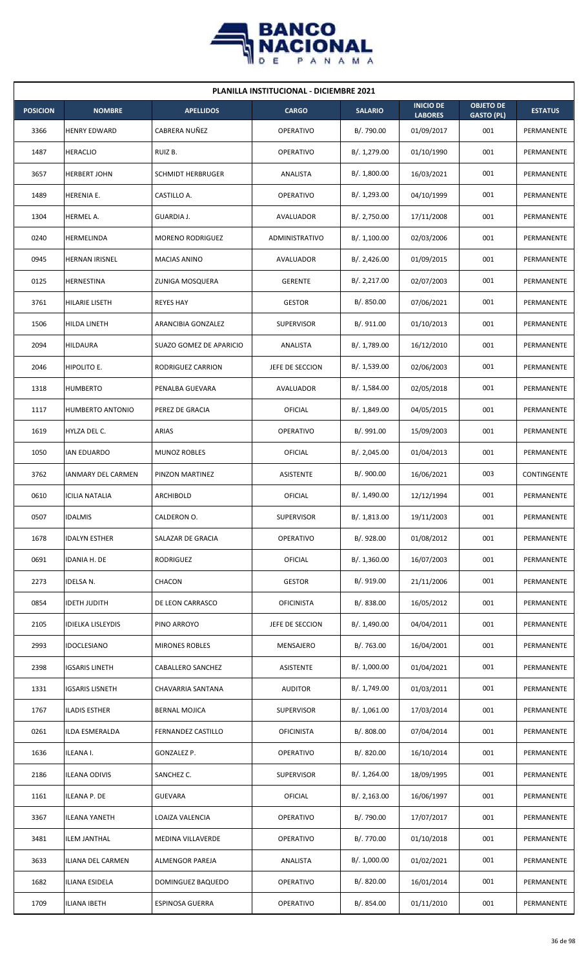

| <b>PLANILLA INSTITUCIONAL - DICIEMBRE 2021</b> |                          |                          |                   |                |                                    |                                       |                   |  |  |
|------------------------------------------------|--------------------------|--------------------------|-------------------|----------------|------------------------------------|---------------------------------------|-------------------|--|--|
| <b>POSICION</b>                                | <b>NOMBRE</b>            | <b>APELLIDOS</b>         | <b>CARGO</b>      | <b>SALARIO</b> | <b>INICIO DE</b><br><b>LABORES</b> | <b>OBJETO DE</b><br><b>GASTO (PL)</b> | <b>ESTATUS</b>    |  |  |
| 3366                                           | <b>HENRY EDWARD</b>      | CABRERA NUÑEZ            | <b>OPERATIVO</b>  | B/. 790.00     | 01/09/2017                         | 001                                   | PERMANENTE        |  |  |
| 1487                                           | <b>HERACLIO</b>          | RUIZ B.                  | <b>OPERATIVO</b>  | B/. 1,279.00   | 01/10/1990                         | 001                                   | PERMANENTE        |  |  |
| 3657                                           | <b>HERBERT JOHN</b>      | <b>SCHMIDT HERBRUGER</b> | ANALISTA          | B/. 1,800.00   | 16/03/2021                         | 001                                   | PERMANENTE        |  |  |
| 1489                                           | HERENIA E.               | CASTILLO A.              | <b>OPERATIVO</b>  | B/. 1,293.00   | 04/10/1999                         | 001                                   | <b>PERMANENTE</b> |  |  |
| 1304                                           | HERMEL A.                | GUARDIA J.               | AVALUADOR         | B/. 2,750.00   | 17/11/2008                         | 001                                   | PERMANENTE        |  |  |
| 0240                                           | HERMELINDA               | MORENO RODRIGUEZ         | ADMINISTRATIVO    | B/.1,100.00    | 02/03/2006                         | 001                                   | PERMANENTE        |  |  |
| 0945                                           | <b>HERNAN IRISNEL</b>    | <b>MACIAS ANINO</b>      | AVALUADOR         | B/.2,426.00    | 01/09/2015                         | 001                                   | PERMANENTE        |  |  |
| 0125                                           | HERNESTINA               | ZUNIGA MOSQUERA          | <b>GERENTE</b>    | B/.2,217.00    | 02/07/2003                         | 001                                   | PERMANENTE        |  |  |
| 3761                                           | HILARIE LISETH           | <b>REYES HAY</b>         | <b>GESTOR</b>     | B/. 850.00     | 07/06/2021                         | 001                                   | PERMANENTE        |  |  |
| 1506                                           | HILDA LINETH             | ARANCIBIA GONZALEZ       | <b>SUPERVISOR</b> | B/. 911.00     | 01/10/2013                         | 001                                   | PERMANENTE        |  |  |
| 2094                                           | <b>HILDAURA</b>          | SUAZO GOMEZ DE APARICIO  | ANALISTA          | B/. 1,789.00   | 16/12/2010                         | 001                                   | PERMANENTE        |  |  |
| 2046                                           | HIPOLITO E.              | RODRIGUEZ CARRION        | JEFE DE SECCION   | B/. 1,539.00   | 02/06/2003                         | 001                                   | PERMANENTE        |  |  |
| 1318                                           | <b>HUMBERTO</b>          | PENALBA GUEVARA          | AVALUADOR         | B/. 1,584.00   | 02/05/2018                         | 001                                   | PERMANENTE        |  |  |
| 1117                                           | <b>HUMBERTO ANTONIO</b>  | PEREZ DE GRACIA          | <b>OFICIAL</b>    | B/. 1,849.00   | 04/05/2015                         | 001                                   | PERMANENTE        |  |  |
| 1619                                           | HYLZA DEL C.             | ARIAS                    | <b>OPERATIVO</b>  | B/. 991.00     | 15/09/2003                         | 001                                   | PERMANENTE        |  |  |
| 1050                                           | <b>IAN EDUARDO</b>       | <b>MUNOZ ROBLES</b>      | OFICIAL           | B/.2,045.00    | 01/04/2013                         | 001                                   | PERMANENTE        |  |  |
| 3762                                           | IANMARY DEL CARMEN       | PINZON MARTINEZ          | ASISTENTE         | B/.900.00      | 16/06/2021                         | 003                                   | CONTINGENTE       |  |  |
| 0610                                           | <b>ICILIA NATALIA</b>    | ARCHIBOLD                | OFICIAL           | B/. 1,490.00   | 12/12/1994                         | 001                                   | PERMANENTE        |  |  |
| 0507                                           | <b>IDALMIS</b>           | CALDERON O.              | SUPERVISOR        | B/. 1,813.00   | 19/11/2003                         | 001                                   | PERMANENTE        |  |  |
| 1678                                           | <b>IDALYN ESTHER</b>     | SALAZAR DE GRACIA        | OPERATIVO         | B/. 928.00     | 01/08/2012                         | 001                                   | PERMANENTE        |  |  |
| 0691                                           | IDANIA H. DE             | <b>RODRIGUEZ</b>         | <b>OFICIAL</b>    | B/.1,360.00    | 16/07/2003                         | 001                                   | PERMANENTE        |  |  |
| 2273                                           | IDELSA N.                | CHACON                   | <b>GESTOR</b>     | B/. 919.00     | 21/11/2006                         | 001                                   | PERMANENTE        |  |  |
| 0854                                           | <b>IDETH JUDITH</b>      | DE LEON CARRASCO         | <b>OFICINISTA</b> | B/. 838.00     | 16/05/2012                         | 001                                   | PERMANENTE        |  |  |
| 2105                                           | <b>IDIELKA LISLEYDIS</b> | PINO ARROYO              | JEFE DE SECCION   | B/. 1,490.00   | 04/04/2011                         | 001                                   | PERMANENTE        |  |  |
| 2993                                           | <b>IDOCLESIANO</b>       | <b>MIRONES ROBLES</b>    | MENSAJERO         | B/. 763.00     | 16/04/2001                         | 001                                   | PERMANENTE        |  |  |
| 2398                                           | <b>IGSARIS LINETH</b>    | CABALLERO SANCHEZ        | ASISTENTE         | B/. 1,000.00   | 01/04/2021                         | 001                                   | PERMANENTE        |  |  |
| 1331                                           | <b>IGSARIS LISNETH</b>   | CHAVARRIA SANTANA        | <b>AUDITOR</b>    | B/. 1,749.00   | 01/03/2011                         | 001                                   | PERMANENTE        |  |  |
| 1767                                           | <b>ILADIS ESTHER</b>     | <b>BERNAL MOJICA</b>     | <b>SUPERVISOR</b> | B/.1,061.00    | 17/03/2014                         | 001                                   | PERMANENTE        |  |  |
| 0261                                           | ILDA ESMERALDA           | FERNANDEZ CASTILLO       | <b>OFICINISTA</b> | B/. 808.00     | 07/04/2014                         | 001                                   | PERMANENTE        |  |  |
| 1636                                           | ILEANA I.                | GONZALEZ P.              | OPERATIVO         | B/. 820.00     | 16/10/2014                         | 001                                   | PERMANENTE        |  |  |
| 2186                                           | <b>ILEANA ODIVIS</b>     | SANCHEZ C.               | <b>SUPERVISOR</b> | B/. 1,264.00   | 18/09/1995                         | 001                                   | PERMANENTE        |  |  |
| 1161                                           | ILEANA P. DE             | <b>GUEVARA</b>           | <b>OFICIAL</b>    | B/.2,163.00    | 16/06/1997                         | 001                                   | PERMANENTE        |  |  |
| 3367                                           | <b>ILEANA YANETH</b>     | LOAIZA VALENCIA          | OPERATIVO         | B/. 790.00     | 17/07/2017                         | 001                                   | PERMANENTE        |  |  |
| 3481                                           | <b>ILEM JANTHAL</b>      | MEDINA VILLAVERDE        | OPERATIVO         | B/. 770.00     | 01/10/2018                         | 001                                   | PERMANENTE        |  |  |
| 3633                                           | ILIANA DEL CARMEN        | ALMENGOR PAREJA          | ANALISTA          | B/. 1,000.00   | 01/02/2021                         | 001                                   | PERMANENTE        |  |  |
| 1682                                           | ILIANA ESIDELA           | DOMINGUEZ BAQUEDO        | OPERATIVO         | B/. 820.00     | 16/01/2014                         | 001                                   | PERMANENTE        |  |  |
| 1709                                           | <b>ILIANA IBETH</b>      | <b>ESPINOSA GUERRA</b>   | OPERATIVO         | B/. 854.00     | 01/11/2010                         | 001                                   | PERMANENTE        |  |  |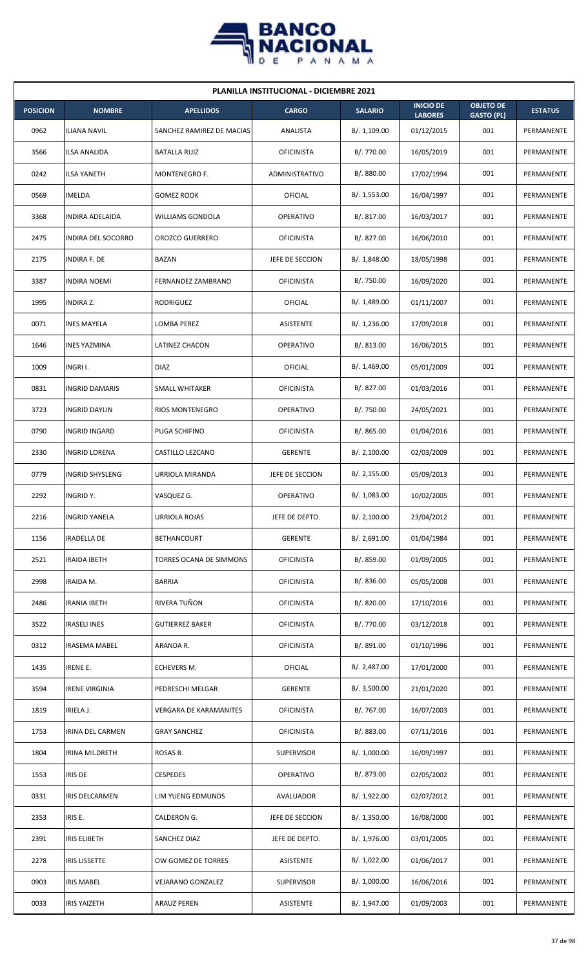

| <b>PLANILLA INSTITUCIONAL - DICIEMBRE 2021</b> |                        |                               |                   |                |                                    |                                       |                |  |  |
|------------------------------------------------|------------------------|-------------------------------|-------------------|----------------|------------------------------------|---------------------------------------|----------------|--|--|
| <b>POSICION</b>                                | <b>NOMBRE</b>          | <b>APELLIDOS</b>              | <b>CARGO</b>      | <b>SALARIO</b> | <b>INICIO DE</b><br><b>LABORES</b> | <b>OBJETO DE</b><br><b>GASTO (PL)</b> | <b>ESTATUS</b> |  |  |
| 0962                                           | <b>ILIANA NAVIL</b>    | SANCHEZ RAMIREZ DE MACIAS     | ANALISTA          | B/.1,109.00    | 01/12/2015                         | 001                                   | PERMANENTE     |  |  |
| 3566                                           | ILSA ANALIDA           | <b>BATALLA RUIZ</b>           | <b>OFICINISTA</b> | B/. 770.00     | 16/05/2019                         | 001                                   | PERMANENTE     |  |  |
| 0242                                           | <b>ILSA YANETH</b>     | MONTENEGRO F.                 | ADMINISTRATIVO    | B/. 880.00     | 17/02/1994                         | 001                                   | PERMANENTE     |  |  |
| 0569                                           | <b>IMELDA</b>          | <b>GOMEZ ROOK</b>             | <b>OFICIAL</b>    | B/. 1,553.00   | 16/04/1997                         | 001                                   | PERMANENTE     |  |  |
| 3368                                           | <b>INDIRA ADELAIDA</b> | WILLIAMS GONDOLA              | <b>OPERATIVO</b>  | B/.817.00      | 16/03/2017                         | 001                                   | PERMANENTE     |  |  |
| 2475                                           | INDIRA DEL SOCORRO     | <b>OROZCO GUERRERO</b>        | <b>OFICINISTA</b> | B/. 827.00     | 16/06/2010                         | 001                                   | PERMANENTE     |  |  |
| 2175                                           | <b>INDIRA F. DE</b>    | BAZAN                         | JEFE DE SECCION   | B/.1,848.00    | 18/05/1998                         | 001                                   | PERMANENTE     |  |  |
| 3387                                           | <b>INDIRA NOEMI</b>    | FERNANDEZ ZAMBRANO            | <b>OFICINISTA</b> | B/. 750.00     | 16/09/2020                         | 001                                   | PERMANENTE     |  |  |
| 1995                                           | <b>INDIRA Z.</b>       | RODRIGUEZ                     | <b>OFICIAL</b>    | B/. 1,489.00   | 01/11/2007                         | 001                                   | PERMANENTE     |  |  |
| 0071                                           | <b>INES MAYELA</b>     | LOMBA PEREZ                   | ASISTENTE         | B/. 1,236.00   | 17/09/2018                         | 001                                   | PERMANENTE     |  |  |
| 1646                                           | <b>INES YAZMINA</b>    | <b>LATINEZ CHACON</b>         | <b>OPERATIVO</b>  | B/. 813.00     | 16/06/2015                         | 001                                   | PERMANENTE     |  |  |
| 1009                                           | INGRI I.               | <b>DIAZ</b>                   | OFICIAL           | B/. 1,469.00   | 05/01/2009                         | 001                                   | PERMANENTE     |  |  |
| 0831                                           | <b>INGRID DAMARIS</b>  | SMALL WHITAKER                | <b>OFICINISTA</b> | B/. 827.00     | 01/03/2016                         | 001                                   | PERMANENTE     |  |  |
| 3723                                           | <b>INGRID DAYLIN</b>   | <b>RIOS MONTENEGRO</b>        | <b>OPERATIVO</b>  | B/. 750.00     | 24/05/2021                         | 001                                   | PERMANENTE     |  |  |
| 0790                                           | <b>INGRID INGARD</b>   | PUGA SCHIFINO                 | <b>OFICINISTA</b> | B/0.865.00     | 01/04/2016                         | 001                                   | PERMANENTE     |  |  |
| 2330                                           | INGRID LORENA          | CASTILLO LEZCANO              | <b>GERENTE</b>    | B/.2,100.00    | 02/03/2009                         | 001                                   | PERMANENTE     |  |  |
| 0779                                           | <b>INGRID SHYSLENG</b> | URRIOLA MIRANDA               | JEFE DE SECCION   | B/.2,155.00    | 05/09/2013                         | 001                                   | PERMANENTE     |  |  |
| 2292                                           | <b>INGRIDY.</b>        | VASQUEZ G.                    | <b>OPERATIVO</b>  | B/. 1,083.00   | 10/02/2005                         | 001                                   | PERMANENTE     |  |  |
| 2216                                           | <b>INGRID YANELA</b>   | <b>URRIOLA ROJAS</b>          | JEFE DE DEPTO.    | B/. 2,100.00   | 23/04/2012                         | 001                                   | PERMANENTE     |  |  |
| 1156                                           | <b>IRADELLA DE</b>     | <b>BETHANCOURT</b>            | <b>GERENTE</b>    | B/.2,691.00    | 01/04/1984                         | 001                                   | PERMANENTE     |  |  |
| 2521                                           | <b>IRAIDA IBETH</b>    | TORRES OCANA DE SIMMONS       | <b>OFICINISTA</b> | B/. 859.00     | 01/09/2005                         | 001                                   | PERMANENTE     |  |  |
| 2998                                           | IRAIDA M.              | <b>BARRIA</b>                 | <b>OFICINISTA</b> | B/. 836.00     | 05/05/2008                         | 001                                   | PERMANENTE     |  |  |
| 2486                                           | <b>IRANIA IBETH</b>    | RIVERA TUÑON                  | <b>OFICINISTA</b> | B/. 820.00     | 17/10/2016                         | 001                                   | PERMANENTE     |  |  |
| 3522                                           | <b>IRASELI INES</b>    | <b>GUTIERREZ BAKER</b>        | <b>OFICINISTA</b> | B/. 770.00     | 03/12/2018                         | 001                                   | PERMANENTE     |  |  |
| 0312                                           | <b>IRASEMA MABEL</b>   | ARANDA R.                     | <b>OFICINISTA</b> | B/. 891.00     | 01/10/1996                         | 001                                   | PERMANENTE     |  |  |
| 1435                                           | <b>IRENE E.</b>        | ECHEVERS M.                   | <b>OFICIAL</b>    | B/. 2,487.00   | 17/01/2000                         | 001                                   | PERMANENTE     |  |  |
| 3594                                           | <b>IRENE VIRGINIA</b>  | PEDRESCHI MELGAR              | <b>GERENTE</b>    | B/.3,500.00    | 21/01/2020                         | 001                                   | PERMANENTE     |  |  |
| 1819                                           | IRIELA J.              | <b>VERGARA DE KARAMANITES</b> | <b>OFICINISTA</b> | B/. 767.00     | 16/07/2003                         | 001                                   | PERMANENTE     |  |  |
| 1753                                           | IRINA DEL CARMEN       | <b>GRAY SANCHEZ</b>           | <b>OFICINISTA</b> | B/. 883.00     | 07/11/2016                         | 001                                   | PERMANENTE     |  |  |
| 1804                                           | <b>IRINA MILDRETH</b>  | ROSAS B.                      | <b>SUPERVISOR</b> | B/. 1,000.00   | 16/09/1997                         | 001                                   | PERMANENTE     |  |  |
| 1553                                           | <b>IRIS DE</b>         | <b>CESPEDES</b>               | OPERATIVO         | B/. 873.00     | 02/05/2002                         | 001                                   | PERMANENTE     |  |  |
| 0331                                           | IRIS DELCARMEN         | LIM YUENG EDMUNDS             | AVALUADOR         | B/. 1,922.00   | 02/07/2012                         | 001                                   | PERMANENTE     |  |  |
| 2353                                           | IRIS E.                | CALDERON G.                   | JEFE DE SECCION   | B/.1,350.00    | 16/08/2000                         | 001                                   | PERMANENTE     |  |  |
| 2391                                           | <b>IRIS ELIBETH</b>    | SANCHEZ DIAZ                  | JEFE DE DEPTO.    | B/. 1,976.00   | 03/01/2005                         | 001                                   | PERMANENTE     |  |  |
| 2278                                           | <b>IRIS LISSETTE</b>   | OW GOMEZ DE TORRES            | ASISTENTE         | B/. 1,022.00   | 01/06/2017                         | 001                                   | PERMANENTE     |  |  |
| 0903                                           | <b>IRIS MABEL</b>      | VEJARANO GONZALEZ             | <b>SUPERVISOR</b> | B/. 1,000.00   | 16/06/2016                         | 001                                   | PERMANENTE     |  |  |
| 0033                                           | <b>IRIS YAIZETH</b>    | <b>ARAUZ PEREN</b>            | ASISTENTE         | B/. 1,947.00   | 01/09/2003                         | 001                                   | PERMANENTE     |  |  |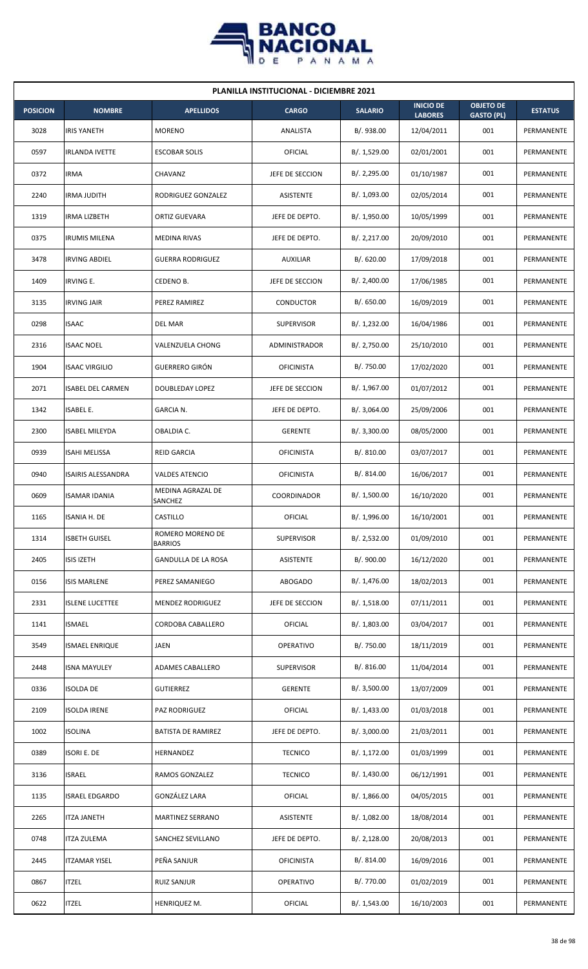

| <b>PLANILLA INSTITUCIONAL - DICIEMBRE 2021</b> |                           |                                    |                      |                |                                    |                                       |                |  |  |
|------------------------------------------------|---------------------------|------------------------------------|----------------------|----------------|------------------------------------|---------------------------------------|----------------|--|--|
| <b>POSICION</b>                                | <b>NOMBRE</b>             | <b>APELLIDOS</b>                   | <b>CARGO</b>         | <b>SALARIO</b> | <b>INICIO DE</b><br><b>LABORES</b> | <b>OBJETO DE</b><br><b>GASTO (PL)</b> | <b>ESTATUS</b> |  |  |
| 3028                                           | <b>IRIS YANETH</b>        | <b>MORENO</b>                      | ANALISTA             | B/. 938.00     | 12/04/2011                         | 001                                   | PERMANENTE     |  |  |
| 0597                                           | <b>IRLANDA IVETTE</b>     | <b>ESCOBAR SOLIS</b>               | OFICIAL              | B/. 1,529.00   | 02/01/2001                         | 001                                   | PERMANENTE     |  |  |
| 0372                                           | IRMA                      | CHAVANZ                            | JEFE DE SECCION      | B/.2,295.00    | 01/10/1987                         | 001                                   | PERMANENTE     |  |  |
| 2240                                           | IRMA JUDITH               | RODRIGUEZ GONZALEZ                 | ASISTENTE            | B/. 1,093.00   | 02/05/2014                         | 001                                   | PERMANENTE     |  |  |
| 1319                                           | IRMA LIZBETH              | ORTIZ GUEVARA                      | JEFE DE DEPTO.       | B/. 1,950.00   | 10/05/1999                         | 001                                   | PERMANENTE     |  |  |
| 0375                                           | <b>IRUMIS MILENA</b>      | MEDINA RIVAS                       | JEFE DE DEPTO.       | B/.2,217.00    | 20/09/2010                         | 001                                   | PERMANENTE     |  |  |
| 3478                                           | <b>IRVING ABDIEL</b>      | <b>GUERRA RODRIGUEZ</b>            | <b>AUXILIAR</b>      | B/0.620.00     | 17/09/2018                         | 001                                   | PERMANENTE     |  |  |
| 1409                                           | <b>IRVING E.</b>          | CEDENO B.                          | JEFE DE SECCION      | B/.2,400.00    | 17/06/1985                         | 001                                   | PERMANENTE     |  |  |
| 3135                                           | <b>IRVING JAIR</b>        | PEREZ RAMIREZ                      | <b>CONDUCTOR</b>     | B/0.650.00     | 16/09/2019                         | 001                                   | PERMANENTE     |  |  |
| 0298                                           | <b>ISAAC</b>              | DEL MAR                            | <b>SUPERVISOR</b>    | B/. 1,232.00   | 16/04/1986                         | 001                                   | PERMANENTE     |  |  |
| 2316                                           | <b>ISAAC NOEL</b>         | VALENZUELA CHONG                   | <b>ADMINISTRADOR</b> | B/. 2,750.00   | 25/10/2010                         | 001                                   | PERMANENTE     |  |  |
| 1904                                           | <b>ISAAC VIRGILIO</b>     | <b>GUERRERO GIRÓN</b>              | <b>OFICINISTA</b>    | B/. 750.00     | 17/02/2020                         | 001                                   | PERMANENTE     |  |  |
| 2071                                           | <b>ISABEL DEL CARMEN</b>  | DOUBLEDAY LOPEZ                    | JEFE DE SECCION      | B/. 1,967.00   | 01/07/2012                         | 001                                   | PERMANENTE     |  |  |
| 1342                                           | <b>ISABEL E.</b>          | GARCIA N.                          | JEFE DE DEPTO.       | B/.3,064.00    | 25/09/2006                         | 001                                   | PERMANENTE     |  |  |
| 2300                                           | <b>ISABEL MILEYDA</b>     | OBALDIA C.                         | <b>GERENTE</b>       | B/.3,300.00    | 08/05/2000                         | 001                                   | PERMANENTE     |  |  |
| 0939                                           | ISAHI MELISSA             | <b>REID GARCIA</b>                 | <b>OFICINISTA</b>    | B/.810.00      | 03/07/2017                         | 001                                   | PERMANENTE     |  |  |
| 0940                                           | <b>ISAIRIS ALESSANDRA</b> | VALDES ATENCIO                     | <b>OFICINISTA</b>    | B/. 814.00     | 16/06/2017                         | 001                                   | PERMANENTE     |  |  |
| 0609                                           | ISAMAR IDANIA             | MEDINA AGRAZAL DE<br>SANCHEZ       | COORDINADOR          | B/. 1,500.00   | 16/10/2020                         | 001                                   | PERMANENTE     |  |  |
| 1165                                           | <b>ISANIA H. DE</b>       | CASTILLO                           | OFICIAL              | B/. 1,996.00   | 16/10/2001                         | 001                                   | PERMANENTE     |  |  |
| 1314                                           | <b>ISBETH GUISEL</b>      | ROMERO MORENO DE<br><b>BARRIOS</b> | SUPERVISOR           | B/. 2,532.00   | 01/09/2010                         | 001                                   | PERMANENTE     |  |  |
| 2405                                           | <b>ISIS IZETH</b>         | <b>GANDULLA DE LA ROSA</b>         | ASISTENTE            | B/. 900.00     | 16/12/2020                         | 001                                   | PERMANENTE     |  |  |
| 0156                                           | <b>ISIS MARLENE</b>       | PEREZ SAMANIEGO                    | <b>ABOGADO</b>       | B/. 1,476.00   | 18/02/2013                         | 001                                   | PERMANENTE     |  |  |
| 2331                                           | <b>ISLENE LUCETTEE</b>    | <b>MENDEZ RODRIGUEZ</b>            | JEFE DE SECCION      | B/. 1,518.00   | 07/11/2011                         | 001                                   | PERMANENTE     |  |  |
| 1141                                           | ISMAEL                    | CORDOBA CABALLERO                  | <b>OFICIAL</b>       | B/. 1,803.00   | 03/04/2017                         | 001                                   | PERMANENTE     |  |  |
| 3549                                           | <b>ISMAEL ENRIQUE</b>     | JAEN                               | OPERATIVO            | B/. 750.00     | 18/11/2019                         | 001                                   | PERMANENTE     |  |  |
| 2448                                           | <b>ISNA MAYULEY</b>       | ADAMES CABALLERO                   | <b>SUPERVISOR</b>    | B/. 816.00     | 11/04/2014                         | 001                                   | PERMANENTE     |  |  |
| 0336                                           | ISOLDA DE                 | <b>GUTIERREZ</b>                   | <b>GERENTE</b>       | B/. 3,500.00   | 13/07/2009                         | 001                                   | PERMANENTE     |  |  |
| 2109                                           | ISOLDA IRENE              | PAZ RODRIGUEZ                      | OFICIAL              | B/. 1,433.00   | 01/03/2018                         | 001                                   | PERMANENTE     |  |  |
| 1002                                           | <b>ISOLINA</b>            | <b>BATISTA DE RAMIREZ</b>          | JEFE DE DEPTO.       | B/.3,000.00    | 21/03/2011                         | 001                                   | PERMANENTE     |  |  |
| 0389                                           | <b>ISORI E. DE</b>        | HERNANDEZ                          | <b>TECNICO</b>       | B/. 1,172.00   | 01/03/1999                         | 001                                   | PERMANENTE     |  |  |
| 3136                                           | ISRAEL                    | RAMOS GONZALEZ                     | <b>TECNICO</b>       | B/. 1,430.00   | 06/12/1991                         | 001                                   | PERMANENTE     |  |  |
| 1135                                           | <b>ISRAEL EDGARDO</b>     | GONZÁLEZ LARA                      | OFICIAL              | B/.1,866.00    | 04/05/2015                         | 001                                   | PERMANENTE     |  |  |
| 2265                                           | <b>ITZA JANETH</b>        | MARTINEZ SERRANO                   | ASISTENTE            | B/.1,082.00    | 18/08/2014                         | 001                                   | PERMANENTE     |  |  |
| 0748                                           | ITZA ZULEMA               | SANCHEZ SEVILLANO                  | JEFE DE DEPTO.       | B/.2,128.00    | 20/08/2013                         | 001                                   | PERMANENTE     |  |  |
| 2445                                           | ITZAMAR YISEL             | PEÑA SANJUR                        | <b>OFICINISTA</b>    | B/. 814.00     | 16/09/2016                         | 001                                   | PERMANENTE     |  |  |
| 0867                                           | <b>ITZEL</b>              | <b>RUIZ SANJUR</b>                 | <b>OPERATIVO</b>     | B/. 770.00     | 01/02/2019                         | 001                                   | PERMANENTE     |  |  |
| 0622                                           | <b>ITZEL</b>              | HENRIQUEZ M.                       | OFICIAL              | B/. 1,543.00   | 16/10/2003                         | 001                                   | PERMANENTE     |  |  |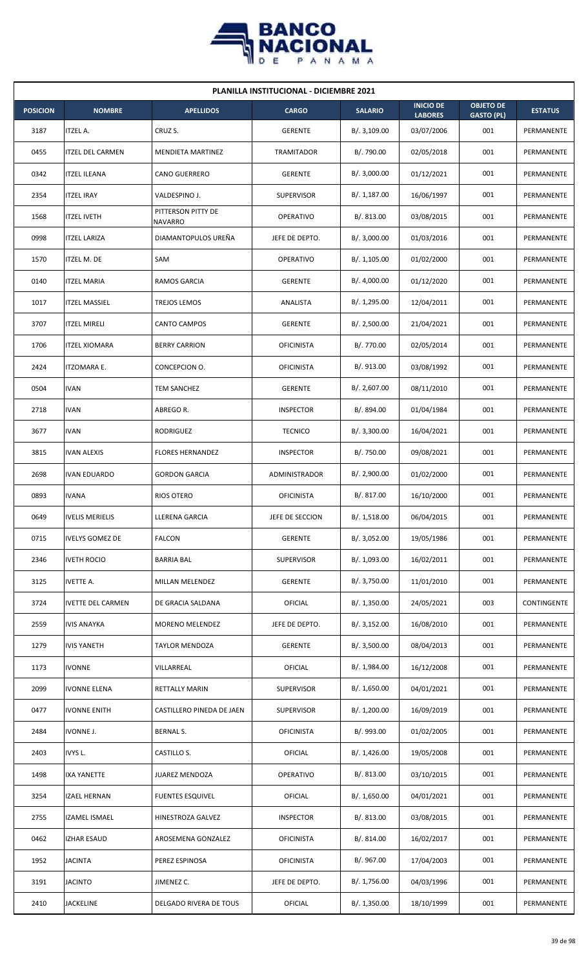

| <b>PLANILLA INSTITUCIONAL - DICIEMBRE 2021</b> |                          |                               |                   |                |                                    |                                       |                    |  |  |  |
|------------------------------------------------|--------------------------|-------------------------------|-------------------|----------------|------------------------------------|---------------------------------------|--------------------|--|--|--|
| <b>POSICION</b>                                | <b>NOMBRE</b>            | <b>APELLIDOS</b>              | <b>CARGO</b>      | <b>SALARIO</b> | <b>INICIO DE</b><br><b>LABORES</b> | <b>OBJETO DE</b><br><b>GASTO (PL)</b> | <b>ESTATUS</b>     |  |  |  |
| 3187                                           | <b>ITZEL A.</b>          | CRUZ S.                       | <b>GERENTE</b>    | B/.3,109.00    | 03/07/2006                         | 001                                   | PERMANENTE         |  |  |  |
| 0455                                           | <b>ITZEL DEL CARMEN</b>  | <b>MENDIETA MARTINEZ</b>      | TRAMITADOR        | B/. 790.00     | 02/05/2018                         | 001                                   | PERMANENTE         |  |  |  |
| 0342                                           | <b>ITZEL ILEANA</b>      | <b>CANO GUERRERO</b>          | <b>GERENTE</b>    | B/.3,000.00    | 01/12/2021                         | 001                                   | PERMANENTE         |  |  |  |
| 2354                                           | <b>ITZEL IRAY</b>        | VALDESPINO J.                 | <b>SUPERVISOR</b> | B/. 1,187.00   | 16/06/1997                         | 001                                   | PERMANENTE         |  |  |  |
| 1568                                           | <b>ITZEL IVETH</b>       | PITTERSON PITTY DE<br>NAVARRO | <b>OPERATIVO</b>  | B/. 813.00     | 03/08/2015                         | 001                                   | PERMANENTE         |  |  |  |
| 0998                                           | <b>ITZEL LARIZA</b>      | DIAMANTOPULOS UREÑA           | JEFE DE DEPTO.    | B/. 3,000.00   | 01/03/2016                         | 001                                   | PERMANENTE         |  |  |  |
| 1570                                           | <b>ITZEL M. DE</b>       | SAM                           | <b>OPERATIVO</b>  | B/.1,105.00    | 01/02/2000                         | 001                                   | PERMANENTE         |  |  |  |
| 0140                                           | <b>ITZEL MARIA</b>       | RAMOS GARCIA                  | <b>GERENTE</b>    | B/.4,000.00    | 01/12/2020                         | 001                                   | PERMANENTE         |  |  |  |
| 1017                                           | <b>ITZEL MASSIEL</b>     | TREJOS LEMOS                  | ANALISTA          | B/. 1,295.00   | 12/04/2011                         | 001                                   | PERMANENTE         |  |  |  |
| 3707                                           | <b>ITZEL MIRELI</b>      | CANTO CAMPOS                  | <b>GERENTE</b>    | B/.2,500.00    | 21/04/2021                         | 001                                   | PERMANENTE         |  |  |  |
| 1706                                           | <b>ITZEL XIOMARA</b>     | <b>BERRY CARRION</b>          | <b>OFICINISTA</b> | B/. 770.00     | 02/05/2014                         | 001                                   | PERMANENTE         |  |  |  |
| 2424                                           | <b>ITZOMARA E.</b>       | CONCEPCION O.                 | <b>OFICINISTA</b> | B/. 913.00     | 03/08/1992                         | 001                                   | PERMANENTE         |  |  |  |
| 0504                                           | <b>IVAN</b>              | TEM SANCHEZ                   | <b>GERENTE</b>    | B/. 2,607.00   | 08/11/2010                         | 001                                   | PERMANENTE         |  |  |  |
| 2718                                           | <b>IVAN</b>              | ABREGO R.                     | <b>INSPECTOR</b>  | B/. 894.00     | 01/04/1984                         | 001                                   | PERMANENTE         |  |  |  |
| 3677                                           | <b>IVAN</b>              | RODRIGUEZ                     | <b>TECNICO</b>    | B/.3,300.00    | 16/04/2021                         | 001                                   | PERMANENTE         |  |  |  |
| 3815                                           | <b>IVAN ALEXIS</b>       | <b>FLORES HERNANDEZ</b>       | <b>INSPECTOR</b>  | B/. 750.00     | 09/08/2021                         | 001                                   | PERMANENTE         |  |  |  |
| 2698                                           | <b>IVAN EDUARDO</b>      | <b>GORDON GARCIA</b>          | ADMINISTRADOR     | B/.2,900.00    | 01/02/2000                         | 001                                   | PERMANENTE         |  |  |  |
| 0893                                           | <b>IVANA</b>             | RIOS OTERO                    | <b>OFICINISTA</b> | B/. 817.00     | 16/10/2000                         | 001                                   | PERMANENTE         |  |  |  |
| 0649                                           | <b>IVELIS MERIELIS</b>   | LLERENA GARCIA                | JEFE DE SECCION   | B/. 1,518.00   | 06/04/2015                         | 001                                   | PERMANENTE         |  |  |  |
| 0715                                           | <b>IVELYS GOMEZ DE</b>   | <b>FALCON</b>                 | <b>GERENTE</b>    | B/. 3,052.00   | 19/05/1986                         | 001                                   | PERMANENTE         |  |  |  |
| 2346                                           | <b>IVETH ROCIO</b>       | <b>BARRIA BAL</b>             | <b>SUPERVISOR</b> | B/. 1,093.00   | 16/02/2011                         | 001                                   | PERMANENTE         |  |  |  |
| 3125                                           | <b>IVETTE A.</b>         | MILLAN MELENDEZ               | <b>GERENTE</b>    | B/. 3,750.00   | 11/01/2010                         | 001                                   | PERMANENTE         |  |  |  |
| 3724                                           | <b>IVETTE DEL CARMEN</b> | DE GRACIA SALDANA             | <b>OFICIAL</b>    | B/. 1,350.00   | 24/05/2021                         | 003                                   | <b>CONTINGENTE</b> |  |  |  |
| 2559                                           | <b>IVIS ANAYKA</b>       | MORENO MELENDEZ               | JEFE DE DEPTO.    | B/. 3,152.00   | 16/08/2010                         | 001                                   | PERMANENTE         |  |  |  |
| 1279                                           | <b>IVIS YANETH</b>       | TAYLOR MENDOZA                | <b>GERENTE</b>    | B/.3,500.00    | 08/04/2013                         | 001                                   | PERMANENTE         |  |  |  |
| 1173                                           | <b>IVONNE</b>            | VILLARREAL                    | OFICIAL           | B/. 1,984.00   | 16/12/2008                         | 001                                   | PERMANENTE         |  |  |  |
| 2099                                           | <b>IVONNE ELENA</b>      | RETTALLY MARIN                | <b>SUPERVISOR</b> | B/. 1,650.00   | 04/01/2021                         | 001                                   | PERMANENTE         |  |  |  |
| 0477                                           | <b>IVONNE ENITH</b>      | CASTILLERO PINEDA DE JAEN     | <b>SUPERVISOR</b> | B/. 1,200.00   | 16/09/2019                         | 001                                   | PERMANENTE         |  |  |  |
| 2484                                           | <b>IVONNE J.</b>         | <b>BERNAL S.</b>              | <b>OFICINISTA</b> | B/. 993.00     | 01/02/2005                         | 001                                   | PERMANENTE         |  |  |  |
| 2403                                           | IVYS L.                  | CASTILLO S.                   | <b>OFICIAL</b>    | B/.1,426.00    | 19/05/2008                         | 001                                   | PERMANENTE         |  |  |  |
| 1498                                           | <b>IXA YANETTE</b>       | JUAREZ MENDOZA                | OPERATIVO         | B/. 813.00     | 03/10/2015                         | 001                                   | PERMANENTE         |  |  |  |
| 3254                                           | <b>IZAEL HERNAN</b>      | <b>FUENTES ESQUIVEL</b>       | <b>OFICIAL</b>    | B/. 1,650.00   | 04/01/2021                         | 001                                   | PERMANENTE         |  |  |  |
| 2755                                           | IZAMEL ISMAEL            | HINESTROZA GALVEZ             | <b>INSPECTOR</b>  | B/. 813.00     | 03/08/2015                         | 001                                   | PERMANENTE         |  |  |  |
| 0462                                           | <b>IZHAR ESAUD</b>       | AROSEMENA GONZALEZ            | <b>OFICINISTA</b> | B/.814.00      | 16/02/2017                         | 001                                   | PERMANENTE         |  |  |  |
| 1952                                           | <b>JACINTA</b>           | PEREZ ESPINOSA                | <b>OFICINISTA</b> | B/. 967.00     | 17/04/2003                         | 001                                   | PERMANENTE         |  |  |  |
| 3191                                           | <b>JACINTO</b>           | JIMENEZ C.                    | JEFE DE DEPTO.    | B/. 1,756.00   | 04/03/1996                         | 001                                   | PERMANENTE         |  |  |  |
| 2410                                           | <b>JACKELINE</b>         | DELGADO RIVERA DE TOUS        | <b>OFICIAL</b>    | B/. 1,350.00   | 18/10/1999                         | 001                                   | PERMANENTE         |  |  |  |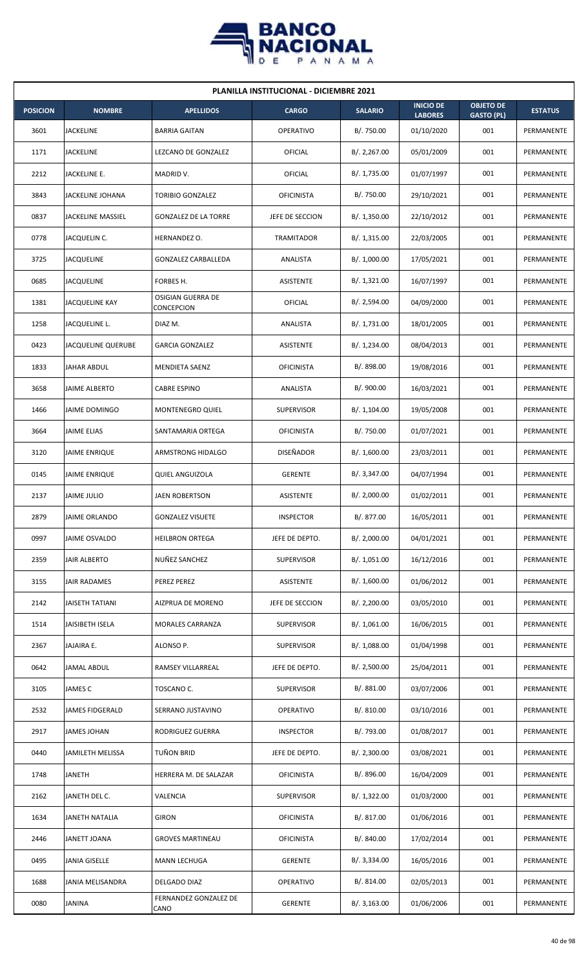

| <b>PLANILLA INSTITUCIONAL - DICIEMBRE 2021</b> |                         |                                        |                   |                |                                    |                                       |                |  |  |
|------------------------------------------------|-------------------------|----------------------------------------|-------------------|----------------|------------------------------------|---------------------------------------|----------------|--|--|
| <b>POSICION</b>                                | <b>NOMBRE</b>           | <b>APELLIDOS</b>                       | <b>CARGO</b>      | <b>SALARIO</b> | <b>INICIO DE</b><br><b>LABORES</b> | <b>OBJETO DE</b><br><b>GASTO (PL)</b> | <b>ESTATUS</b> |  |  |
| 3601                                           | <b>JACKELINE</b>        | <b>BARRIA GAITAN</b>                   | <b>OPERATIVO</b>  | B/. 750.00     | 01/10/2020                         | 001                                   | PERMANENTE     |  |  |
| 1171                                           | JACKELINE               | LEZCANO DE GONZALEZ                    | <b>OFICIAL</b>    | B/.2,267.00    | 05/01/2009                         | 001                                   | PERMANENTE     |  |  |
| 2212                                           | JACKELINE E.            | MADRID V.                              | OFICIAL           | B/. 1,735.00   | 01/07/1997                         | 001                                   | PERMANENTE     |  |  |
| 3843                                           | <b>JACKELINE JOHANA</b> | <b>TORIBIO GONZALEZ</b>                | <b>OFICINISTA</b> | B/. 750.00     | 29/10/2021                         | 001                                   | PERMANENTE     |  |  |
| 0837                                           | JACKELINE MASSIEL       | <b>GONZALEZ DE LA TORRE</b>            | JEFE DE SECCION   | B/.1,350.00    | 22/10/2012                         | 001                                   | PERMANENTE     |  |  |
| 0778                                           | JACQUELIN C.            | HERNANDEZ O.                           | TRAMITADOR        | B/.1,315.00    | 22/03/2005                         | 001                                   | PERMANENTE     |  |  |
| 3725                                           | <b>JACQUELINE</b>       | <b>GONZALEZ CARBALLEDA</b>             | ANALISTA          | B/. 1,000.00   | 17/05/2021                         | 001                                   | PERMANENTE     |  |  |
| 0685                                           | <b>JACQUELINE</b>       | FORBES H.                              | ASISTENTE         | B/. 1,321.00   | 16/07/1997                         | 001                                   | PERMANENTE     |  |  |
| 1381                                           | JACQUELINE KAY          | <b>OSIGIAN GUERRA DE</b><br>CONCEPCION | <b>OFICIAL</b>    | B/. 2,594.00   | 04/09/2000                         | 001                                   | PERMANENTE     |  |  |
| 1258                                           | JACQUELINE L.           | DIAZ M.                                | ANALISTA          | B/. 1,731.00   | 18/01/2005                         | 001                                   | PERMANENTE     |  |  |
| 0423                                           | JACQUELINE QUERUBE      | <b>GARCIA GONZALEZ</b>                 | ASISTENTE         | B/. 1,234.00   | 08/04/2013                         | 001                                   | PERMANENTE     |  |  |
| 1833                                           | <b>JAHAR ABDUL</b>      | <b>MENDIETA SAENZ</b>                  | <b>OFICINISTA</b> | B/. 898.00     | 19/08/2016                         | 001                                   | PERMANENTE     |  |  |
| 3658                                           | <b>JAIME ALBERTO</b>    | <b>CABRE ESPINO</b>                    | ANALISTA          | B/. 900.00     | 16/03/2021                         | 001                                   | PERMANENTE     |  |  |
| 1466                                           | <b>JAIME DOMINGO</b>    | <b>MONTENEGRO QUIEL</b>                | <b>SUPERVISOR</b> | B/.1,104.00    | 19/05/2008                         | 001                                   | PERMANENTE     |  |  |
| 3664                                           | <b>JAIME ELIAS</b>      | SANTAMARIA ORTEGA                      | <b>OFICINISTA</b> | B/. 750.00     | 01/07/2021                         | 001                                   | PERMANENTE     |  |  |
| 3120                                           | JAIME ENRIQUE           | ARMSTRONG HIDALGO                      | DISEÑADOR         | B/. 1,600.00   | 23/03/2011                         | 001                                   | PERMANENTE     |  |  |
| 0145                                           | <b>JAIME ENRIQUE</b>    | <b>QUIEL ANGUIZOLA</b>                 | <b>GERENTE</b>    | B/.3,347.00    | 04/07/1994                         | 001                                   | PERMANENTE     |  |  |
| 2137                                           | <b>JAIME JULIO</b>      | <b>JAEN ROBERTSON</b>                  | ASISTENTE         | B/.2,000.00    | 01/02/2011                         | 001                                   | PERMANENTE     |  |  |
| 2879                                           | <b>JAIME ORLANDO</b>    | <b>GONZALEZ VISUETE</b>                | <b>INSPECTOR</b>  | B/. 877.00     | 16/05/2011                         | 001                                   | PERMANENTE     |  |  |
| 0997                                           | JAIME OSVALDO           | <b>HEILBRON ORTEGA</b>                 | JEFE DE DEPTO.    | B/.2,000.00    | 04/01/2021                         | 001                                   | PERMANENTE     |  |  |
| 2359                                           | JAIR ALBERTO            | NUÑEZ SANCHEZ                          | SUPERVISOR        | B/. 1,051.00   | 16/12/2016                         | 001                                   | PERMANENTE     |  |  |
| 3155                                           | <b>JAIR RADAMES</b>     | PEREZ PEREZ                            | ASISTENTE         | B/. 1,600.00   | 01/06/2012                         | 001                                   | PERMANENTE     |  |  |
| 2142                                           | <b>JAISETH TATIANI</b>  | AIZPRUA DE MORENO                      | JEFE DE SECCION   | B/.2,200.00    | 03/05/2010                         | 001                                   | PERMANENTE     |  |  |
| 1514                                           | JAISIBETH ISELA         | MORALES CARRANZA                       | <b>SUPERVISOR</b> | B/. 1,061.00   | 16/06/2015                         | 001                                   | PERMANENTE     |  |  |
| 2367                                           | JAJAIRA E.              | ALONSO P.                              | <b>SUPERVISOR</b> | B/.1,088.00    | 01/04/1998                         | 001                                   | PERMANENTE     |  |  |
| 0642                                           | JAMAL ABDUL             | RAMSEY VILLARREAL                      | JEFE DE DEPTO.    | B/.2,500.00    | 25/04/2011                         | 001                                   | PERMANENTE     |  |  |
| 3105                                           | JAMES C                 | TOSCANO C.                             | <b>SUPERVISOR</b> | B/. 881.00     | 03/07/2006                         | 001                                   | PERMANENTE     |  |  |
| 2532                                           | JAMES FIDGERALD         | SERRANO JUSTAVINO                      | OPERATIVO         | B/. 810.00     | 03/10/2016                         | 001                                   | PERMANENTE     |  |  |
| 2917                                           | <b>JAMES JOHAN</b>      | RODRIGUEZ GUERRA                       | <b>INSPECTOR</b>  | B/. 793.00     | 01/08/2017                         | 001                                   | PERMANENTE     |  |  |
| 0440                                           | JAMILETH MELISSA        | TUÑON BRID                             | JEFE DE DEPTO.    | B/.2,300.00    | 03/08/2021                         | 001                                   | PERMANENTE     |  |  |
| 1748                                           | <b>JANETH</b>           | HERRERA M. DE SALAZAR                  | <b>OFICINISTA</b> | B/. 896.00     | 16/04/2009                         | 001                                   | PERMANENTE     |  |  |
| 2162                                           | JANETH DEL C.           | VALENCIA                               | <b>SUPERVISOR</b> | B/. 1,322.00   | 01/03/2000                         | 001                                   | PERMANENTE     |  |  |
| 1634                                           | JANETH NATALIA          | <b>GIRON</b>                           | <b>OFICINISTA</b> | B/.817.00      | 01/06/2016                         | 001                                   | PERMANENTE     |  |  |
| 2446                                           | JANETT JOANA            | <b>GROVES MARTINEAU</b>                | <b>OFICINISTA</b> | B/. 840.00     | 17/02/2014                         | 001                                   | PERMANENTE     |  |  |
| 0495                                           | JANIA GISELLE           | MANN LECHUGA                           | <b>GERENTE</b>    | B/. 3,334.00   | 16/05/2016                         | 001                                   | PERMANENTE     |  |  |
| 1688                                           | JANIA MELISANDRA        | DELGADO DIAZ                           | OPERATIVO         | B/. 814.00     | 02/05/2013                         | 001                                   | PERMANENTE     |  |  |
| 0080                                           | <b>JANINA</b>           | FERNANDEZ GONZALEZ DE<br>CANO          | <b>GERENTE</b>    | B/.3,163.00    | 01/06/2006                         | 001                                   | PERMANENTE     |  |  |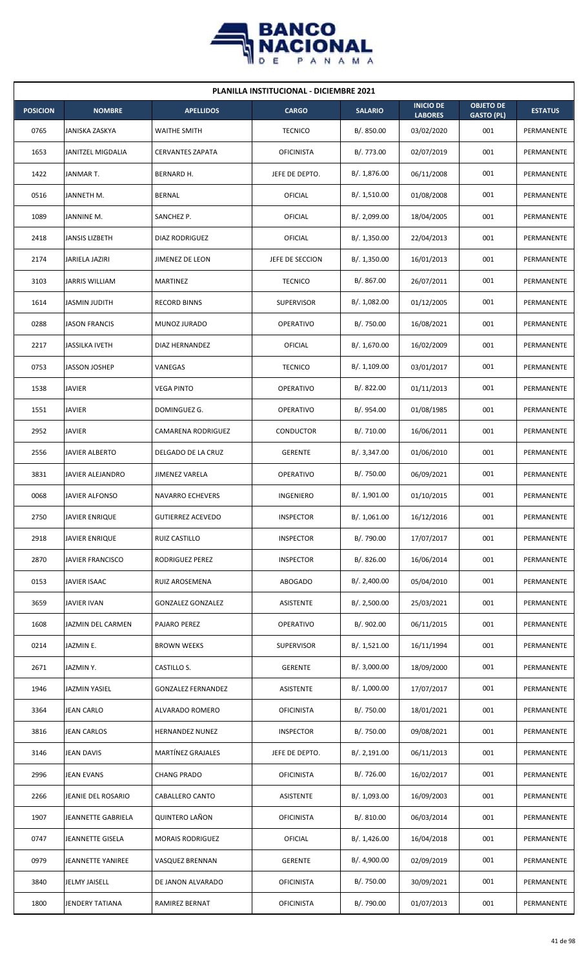

| <b>PLANILLA INSTITUCIONAL - DICIEMBRE 2021</b> |                          |                           |                   |                |                                    |                                       |                |  |  |
|------------------------------------------------|--------------------------|---------------------------|-------------------|----------------|------------------------------------|---------------------------------------|----------------|--|--|
| <b>POSICION</b>                                | <b>NOMBRE</b>            | <b>APELLIDOS</b>          | <b>CARGO</b>      | <b>SALARIO</b> | <b>INICIO DE</b><br><b>LABORES</b> | <b>OBJETO DE</b><br><b>GASTO (PL)</b> | <b>ESTATUS</b> |  |  |
| 0765                                           | JANISKA ZASKYA           | <b>WAITHE SMITH</b>       | <b>TECNICO</b>    | B/. 850.00     | 03/02/2020                         | 001                                   | PERMANENTE     |  |  |
| 1653                                           | <b>JANITZEL MIGDALIA</b> | <b>CERVANTES ZAPATA</b>   | <b>OFICINISTA</b> | B/. 773.00     | 02/07/2019                         | 001                                   | PERMANENTE     |  |  |
| 1422                                           | JANMAR T.                | BERNARD H.                | JEFE DE DEPTO.    | B/. 1,876.00   | 06/11/2008                         | 001                                   | PERMANENTE     |  |  |
| 0516                                           | JANNETH M.               | <b>BERNAL</b>             | OFICIAL           | B/.1,510.00    | 01/08/2008                         | 001                                   | PERMANENTE     |  |  |
| 1089                                           | JANNINE M.               | SANCHEZ P.                | OFICIAL           | B/. 2,099.00   | 18/04/2005                         | 001                                   | PERMANENTE     |  |  |
| 2418                                           | JANSIS LIZBETH           | DIAZ RODRIGUEZ            | OFICIAL           | B/. 1,350.00   | 22/04/2013                         | 001                                   | PERMANENTE     |  |  |
| 2174                                           | JARIELA JAZIRI           | JIMENEZ DE LEON           | JEFE DE SECCION   | B/. 1,350.00   | 16/01/2013                         | 001                                   | PERMANENTE     |  |  |
| 3103                                           | <b>JARRIS WILLIAM</b>    | <b>MARTINEZ</b>           | <b>TECNICO</b>    | B/. 867.00     | 26/07/2011                         | 001                                   | PERMANENTE     |  |  |
| 1614                                           | <b>JASMIN JUDITH</b>     | <b>RECORD BINNS</b>       | <b>SUPERVISOR</b> | B/. 1,082.00   | 01/12/2005                         | 001                                   | PERMANENTE     |  |  |
| 0288                                           | <b>JASON FRANCIS</b>     | MUNOZ JURADO              | <b>OPERATIVO</b>  | B/. 750.00     | 16/08/2021                         | 001                                   | PERMANENTE     |  |  |
| 2217                                           | <b>JASSILKA IVETH</b>    | DIAZ HERNANDEZ            | OFICIAL           | B/. 1,670.00   | 16/02/2009                         | 001                                   | PERMANENTE     |  |  |
| 0753                                           | <b>JASSON JOSHEP</b>     | VANEGAS                   | <b>TECNICO</b>    | B/.1,109.00    | 03/01/2017                         | 001                                   | PERMANENTE     |  |  |
| 1538                                           | <b>JAVIER</b>            | <b>VEGA PINTO</b>         | <b>OPERATIVO</b>  | B/0.822.00     | 01/11/2013                         | 001                                   | PERMANENTE     |  |  |
| 1551                                           | <b>JAVIER</b>            | DOMINGUEZ G.              | <b>OPERATIVO</b>  | B/. 954.00     | 01/08/1985                         | 001                                   | PERMANENTE     |  |  |
| 2952                                           | <b>JAVIER</b>            | CAMARENA RODRIGUEZ        | <b>CONDUCTOR</b>  | B/. 710.00     | 16/06/2011                         | 001                                   | PERMANENTE     |  |  |
| 2556                                           | JAVIER ALBERTO           | DELGADO DE LA CRUZ        | <b>GERENTE</b>    | B/. 3,347.00   | 01/06/2010                         | 001                                   | PERMANENTE     |  |  |
| 3831                                           | JAVIER ALEJANDRO         | <b>JIMENEZ VARELA</b>     | <b>OPERATIVO</b>  | B/. 750.00     | 06/09/2021                         | 001                                   | PERMANENTE     |  |  |
| 0068                                           | <b>JAVIER ALFONSO</b>    | <b>NAVARRO ECHEVERS</b>   | INGENIERO         | B/. 1,901.00   | 01/10/2015                         | 001                                   | PERMANENTE     |  |  |
| 2750                                           | <b>JAVIER ENRIQUE</b>    | <b>GUTIERREZ ACEVEDO</b>  | <b>INSPECTOR</b>  | B/. 1,061.00   | 16/12/2016                         | 001                                   | PERMANENTE     |  |  |
| 2918                                           | <b>JAVIER ENRIQUE</b>    | RUIZ CASTILLO             | <b>INSPECTOR</b>  | B/. 790.00     | 17/07/2017                         | 001                                   | PERMANENTE     |  |  |
| 2870                                           | JAVIER FRANCISCO         | RODRIGUEZ PEREZ           | <b>INSPECTOR</b>  | B/.826.00      | 16/06/2014                         | 001                                   | PERMANENTE     |  |  |
| 0153                                           | JAVIER ISAAC             | RUIZ AROSEMENA            | <b>ABOGADO</b>    | B/.2,400.00    | 05/04/2010                         | 001                                   | PERMANENTE     |  |  |
| 3659                                           | JAVIER IVAN              | <b>GONZALEZ GONZALEZ</b>  | ASISTENTE         | B/.2,500.00    | 25/03/2021                         | 001                                   | PERMANENTE     |  |  |
| 1608                                           | JAZMIN DEL CARMEN        | PAJARO PEREZ              | <b>OPERATIVO</b>  | B/. 902.00     | 06/11/2015                         | 001                                   | PERMANENTE     |  |  |
| 0214                                           | JAZMIN E.                | <b>BROWN WEEKS</b>        | <b>SUPERVISOR</b> | B/. 1,521.00   | 16/11/1994                         | 001                                   | PERMANENTE     |  |  |
| 2671                                           | JAZMINY.                 | CASTILLO S.               | <b>GERENTE</b>    | B/.3,000.00    | 18/09/2000                         | 001                                   | PERMANENTE     |  |  |
| 1946                                           | JAZMIN YASIEL            | <b>GONZALEZ FERNANDEZ</b> | <b>ASISTENTE</b>  | B/. 1,000.00   | 17/07/2017                         | 001                                   | PERMANENTE     |  |  |
| 3364                                           | JEAN CARLO               | ALVARADO ROMERO           | <b>OFICINISTA</b> | B/. 750.00     | 18/01/2021                         | 001                                   | PERMANENTE     |  |  |
| 3816                                           | <b>JEAN CARLOS</b>       | <b>HERNANDEZ NUNEZ</b>    | <b>INSPECTOR</b>  | B/. 750.00     | 09/08/2021                         | 001                                   | PERMANENTE     |  |  |
| 3146                                           | <b>JEAN DAVIS</b>        | MARTÍNEZ GRAJALES         | JEFE DE DEPTO.    | B/.2,191.00    | 06/11/2013                         | 001                                   | PERMANENTE     |  |  |
| 2996                                           | JEAN EVANS               | <b>CHANG PRADO</b>        | <b>OFICINISTA</b> | B/. 726.00     | 16/02/2017                         | 001                                   | PERMANENTE     |  |  |
| 2266                                           | JEANIE DEL ROSARIO       | CABALLERO CANTO           | ASISTENTE         | B/. 1,093.00   | 16/09/2003                         | 001                                   | PERMANENTE     |  |  |
| 1907                                           | JEANNETTE GABRIELA       | <b>QUINTERO LAÑON</b>     | <b>OFICINISTA</b> | B/. 810.00     | 06/03/2014                         | 001                                   | PERMANENTE     |  |  |
| 0747                                           | JEANNETTE GISELA         | <b>MORAIS RODRIGUEZ</b>   | <b>OFICIAL</b>    | B/.1,426.00    | 16/04/2018                         | 001                                   | PERMANENTE     |  |  |
| 0979                                           | JEANNETTE YANIREE        | VASQUEZ BRENNAN           | <b>GERENTE</b>    | B/. 4,900.00   | 02/09/2019                         | 001                                   | PERMANENTE     |  |  |
| 3840                                           | <b>JELMY JAISELL</b>     | DE JANON ALVARADO         | <b>OFICINISTA</b> | B/. 750.00     | 30/09/2021                         | 001                                   | PERMANENTE     |  |  |
| 1800                                           | <b>JENDERY TATIANA</b>   | RAMIREZ BERNAT            | <b>OFICINISTA</b> | B/. 790.00     | 01/07/2013                         | 001                                   | PERMANENTE     |  |  |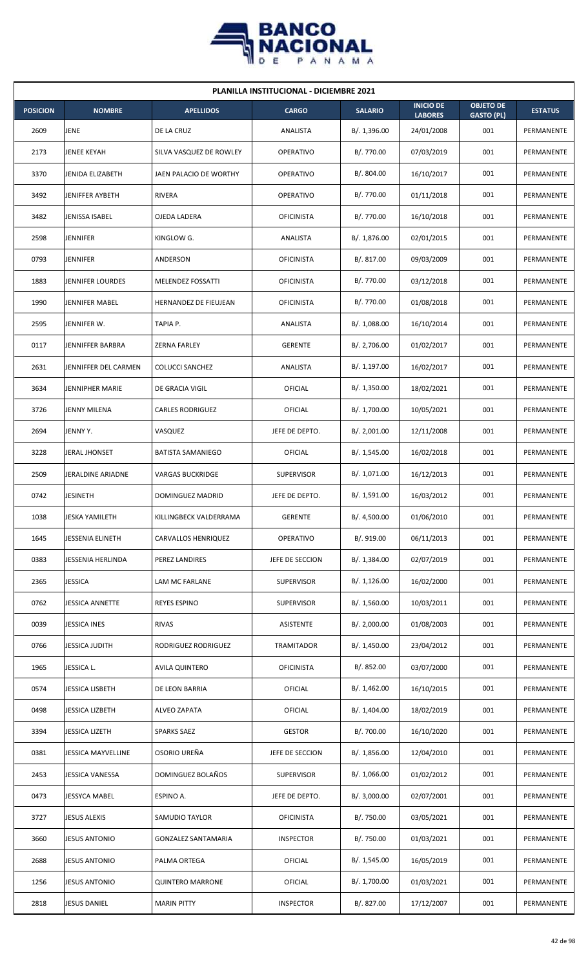

| <b>PLANILLA INSTITUCIONAL - DICIEMBRE 2021</b> |                         |                            |                   |                |                                    |                                       |                |  |  |
|------------------------------------------------|-------------------------|----------------------------|-------------------|----------------|------------------------------------|---------------------------------------|----------------|--|--|
| <b>POSICION</b>                                | <b>NOMBRE</b>           | <b>APELLIDOS</b>           | <b>CARGO</b>      | <b>SALARIO</b> | <b>INICIO DE</b><br><b>LABORES</b> | <b>OBJETO DE</b><br><b>GASTO (PL)</b> | <b>ESTATUS</b> |  |  |
| 2609                                           | JENE                    | DE LA CRUZ                 | ANALISTA          | B/. 1,396.00   | 24/01/2008                         | 001                                   | PERMANENTE     |  |  |
| 2173                                           | JENEE KEYAH             | SILVA VASQUEZ DE ROWLEY    | <b>OPERATIVO</b>  | B/. 770.00     | 07/03/2019                         | 001                                   | PERMANENTE     |  |  |
| 3370                                           | JENIDA ELIZABETH        | JAEN PALACIO DE WORTHY     | <b>OPERATIVO</b>  | B/. 804.00     | 16/10/2017                         | 001                                   | PERMANENTE     |  |  |
| 3492                                           | JENIFFER AYBETH         | RIVERA                     | <b>OPERATIVO</b>  | B/. 770.00     | 01/11/2018                         | 001                                   | PERMANENTE     |  |  |
| 3482                                           | JENISSA ISABEL          | OJEDA LADERA               | <b>OFICINISTA</b> | B/. 770.00     | 16/10/2018                         | 001                                   | PERMANENTE     |  |  |
| 2598                                           | JENNIFER                | KINGLOW G.                 | ANALISTA          | B/. 1,876.00   | 02/01/2015                         | 001                                   | PERMANENTE     |  |  |
| 0793                                           | <b>JENNIFER</b>         | ANDERSON                   | <b>OFICINISTA</b> | B/. 817.00     | 09/03/2009                         | 001                                   | PERMANENTE     |  |  |
| 1883                                           | <b>JENNIFER LOURDES</b> | MELENDEZ FOSSATTI          | <b>OFICINISTA</b> | B/. 770.00     | 03/12/2018                         | 001                                   | PERMANENTE     |  |  |
| 1990                                           | JENNIFER MABEL          | HERNANDEZ DE FIEUJEAN      | <b>OFICINISTA</b> | B/. 770.00     | 01/08/2018                         | 001                                   | PERMANENTE     |  |  |
| 2595                                           | JENNIFER W.             | TAPIA P.                   | ANALISTA          | B/.1,088.00    | 16/10/2014                         | 001                                   | PERMANENTE     |  |  |
| 0117                                           | JENNIFFER BARBRA        | <b>ZERNA FARLEY</b>        | <b>GERENTE</b>    | B/. 2,706.00   | 01/02/2017                         | 001                                   | PERMANENTE     |  |  |
| 2631                                           | JENNIFFER DEL CARMEN    | <b>COLUCCI SANCHEZ</b>     | ANALISTA          | B/. 1,197.00   | 16/02/2017                         | 001                                   | PERMANENTE     |  |  |
| 3634                                           | JENNIPHER MARIE         | DE GRACIA VIGIL            | OFICIAL           | B/. 1,350.00   | 18/02/2021                         | 001                                   | PERMANENTE     |  |  |
| 3726                                           | JENNY MILENA            | <b>CARLES RODRIGUEZ</b>    | OFICIAL           | B/. 1,700.00   | 10/05/2021                         | 001                                   | PERMANENTE     |  |  |
| 2694                                           | JENNY Y.                | VASQUEZ                    | JEFE DE DEPTO.    | B/.2,001.00    | 12/11/2008                         | 001                                   | PERMANENTE     |  |  |
| 3228                                           | JERAL JHONSET           | <b>BATISTA SAMANIEGO</b>   | OFICIAL           | B/. 1,545.00   | 16/02/2018                         | 001                                   | PERMANENTE     |  |  |
| 2509                                           | JERALDINE ARIADNE       | <b>VARGAS BUCKRIDGE</b>    | <b>SUPERVISOR</b> | B/. 1,071.00   | 16/12/2013                         | 001                                   | PERMANENTE     |  |  |
| 0742                                           | <b>JESINETH</b>         | DOMINGUEZ MADRID           | JEFE DE DEPTO.    | B/. 1,591.00   | 16/03/2012                         | 001                                   | PERMANENTE     |  |  |
| 1038                                           | JESKA YAMILETH          | KILLINGBECK VALDERRAMA     | <b>GERENTE</b>    | B/. 4,500.00   | 01/06/2010                         | 001                                   | PERMANENTE     |  |  |
| 1645                                           | JESSENIA ELINETH        | CARVALLOS HENRIQUEZ        | OPERATIVO         | B/. 919.00     | 06/11/2013                         | 001                                   | PERMANENTE     |  |  |
| 0383                                           | JESSENIA HERLINDA       | PEREZ LANDIRES             | JEFE DE SECCION   | B/. 1,384.00   | 02/07/2019                         | 001                                   | PERMANENTE     |  |  |
| 2365                                           | <b>JESSICA</b>          | LAM MC FARLANE             | <b>SUPERVISOR</b> | B/.1,126.00    | 16/02/2000                         | 001                                   | PERMANENTE     |  |  |
| 0762                                           | JESSICA ANNETTE         | REYES ESPINO               | <b>SUPERVISOR</b> | B/. 1,560.00   | 10/03/2011                         | 001                                   | PERMANENTE     |  |  |
| 0039                                           | JESSICA INES            | <b>RIVAS</b>               | ASISTENTE         | B/.2,000.00    | 01/08/2003                         | 001                                   | PERMANENTE     |  |  |
| 0766                                           | JESSICA JUDITH          | RODRIGUEZ RODRIGUEZ        | TRAMITADOR        | B/.1,450.00    | 23/04/2012                         | 001                                   | PERMANENTE     |  |  |
| 1965                                           | JESSICA L.              | <b>AVILA QUINTERO</b>      | <b>OFICINISTA</b> | B/. 852.00     | 03/07/2000                         | 001                                   | PERMANENTE     |  |  |
| 0574                                           | JESSICA LISBETH         | DE LEON BARRIA             | OFICIAL           | B/. 1,462.00   | 16/10/2015                         | 001                                   | PERMANENTE     |  |  |
| 0498                                           | JESSICA LIZBETH         | <b>ALVEO ZAPATA</b>        | OFICIAL           | B/. 1,404.00   | 18/02/2019                         | 001                                   | PERMANENTE     |  |  |
| 3394                                           | JESSICA LIZETH          | <b>SPARKS SAEZ</b>         | <b>GESTOR</b>     | B/. 700.00     | 16/10/2020                         | 001                                   | PERMANENTE     |  |  |
| 0381                                           | JESSICA MAYVELLINE      | OSORIO UREÑA               | JEFE DE SECCION   | B/. 1,856.00   | 12/04/2010                         | 001                                   | PERMANENTE     |  |  |
| 2453                                           | JESSICA VANESSA         | DOMINGUEZ BOLAÑOS          | <b>SUPERVISOR</b> | B/. 1,066.00   | 01/02/2012                         | 001                                   | PERMANENTE     |  |  |
| 0473                                           | JESSYCA MABEL           | ESPINO A.                  | JEFE DE DEPTO.    | B/.3,000.00    | 02/07/2001                         | 001                                   | PERMANENTE     |  |  |
| 3727                                           | <b>JESUS ALEXIS</b>     | SAMUDIO TAYLOR             | <b>OFICINISTA</b> | B/. 750.00     | 03/05/2021                         | 001                                   | PERMANENTE     |  |  |
| 3660                                           | <b>JESUS ANTONIO</b>    | <b>GONZALEZ SANTAMARIA</b> | <b>INSPECTOR</b>  | B/. 750.00     | 01/03/2021                         | 001                                   | PERMANENTE     |  |  |
| 2688                                           | JESUS ANTONIO           | PALMA ORTEGA               | <b>OFICIAL</b>    | B/. 1,545.00   | 16/05/2019                         | 001                                   | PERMANENTE     |  |  |
| 1256                                           | <b>JESUS ANTONIO</b>    | <b>QUINTERO MARRONE</b>    | OFICIAL           | B/. 1,700.00   | 01/03/2021                         | 001                                   | PERMANENTE     |  |  |
| 2818                                           | <b>JESUS DANIEL</b>     | <b>MARIN PITTY</b>         | <b>INSPECTOR</b>  | B/. 827.00     | 17/12/2007                         | 001                                   | PERMANENTE     |  |  |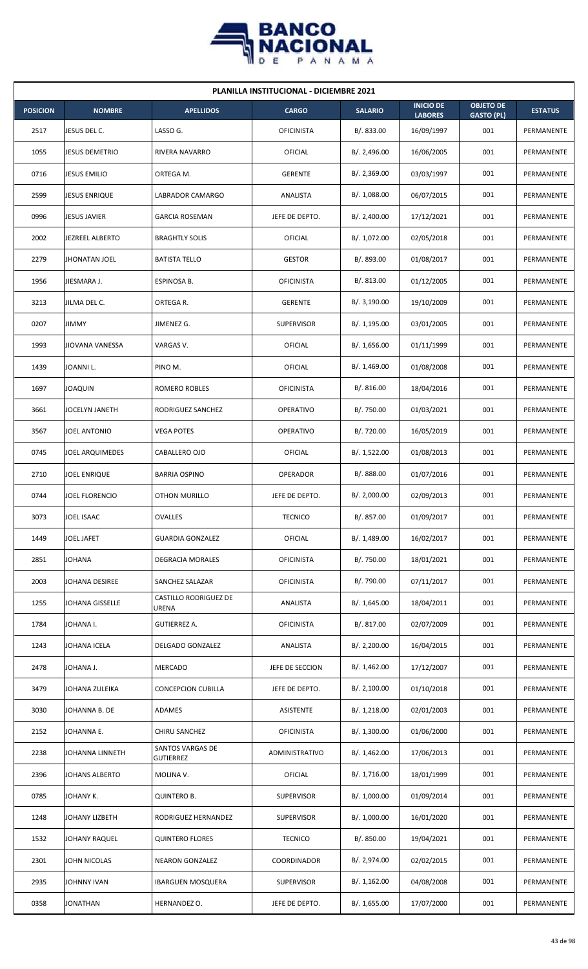

| <b>PLANILLA INSTITUCIONAL - DICIEMBRE 2021</b> |                        |                                |                   |                |                                    |                                       |                |  |  |  |
|------------------------------------------------|------------------------|--------------------------------|-------------------|----------------|------------------------------------|---------------------------------------|----------------|--|--|--|
| <b>POSICION</b>                                | <b>NOMBRE</b>          | <b>APELLIDOS</b>               | <b>CARGO</b>      | <b>SALARIO</b> | <b>INICIO DE</b><br><b>LABORES</b> | <b>OBJETO DE</b><br><b>GASTO (PL)</b> | <b>ESTATUS</b> |  |  |  |
| 2517                                           | JESUS DEL C.           | LASSO G.                       | <b>OFICINISTA</b> | B/. 833.00     | 16/09/1997                         | 001                                   | PERMANENTE     |  |  |  |
| 1055                                           | <b>JESUS DEMETRIO</b>  | RIVERA NAVARRO                 | OFICIAL           | B/. 2,496.00   | 16/06/2005                         | 001                                   | PERMANENTE     |  |  |  |
| 0716                                           | <b>JESUS EMILIO</b>    | ORTEGA M.                      | <b>GERENTE</b>    | B/.2,369.00    | 03/03/1997                         | 001                                   | PERMANENTE     |  |  |  |
| 2599                                           | <b>JESUS ENRIQUE</b>   | <b>LABRADOR CAMARGO</b>        | ANALISTA          | B/. 1,088.00   | 06/07/2015                         | 001                                   | PERMANENTE     |  |  |  |
| 0996                                           | <b>JESUS JAVIER</b>    | <b>GARCIA ROSEMAN</b>          | JEFE DE DEPTO.    | B/.2,400.00    | 17/12/2021                         | 001                                   | PERMANENTE     |  |  |  |
| 2002                                           | <b>JEZREEL ALBERTO</b> | <b>BRAGHTLY SOLIS</b>          | OFICIAL           | B/. 1,072.00   | 02/05/2018                         | 001                                   | PERMANENTE     |  |  |  |
| 2279                                           | <b>JHONATAN JOEL</b>   | <b>BATISTA TELLO</b>           | <b>GESTOR</b>     | B/. 893.00     | 01/08/2017                         | 001                                   | PERMANENTE     |  |  |  |
| 1956                                           | JIESMARA J.            | ESPINOSA B.                    | <b>OFICINISTA</b> | B/0.813.00     | 01/12/2005                         | 001                                   | PERMANENTE     |  |  |  |
| 3213                                           | JILMA DEL C.           | ORTEGA R.                      | <b>GERENTE</b>    | B/.3,190.00    | 19/10/2009                         | 001                                   | PERMANENTE     |  |  |  |
| 0207                                           | <b>JIMMY</b>           | JIMENEZ G.                     | <b>SUPERVISOR</b> | B/. 1,195.00   | 03/01/2005                         | 001                                   | PERMANENTE     |  |  |  |
| 1993                                           | JIOVANA VANESSA        | VARGAS V.                      | OFICIAL           | B/.1,656.00    | 01/11/1999                         | 001                                   | PERMANENTE     |  |  |  |
| 1439                                           | JOANNI L.              | PINO M.                        | OFICIAL           | B/. 1,469.00   | 01/08/2008                         | 001                                   | PERMANENTE     |  |  |  |
| 1697                                           | <b>JOAQUIN</b>         | ROMERO ROBLES                  | <b>OFICINISTA</b> | B/. 816.00     | 18/04/2016                         | 001                                   | PERMANENTE     |  |  |  |
| 3661                                           | <b>JOCELYN JANETH</b>  | RODRIGUEZ SANCHEZ              | <b>OPERATIVO</b>  | B/. 750.00     | 01/03/2021                         | 001                                   | PERMANENTE     |  |  |  |
| 3567                                           | JOEL ANTONIO           | <b>VEGA POTES</b>              | <b>OPERATIVO</b>  | B/. 720.00     | 16/05/2019                         | 001                                   | PERMANENTE     |  |  |  |
| 0745                                           | <b>JOEL ARQUIMEDES</b> | CABALLERO OJO                  | <b>OFICIAL</b>    | B/.1,522.00    | 01/08/2013                         | 001                                   | PERMANENTE     |  |  |  |
| 2710                                           | JOEL ENRIQUE           | <b>BARRIA OSPINO</b>           | OPERADOR          | B/. 888.00     | 01/07/2016                         | 001                                   | PERMANENTE     |  |  |  |
| 0744                                           | <b>JOEL FLORENCIO</b>  | <b>OTHON MURILLO</b>           | JEFE DE DEPTO.    | B/.2,000.00    | 02/09/2013                         | 001                                   | PERMANENTE     |  |  |  |
| 3073                                           | JOEL ISAAC             | <b>OVALLES</b>                 | <b>TECNICO</b>    | B/. 857.00     | 01/09/2017                         | 001                                   | PERMANENTE     |  |  |  |
| 1449                                           | JOEL JAFET             | <b>GUARDIA GONZALEZ</b>        | <b>OFICIAL</b>    | B/. 1,489.00   | 16/02/2017                         | 001                                   | PERMANENTE     |  |  |  |
| 2851                                           | <b>JOHANA</b>          | DEGRACIA MORALES               | <b>OFICINISTA</b> | B/. 750.00     | 18/01/2021                         | 001                                   | PERMANENTE     |  |  |  |
| 2003                                           | JOHANA DESIREE         | SANCHEZ SALAZAR                | <b>OFICINISTA</b> | B/. 790.00     | 07/11/2017                         | 001                                   | PERMANENTE     |  |  |  |
| 1255                                           | <b>JOHANA GISSELLE</b> | CASTILLO RODRIGUEZ DE<br>URENA | ANALISTA          | B/. 1,645.00   | 18/04/2011                         | 001                                   | PERMANENTE     |  |  |  |
| 1784                                           | JOHANA I.              | GUTIERREZ A.                   | <b>OFICINISTA</b> | B/. 817.00     | 02/07/2009                         | 001                                   | PERMANENTE     |  |  |  |
| 1243                                           | JOHANA ICELA           | DELGADO GONZALEZ               | ANALISTA          | B/. 2,200.00   | 16/04/2015                         | 001                                   | PERMANENTE     |  |  |  |
| 2478                                           | JOHANA J.              | <b>MERCADO</b>                 | JEFE DE SECCION   | B/.1,462.00    | 17/12/2007                         | 001                                   | PERMANENTE     |  |  |  |
| 3479                                           | JOHANA ZULEIKA         | <b>CONCEPCION CUBILLA</b>      | JEFE DE DEPTO.    | B/.2,100.00    | 01/10/2018                         | 001                                   | PERMANENTE     |  |  |  |
| 3030                                           | JOHANNA B. DE          | ADAMES                         | ASISTENTE         | B/. 1,218.00   | 02/01/2003                         | 001                                   | PERMANENTE     |  |  |  |
| 2152                                           | JOHANNA E.             | CHIRU SANCHEZ                  | <b>OFICINISTA</b> | B/. 1,300.00   | 01/06/2000                         | 001                                   | PERMANENTE     |  |  |  |
| 2238                                           | JOHANNA LINNETH        | SANTOS VARGAS DE<br>GUTIERREZ  | ADMINISTRATIVO    | B/. 1,462.00   | 17/06/2013                         | 001                                   | PERMANENTE     |  |  |  |
| 2396                                           | JOHANS ALBERTO         | MOLINA V.                      | <b>OFICIAL</b>    | B/. 1,716.00   | 18/01/1999                         | 001                                   | PERMANENTE     |  |  |  |
| 0785                                           | JOHANY K.              | <b>QUINTERO B.</b>             | <b>SUPERVISOR</b> | B/. 1,000.00   | 01/09/2014                         | 001                                   | PERMANENTE     |  |  |  |
| 1248                                           | JOHANY LIZBETH         | RODRIGUEZ HERNANDEZ            | <b>SUPERVISOR</b> | B/. 1,000.00   | 16/01/2020                         | 001                                   | PERMANENTE     |  |  |  |
| 1532                                           | JOHANY RAQUEL          | <b>QUINTERO FLORES</b>         | <b>TECNICO</b>    | B/. 850.00     | 19/04/2021                         | 001                                   | PERMANENTE     |  |  |  |
| 2301                                           | JOHN NICOLAS           | <b>NEARON GONZALEZ</b>         | COORDINADOR       | B/. 2,974.00   | 02/02/2015                         | 001                                   | PERMANENTE     |  |  |  |
| 2935                                           | JOHNNY IVAN            | <b>IBARGUEN MOSQUERA</b>       | <b>SUPERVISOR</b> | B/.1,162.00    | 04/08/2008                         | 001                                   | PERMANENTE     |  |  |  |
| 0358                                           | <b>JONATHAN</b>        | HERNANDEZ O.                   | JEFE DE DEPTO.    | B/. 1,655.00   | 17/07/2000                         | 001                                   | PERMANENTE     |  |  |  |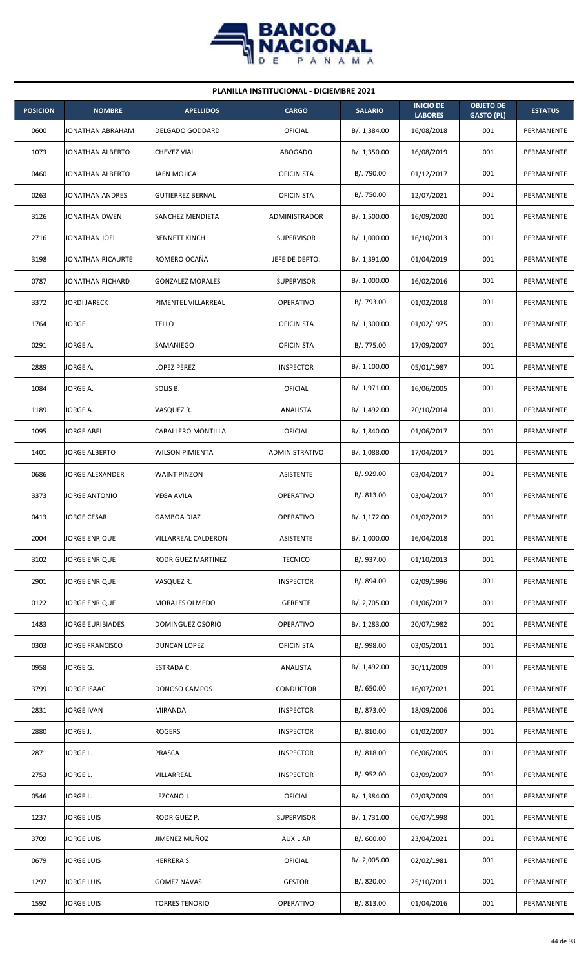

| <b>PLANILLA INSTITUCIONAL - DICIEMBRE 2021</b> |                         |                         |                       |                |                                    |                                       |                |  |  |
|------------------------------------------------|-------------------------|-------------------------|-----------------------|----------------|------------------------------------|---------------------------------------|----------------|--|--|
| <b>POSICION</b>                                | <b>NOMBRE</b>           | <b>APELLIDOS</b>        | <b>CARGO</b>          | <b>SALARIO</b> | <b>INICIO DE</b><br><b>LABORES</b> | <b>OBJETO DE</b><br><b>GASTO (PL)</b> | <b>ESTATUS</b> |  |  |
| 0600                                           | JONATHAN ABRAHAM        | <b>DELGADO GODDARD</b>  | OFICIAL               | B/. 1,384.00   | 16/08/2018                         | 001                                   | PERMANENTE     |  |  |
| 1073                                           | JONATHAN ALBERTO        | <b>CHEVEZ VIAL</b>      | <b>ABOGADO</b>        | B/. 1,350.00   | 16/08/2019                         | 001                                   | PERMANENTE     |  |  |
| 0460                                           | <b>JONATHAN ALBERTO</b> | <b>JAEN MOJICA</b>      | <b>OFICINISTA</b>     | B/. 790.00     | 01/12/2017                         | 001                                   | PERMANENTE     |  |  |
| 0263                                           | JONATHAN ANDRES         | <b>GUTIERREZ BERNAL</b> | <b>OFICINISTA</b>     | B/. 750.00     | 12/07/2021                         | 001                                   | PERMANENTE     |  |  |
| 3126                                           | <b>JONATHAN DWEN</b>    | SANCHEZ MENDIETA        | ADMINISTRADOR         | B/. 1,500.00   | 16/09/2020                         | 001                                   | PERMANENTE     |  |  |
| 2716                                           | JONATHAN JOEL           | <b>BENNETT KINCH</b>    | <b>SUPERVISOR</b>     | B/. 1,000.00   | 16/10/2013                         | 001                                   | PERMANENTE     |  |  |
| 3198                                           | JONATHAN RICAURTE       | ROMERO OCAÑA            | JEFE DE DEPTO.        | B/. 1,391.00   | 01/04/2019                         | 001                                   | PERMANENTE     |  |  |
| 0787                                           | JONATHAN RICHARD        | <b>GONZALEZ MORALES</b> | <b>SUPERVISOR</b>     | B/. 1,000.00   | 16/02/2016                         | 001                                   | PERMANENTE     |  |  |
| 3372                                           | <b>JORDI JARECK</b>     | PIMENTEL VILLARREAL     | <b>OPERATIVO</b>      | B/. 793.00     | 01/02/2018                         | 001                                   | PERMANENTE     |  |  |
| 1764                                           | <b>JORGE</b>            | <b>TELLO</b>            | <b>OFICINISTA</b>     | B/. 1,300.00   | 01/02/1975                         | 001                                   | PERMANENTE     |  |  |
| 0291                                           | JORGE A.                | SAMANIEGO               | <b>OFICINISTA</b>     | B/. 775.00     | 17/09/2007                         | 001                                   | PERMANENTE     |  |  |
| 2889                                           | JORGE A.                | LOPEZ PEREZ             | <b>INSPECTOR</b>      | B/. 1,100.00   | 05/01/1987                         | 001                                   | PERMANENTE     |  |  |
| 1084                                           | JORGE A.                | SOLIS B.                | OFICIAL               | B/. 1,971.00   | 16/06/2005                         | 001                                   | PERMANENTE     |  |  |
| 1189                                           | JORGE A.                | VASQUEZ R.              | ANALISTA              | B/. 1,492.00   | 20/10/2014                         | 001                                   | PERMANENTE     |  |  |
| 1095                                           | <b>JORGE ABEL</b>       | CABALLERO MONTILLA      | OFICIAL               | B/. 1,840.00   | 01/06/2017                         | 001                                   | PERMANENTE     |  |  |
| 1401                                           | <b>JORGE ALBERTO</b>    | <b>WILSON PIMIENTA</b>  | <b>ADMINISTRATIVO</b> | B/. 1,088.00   | 17/04/2017                         | 001                                   | PERMANENTE     |  |  |
| 0686                                           | <b>JORGE ALEXANDER</b>  | <b>WAINT PINZON</b>     | ASISTENTE             | B/. 929.00     | 03/04/2017                         | 001                                   | PERMANENTE     |  |  |
| 3373                                           | JORGE ANTONIO           | VEGA AVILA              | OPERATIVO             | B/. 813.00     | 03/04/2017                         | 001                                   | PERMANENTE     |  |  |
| 0413                                           | JORGE CESAR             | <b>GAMBOA DIAZ</b>      | OPERATIVO             | B/. 1,172.00   | 01/02/2012                         | 001                                   | PERMANENTE     |  |  |
| 2004                                           | <b>JORGE ENRIQUE</b>    | VILLARREAL CALDERON     | <b>ASISTENTE</b>      | B/. 1,000.00   | 16/04/2018                         | 001                                   | PERMANENTE     |  |  |
| 3102                                           | JORGE ENRIQUE           | RODRIGUEZ MARTINEZ      | <b>TECNICO</b>        | B/. 937.00     | 01/10/2013                         | 001                                   | PERMANENTE     |  |  |
| 2901                                           | JORGE ENRIQUE           | VASQUEZ R.              | <b>INSPECTOR</b>      | B/. 894.00     | 02/09/1996                         | 001                                   | PERMANENTE     |  |  |
| 0122                                           | JORGE ENRIQUE           | MORALES OLMEDO          | <b>GERENTE</b>        | B/. 2,705.00   | 01/06/2017                         | 001                                   | PERMANENTE     |  |  |
| 1483                                           | JORGE EURIBIADES        | DOMINGUEZ OSORIO        | <b>OPERATIVO</b>      | B/. 1,283.00   | 20/07/1982                         | 001                                   | PERMANENTE     |  |  |
| 0303                                           | <b>JORGE FRANCISCO</b>  | DUNCAN LOPEZ            | <b>OFICINISTA</b>     | B/. 998.00     | 03/05/2011                         | 001                                   | PERMANENTE     |  |  |
| 0958                                           | JORGE G.                | ESTRADA C.              | ANALISTA              | B/. 1,492.00   | 30/11/2009                         | 001                                   | PERMANENTE     |  |  |
| 3799                                           | JORGE ISAAC             | DONOSO CAMPOS           | <b>CONDUCTOR</b>      | B/. 650.00     | 16/07/2021                         | 001                                   | PERMANENTE     |  |  |
| 2831                                           | JORGE IVAN              | MIRANDA                 | <b>INSPECTOR</b>      | B/. 873.00     | 18/09/2006                         | 001                                   | PERMANENTE     |  |  |
| 2880                                           | JORGE J.                | <b>ROGERS</b>           | <b>INSPECTOR</b>      | B/. 810.00     | 01/02/2007                         | 001                                   | PERMANENTE     |  |  |
| 2871                                           | JORGE L.                | PRASCA                  | <b>INSPECTOR</b>      | B/. 818.00     | 06/06/2005                         | 001                                   | PERMANENTE     |  |  |
| 2753                                           | JORGE L.                | VILLARREAL              | <b>INSPECTOR</b>      | B/. 952.00     | 03/09/2007                         | 001                                   | PERMANENTE     |  |  |
| 0546                                           | JORGE L.                | LEZCANO J.              | <b>OFICIAL</b>        | B/.1,384.00    | 02/03/2009                         | 001                                   | PERMANENTE     |  |  |
| 1237                                           | <b>JORGE LUIS</b>       | RODRIGUEZ P.            | <b>SUPERVISOR</b>     | B/. 1,731.00   | 06/07/1998                         | 001                                   | PERMANENTE     |  |  |
| 3709                                           | <b>JORGE LUIS</b>       | JIMENEZ MUÑOZ           | AUXILIAR              | B/. 600.00     | 23/04/2021                         | 001                                   | PERMANENTE     |  |  |
| 0679                                           | JORGE LUIS              | HERRERA S.              | OFICIAL               | B/.2,005.00    | 02/02/1981                         | 001                                   | PERMANENTE     |  |  |
| 1297                                           | <b>JORGE LUIS</b>       | <b>GOMEZ NAVAS</b>      | <b>GESTOR</b>         | B/. 820.00     | 25/10/2011                         | 001                                   | PERMANENTE     |  |  |
| 1592                                           | <b>JORGE LUIS</b>       | TORRES TENORIO          | OPERATIVO             | B/. 813.00     | 01/04/2016                         | 001                                   | PERMANENTE     |  |  |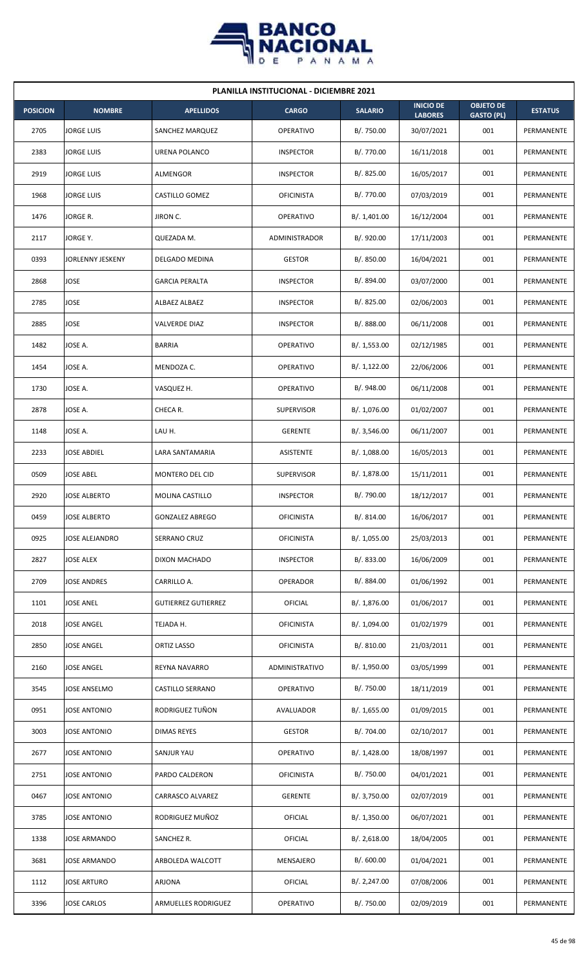

| <b>PLANILLA INSTITUCIONAL - DICIEMBRE 2021</b> |                     |                            |                   |                |                                    |                                       |                |  |  |  |
|------------------------------------------------|---------------------|----------------------------|-------------------|----------------|------------------------------------|---------------------------------------|----------------|--|--|--|
| <b>POSICION</b>                                | <b>NOMBRE</b>       | <b>APELLIDOS</b>           | <b>CARGO</b>      | <b>SALARIO</b> | <b>INICIO DE</b><br><b>LABORES</b> | <b>OBJETO DE</b><br><b>GASTO (PL)</b> | <b>ESTATUS</b> |  |  |  |
| 2705                                           | JORGE LUIS          | SANCHEZ MARQUEZ            | <b>OPERATIVO</b>  | B/. 750.00     | 30/07/2021                         | 001                                   | PERMANENTE     |  |  |  |
| 2383                                           | <b>JORGE LUIS</b>   | URENA POLANCO              | <b>INSPECTOR</b>  | B/. 770.00     | 16/11/2018                         | 001                                   | PERMANENTE     |  |  |  |
| 2919                                           | JORGE LUIS          | <b>ALMENGOR</b>            | <b>INSPECTOR</b>  | B/. 825.00     | 16/05/2017                         | 001                                   | PERMANENTE     |  |  |  |
| 1968                                           | <b>JORGE LUIS</b>   | CASTILLO GOMEZ             | <b>OFICINISTA</b> | B/. 770.00     | 07/03/2019                         | 001                                   | PERMANENTE     |  |  |  |
| 1476                                           | JORGE R.            | JIRON C.                   | <b>OPERATIVO</b>  | B/. 1,401.00   | 16/12/2004                         | 001                                   | PERMANENTE     |  |  |  |
| 2117                                           | JORGE Y.            | QUEZADA M.                 | ADMINISTRADOR     | B/. 920.00     | 17/11/2003                         | 001                                   | PERMANENTE     |  |  |  |
| 0393                                           | JORLENNY JESKENY    | DELGADO MEDINA             | <b>GESTOR</b>     | B/. 850.00     | 16/04/2021                         | 001                                   | PERMANENTE     |  |  |  |
| 2868                                           | JOSE                | <b>GARCIA PERALTA</b>      | <b>INSPECTOR</b>  | B/. 894.00     | 03/07/2000                         | 001                                   | PERMANENTE     |  |  |  |
| 2785                                           | JOSE                | ALBAEZ ALBAEZ              | <b>INSPECTOR</b>  | B/.825.00      | 02/06/2003                         | 001                                   | PERMANENTE     |  |  |  |
| 2885                                           | JOSE                | <b>VALVERDE DIAZ</b>       | <b>INSPECTOR</b>  | B/. 888.00     | 06/11/2008                         | 001                                   | PERMANENTE     |  |  |  |
| 1482                                           | JOSE A.             | <b>BARRIA</b>              | <b>OPERATIVO</b>  | B/. 1,553.00   | 02/12/1985                         | 001                                   | PERMANENTE     |  |  |  |
| 1454                                           | JOSE A.             | MENDOZA C.                 | <b>OPERATIVO</b>  | B/. 1,122.00   | 22/06/2006                         | 001                                   | PERMANENTE     |  |  |  |
| 1730                                           | JOSE A.             | VASQUEZ H.                 | <b>OPERATIVO</b>  | B/. 948.00     | 06/11/2008                         | 001                                   | PERMANENTE     |  |  |  |
| 2878                                           | JOSE A.             | CHECA R.                   | <b>SUPERVISOR</b> | B/. 1,076.00   | 01/02/2007                         | 001                                   | PERMANENTE     |  |  |  |
| 1148                                           | JOSE A.             | LAU H.                     | <b>GERENTE</b>    | B/.3,546.00    | 06/11/2007                         | 001                                   | PERMANENTE     |  |  |  |
| 2233                                           | JOSE ABDIEL         | LARA SANTAMARIA            | ASISTENTE         | B/. 1,088.00   | 16/05/2013                         | 001                                   | PERMANENTE     |  |  |  |
| 0509                                           | JOSE ABEL           | MONTERO DEL CID            | <b>SUPERVISOR</b> | B/. 1,878.00   | 15/11/2011                         | 001                                   | PERMANENTE     |  |  |  |
| 2920                                           | <b>JOSE ALBERTO</b> | MOLINA CASTILLO            | <b>INSPECTOR</b>  | B/. 790.00     | 18/12/2017                         | 001                                   | PERMANENTE     |  |  |  |
| 0459                                           | <b>JOSE ALBERTO</b> | <b>GONZALEZ ABREGO</b>     | <b>OFICINISTA</b> | B/. 814.00     | 16/06/2017                         | 001                                   | PERMANENTE     |  |  |  |
| 0925                                           | JOSE ALEJANDRO      | SERRANO CRUZ               | <b>OFICINISTA</b> | B/. 1,055.00   | 25/03/2013                         | 001                                   | PERMANENTE     |  |  |  |
| 2827                                           | JOSE ALEX           | DIXON MACHADO              | <b>INSPECTOR</b>  | B/0.833.00     | 16/06/2009                         | 001                                   | PERMANENTE     |  |  |  |
| 2709                                           | JOSE ANDRES         | CARRILLO A.                | OPERADOR          | B/. 884.00     | 01/06/1992                         | 001                                   | PERMANENTE     |  |  |  |
| 1101                                           | JOSE ANEL           | <b>GUTIERREZ GUTIERREZ</b> | <b>OFICIAL</b>    | B/. 1,876.00   | 01/06/2017                         | 001                                   | PERMANENTE     |  |  |  |
| 2018                                           | JOSE ANGEL          | TEJADA H.                  | <b>OFICINISTA</b> | B/. 1,094.00   | 01/02/1979                         | 001                                   | PERMANENTE     |  |  |  |
| 2850                                           | JOSE ANGEL          | ORTIZ LASSO                | <b>OFICINISTA</b> | B/. 810.00     | 21/03/2011                         | 001                                   | PERMANENTE     |  |  |  |
| 2160                                           | <b>JOSE ANGEL</b>   | <b>REYNA NAVARRO</b>       | ADMINISTRATIVO    | B/. 1,950.00   | 03/05/1999                         | 001                                   | PERMANENTE     |  |  |  |
| 3545                                           | JOSE ANSELMO        | CASTILLO SERRANO           | OPERATIVO         | B/. 750.00     | 18/11/2019                         | 001                                   | PERMANENTE     |  |  |  |
| 0951                                           | JOSE ANTONIO        | RODRIGUEZ TUÑON            | AVALUADOR         | B/.1,655.00    | 01/09/2015                         | 001                                   | PERMANENTE     |  |  |  |
| 3003                                           | JOSE ANTONIO        | <b>DIMAS REYES</b>         | <b>GESTOR</b>     | B/. 704.00     | 02/10/2017                         | 001                                   | PERMANENTE     |  |  |  |
| 2677                                           | <b>JOSE ANTONIO</b> | SANJUR YAU                 | OPERATIVO         | B/. 1,428.00   | 18/08/1997                         | 001                                   | PERMANENTE     |  |  |  |
| 2751                                           | JOSE ANTONIO        | PARDO CALDERON             | <b>OFICINISTA</b> | B/. 750.00     | 04/01/2021                         | 001                                   | PERMANENTE     |  |  |  |
| 0467                                           | JOSE ANTONIO        | CARRASCO ALVAREZ           | <b>GERENTE</b>    | B/. 3,750.00   | 02/07/2019                         | 001                                   | PERMANENTE     |  |  |  |
| 3785                                           | JOSE ANTONIO        | RODRIGUEZ MUÑOZ            | OFICIAL           | B/. 1,350.00   | 06/07/2021                         | 001                                   | PERMANENTE     |  |  |  |
| 1338                                           | JOSE ARMANDO        | SANCHEZ R.                 | <b>OFICIAL</b>    | B/.2,618.00    | 18/04/2005                         | 001                                   | PERMANENTE     |  |  |  |
| 3681                                           | JOSE ARMANDO        | ARBOLEDA WALCOTT           | MENSAJERO         | B/.600.00      | 01/04/2021                         | 001                                   | PERMANENTE     |  |  |  |
| 1112                                           | <b>JOSE ARTURO</b>  | ARJONA                     | <b>OFICIAL</b>    | B/.2,247.00    | 07/08/2006                         | 001                                   | PERMANENTE     |  |  |  |
| 3396                                           | JOSE CARLOS         | ARMUELLES RODRIGUEZ        | OPERATIVO         | B/. 750.00     | 02/09/2019                         | 001                                   | PERMANENTE     |  |  |  |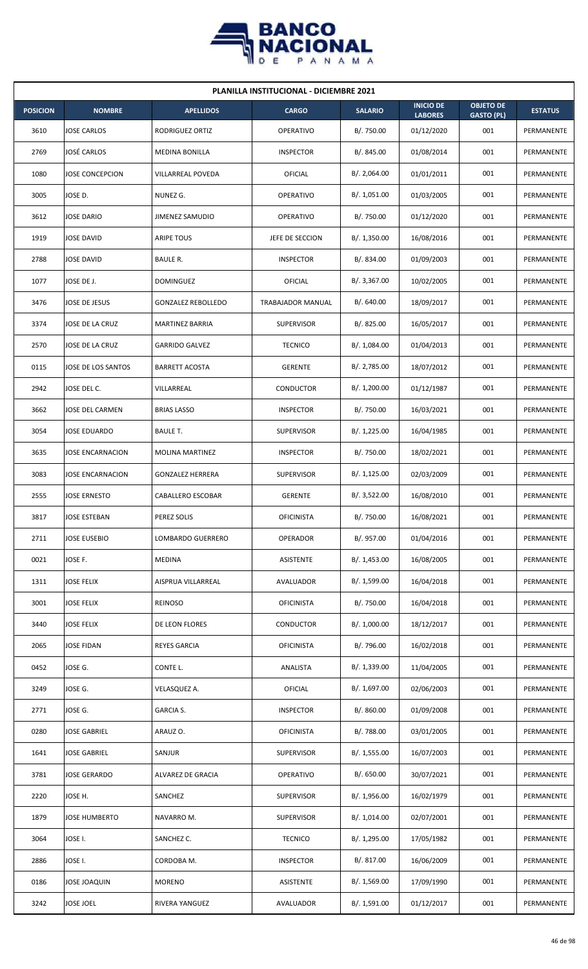

| <b>PLANILLA INSTITUCIONAL - DICIEMBRE 2021</b> |                        |                           |                   |                |                                    |                                       |                |  |  |  |
|------------------------------------------------|------------------------|---------------------------|-------------------|----------------|------------------------------------|---------------------------------------|----------------|--|--|--|
| <b>POSICION</b>                                | <b>NOMBRE</b>          | <b>APELLIDOS</b>          | <b>CARGO</b>      | <b>SALARIO</b> | <b>INICIO DE</b><br><b>LABORES</b> | <b>OBJETO DE</b><br><b>GASTO (PL)</b> | <b>ESTATUS</b> |  |  |  |
| 3610                                           | <b>JOSE CARLOS</b>     | RODRIGUEZ ORTIZ           | <b>OPERATIVO</b>  | B/. 750.00     | 01/12/2020                         | 001                                   | PERMANENTE     |  |  |  |
| 2769                                           | <b>JOSÉ CARLOS</b>     | <b>MEDINA BONILLA</b>     | <b>INSPECTOR</b>  | B/. 845.00     | 01/08/2014                         | 001                                   | PERMANENTE     |  |  |  |
| 1080                                           | <b>JOSE CONCEPCION</b> | VILLARREAL POVEDA         | OFICIAL           | B/.2,064.00    | 01/01/2011                         | 001                                   | PERMANENTE     |  |  |  |
| 3005                                           | JOSE D.                | NUNEZ G.                  | OPERATIVO         | B/. 1,051.00   | 01/03/2005                         | 001                                   | PERMANENTE     |  |  |  |
| 3612                                           | <b>JOSE DARIO</b>      | <b>JIMENEZ SAMUDIO</b>    | OPERATIVO         | B/. 750.00     | 01/12/2020                         | 001                                   | PERMANENTE     |  |  |  |
| 1919                                           | <b>JOSE DAVID</b>      | <b>ARIPE TOUS</b>         | JEFE DE SECCION   | B/. 1,350.00   | 16/08/2016                         | 001                                   | PERMANENTE     |  |  |  |
| 2788                                           | <b>JOSE DAVID</b>      | BAULE R.                  | <b>INSPECTOR</b>  | B/. 834.00     | 01/09/2003                         | 001                                   | PERMANENTE     |  |  |  |
| 1077                                           | JOSE DE J.             | <b>DOMINGUEZ</b>          | OFICIAL           | B/.3,367.00    | 10/02/2005                         | 001                                   | PERMANENTE     |  |  |  |
| 3476                                           | JOSE DE JESUS          | <b>GONZALEZ REBOLLEDO</b> | TRABAJADOR MANUAL | B/0.640.00     | 18/09/2017                         | 001                                   | PERMANENTE     |  |  |  |
| 3374                                           | JOSE DE LA CRUZ        | MARTINEZ BARRIA           | <b>SUPERVISOR</b> | B/. 825.00     | 16/05/2017                         | 001                                   | PERMANENTE     |  |  |  |
| 2570                                           | JOSE DE LA CRUZ        | <b>GARRIDO GALVEZ</b>     | <b>TECNICO</b>    | B/. 1,084.00   | 01/04/2013                         | 001                                   | PERMANENTE     |  |  |  |
| 0115                                           | JOSE DE LOS SANTOS     | <b>BARRETT ACOSTA</b>     | <b>GERENTE</b>    | B/. 2,785.00   | 18/07/2012                         | 001                                   | PERMANENTE     |  |  |  |
| 2942                                           | JOSE DEL C.            | VILLARREAL                | <b>CONDUCTOR</b>  | B/. 1,200.00   | 01/12/1987                         | 001                                   | PERMANENTE     |  |  |  |
| 3662                                           | JOSE DEL CARMEN        | <b>BRIAS LASSO</b>        | <b>INSPECTOR</b>  | B/. 750.00     | 16/03/2021                         | 001                                   | PERMANENTE     |  |  |  |
| 3054                                           | <b>JOSE EDUARDO</b>    | <b>BAULE T.</b>           | <b>SUPERVISOR</b> | B/. 1,225.00   | 16/04/1985                         | 001                                   | PERMANENTE     |  |  |  |
| 3635                                           | JOSE ENCARNACION       | <b>MOLINA MARTINEZ</b>    | <b>INSPECTOR</b>  | B/. 750.00     | 18/02/2021                         | 001                                   | PERMANENTE     |  |  |  |
| 3083                                           | JOSE ENCARNACION       | <b>GONZALEZ HERRERA</b>   | <b>SUPERVISOR</b> | B/.1,125.00    | 02/03/2009                         | 001                                   | PERMANENTE     |  |  |  |
| 2555                                           | <b>JOSE ERNESTO</b>    | <b>CABALLERO ESCOBAR</b>  | <b>GERENTE</b>    | B/. 3,522.00   | 16/08/2010                         | 001                                   | PERMANENTE     |  |  |  |
| 3817                                           | <b>JOSE ESTEBAN</b>    | PEREZ SOLIS               | <b>OFICINISTA</b> | B/. 750.00     | 16/08/2021                         | 001                                   | PERMANENTE     |  |  |  |
| 2711                                           | <b>JOSE EUSEBIO</b>    | LOMBARDO GUERRERO         | OPERADOR          | B/. 957.00     | 01/04/2016                         | 001                                   | PERMANENTE     |  |  |  |
| 0021                                           | JOSE F.                | MEDINA                    | ASISTENTE         | B/. 1,453.00   | 16/08/2005                         | 001                                   | PERMANENTE     |  |  |  |
| 1311                                           | <b>JOSE FELIX</b>      | AISPRUA VILLARREAL        | AVALUADOR         | B/. 1,599.00   | 16/04/2018                         | 001                                   | PERMANENTE     |  |  |  |
| 3001                                           | <b>JOSE FELIX</b>      | <b>REINOSO</b>            | <b>OFICINISTA</b> | B/. 750.00     | 16/04/2018                         | 001                                   | PERMANENTE     |  |  |  |
| 3440                                           | <b>JOSE FELIX</b>      | DE LEON FLORES            | <b>CONDUCTOR</b>  | B/. 1,000.00   | 18/12/2017                         | 001                                   | PERMANENTE     |  |  |  |
| 2065                                           | <b>JOSE FIDAN</b>      | <b>REYES GARCIA</b>       | <b>OFICINISTA</b> | B/. 796.00     | 16/02/2018                         | 001                                   | PERMANENTE     |  |  |  |
| 0452                                           | JOSE G.                | CONTE L.                  | ANALISTA          | B/.1,339.00    | 11/04/2005                         | 001                                   | PERMANENTE     |  |  |  |
| 3249                                           | JOSE G.                | VELASQUEZ A.              | <b>OFICIAL</b>    | B/. 1,697.00   | 02/06/2003                         | 001                                   | PERMANENTE     |  |  |  |
| 2771                                           | JOSE G.                | GARCIA S.                 | <b>INSPECTOR</b>  | B/. 860.00     | 01/09/2008                         | 001                                   | PERMANENTE     |  |  |  |
| 0280                                           | <b>JOSE GABRIEL</b>    | ARAUZ O.                  | <b>OFICINISTA</b> | B/. 788.00     | 03/01/2005                         | 001                                   | PERMANENTE     |  |  |  |
| 1641                                           | <b>JOSE GABRIEL</b>    | SANJUR                    | <b>SUPERVISOR</b> | B/. 1,555.00   | 16/07/2003                         | 001                                   | PERMANENTE     |  |  |  |
| 3781                                           | <b>JOSE GERARDO</b>    | ALVAREZ DE GRACIA         | OPERATIVO         | B/. 650.00     | 30/07/2021                         | 001                                   | PERMANENTE     |  |  |  |
| 2220                                           | JOSE H.                | SANCHEZ                   | <b>SUPERVISOR</b> | B/.1,956.00    | 16/02/1979                         | 001                                   | PERMANENTE     |  |  |  |
| 1879                                           | <b>JOSE HUMBERTO</b>   | NAVARRO M.                | <b>SUPERVISOR</b> | B/. 1,014.00   | 02/07/2001                         | 001                                   | PERMANENTE     |  |  |  |
| 3064                                           | JOSE I.                | SANCHEZ C.                | <b>TECNICO</b>    | B/. 1,295.00   | 17/05/1982                         | 001                                   | PERMANENTE     |  |  |  |
| 2886                                           | JOSE I.                | CORDOBA M.                | <b>INSPECTOR</b>  | B/. 817.00     | 16/06/2009                         | 001                                   | PERMANENTE     |  |  |  |
| 0186                                           | <b>JOSE JOAQUIN</b>    | <b>MORENO</b>             | ASISTENTE         | B/. 1,569.00   | 17/09/1990                         | 001                                   | PERMANENTE     |  |  |  |
| 3242                                           | <b>JOSE JOEL</b>       | RIVERA YANGUEZ            | AVALUADOR         | B/. 1,591.00   | 01/12/2017                         | 001                                   | PERMANENTE     |  |  |  |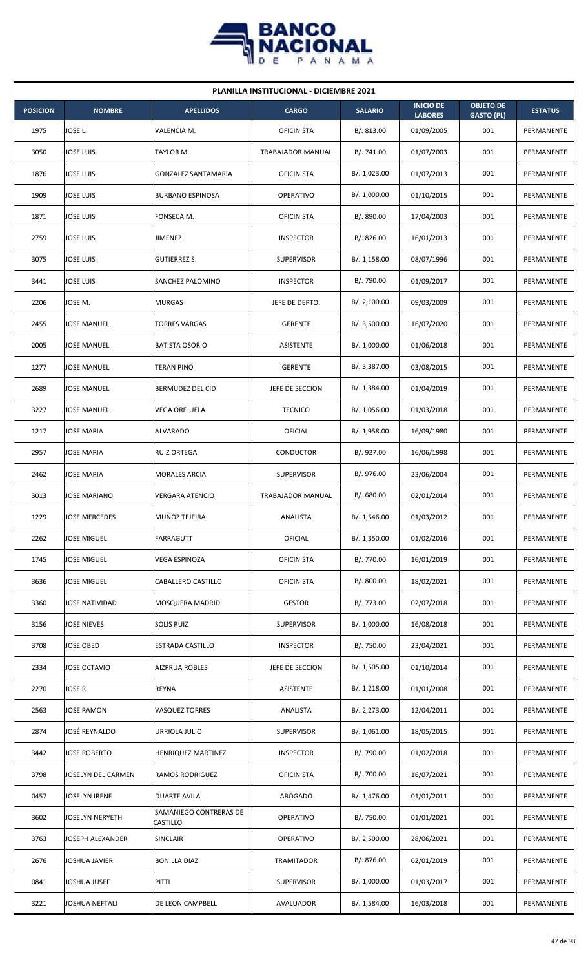

| <b>PLANILLA INSTITUCIONAL - DICIEMBRE 2021</b> |                      |                                    |                   |                |                                    |                                       |                |  |  |
|------------------------------------------------|----------------------|------------------------------------|-------------------|----------------|------------------------------------|---------------------------------------|----------------|--|--|
| <b>POSICION</b>                                | <b>NOMBRE</b>        | <b>APELLIDOS</b>                   | <b>CARGO</b>      | <b>SALARIO</b> | <b>INICIO DE</b><br><b>LABORES</b> | <b>OBJETO DE</b><br><b>GASTO (PL)</b> | <b>ESTATUS</b> |  |  |
| 1975                                           | JOSE L.              | VALENCIA M.                        | <b>OFICINISTA</b> | B/.813.00      | 01/09/2005                         | 001                                   | PERMANENTE     |  |  |
| 3050                                           | JOSE LUIS            | TAYLOR M.                          | TRABAJADOR MANUAL | B/. 741.00     | 01/07/2003                         | 001                                   | PERMANENTE     |  |  |
| 1876                                           | JOSE LUIS            | <b>GONZALEZ SANTAMARIA</b>         | <b>OFICINISTA</b> | B/. 1,023.00   | 01/07/2013                         | 001                                   | PERMANENTE     |  |  |
| 1909                                           | JOSE LUIS            | <b>BURBANO ESPINOSA</b>            | <b>OPERATIVO</b>  | B/. 1,000.00   | 01/10/2015                         | 001                                   | PERMANENTE     |  |  |
| 1871                                           | <b>JOSE LUIS</b>     | FONSECA M.                         | <b>OFICINISTA</b> | B/. 890.00     | 17/04/2003                         | 001                                   | PERMANENTE     |  |  |
| 2759                                           | JOSE LUIS            | JIMENEZ                            | <b>INSPECTOR</b>  | B/.826.00      | 16/01/2013                         | 001                                   | PERMANENTE     |  |  |
| 3075                                           | <b>JOSE LUIS</b>     | <b>GUTIERREZ S.</b>                | <b>SUPERVISOR</b> | B/.1,158.00    | 08/07/1996                         | 001                                   | PERMANENTE     |  |  |
| 3441                                           | <b>JOSE LUIS</b>     | SANCHEZ PALOMINO                   | <b>INSPECTOR</b>  | B/. 790.00     | 01/09/2017                         | 001                                   | PERMANENTE     |  |  |
| 2206                                           | JOSE M.              | <b>MURGAS</b>                      | JEFE DE DEPTO.    | B/. 2,100.00   | 09/03/2009                         | 001                                   | PERMANENTE     |  |  |
| 2455                                           | JOSE MANUEL          | <b>TORRES VARGAS</b>               | <b>GERENTE</b>    | B/.3,500.00    | 16/07/2020                         | 001                                   | PERMANENTE     |  |  |
| 2005                                           | <b>JOSE MANUEL</b>   | <b>BATISTA OSORIO</b>              | <b>ASISTENTE</b>  | B/. 1,000.00   | 01/06/2018                         | 001                                   | PERMANENTE     |  |  |
| 1277                                           | JOSE MANUEL          | <b>TERAN PINO</b>                  | <b>GERENTE</b>    | B/. 3,387.00   | 03/08/2015                         | 001                                   | PERMANENTE     |  |  |
| 2689                                           | JOSE MANUEL          | BERMUDEZ DEL CID                   | JEFE DE SECCION   | B/. 1,384.00   | 01/04/2019                         | 001                                   | PERMANENTE     |  |  |
| 3227                                           | JOSE MANUEL          | VEGA OREJUELA                      | <b>TECNICO</b>    | B/. 1,056.00   | 01/03/2018                         | 001                                   | PERMANENTE     |  |  |
| 1217                                           | <b>JOSE MARIA</b>    | <b>ALVARADO</b>                    | OFICIAL           | B/.1,958.00    | 16/09/1980                         | 001                                   | PERMANENTE     |  |  |
| 2957                                           | JOSE MARIA           | <b>RUIZ ORTEGA</b>                 | CONDUCTOR         | B/. 927.00     | 16/06/1998                         | 001                                   | PERMANENTE     |  |  |
| 2462                                           | JOSE MARIA           | <b>MORALES ARCIA</b>               | <b>SUPERVISOR</b> | B/. 976.00     | 23/06/2004                         | 001                                   | PERMANENTE     |  |  |
| 3013                                           | JOSE MARIANO         | VERGARA ATENCIO                    | TRABAJADOR MANUAL | B/. 680.00     | 02/01/2014                         | 001                                   | PERMANENTE     |  |  |
| 1229                                           | <b>JOSE MERCEDES</b> | MUÑOZ TEJEIRA                      | ANALISTA          | B/. 1,546.00   | 01/03/2012                         | 001                                   | PERMANENTE     |  |  |
| 2262                                           | JOSE MIGUEL          | FARRAGUTT                          | <b>OFICIAL</b>    | B/. 1,350.00   | 01/02/2016                         | 001                                   | PERMANENTE     |  |  |
| 1745                                           | JOSE MIGUEL          | VEGA ESPINOZA                      | <b>OFICINISTA</b> | B/. 770.00     | 16/01/2019                         | 001                                   | PERMANENTE     |  |  |
| 3636                                           | <b>JOSE MIGUEL</b>   | CABALLERO CASTILLO                 | <b>OFICINISTA</b> | B/. 800.00     | 18/02/2021                         | 001                                   | PERMANENTE     |  |  |
| 3360                                           | JOSE NATIVIDAD       | MOSQUERA MADRID                    | <b>GESTOR</b>     | B/. 773.00     | 02/07/2018                         | 001                                   | PERMANENTE     |  |  |
| 3156                                           | JOSE NIEVES          | <b>SOLIS RUIZ</b>                  | SUPERVISOR        | B/. 1,000.00   | 16/08/2018                         | 001                                   | PERMANENTE     |  |  |
| 3708                                           | <b>JOSE OBED</b>     | ESTRADA CASTILLO                   | <b>INSPECTOR</b>  | B/. 750.00     | 23/04/2021                         | 001                                   | PERMANENTE     |  |  |
| 2334                                           | JOSE OCTAVIO         | <b>AIZPRUA ROBLES</b>              | JEFE DE SECCION   | B/. 1,505.00   | 01/10/2014                         | 001                                   | PERMANENTE     |  |  |
| 2270                                           | JOSE R.              | <b>REYNA</b>                       | ASISTENTE         | B/.1,218.00    | 01/01/2008                         | 001                                   | PERMANENTE     |  |  |
| 2563                                           | JOSE RAMON           | <b>VASQUEZ TORRES</b>              | ANALISTA          | B/. 2,273.00   | 12/04/2011                         | 001                                   | PERMANENTE     |  |  |
| 2874                                           | JOSÉ REYNALDO        | URRIOLA JULIO                      | SUPERVISOR        | B/. 1,061.00   | 18/05/2015                         | 001                                   | PERMANENTE     |  |  |
| 3442                                           | <b>JOSE ROBERTO</b>  | HENRIQUEZ MARTINEZ                 | <b>INSPECTOR</b>  | B/. 790.00     | 01/02/2018                         | 001                                   | PERMANENTE     |  |  |
| 3798                                           | JOSELYN DEL CARMEN   | <b>RAMOS RODRIGUEZ</b>             | <b>OFICINISTA</b> | B/. 700.00     | 16/07/2021                         | 001                                   | PERMANENTE     |  |  |
| 0457                                           | <b>JOSELYN IRENE</b> | <b>DUARTE AVILA</b>                | <b>ABOGADO</b>    | B/.1,476.00    | 01/01/2011                         | 001                                   | PERMANENTE     |  |  |
| 3602                                           | JOSELYN NERYETH      | SAMANIEGO CONTRERAS DE<br>CASTILLO | <b>OPERATIVO</b>  | B/. 750.00     | 01/01/2021                         | 001                                   | PERMANENTE     |  |  |
| 3763                                           | JOSEPH ALEXANDER     | SINCLAIR                           | <b>OPERATIVO</b>  | B/. 2,500.00   | 28/06/2021                         | 001                                   | PERMANENTE     |  |  |
| 2676                                           | JOSHUA JAVIER        | <b>BONILLA DIAZ</b>                | TRAMITADOR        | B/. 876.00     | 02/01/2019                         | 001                                   | PERMANENTE     |  |  |
| 0841                                           | <b>JOSHUA JUSEF</b>  | PITTI                              | <b>SUPERVISOR</b> | B/. 1,000.00   | 01/03/2017                         | 001                                   | PERMANENTE     |  |  |
| 3221                                           | JOSHUA NEFTALI       | DE LEON CAMPBELL                   | AVALUADOR         | B/. 1,584.00   | 16/03/2018                         | 001                                   | PERMANENTE     |  |  |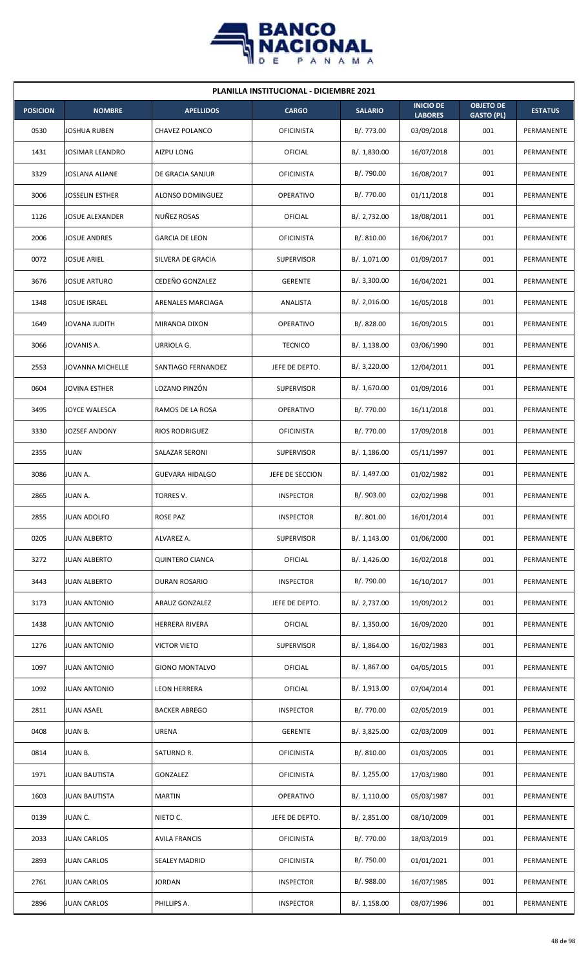

| <b>PLANILLA INSTITUCIONAL - DICIEMBRE 2021</b> |                      |                        |                   |                |                                    |                                       |                |  |  |  |
|------------------------------------------------|----------------------|------------------------|-------------------|----------------|------------------------------------|---------------------------------------|----------------|--|--|--|
| <b>POSICION</b>                                | <b>NOMBRE</b>        | <b>APELLIDOS</b>       | <b>CARGO</b>      | <b>SALARIO</b> | <b>INICIO DE</b><br><b>LABORES</b> | <b>OBJETO DE</b><br><b>GASTO (PL)</b> | <b>ESTATUS</b> |  |  |  |
| 0530                                           | JOSHUA RUBEN         | CHAVEZ POLANCO         | <b>OFICINISTA</b> | B/. 773.00     | 03/09/2018                         | 001                                   | PERMANENTE     |  |  |  |
| 1431                                           | JOSIMAR LEANDRO      | AIZPU LONG             | OFICIAL           | B/. 1,830.00   | 16/07/2018                         | 001                                   | PERMANENTE     |  |  |  |
| 3329                                           | JOSLANA ALIANE       | DE GRACIA SANJUR       | <b>OFICINISTA</b> | B/. 790.00     | 16/08/2017                         | 001                                   | PERMANENTE     |  |  |  |
| 3006                                           | JOSSELIN ESTHER      | ALONSO DOMINGUEZ       | <b>OPERATIVO</b>  | B/. 770.00     | 01/11/2018                         | 001                                   | PERMANENTE     |  |  |  |
| 1126                                           | JOSUE ALEXANDER      | NUÑEZ ROSAS            | OFICIAL           | B/. 2,732.00   | 18/08/2011                         | 001                                   | PERMANENTE     |  |  |  |
| 2006                                           | JOSUE ANDRES         | <b>GARCIA DE LEON</b>  | <b>OFICINISTA</b> | B/.810.00      | 16/06/2017                         | 001                                   | PERMANENTE     |  |  |  |
| 0072                                           | JOSUE ARIEL          | SILVERA DE GRACIA      | <b>SUPERVISOR</b> | B/. 1,071.00   | 01/09/2017                         | 001                                   | PERMANENTE     |  |  |  |
| 3676                                           | JOSUE ARTURO         | CEDEÑO GONZALEZ        | <b>GERENTE</b>    | B/. 3,300.00   | 16/04/2021                         | 001                                   | PERMANENTE     |  |  |  |
| 1348                                           | JOSUE ISRAEL         | ARENALES MARCIAGA      | ANALISTA          | B/.2,016.00    | 16/05/2018                         | 001                                   | PERMANENTE     |  |  |  |
| 1649                                           | JOVANA JUDITH        | MIRANDA DIXON          | <b>OPERATIVO</b>  | B/. 828.00     | 16/09/2015                         | 001                                   | PERMANENTE     |  |  |  |
| 3066                                           | JOVANIS A.           | URRIOLA G.             | <b>TECNICO</b>    | B/.1,138.00    | 03/06/1990                         | 001                                   | PERMANENTE     |  |  |  |
| 2553                                           | JOVANNA MICHELLE     | SANTIAGO FERNANDEZ     | JEFE DE DEPTO.    | B/.3,220.00    | 12/04/2011                         | 001                                   | PERMANENTE     |  |  |  |
| 0604                                           | JOVINA ESTHER        | LOZANO PINZÓN          | <b>SUPERVISOR</b> | B/. 1,670.00   | 01/09/2016                         | 001                                   | PERMANENTE     |  |  |  |
| 3495                                           | JOYCE WALESCA        | RAMOS DE LA ROSA       | <b>OPERATIVO</b>  | B/. 770.00     | 16/11/2018                         | 001                                   | PERMANENTE     |  |  |  |
| 3330                                           | JOZSEF ANDONY        | <b>RIOS RODRIGUEZ</b>  | <b>OFICINISTA</b> | B/. 770.00     | 17/09/2018                         | 001                                   | PERMANENTE     |  |  |  |
| 2355                                           | JUAN                 | SALAZAR SERONI         | <b>SUPERVISOR</b> | B/.1,186.00    | 05/11/1997                         | 001                                   | PERMANENTE     |  |  |  |
| 3086                                           | JUAN A.              | <b>GUEVARA HIDALGO</b> | JEFE DE SECCION   | B/. 1,497.00   | 01/02/1982                         | 001                                   | PERMANENTE     |  |  |  |
| 2865                                           | JUAN A.              | TORRES V.              | <b>INSPECTOR</b>  | B/. 903.00     | 02/02/1998                         | 001                                   | PERMANENTE     |  |  |  |
| 2855                                           | <b>JUAN ADOLFO</b>   | <b>ROSE PAZ</b>        | <b>INSPECTOR</b>  | B/. 801.00     | 16/01/2014                         | 001                                   | PERMANENTE     |  |  |  |
| 0205                                           | JUAN ALBERTO         | ALVAREZ A.             | <b>SUPERVISOR</b> | B/.1,143.00    | 01/06/2000                         | 001                                   | PERMANENTE     |  |  |  |
| 3272                                           | <b>JUAN ALBERTO</b>  | <b>QUINTERO CIANCA</b> | OFICIAL           | B/. 1,426.00   | 16/02/2018                         | 001                                   | PERMANENTE     |  |  |  |
| 3443                                           | <b>JUAN ALBERTO</b>  | DURAN ROSARIO          | <b>INSPECTOR</b>  | B/. 790.00     | 16/10/2017                         | 001                                   | PERMANENTE     |  |  |  |
| 3173                                           | <b>JUAN ANTONIO</b>  | ARAUZ GONZALEZ         | JEFE DE DEPTO.    | B/. 2,737.00   | 19/09/2012                         | 001                                   | PERMANENTE     |  |  |  |
| 1438                                           | <b>JUAN ANTONIO</b>  | <b>HERRERA RIVERA</b>  | OFICIAL           | B/. 1,350.00   | 16/09/2020                         | 001                                   | PERMANENTE     |  |  |  |
| 1276                                           | <b>JUAN ANTONIO</b>  | <b>VICTOR VIETO</b>    | <b>SUPERVISOR</b> | B/.1,864.00    | 16/02/1983                         | 001                                   | PERMANENTE     |  |  |  |
| 1097                                           | <b>JUAN ANTONIO</b>  | <b>GIONO MONTALVO</b>  | OFICIAL           | B/. 1,867.00   | 04/05/2015                         | 001                                   | PERMANENTE     |  |  |  |
| 1092                                           | JUAN ANTONIO         | LEON HERRERA           | OFICIAL           | B/. 1,913.00   | 07/04/2014                         | 001                                   | PERMANENTE     |  |  |  |
| 2811                                           | JUAN ASAEL           | <b>BACKER ABREGO</b>   | <b>INSPECTOR</b>  | B/. 770.00     | 02/05/2019                         | 001                                   | PERMANENTE     |  |  |  |
| 0408                                           | JUAN B.              | URENA                  | <b>GERENTE</b>    | B/. 3,825.00   | 02/03/2009                         | 001                                   | PERMANENTE     |  |  |  |
| 0814                                           | JUAN B.              | SATURNO R.             | <b>OFICINISTA</b> | B/. 810.00     | 01/03/2005                         | 001                                   | PERMANENTE     |  |  |  |
| 1971                                           | JUAN BAUTISTA        | GONZALEZ               | <b>OFICINISTA</b> | B/. 1,255.00   | 17/03/1980                         | 001                                   | PERMANENTE     |  |  |  |
| 1603                                           | <b>JUAN BAUTISTA</b> | <b>MARTIN</b>          | <b>OPERATIVO</b>  | B/. 1,110.00   | 05/03/1987                         | 001                                   | PERMANENTE     |  |  |  |
| 0139                                           | JUAN C.              | NIETO C.               | JEFE DE DEPTO.    | B/.2,851.00    | 08/10/2009                         | 001                                   | PERMANENTE     |  |  |  |
| 2033                                           | JUAN CARLOS          | <b>AVILA FRANCIS</b>   | <b>OFICINISTA</b> | B/. 770.00     | 18/03/2019                         | 001                                   | PERMANENTE     |  |  |  |
| 2893                                           | <b>JUAN CARLOS</b>   | <b>SEALEY MADRID</b>   | <b>OFICINISTA</b> | B/. 750.00     | 01/01/2021                         | 001                                   | PERMANENTE     |  |  |  |
| 2761                                           | <b>JUAN CARLOS</b>   | <b>JORDAN</b>          | <b>INSPECTOR</b>  | B/. 988.00     | 16/07/1985                         | 001                                   | PERMANENTE     |  |  |  |
| 2896                                           | JUAN CARLOS          | PHILLIPS A.            | <b>INSPECTOR</b>  | B/. 1,158.00   | 08/07/1996                         | 001                                   | PERMANENTE     |  |  |  |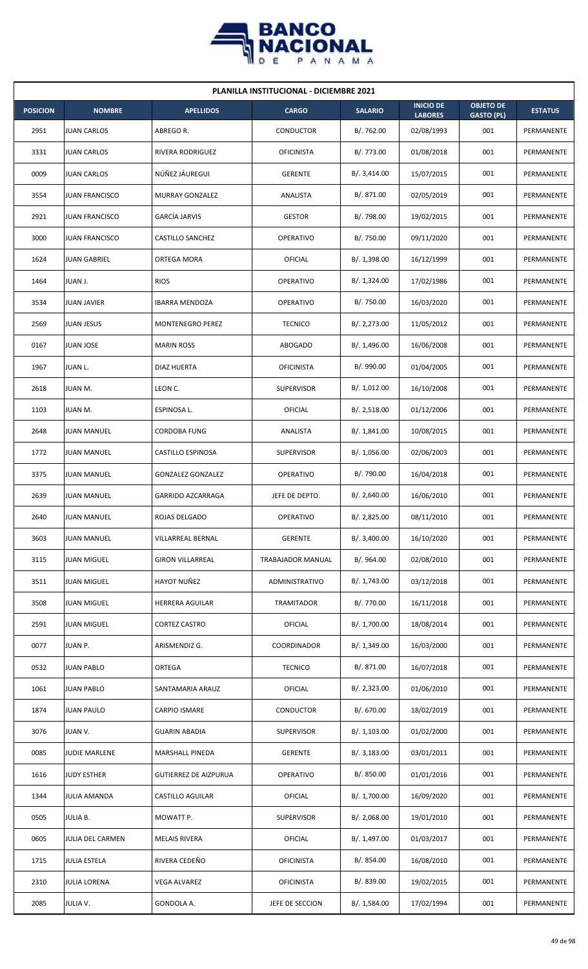

| <b>PLANILLA INSTITUCIONAL - DICIEMBRE 2021</b> |                       |                              |                   |                |                                    |                                       |                |  |  |  |
|------------------------------------------------|-----------------------|------------------------------|-------------------|----------------|------------------------------------|---------------------------------------|----------------|--|--|--|
| <b>POSICION</b>                                | <b>NOMBRE</b>         | <b>APELLIDOS</b>             | <b>CARGO</b>      | <b>SALARIO</b> | <b>INICIO DE</b><br><b>LABORES</b> | <b>OBJETO DE</b><br><b>GASTO (PL)</b> | <b>ESTATUS</b> |  |  |  |
| 2951                                           | <b>JUAN CARLOS</b>    | ABREGO R.                    | <b>CONDUCTOR</b>  | B/. 762.00     | 02/08/1993                         | 001                                   | PERMANENTE     |  |  |  |
| 3331                                           | <b>JUAN CARLOS</b>    | RIVERA RODRIGUEZ             | <b>OFICINISTA</b> | B/. 773.00     | 01/08/2018                         | 001                                   | PERMANENTE     |  |  |  |
| 0009                                           | <b>JUAN CARLOS</b>    | NÚÑEZ JÁUREGUI               | <b>GERENTE</b>    | B/. 3,414.00   | 15/07/2015                         | 001                                   | PERMANENTE     |  |  |  |
| 3554                                           | <b>JUAN FRANCISCO</b> | <b>MURRAY GONZALEZ</b>       | ANALISTA          | B/. 871.00     | 02/05/2019                         | 001                                   | PERMANENTE     |  |  |  |
| 2921                                           | <b>JUAN FRANCISCO</b> | <b>GARCÍA JARVIS</b>         | <b>GESTOR</b>     | B/. 798.00     | 19/02/2015                         | 001                                   | PERMANENTE     |  |  |  |
| 3000                                           | <b>JUAN FRANCISCO</b> | CASTILLO SANCHEZ             | <b>OPERATIVO</b>  | B/. 750.00     | 09/11/2020                         | 001                                   | PERMANENTE     |  |  |  |
| 1624                                           | <b>JUAN GABRIEL</b>   | ORTEGA MORA                  | OFICIAL           | B/. 1,398.00   | 16/12/1999                         | 001                                   | PERMANENTE     |  |  |  |
| 1464                                           | <b>JUAN J.</b>        | <b>RIOS</b>                  | <b>OPERATIVO</b>  | B/.1,324.00    | 17/02/1986                         | 001                                   | PERMANENTE     |  |  |  |
| 3534                                           | <b>JUAN JAVIER</b>    | <b>IBARRA MENDOZA</b>        | <b>OPERATIVO</b>  | B/. 750.00     | 16/03/2020                         | 001                                   | PERMANENTE     |  |  |  |
| 2569                                           | <b>JUAN JESUS</b>     | MONTENEGRO PEREZ             | <b>TECNICO</b>    | B/. 2,273.00   | 11/05/2012                         | 001                                   | PERMANENTE     |  |  |  |
| 0167                                           | <b>JUAN JOSE</b>      | <b>MARIN ROSS</b>            | <b>ABOGADO</b>    | B/. 1,496.00   | 16/06/2008                         | 001                                   | PERMANENTE     |  |  |  |
| 1967                                           | JUAN L.               | DIAZ HUERTA                  | <b>OFICINISTA</b> | B/. 990.00     | 01/04/2005                         | 001                                   | PERMANENTE     |  |  |  |
| 2618                                           | JUAN M.               | LEON C.                      | <b>SUPERVISOR</b> | B/. 1,012.00   | 16/10/2008                         | 001                                   | PERMANENTE     |  |  |  |
| 1103                                           | JUAN M.               | ESPINOSA L.                  | OFICIAL           | B/.2,518.00    | 01/12/2006                         | 001                                   | PERMANENTE     |  |  |  |
| 2648                                           | <b>JUAN MANUEL</b>    | <b>CORDOBA FUNG</b>          | ANALISTA          | B/.1,841.00    | 10/08/2015                         | 001                                   | PERMANENTE     |  |  |  |
| 1772                                           | <b>JUAN MANUEL</b>    | <b>CASTILLO ESPINOSA</b>     | <b>SUPERVISOR</b> | B/. 1,056.00   | 02/06/2003                         | 001                                   | PERMANENTE     |  |  |  |
| 3375                                           | <b>JUAN MANUEL</b>    | <b>GONZALEZ GONZALEZ</b>     | <b>OPERATIVO</b>  | B/. 790.00     | 16/04/2018                         | 001                                   | PERMANENTE     |  |  |  |
| 2639                                           | <b>JUAN MANUEL</b>    | <b>GARRIDO AZCARRAGA</b>     | JEFE DE DEPTO.    | B/.2,640.00    | 16/06/2010                         | 001                                   | PERMANENTE     |  |  |  |
| 2640                                           | <b>JUAN MANUEL</b>    | ROJAS DELGADO                | <b>OPERATIVO</b>  | B/. 2,825.00   | 08/11/2010                         | 001                                   | PERMANENTE     |  |  |  |
| 3603                                           | <b>JUAN MANUEL</b>    | VILLARREAL BERNAL            | <b>GERENTE</b>    | B/. 3,400.00   | 16/10/2020                         | 001                                   | PERMANENTE     |  |  |  |
| 3115                                           | <b>JUAN MIGUEL</b>    | <b>GIRON VILLARREAL</b>      | TRABAJADOR MANUAL | B/. 964.00     | 02/08/2010                         | 001                                   | PERMANENTE     |  |  |  |
| 3511                                           | <b>JUAN MIGUEL</b>    | <b>HAYOT NUÑEZ</b>           | ADMINISTRATIVO    | B/. 1,743.00   | 03/12/2018                         | 001                                   | PERMANENTE     |  |  |  |
| 3508                                           | <b>JUAN MIGUEL</b>    | HERRERA AGUILAR              | <b>TRAMITADOR</b> | B/. 770.00     | 16/11/2018                         | 001                                   | PERMANENTE     |  |  |  |
| 2591                                           | <b>JUAN MIGUEL</b>    | CORTEZ CASTRO                | OFICIAL           | B/. 1,700.00   | 18/08/2014                         | 001                                   | PERMANENTE     |  |  |  |
| 0077                                           | JUAN P.               | ARISMENDIZ G.                | COORDINADOR       | B/.1,349.00    | 16/03/2000                         | 001                                   | PERMANENTE     |  |  |  |
| 0532                                           | <b>JUAN PABLO</b>     | ORTEGA                       | <b>TECNICO</b>    | B/. 871.00     | 16/07/2018                         | 001                                   | PERMANENTE     |  |  |  |
| 1061                                           | <b>JUAN PABLO</b>     | SANTAMARIA ARAUZ             | OFICIAL           | B/.2,323.00    | 01/06/2010                         | 001                                   | PERMANENTE     |  |  |  |
| 1874                                           | <b>JUAN PAULO</b>     | <b>CARPIO ISMARE</b>         | <b>CONDUCTOR</b>  | B/. 670.00     | 18/02/2019                         | 001                                   | PERMANENTE     |  |  |  |
| 3076                                           | JUAN V.               | <b>GUARIN ABADIA</b>         | <b>SUPERVISOR</b> | B/. 1,103.00   | 01/02/2000                         | 001                                   | PERMANENTE     |  |  |  |
| 0085                                           | <b>JUDIE MARLENE</b>  | MARSHALL PINEDA              | <b>GERENTE</b>    | B/. 3,183.00   | 03/01/2011                         | 001                                   | PERMANENTE     |  |  |  |
| 1616                                           | <b>JUDY ESTHER</b>    | <b>GUTIERREZ DE AIZPURUA</b> | OPERATIVO         | B/. 850.00     | 01/01/2016                         | 001                                   | PERMANENTE     |  |  |  |
| 1344                                           | <b>JULIA AMANDA</b>   | CASTILLO AGUILAR             | <b>OFICIAL</b>    | B/. 1,700.00   | 16/09/2020                         | 001                                   | PERMANENTE     |  |  |  |
| 0505                                           | <b>JULIA B.</b>       | MOWATT P.                    | <b>SUPERVISOR</b> | B/.2,068.00    | 19/01/2010                         | 001                                   | PERMANENTE     |  |  |  |
| 0605                                           | JULIA DEL CARMEN      | <b>MELAIS RIVERA</b>         | OFICIAL           | B/. 1,497.00   | 01/03/2017                         | 001                                   | PERMANENTE     |  |  |  |
| 1715                                           | <b>JULIA ESTELA</b>   | RIVERA CEDEÑO                | <b>OFICINISTA</b> | B/. 854.00     | 16/08/2010                         | 001                                   | PERMANENTE     |  |  |  |
| 2310                                           | <b>JULIA LORENA</b>   | VEGA ALVAREZ                 | <b>OFICINISTA</b> | B/. 839.00     | 19/02/2015                         | 001                                   | PERMANENTE     |  |  |  |
| 2085                                           | JULIA V.              | GONDOLA A.                   | JEFE DE SECCION   | B/. 1,584.00   | 17/02/1994                         | 001                                   | PERMANENTE     |  |  |  |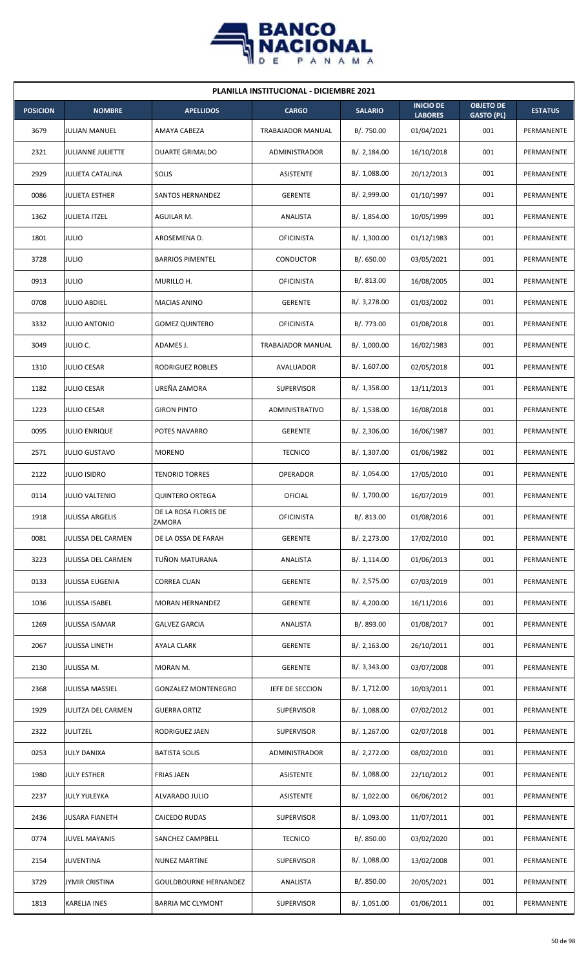

| <b>PLANILLA INSTITUCIONAL - DICIEMBRE 2021</b> |                         |                                |                      |                |                                    |                                       |                |  |  |  |
|------------------------------------------------|-------------------------|--------------------------------|----------------------|----------------|------------------------------------|---------------------------------------|----------------|--|--|--|
| <b>POSICION</b>                                | <b>NOMBRE</b>           | <b>APELLIDOS</b>               | <b>CARGO</b>         | <b>SALARIO</b> | <b>INICIO DE</b><br><b>LABORES</b> | <b>OBJETO DE</b><br><b>GASTO (PL)</b> | <b>ESTATUS</b> |  |  |  |
| 3679                                           | <b>JULIAN MANUEL</b>    | AMAYA CABEZA                   | TRABAJADOR MANUAL    | B/. 750.00     | 01/04/2021                         | 001                                   | PERMANENTE     |  |  |  |
| 2321                                           | JULIANNE JULIETTE       | <b>DUARTE GRIMALDO</b>         | <b>ADMINISTRADOR</b> | B/.2,184.00    | 16/10/2018                         | 001                                   | PERMANENTE     |  |  |  |
| 2929                                           | <b>JULIETA CATALINA</b> | SOLIS                          | ASISTENTE            | B/. 1,088.00   | 20/12/2013                         | 001                                   | PERMANENTE     |  |  |  |
| 0086                                           | <b>JULIETA ESTHER</b>   | SANTOS HERNANDEZ               | <b>GERENTE</b>       | B/. 2,999.00   | 01/10/1997                         | 001                                   | PERMANENTE     |  |  |  |
| 1362                                           | <b>JULIETA ITZEL</b>    | AGUILAR M.                     | ANALISTA             | B/. 1,854.00   | 10/05/1999                         | 001                                   | PERMANENTE     |  |  |  |
| 1801                                           | <b>JULIO</b>            | AROSEMENA D.                   | <b>OFICINISTA</b>    | B/. 1,300.00   | 01/12/1983                         | 001                                   | PERMANENTE     |  |  |  |
| 3728                                           | <b>JULIO</b>            | <b>BARRIOS PIMENTEL</b>        | <b>CONDUCTOR</b>     | B/0.650.00     | 03/05/2021                         | 001                                   | PERMANENTE     |  |  |  |
| 0913                                           | <b>JULIO</b>            | MURILLO H.                     | <b>OFICINISTA</b>    | B/0.813.00     | 16/08/2005                         | 001                                   | PERMANENTE     |  |  |  |
| 0708                                           | <b>JULIO ABDIEL</b>     | MACIAS ANINO                   | <b>GERENTE</b>       | B/. 3,278.00   | 01/03/2002                         | 001                                   | PERMANENTE     |  |  |  |
| 3332                                           | <b>JULIO ANTONIO</b>    | <b>GOMEZ QUINTERO</b>          | <b>OFICINISTA</b>    | B/. 773.00     | 01/08/2018                         | 001                                   | PERMANENTE     |  |  |  |
| 3049                                           | JULIO C.                | ADAMES J.                      | TRABAJADOR MANUAL    | B/. 1,000.00   | 16/02/1983                         | 001                                   | PERMANENTE     |  |  |  |
| 1310                                           | <b>JULIO CESAR</b>      | RODRIGUEZ ROBLES               | AVALUADOR            | B/. 1,607.00   | 02/05/2018                         | 001                                   | PERMANENTE     |  |  |  |
| 1182                                           | <b>JULIO CESAR</b>      | UREÑA ZAMORA                   | <b>SUPERVISOR</b>    | B/. 1,358.00   | 13/11/2013                         | 001                                   | PERMANENTE     |  |  |  |
| 1223                                           | <b>JULIO CESAR</b>      | <b>GIRON PINTO</b>             | ADMINISTRATIVO       | B/.1,538.00    | 16/08/2018                         | 001                                   | PERMANENTE     |  |  |  |
| 0095                                           | <b>JULIO ENRIQUE</b>    | POTES NAVARRO                  | <b>GERENTE</b>       | B/.2,306.00    | 16/06/1987                         | 001                                   | PERMANENTE     |  |  |  |
| 2571                                           | <b>JULIO GUSTAVO</b>    | <b>MORENO</b>                  | <b>TECNICO</b>       | B/. 1,307.00   | 01/06/1982                         | 001                                   | PERMANENTE     |  |  |  |
| 2122                                           | <b>JULIO ISIDRO</b>     | <b>TENORIO TORRES</b>          | OPERADOR             | B/. 1,054.00   | 17/05/2010                         | 001                                   | PERMANENTE     |  |  |  |
| 0114                                           | <b>JULIO VALTENIO</b>   | <b>QUINTERO ORTEGA</b>         | OFICIAL              | B/. 1,700.00   | 16/07/2019                         | 001                                   | PERMANENTE     |  |  |  |
| 1918                                           | JULISSA ARGELIS         | DE LA ROSA FLORES DE<br>ZAMORA | <b>OFICINISTA</b>    | B/. 813.00     | 01/08/2016                         | 001                                   | PERMANENTE     |  |  |  |
| 0081                                           | JULISSA DEL CARMEN      | DE LA OSSA DE FARAH            | <b>GERENTE</b>       | B/. 2,273.00   | 17/02/2010                         | 001                                   | PERMANENTE     |  |  |  |
| 3223                                           | JULISSA DEL CARMEN      | TUÑON MATURANA                 | ANALISTA             | B/. 1,114.00   | 01/06/2013                         | 001                                   | PERMANENTE     |  |  |  |
| 0133                                           | JULISSA EUGENIA         | <b>CORREA CUAN</b>             | <b>GERENTE</b>       | B/. 2,575.00   | 07/03/2019                         | 001                                   | PERMANENTE     |  |  |  |
| 1036                                           | JULISSA ISABEL          | MORAN HERNANDEZ                | <b>GERENTE</b>       | B/. 4,200.00   | 16/11/2016                         | 001                                   | PERMANENTE     |  |  |  |
| 1269                                           | <b>JULISSA ISAMAR</b>   | <b>GALVEZ GARCIA</b>           | ANALISTA             | B/. 893.00     | 01/08/2017                         | 001                                   | PERMANENTE     |  |  |  |
| 2067                                           | <b>JULISSA LINETH</b>   | AYALA CLARK                    | <b>GERENTE</b>       | B/.2,163.00    | 26/10/2011                         | 001                                   | PERMANENTE     |  |  |  |
| 2130                                           | JULISSA M.              | MORAN M.                       | <b>GERENTE</b>       | B/.3,343.00    | 03/07/2008                         | 001                                   | PERMANENTE     |  |  |  |
| 2368                                           | JULISSA MASSIEL         | <b>GONZALEZ MONTENEGRO</b>     | JEFE DE SECCION      | B/. 1,712.00   | 10/03/2011                         | 001                                   | PERMANENTE     |  |  |  |
| 1929                                           | JULITZA DEL CARMEN      | <b>GUERRA ORTIZ</b>            | <b>SUPERVISOR</b>    | B/.1,088.00    | 07/02/2012                         | 001                                   | PERMANENTE     |  |  |  |
| 2322                                           | <b>JULITZEL</b>         | RODRIGUEZ JAEN                 | SUPERVISOR           | B/. 1,267.00   | 02/07/2018                         | 001                                   | PERMANENTE     |  |  |  |
| 0253                                           | <b>JULY DANIXA</b>      | <b>BATISTA SOLIS</b>           | ADMINISTRADOR        | B/. 2,272.00   | 08/02/2010                         | 001                                   | PERMANENTE     |  |  |  |
| 1980                                           | <b>JULY ESTHER</b>      | <b>FRIAS JAEN</b>              | ASISTENTE            | B/.1,088.00    | 22/10/2012                         | 001                                   | PERMANENTE     |  |  |  |
| 2237                                           | <b>JULY YULEYKA</b>     | ALVARADO JULIO                 | ASISTENTE            | B/. 1,022.00   | 06/06/2012                         | 001                                   | PERMANENTE     |  |  |  |
| 2436                                           | <b>JUSARA FIANETH</b>   | CAICEDO RUDAS                  | <b>SUPERVISOR</b>    | B/. 1,093.00   | 11/07/2011                         | 001                                   | PERMANENTE     |  |  |  |
| 0774                                           | <b>JUVEL MAYANIS</b>    | SANCHEZ CAMPBELL               | <b>TECNICO</b>       | B/. 850.00     | 03/02/2020                         | 001                                   | PERMANENTE     |  |  |  |
| 2154                                           | <b>JUVENTINA</b>        | <b>NUNEZ MARTINE</b>           | <b>SUPERVISOR</b>    | B/.1,088.00    | 13/02/2008                         | 001                                   | PERMANENTE     |  |  |  |
| 3729                                           | <b>JYMIR CRISTINA</b>   | <b>GOULDBOURNE HERNANDEZ</b>   | ANALISTA             | B/. 850.00     | 20/05/2021                         | 001                                   | PERMANENTE     |  |  |  |
| 1813                                           | <b>KARELIA INES</b>     | <b>BARRIA MC CLYMONT</b>       | SUPERVISOR           | B/. 1,051.00   | 01/06/2011                         | 001                                   | PERMANENTE     |  |  |  |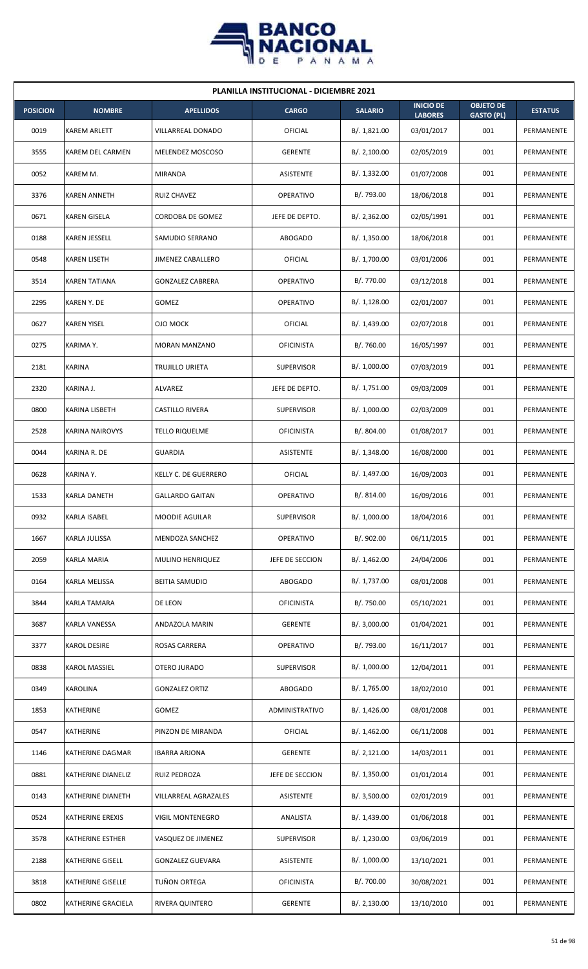

| <b>PLANILLA INSTITUCIONAL - DICIEMBRE 2021</b> |                         |                         |                   |                |                                    |                                       |                |  |  |  |
|------------------------------------------------|-------------------------|-------------------------|-------------------|----------------|------------------------------------|---------------------------------------|----------------|--|--|--|
| <b>POSICION</b>                                | <b>NOMBRE</b>           | <b>APELLIDOS</b>        | <b>CARGO</b>      | <b>SALARIO</b> | <b>INICIO DE</b><br><b>LABORES</b> | <b>OBJETO DE</b><br><b>GASTO (PL)</b> | <b>ESTATUS</b> |  |  |  |
| 0019                                           | <b>KAREM ARLETT</b>     | VILLARREAL DONADO       | OFICIAL           | B/. 1,821.00   | 03/01/2017                         | 001                                   | PERMANENTE     |  |  |  |
| 3555                                           | <b>KAREM DEL CARMEN</b> | MELENDEZ MOSCOSO        | <b>GERENTE</b>    | B/.2,100.00    | 02/05/2019                         | 001                                   | PERMANENTE     |  |  |  |
| 0052                                           | KAREM M.                | <b>MIRANDA</b>          | ASISTENTE         | B/. 1,332.00   | 01/07/2008                         | 001                                   | PERMANENTE     |  |  |  |
| 3376                                           | <b>KAREN ANNETH</b>     | <b>RUIZ CHAVEZ</b>      | <b>OPERATIVO</b>  | B/. 793.00     | 18/06/2018                         | 001                                   | PERMANENTE     |  |  |  |
| 0671                                           | <b>KAREN GISELA</b>     | CORDOBA DE GOMEZ        | JEFE DE DEPTO.    | B/.2,362.00    | 02/05/1991                         | 001                                   | PERMANENTE     |  |  |  |
| 0188                                           | KAREN JESSELL           | SAMUDIO SERRANO         | <b>ABOGADO</b>    | B/. 1,350.00   | 18/06/2018                         | 001                                   | PERMANENTE     |  |  |  |
| 0548                                           | <b>KAREN LISETH</b>     | JIMENEZ CABALLERO       | OFICIAL           | B/. 1,700.00   | 03/01/2006                         | 001                                   | PERMANENTE     |  |  |  |
| 3514                                           | <b>KAREN TATIANA</b>    | <b>GONZALEZ CABRERA</b> | <b>OPERATIVO</b>  | B/. 770.00     | 03/12/2018                         | 001                                   | PERMANENTE     |  |  |  |
| 2295                                           | <b>KAREN Y. DE</b>      | GOMEZ                   | <b>OPERATIVO</b>  | B/. 1,128.00   | 02/01/2007                         | 001                                   | PERMANENTE     |  |  |  |
| 0627                                           | <b>KAREN YISEL</b>      | OJO MOCK                | OFICIAL           | B/. 1,439.00   | 02/07/2018                         | 001                                   | PERMANENTE     |  |  |  |
| 0275                                           | KARIMA Y.               | <b>MORAN MANZANO</b>    | <b>OFICINISTA</b> | B/. 760.00     | 16/05/1997                         | 001                                   | PERMANENTE     |  |  |  |
| 2181                                           | <b>KARINA</b>           | TRUJILLO URIETA         | <b>SUPERVISOR</b> | B/. 1,000.00   | 07/03/2019                         | 001                                   | PERMANENTE     |  |  |  |
| 2320                                           | KARINA J.               | ALVAREZ                 | JEFE DE DEPTO.    | B/. 1,751.00   | 09/03/2009                         | 001                                   | PERMANENTE     |  |  |  |
| 0800                                           | KARINA LISBETH          | CASTILLO RIVERA         | <b>SUPERVISOR</b> | B/. 1,000.00   | 02/03/2009                         | 001                                   | PERMANENTE     |  |  |  |
| 2528                                           | <b>KARINA NAIROVYS</b>  | <b>TELLO RIQUELME</b>   | <b>OFICINISTA</b> | B/. 804.00     | 01/08/2017                         | 001                                   | PERMANENTE     |  |  |  |
| 0044                                           | KARINA R. DE            | <b>GUARDIA</b>          | ASISTENTE         | B/.1,348.00    | 16/08/2000                         | 001                                   | PERMANENTE     |  |  |  |
| 0628                                           | KARINA Y.               | KELLY C. DE GUERRERO    | OFICIAL           | B/. 1,497.00   | 16/09/2003                         | 001                                   | PERMANENTE     |  |  |  |
| 1533                                           | <b>KARLA DANETH</b>     | <b>GALLARDO GAITAN</b>  | <b>OPERATIVO</b>  | B/. 814.00     | 16/09/2016                         | 001                                   | PERMANENTE     |  |  |  |
| 0932                                           | <b>KARLA ISABEL</b>     | <b>MOODIE AGUILAR</b>   | <b>SUPERVISOR</b> | B/. 1,000.00   | 18/04/2016                         | 001                                   | PERMANENTE     |  |  |  |
| 1667                                           | <b>KARLA JULISSA</b>    | MENDOZA SANCHEZ         | <b>OPERATIVO</b>  | B/. 902.00     | 06/11/2015                         | 001                                   | PERMANENTE     |  |  |  |
| 2059                                           | KARLA MARIA             | MULINO HENRIQUEZ        | JEFE DE SECCION   | B/.1,462.00    | 24/04/2006                         | 001                                   | PERMANENTE     |  |  |  |
| 0164                                           | <b>KARLA MELISSA</b>    | <b>BEITIA SAMUDIO</b>   | <b>ABOGADO</b>    | B/. 1,737.00   | 08/01/2008                         | 001                                   | PERMANENTE     |  |  |  |
| 3844                                           | KARLA TAMARA            | DE LEON                 | <b>OFICINISTA</b> | B/. 750.00     | 05/10/2021                         | 001                                   | PERMANENTE     |  |  |  |
| 3687                                           | KARLA VANESSA           | ANDAZOLA MARIN          | <b>GERENTE</b>    | B/. 3,000.00   | 01/04/2021                         | 001                                   | PERMANENTE     |  |  |  |
| 3377                                           | <b>KAROL DESIRE</b>     | ROSAS CARRERA           | <b>OPERATIVO</b>  | B/. 793.00     | 16/11/2017                         | 001                                   | PERMANENTE     |  |  |  |
| 0838                                           | <b>KAROL MASSIEL</b>    | OTERO JURADO            | <b>SUPERVISOR</b> | B/. 1,000.00   | 12/04/2011                         | 001                                   | PERMANENTE     |  |  |  |
| 0349                                           | <b>KAROLINA</b>         | <b>GONZALEZ ORTIZ</b>   | <b>ABOGADO</b>    | B/.1,765.00    | 18/02/2010                         | 001                                   | PERMANENTE     |  |  |  |
| 1853                                           | KATHERINE               | GOMEZ                   | ADMINISTRATIVO    | B/.1,426.00    | 08/01/2008                         | 001                                   | PERMANENTE     |  |  |  |
| 0547                                           | KATHERINE               | PINZON DE MIRANDA       | OFICIAL           | B/.1,462.00    | 06/11/2008                         | 001                                   | PERMANENTE     |  |  |  |
| 1146                                           | KATHERINE DAGMAR        | <b>IBARRA ARJONA</b>    | <b>GERENTE</b>    | B/.2,121.00    | 14/03/2011                         | 001                                   | PERMANENTE     |  |  |  |
| 0881                                           | KATHERINE DIANELIZ      | RUIZ PEDROZA            | JEFE DE SECCION   | B/. 1,350.00   | 01/01/2014                         | 001                                   | PERMANENTE     |  |  |  |
| 0143                                           | KATHERINE DIANETH       | VILLARREAL AGRAZALES    | ASISTENTE         | B/. 3,500.00   | 02/01/2019                         | 001                                   | PERMANENTE     |  |  |  |
| 0524                                           | KATHERINE EREXIS        | VIGIL MONTENEGRO        | ANALISTA          | B/. 1,439.00   | 01/06/2018                         | 001                                   | PERMANENTE     |  |  |  |
| 3578                                           | KATHERINE ESTHER        | VASQUEZ DE JIMENEZ      | <b>SUPERVISOR</b> | B/. 1,230.00   | 03/06/2019                         | 001                                   | PERMANENTE     |  |  |  |
| 2188                                           | KATHERINE GISELL        | <b>GONZALEZ GUEVARA</b> | ASISTENTE         | B/. 1,000.00   | 13/10/2021                         | 001                                   | PERMANENTE     |  |  |  |
| 3818                                           | KATHERINE GISELLE       | TUÑON ORTEGA            | <b>OFICINISTA</b> | B/. 700.00     | 30/08/2021                         | 001                                   | PERMANENTE     |  |  |  |
| 0802                                           | KATHERINE GRACIELA      | RIVERA QUINTERO         | <b>GERENTE</b>    | B/.2,130.00    | 13/10/2010                         | 001                                   | PERMANENTE     |  |  |  |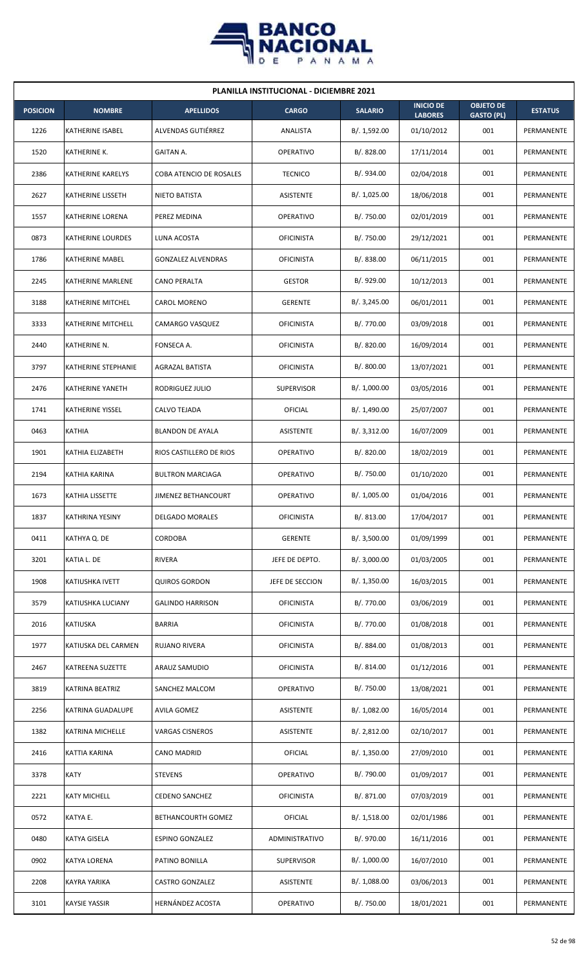

| <b>PLANILLA INSTITUCIONAL - DICIEMBRE 2021</b> |                         |                           |                   |                |                                    |                                       |                |  |  |  |
|------------------------------------------------|-------------------------|---------------------------|-------------------|----------------|------------------------------------|---------------------------------------|----------------|--|--|--|
| <b>POSICION</b>                                | <b>NOMBRE</b>           | <b>APELLIDOS</b>          | <b>CARGO</b>      | <b>SALARIO</b> | <b>INICIO DE</b><br><b>LABORES</b> | <b>OBJETO DE</b><br><b>GASTO (PL)</b> | <b>ESTATUS</b> |  |  |  |
| 1226                                           | KATHERINE ISABEL        | ALVENDAS GUTIÉRREZ        | ANALISTA          | B/. 1,592.00   | 01/10/2012                         | 001                                   | PERMANENTE     |  |  |  |
| 1520                                           | KATHERINE K.            | <b>GAITAN A.</b>          | <b>OPERATIVO</b>  | B/. 828.00     | 17/11/2014                         | 001                                   | PERMANENTE     |  |  |  |
| 2386                                           | KATHERINE KARELYS       | COBA ATENCIO DE ROSALES   | <b>TECNICO</b>    | B/. 934.00     | 02/04/2018                         | 001                                   | PERMANENTE     |  |  |  |
| 2627                                           | KATHERINE LISSETH       | <b>NIETO BATISTA</b>      | <b>ASISTENTE</b>  | B/. 1,025.00   | 18/06/2018                         | 001                                   | PERMANENTE     |  |  |  |
| 1557                                           | KATHERINE LORENA        | PEREZ MEDINA              | <b>OPERATIVO</b>  | B/. 750.00     | 02/01/2019                         | 001                                   | PERMANENTE     |  |  |  |
| 0873                                           | KATHERINE LOURDES       | LUNA ACOSTA               | <b>OFICINISTA</b> | B/. 750.00     | 29/12/2021                         | 001                                   | PERMANENTE     |  |  |  |
| 1786                                           | KATHERINE MABEL         | <b>GONZALEZ ALVENDRAS</b> | <b>OFICINISTA</b> | B/0.838.00     | 06/11/2015                         | 001                                   | PERMANENTE     |  |  |  |
| 2245                                           | KATHERINE MARLENE       | <b>CANO PERALTA</b>       | <b>GESTOR</b>     | B/. 929.00     | 10/12/2013                         | 001                                   | PERMANENTE     |  |  |  |
| 3188                                           | KATHERINE MITCHEL       | CAROL MORENO              | <b>GERENTE</b>    | B/.3,245.00    | 06/01/2011                         | 001                                   | PERMANENTE     |  |  |  |
| 3333                                           | KATHERINE MITCHELL      | CAMARGO VASQUEZ           | <b>OFICINISTA</b> | B/. 770.00     | 03/09/2018                         | 001                                   | PERMANENTE     |  |  |  |
| 2440                                           | KATHERINE N.            | FONSECA A.                | <b>OFICINISTA</b> | B/. 820.00     | 16/09/2014                         | 001                                   | PERMANENTE     |  |  |  |
| 3797                                           | KATHERINE STEPHANIE     | AGRAZAL BATISTA           | <b>OFICINISTA</b> | B/. 800.00     | 13/07/2021                         | 001                                   | PERMANENTE     |  |  |  |
| 2476                                           | KATHERINE YANETH        | RODRIGUEZ JULIO           | <b>SUPERVISOR</b> | B/. 1,000.00   | 03/05/2016                         | 001                                   | PERMANENTE     |  |  |  |
| 1741                                           | <b>KATHERINE YISSEL</b> | CALVO TEJADA              | OFICIAL           | B/. 1,490.00   | 25/07/2007                         | 001                                   | PERMANENTE     |  |  |  |
| 0463                                           | <b>KATHIA</b>           | <b>BLANDON DE AYALA</b>   | <b>ASISTENTE</b>  | B/.3,312.00    | 16/07/2009                         | 001                                   | PERMANENTE     |  |  |  |
| 1901                                           | KATHIA ELIZABETH        | RIOS CASTILLERO DE RIOS   | <b>OPERATIVO</b>  | B/. 820.00     | 18/02/2019                         | 001                                   | PERMANENTE     |  |  |  |
| 2194                                           | KATHIA KARINA           | <b>BULTRON MARCIAGA</b>   | <b>OPERATIVO</b>  | B/. 750.00     | 01/10/2020                         | 001                                   | PERMANENTE     |  |  |  |
| 1673                                           | KATHIA LISSETTE         | JIMENEZ BETHANCOURT       | <b>OPERATIVO</b>  | B/. 1,005.00   | 01/04/2016                         | 001                                   | PERMANENTE     |  |  |  |
| 1837                                           | <b>KATHRINA YESINY</b>  | <b>DELGADO MORALES</b>    | <b>OFICINISTA</b> | B/. 813.00     | 17/04/2017                         | 001                                   | PERMANENTE     |  |  |  |
| 0411                                           | KATHYA Q. DE            | CORDOBA                   | <b>GERENTE</b>    | B/.3,500.00    | 01/09/1999                         | 001                                   | PERMANENTE     |  |  |  |
| 3201                                           | KATIA L. DE             | <b>RIVERA</b>             | JEFE DE DEPTO.    | B/. 3,000.00   | 01/03/2005                         | 001                                   | PERMANENTE     |  |  |  |
| 1908                                           | KATIUSHKA IVETT         | <b>QUIROS GORDON</b>      | JEFE DE SECCION   | B/.1,350.00    | 16/03/2015                         | 001                                   | PERMANENTE     |  |  |  |
| 3579                                           | KATIUSHKA LUCIANY       | <b>GALINDO HARRISON</b>   | <b>OFICINISTA</b> | B/. 770.00     | 03/06/2019                         | 001                                   | PERMANENTE     |  |  |  |
| 2016                                           | <b>KATIUSKA</b>         | <b>BARRIA</b>             | <b>OFICINISTA</b> | B/. 770.00     | 01/08/2018                         | 001                                   | PERMANENTE     |  |  |  |
| 1977                                           | KATIUSKA DEL CARMEN     | RUJANO RIVERA             | <b>OFICINISTA</b> | B/. 884.00     | 01/08/2013                         | 001                                   | PERMANENTE     |  |  |  |
| 2467                                           | KATREENA SUZETTE        | ARAUZ SAMUDIO             | <b>OFICINISTA</b> | B/. 814.00     | 01/12/2016                         | 001                                   | PERMANENTE     |  |  |  |
| 3819                                           | KATRINA BEATRIZ         | SANCHEZ MALCOM            | OPERATIVO         | B/. 750.00     | 13/08/2021                         | 001                                   | PERMANENTE     |  |  |  |
| 2256                                           | KATRINA GUADALUPE       | <b>AVILA GOMEZ</b>        | ASISTENTE         | B/. 1,082.00   | 16/05/2014                         | 001                                   | PERMANENTE     |  |  |  |
| 1382                                           | KATRINA MICHELLE        | <b>VARGAS CISNEROS</b>    | ASISTENTE         | B/. 2,812.00   | 02/10/2017                         | 001                                   | PERMANENTE     |  |  |  |
| 2416                                           | KATTIA KARINA           | CANO MADRID               | <b>OFICIAL</b>    | B/.1,350.00    | 27/09/2010                         | 001                                   | PERMANENTE     |  |  |  |
| 3378                                           | <b>KATY</b>             | <b>STEVENS</b>            | OPERATIVO         | B/. 790.00     | 01/09/2017                         | 001                                   | PERMANENTE     |  |  |  |
| 2221                                           | <b>KATY MICHELL</b>     | <b>CEDENO SANCHEZ</b>     | <b>OFICINISTA</b> | B/. 871.00     | 07/03/2019                         | 001                                   | PERMANENTE     |  |  |  |
| 0572                                           | KATYA E.                | BETHANCOURTH GOMEZ        | OFICIAL           | B/.1,518.00    | 02/01/1986                         | 001                                   | PERMANENTE     |  |  |  |
| 0480                                           | KATYA GISELA            | <b>ESPINO GONZALEZ</b>    | ADMINISTRATIVO    | B/. 970.00     | 16/11/2016                         | 001                                   | PERMANENTE     |  |  |  |
| 0902                                           | KATYA LORENA            | PATINO BONILLA            | <b>SUPERVISOR</b> | B/. 1,000.00   | 16/07/2010                         | 001                                   | PERMANENTE     |  |  |  |
| 2208                                           | KAYRA YARIKA            | <b>CASTRO GONZALEZ</b>    | ASISTENTE         | B/. 1,088.00   | 03/06/2013                         | 001                                   | PERMANENTE     |  |  |  |
| 3101                                           | <b>KAYSIE YASSIR</b>    | HERNÁNDEZ ACOSTA          | OPERATIVO         | B/. 750.00     | 18/01/2021                         | 001                                   | PERMANENTE     |  |  |  |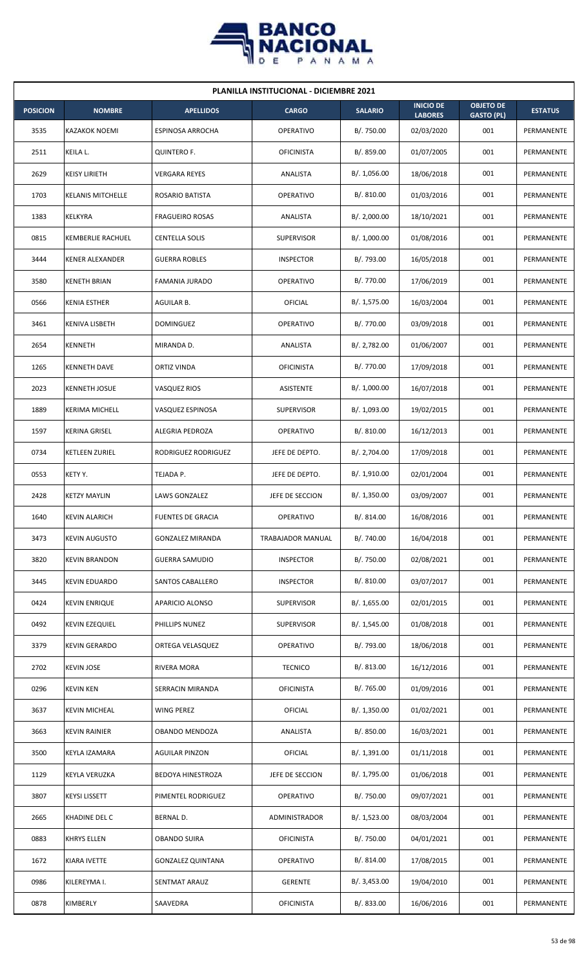

| <b>PLANILLA INSTITUCIONAL - DICIEMBRE 2021</b> |                          |                          |                   |                |                                    |                                       |                   |  |  |  |
|------------------------------------------------|--------------------------|--------------------------|-------------------|----------------|------------------------------------|---------------------------------------|-------------------|--|--|--|
| <b>POSICION</b>                                | <b>NOMBRE</b>            | <b>APELLIDOS</b>         | <b>CARGO</b>      | <b>SALARIO</b> | <b>INICIO DE</b><br><b>LABORES</b> | <b>OBJETO DE</b><br><b>GASTO (PL)</b> | <b>ESTATUS</b>    |  |  |  |
| 3535                                           | <b>KAZAKOK NOEMI</b>     | <b>ESPINOSA ARROCHA</b>  | <b>OPERATIVO</b>  | B/. 750.00     | 02/03/2020                         | 001                                   | PERMANENTE        |  |  |  |
| 2511                                           | KEILA L.                 | <b>QUINTERO F.</b>       | <b>OFICINISTA</b> | B/. 859.00     | 01/07/2005                         | 001                                   | PERMANENTE        |  |  |  |
| 2629                                           | <b>KEISY LIRIETH</b>     | <b>VERGARA REYES</b>     | ANALISTA          | B/. 1,056.00   | 18/06/2018                         | 001                                   | PERMANENTE        |  |  |  |
| 1703                                           | <b>KELANIS MITCHELLE</b> | <b>ROSARIO BATISTA</b>   | <b>OPERATIVO</b>  | B/. 810.00     | 01/03/2016                         | 001                                   | <b>PERMANENTE</b> |  |  |  |
| 1383                                           | KELKYRA                  | <b>FRAGUEIRO ROSAS</b>   | ANALISTA          | B/.2,000.00    | 18/10/2021                         | 001                                   | PERMANENTE        |  |  |  |
| 0815                                           | <b>KEMBERLIE RACHUEL</b> | <b>CENTELLA SOLIS</b>    | <b>SUPERVISOR</b> | B/. 1,000.00   | 01/08/2016                         | 001                                   | PERMANENTE        |  |  |  |
| 3444                                           | <b>KENER ALEXANDER</b>   | <b>GUERRA ROBLES</b>     | <b>INSPECTOR</b>  | B/. 793.00     | 16/05/2018                         | 001                                   | PERMANENTE        |  |  |  |
| 3580                                           | <b>KENETH BRIAN</b>      | <b>FAMANIA JURADO</b>    | <b>OPERATIVO</b>  | B/. 770.00     | 17/06/2019                         | 001                                   | PERMANENTE        |  |  |  |
| 0566                                           | <b>KENIA ESTHER</b>      | AGUILAR B.               | OFICIAL           | B/. 1,575.00   | 16/03/2004                         | 001                                   | PERMANENTE        |  |  |  |
| 3461                                           | KENIVA LISBETH           | <b>DOMINGUEZ</b>         | <b>OPERATIVO</b>  | B/. 770.00     | 03/09/2018                         | 001                                   | PERMANENTE        |  |  |  |
| 2654                                           | KENNETH                  | MIRANDA D.               | ANALISTA          | B/. 2,782.00   | 01/06/2007                         | 001                                   | PERMANENTE        |  |  |  |
| 1265                                           | <b>KENNETH DAVE</b>      | ORTIZ VINDA              | <b>OFICINISTA</b> | B/. 770.00     | 17/09/2018                         | 001                                   | PERMANENTE        |  |  |  |
| 2023                                           | <b>KENNETH JOSUE</b>     | <b>VASQUEZ RIOS</b>      | ASISTENTE         | B/. 1,000.00   | 16/07/2018                         | 001                                   | PERMANENTE        |  |  |  |
| 1889                                           | <b>KERIMA MICHELL</b>    | VASQUEZ ESPINOSA         | <b>SUPERVISOR</b> | B/. 1,093.00   | 19/02/2015                         | 001                                   | PERMANENTE        |  |  |  |
| 1597                                           | <b>KERINA GRISEL</b>     | ALEGRIA PEDROZA          | <b>OPERATIVO</b>  | B/.810.00      | 16/12/2013                         | 001                                   | PERMANENTE        |  |  |  |
| 0734                                           | KETLEEN ZURIEL           | RODRIGUEZ RODRIGUEZ      | JEFE DE DEPTO.    | B/. 2,704.00   | 17/09/2018                         | 001                                   | PERMANENTE        |  |  |  |
| 0553                                           | KETY Y.                  | TEJADA P.                | JEFE DE DEPTO.    | B/. 1,910.00   | 02/01/2004                         | 001                                   | PERMANENTE        |  |  |  |
| 2428                                           | <b>KETZY MAYLIN</b>      | <b>LAWS GONZALEZ</b>     | JEFE DE SECCION   | B/.1,350.00    | 03/09/2007                         | 001                                   | PERMANENTE        |  |  |  |
| 1640                                           | <b>KEVIN ALARICH</b>     | <b>FUENTES DE GRACIA</b> | OPERATIVO         | B/. 814.00     | 16/08/2016                         | 001                                   | PERMANENTE        |  |  |  |
| 3473                                           | <b>KEVIN AUGUSTO</b>     | <b>GONZALEZ MIRANDA</b>  | TRABAJADOR MANUAL | B/. 740.00     | 16/04/2018                         | 001                                   | PERMANENTE        |  |  |  |
| 3820                                           | <b>KEVIN BRANDON</b>     | <b>GUERRA SAMUDIO</b>    | <b>INSPECTOR</b>  | B/. 750.00     | 02/08/2021                         | 001                                   | PERMANENTE        |  |  |  |
| 3445                                           | <b>KEVIN EDUARDO</b>     | SANTOS CABALLERO         | <b>INSPECTOR</b>  | B/. 810.00     | 03/07/2017                         | 001                                   | PERMANENTE        |  |  |  |
| 0424                                           | <b>KEVIN ENRIQUE</b>     | APARICIO ALONSO          | <b>SUPERVISOR</b> | B/. 1,655.00   | 02/01/2015                         | 001                                   | PERMANENTE        |  |  |  |
| 0492                                           | <b>KEVIN EZEQUIEL</b>    | PHILLIPS NUNEZ           | <b>SUPERVISOR</b> | B/. 1,545.00   | 01/08/2018                         | 001                                   | PERMANENTE        |  |  |  |
| 3379                                           | <b>KEVIN GERARDO</b>     | ORTEGA VELASQUEZ         | OPERATIVO         | B/. 793.00     | 18/06/2018                         | 001                                   | PERMANENTE        |  |  |  |
| 2702                                           | <b>KEVIN JOSE</b>        | RIVERA MORA              | <b>TECNICO</b>    | B/. 813.00     | 16/12/2016                         | 001                                   | PERMANENTE        |  |  |  |
| 0296                                           | <b>KEVIN KEN</b>         | SERRACIN MIRANDA         | <b>OFICINISTA</b> | B/. 765.00     | 01/09/2016                         | 001                                   | PERMANENTE        |  |  |  |
| 3637                                           | <b>KEVIN MICHEAL</b>     | WING PEREZ               | <b>OFICIAL</b>    | B/.1,350.00    | 01/02/2021                         | 001                                   | PERMANENTE        |  |  |  |
| 3663                                           | <b>KEVIN RAINIER</b>     | OBANDO MENDOZA           | ANALISTA          | B/. 850.00     | 16/03/2021                         | 001                                   | PERMANENTE        |  |  |  |
| 3500                                           | KEYLA IZAMARA            | <b>AGUILAR PINZON</b>    | <b>OFICIAL</b>    | B/. 1,391.00   | 01/11/2018                         | 001                                   | PERMANENTE        |  |  |  |
| 1129                                           | KEYLA VERUZKA            | <b>BEDOYA HINESTROZA</b> | JEFE DE SECCION   | B/. 1,795.00   | 01/06/2018                         | 001                                   | PERMANENTE        |  |  |  |
| 3807                                           | <b>KEYSI LISSETT</b>     | PIMENTEL RODRIGUEZ       | OPERATIVO         | B/. 750.00     | 09/07/2021                         | 001                                   | PERMANENTE        |  |  |  |
| 2665                                           | KHADINE DEL C            | BERNAL D.                | ADMINISTRADOR     | B/. 1,523.00   | 08/03/2004                         | 001                                   | PERMANENTE        |  |  |  |
| 0883                                           | KHRYS ELLEN              | OBANDO SUIRA             | <b>OFICINISTA</b> | B/. 750.00     | 04/01/2021                         | 001                                   | PERMANENTE        |  |  |  |
| 1672                                           | KIARA IVETTE             | <b>GONZALEZ QUINTANA</b> | OPERATIVO         | B/. 814.00     | 17/08/2015                         | 001                                   | PERMANENTE        |  |  |  |
| 0986                                           | KILEREYMA I.             | SENTMAT ARAUZ            | <b>GERENTE</b>    | B/. 3,453.00   | 19/04/2010                         | 001                                   | PERMANENTE        |  |  |  |
| 0878                                           | KIMBERLY                 | SAAVEDRA                 | <b>OFICINISTA</b> | B/. 833.00     | 16/06/2016                         | 001                                   | PERMANENTE        |  |  |  |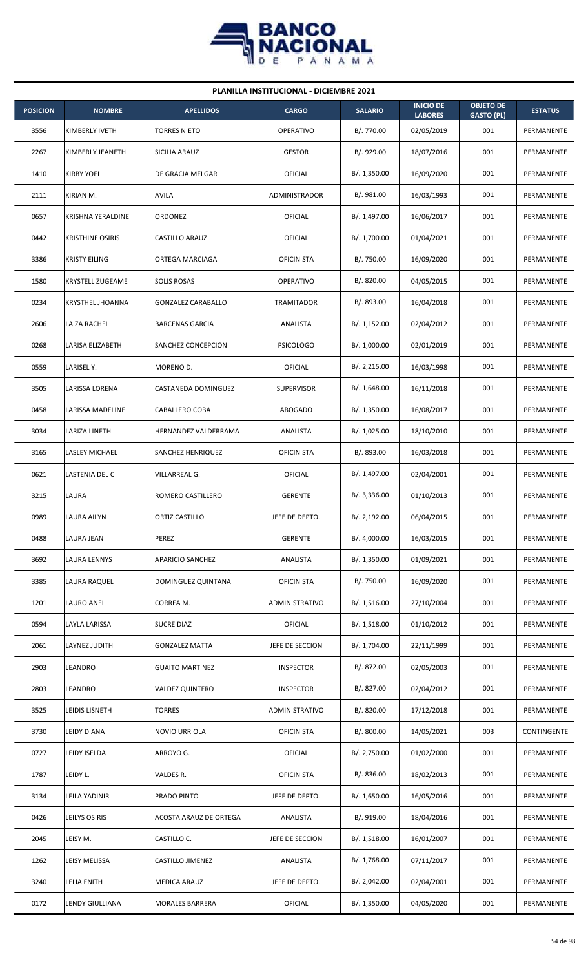

| <b>PLANILLA INSTITUCIONAL - DICIEMBRE 2021</b> |                         |                           |                   |                |                                    |                                       |                |  |  |  |
|------------------------------------------------|-------------------------|---------------------------|-------------------|----------------|------------------------------------|---------------------------------------|----------------|--|--|--|
| <b>POSICION</b>                                | <b>NOMBRE</b>           | <b>APELLIDOS</b>          | <b>CARGO</b>      | <b>SALARIO</b> | <b>INICIO DE</b><br><b>LABORES</b> | <b>OBJETO DE</b><br><b>GASTO (PL)</b> | <b>ESTATUS</b> |  |  |  |
| 3556                                           | KIMBERLY IVETH          | <b>TORRES NIETO</b>       | <b>OPERATIVO</b>  | B/. 770.00     | 02/05/2019                         | 001                                   | PERMANENTE     |  |  |  |
| 2267                                           | KIMBERLY JEANETH        | SICILIA ARAUZ             | <b>GESTOR</b>     | B/. 929.00     | 18/07/2016                         | 001                                   | PERMANENTE     |  |  |  |
| 1410                                           | <b>KIRBY YOEL</b>       | DE GRACIA MELGAR          | OFICIAL           | B/. 1,350.00   | 16/09/2020                         | 001                                   | PERMANENTE     |  |  |  |
| 2111                                           | KIRIAN M.               | AVILA                     | ADMINISTRADOR     | B/. 981.00     | 16/03/1993                         | 001                                   | PERMANENTE     |  |  |  |
| 0657                                           | KRISHNA YERALDINE       | ORDONEZ                   | OFICIAL           | B/. 1,497.00   | 16/06/2017                         | 001                                   | PERMANENTE     |  |  |  |
| 0442                                           | <b>KRISTHINE OSIRIS</b> | CASTILLO ARAUZ            | OFICIAL           | B/. 1,700.00   | 01/04/2021                         | 001                                   | PERMANENTE     |  |  |  |
| 3386                                           | <b>KRISTY EILING</b>    | ORTEGA MARCIAGA           | <b>OFICINISTA</b> | B/. 750.00     | 16/09/2020                         | 001                                   | PERMANENTE     |  |  |  |
| 1580                                           | <b>KRYSTELL ZUGEAME</b> | <b>SOLIS ROSAS</b>        | <b>OPERATIVO</b>  | B/. 820.00     | 04/05/2015                         | 001                                   | PERMANENTE     |  |  |  |
| 0234                                           | <b>KRYSTHEL JHOANNA</b> | <b>GONZALEZ CARABALLO</b> | TRAMITADOR        | B/. 893.00     | 16/04/2018                         | 001                                   | PERMANENTE     |  |  |  |
| 2606                                           | LAIZA RACHEL            | <b>BARCENAS GARCIA</b>    | ANALISTA          | B/. 1,152.00   | 02/04/2012                         | 001                                   | PERMANENTE     |  |  |  |
| 0268                                           | LARISA ELIZABETH        | SANCHEZ CONCEPCION        | <b>PSICOLOGO</b>  | B/. 1,000.00   | 02/01/2019                         | 001                                   | PERMANENTE     |  |  |  |
| 0559                                           | LARISEL Y.              | MORENO D.                 | OFICIAL           | B/.2,215.00    | 16/03/1998                         | 001                                   | PERMANENTE     |  |  |  |
| 3505                                           | LARISSA LORENA          | CASTANEDA DOMINGUEZ       | <b>SUPERVISOR</b> | B/. 1,648.00   | 16/11/2018                         | 001                                   | PERMANENTE     |  |  |  |
| 0458                                           | LARISSA MADELINE        | CABALLERO COBA            | <b>ABOGADO</b>    | B/.1,350.00    | 16/08/2017                         | 001                                   | PERMANENTE     |  |  |  |
| 3034                                           | LARIZA LINETH           | HERNANDEZ VALDERRAMA      | ANALISTA          | B/. 1,025.00   | 18/10/2010                         | 001                                   | PERMANENTE     |  |  |  |
| 3165                                           | LASLEY MICHAEL          | SANCHEZ HENRIQUEZ         | <b>OFICINISTA</b> | B/. 893.00     | 16/03/2018                         | 001                                   | PERMANENTE     |  |  |  |
| 0621                                           | LASTENIA DEL C          | VILLARREAL G.             | OFICIAL           | B/. 1,497.00   | 02/04/2001                         | 001                                   | PERMANENTE     |  |  |  |
| 3215                                           | LAURA                   | ROMERO CASTILLERO         | <b>GERENTE</b>    | B/.3,336.00    | 01/10/2013                         | 001                                   | PERMANENTE     |  |  |  |
| 0989                                           | <b>LAURA AILYN</b>      | ORTIZ CASTILLO            | JEFE DE DEPTO.    | B/.2,192.00    | 06/04/2015                         | 001                                   | PERMANENTE     |  |  |  |
| 0488                                           | LAURA JEAN              | PEREZ                     | <b>GERENTE</b>    | B/. 4,000.00   | 16/03/2015                         | 001                                   | PERMANENTE     |  |  |  |
| 3692                                           | LAURA LENNYS            | APARICIO SANCHEZ          | ANALISTA          | B/. 1,350.00   | 01/09/2021                         | 001                                   | PERMANENTE     |  |  |  |
| 3385                                           | LAURA RAQUEL            | DOMINGUEZ QUINTANA        | <b>OFICINISTA</b> | B/. 750.00     | 16/09/2020                         | 001                                   | PERMANENTE     |  |  |  |
| 1201                                           | LAURO ANEL              | CORREA M.                 | ADMINISTRATIVO    | B/.1,516.00    | 27/10/2004                         | 001                                   | PERMANENTE     |  |  |  |
| 0594                                           | LAYLA LARISSA           | <b>SUCRE DIAZ</b>         | OFICIAL           | B/. 1,518.00   | 01/10/2012                         | 001                                   | PERMANENTE     |  |  |  |
| 2061                                           | LAYNEZ JUDITH           | <b>GONZALEZ MATTA</b>     | JEFE DE SECCION   | B/. 1,704.00   | 22/11/1999                         | 001                                   | PERMANENTE     |  |  |  |
| 2903                                           | LEANDRO                 | <b>GUAITO MARTINEZ</b>    | <b>INSPECTOR</b>  | B/. 872.00     | 02/05/2003                         | 001                                   | PERMANENTE     |  |  |  |
| 2803                                           | LEANDRO                 | <b>VALDEZ QUINTERO</b>    | <b>INSPECTOR</b>  | B/. 827.00     | 02/04/2012                         | 001                                   | PERMANENTE     |  |  |  |
| 3525                                           | LEIDIS LISNETH          | <b>TORRES</b>             | ADMINISTRATIVO    | B/. 820.00     | 17/12/2018                         | 001                                   | PERMANENTE     |  |  |  |
| 3730                                           | LEIDY DIANA             | NOVIO URRIOLA             | <b>OFICINISTA</b> | B/. 800.00     | 14/05/2021                         | 003                                   | CONTINGENTE    |  |  |  |
| 0727                                           | LEIDY ISELDA            | ARROYO G.                 | OFICIAL           | B/. 2,750.00   | 01/02/2000                         | 001                                   | PERMANENTE     |  |  |  |
| 1787                                           | LEIDY L.                | VALDES R.                 | <b>OFICINISTA</b> | B/. 836.00     | 18/02/2013                         | 001                                   | PERMANENTE     |  |  |  |
| 3134                                           | LEILA YADINIR           | PRADO PINTO               | JEFE DE DEPTO.    | B/. 1,650.00   | 16/05/2016                         | 001                                   | PERMANENTE     |  |  |  |
| 0426                                           | LEILYS OSIRIS           | ACOSTA ARAUZ DE ORTEGA    | ANALISTA          | B/. 919.00     | 18/04/2016                         | 001                                   | PERMANENTE     |  |  |  |
| 2045                                           | LEISY M.                | CASTILLO C.               | JEFE DE SECCION   | B/.1,518.00    | 16/01/2007                         | 001                                   | PERMANENTE     |  |  |  |
| 1262                                           | LEISY MELISSA           | CASTILLO JIMENEZ          | ANALISTA          | B/. 1,768.00   | 07/11/2017                         | 001                                   | PERMANENTE     |  |  |  |
| 3240                                           | LELIA ENITH             | MEDICA ARAUZ              | JEFE DE DEPTO.    | B/. 2,042.00   | 02/04/2001                         | 001                                   | PERMANENTE     |  |  |  |
| 0172                                           | LENDY GIULLIANA         | MORALES BARRERA           | OFICIAL           | B/. 1,350.00   | 04/05/2020                         | 001                                   | PERMANENTE     |  |  |  |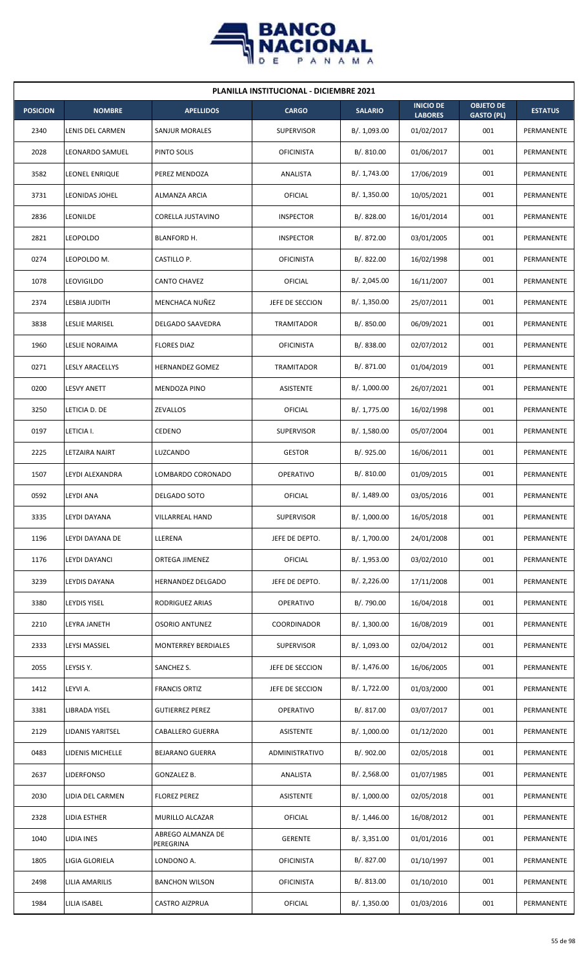

| <b>PLANILLA INSTITUCIONAL - DICIEMBRE 2021</b> |                       |                                |                   |                |                                    |                                       |                |  |  |  |
|------------------------------------------------|-----------------------|--------------------------------|-------------------|----------------|------------------------------------|---------------------------------------|----------------|--|--|--|
| <b>POSICION</b>                                | <b>NOMBRE</b>         | <b>APELLIDOS</b>               | <b>CARGO</b>      | <b>SALARIO</b> | <b>INICIO DE</b><br><b>LABORES</b> | <b>OBJETO DE</b><br><b>GASTO (PL)</b> | <b>ESTATUS</b> |  |  |  |
| 2340                                           | LENIS DEL CARMEN      | SANJUR MORALES                 | <b>SUPERVISOR</b> | B/. 1,093.00   | 01/02/2017                         | 001                                   | PERMANENTE     |  |  |  |
| 2028                                           | LEONARDO SAMUEL       | PINTO SOLIS                    | <b>OFICINISTA</b> | B/. 810.00     | 01/06/2017                         | 001                                   | PERMANENTE     |  |  |  |
| 3582                                           | LEONEL ENRIQUE        | PEREZ MENDOZA                  | ANALISTA          | B/. 1,743.00   | 17/06/2019                         | 001                                   | PERMANENTE     |  |  |  |
| 3731                                           | LEONIDAS JOHEL        | ALMANZA ARCIA                  | OFICIAL           | B/. 1,350.00   | 10/05/2021                         | 001                                   | PERMANENTE     |  |  |  |
| 2836                                           | LEONILDE              | CORELLA JUSTAVINO              | <b>INSPECTOR</b>  | B/0.828.00     | 16/01/2014                         | 001                                   | PERMANENTE     |  |  |  |
| 2821                                           | <b>LEOPOLDO</b>       | BLANFORD H.                    | <b>INSPECTOR</b>  | B/. 872.00     | 03/01/2005                         | 001                                   | PERMANENTE     |  |  |  |
| 0274                                           | LEOPOLDO M.           | CASTILLO P.                    | <b>OFICINISTA</b> | B/. 822.00     | 16/02/1998                         | 001                                   | PERMANENTE     |  |  |  |
| 1078                                           | LEOVIGILDO            | <b>CANTO CHAVEZ</b>            | OFICIAL           | B/.2,045.00    | 16/11/2007                         | 001                                   | PERMANENTE     |  |  |  |
| 2374                                           | LESBIA JUDITH         | MENCHACA NUÑEZ                 | JEFE DE SECCION   | B/. 1,350.00   | 25/07/2011                         | 001                                   | PERMANENTE     |  |  |  |
| 3838                                           | <b>LESLIE MARISEL</b> | DELGADO SAAVEDRA               | TRAMITADOR        | B/. 850.00     | 06/09/2021                         | 001                                   | PERMANENTE     |  |  |  |
| 1960                                           | LESLIE NORAIMA        | <b>FLORES DIAZ</b>             | <b>OFICINISTA</b> | B/. 838.00     | 02/07/2012                         | 001                                   | PERMANENTE     |  |  |  |
| 0271                                           | LESLY ARACELLYS       | <b>HERNANDEZ GOMEZ</b>         | TRAMITADOR        | B/. 871.00     | 01/04/2019                         | 001                                   | PERMANENTE     |  |  |  |
| 0200                                           | LESVY ANETT           | <b>MENDOZA PINO</b>            | ASISTENTE         | B/. 1,000.00   | 26/07/2021                         | 001                                   | PERMANENTE     |  |  |  |
| 3250                                           | LETICIA D. DE         | ZEVALLOS                       | OFICIAL           | B/. 1,775.00   | 16/02/1998                         | 001                                   | PERMANENTE     |  |  |  |
| 0197                                           | LETICIA I.            | CEDENO                         | <b>SUPERVISOR</b> | B/.1,580.00    | 05/07/2004                         | 001                                   | PERMANENTE     |  |  |  |
| 2225                                           | LETZAIRA NAIRT        | LUZCANDO                       | <b>GESTOR</b>     | B/. 925.00     | 16/06/2011                         | 001                                   | PERMANENTE     |  |  |  |
| 1507                                           | LEYDI ALEXANDRA       | LOMBARDO CORONADO              | <b>OPERATIVO</b>  | B/. 810.00     | 01/09/2015                         | 001                                   | PERMANENTE     |  |  |  |
| 0592                                           | <b>LEYDI ANA</b>      | DELGADO SOTO                   | OFICIAL           | B/. 1,489.00   | 03/05/2016                         | 001                                   | PERMANENTE     |  |  |  |
| 3335                                           | LEYDI DAYANA          | VILLARREAL HAND                | <b>SUPERVISOR</b> | B/. 1,000.00   | 16/05/2018                         | 001                                   | PERMANENTE     |  |  |  |
| 1196                                           | LEYDI DAYANA DE       | LLERENA                        | JEFE DE DEPTO.    | B/. 1,700.00   | 24/01/2008                         | 001                                   | PERMANENTE     |  |  |  |
| 1176                                           | LEYDI DAYANCI         | ORTEGA JIMENEZ                 | OFICIAL           | B/. 1,953.00   | 03/02/2010                         | 001                                   | PERMANENTE     |  |  |  |
| 3239                                           | LEYDIS DAYANA         | HERNANDEZ DELGADO              | JEFE DE DEPTO.    | B/.2,226.00    | 17/11/2008                         | 001                                   | PERMANENTE     |  |  |  |
| 3380                                           | LEYDIS YISEL          | RODRIGUEZ ARIAS                | OPERATIVO         | B/. 790.00     | 16/04/2018                         | 001                                   | PERMANENTE     |  |  |  |
| 2210                                           | LEYRA JANETH          | <b>OSORIO ANTUNEZ</b>          | COORDINADOR       | B/. 1,300.00   | 16/08/2019                         | 001                                   | PERMANENTE     |  |  |  |
| 2333                                           | LEYSI MASSIEL         | MONTERREY BERDIALES            | <b>SUPERVISOR</b> | B/. 1,093.00   | 02/04/2012                         | 001                                   | PERMANENTE     |  |  |  |
| 2055                                           | LEYSIS Y.             | SANCHEZ S.                     | JEFE DE SECCION   | B/. 1,476.00   | 16/06/2005                         | 001                                   | PERMANENTE     |  |  |  |
| 1412                                           | LEYVI A.              | <b>FRANCIS ORTIZ</b>           | JEFE DE SECCION   | B/. 1,722.00   | 01/03/2000                         | 001                                   | PERMANENTE     |  |  |  |
| 3381                                           | LIBRADA YISEL         | <b>GUTIERREZ PEREZ</b>         | OPERATIVO         | B/. 817.00     | 03/07/2017                         | 001                                   | PERMANENTE     |  |  |  |
| 2129                                           | LIDANIS YARITSEL      | <b>CABALLERO GUERRA</b>        | ASISTENTE         | B/. 1,000.00   | 01/12/2020                         | 001                                   | PERMANENTE     |  |  |  |
| 0483                                           | LIDENIS MICHELLE      | <b>BEJARANO GUERRA</b>         | ADMINISTRATIVO    | B/. 902.00     | 02/05/2018                         | 001                                   | PERMANENTE     |  |  |  |
| 2637                                           | LIDERFONSO            | GONZALEZ B.                    | ANALISTA          | B/. 2,568.00   | 01/07/1985                         | 001                                   | PERMANENTE     |  |  |  |
| 2030                                           | LIDIA DEL CARMEN      | <b>FLOREZ PEREZ</b>            | ASISTENTE         | B/. 1,000.00   | 02/05/2018                         | 001                                   | PERMANENTE     |  |  |  |
| 2328                                           | LIDIA ESTHER          | MURILLO ALCAZAR                | OFICIAL           | B/. 1,446.00   | 16/08/2012                         | 001                                   | PERMANENTE     |  |  |  |
| 1040                                           | LIDIA INES            | ABREGO ALMANZA DE<br>PEREGRINA | <b>GERENTE</b>    | B/.3,351.00    | 01/01/2016                         | 001                                   | PERMANENTE     |  |  |  |
| 1805                                           | LIGIA GLORIELA        | LONDONO A.                     | <b>OFICINISTA</b> | B/. 827.00     | 01/10/1997                         | 001                                   | PERMANENTE     |  |  |  |
| 2498                                           | LILIA AMARILIS        | <b>BANCHON WILSON</b>          | <b>OFICINISTA</b> | B/. 813.00     | 01/10/2010                         | 001                                   | PERMANENTE     |  |  |  |
| 1984                                           | LILIA ISABEL          | CASTRO AIZPRUA                 | OFICIAL           | B/. 1,350.00   | 01/03/2016                         | 001                                   | PERMANENTE     |  |  |  |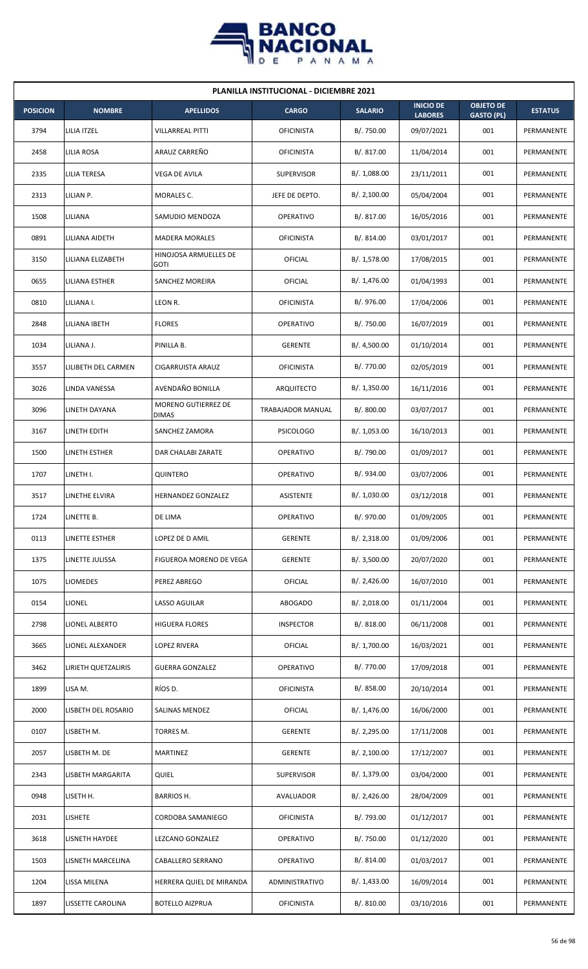

| <b>PLANILLA INSTITUCIONAL - DICIEMBRE 2021</b> |                     |                                      |                   |                |                                    |                                       |                |  |  |  |
|------------------------------------------------|---------------------|--------------------------------------|-------------------|----------------|------------------------------------|---------------------------------------|----------------|--|--|--|
| <b>POSICION</b>                                | <b>NOMBRE</b>       | <b>APELLIDOS</b>                     | <b>CARGO</b>      | <b>SALARIO</b> | <b>INICIO DE</b><br><b>LABORES</b> | <b>OBJETO DE</b><br><b>GASTO (PL)</b> | <b>ESTATUS</b> |  |  |  |
| 3794                                           | LILIA ITZEL         | <b>VILLARREAL PITTI</b>              | <b>OFICINISTA</b> | B/. 750.00     | 09/07/2021                         | 001                                   | PERMANENTE     |  |  |  |
| 2458                                           | LILIA ROSA          | ARAUZ CARREÑO                        | <b>OFICINISTA</b> | B/. 817.00     | 11/04/2014                         | 001                                   | PERMANENTE     |  |  |  |
| 2335                                           | LILIA TERESA        | VEGA DE AVILA                        | <b>SUPERVISOR</b> | B/. 1,088.00   | 23/11/2011                         | 001                                   | PERMANENTE     |  |  |  |
| 2313                                           | LILIAN P.           | MORALES C.                           | JEFE DE DEPTO.    | B/.2,100.00    | 05/04/2004                         | 001                                   | PERMANENTE     |  |  |  |
| 1508                                           | LILIANA             | SAMUDIO MENDOZA                      | <b>OPERATIVO</b>  | B/. 817.00     | 16/05/2016                         | 001                                   | PERMANENTE     |  |  |  |
| 0891                                           | LILIANA AIDETH      | <b>MADERA MORALES</b>                | <b>OFICINISTA</b> | B/. 814.00     | 03/01/2017                         | 001                                   | PERMANENTE     |  |  |  |
| 3150                                           | LILIANA ELIZABETH   | HINOJOSA ARMUELLES DE<br><b>GOTI</b> | <b>OFICIAL</b>    | B/. 1,578.00   | 17/08/2015                         | 001                                   | PERMANENTE     |  |  |  |
| 0655                                           | LILIANA ESTHER      | <b>SANCHEZ MOREIRA</b>               | <b>OFICIAL</b>    | B/. 1,476.00   | 01/04/1993                         | 001                                   | PERMANENTE     |  |  |  |
| 0810                                           | LILIANA I.          | LEON R.                              | <b>OFICINISTA</b> | B/. 976.00     | 17/04/2006                         | 001                                   | PERMANENTE     |  |  |  |
| 2848                                           | LILIANA IBETH       | <b>FLORES</b>                        | <b>OPERATIVO</b>  | B/. 750.00     | 16/07/2019                         | 001                                   | PERMANENTE     |  |  |  |
| 1034                                           | LILIANA J.          | PINILLA B.                           | <b>GERENTE</b>    | B/. 4,500.00   | 01/10/2014                         | 001                                   | PERMANENTE     |  |  |  |
| 3557                                           | LILIBETH DEL CARMEN | CIGARRUISTA ARAUZ                    | <b>OFICINISTA</b> | B/. 770.00     | 02/05/2019                         | 001                                   | PERMANENTE     |  |  |  |
| 3026                                           | LINDA VANESSA       | AVENDAÑO BONILLA                     | ARQUITECTO        | B/. 1,350.00   | 16/11/2016                         | 001                                   | PERMANENTE     |  |  |  |
| 3096                                           | LINETH DAYANA       | MORENO GUTIERREZ DE<br><b>DIMAS</b>  | TRABAJADOR MANUAL | B/. 800.00     | 03/07/2017                         | 001                                   | PERMANENTE     |  |  |  |
| 3167                                           | LINETH EDITH        | SANCHEZ ZAMORA                       | <b>PSICOLOGO</b>  | B/. 1,053.00   | 16/10/2013                         | 001                                   | PERMANENTE     |  |  |  |
| 1500                                           | LINETH ESTHER       | DAR CHALABI ZARATE                   | <b>OPERATIVO</b>  | B/. 790.00     | 01/09/2017                         | 001                                   | PERMANENTE     |  |  |  |
| 1707                                           | LINETH I.           | QUINTERO                             | <b>OPERATIVO</b>  | B/. 934.00     | 03/07/2006                         | 001                                   | PERMANENTE     |  |  |  |
| 3517                                           | LINETHE ELVIRA      | HERNANDEZ GONZALEZ                   | <b>ASISTENTE</b>  | B/. 1,030.00   | 03/12/2018                         | 001                                   | PERMANENTE     |  |  |  |
| 1724                                           | LINETTE B.          | DE LIMA                              | <b>OPERATIVO</b>  | B/. 970.00     | 01/09/2005                         | 001                                   | PERMANENTE     |  |  |  |
| 0113                                           | LINETTE ESTHER      | LOPEZ DE D AMIL                      | <b>GERENTE</b>    | B/. 2,318.00   | 01/09/2006                         | 001                                   | PERMANENTE     |  |  |  |
| 1375                                           | LINETTE JULISSA     | <b>FIGUEROA MORENO DE VEGA</b>       | <b>GERENTE</b>    | B/. 3,500.00   | 20/07/2020                         | 001                                   | PERMANENTE     |  |  |  |
| 1075                                           | LIOMEDES            | PEREZ ABREGO                         | <b>OFICIAL</b>    | B/.2,426.00    | 16/07/2010                         | 001                                   | PERMANENTE     |  |  |  |
| 0154                                           | LIONEL              | LASSO AGUILAR                        | <b>ABOGADO</b>    | B/.2,018.00    | 01/11/2004                         | 001                                   | PERMANENTE     |  |  |  |
| 2798                                           | LIONEL ALBERTO      | <b>HIGUERA FLORES</b>                | <b>INSPECTOR</b>  | B/. 818.00     | 06/11/2008                         | 001                                   | PERMANENTE     |  |  |  |
| 3665                                           | LIONEL ALEXANDER    | LOPEZ RIVERA                         | <b>OFICIAL</b>    | B/. 1,700.00   | 16/03/2021                         | 001                                   | PERMANENTE     |  |  |  |
| 3462                                           | LIRIETH QUETZALIRIS | <b>GUERRA GONZALEZ</b>               | <b>OPERATIVO</b>  | B/. 770.00     | 17/09/2018                         | 001                                   | PERMANENTE     |  |  |  |
| 1899                                           | LISA M.             | RÍOS D.                              | <b>OFICINISTA</b> | B/0.858.00     | 20/10/2014                         | 001                                   | PERMANENTE     |  |  |  |
| 2000                                           | LISBETH DEL ROSARIO | SALINAS MENDEZ                       | <b>OFICIAL</b>    | B/. 1,476.00   | 16/06/2000                         | 001                                   | PERMANENTE     |  |  |  |
| 0107                                           | LISBETH M.          | TORRES M.                            | <b>GERENTE</b>    | B/.2,295.00    | 17/11/2008                         | 001                                   | PERMANENTE     |  |  |  |
| 2057                                           | LISBETH M. DE       | <b>MARTINEZ</b>                      | <b>GERENTE</b>    | B/.2,100.00    | 17/12/2007                         | 001                                   | PERMANENTE     |  |  |  |
| 2343                                           | LISBETH MARGARITA   | <b>QUIEL</b>                         | <b>SUPERVISOR</b> | B/. 1,379.00   | 03/04/2000                         | 001                                   | PERMANENTE     |  |  |  |
| 0948                                           | LISETH H.           | <b>BARRIOS H.</b>                    | AVALUADOR         | B/.2,426.00    | 28/04/2009                         | 001                                   | PERMANENTE     |  |  |  |
| 2031                                           | <b>LISHETE</b>      | CORDOBA SAMANIEGO                    | <b>OFICINISTA</b> | B/. 793.00     | 01/12/2017                         | 001                                   | PERMANENTE     |  |  |  |
| 3618                                           | LISNETH HAYDEE      | LEZCANO GONZALEZ                     | <b>OPERATIVO</b>  | B/. 750.00     | 01/12/2020                         | 001                                   | PERMANENTE     |  |  |  |
| 1503                                           | LISNETH MARCELINA   | CABALLERO SERRANO                    | <b>OPERATIVO</b>  | B/. 814.00     | 01/03/2017                         | 001                                   | PERMANENTE     |  |  |  |
| 1204                                           | LISSA MILENA        | HERRERA QUIEL DE MIRANDA             | ADMINISTRATIVO    | B/. 1,433.00   | 16/09/2014                         | 001                                   | PERMANENTE     |  |  |  |
| 1897                                           | LISSETTE CAROLINA   | <b>BOTELLO AIZPRUA</b>               | <b>OFICINISTA</b> | B/. 810.00     | 03/10/2016                         | 001                                   | PERMANENTE     |  |  |  |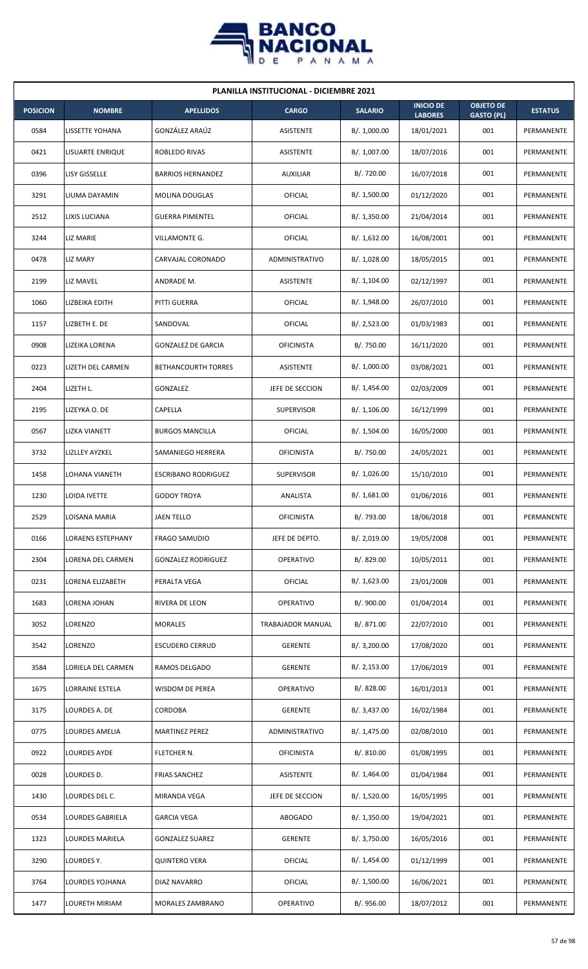

| <b>PLANILLA INSTITUCIONAL - DICIEMBRE 2021</b> |                         |                            |                   |                |                                    |                                       |                |  |  |  |
|------------------------------------------------|-------------------------|----------------------------|-------------------|----------------|------------------------------------|---------------------------------------|----------------|--|--|--|
| <b>POSICION</b>                                | <b>NOMBRE</b>           | <b>APELLIDOS</b>           | <b>CARGO</b>      | <b>SALARIO</b> | <b>INICIO DE</b><br><b>LABORES</b> | <b>OBJETO DE</b><br><b>GASTO (PL)</b> | <b>ESTATUS</b> |  |  |  |
| 0584                                           | <b>LISSETTE YOHANA</b>  | GONZÁLEZ ARAÚZ             | ASISTENTE         | B/. 1,000.00   | 18/01/2021                         | 001                                   | PERMANENTE     |  |  |  |
| 0421                                           | LISUARTE ENRIQUE        | ROBLEDO RIVAS              | ASISTENTE         | B/. 1,007.00   | 18/07/2016                         | 001                                   | PERMANENTE     |  |  |  |
| 0396                                           | LISY GISSELLE           | <b>BARRIOS HERNANDEZ</b>   | <b>AUXILIAR</b>   | B/. 720.00     | 16/07/2018                         | 001                                   | PERMANENTE     |  |  |  |
| 3291                                           | LIUMA DAYAMIN           | <b>MOLINA DOUGLAS</b>      | OFICIAL           | B/. 1,500.00   | 01/12/2020                         | 001                                   | PERMANENTE     |  |  |  |
| 2512                                           | LIXIS LUCIANA           | <b>GUERRA PIMENTEL</b>     | OFICIAL           | B/. 1,350.00   | 21/04/2014                         | 001                                   | PERMANENTE     |  |  |  |
| 3244                                           | LIZ MARIE               | VILLAMONTE G.              | <b>OFICIAL</b>    | B/.1,632.00    | 16/08/2001                         | 001                                   | PERMANENTE     |  |  |  |
| 0478                                           | LIZ MARY                | CARVAJAL CORONADO          | ADMINISTRATIVO    | B/. 1,028.00   | 18/05/2015                         | 001                                   | PERMANENTE     |  |  |  |
| 2199                                           | LIZ MAVEL               | ANDRADE M.                 | <b>ASISTENTE</b>  | B/.1,104.00    | 02/12/1997                         | 001                                   | PERMANENTE     |  |  |  |
| 1060                                           | LIZBEIKA EDITH          | PITTI GUERRA               | OFICIAL           | B/.1,948.00    | 26/07/2010                         | 001                                   | PERMANENTE     |  |  |  |
| 1157                                           | LIZBETH E. DE           | SANDOVAL                   | OFICIAL           | B/. 2,523.00   | 01/03/1983                         | 001                                   | PERMANENTE     |  |  |  |
| 0908                                           | LIZEIKA LORENA          | <b>GONZALEZ DE GARCIA</b>  | <b>OFICINISTA</b> | B/. 750.00     | 16/11/2020                         | 001                                   | PERMANENTE     |  |  |  |
| 0223                                           | LIZETH DEL CARMEN       | <b>BETHANCOURTH TORRES</b> | ASISTENTE         | B/. 1,000.00   | 03/08/2021                         | 001                                   | PERMANENTE     |  |  |  |
| 2404                                           | LIZETH L.               | GONZALEZ                   | JEFE DE SECCION   | B/. 1,454.00   | 02/03/2009                         | 001                                   | PERMANENTE     |  |  |  |
| 2195                                           | LIZEYKA O. DE           | CAPELLA                    | <b>SUPERVISOR</b> | B/.1,106.00    | 16/12/1999                         | 001                                   | PERMANENTE     |  |  |  |
| 0567                                           | <b>LIZKA VIANETT</b>    | <b>BURGOS MANCILLA</b>     | OFICIAL           | B/. 1,504.00   | 16/05/2000                         | 001                                   | PERMANENTE     |  |  |  |
| 3732                                           | <b>LIZLLEY AYZKEL</b>   | SAMANIEGO HERRERA          | <b>OFICINISTA</b> | B/. 750.00     | 24/05/2021                         | 001                                   | PERMANENTE     |  |  |  |
| 1458                                           | LOHANA VIANETH          | <b>ESCRIBANO RODRIGUEZ</b> | <b>SUPERVISOR</b> | B/. 1,026.00   | 15/10/2010                         | 001                                   | PERMANENTE     |  |  |  |
| 1230                                           | <b>LOIDA IVETTE</b>     | <b>GODOY TROYA</b>         | ANALISTA          | B/. 1,681.00   | 01/06/2016                         | 001                                   | PERMANENTE     |  |  |  |
| 2529                                           | LOISANA MARIA           | <b>JAEN TELLO</b>          | <b>OFICINISTA</b> | B/. 793.00     | 18/06/2018                         | 001                                   | PERMANENTE     |  |  |  |
| 0166                                           | LORAENS ESTEPHANY       | <b>FRAGO SAMUDIO</b>       | JEFE DE DEPTO.    | B/. 2,019.00   | 19/05/2008                         | 001                                   | PERMANENTE     |  |  |  |
| 2304                                           | LORENA DEL CARMEN       | <b>GONZALEZ RODRIGUEZ</b>  | OPERATIVO         | B/. 829.00     | 10/05/2011                         | 001                                   | PERMANENTE     |  |  |  |
| 0231                                           | <b>LORENA ELIZABETH</b> | PERALTA VEGA               | OFICIAL           | B/. 1,623.00   | 23/01/2008                         | 001                                   | PERMANENTE     |  |  |  |
| 1683                                           | LORENA JOHAN            | RIVERA DE LEON             | <b>OPERATIVO</b>  | B/. 900.00     | 01/04/2014                         | 001                                   | PERMANENTE     |  |  |  |
| 3052                                           | LORENZO                 | <b>MORALES</b>             | TRABAJADOR MANUAL | B/. 871.00     | 22/07/2010                         | 001                                   | PERMANENTE     |  |  |  |
| 3542                                           | LORENZO                 | <b>ESCUDERO CERRUD</b>     | <b>GERENTE</b>    | B/. 3,200.00   | 17/08/2020                         | 001                                   | PERMANENTE     |  |  |  |
| 3584                                           | LORIELA DEL CARMEN      | RAMOS DELGADO              | <b>GERENTE</b>    | B/.2,153.00    | 17/06/2019                         | 001                                   | PERMANENTE     |  |  |  |
| 1675                                           | LORRAINE ESTELA         | WISDOM DE PEREA            | <b>OPERATIVO</b>  | B/. 828.00     | 16/01/2013                         | 001                                   | PERMANENTE     |  |  |  |
| 3175                                           | LOURDES A. DE           | CORDOBA                    | <b>GERENTE</b>    | B/. 3,437.00   | 16/02/1984                         | 001                                   | PERMANENTE     |  |  |  |
| 0775                                           | LOURDES AMELIA          | <b>MARTINEZ PEREZ</b>      | ADMINISTRATIVO    | B/. 1,475.00   | 02/08/2010                         | 001                                   | PERMANENTE     |  |  |  |
| 0922                                           | LOURDES AYDE            | FLETCHER N.                | <b>OFICINISTA</b> | B/. 810.00     | 01/08/1995                         | 001                                   | PERMANENTE     |  |  |  |
| 0028                                           | LOURDES D.              | <b>FRIAS SANCHEZ</b>       | ASISTENTE         | B/. 1,464.00   | 01/04/1984                         | 001                                   | PERMANENTE     |  |  |  |
| 1430                                           | LOURDES DEL C.          | MIRANDA VEGA               | JEFE DE SECCION   | B/. 1,520.00   | 16/05/1995                         | 001                                   | PERMANENTE     |  |  |  |
| 0534                                           | <b>LOURDES GABRIELA</b> | <b>GARCIA VEGA</b>         | ABOGADO           | B/.1,350.00    | 19/04/2021                         | 001                                   | PERMANENTE     |  |  |  |
| 1323                                           | LOURDES MARIELA         | <b>GONZALEZ SUAREZ</b>     | <b>GERENTE</b>    | B/. 3,750.00   | 16/05/2016                         | 001                                   | PERMANENTE     |  |  |  |
| 3290                                           | LOURDES Y.              | <b>QUINTERO VERA</b>       | OFICIAL           | B/. 1,454.00   | 01/12/1999                         | 001                                   | PERMANENTE     |  |  |  |
| 3764                                           | LOURDES YOJHANA         | DIAZ NAVARRO               | OFICIAL           | B/. 1,500.00   | 16/06/2021                         | 001                                   | PERMANENTE     |  |  |  |
| 1477                                           | LOURETH MIRIAM          | <b>MORALES ZAMBRANO</b>    | <b>OPERATIVO</b>  | B/. 956.00     | 18/07/2012                         | 001                                   | PERMANENTE     |  |  |  |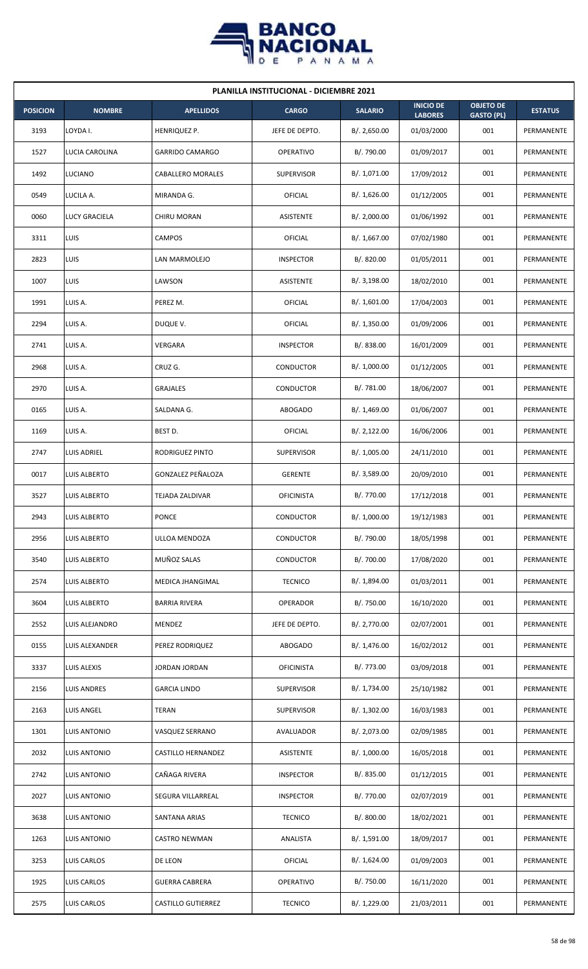

| <b>PLANILLA INSTITUCIONAL - DICIEMBRE 2021</b> |                     |                           |                   |                |                                    |                                       |                |  |  |  |
|------------------------------------------------|---------------------|---------------------------|-------------------|----------------|------------------------------------|---------------------------------------|----------------|--|--|--|
| <b>POSICION</b>                                | <b>NOMBRE</b>       | <b>APELLIDOS</b>          | <b>CARGO</b>      | <b>SALARIO</b> | <b>INICIO DE</b><br><b>LABORES</b> | <b>OBJETO DE</b><br><b>GASTO (PL)</b> | <b>ESTATUS</b> |  |  |  |
| 3193                                           | LOYDA I.            | HENRIQUEZ P.              | JEFE DE DEPTO.    | B/.2,650.00    | 01/03/2000                         | 001                                   | PERMANENTE     |  |  |  |
| 1527                                           | LUCIA CAROLINA      | <b>GARRIDO CAMARGO</b>    | <b>OPERATIVO</b>  | B/. 790.00     | 01/09/2017                         | 001                                   | PERMANENTE     |  |  |  |
| 1492                                           | <b>LUCIANO</b>      | CABALLERO MORALES         | <b>SUPERVISOR</b> | B/. 1,071.00   | 17/09/2012                         | 001                                   | PERMANENTE     |  |  |  |
| 0549                                           | LUCILA A.           | MIRANDA G.                | OFICIAL           | B/. 1,626.00   | 01/12/2005                         | 001                                   | PERMANENTE     |  |  |  |
| 0060                                           | LUCY GRACIELA       | CHIRU MORAN               | <b>ASISTENTE</b>  | B/.2,000.00    | 01/06/1992                         | 001                                   | PERMANENTE     |  |  |  |
| 3311                                           | <b>LUIS</b>         | <b>CAMPOS</b>             | <b>OFICIAL</b>    | B/. 1,667.00   | 07/02/1980                         | 001                                   | PERMANENTE     |  |  |  |
| 2823                                           | LUIS                | LAN MARMOLEJO             | <b>INSPECTOR</b>  | B/. 820.00     | 01/05/2011                         | 001                                   | PERMANENTE     |  |  |  |
| 1007                                           | LUIS                | LAWSON                    | <b>ASISTENTE</b>  | B/.3,198.00    | 18/02/2010                         | 001                                   | PERMANENTE     |  |  |  |
| 1991                                           | LUIS A.             | PEREZ M.                  | <b>OFICIAL</b>    | B/. 1,601.00   | 17/04/2003                         | 001                                   | PERMANENTE     |  |  |  |
| 2294                                           | LUIS A.             | DUQUE V.                  | <b>OFICIAL</b>    | B/. 1,350.00   | 01/09/2006                         | 001                                   | PERMANENTE     |  |  |  |
| 2741                                           | LUIS A.             | VERGARA                   | <b>INSPECTOR</b>  | B/. 838.00     | 16/01/2009                         | 001                                   | PERMANENTE     |  |  |  |
| 2968                                           | LUIS A.             | CRUZ G.                   | CONDUCTOR         | B/. 1,000.00   | 01/12/2005                         | 001                                   | PERMANENTE     |  |  |  |
| 2970                                           | LUIS A.             | GRAJALES                  | CONDUCTOR         | B/.781.00      | 18/06/2007                         | 001                                   | PERMANENTE     |  |  |  |
| 0165                                           | LUIS A.             | SALDANA G.                | <b>ABOGADO</b>    | B/. 1,469.00   | 01/06/2007                         | 001                                   | PERMANENTE     |  |  |  |
| 1169                                           | LUIS A.             | BEST D.                   | OFICIAL           | B/.2,122.00    | 16/06/2006                         | 001                                   | PERMANENTE     |  |  |  |
| 2747                                           | LUIS ADRIEL         | RODRIGUEZ PINTO           | <b>SUPERVISOR</b> | B/. 1,005.00   | 24/11/2010                         | 001                                   | PERMANENTE     |  |  |  |
| 0017                                           | <b>LUIS ALBERTO</b> | GONZALEZ PEÑALOZA         | <b>GERENTE</b>    | B/. 3,589.00   | 20/09/2010                         | 001                                   | PERMANENTE     |  |  |  |
| 3527                                           | <b>LUIS ALBERTO</b> | <b>TEJADA ZALDIVAR</b>    | <b>OFICINISTA</b> | B/. 770.00     | 17/12/2018                         | 001                                   | PERMANENTE     |  |  |  |
| 2943                                           | <b>LUIS ALBERTO</b> | PONCE                     | CONDUCTOR         | B/. 1,000.00   | 19/12/1983                         | 001                                   | PERMANENTE     |  |  |  |
| 2956                                           | LUIS ALBERTO        | ULLOA MENDOZA             | CONDUCTOR         | B/. 790.00     | 18/05/1998                         | 001                                   | PERMANENTE     |  |  |  |
| 3540                                           | <b>LUIS ALBERTO</b> | MUÑOZ SALAS               | <b>CONDUCTOR</b>  | B/. 700.00     | 17/08/2020                         | 001                                   | PERMANENTE     |  |  |  |
| 2574                                           | <b>LUIS ALBERTO</b> | <b>MEDICA JHANGIMAL</b>   | <b>TECNICO</b>    | B/. 1,894.00   | 01/03/2011                         | 001                                   | PERMANENTE     |  |  |  |
| 3604                                           | <b>LUIS ALBERTO</b> | <b>BARRIA RIVERA</b>      | <b>OPERADOR</b>   | B/. 750.00     | 16/10/2020                         | 001                                   | PERMANENTE     |  |  |  |
| 2552                                           | LUIS ALEJANDRO      | MENDEZ                    | JEFE DE DEPTO.    | B/. 2,770.00   | 02/07/2001                         | 001                                   | PERMANENTE     |  |  |  |
| 0155                                           | LUIS ALEXANDER      | PEREZ RODRIQUEZ           | <b>ABOGADO</b>    | B/. 1,476.00   | 16/02/2012                         | 001                                   | PERMANENTE     |  |  |  |
| 3337                                           | LUIS ALEXIS         | JORDAN JORDAN             | <b>OFICINISTA</b> | B/. 773.00     | 03/09/2018                         | 001                                   | PERMANENTE     |  |  |  |
| 2156                                           | <b>LUIS ANDRES</b>  | <b>GARCIA LINDO</b>       | <b>SUPERVISOR</b> | B/. 1,734.00   | 25/10/1982                         | 001                                   | PERMANENTE     |  |  |  |
| 2163                                           | <b>LUIS ANGEL</b>   | <b>TERAN</b>              | <b>SUPERVISOR</b> | B/. 1,302.00   | 16/03/1983                         | 001                                   | PERMANENTE     |  |  |  |
| 1301                                           | <b>LUIS ANTONIO</b> | VASQUEZ SERRANO           | AVALUADOR         | B/. 2,073.00   | 02/09/1985                         | 001                                   | PERMANENTE     |  |  |  |
| 2032                                           | LUIS ANTONIO        | CASTILLO HERNANDEZ        | ASISTENTE         | B/. 1,000.00   | 16/05/2018                         | 001                                   | PERMANENTE     |  |  |  |
| 2742                                           | LUIS ANTONIO        | CAÑAGA RIVERA             | <b>INSPECTOR</b>  | B/. 835.00     | 01/12/2015                         | 001                                   | PERMANENTE     |  |  |  |
| 2027                                           | <b>LUIS ANTONIO</b> | SEGURA VILLARREAL         | <b>INSPECTOR</b>  | B/. 770.00     | 02/07/2019                         | 001                                   | PERMANENTE     |  |  |  |
| 3638                                           | LUIS ANTONIO        | SANTANA ARIAS             | <b>TECNICO</b>    | B/. 800.00     | 18/02/2021                         | 001                                   | PERMANENTE     |  |  |  |
| 1263                                           | <b>LUIS ANTONIO</b> | CASTRO NEWMAN             | ANALISTA          | B/. 1,591.00   | 18/09/2017                         | 001                                   | PERMANENTE     |  |  |  |
| 3253                                           | LUIS CARLOS         | DE LEON                   | <b>OFICIAL</b>    | B/.1,624.00    | 01/09/2003                         | 001                                   | PERMANENTE     |  |  |  |
| 1925                                           | LUIS CARLOS         | <b>GUERRA CABRERA</b>     | <b>OPERATIVO</b>  | B/. 750.00     | 16/11/2020                         | 001                                   | PERMANENTE     |  |  |  |
| 2575                                           | LUIS CARLOS         | <b>CASTILLO GUTIERREZ</b> | <b>TECNICO</b>    | B/. 1,229.00   | 21/03/2011                         | 001                                   | PERMANENTE     |  |  |  |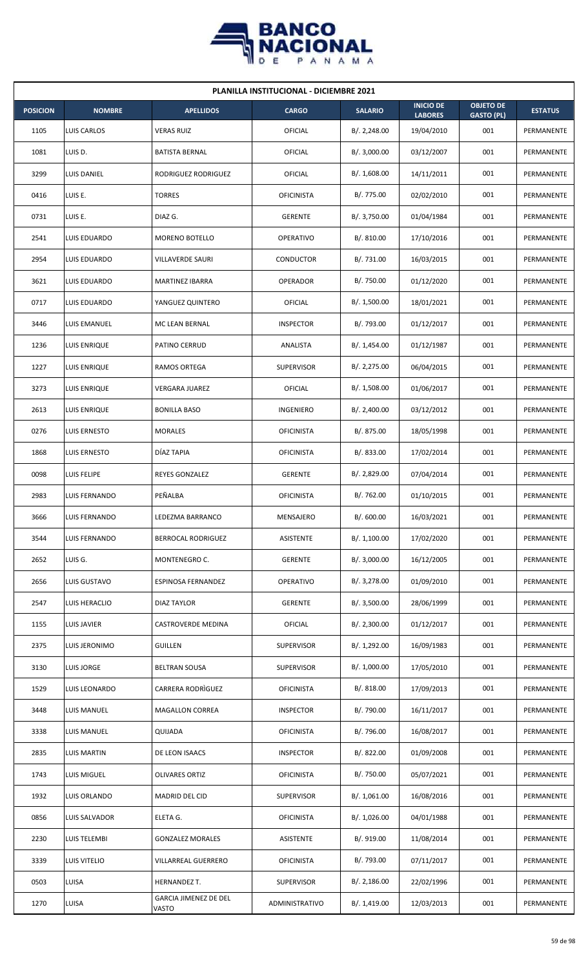

| <b>PLANILLA INSTITUCIONAL - DICIEMBRE 2021</b> |                      |                                       |                   |                |                                    |                                       |                |  |  |  |
|------------------------------------------------|----------------------|---------------------------------------|-------------------|----------------|------------------------------------|---------------------------------------|----------------|--|--|--|
| <b>POSICION</b>                                | <b>NOMBRE</b>        | <b>APELLIDOS</b>                      | <b>CARGO</b>      | <b>SALARIO</b> | <b>INICIO DE</b><br><b>LABORES</b> | <b>OBJETO DE</b><br><b>GASTO (PL)</b> | <b>ESTATUS</b> |  |  |  |
| 1105                                           | LUIS CARLOS          | <b>VERAS RUIZ</b>                     | OFICIAL           | B/.2,248.00    | 19/04/2010                         | 001                                   | PERMANENTE     |  |  |  |
| 1081                                           | LUIS D.              | BATISTA BERNAL                        | OFICIAL           | B/.3,000.00    | 03/12/2007                         | 001                                   | PERMANENTE     |  |  |  |
| 3299                                           | LUIS DANIEL          | RODRIGUEZ RODRIGUEZ                   | OFICIAL           | B/. 1,608.00   | 14/11/2011                         | 001                                   | PERMANENTE     |  |  |  |
| 0416                                           | LUIS E.              | <b>TORRES</b>                         | <b>OFICINISTA</b> | B/. 775.00     | 02/02/2010                         | 001                                   | PERMANENTE     |  |  |  |
| 0731                                           | LUIS E.              | DIAZ G.                               | <b>GERENTE</b>    | B/. 3,750.00   | 01/04/1984                         | 001                                   | PERMANENTE     |  |  |  |
| 2541                                           | LUIS EDUARDO         | MORENO BOTELLO                        | <b>OPERATIVO</b>  | B/. 810.00     | 17/10/2016                         | 001                                   | PERMANENTE     |  |  |  |
| 2954                                           | LUIS EDUARDO         | VILLAVERDE SAURI                      | CONDUCTOR         | B/. 731.00     | 16/03/2015                         | 001                                   | PERMANENTE     |  |  |  |
| 3621                                           | LUIS EDUARDO         | MARTINEZ IBARRA                       | <b>OPERADOR</b>   | B/. 750.00     | 01/12/2020                         | 001                                   | PERMANENTE     |  |  |  |
| 0717                                           | LUIS EDUARDO         | YANGUEZ QUINTERO                      | OFICIAL           | B/. 1,500.00   | 18/01/2021                         | 001                                   | PERMANENTE     |  |  |  |
| 3446                                           | LUIS EMANUEL         | MC LEAN BERNAL                        | <b>INSPECTOR</b>  | B/. 793.00     | 01/12/2017                         | 001                                   | PERMANENTE     |  |  |  |
| 1236                                           | LUIS ENRIQUE         | PATINO CERRUD                         | ANALISTA          | B/. 1,454.00   | 01/12/1987                         | 001                                   | PERMANENTE     |  |  |  |
| 1227                                           | LUIS ENRIQUE         | RAMOS ORTEGA                          | <b>SUPERVISOR</b> | B/. 2,275.00   | 06/04/2015                         | 001                                   | PERMANENTE     |  |  |  |
| 3273                                           | LUIS ENRIQUE         | VERGARA JUAREZ                        | OFICIAL           | B/. 1,508.00   | 01/06/2017                         | 001                                   | PERMANENTE     |  |  |  |
| 2613                                           | LUIS ENRIQUE         | <b>BONILLA BASO</b>                   | INGENIERO         | B/.2,400.00    | 03/12/2012                         | 001                                   | PERMANENTE     |  |  |  |
| 0276                                           | LUIS ERNESTO         | <b>MORALES</b>                        | <b>OFICINISTA</b> | B/. 875.00     | 18/05/1998                         | 001                                   | PERMANENTE     |  |  |  |
| 1868                                           | LUIS ERNESTO         | DÍAZ TAPIA                            | <b>OFICINISTA</b> | B/. 833.00     | 17/02/2014                         | 001                                   | PERMANENTE     |  |  |  |
| 0098                                           | LUIS FELIPE          | REYES GONZALEZ                        | <b>GERENTE</b>    | B/.2,829.00    | 07/04/2014                         | 001                                   | PERMANENTE     |  |  |  |
| 2983                                           | <b>LUIS FERNANDO</b> | PEÑALBA                               | <b>OFICINISTA</b> | B/. 762.00     | 01/10/2015                         | 001                                   | PERMANENTE     |  |  |  |
| 3666                                           | <b>LUIS FERNANDO</b> | LEDEZMA BARRANCO                      | MENSAJERO         | B/. 600.00     | 16/03/2021                         | 001                                   | PERMANENTE     |  |  |  |
| 3544                                           | LUIS FERNANDO        | BERROCAL RODRIGUEZ                    | ASISTENTE         | B/.1,100.00    | 17/02/2020                         | 001                                   | PERMANENTE     |  |  |  |
| 2652                                           | LUIS G.              | MONTENEGRO C.                         | <b>GERENTE</b>    | B/.3,000.00    | 16/12/2005                         | 001                                   | PERMANENTE     |  |  |  |
| 2656                                           | LUIS GUSTAVO         | ESPINOSA FERNANDEZ                    | OPERATIVO         | B/. 3,278.00   | 01/09/2010                         | 001                                   | PERMANENTE     |  |  |  |
| 2547                                           | LUIS HERACLIO        | <b>DIAZ TAYLOR</b>                    | <b>GERENTE</b>    | B/. 3,500.00   | 28/06/1999                         | 001                                   | PERMANENTE     |  |  |  |
| 1155                                           | LUIS JAVIER          | CASTROVERDE MEDINA                    | OFICIAL           | B/.2,300.00    | 01/12/2017                         | 001                                   | PERMANENTE     |  |  |  |
| 2375                                           | LUIS JERONIMO        | <b>GUILLEN</b>                        | SUPERVISOR        | B/. 1,292.00   | 16/09/1983                         | 001                                   | PERMANENTE     |  |  |  |
| 3130                                           | LUIS JORGE           | <b>BELTRAN SOUSA</b>                  | <b>SUPERVISOR</b> | B/. 1,000.00   | 17/05/2010                         | 001                                   | PERMANENTE     |  |  |  |
| 1529                                           | LUIS LEONARDO        | CARRERA RODRIGUEZ                     | <b>OFICINISTA</b> | B/. 818.00     | 17/09/2013                         | 001                                   | PERMANENTE     |  |  |  |
| 3448                                           | LUIS MANUEL          | MAGALLON CORREA                       | <b>INSPECTOR</b>  | B/. 790.00     | 16/11/2017                         | 001                                   | PERMANENTE     |  |  |  |
| 3338                                           | LUIS MANUEL          | QUIJADA                               | <b>OFICINISTA</b> | B/. 796.00     | 16/08/2017                         | 001                                   | PERMANENTE     |  |  |  |
| 2835                                           | <b>LUIS MARTIN</b>   | DE LEON ISAACS                        | <b>INSPECTOR</b>  | B/. 822.00     | 01/09/2008                         | 001                                   | PERMANENTE     |  |  |  |
| 1743                                           | LUIS MIGUEL          | <b>OLIVARES ORTIZ</b>                 | <b>OFICINISTA</b> | B/. 750.00     | 05/07/2021                         | 001                                   | PERMANENTE     |  |  |  |
| 1932                                           | LUIS ORLANDO         | MADRID DEL CID                        | SUPERVISOR        | B/.1,061.00    | 16/08/2016                         | 001                                   | PERMANENTE     |  |  |  |
| 0856                                           | LUIS SALVADOR        | ELETA G.                              | <b>OFICINISTA</b> | B/. 1,026.00   | 04/01/1988                         | 001                                   | PERMANENTE     |  |  |  |
| 2230                                           | LUIS TELEMBI         | <b>GONZALEZ MORALES</b>               | ASISTENTE         | B/. 919.00     | 11/08/2014                         | 001                                   | PERMANENTE     |  |  |  |
| 3339                                           | LUIS VITELIO         | VILLARREAL GUERRERO                   | <b>OFICINISTA</b> | B/. 793.00     | 07/11/2017                         | 001                                   | PERMANENTE     |  |  |  |
| 0503                                           | LUISA                | HERNANDEZ T.                          | <b>SUPERVISOR</b> | B/.2,186.00    | 22/02/1996                         | 001                                   | PERMANENTE     |  |  |  |
| 1270                                           | LUISA                | <b>GARCIA JIMENEZ DE DEL</b><br>VASTO | ADMINISTRATIVO    | B/.1,419.00    | 12/03/2013                         | 001                                   | PERMANENTE     |  |  |  |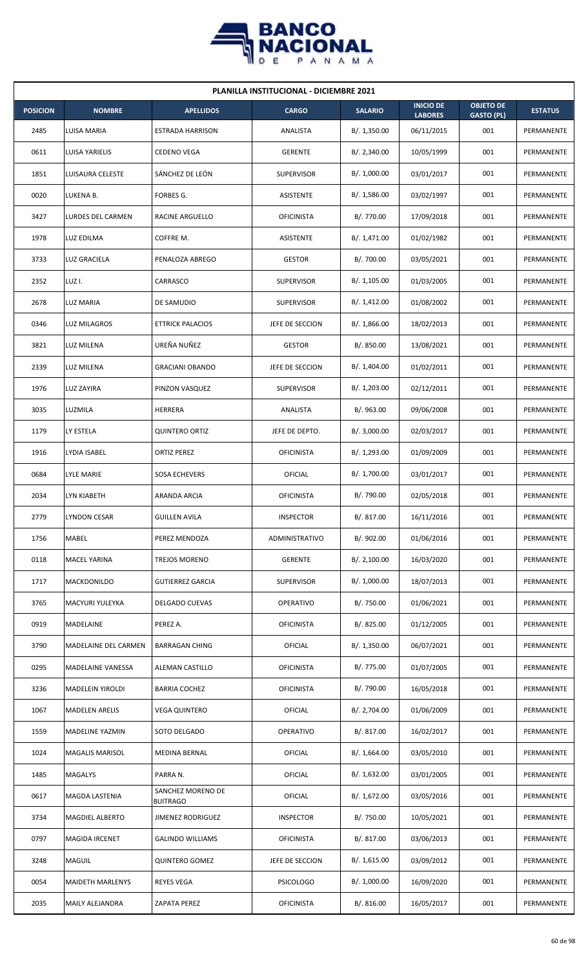

| <b>PLANILLA INSTITUCIONAL - DICIEMBRE 2021</b> |                          |                                      |                   |                |                                    |                                       |                |  |  |  |
|------------------------------------------------|--------------------------|--------------------------------------|-------------------|----------------|------------------------------------|---------------------------------------|----------------|--|--|--|
| <b>POSICION</b>                                | <b>NOMBRE</b>            | <b>APELLIDOS</b>                     | <b>CARGO</b>      | <b>SALARIO</b> | <b>INICIO DE</b><br><b>LABORES</b> | <b>OBJETO DE</b><br><b>GASTO (PL)</b> | <b>ESTATUS</b> |  |  |  |
| 2485                                           | LUISA MARIA              | <b>ESTRADA HARRISON</b>              | ANALISTA          | B/.1,350.00    | 06/11/2015                         | 001                                   | PERMANENTE     |  |  |  |
| 0611                                           | LUISA YARIELIS           | <b>CEDENO VEGA</b>                   | <b>GERENTE</b>    | B/. 2,340.00   | 10/05/1999                         | 001                                   | PERMANENTE     |  |  |  |
| 1851                                           | LUISAURA CELESTE         | SÁNCHEZ DE LEÓN                      | <b>SUPERVISOR</b> | B/. 1,000.00   | 03/01/2017                         | 001                                   | PERMANENTE     |  |  |  |
| 0020                                           | LUKENA B.                | FORBES G.                            | ASISTENTE         | B/.1,586.00    | 03/02/1997                         | 001                                   | PERMANENTE     |  |  |  |
| 3427                                           | LURDES DEL CARMEN        | RACINE ARGUELLO                      | <b>OFICINISTA</b> | B/. 770.00     | 17/09/2018                         | 001                                   | PERMANENTE     |  |  |  |
| 1978                                           | LUZ EDILMA               | COFFRE M.                            | ASISTENTE         | B/. 1,471.00   | 01/02/1982                         | 001                                   | PERMANENTE     |  |  |  |
| 3733                                           | LUZ GRACIELA             | PENALOZA ABREGO                      | <b>GESTOR</b>     | B/. 700.00     | 03/05/2021                         | 001                                   | PERMANENTE     |  |  |  |
| 2352                                           | LUZ I.                   | CARRASCO                             | <b>SUPERVISOR</b> | B/. 1,105.00   | 01/03/2005                         | 001                                   | PERMANENTE     |  |  |  |
| 2678                                           | LUZ MARIA                | DE SAMUDIO                           | <b>SUPERVISOR</b> | B/. 1,412.00   | 01/08/2002                         | 001                                   | PERMANENTE     |  |  |  |
| 0346                                           | <b>LUZ MILAGROS</b>      | <b>ETTRICK PALACIOS</b>              | JEFE DE SECCION   | B/.1,866.00    | 18/02/2013                         | 001                                   | PERMANENTE     |  |  |  |
| 3821                                           | LUZ MILENA               | UREÑA NUÑEZ                          | <b>GESTOR</b>     | B/. 850.00     | 13/08/2021                         | 001                                   | PERMANENTE     |  |  |  |
| 2339                                           | LUZ MILENA               | <b>GRACIANI OBANDO</b>               | JEFE DE SECCION   | B/. 1,404.00   | 01/02/2011                         | 001                                   | PERMANENTE     |  |  |  |
| 1976                                           | LUZ ZAYIRA               | PINZON VASQUEZ                       | <b>SUPERVISOR</b> | B/. 1,203.00   | 02/12/2011                         | 001                                   | PERMANENTE     |  |  |  |
| 3035                                           | LUZMILA                  | HERRERA                              | ANALISTA          | B/.963.00      | 09/06/2008                         | 001                                   | PERMANENTE     |  |  |  |
| 1179                                           | LY ESTELA                | <b>QUINTERO ORTIZ</b>                | JEFE DE DEPTO.    | B/.3,000.00    | 02/03/2017                         | 001                                   | PERMANENTE     |  |  |  |
| 1916                                           | LYDIA ISABEL             | <b>ORTIZ PEREZ</b>                   | <b>OFICINISTA</b> | B/. 1,293.00   | 01/09/2009                         | 001                                   | PERMANENTE     |  |  |  |
| 0684                                           | LYLE MARIE               | SOSA ECHEVERS                        | OFICIAL           | B/. 1,700.00   | 03/01/2017                         | 001                                   | PERMANENTE     |  |  |  |
| 2034                                           | LYN KIABETH              | ARANDA ARCIA                         | <b>OFICINISTA</b> | B/. 790.00     | 02/05/2018                         | 001                                   | PERMANENTE     |  |  |  |
| 2779                                           | <b>LYNDON CESAR</b>      | <b>GUILLEN AVILA</b>                 | <b>INSPECTOR</b>  | B/. 817.00     | 16/11/2016                         | 001                                   | PERMANENTE     |  |  |  |
| 1756                                           | MABEL                    | PEREZ MENDOZA                        | ADMINISTRATIVO    | B/. 902.00     | 01/06/2016                         | 001                                   | PERMANENTE     |  |  |  |
| 0118                                           | <b>MACEL YARINA</b>      | TREJOS MORENO                        | <b>GERENTE</b>    | B/. 2,100.00   | 16/03/2020                         | 001                                   | PERMANENTE     |  |  |  |
| 1717                                           | MACKDONILDO              | <b>GUTIERREZ GARCIA</b>              | <b>SUPERVISOR</b> | B/. 1,000.00   | 18/07/2013                         | 001                                   | PERMANENTE     |  |  |  |
| 3765                                           | MACYURI YULEYKA          | DELGADO CUEVAS                       | OPERATIVO         | B/. 750.00     | 01/06/2021                         | 001                                   | PERMANENTE     |  |  |  |
| 0919                                           | MADELAINE                | PEREZ A.                             | <b>OFICINISTA</b> | B/. 825.00     | 01/12/2005                         | 001                                   | PERMANENTE     |  |  |  |
| 3790                                           | MADELAINE DEL CARMEN     | <b>BARRAGAN CHING</b>                | <b>OFICIAL</b>    | B/. 1,350.00   | 06/07/2021                         | 001                                   | PERMANENTE     |  |  |  |
| 0295                                           | <b>MADELAINE VANESSA</b> | ALEMAN CASTILLO                      | <b>OFICINISTA</b> | B/. 775.00     | 01/07/2005                         | 001                                   | PERMANENTE     |  |  |  |
| 3236                                           | MADELEIN YIROLDI         | <b>BARRIA COCHEZ</b>                 | <b>OFICINISTA</b> | B/. 790.00     | 16/05/2018                         | 001                                   | PERMANENTE     |  |  |  |
| 1067                                           | <b>MADELEN ARELIS</b>    | <b>VEGA QUINTERO</b>                 | <b>OFICIAL</b>    | B/. 2,704.00   | 01/06/2009                         | 001                                   | PERMANENTE     |  |  |  |
| 1559                                           | MADELINE YAZMIN          | SOTO DELGADO                         | OPERATIVO         | B/. 817.00     | 16/02/2017                         | 001                                   | PERMANENTE     |  |  |  |
| 1024                                           | <b>MAGALIS MARISOL</b>   | MEDINA BERNAL                        | <b>OFICIAL</b>    | B/. 1,664.00   | 03/05/2010                         | 001                                   | PERMANENTE     |  |  |  |
| 1485                                           | MAGALYS                  | PARRA N.                             | OFICIAL           | B/. 1,632.00   | 03/01/2005                         | 001                                   | PERMANENTE     |  |  |  |
| 0617                                           | MAGDA LASTENIA           | SANCHEZ MORENO DE<br><b>BUITRAGO</b> | OFICIAL           | B/. 1,672.00   | 03/05/2016                         | 001                                   | PERMANENTE     |  |  |  |
| 3734                                           | MAGDIEL ALBERTO          | JIMENEZ RODRIGUEZ                    | <b>INSPECTOR</b>  | B/. 750.00     | 10/05/2021                         | 001                                   | PERMANENTE     |  |  |  |
| 0797                                           | <b>MAGIDA IRCENET</b>    | <b>GALINDO WILLIAMS</b>              | <b>OFICINISTA</b> | B/. 817.00     | 03/06/2013                         | 001                                   | PERMANENTE     |  |  |  |
| 3248                                           | <b>MAGUIL</b>            | <b>QUINTERO GOMEZ</b>                | JEFE DE SECCION   | B/. 1,615.00   | 03/09/2012                         | 001                                   | PERMANENTE     |  |  |  |
| 0054                                           | <b>MAIDETH MARLENYS</b>  | <b>REYES VEGA</b>                    | <b>PSICOLOGO</b>  | B/. 1,000.00   | 16/09/2020                         | 001                                   | PERMANENTE     |  |  |  |
| 2035                                           | MAILY ALEJANDRA          | ZAPATA PEREZ                         | <b>OFICINISTA</b> | B/. 816.00     | 16/05/2017                         | 001                                   | PERMANENTE     |  |  |  |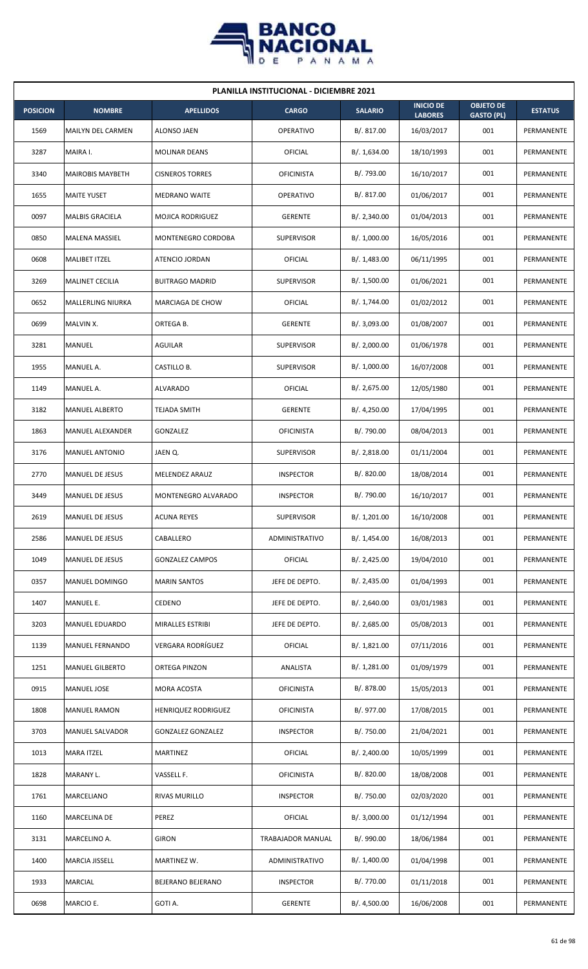

| <b>PLANILLA INSTITUCIONAL - DICIEMBRE 2021</b> |                         |                          |                   |                |                                    |                                       |                |  |  |  |
|------------------------------------------------|-------------------------|--------------------------|-------------------|----------------|------------------------------------|---------------------------------------|----------------|--|--|--|
| <b>POSICION</b>                                | <b>NOMBRE</b>           | <b>APELLIDOS</b>         | <b>CARGO</b>      | <b>SALARIO</b> | <b>INICIO DE</b><br><b>LABORES</b> | <b>OBJETO DE</b><br><b>GASTO (PL)</b> | <b>ESTATUS</b> |  |  |  |
| 1569                                           | MAILYN DEL CARMEN       | ALONSO JAEN              | <b>OPERATIVO</b>  | B/. 817.00     | 16/03/2017                         | 001                                   | PERMANENTE     |  |  |  |
| 3287                                           | MAIRA I.                | <b>MOLINAR DEANS</b>     | <b>OFICIAL</b>    | B/. 1,634.00   | 18/10/1993                         | 001                                   | PERMANENTE     |  |  |  |
| 3340                                           | <b>MAIROBIS MAYBETH</b> | <b>CISNEROS TORRES</b>   | <b>OFICINISTA</b> | B/. 793.00     | 16/10/2017                         | 001                                   | PERMANENTE     |  |  |  |
| 1655                                           | <b>MAITE YUSET</b>      | <b>MEDRANO WAITE</b>     | <b>OPERATIVO</b>  | B/. 817.00     | 01/06/2017                         | 001                                   | PERMANENTE     |  |  |  |
| 0097                                           | <b>MALBIS GRACIELA</b>  | MOJICA RODRIGUEZ         | <b>GERENTE</b>    | B/.2,340.00    | 01/04/2013                         | 001                                   | PERMANENTE     |  |  |  |
| 0850                                           | MALENA MASSIEL          | MONTENEGRO CORDOBA       | <b>SUPERVISOR</b> | B/. 1,000.00   | 16/05/2016                         | 001                                   | PERMANENTE     |  |  |  |
| 0608                                           | <b>MALIBET ITZEL</b>    | ATENCIO JORDAN           | OFICIAL           | B/.1,483.00    | 06/11/1995                         | 001                                   | PERMANENTE     |  |  |  |
| 3269                                           | <b>MALINET CECILIA</b>  | <b>BUITRAGO MADRID</b>   | <b>SUPERVISOR</b> | B/. 1,500.00   | 01/06/2021                         | 001                                   | PERMANENTE     |  |  |  |
| 0652                                           | MALLERLING NIURKA       | MARCIAGA DE CHOW         | OFICIAL           | B/. 1,744.00   | 01/02/2012                         | 001                                   | PERMANENTE     |  |  |  |
| 0699                                           | MALVIN X.               | ORTEGA B.                | <b>GERENTE</b>    | B/. 3,093.00   | 01/08/2007                         | 001                                   | PERMANENTE     |  |  |  |
| 3281                                           | MANUEL                  | AGUILAR                  | <b>SUPERVISOR</b> | B/.2,000.00    | 01/06/1978                         | 001                                   | PERMANENTE     |  |  |  |
| 1955                                           | MANUEL A.               | CASTILLO B.              | <b>SUPERVISOR</b> | B/. 1,000.00   | 16/07/2008                         | 001                                   | PERMANENTE     |  |  |  |
| 1149                                           | MANUEL A.               | ALVARADO                 | OFICIAL           | B/.2,675.00    | 12/05/1980                         | 001                                   | PERMANENTE     |  |  |  |
| 3182                                           | <b>MANUEL ALBERTO</b>   | <b>TEJADA SMITH</b>      | <b>GERENTE</b>    | B/.4,250.00    | 17/04/1995                         | 001                                   | PERMANENTE     |  |  |  |
| 1863                                           | <b>MANUEL ALEXANDER</b> | GONZALEZ                 | <b>OFICINISTA</b> | B/. 790.00     | 08/04/2013                         | 001                                   | PERMANENTE     |  |  |  |
| 3176                                           | <b>MANUEL ANTONIO</b>   | JAEN Q.                  | <b>SUPERVISOR</b> | B/.2,818.00    | 01/11/2004                         | 001                                   | PERMANENTE     |  |  |  |
| 2770                                           | <b>MANUEL DE JESUS</b>  | MELENDEZ ARAUZ           | <b>INSPECTOR</b>  | B/. 820.00     | 18/08/2014                         | 001                                   | PERMANENTE     |  |  |  |
| 3449                                           | <b>MANUEL DE JESUS</b>  | MONTENEGRO ALVARADO      | <b>INSPECTOR</b>  | B/. 790.00     | 16/10/2017                         | 001                                   | PERMANENTE     |  |  |  |
| 2619                                           | MANUEL DE JESUS         | <b>ACUNA REYES</b>       | SUPERVISOR        | B/. 1,201.00   | 16/10/2008                         | 001                                   | PERMANENTE     |  |  |  |
| 2586                                           | MANUEL DE JESUS         | CABALLERO                | ADMINISTRATIVO    | B/.1,454.00    | 16/08/2013                         | 001                                   | PERMANENTE     |  |  |  |
| 1049                                           | MANUEL DE JESUS         | <b>GONZALEZ CAMPOS</b>   | <b>OFICIAL</b>    | B/.2,425.00    | 19/04/2010                         | 001                                   | PERMANENTE     |  |  |  |
| 0357                                           | MANUEL DOMINGO          | <b>MARIN SANTOS</b>      | JEFE DE DEPTO.    | B/.2,435.00    | 01/04/1993                         | 001                                   | PERMANENTE     |  |  |  |
| 1407                                           | MANUEL E.               | CEDENO                   | JEFE DE DEPTO.    | B/.2,640.00    | 03/01/1983                         | 001                                   | PERMANENTE     |  |  |  |
| 3203                                           | MANUEL EDUARDO          | MIRALLES ESTRIBI         | JEFE DE DEPTO.    | B/. 2,685.00   | 05/08/2013                         | 001                                   | PERMANENTE     |  |  |  |
| 1139                                           | MANUEL FERNANDO         | VERGARA RODRÍGUEZ        | OFICIAL           | B/. 1,821.00   | 07/11/2016                         | 001                                   | PERMANENTE     |  |  |  |
| 1251                                           | <b>MANUEL GILBERTO</b>  | ORTEGA PINZON            | ANALISTA          | B/.1,281.00    | 01/09/1979                         | 001                                   | PERMANENTE     |  |  |  |
| 0915                                           | MANUEL JOSE             | MORA ACOSTA              | <b>OFICINISTA</b> | B/. 878.00     | 15/05/2013                         | 001                                   | PERMANENTE     |  |  |  |
| 1808                                           | <b>MANUEL RAMON</b>     | HENRIQUEZ RODRIGUEZ      | <b>OFICINISTA</b> | B/. 977.00     | 17/08/2015                         | 001                                   | PERMANENTE     |  |  |  |
| 3703                                           | MANUEL SALVADOR         | <b>GONZALEZ GONZALEZ</b> | <b>INSPECTOR</b>  | B/. 750.00     | 21/04/2021                         | 001                                   | PERMANENTE     |  |  |  |
| 1013                                           | <b>MARA ITZEL</b>       | <b>MARTINEZ</b>          | <b>OFICIAL</b>    | B/.2,400.00    | 10/05/1999                         | 001                                   | PERMANENTE     |  |  |  |
| 1828                                           | MARANY L.               | VASSELL F.               | <b>OFICINISTA</b> | B/. 820.00     | 18/08/2008                         | 001                                   | PERMANENTE     |  |  |  |
| 1761                                           | MARCELIANO              | RIVAS MURILLO            | <b>INSPECTOR</b>  | B/. 750.00     | 02/03/2020                         | 001                                   | PERMANENTE     |  |  |  |
| 1160                                           | MARCELINA DE            | PEREZ                    | OFICIAL           | B/.3,000.00    | 01/12/1994                         | 001                                   | PERMANENTE     |  |  |  |
| 3131                                           | MARCELINO A.            | <b>GIRON</b>             | TRABAJADOR MANUAL | B/. 990.00     | 18/06/1984                         | 001                                   | PERMANENTE     |  |  |  |
| 1400                                           | MARCIA JISSELL          | MARTINEZ W.              | ADMINISTRATIVO    | B/. 1,400.00   | 01/04/1998                         | 001                                   | PERMANENTE     |  |  |  |
| 1933                                           | <b>MARCIAL</b>          | BEJERANO BEJERANO        | <b>INSPECTOR</b>  | B/. 770.00     | 01/11/2018                         | 001                                   | PERMANENTE     |  |  |  |
| 0698                                           | MARCIO E.               | GOTI A.                  | <b>GERENTE</b>    | B/. 4,500.00   | 16/06/2008                         | 001                                   | PERMANENTE     |  |  |  |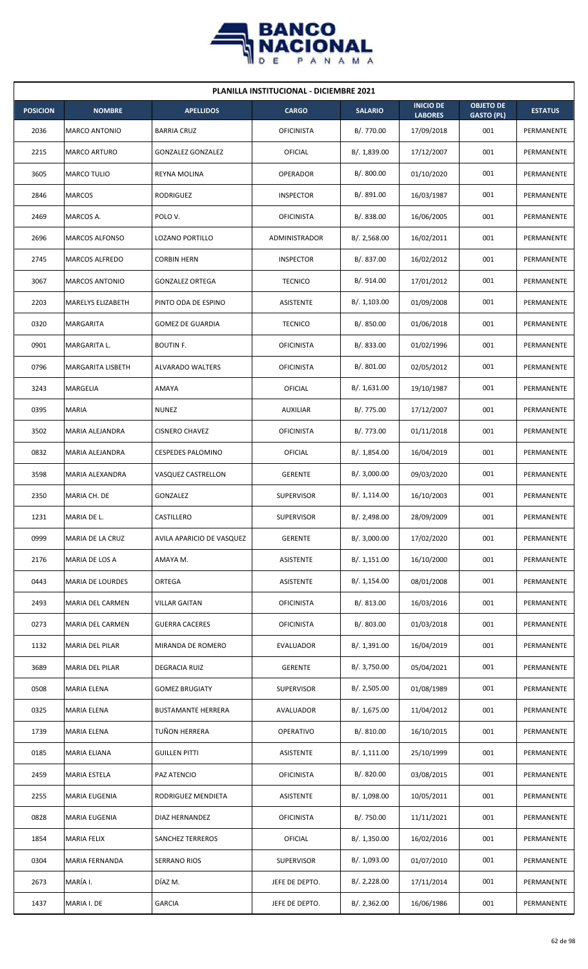

| <b>PLANILLA INSTITUCIONAL - DICIEMBRE 2021</b> |                        |                           |                   |                |                                    |                                       |                   |  |  |  |
|------------------------------------------------|------------------------|---------------------------|-------------------|----------------|------------------------------------|---------------------------------------|-------------------|--|--|--|
| <b>POSICION</b>                                | <b>NOMBRE</b>          | <b>APELLIDOS</b>          | <b>CARGO</b>      | <b>SALARIO</b> | <b>INICIO DE</b><br><b>LABORES</b> | <b>OBJETO DE</b><br><b>GASTO (PL)</b> | <b>ESTATUS</b>    |  |  |  |
| 2036                                           | <b>MARCO ANTONIO</b>   | <b>BARRIA CRUZ</b>        | <b>OFICINISTA</b> | B/. 770.00     | 17/09/2018                         | 001                                   | PERMANENTE        |  |  |  |
| 2215                                           | <b>MARCO ARTURO</b>    | <b>GONZALEZ GONZALEZ</b>  | <b>OFICIAL</b>    | B/. 1,839.00   | 17/12/2007                         | 001                                   | PERMANENTE        |  |  |  |
| 3605                                           | <b>MARCO TULIO</b>     | REYNA MOLINA              | <b>OPERADOR</b>   | B/. 800.00     | 01/10/2020                         | 001                                   | PERMANENTE        |  |  |  |
| 2846                                           | <b>MARCOS</b>          | <b>RODRIGUEZ</b>          | <b>INSPECTOR</b>  | B/. 891.00     | 16/03/1987                         | 001                                   | <b>PERMANENTE</b> |  |  |  |
| 2469                                           | MARCOS A.              | POLO V.                   | <b>OFICINISTA</b> | B/0.838.00     | 16/06/2005                         | 001                                   | PERMANENTE        |  |  |  |
| 2696                                           | <b>MARCOS ALFONSO</b>  | LOZANO PORTILLO           | ADMINISTRADOR     | B/.2,568.00    | 16/02/2011                         | 001                                   | PERMANENTE        |  |  |  |
| 2745                                           | MARCOS ALFREDO         | <b>CORBIN HERN</b>        | <b>INSPECTOR</b>  | B/. 837.00     | 16/02/2012                         | 001                                   | PERMANENTE        |  |  |  |
| 3067                                           | <b>MARCOS ANTONIO</b>  | <b>GONZALEZ ORTEGA</b>    | <b>TECNICO</b>    | B/. 914.00     | 17/01/2012                         | 001                                   | PERMANENTE        |  |  |  |
| 2203                                           | MARELYS ELIZABETH      | PINTO ODA DE ESPINO       | ASISTENTE         | B/. 1,103.00   | 01/09/2008                         | 001                                   | PERMANENTE        |  |  |  |
| 0320                                           | MARGARITA              | <b>GOMEZ DE GUARDIA</b>   | <b>TECNICO</b>    | B/. 850.00     | 01/06/2018                         | 001                                   | PERMANENTE        |  |  |  |
| 0901                                           | MARGARITA L.           | <b>BOUTIN F.</b>          | <b>OFICINISTA</b> | B/. 833.00     | 01/02/1996                         | 001                                   | PERMANENTE        |  |  |  |
| 0796                                           | MARGARITA LISBETH      | <b>ALVARADO WALTERS</b>   | <b>OFICINISTA</b> | B/. 801.00     | 02/05/2012                         | 001                                   | PERMANENTE        |  |  |  |
| 3243                                           | <b>MARGELIA</b>        | AMAYA                     | OFICIAL           | B/. 1,631.00   | 19/10/1987                         | 001                                   | PERMANENTE        |  |  |  |
| 0395                                           | <b>MARIA</b>           | <b>NUNEZ</b>              | <b>AUXILIAR</b>   | B/. 775.00     | 17/12/2007                         | 001                                   | PERMANENTE        |  |  |  |
| 3502                                           | MARIA ALEJANDRA        | <b>CISNERO CHAVEZ</b>     | <b>OFICINISTA</b> | B/. 773.00     | 01/11/2018                         | 001                                   | PERMANENTE        |  |  |  |
| 0832                                           | MARIA ALEJANDRA        | <b>CESPEDES PALOMINO</b>  | OFICIAL           | B/.1,854.00    | 16/04/2019                         | 001                                   | PERMANENTE        |  |  |  |
| 3598                                           | MARIA ALEXANDRA        | VASQUEZ CASTRELLON        | <b>GERENTE</b>    | B/.3,000.00    | 09/03/2020                         | 001                                   | PERMANENTE        |  |  |  |
| 2350                                           | MARIA CH. DE           | GONZALEZ                  | <b>SUPERVISOR</b> | B/.1,114.00    | 16/10/2003                         | 001                                   | PERMANENTE        |  |  |  |
| 1231                                           | MARIA DE L.            | CASTILLERO                | SUPERVISOR        | B/. 2,498.00   | 28/09/2009                         | 001                                   | PERMANENTE        |  |  |  |
| 0999                                           | MARIA DE LA CRUZ       | AVILA APARICIO DE VASQUEZ | <b>GERENTE</b>    | B/.3,000.00    | 17/02/2020                         | 001                                   | PERMANENTE        |  |  |  |
| 2176                                           | MARIA DE LOS A         | AMAYA M.                  | ASISTENTE         | B/.1,151.00    | 16/10/2000                         | 001                                   | PERMANENTE        |  |  |  |
| 0443                                           | MARIA DE LOURDES       | ORTEGA                    | ASISTENTE         | B/. 1,154.00   | 08/01/2008                         | 001                                   | PERMANENTE        |  |  |  |
| 2493                                           | MARIA DEL CARMEN       | <b>VILLAR GAITAN</b>      | <b>OFICINISTA</b> | B/.813.00      | 16/03/2016                         | 001                                   | PERMANENTE        |  |  |  |
| 0273                                           | MARIA DEL CARMEN       | <b>GUERRA CACERES</b>     | <b>OFICINISTA</b> | B/0.803.00     | 01/03/2018                         | 001                                   | PERMANENTE        |  |  |  |
| 1132                                           | <b>MARIA DEL PILAR</b> | MIRANDA DE ROMERO         | <b>EVALUADOR</b>  | B/. 1,391.00   | 16/04/2019                         | 001                                   | PERMANENTE        |  |  |  |
| 3689                                           | MARIA DEL PILAR        | DEGRACIA RUIZ             | <b>GERENTE</b>    | B/. 3,750.00   | 05/04/2021                         | 001                                   | PERMANENTE        |  |  |  |
| 0508                                           | MARIA ELENA            | <b>GOMEZ BRUGIATY</b>     | <b>SUPERVISOR</b> | B/. 2,505.00   | 01/08/1989                         | 001                                   | PERMANENTE        |  |  |  |
| 0325                                           | MARIA ELENA            | <b>BUSTAMANTE HERRERA</b> | AVALUADOR         | B/. 1,675.00   | 11/04/2012                         | 001                                   | PERMANENTE        |  |  |  |
| 1739                                           | MARIA ELENA            | TUÑON HERRERA             | OPERATIVO         | B/. 810.00     | 16/10/2015                         | 001                                   | PERMANENTE        |  |  |  |
| 0185                                           | MARIA ELIANA           | <b>GUILLEN PITTI</b>      | ASISTENTE         | B/. 1,111.00   | 25/10/1999                         | 001                                   | PERMANENTE        |  |  |  |
| 2459                                           | MARIA ESTELA           | PAZ ATENCIO               | <b>OFICINISTA</b> | B/. 820.00     | 03/08/2015                         | 001                                   | PERMANENTE        |  |  |  |
| 2255                                           | MARIA EUGENIA          | RODRIGUEZ MENDIETA        | ASISTENTE         | B/. 1,098.00   | 10/05/2011                         | 001                                   | PERMANENTE        |  |  |  |
| 0828                                           | MARIA EUGENIA          | DIAZ HERNANDEZ            | <b>OFICINISTA</b> | B/. 750.00     | 11/11/2021                         | 001                                   | PERMANENTE        |  |  |  |
| 1854                                           | <b>MARIA FELIX</b>     | <b>SANCHEZ TERREROS</b>   | OFICIAL           | B/. 1,350.00   | 16/02/2016                         | 001                                   | PERMANENTE        |  |  |  |
| 0304                                           | MARIA FERNANDA         | SERRANO RIOS              | <b>SUPERVISOR</b> | B/. 1,093.00   | 01/07/2010                         | 001                                   | PERMANENTE        |  |  |  |
| 2673                                           | MARÍA I.               | DÍAZ M.                   | JEFE DE DEPTO.    | B/. 2,228.00   | 17/11/2014                         | 001                                   | PERMANENTE        |  |  |  |
| 1437                                           | MARIA I. DE            | <b>GARCIA</b>             | JEFE DE DEPTO.    | B/.2,362.00    | 16/06/1986                         | 001                                   | PERMANENTE        |  |  |  |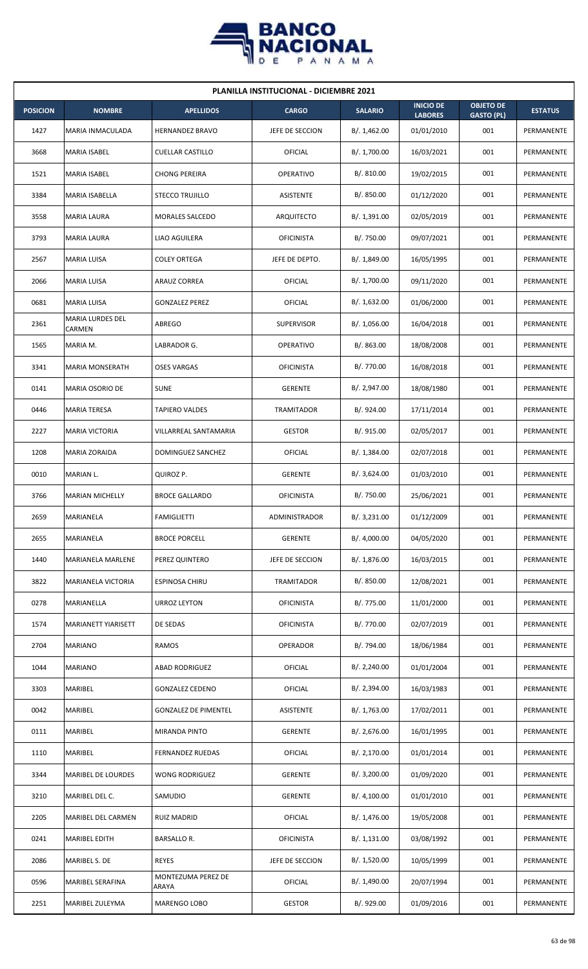

| <b>PLANILLA INSTITUCIONAL - DICIEMBRE 2021</b> |                            |                             |                   |                |                                    |                                       |                |  |  |  |
|------------------------------------------------|----------------------------|-----------------------------|-------------------|----------------|------------------------------------|---------------------------------------|----------------|--|--|--|
| <b>POSICION</b>                                | <b>NOMBRE</b>              | <b>APELLIDOS</b>            | <b>CARGO</b>      | <b>SALARIO</b> | <b>INICIO DE</b><br><b>LABORES</b> | <b>OBJETO DE</b><br><b>GASTO (PL)</b> | <b>ESTATUS</b> |  |  |  |
| 1427                                           | MARIA INMACULADA           | <b>HERNANDEZ BRAVO</b>      | JEFE DE SECCION   | B/. 1,462.00   | 01/01/2010                         | 001                                   | PERMANENTE     |  |  |  |
| 3668                                           | MARIA ISABEL               | <b>CUELLAR CASTILLO</b>     | OFICIAL           | B/. 1,700.00   | 16/03/2021                         | 001                                   | PERMANENTE     |  |  |  |
| 1521                                           | <b>MARIA ISABEL</b>        | <b>CHONG PEREIRA</b>        | <b>OPERATIVO</b>  | B/. 810.00     | 19/02/2015                         | 001                                   | PERMANENTE     |  |  |  |
| 3384                                           | MARIA ISABELLA             | <b>STECCO TRUJILLO</b>      | <b>ASISTENTE</b>  | B/. 850.00     | 01/12/2020                         | 001                                   | PERMANENTE     |  |  |  |
| 3558                                           | <b>MARIA LAURA</b>         | <b>MORALES SALCEDO</b>      | <b>ARQUITECTO</b> | B/. 1,391.00   | 02/05/2019                         | 001                                   | PERMANENTE     |  |  |  |
| 3793                                           | MARIA LAURA                | LIAO AGUILERA               | <b>OFICINISTA</b> | B/. 750.00     | 09/07/2021                         | 001                                   | PERMANENTE     |  |  |  |
| 2567                                           | <b>MARIA LUISA</b>         | <b>COLEY ORTEGA</b>         | JEFE DE DEPTO.    | B/.1,849.00    | 16/05/1995                         | 001                                   | PERMANENTE     |  |  |  |
| 2066                                           | MARIA LUISA                | ARAUZ CORREA                | OFICIAL           | B/. 1,700.00   | 09/11/2020                         | 001                                   | PERMANENTE     |  |  |  |
| 0681                                           | <b>MARIA LUISA</b>         | <b>GONZALEZ PEREZ</b>       | OFICIAL           | B/. 1,632.00   | 01/06/2000                         | 001                                   | PERMANENTE     |  |  |  |
| 2361                                           | MARIA LURDES DEL<br>CARMEN | <b>ABREGO</b>               | <b>SUPERVISOR</b> | B/. 1,056.00   | 16/04/2018                         | 001                                   | PERMANENTE     |  |  |  |
| 1565                                           | MARIA M.                   | LABRADOR G.                 | <b>OPERATIVO</b>  | B/. 863.00     | 18/08/2008                         | 001                                   | PERMANENTE     |  |  |  |
| 3341                                           | <b>MARIA MONSERATH</b>     | <b>OSES VARGAS</b>          | <b>OFICINISTA</b> | B/. 770.00     | 16/08/2018                         | 001                                   | PERMANENTE     |  |  |  |
| 0141                                           | MARIA OSORIO DE            | <b>SUNE</b>                 | <b>GERENTE</b>    | B/. 2,947.00   | 18/08/1980                         | 001                                   | PERMANENTE     |  |  |  |
| 0446                                           | <b>MARIA TERESA</b>        | <b>TAPIERO VALDES</b>       | TRAMITADOR        | B/. 924.00     | 17/11/2014                         | 001                                   | PERMANENTE     |  |  |  |
| 2227                                           | MARIA VICTORIA             | VILLARREAL SANTAMARIA       | <b>GESTOR</b>     | B/. 915.00     | 02/05/2017                         | 001                                   | PERMANENTE     |  |  |  |
| 1208                                           | MARIA ZORAIDA              | DOMINGUEZ SANCHEZ           | OFICIAL           | B/. 1,384.00   | 02/07/2018                         | 001                                   | PERMANENTE     |  |  |  |
| 0010                                           | MARIAN L.                  | QUIROZ P.                   | <b>GERENTE</b>    | B/. 3,624.00   | 01/03/2010                         | 001                                   | PERMANENTE     |  |  |  |
| 3766                                           | <b>MARIAN MICHELLY</b>     | <b>BROCE GALLARDO</b>       | <b>OFICINISTA</b> | B/. 750.00     | 25/06/2021                         | 001                                   | PERMANENTE     |  |  |  |
| 2659                                           | MARIANELA                  | <b>FAMIGLIETTI</b>          | ADMINISTRADOR     | B/.3,231.00    | 01/12/2009                         | 001                                   | PERMANENTE     |  |  |  |
| 2655                                           | MARIANELA                  | <b>BROCE PORCELL</b>        | <b>GERENTE</b>    | B/. 4,000.00   | 04/05/2020                         | 001                                   | PERMANENTE     |  |  |  |
| 1440                                           | MARIANELA MARLENE          | PEREZ QUINTERO              | JEFE DE SECCION   | B/. 1,876.00   | 16/03/2015                         | 001                                   | PERMANENTE     |  |  |  |
| 3822                                           | MARIANELA VICTORIA         | ESPINOSA CHIRU              | <b>TRAMITADOR</b> | B/. 850.00     | 12/08/2021                         | 001                                   | PERMANENTE     |  |  |  |
| 0278                                           | MARIANELLA                 | URROZ LEYTON                | <b>OFICINISTA</b> | B/. 775.00     | 11/01/2000                         | 001                                   | PERMANENTE     |  |  |  |
| 1574                                           | MARIANETT YIARISETT        | DE SEDAS                    | <b>OFICINISTA</b> | B/. 770.00     | 02/07/2019                         | 001                                   | PERMANENTE     |  |  |  |
| 2704                                           | <b>MARIANO</b>             | <b>RAMOS</b>                | OPERADOR          | B/. 794.00     | 18/06/1984                         | 001                                   | PERMANENTE     |  |  |  |
| 1044                                           | <b>MARIANO</b>             | <b>ABAD RODRIGUEZ</b>       | OFICIAL           | B/.2,240.00    | 01/01/2004                         | 001                                   | PERMANENTE     |  |  |  |
| 3303                                           | MARIBEL                    | <b>GONZALEZ CEDENO</b>      | OFICIAL           | B/.2,394.00    | 16/03/1983                         | 001                                   | PERMANENTE     |  |  |  |
| 0042                                           | MARIBEL                    | <b>GONZALEZ DE PIMENTEL</b> | ASISTENTE         | B/. 1,763.00   | 17/02/2011                         | 001                                   | PERMANENTE     |  |  |  |
| 0111                                           | MARIBEL                    | MIRANDA PINTO               | <b>GERENTE</b>    | B/.2,676.00    | 16/01/1995                         | 001                                   | PERMANENTE     |  |  |  |
| 1110                                           | MARIBEL                    | <b>FERNANDEZ RUEDAS</b>     | OFICIAL           | B/. 2,170.00   | 01/01/2014                         | 001                                   | PERMANENTE     |  |  |  |
| 3344                                           | MARIBEL DE LOURDES         | WONG RODRIGUEZ              | <b>GERENTE</b>    | B/. 3,200.00   | 01/09/2020                         | 001                                   | PERMANENTE     |  |  |  |
| 3210                                           | MARIBEL DEL C.             | SAMUDIO                     | <b>GERENTE</b>    | B/. 4,100.00   | 01/01/2010                         | 001                                   | PERMANENTE     |  |  |  |
| 2205                                           | MARIBEL DEL CARMEN         | <b>RUIZ MADRID</b>          | OFICIAL           | B/. 1,476.00   | 19/05/2008                         | 001                                   | PERMANENTE     |  |  |  |
| 0241                                           | MARIBEL EDITH              | <b>BARSALLO R.</b>          | <b>OFICINISTA</b> | B/. 1,131.00   | 03/08/1992                         | 001                                   | PERMANENTE     |  |  |  |
| 2086                                           | MARIBEL S. DE              | <b>REYES</b>                | JEFE DE SECCION   | B/. 1,520.00   | 10/05/1999                         | 001                                   | PERMANENTE     |  |  |  |
| 0596                                           | MARIBEL SERAFINA           | MONTEZUMA PEREZ DE<br>ARAYA | OFICIAL           | B/. 1,490.00   | 20/07/1994                         | 001                                   | PERMANENTE     |  |  |  |
| 2251                                           | MARIBEL ZULEYMA            | MARENGO LOBO                | <b>GESTOR</b>     | B/. 929.00     | 01/09/2016                         | 001                                   | PERMANENTE     |  |  |  |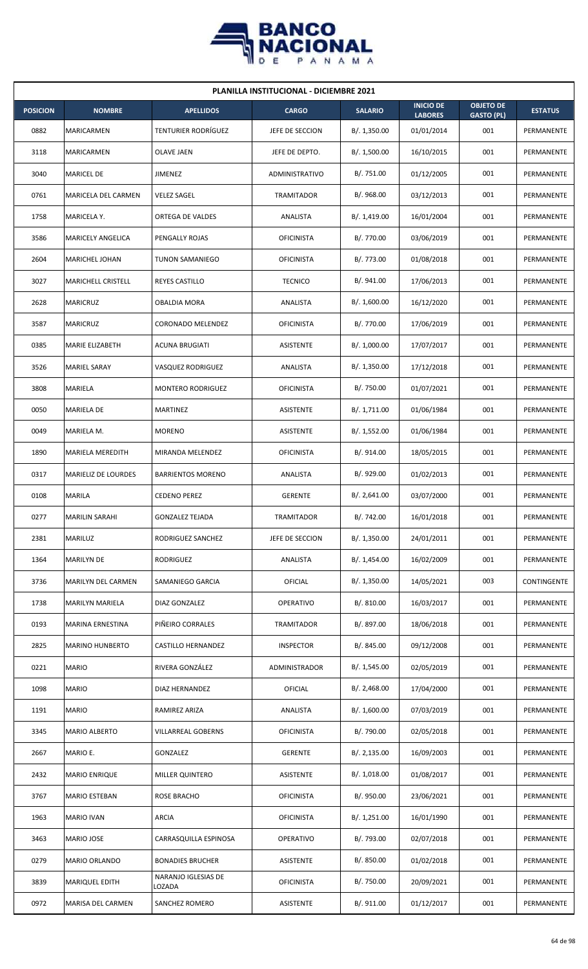

| <b>PLANILLA INSTITUCIONAL - DICIEMBRE 2021</b> |                           |                               |                   |                |                                    |                                       |                |  |  |  |
|------------------------------------------------|---------------------------|-------------------------------|-------------------|----------------|------------------------------------|---------------------------------------|----------------|--|--|--|
| <b>POSICION</b>                                | <b>NOMBRE</b>             | <b>APELLIDOS</b>              | <b>CARGO</b>      | <b>SALARIO</b> | <b>INICIO DE</b><br><b>LABORES</b> | <b>OBJETO DE</b><br><b>GASTO (PL)</b> | <b>ESTATUS</b> |  |  |  |
| 0882                                           | MARICARMEN                | TENTURIER RODRÍGUEZ           | JEFE DE SECCION   | B/.1,350.00    | 01/01/2014                         | 001                                   | PERMANENTE     |  |  |  |
| 3118                                           | MARICARMEN                | OLAVE JAEN                    | JEFE DE DEPTO.    | B/. 1,500.00   | 16/10/2015                         | 001                                   | PERMANENTE     |  |  |  |
| 3040                                           | <b>MARICEL DE</b>         | JIMENEZ                       | ADMINISTRATIVO    | B/. 751.00     | 01/12/2005                         | 001                                   | PERMANENTE     |  |  |  |
| 0761                                           | MARICELA DEL CARMEN       | <b>VELEZ SAGEL</b>            | <b>TRAMITADOR</b> | B/. 968.00     | 03/12/2013                         | 001                                   | PERMANENTE     |  |  |  |
| 1758                                           | MARICELA Y.               | ORTEGA DE VALDES              | ANALISTA          | B/. 1,419.00   | 16/01/2004                         | 001                                   | PERMANENTE     |  |  |  |
| 3586                                           | MARICELY ANGELICA         | PENGALLY ROJAS                | <b>OFICINISTA</b> | B/. 770.00     | 03/06/2019                         | 001                                   | PERMANENTE     |  |  |  |
| 2604                                           | MARICHEL JOHAN            | <b>TUNON SAMANIEGO</b>        | <b>OFICINISTA</b> | B/. 773.00     | 01/08/2018                         | 001                                   | PERMANENTE     |  |  |  |
| 3027                                           | <b>MARICHELL CRISTELL</b> | <b>REYES CASTILLO</b>         | <b>TECNICO</b>    | B/. 941.00     | 17/06/2013                         | 001                                   | PERMANENTE     |  |  |  |
| 2628                                           | <b>MARICRUZ</b>           | OBALDIA MORA                  | ANALISTA          | B/. 1,600.00   | 16/12/2020                         | 001                                   | PERMANENTE     |  |  |  |
| 3587                                           | <b>MARICRUZ</b>           | CORONADO MELENDEZ             | <b>OFICINISTA</b> | B/. 770.00     | 17/06/2019                         | 001                                   | PERMANENTE     |  |  |  |
| 0385                                           | MARIE ELIZABETH           | <b>ACUNA BRUGIATI</b>         | <b>ASISTENTE</b>  | B/. 1,000.00   | 17/07/2017                         | 001                                   | PERMANENTE     |  |  |  |
| 3526                                           | <b>MARIEL SARAY</b>       | VASQUEZ RODRIGUEZ             | ANALISTA          | B/.1,350.00    | 17/12/2018                         | 001                                   | PERMANENTE     |  |  |  |
| 3808                                           | MARIELA                   | MONTERO RODRIGUEZ             | <b>OFICINISTA</b> | B/. 750.00     | 01/07/2021                         | 001                                   | PERMANENTE     |  |  |  |
| 0050                                           | <b>MARIELA DE</b>         | MARTINEZ                      | ASISTENTE         | B/. 1,711.00   | 01/06/1984                         | 001                                   | PERMANENTE     |  |  |  |
| 0049                                           | MARIELA M.                | <b>MORENO</b>                 | <b>ASISTENTE</b>  | B/.1,552.00    | 01/06/1984                         | 001                                   | PERMANENTE     |  |  |  |
| 1890                                           | MARIELA MEREDITH          | MIRANDA MELENDEZ              | <b>OFICINISTA</b> | B/. 914.00     | 18/05/2015                         | 001                                   | PERMANENTE     |  |  |  |
| 0317                                           | MARIELIZ DE LOURDES       | <b>BARRIENTOS MORENO</b>      | ANALISTA          | B/. 929.00     | 01/02/2013                         | 001                                   | PERMANENTE     |  |  |  |
| 0108                                           | <b>MARILA</b>             | <b>CEDENO PEREZ</b>           | <b>GERENTE</b>    | B/.2,641.00    | 03/07/2000                         | 001                                   | PERMANENTE     |  |  |  |
| 0277                                           | <b>MARILIN SARAHI</b>     | <b>GONZALEZ TEJADA</b>        | <b>TRAMITADOR</b> | B/. 742.00     | 16/01/2018                         | 001                                   | PERMANENTE     |  |  |  |
| 2381                                           | MARILUZ                   | RODRIGUEZ SANCHEZ             | JEFE DE SECCION   | B/.1,350.00    | 24/01/2011                         | 001                                   | PERMANENTE     |  |  |  |
| 1364                                           | <b>MARILYN DE</b>         | RODRIGUEZ                     | ANALISTA          | B/. 1,454.00   | 16/02/2009                         | 001                                   | PERMANENTE     |  |  |  |
| 3736                                           | MARILYN DEL CARMEN        | SAMANIEGO GARCIA              | <b>OFICIAL</b>    | B/.1,350.00    | 14/05/2021                         | 003                                   | CONTINGENTE    |  |  |  |
| 1738                                           | <b>MARILYN MARIELA</b>    | DIAZ GONZALEZ                 | OPERATIVO         | B/. 810.00     | 16/03/2017                         | 001                                   | PERMANENTE     |  |  |  |
| 0193                                           | MARINA ERNESTINA          | PIÑEIRO CORRALES              | TRAMITADOR        | B/. 897.00     | 18/06/2018                         | 001                                   | PERMANENTE     |  |  |  |
| 2825                                           | <b>MARINO HUNBERTO</b>    | CASTILLO HERNANDEZ            | <b>INSPECTOR</b>  | B/. 845.00     | 09/12/2008                         | 001                                   | PERMANENTE     |  |  |  |
| 0221                                           | <b>MARIO</b>              | RIVERA GONZÁLEZ               | ADMINISTRADOR     | B/. 1,545.00   | 02/05/2019                         | 001                                   | PERMANENTE     |  |  |  |
| 1098                                           | <b>MARIO</b>              | DIAZ HERNANDEZ                | <b>OFICIAL</b>    | B/. 2,468.00   | 17/04/2000                         | 001                                   | PERMANENTE     |  |  |  |
| 1191                                           | <b>MARIO</b>              | RAMIREZ ARIZA                 | ANALISTA          | B/. 1,600.00   | 07/03/2019                         | 001                                   | PERMANENTE     |  |  |  |
| 3345                                           | MARIO ALBERTO             | <b>VILLARREAL GOBERNS</b>     | <b>OFICINISTA</b> | B/. 790.00     | 02/05/2018                         | 001                                   | PERMANENTE     |  |  |  |
| 2667                                           | MARIO E.                  | GONZALEZ                      | <b>GERENTE</b>    | B/. 2,135.00   | 16/09/2003                         | 001                                   | PERMANENTE     |  |  |  |
| 2432                                           | <b>MARIO ENRIQUE</b>      | MILLER QUINTERO               | ASISTENTE         | B/. 1,018.00   | 01/08/2017                         | 001                                   | PERMANENTE     |  |  |  |
| 3767                                           | MARIO ESTEBAN             | <b>ROSE BRACHO</b>            | <b>OFICINISTA</b> | B/. 950.00     | 23/06/2021                         | 001                                   | PERMANENTE     |  |  |  |
| 1963                                           | <b>MARIO IVAN</b>         | <b>ARCIA</b>                  | <b>OFICINISTA</b> | B/. 1,251.00   | 16/01/1990                         | 001                                   | PERMANENTE     |  |  |  |
| 3463                                           | MARIO JOSE                | CARRASQUILLA ESPINOSA         | OPERATIVO         | B/. 793.00     | 02/07/2018                         | 001                                   | PERMANENTE     |  |  |  |
| 0279                                           | MARIO ORLANDO             | <b>BONADIES BRUCHER</b>       | ASISTENTE         | B/. 850.00     | 01/02/2018                         | 001                                   | PERMANENTE     |  |  |  |
| 3839                                           | <b>MARIQUEL EDITH</b>     | NARANJO IGLESIAS DE<br>LOZADA | <b>OFICINISTA</b> | B/. 750.00     | 20/09/2021                         | 001                                   | PERMANENTE     |  |  |  |
| 0972                                           | MARISA DEL CARMEN         | SANCHEZ ROMERO                | ASISTENTE         | B/. 911.00     | 01/12/2017                         | 001                                   | PERMANENTE     |  |  |  |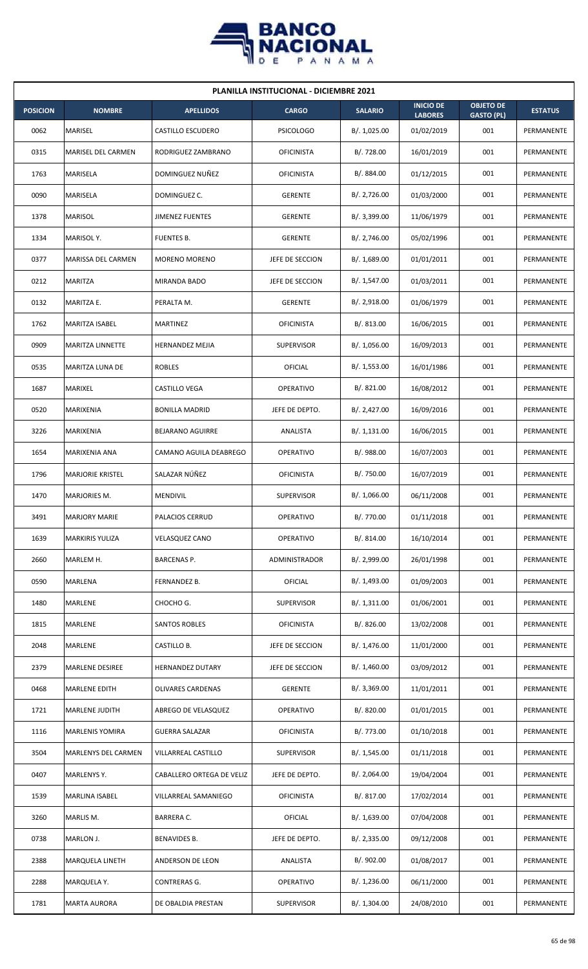

| <b>PLANILLA INSTITUCIONAL - DICIEMBRE 2021</b> |                            |                           |                      |                |                                    |                                       |                   |  |  |  |
|------------------------------------------------|----------------------------|---------------------------|----------------------|----------------|------------------------------------|---------------------------------------|-------------------|--|--|--|
| <b>POSICION</b>                                | <b>NOMBRE</b>              | <b>APELLIDOS</b>          | <b>CARGO</b>         | <b>SALARIO</b> | <b>INICIO DE</b><br><b>LABORES</b> | <b>OBJETO DE</b><br><b>GASTO (PL)</b> | <b>ESTATUS</b>    |  |  |  |
| 0062                                           | MARISEL                    | CASTILLO ESCUDERO         | <b>PSICOLOGO</b>     | B/. 1,025.00   | 01/02/2019                         | 001                                   | PERMANENTE        |  |  |  |
| 0315                                           | <b>MARISEL DEL CARMEN</b>  | RODRIGUEZ ZAMBRANO        | <b>OFICINISTA</b>    | B/. 728.00     | 16/01/2019                         | 001                                   | PERMANENTE        |  |  |  |
| 1763                                           | <b>MARISELA</b>            | DOMINGUEZ NUÑEZ           | <b>OFICINISTA</b>    | B/. 884.00     | 01/12/2015                         | 001                                   | PERMANENTE        |  |  |  |
| 0090                                           | MARISELA                   | DOMINGUEZ C.              | <b>GERENTE</b>       | B/. 2,726.00   | 01/03/2000                         | 001                                   | <b>PERMANENTE</b> |  |  |  |
| 1378                                           | MARISOL                    | <b>JIMENEZ FUENTES</b>    | <b>GERENTE</b>       | B/.3,399.00    | 11/06/1979                         | 001                                   | PERMANENTE        |  |  |  |
| 1334                                           | MARISOL Y.                 | FUENTES B.                | <b>GERENTE</b>       | B/.2,746.00    | 05/02/1996                         | 001                                   | PERMANENTE        |  |  |  |
| 0377                                           | MARISSA DEL CARMEN         | MORENO MORENO             | JEFE DE SECCION      | B/.1,689.00    | 01/01/2011                         | 001                                   | PERMANENTE        |  |  |  |
| 0212                                           | <b>MARITZA</b>             | MIRANDA BADO              | JEFE DE SECCION      | B/. 1,547.00   | 01/03/2011                         | 001                                   | PERMANENTE        |  |  |  |
| 0132                                           | MARITZA E.                 | PERALTA M.                | <b>GERENTE</b>       | B/. 2,918.00   | 01/06/1979                         | 001                                   | PERMANENTE        |  |  |  |
| 1762                                           | MARITZA ISABEL             | MARTINEZ                  | <b>OFICINISTA</b>    | B/. 813.00     | 16/06/2015                         | 001                                   | PERMANENTE        |  |  |  |
| 0909                                           | <b>MARITZA LINNETTE</b>    | <b>HERNANDEZ MEJIA</b>    | <b>SUPERVISOR</b>    | B/. 1,056.00   | 16/09/2013                         | 001                                   | PERMANENTE        |  |  |  |
| 0535                                           | MARITZA LUNA DE            | <b>ROBLES</b>             | OFICIAL              | B/. 1,553.00   | 16/01/1986                         | 001                                   | PERMANENTE        |  |  |  |
| 1687                                           | MARIXEL                    | CASTILLO VEGA             | OPERATIVO            | B/.821.00      | 16/08/2012                         | 001                                   | PERMANENTE        |  |  |  |
| 0520                                           | MARIXENIA                  | <b>BONILLA MADRID</b>     | JEFE DE DEPTO.       | B/.2,427.00    | 16/09/2016                         | 001                                   | PERMANENTE        |  |  |  |
| 3226                                           | MARIXENIA                  | <b>BEJARANO AGUIRRE</b>   | ANALISTA             | B/.1,131.00    | 16/06/2015                         | 001                                   | PERMANENTE        |  |  |  |
| 1654                                           | MARIXENIA ANA              | CAMANO AGUILA DEABREGO    | <b>OPERATIVO</b>     | B/. 988.00     | 16/07/2003                         | 001                                   | PERMANENTE        |  |  |  |
| 1796                                           | <b>MARJORIE KRISTEL</b>    | SALAZAR NÚÑEZ             | <b>OFICINISTA</b>    | B/. 750.00     | 16/07/2019                         | 001                                   | PERMANENTE        |  |  |  |
| 1470                                           | MARJORIES M.               | MENDIVIL                  | <b>SUPERVISOR</b>    | B/. 1,066.00   | 06/11/2008                         | 001                                   | PERMANENTE        |  |  |  |
| 3491                                           | <b>MARJORY MARIE</b>       | PALACIOS CERRUD           | OPERATIVO            | B/. 770.00     | 01/11/2018                         | 001                                   | PERMANENTE        |  |  |  |
| 1639                                           | <b>MARKIRIS YULIZA</b>     | <b>VELASQUEZ CANO</b>     | OPERATIVO            | B/. 814.00     | 16/10/2014                         | 001                                   | PERMANENTE        |  |  |  |
| 2660                                           | MARLEM H.                  | <b>BARCENAS P.</b>        | <b>ADMINISTRADOR</b> | B/. 2,999.00   | 26/01/1998                         | 001                                   | PERMANENTE        |  |  |  |
| 0590                                           | MARLENA                    | FERNANDEZ B.              | <b>OFICIAL</b>       | B/. 1,493.00   | 01/09/2003                         | 001                                   | PERMANENTE        |  |  |  |
| 1480                                           | MARLENE                    | CHOCHO G.                 | <b>SUPERVISOR</b>    | B/.1,311.00    | 01/06/2001                         | 001                                   | PERMANENTE        |  |  |  |
| 1815                                           | MARLENE                    | SANTOS ROBLES             | <b>OFICINISTA</b>    | B/0.826.00     | 13/02/2008                         | 001                                   | PERMANENTE        |  |  |  |
| 2048                                           | MARLENE                    | CASTILLO B.               | JEFE DE SECCION      | B/. 1,476.00   | 11/01/2000                         | 001                                   | PERMANENTE        |  |  |  |
| 2379                                           | MARLENE DESIREE            | HERNANDEZ DUTARY          | JEFE DE SECCION      | B/.1,460.00    | 03/09/2012                         | 001                                   | PERMANENTE        |  |  |  |
| 0468                                           | <b>MARLENE EDITH</b>       | <b>OLIVARES CARDENAS</b>  | <b>GERENTE</b>       | B/. 3,369.00   | 11/01/2011                         | 001                                   | PERMANENTE        |  |  |  |
| 1721                                           | <b>MARLENE JUDITH</b>      | ABREGO DE VELASQUEZ       | OPERATIVO            | B/. 820.00     | 01/01/2015                         | 001                                   | PERMANENTE        |  |  |  |
| 1116                                           | <b>MARLENIS YOMIRA</b>     | <b>GUERRA SALAZAR</b>     | <b>OFICINISTA</b>    | B/. 773.00     | 01/10/2018                         | 001                                   | PERMANENTE        |  |  |  |
| 3504                                           | <b>MARLENYS DEL CARMEN</b> | VILLARREAL CASTILLO       | <b>SUPERVISOR</b>    | B/.1,545.00    | 01/11/2018                         | 001                                   | PERMANENTE        |  |  |  |
| 0407                                           | MARLENYS Y.                | CABALLERO ORTEGA DE VELIZ | JEFE DE DEPTO.       | B/.2,064.00    | 19/04/2004                         | 001                                   | PERMANENTE        |  |  |  |
| 1539                                           | MARLINA ISABEL             | VILLARREAL SAMANIEGO      | <b>OFICINISTA</b>    | B/.817.00      | 17/02/2014                         | 001                                   | PERMANENTE        |  |  |  |
| 3260                                           | MARLIS M.                  | BARRERA C.                | OFICIAL              | B/. 1,639.00   | 07/04/2008                         | 001                                   | PERMANENTE        |  |  |  |
| 0738                                           | MARLON J.                  | BENAVIDES B.              | JEFE DE DEPTO.       | B/.2,335.00    | 09/12/2008                         | 001                                   | PERMANENTE        |  |  |  |
| 2388                                           | MARQUELA LINETH            | ANDERSON DE LEON          | ANALISTA             | B/. 902.00     | 01/08/2017                         | 001                                   | PERMANENTE        |  |  |  |
| 2288                                           | MARQUELA Y.                | CONTRERAS G.              | OPERATIVO            | B/. 1,236.00   | 06/11/2000                         | 001                                   | PERMANENTE        |  |  |  |
| 1781                                           | <b>MARTA AURORA</b>        | DE OBALDIA PRESTAN        | <b>SUPERVISOR</b>    | B/. 1,304.00   | 24/08/2010                         | 001                                   | PERMANENTE        |  |  |  |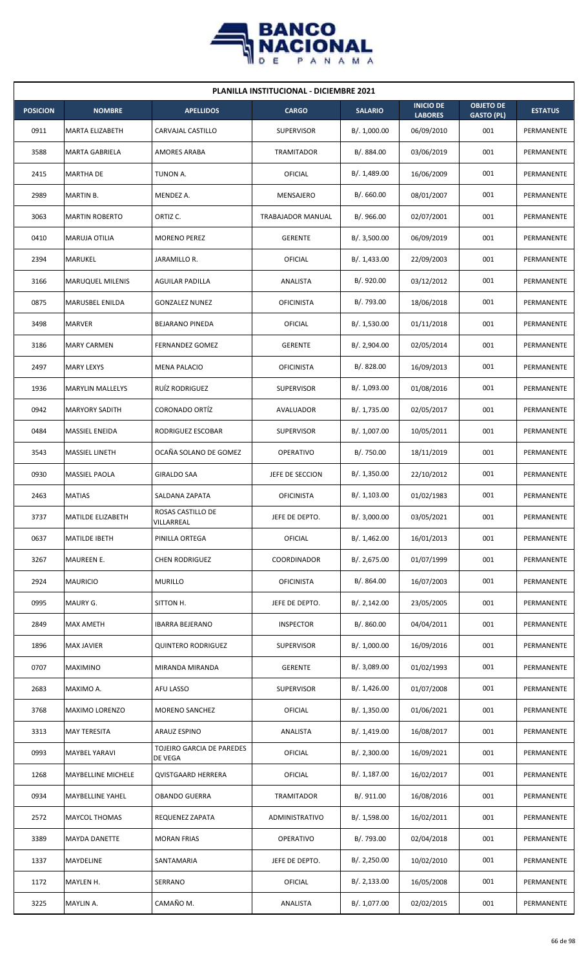

| <b>PLANILLA INSTITUCIONAL - DICIEMBRE 2021</b> |                         |                                      |                          |                |                                    |                                       |                   |  |  |  |
|------------------------------------------------|-------------------------|--------------------------------------|--------------------------|----------------|------------------------------------|---------------------------------------|-------------------|--|--|--|
| <b>POSICION</b>                                | <b>NOMBRE</b>           | <b>APELLIDOS</b>                     | <b>CARGO</b>             | <b>SALARIO</b> | <b>INICIO DE</b><br><b>LABORES</b> | <b>OBJETO DE</b><br><b>GASTO (PL)</b> | <b>ESTATUS</b>    |  |  |  |
| 0911                                           | MARTA ELIZABETH         | CARVAJAL CASTILLO                    | <b>SUPERVISOR</b>        | B/. 1,000.00   | 06/09/2010                         | 001                                   | PERMANENTE        |  |  |  |
| 3588                                           | <b>MARTA GABRIELA</b>   | <b>AMORES ARABA</b>                  | TRAMITADOR               | B/. 884.00     | 03/06/2019                         | 001                                   | PERMANENTE        |  |  |  |
| 2415                                           | <b>MARTHA DE</b>        | TUNON A.                             | OFICIAL                  | B/. 1,489.00   | 16/06/2009                         | 001                                   | PERMANENTE        |  |  |  |
| 2989                                           | MARTIN B.               | MENDEZ A.                            | MENSAJERO                | B/0.660.00     | 08/01/2007                         | 001                                   | PERMANENTE        |  |  |  |
| 3063                                           | <b>MARTIN ROBERTO</b>   | ORTIZ C.                             | <b>TRABAJADOR MANUAL</b> | B/.966.00      | 02/07/2001                         | 001                                   | PERMANENTE        |  |  |  |
| 0410                                           | MARUJA OTILIA           | <b>MORENO PEREZ</b>                  | <b>GERENTE</b>           | B/.3,500.00    | 06/09/2019                         | 001                                   | PERMANENTE        |  |  |  |
| 2394                                           | <b>MARUKEL</b>          | JARAMILLO R.                         | OFICIAL                  | B/. 1,433.00   | 22/09/2003                         | 001                                   | PERMANENTE        |  |  |  |
| 3166                                           | <b>MARUQUEL MILENIS</b> | <b>AGUILAR PADILLA</b>               | ANALISTA                 | B/. 920.00     | 03/12/2012                         | 001                                   | PERMANENTE        |  |  |  |
| 0875                                           | MARUSBEL ENILDA         | <b>GONZALEZ NUNEZ</b>                | <b>OFICINISTA</b>        | B/. 793.00     | 18/06/2018                         | 001                                   | PERMANENTE        |  |  |  |
| 3498                                           | MARVER                  | <b>BEJARANO PINEDA</b>               | OFICIAL                  | B/. 1,530.00   | 01/11/2018                         | 001                                   | PERMANENTE        |  |  |  |
| 3186                                           | <b>MARY CARMEN</b>      | <b>FERNANDEZ GOMEZ</b>               | <b>GERENTE</b>           | B/.2,904.00    | 02/05/2014                         | 001                                   | PERMANENTE        |  |  |  |
| 2497                                           | <b>MARY LEXYS</b>       | <b>MENA PALACIO</b>                  | <b>OFICINISTA</b>        | B/. 828.00     | 16/09/2013                         | 001                                   | PERMANENTE        |  |  |  |
| 1936                                           | <b>MARYLIN MALLELYS</b> | RUIZ RODRIGUEZ                       | <b>SUPERVISOR</b>        | B/. 1,093.00   | 01/08/2016                         | 001                                   | PERMANENTE        |  |  |  |
| 0942                                           | <b>MARYORY SADITH</b>   | <b>CORONADO ORTÍZ</b>                | AVALUADOR                | B/. 1,735.00   | 02/05/2017                         | 001                                   | PERMANENTE        |  |  |  |
| 0484                                           | <b>MASSIEL ENEIDA</b>   | RODRIGUEZ ESCOBAR                    | <b>SUPERVISOR</b>        | B/. 1,007.00   | 10/05/2011                         | 001                                   | PERMANENTE        |  |  |  |
| 3543                                           | MASSIEL LINETH          | OCAÑA SOLANO DE GOMEZ                | <b>OPERATIVO</b>         | B/. 750.00     | 18/11/2019                         | 001                                   | PERMANENTE        |  |  |  |
| 0930                                           | <b>MASSIEL PAOLA</b>    | <b>GIRALDO SAA</b>                   | JEFE DE SECCION          | B/. 1,350.00   | 22/10/2012                         | 001                                   | PERMANENTE        |  |  |  |
| 2463                                           | <b>MATIAS</b>           | SALDANA ZAPATA                       | <b>OFICINISTA</b>        | B/. 1,103.00   | 01/02/1983                         | 001                                   | <b>PERMANENTE</b> |  |  |  |
| 3737                                           | MATILDE ELIZABETH       | ROSAS CASTILLO DE<br>VILLARREAL      | JEFE DE DEPTO.           | B/.3,000.00    | 03/05/2021                         | 001                                   | PERMANENTE        |  |  |  |
| 0637                                           | <b>MATILDE IBETH</b>    | PINILLA ORTEGA                       | OFICIAL                  | B/. 1,462.00   | 16/01/2013                         | 001                                   | PERMANENTE        |  |  |  |
| 3267                                           | <b>MAUREEN E.</b>       | <b>CHEN RODRIGUEZ</b>                | COORDINADOR              | B/.2,675.00    | 01/07/1999                         | 001                                   | PERMANENTE        |  |  |  |
| 2924                                           | <b>MAURICIO</b>         | <b>MURILLO</b>                       | <b>OFICINISTA</b>        | B/. 864.00     | 16/07/2003                         | 001                                   | PERMANENTE        |  |  |  |
| 0995                                           | MAURY G.                | SITTON H.                            | JEFE DE DEPTO.           | B/. 2,142.00   | 23/05/2005                         | 001                                   | PERMANENTE        |  |  |  |
| 2849                                           | MAX AMETH               | <b>IBARRA BEJERANO</b>               | <b>INSPECTOR</b>         | B/. 860.00     | 04/04/2011                         | 001                                   | PERMANENTE        |  |  |  |
| 1896                                           | <b>MAX JAVIER</b>       | <b>QUINTERO RODRIGUEZ</b>            | <b>SUPERVISOR</b>        | B/. 1,000.00   | 16/09/2016                         | 001                                   | PERMANENTE        |  |  |  |
| 0707                                           | MAXIMINO                | MIRANDA MIRANDA                      | <b>GERENTE</b>           | B/. 3,089.00   | 01/02/1993                         | 001                                   | PERMANENTE        |  |  |  |
| 2683                                           | MAXIMO A.               | AFU LASSO                            | <b>SUPERVISOR</b>        | B/.1,426.00    | 01/07/2008                         | 001                                   | PERMANENTE        |  |  |  |
| 3768                                           | MAXIMO LORENZO          | <b>MORENO SANCHEZ</b>                | OFICIAL                  | B/. 1,350.00   | 01/06/2021                         | 001                                   | PERMANENTE        |  |  |  |
| 3313                                           | <b>MAY TERESITA</b>     | ARAUZ ESPINO                         | ANALISTA                 | B/.1,419.00    | 16/08/2017                         | 001                                   | PERMANENTE        |  |  |  |
| 0993                                           | MAYBEL YARAVI           | TOJEIRO GARCIA DE PAREDES<br>DE VEGA | OFICIAL                  | B/. 2,300.00   | 16/09/2021                         | 001                                   | PERMANENTE        |  |  |  |
| 1268                                           | MAYBELLINE MICHELE      | <b>QVISTGAARD HERRERA</b>            | OFICIAL                  | B/. 1,187.00   | 16/02/2017                         | 001                                   | PERMANENTE        |  |  |  |
| 0934                                           | <b>MAYBELLINE YAHEL</b> | <b>OBANDO GUERRA</b>                 | TRAMITADOR               | B/. 911.00     | 16/08/2016                         | 001                                   | PERMANENTE        |  |  |  |
| 2572                                           | MAYCOL THOMAS           | REQUENEZ ZAPATA                      | ADMINISTRATIVO           | B/. 1,598.00   | 16/02/2011                         | 001                                   | PERMANENTE        |  |  |  |
| 3389                                           | MAYDA DANETTE           | <b>MORAN FRIAS</b>                   | <b>OPERATIVO</b>         | B/. 793.00     | 02/04/2018                         | 001                                   | PERMANENTE        |  |  |  |
| 1337                                           | MAYDELINE               | SANTAMARIA                           | JEFE DE DEPTO.           | B/.2,250.00    | 10/02/2010                         | 001                                   | PERMANENTE        |  |  |  |
| 1172                                           | MAYLEN H.               | SERRANO                              | OFICIAL                  | B/.2,133.00    | 16/05/2008                         | 001                                   | PERMANENTE        |  |  |  |
| 3225                                           | MAYLIN A.               | CAMAÑO M.                            | ANALISTA                 | B/. 1,077.00   | 02/02/2015                         | 001                                   | PERMANENTE        |  |  |  |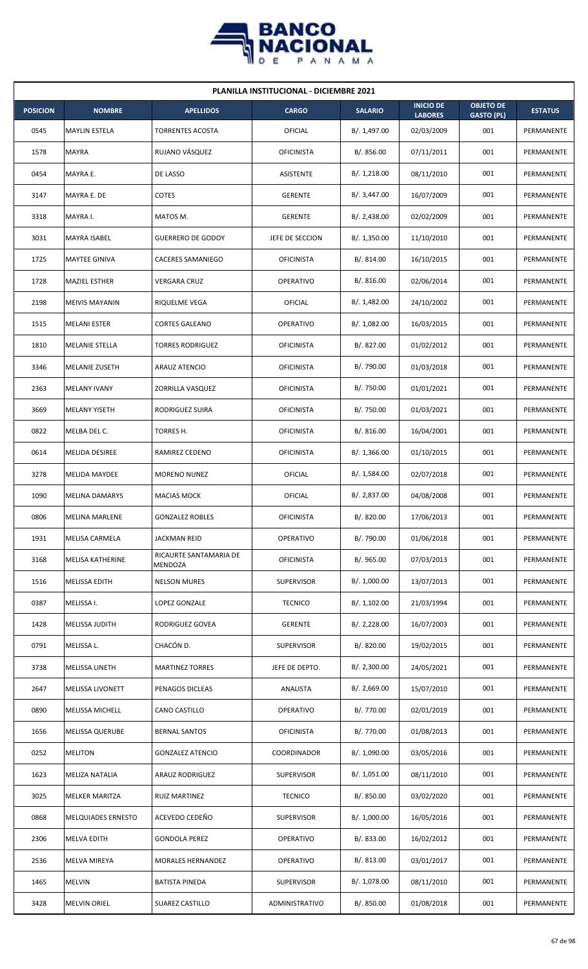

| <b>PLANILLA INSTITUCIONAL - DICIEMBRE 2021</b> |                        |                                   |                   |                |                                    |                                       |                |  |  |  |
|------------------------------------------------|------------------------|-----------------------------------|-------------------|----------------|------------------------------------|---------------------------------------|----------------|--|--|--|
| <b>POSICION</b>                                | <b>NOMBRE</b>          | <b>APELLIDOS</b>                  | <b>CARGO</b>      | <b>SALARIO</b> | <b>INICIO DE</b><br><b>LABORES</b> | <b>OBJETO DE</b><br><b>GASTO (PL)</b> | <b>ESTATUS</b> |  |  |  |
| 0545                                           | <b>MAYLIN ESTELA</b>   | TORRENTES ACOSTA                  | <b>OFICIAL</b>    | B/. 1,497.00   | 02/03/2009                         | 001                                   | PERMANENTE     |  |  |  |
| 1578                                           | <b>MAYRA</b>           | RUJANO VÁSQUEZ                    | <b>OFICINISTA</b> | B/. 856.00     | 07/11/2011                         | 001                                   | PERMANENTE     |  |  |  |
| 0454                                           | MAYRA E.               | DE LASSO                          | ASISTENTE         | B/. 1,218.00   | 08/11/2010                         | 001                                   | PERMANENTE     |  |  |  |
| 3147                                           | MAYRA E. DE            | <b>COTES</b>                      | <b>GERENTE</b>    | B/. 3,447.00   | 16/07/2009                         | 001                                   | PERMANENTE     |  |  |  |
| 3318                                           | MAYRA I.               | MATOS M.                          | <b>GERENTE</b>    | B/.2,438.00    | 02/02/2009                         | 001                                   | PERMANENTE     |  |  |  |
| 3031                                           | MAYRA ISABEL           | <b>GUERRERO DE GODOY</b>          | JEFE DE SECCION   | B/. 1,350.00   | 11/10/2010                         | 001                                   | PERMANENTE     |  |  |  |
| 1725                                           | <b>MAYTEE GINIVA</b>   | <b>CACERES SAMANIEGO</b>          | <b>OFICINISTA</b> | B/.814.00      | 16/10/2015                         | 001                                   | PERMANENTE     |  |  |  |
| 1728                                           | <b>MAZIEL ESTHER</b>   | <b>VERGARA CRUZ</b>               | <b>OPERATIVO</b>  | B/.816.00      | 02/06/2014                         | 001                                   | PERMANENTE     |  |  |  |
| 2198                                           | <b>MEIVIS MAYANIN</b>  | RIQUELME VEGA                     | OFICIAL           | B/. 1,482.00   | 24/10/2002                         | 001                                   | PERMANENTE     |  |  |  |
| 1515                                           | <b>MELANI ESTER</b>    | <b>CORTES GALEANO</b>             | <b>OPERATIVO</b>  | B/. 1,082.00   | 16/03/2015                         | 001                                   | PERMANENTE     |  |  |  |
| 1810                                           | <b>MELANIE STELLA</b>  | <b>TORRES RODRIGUEZ</b>           | <b>OFICINISTA</b> | B/. 827.00     | 01/02/2012                         | 001                                   | PERMANENTE     |  |  |  |
| 3346                                           | MELANIE ZUSETH         | ARAUZ ATENCIO                     | <b>OFICINISTA</b> | B/. 790.00     | 01/03/2018                         | 001                                   | PERMANENTE     |  |  |  |
| 2363                                           | <b>MELANY IVANY</b>    | ZORRILLA VASQUEZ                  | <b>OFICINISTA</b> | B/. 750.00     | 01/01/2021                         | 001                                   | PERMANENTE     |  |  |  |
| 3669                                           | <b>MELANY YISETH</b>   | RODRIGUEZ SUIRA                   | <b>OFICINISTA</b> | B/. 750.00     | 01/03/2021                         | 001                                   | PERMANENTE     |  |  |  |
| 0822                                           | MELBA DEL C.           | TORRES H.                         | <b>OFICINISTA</b> | B/.816.00      | 16/04/2001                         | 001                                   | PERMANENTE     |  |  |  |
| 0614                                           | MELIDA DESIREE         | RAMIREZ CEDENO                    | <b>OFICINISTA</b> | B/.1,366.00    | 01/10/2015                         | 001                                   | PERMANENTE     |  |  |  |
| 3278                                           | <b>MELIDA MAYDEE</b>   | <b>MORENO NUNEZ</b>               | <b>OFICIAL</b>    | B/. 1,584.00   | 02/07/2018                         | 001                                   | PERMANENTE     |  |  |  |
| 1090                                           | <b>MELINA DAMARYS</b>  | <b>MACIAS MOCK</b>                | OFICIAL           | B/. 2,837.00   | 04/08/2008                         | 001                                   | PERMANENTE     |  |  |  |
| 0806                                           | <b>MELINA MARLENE</b>  | <b>GONZALEZ ROBLES</b>            | <b>OFICINISTA</b> | B/. 820.00     | 17/06/2013                         | 001                                   | PERMANENTE     |  |  |  |
| 1931                                           | MELISA CARMELA         | <b>JACKMAN REID</b>               | OPERATIVO         | B/. 790.00     | 01/06/2018                         | 001                                   | PERMANENTE     |  |  |  |
| 3168                                           | MELISA KATHERINE       | RICAURTE SANTAMARIA DE<br>MENDOZA | <b>OFICINISTA</b> | B/. 965.00     | 07/03/2013                         | 001                                   | PERMANENTE     |  |  |  |
| 1516                                           | MELISSA EDITH          | <b>NELSON MURES</b>               | <b>SUPERVISOR</b> | B/. 1,000.00   | 13/07/2013                         | 001                                   | PERMANENTE     |  |  |  |
| 0387                                           | MELISSA I.             | LOPEZ GONZALE                     | <b>TECNICO</b>    | B/. 1,102.00   | 21/03/1994                         | 001                                   | PERMANENTE     |  |  |  |
| 1428                                           | MELISSA JUDITH         | RODRIGUEZ GOVEA                   | <b>GERENTE</b>    | B/. 2,228.00   | 16/07/2003                         | 001                                   | PERMANENTE     |  |  |  |
| 0791                                           | MELISSA L.             | CHACÓN D.                         | <b>SUPERVISOR</b> | B/. 820.00     | 19/02/2015                         | 001                                   | PERMANENTE     |  |  |  |
| 3738                                           | MELISSA LINETH         | <b>MARTINEZ TORRES</b>            | JEFE DE DEPTO.    | B/.2,300.00    | 24/05/2021                         | 001                                   | PERMANENTE     |  |  |  |
| 2647                                           | MELISSA LIVONETT       | PENAGOS DICLEAS                   | ANALISTA          | B/.2,669.00    | 15/07/2010                         | 001                                   | PERMANENTE     |  |  |  |
| 0890                                           | MELISSA MICHELL        | CANO CASTILLO                     | OPERATIVO         | B/. 770.00     | 02/01/2019                         | 001                                   | PERMANENTE     |  |  |  |
| 1656                                           | <b>MELISSA QUERUBE</b> | <b>BERNAL SANTOS</b>              | <b>OFICINISTA</b> | B/. 770.00     | 01/08/2013                         | 001                                   | PERMANENTE     |  |  |  |
| 0252                                           | <b>MELITON</b>         | <b>GONZALEZ ATENCIO</b>           | COORDINADOR       | B/. 1,090.00   | 03/05/2016                         | 001                                   | PERMANENTE     |  |  |  |
| 1623                                           | MELIZA NATALIA         | <b>ARAUZ RODRIGUEZ</b>            | <b>SUPERVISOR</b> | B/. 1,051.00   | 08/11/2010                         | 001                                   | PERMANENTE     |  |  |  |
| 3025                                           | <b>MELKER MARITZA</b>  | <b>RUIZ MARTINEZ</b>              | <b>TECNICO</b>    | B/. 850.00     | 03/02/2020                         | 001                                   | PERMANENTE     |  |  |  |
| 0868                                           | MELQUIADES ERNESTO     | ACEVEDO CEDEÑO                    | <b>SUPERVISOR</b> | B/. 1,000.00   | 16/05/2016                         | 001                                   | PERMANENTE     |  |  |  |
| 2306                                           | MELVA EDITH            | <b>GONDOLA PEREZ</b>              | <b>OPERATIVO</b>  | B/. 833.00     | 16/02/2012                         | 001                                   | PERMANENTE     |  |  |  |
| 2536                                           | MELVA MIREYA           | <b>MORALES HERNANDEZ</b>          | OPERATIVO         | B/. 813.00     | 03/01/2017                         | 001                                   | PERMANENTE     |  |  |  |
| 1465                                           | <b>MELVIN</b>          | <b>BATISTA PINEDA</b>             | <b>SUPERVISOR</b> | B/. 1,078.00   | 08/11/2010                         | 001                                   | PERMANENTE     |  |  |  |
| 3428                                           | <b>MELVIN ORIEL</b>    | SUAREZ CASTILLO                   | ADMINISTRATIVO    | B/. 850.00     | 01/08/2018                         | 001                                   | PERMANENTE     |  |  |  |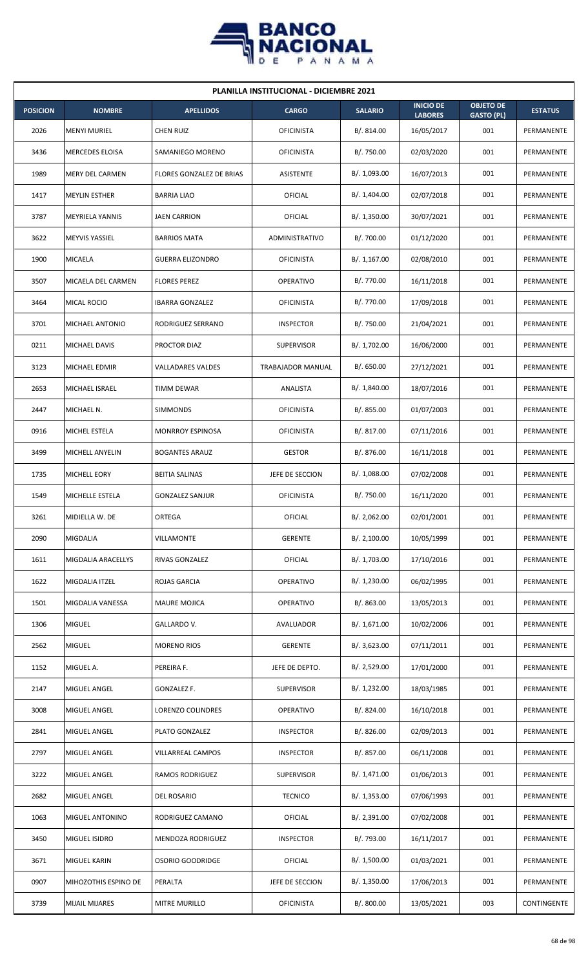

| <b>PLANILLA INSTITUCIONAL - DICIEMBRE 2021</b> |                        |                          |                   |                |                                    |                                       |                |  |  |
|------------------------------------------------|------------------------|--------------------------|-------------------|----------------|------------------------------------|---------------------------------------|----------------|--|--|
| <b>POSICION</b>                                | <b>NOMBRE</b>          | <b>APELLIDOS</b>         | <b>CARGO</b>      | <b>SALARIO</b> | <b>INICIO DE</b><br><b>LABORES</b> | <b>OBJETO DE</b><br><b>GASTO (PL)</b> | <b>ESTATUS</b> |  |  |
| 2026                                           | <b>MENYI MURIEL</b>    | <b>CHEN RUIZ</b>         | <b>OFICINISTA</b> | B/.814.00      | 16/05/2017                         | 001                                   | PERMANENTE     |  |  |
| 3436                                           | <b>MERCEDES ELOISA</b> | SAMANIEGO MORENO         | <b>OFICINISTA</b> | B/. 750.00     | 02/03/2020                         | 001                                   | PERMANENTE     |  |  |
| 1989                                           | MERY DEL CARMEN        | FLORES GONZALEZ DE BRIAS | ASISTENTE         | B/. 1,093.00   | 16/07/2013                         | 001                                   | PERMANENTE     |  |  |
| 1417                                           | <b>MEYLIN ESTHER</b>   | <b>BARRIA LIAO</b>       | OFICIAL           | B/. 1,404.00   | 02/07/2018                         | 001                                   | PERMANENTE     |  |  |
| 3787                                           | <b>MEYRIELA YANNIS</b> | <b>JAEN CARRION</b>      | OFICIAL           | B/.1,350.00    | 30/07/2021                         | 001                                   | PERMANENTE     |  |  |
| 3622                                           | <b>MEYVIS YASSIEL</b>  | <b>BARRIOS MATA</b>      | ADMINISTRATIVO    | B/. 700.00     | 01/12/2020                         | 001                                   | PERMANENTE     |  |  |
| 1900                                           | <b>MICAELA</b>         | <b>GUERRA ELIZONDRO</b>  | <b>OFICINISTA</b> | B/.1,167.00    | 02/08/2010                         | 001                                   | PERMANENTE     |  |  |
| 3507                                           | MICAELA DEL CARMEN     | <b>FLORES PEREZ</b>      | <b>OPERATIVO</b>  | B/. 770.00     | 16/11/2018                         | 001                                   | PERMANENTE     |  |  |
| 3464                                           | MICAL ROCIO            | <b>IBARRA GONZALEZ</b>   | <b>OFICINISTA</b> | B/. 770.00     | 17/09/2018                         | 001                                   | PERMANENTE     |  |  |
| 3701                                           | MICHAEL ANTONIO        | RODRIGUEZ SERRANO        | <b>INSPECTOR</b>  | B/. 750.00     | 21/04/2021                         | 001                                   | PERMANENTE     |  |  |
| 0211                                           | <b>MICHAEL DAVIS</b>   | PROCTOR DIAZ             | <b>SUPERVISOR</b> | B/. 1,702.00   | 16/06/2000                         | 001                                   | PERMANENTE     |  |  |
| 3123                                           | MICHAEL EDMIR          | <b>VALLADARES VALDES</b> | TRABAJADOR MANUAL | B/0.650.00     | 27/12/2021                         | 001                                   | PERMANENTE     |  |  |
| 2653                                           | MICHAEL ISRAEL         | <b>TIMM DEWAR</b>        | ANALISTA          | B/. 1,840.00   | 18/07/2016                         | 001                                   | PERMANENTE     |  |  |
| 2447                                           | MICHAEL N.             | <b>SIMMONDS</b>          | <b>OFICINISTA</b> | B/. 855.00     | 01/07/2003                         | 001                                   | PERMANENTE     |  |  |
| 0916                                           | MICHEL ESTELA          | <b>MONRROY ESPINOSA</b>  | <b>OFICINISTA</b> | B/. 817.00     | 07/11/2016                         | 001                                   | PERMANENTE     |  |  |
| 3499                                           | MICHELL ANYELIN        | <b>BOGANTES ARAUZ</b>    | <b>GESTOR</b>     | B/. 876.00     | 16/11/2018                         | 001                                   | PERMANENTE     |  |  |
| 1735                                           | MICHELL EORY           | <b>BEITIA SALINAS</b>    | JEFE DE SECCION   | B/.1,088.00    | 07/02/2008                         | 001                                   | PERMANENTE     |  |  |
| 1549                                           | MICHELLE ESTELA        | <b>GONZALEZ SANJUR</b>   | <b>OFICINISTA</b> | B/. 750.00     | 16/11/2020                         | 001                                   | PERMANENTE     |  |  |
| 3261                                           | MIDIELLA W. DE         | ORTEGA                   | <b>OFICIAL</b>    | B/. 2,062.00   | 02/01/2001                         | 001                                   | PERMANENTE     |  |  |
| 2090                                           | MIGDALIA               | VILLAMONTE               | <b>GERENTE</b>    | B/.2,100.00    | 10/05/1999                         | 001                                   | PERMANENTE     |  |  |
| 1611                                           | MIGDALIA ARACELLYS     | RIVAS GONZALEZ           | OFICIAL           | B/. 1,703.00   | 17/10/2016                         | 001                                   | PERMANENTE     |  |  |
| 1622                                           | MIGDALIA ITZEL         | ROJAS GARCIA             | OPERATIVO         | B/. 1,230.00   | 06/02/1995                         | 001                                   | PERMANENTE     |  |  |
| 1501                                           | MIGDALIA VANESSA       | <b>MAURE MOJICA</b>      | OPERATIVO         | B/. 863.00     | 13/05/2013                         | 001                                   | PERMANENTE     |  |  |
| 1306                                           | <b>MIGUEL</b>          | GALLARDO V.              | AVALUADOR         | B/. 1,671.00   | 10/02/2006                         | 001                                   | PERMANENTE     |  |  |
| 2562                                           | <b>MIGUEL</b>          | <b>MORENO RIOS</b>       | <b>GERENTE</b>    | B/. 3,623.00   | 07/11/2011                         | 001                                   | PERMANENTE     |  |  |
| 1152                                           | MIGUEL A.              | PEREIRA F.               | JEFE DE DEPTO.    | B/.2,529.00    | 17/01/2000                         | 001                                   | PERMANENTE     |  |  |
| 2147                                           | MIGUEL ANGEL           | GONZALEZ F.              | <b>SUPERVISOR</b> | B/. 1,232.00   | 18/03/1985                         | 001                                   | PERMANENTE     |  |  |
| 3008                                           | MIGUEL ANGEL           | LORENZO COLINDRES        | OPERATIVO         | B/0.824.00     | 16/10/2018                         | 001                                   | PERMANENTE     |  |  |
| 2841                                           | MIGUEL ANGEL           | PLATO GONZALEZ           | <b>INSPECTOR</b>  | B/. 826.00     | 02/09/2013                         | 001                                   | PERMANENTE     |  |  |
| 2797                                           | MIGUEL ANGEL           | VILLARREAL CAMPOS        | <b>INSPECTOR</b>  | B/. 857.00     | 06/11/2008                         | 001                                   | PERMANENTE     |  |  |
| 3222                                           | MIGUEL ANGEL           | RAMOS RODRIGUEZ          | <b>SUPERVISOR</b> | B/. 1,471.00   | 01/06/2013                         | 001                                   | PERMANENTE     |  |  |
| 2682                                           | MIGUEL ANGEL           | DEL ROSARIO              | <b>TECNICO</b>    | B/. 1,353.00   | 07/06/1993                         | 001                                   | PERMANENTE     |  |  |
| 1063                                           | <b>MIGUEL ANTONINO</b> | RODRIGUEZ CAMANO         | OFICIAL           | B/. 2,391.00   | 07/02/2008                         | 001                                   | PERMANENTE     |  |  |
| 3450                                           | MIGUEL ISIDRO          | MENDOZA RODRIGUEZ        | <b>INSPECTOR</b>  | B/. 793.00     | 16/11/2017                         | 001                                   | PERMANENTE     |  |  |
| 3671                                           | MIGUEL KARIN           | OSORIO GOODRIDGE         | <b>OFICIAL</b>    | B/. 1,500.00   | 01/03/2021                         | 001                                   | PERMANENTE     |  |  |
| 0907                                           | MIHOZOTHIS ESPINO DE   | PERALTA                  | JEFE DE SECCION   | B/.1,350.00    | 17/06/2013                         | 001                                   | PERMANENTE     |  |  |
| 3739                                           | <b>MIJAIL MIJARES</b>  | MITRE MURILLO            | <b>OFICINISTA</b> | B/. 800.00     | 13/05/2021                         | 003                                   | CONTINGENTE    |  |  |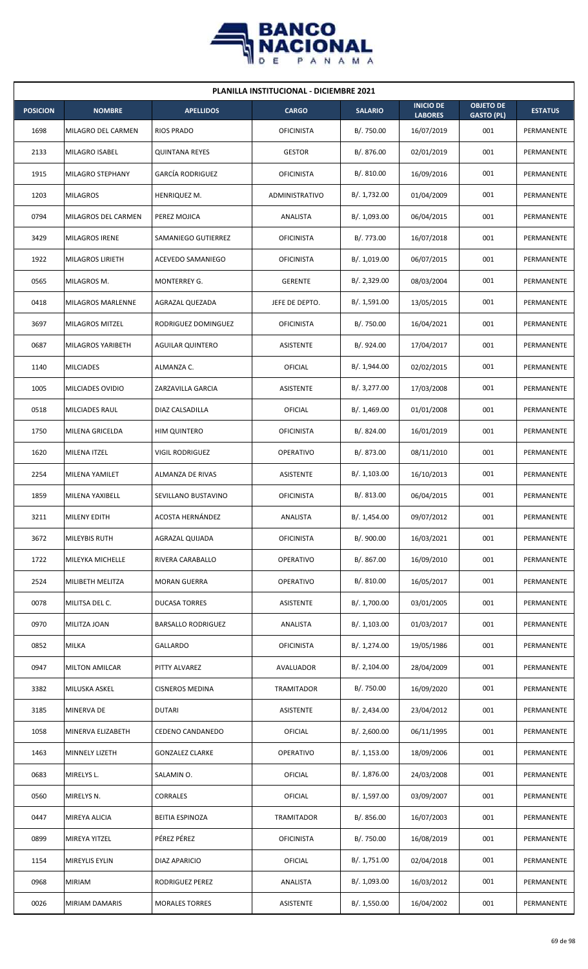

| <b>PLANILLA INSTITUCIONAL - DICIEMBRE 2021</b> |                         |                           |                   |                |                                    |                                       |                |  |  |  |
|------------------------------------------------|-------------------------|---------------------------|-------------------|----------------|------------------------------------|---------------------------------------|----------------|--|--|--|
| <b>POSICION</b>                                | <b>NOMBRE</b>           | <b>APELLIDOS</b>          | <b>CARGO</b>      | <b>SALARIO</b> | <b>INICIO DE</b><br><b>LABORES</b> | <b>OBJETO DE</b><br><b>GASTO (PL)</b> | <b>ESTATUS</b> |  |  |  |
| 1698                                           | MILAGRO DEL CARMEN      | <b>RIOS PRADO</b>         | <b>OFICINISTA</b> | B/. 750.00     | 16/07/2019                         | 001                                   | PERMANENTE     |  |  |  |
| 2133                                           | MILAGRO ISABEL          | <b>QUINTANA REYES</b>     | <b>GESTOR</b>     | B/. 876.00     | 02/01/2019                         | 001                                   | PERMANENTE     |  |  |  |
| 1915                                           | MILAGRO STEPHANY        | <b>GARCÍA RODRIGUEZ</b>   | <b>OFICINISTA</b> | B/. 810.00     | 16/09/2016                         | 001                                   | PERMANENTE     |  |  |  |
| 1203                                           | <b>MILAGROS</b>         | HENRIQUEZ M.              | ADMINISTRATIVO    | B/. 1,732.00   | 01/04/2009                         | 001                                   | PERMANENTE     |  |  |  |
| 0794                                           | MILAGROS DEL CARMEN     | PEREZ MOJICA              | ANALISTA          | B/. 1,093.00   | 06/04/2015                         | 001                                   | PERMANENTE     |  |  |  |
| 3429                                           | MILAGROS IRENE          | SAMANIEGO GUTIERREZ       | <b>OFICINISTA</b> | B/. 773.00     | 16/07/2018                         | 001                                   | PERMANENTE     |  |  |  |
| 1922                                           | <b>MILAGROS LIRIETH</b> | ACEVEDO SAMANIEGO         | <b>OFICINISTA</b> | B/. 1,019.00   | 06/07/2015                         | 001                                   | PERMANENTE     |  |  |  |
| 0565                                           | MILAGROS M.             | <b>MONTERREY G.</b>       | <b>GERENTE</b>    | B/.2,329.00    | 08/03/2004                         | 001                                   | PERMANENTE     |  |  |  |
| 0418                                           | MILAGROS MARLENNE       | AGRAZAL QUEZADA           | JEFE DE DEPTO.    | B/. 1,591.00   | 13/05/2015                         | 001                                   | PERMANENTE     |  |  |  |
| 3697                                           | MILAGROS MITZEL         | RODRIGUEZ DOMINGUEZ       | <b>OFICINISTA</b> | B/. 750.00     | 16/04/2021                         | 001                                   | PERMANENTE     |  |  |  |
| 0687                                           | MILAGROS YARIBETH       | <b>AGUILAR QUINTERO</b>   | ASISTENTE         | B/. 924.00     | 17/04/2017                         | 001                                   | PERMANENTE     |  |  |  |
| 1140                                           | <b>MILCIADES</b>        | ALMANZA C.                | OFICIAL           | B/. 1,944.00   | 02/02/2015                         | 001                                   | PERMANENTE     |  |  |  |
| 1005                                           | MILCIADES OVIDIO        | ZARZAVILLA GARCIA         | ASISTENTE         | B/. 3,277.00   | 17/03/2008                         | 001                                   | PERMANENTE     |  |  |  |
| 0518                                           | <b>MILCIADES RAUL</b>   | DIAZ CALSADILLA           | OFICIAL           | B/.1,469.00    | 01/01/2008                         | 001                                   | PERMANENTE     |  |  |  |
| 1750                                           | MILENA GRICELDA         | <b>HIM QUINTERO</b>       | <b>OFICINISTA</b> | B/0.824.00     | 16/01/2019                         | 001                                   | PERMANENTE     |  |  |  |
| 1620                                           | MILENA ITZEL            | <b>VIGIL RODRIGUEZ</b>    | OPERATIVO         | B/. 873.00     | 08/11/2010                         | 001                                   | PERMANENTE     |  |  |  |
| 2254                                           | MILENA YAMILET          | ALMANZA DE RIVAS          | ASISTENTE         | B/. 1,103.00   | 16/10/2013                         | 001                                   | PERMANENTE     |  |  |  |
| 1859                                           | MILENA YAXIBELL         | SEVILLANO BUSTAVINO       | <b>OFICINISTA</b> | B/. 813.00     | 06/04/2015                         | 001                                   | PERMANENTE     |  |  |  |
| 3211                                           | MILENY EDITH            | ACOSTA HERNÁNDEZ          | ANALISTA          | B/. 1,454.00   | 09/07/2012                         | 001                                   | PERMANENTE     |  |  |  |
| 3672                                           | MILEYBIS RUTH           | AGRAZAL QUIJADA           | <b>OFICINISTA</b> | B/. 900.00     | 16/03/2021                         | 001                                   | PERMANENTE     |  |  |  |
| 1722                                           | MILEYKA MICHELLE        | RIVERA CARABALLO          | OPERATIVO         | B/. 867.00     | 16/09/2010                         | 001                                   | PERMANENTE     |  |  |  |
| 2524                                           | MILIBETH MELITZA        | <b>MORAN GUERRA</b>       | OPERATIVO         | B/. 810.00     | 16/05/2017                         | 001                                   | PERMANENTE     |  |  |  |
| 0078                                           | MILITSA DEL C.          | DUCASA TORRES             | ASISTENTE         | B/. 1,700.00   | 03/01/2005                         | 001                                   | PERMANENTE     |  |  |  |
| 0970                                           | MILITZA JOAN            | <b>BARSALLO RODRIGUEZ</b> | ANALISTA          | B/. 1,103.00   | 01/03/2017                         | 001                                   | PERMANENTE     |  |  |  |
| 0852                                           | <b>MILKA</b>            | <b>GALLARDO</b>           | <b>OFICINISTA</b> | B/. 1,274.00   | 19/05/1986                         | 001                                   | PERMANENTE     |  |  |  |
| 0947                                           | <b>MILTON AMILCAR</b>   | PITTY ALVAREZ             | AVALUADOR         | B/.2,104.00    | 28/04/2009                         | 001                                   | PERMANENTE     |  |  |  |
| 3382                                           | MILUSKA ASKEL           | <b>CISNEROS MEDINA</b>    | TRAMITADOR        | B/. 750.00     | 16/09/2020                         | 001                                   | PERMANENTE     |  |  |  |
| 3185                                           | MINERVA DE              | <b>DUTARI</b>             | ASISTENTE         | B/.2,434.00    | 23/04/2012                         | 001                                   | PERMANENTE     |  |  |  |
| 1058                                           | MINERVA ELIZABETH       | CEDENO CANDANEDO          | OFICIAL           | B/.2,600.00    | 06/11/1995                         | 001                                   | PERMANENTE     |  |  |  |
| 1463                                           | MINNELY LIZETH          | <b>GONZALEZ CLARKE</b>    | OPERATIVO         | B/.1,153.00    | 18/09/2006                         | 001                                   | PERMANENTE     |  |  |  |
| 0683                                           | MIRELYS L.              | SALAMIN O.                | <b>OFICIAL</b>    | B/. 1,876.00   | 24/03/2008                         | 001                                   | PERMANENTE     |  |  |  |
| 0560                                           | MIRELYS N.              | <b>CORRALES</b>           | <b>OFICIAL</b>    | B/. 1,597.00   | 03/09/2007                         | 001                                   | PERMANENTE     |  |  |  |
| 0447                                           | MIREYA ALICIA           | BEITIA ESPINOZA           | TRAMITADOR        | B/.856.00      | 16/07/2003                         | 001                                   | PERMANENTE     |  |  |  |
| 0899                                           | MIREYA YITZEL           | PÉREZ PÉREZ               | <b>OFICINISTA</b> | B/. 750.00     | 16/08/2019                         | 001                                   | PERMANENTE     |  |  |  |
| 1154                                           | MIREYLIS EYLIN          | DIAZ APARICIO             | <b>OFICIAL</b>    | B/. 1,751.00   | 02/04/2018                         | 001                                   | PERMANENTE     |  |  |  |
| 0968                                           | <b>MIRIAM</b>           | RODRIGUEZ PEREZ           | ANALISTA          | B/. 1,093.00   | 16/03/2012                         | 001                                   | PERMANENTE     |  |  |  |
| 0026                                           | MIRIAM DAMARIS          | <b>MORALES TORRES</b>     | ASISTENTE         | B/. 1,550.00   | 16/04/2002                         | 001                                   | PERMANENTE     |  |  |  |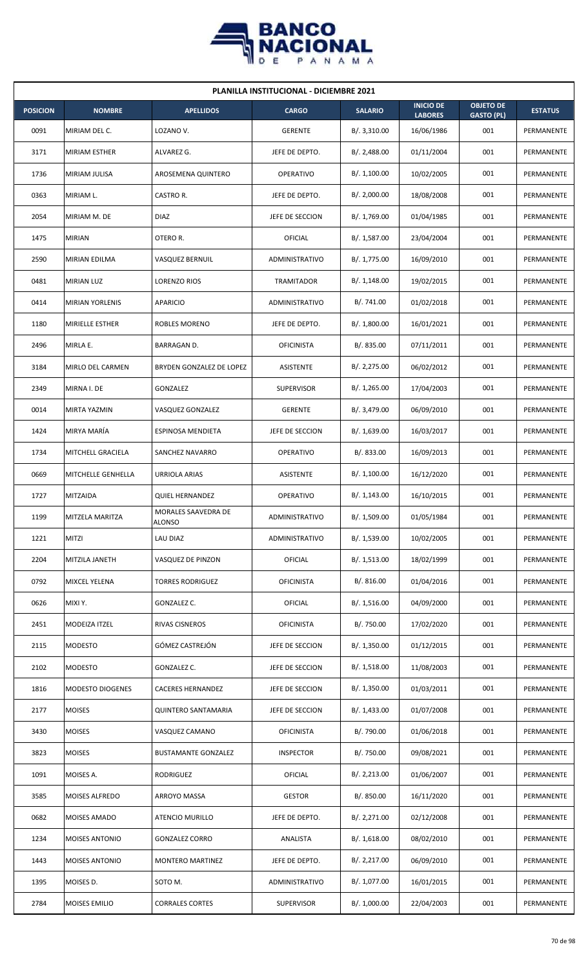

| <b>PLANILLA INSTITUCIONAL - DICIEMBRE 2021</b> |                          |                               |                   |                |                                    |                                       |                |  |  |
|------------------------------------------------|--------------------------|-------------------------------|-------------------|----------------|------------------------------------|---------------------------------------|----------------|--|--|
| <b>POSICION</b>                                | <b>NOMBRE</b>            | <b>APELLIDOS</b>              | <b>CARGO</b>      | <b>SALARIO</b> | <b>INICIO DE</b><br><b>LABORES</b> | <b>OBJETO DE</b><br><b>GASTO (PL)</b> | <b>ESTATUS</b> |  |  |
| 0091                                           | MIRIAM DEL C.            | LOZANO V.                     | <b>GERENTE</b>    | B/. 3,310.00   | 16/06/1986                         | 001                                   | PERMANENTE     |  |  |
| 3171                                           | <b>MIRIAM ESTHER</b>     | ALVAREZ G.                    | JEFE DE DEPTO.    | B/.2,488.00    | 01/11/2004                         | 001                                   | PERMANENTE     |  |  |
| 1736                                           | MIRIAM JULISA            | AROSEMENA QUINTERO            | <b>OPERATIVO</b>  | B/.1,100.00    | 10/02/2005                         | 001                                   | PERMANENTE     |  |  |
| 0363                                           | MIRIAM L.                | CASTRO R.                     | JEFE DE DEPTO.    | B/.2,000.00    | 18/08/2008                         | 001                                   | PERMANENTE     |  |  |
| 2054                                           | MIRIAM M. DE             | <b>DIAZ</b>                   | JEFE DE SECCION   | B/. 1,769.00   | 01/04/1985                         | 001                                   | PERMANENTE     |  |  |
| 1475                                           | <b>MIRIAN</b>            | OTERO R.                      | OFICIAL           | B/. 1,587.00   | 23/04/2004                         | 001                                   | PERMANENTE     |  |  |
| 2590                                           | <b>MIRIAN EDILMA</b>     | VASQUEZ BERNUIL               | ADMINISTRATIVO    | B/. 1,775.00   | 16/09/2010                         | 001                                   | PERMANENTE     |  |  |
| 0481                                           | <b>MIRIAN LUZ</b>        | LORENZO RIOS                  | <b>TRAMITADOR</b> | B/.1,148.00    | 19/02/2015                         | 001                                   | PERMANENTE     |  |  |
| 0414                                           | <b>MIRIAN YORLENIS</b>   | APARICIO                      | ADMINISTRATIVO    | B/. 741.00     | 01/02/2018                         | 001                                   | PERMANENTE     |  |  |
| 1180                                           | <b>MIRIELLE ESTHER</b>   | ROBLES MORENO                 | JEFE DE DEPTO.    | B/. 1,800.00   | 16/01/2021                         | 001                                   | PERMANENTE     |  |  |
| 2496                                           | MIRLA E.                 | <b>BARRAGAN D.</b>            | <b>OFICINISTA</b> | B/. 835.00     | 07/11/2011                         | 001                                   | PERMANENTE     |  |  |
| 3184                                           | MIRLO DEL CARMEN         | BRYDEN GONZALEZ DE LOPEZ      | <b>ASISTENTE</b>  | B/.2,275.00    | 06/02/2012                         | 001                                   | PERMANENTE     |  |  |
| 2349                                           | MIRNA I. DE              | GONZALEZ                      | <b>SUPERVISOR</b> | B/. 1,265.00   | 17/04/2003                         | 001                                   | PERMANENTE     |  |  |
| 0014                                           | MIRTA YAZMIN             | VASQUEZ GONZALEZ              | <b>GERENTE</b>    | B/. 3,479.00   | 06/09/2010                         | 001                                   | PERMANENTE     |  |  |
| 1424                                           | MIRYA MARÍA              | ESPINOSA MENDIETA             | JEFE DE SECCION   | B/.1,639.00    | 16/03/2017                         | 001                                   | PERMANENTE     |  |  |
| 1734                                           | <b>MITCHELL GRACIELA</b> | SANCHEZ NAVARRO               | <b>OPERATIVO</b>  | B/. 833.00     | 16/09/2013                         | 001                                   | PERMANENTE     |  |  |
| 0669                                           | MITCHELLE GENHELLA       | URRIOLA ARIAS                 | <b>ASISTENTE</b>  | B/. 1,100.00   | 16/12/2020                         | 001                                   | PERMANENTE     |  |  |
| 1727                                           | <b>MITZAIDA</b>          | <b>QUIEL HERNANDEZ</b>        | <b>OPERATIVO</b>  | B/.1,143.00    | 16/10/2015                         | 001                                   | PERMANENTE     |  |  |
| 1199                                           | MITZELA MARITZA          | MORALES SAAVEDRA DE<br>ALONSO | ADMINISTRATIVO    | B/. 1,509.00   | 01/05/1984                         | 001                                   | PERMANENTE     |  |  |
| 1221                                           | <b>MITZI</b>             | LAU DIAZ                      | ADMINISTRATIVO    | B/. 1,539.00   | 10/02/2005                         | 001                                   | PERMANENTE     |  |  |
| 2204                                           | MITZILA JANETH           | VASQUEZ DE PINZON             | <b>OFICIAL</b>    | B/. 1,513.00   | 18/02/1999                         | 001                                   | PERMANENTE     |  |  |
| 0792                                           | <b>MIXCEL YELENA</b>     | <b>TORRES RODRIGUEZ</b>       | <b>OFICINISTA</b> | B/. 816.00     | 01/04/2016                         | 001                                   | PERMANENTE     |  |  |
| 0626                                           | MIXI Y.                  | GONZALEZ C.                   | <b>OFICIAL</b>    | B/.1,516.00    | 04/09/2000                         | 001                                   | PERMANENTE     |  |  |
| 2451                                           | MODEIZA ITZEL            | RIVAS CISNEROS                | <b>OFICINISTA</b> | B/. 750.00     | 17/02/2020                         | 001                                   | PERMANENTE     |  |  |
| 2115                                           | <b>MODESTO</b>           | GÓMEZ CASTREJÓN               | JEFE DE SECCION   | B/. 1,350.00   | 01/12/2015                         | 001                                   | PERMANENTE     |  |  |
| 2102                                           | <b>MODESTO</b>           | GONZALEZ C.                   | JEFE DE SECCION   | B/.1,518.00    | 11/08/2003                         | 001                                   | PERMANENTE     |  |  |
| 1816                                           | <b>MODESTO DIOGENES</b>  | CACERES HERNANDEZ             | JEFE DE SECCION   | B/.1,350.00    | 01/03/2011                         | 001                                   | PERMANENTE     |  |  |
| 2177                                           | <b>MOISES</b>            | QUINTERO SANTAMARIA           | JEFE DE SECCION   | B/.1,433.00    | 01/07/2008                         | 001                                   | PERMANENTE     |  |  |
| 3430                                           | <b>MOISES</b>            | VASQUEZ CAMANO                | <b>OFICINISTA</b> | B/. 790.00     | 01/06/2018                         | 001                                   | PERMANENTE     |  |  |
| 3823                                           | <b>MOISES</b>            | <b>BUSTAMANTE GONZALEZ</b>    | <b>INSPECTOR</b>  | B/. 750.00     | 09/08/2021                         | 001                                   | PERMANENTE     |  |  |
| 1091                                           | MOISES A.                | RODRIGUEZ                     | <b>OFICIAL</b>    | B/. 2,213.00   | 01/06/2007                         | 001                                   | PERMANENTE     |  |  |
| 3585                                           | <b>MOISES ALFREDO</b>    | ARROYO MASSA                  | <b>GESTOR</b>     | B/. 850.00     | 16/11/2020                         | 001                                   | PERMANENTE     |  |  |
| 0682                                           | <b>MOISES AMADO</b>      | ATENCIO MURILLO               | JEFE DE DEPTO.    | B/.2,271.00    | 02/12/2008                         | 001                                   | PERMANENTE     |  |  |
| 1234                                           | <b>MOISES ANTONIO</b>    | <b>GONZALEZ CORRO</b>         | ANALISTA          | B/.1,618.00    | 08/02/2010                         | 001                                   | PERMANENTE     |  |  |
| 1443                                           | <b>MOISES ANTONIO</b>    | MONTERO MARTINEZ              | JEFE DE DEPTO.    | B/. 2,217.00   | 06/09/2010                         | 001                                   | PERMANENTE     |  |  |
| 1395                                           | MOISES D.                | SOTO M.                       | ADMINISTRATIVO    | B/. 1,077.00   | 16/01/2015                         | 001                                   | PERMANENTE     |  |  |
| 2784                                           | <b>MOISES EMILIO</b>     | <b>CORRALES CORTES</b>        | SUPERVISOR        | B/. 1,000.00   | 22/04/2003                         | 001                                   | PERMANENTE     |  |  |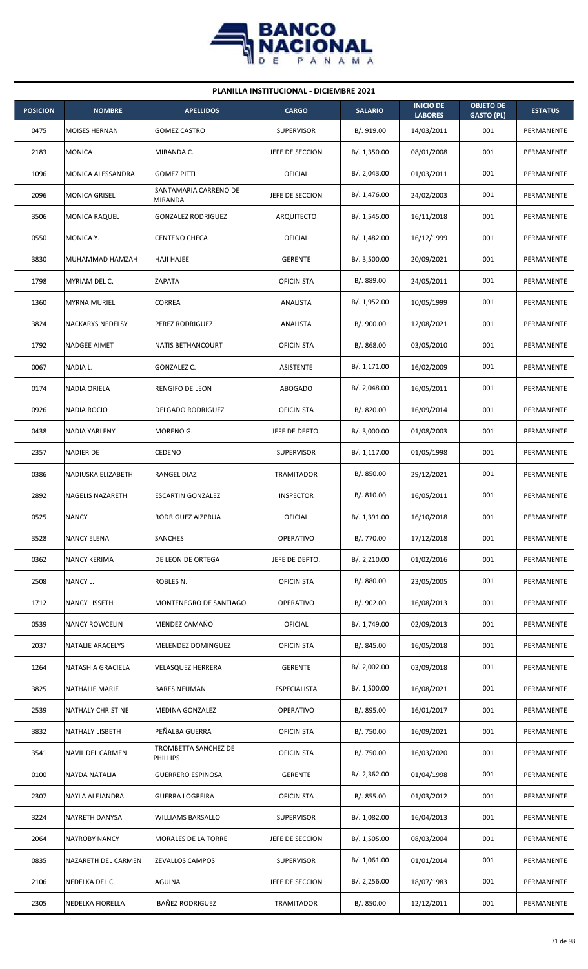

| <b>PLANILLA INSTITUCIONAL - DICIEMBRE 2021</b> |                         |                                  |                     |                |                                    |                                       |                |  |  |
|------------------------------------------------|-------------------------|----------------------------------|---------------------|----------------|------------------------------------|---------------------------------------|----------------|--|--|
| <b>POSICION</b>                                | <b>NOMBRE</b>           | <b>APELLIDOS</b>                 | <b>CARGO</b>        | <b>SALARIO</b> | <b>INICIO DE</b><br><b>LABORES</b> | <b>OBJETO DE</b><br><b>GASTO (PL)</b> | <b>ESTATUS</b> |  |  |
| 0475                                           | MOISES HERNAN           | <b>GOMEZ CASTRO</b>              | <b>SUPERVISOR</b>   | B/. 919.00     | 14/03/2011                         | 001                                   | PERMANENTE     |  |  |
| 2183                                           | <b>MONICA</b>           | MIRANDA C.                       | JEFE DE SECCION     | B/.1,350.00    | 08/01/2008                         | 001                                   | PERMANENTE     |  |  |
| 1096                                           | MONICA ALESSANDRA       | <b>GOMEZ PITTI</b>               | OFICIAL             | B/. 2,043.00   | 01/03/2011                         | 001                                   | PERMANENTE     |  |  |
| 2096                                           | <b>MONICA GRISEL</b>    | SANTAMARIA CARRENO DE<br>MIRANDA | JEFE DE SECCION     | B/. 1,476.00   | 24/02/2003                         | 001                                   | PERMANENTE     |  |  |
| 3506                                           | <b>MONICA RAQUEL</b>    | <b>GONZALEZ RODRIGUEZ</b>        | ARQUITECTO          | B/. 1,545.00   | 16/11/2018                         | 001                                   | PERMANENTE     |  |  |
| 0550                                           | MONICA Y.               | <b>CENTENO CHECA</b>             | OFICIAL             | B/.1,482.00    | 16/12/1999                         | 001                                   | PERMANENTE     |  |  |
| 3830                                           | MUHAMMAD HAMZAH         | <b>HAJI HAJEE</b>                | <b>GERENTE</b>      | B/.3,500.00    | 20/09/2021                         | 001                                   | PERMANENTE     |  |  |
| 1798                                           | MYRIAM DEL C.           | ZAPATA                           | <b>OFICINISTA</b>   | B/. 889.00     | 24/05/2011                         | 001                                   | PERMANENTE     |  |  |
| 1360                                           | <b>MYRNA MURIEL</b>     | CORREA                           | ANALISTA            | B/. 1,952.00   | 10/05/1999                         | 001                                   | PERMANENTE     |  |  |
| 3824                                           | <b>NACKARYS NEDELSY</b> | PEREZ RODRIGUEZ                  | ANALISTA            | B/. 900.00     | 12/08/2021                         | 001                                   | PERMANENTE     |  |  |
| 1792                                           | <b>NADGEE AIMET</b>     | <b>NATIS BETHANCOURT</b>         | <b>OFICINISTA</b>   | B/. 868.00     | 03/05/2010                         | 001                                   | PERMANENTE     |  |  |
| 0067                                           | NADIA L.                | GONZALEZ C.                      | <b>ASISTENTE</b>    | B/.1,171.00    | 16/02/2009                         | 001                                   | PERMANENTE     |  |  |
| 0174                                           | <b>NADIA ORIELA</b>     | RENGIFO DE LEON                  | <b>ABOGADO</b>      | B/.2,048.00    | 16/05/2011                         | 001                                   | PERMANENTE     |  |  |
| 0926                                           | <b>NADIA ROCIO</b>      | <b>DELGADO RODRIGUEZ</b>         | <b>OFICINISTA</b>   | B/0.820.00     | 16/09/2014                         | 001                                   | PERMANENTE     |  |  |
| 0438                                           | <b>NADIA YARLENY</b>    | MORENO G.                        | JEFE DE DEPTO.      | B/. 3,000.00   | 01/08/2003                         | 001                                   | PERMANENTE     |  |  |
| 2357                                           | NADIER DE               | CEDENO                           | <b>SUPERVISOR</b>   | B/.1,117.00    | 01/05/1998                         | 001                                   | PERMANENTE     |  |  |
| 0386                                           | NADIUSKA ELIZABETH      | RANGEL DIAZ                      | TRAMITADOR          | B/0.850.00     | 29/12/2021                         | 001                                   | PERMANENTE     |  |  |
| 2892                                           | NAGELIS NAZARETH        | <b>ESCARTIN GONZALEZ</b>         | <b>INSPECTOR</b>    | B/. 810.00     | 16/05/2011                         | 001                                   | PERMANENTE     |  |  |
| 0525                                           | <b>NANCY</b>            | RODRIGUEZ AIZPRUA                | OFICIAL             | B/. 1,391.00   | 16/10/2018                         | 001                                   | PERMANENTE     |  |  |
| 3528                                           | <b>NANCY ELENA</b>      | SANCHES                          | <b>OPERATIVO</b>    | B/. 770.00     | 17/12/2018                         | 001                                   | PERMANENTE     |  |  |
| 0362                                           | <b>NANCY KERIMA</b>     | DE LEON DE ORTEGA                | JEFE DE DEPTO.      | B/.2,210.00    | 01/02/2016                         | 001                                   | PERMANENTE     |  |  |
| 2508                                           | NANCY L.                | ROBLES N.                        | <b>OFICINISTA</b>   | B/. 880.00     | 23/05/2005                         | 001                                   | PERMANENTE     |  |  |
| 1712                                           | <b>NANCY LISSETH</b>    | MONTENEGRO DE SANTIAGO           | <b>OPERATIVO</b>    | B/. 902.00     | 16/08/2013                         | 001                                   | PERMANENTE     |  |  |
| 0539                                           | <b>NANCY ROWCELIN</b>   | MENDEZ CAMAÑO                    | OFICIAL             | B/. 1,749.00   | 02/09/2013                         | 001                                   | PERMANENTE     |  |  |
| 2037                                           | <b>NATALIE ARACELYS</b> | MELENDEZ DOMINGUEZ               | <b>OFICINISTA</b>   | B/0.845.00     | 16/05/2018                         | 001                                   | PERMANENTE     |  |  |
| 1264                                           | NATASHIA GRACIELA       | <b>VELASQUEZ HERRERA</b>         | <b>GERENTE</b>      | B/. 2,002.00   | 03/09/2018                         | 001                                   | PERMANENTE     |  |  |
| 3825                                           | NATHALIE MARIE          | <b>BARES NEUMAN</b>              | <b>ESPECIALISTA</b> | B/. 1,500.00   | 16/08/2021                         | 001                                   | PERMANENTE     |  |  |
| 2539                                           | NATHALY CHRISTINE       | MEDINA GONZALEZ                  | OPERATIVO           | B/. 895.00     | 16/01/2017                         | 001                                   | PERMANENTE     |  |  |
| 3832                                           | NATHALY LISBETH         | PEÑALBA GUERRA                   | <b>OFICINISTA</b>   | B/. 750.00     | 16/09/2021                         | 001                                   | PERMANENTE     |  |  |
| 3541                                           | NAVIL DEL CARMEN        | TROMBETTA SANCHEZ DE<br>PHILLIPS | <b>OFICINISTA</b>   | B/. 750.00     | 16/03/2020                         | 001                                   | PERMANENTE     |  |  |
| 0100                                           | NAYDA NATALIA           | <b>GUERRERO ESPINOSA</b>         | <b>GERENTE</b>      | B/.2,362.00    | 01/04/1998                         | 001                                   | PERMANENTE     |  |  |
| 2307                                           | NAYLA ALEJANDRA         | <b>GUERRA LOGREIRA</b>           | <b>OFICINISTA</b>   | B/. 855.00     | 01/03/2012                         | 001                                   | PERMANENTE     |  |  |
| 3224                                           | NAYRETH DANYSA          | WILLIAMS BARSALLO                | <b>SUPERVISOR</b>   | B/. 1,082.00   | 16/04/2013                         | 001                                   | PERMANENTE     |  |  |
| 2064                                           | <b>NAYROBY NANCY</b>    | MORALES DE LA TORRE              | JEFE DE SECCION     | B/. 1,505.00   | 08/03/2004                         | 001                                   | PERMANENTE     |  |  |
| 0835                                           | NAZARETH DEL CARMEN     | ZEVALLOS CAMPOS                  | <b>SUPERVISOR</b>   | B/.1,061.00    | 01/01/2014                         | 001                                   | PERMANENTE     |  |  |
| 2106                                           | NEDELKA DEL C.          | AGUINA                           | JEFE DE SECCION     | B/.2,256.00    | 18/07/1983                         | 001                                   | PERMANENTE     |  |  |
| 2305                                           | NEDELKA FIORELLA        | <b>IBAÑEZ RODRIGUEZ</b>          | <b>TRAMITADOR</b>   | B/. 850.00     | 12/12/2011                         | 001                                   | PERMANENTE     |  |  |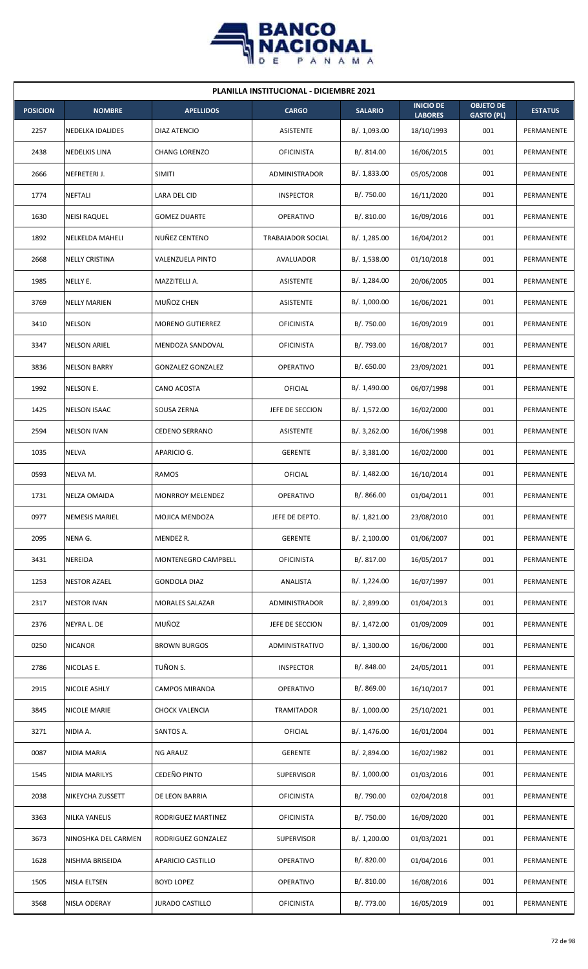

| <b>PLANILLA INSTITUCIONAL - DICIEMBRE 2021</b> |                         |                          |                   |                |                                    |                                       |                |  |  |  |
|------------------------------------------------|-------------------------|--------------------------|-------------------|----------------|------------------------------------|---------------------------------------|----------------|--|--|--|
| <b>POSICION</b>                                | <b>NOMBRE</b>           | <b>APELLIDOS</b>         | <b>CARGO</b>      | <b>SALARIO</b> | <b>INICIO DE</b><br><b>LABORES</b> | <b>OBJETO DE</b><br><b>GASTO (PL)</b> | <b>ESTATUS</b> |  |  |  |
| 2257                                           | <b>NEDELKA IDALIDES</b> | DIAZ ATENCIO             | ASISTENTE         | B/. 1,093.00   | 18/10/1993                         | 001                                   | PERMANENTE     |  |  |  |
| 2438                                           | NEDELKIS LINA           | <b>CHANG LORENZO</b>     | <b>OFICINISTA</b> | B/. 814.00     | 16/06/2015                         | 001                                   | PERMANENTE     |  |  |  |
| 2666                                           | NEFRETERI J.            | <b>SIMITI</b>            | ADMINISTRADOR     | B/. 1,833.00   | 05/05/2008                         | 001                                   | PERMANENTE     |  |  |  |
| 1774                                           | <b>NEFTALI</b>          | LARA DEL CID             | <b>INSPECTOR</b>  | B/. 750.00     | 16/11/2020                         | 001                                   | PERMANENTE     |  |  |  |
| 1630                                           | <b>NEISI RAQUEL</b>     | <b>GOMEZ DUARTE</b>      | <b>OPERATIVO</b>  | B/. 810.00     | 16/09/2016                         | 001                                   | PERMANENTE     |  |  |  |
| 1892                                           | NELKELDA MAHELI         | NUÑEZ CENTENO            | TRABAJADOR SOCIAL | B/. 1,285.00   | 16/04/2012                         | 001                                   | PERMANENTE     |  |  |  |
| 2668                                           | <b>NELLY CRISTINA</b>   | VALENZUELA PINTO         | AVALUADOR         | B/.1,538.00    | 01/10/2018                         | 001                                   | PERMANENTE     |  |  |  |
| 1985                                           | NELLY E.                | MAZZITELLI A.            | ASISTENTE         | B/. 1,284.00   | 20/06/2005                         | 001                                   | PERMANENTE     |  |  |  |
| 3769                                           | <b>NELLY MARIEN</b>     | MUÑOZ CHEN               | ASISTENTE         | B/. 1,000.00   | 16/06/2021                         | 001                                   | PERMANENTE     |  |  |  |
| 3410                                           | <b>NELSON</b>           | <b>MORENO GUTIERREZ</b>  | <b>OFICINISTA</b> | B/. 750.00     | 16/09/2019                         | 001                                   | PERMANENTE     |  |  |  |
| 3347                                           | <b>NELSON ARIEL</b>     | MENDOZA SANDOVAL         | <b>OFICINISTA</b> | B/. 793.00     | 16/08/2017                         | 001                                   | PERMANENTE     |  |  |  |
| 3836                                           | <b>NELSON BARRY</b>     | <b>GONZALEZ GONZALEZ</b> | <b>OPERATIVO</b>  | B/. 650.00     | 23/09/2021                         | 001                                   | PERMANENTE     |  |  |  |
| 1992                                           | NELSON E.               | CANO ACOSTA              | OFICIAL           | B/. 1,490.00   | 06/07/1998                         | 001                                   | PERMANENTE     |  |  |  |
| 1425                                           | <b>NELSON ISAAC</b>     | SOUSA ZERNA              | JEFE DE SECCION   | B/.1,572.00    | 16/02/2000                         | 001                                   | PERMANENTE     |  |  |  |
| 2594                                           | <b>NELSON IVAN</b>      | <b>CEDENO SERRANO</b>    | ASISTENTE         | B/.3,262.00    | 16/06/1998                         | 001                                   | PERMANENTE     |  |  |  |
| 1035                                           | NELVA                   | APARICIO G.              | <b>GERENTE</b>    | B/.3,381.00    | 16/02/2000                         | 001                                   | PERMANENTE     |  |  |  |
| 0593                                           | NELVA M.                | <b>RAMOS</b>             | OFICIAL           | B/.1,482.00    | 16/10/2014                         | 001                                   | PERMANENTE     |  |  |  |
| 1731                                           | <b>NELZA OMAIDA</b>     | MONRROY MELENDEZ         | <b>OPERATIVO</b>  | B/. 866.00     | 01/04/2011                         | 001                                   | PERMANENTE     |  |  |  |
| 0977                                           | <b>NEMESIS MARIEL</b>   | MOJICA MENDOZA           | JEFE DE DEPTO.    | B/. 1,821.00   | 23/08/2010                         | 001                                   | PERMANENTE     |  |  |  |
| 2095                                           | NENA G.                 | MENDEZ R.                | <b>GERENTE</b>    | B/.2,100.00    | 01/06/2007                         | 001                                   | PERMANENTE     |  |  |  |
| 3431                                           | NEREIDA                 | MONTENEGRO CAMPBELL      | <b>OFICINISTA</b> | B/. 817.00     | 16/05/2017                         | 001                                   | PERMANENTE     |  |  |  |
| 1253                                           | <b>NESTOR AZAEL</b>     | <b>GONDOLA DIAZ</b>      | ANALISTA          | B/. 1,224.00   | 16/07/1997                         | 001                                   | PERMANENTE     |  |  |  |
| 2317                                           | <b>NESTOR IVAN</b>      | MORALES SALAZAR          | ADMINISTRADOR     | B/. 2,899.00   | 01/04/2013                         | 001                                   | PERMANENTE     |  |  |  |
| 2376                                           | NEYRA L. DE             | MUÑOZ                    | JEFE DE SECCION   | B/. 1,472.00   | 01/09/2009                         | 001                                   | PERMANENTE     |  |  |  |
| 0250                                           | <b>NICANOR</b>          | <b>BROWN BURGOS</b>      | ADMINISTRATIVO    | B/.1,300.00    | 16/06/2000                         | 001                                   | PERMANENTE     |  |  |  |
| 2786                                           | NICOLAS E.              | TUÑON S.                 | <b>INSPECTOR</b>  | B/. 848.00     | 24/05/2011                         | 001                                   | PERMANENTE     |  |  |  |
| 2915                                           | NICOLE ASHLY            | CAMPOS MIRANDA           | <b>OPERATIVO</b>  | B/. 869.00     | 16/10/2017                         | 001                                   | PERMANENTE     |  |  |  |
| 3845                                           | NICOLE MARIE            | <b>CHOCK VALENCIA</b>    | TRAMITADOR        | B/. 1,000.00   | 25/10/2021                         | 001                                   | PERMANENTE     |  |  |  |
| 3271                                           | NIDIA A.                | SANTOS A.                | OFICIAL           | B/. 1,476.00   | 16/01/2004                         | 001                                   | PERMANENTE     |  |  |  |
| 0087                                           | NIDIA MARIA             | <b>NG ARAUZ</b>          | <b>GERENTE</b>    | B/. 2,894.00   | 16/02/1982                         | 001                                   | PERMANENTE     |  |  |  |
| 1545                                           | NIDIA MARILYS           | CEDEÑO PINTO             | <b>SUPERVISOR</b> | B/. 1,000.00   | 01/03/2016                         | 001                                   | PERMANENTE     |  |  |  |
| 2038                                           | NIKEYCHA ZUSSETT        | DE LEON BARRIA           | <b>OFICINISTA</b> | B/. 790.00     | 02/04/2018                         | 001                                   | PERMANENTE     |  |  |  |
| 3363                                           | <b>NILKA YANELIS</b>    | RODRIGUEZ MARTINEZ       | <b>OFICINISTA</b> | B/. 750.00     | 16/09/2020                         | 001                                   | PERMANENTE     |  |  |  |
| 3673                                           | NINOSHKA DEL CARMEN     | RODRIGUEZ GONZALEZ       | <b>SUPERVISOR</b> | B/. 1,200.00   | 01/03/2021                         | 001                                   | PERMANENTE     |  |  |  |
| 1628                                           | NISHMA BRISEIDA         | APARICIO CASTILLO        | <b>OPERATIVO</b>  | B/. 820.00     | 01/04/2016                         | 001                                   | PERMANENTE     |  |  |  |
| 1505                                           | NISLA ELTSEN            | <b>BOYD LOPEZ</b>        | <b>OPERATIVO</b>  | B/. 810.00     | 16/08/2016                         | 001                                   | PERMANENTE     |  |  |  |
| 3568                                           | NISLA ODERAY            | JURADO CASTILLO          | <b>OFICINISTA</b> | B/. 773.00     | 16/05/2019                         | 001                                   | PERMANENTE     |  |  |  |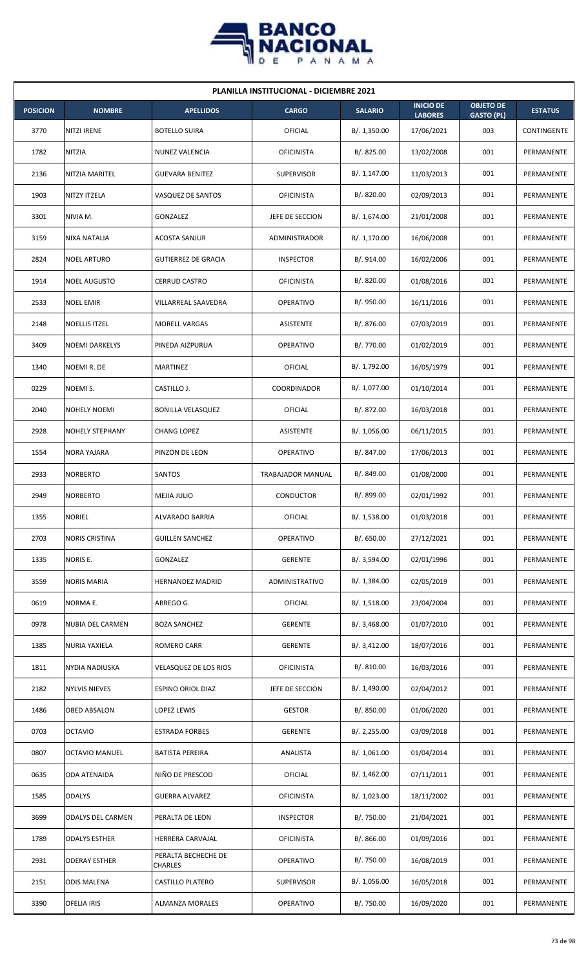

| <b>PLANILLA INSTITUCIONAL - DICIEMBRE 2021</b> |                          |                                       |                   |                |                                    |                                       |                |  |  |  |
|------------------------------------------------|--------------------------|---------------------------------------|-------------------|----------------|------------------------------------|---------------------------------------|----------------|--|--|--|
| <b>POSICION</b>                                | <b>NOMBRE</b>            | <b>APELLIDOS</b>                      | <b>CARGO</b>      | <b>SALARIO</b> | <b>INICIO DE</b><br><b>LABORES</b> | <b>OBJETO DE</b><br><b>GASTO (PL)</b> | <b>ESTATUS</b> |  |  |  |
| 3770                                           | <b>NITZI IRENE</b>       | <b>BOTELLO SUIRA</b>                  | OFICIAL           | B/. 1,350.00   | 17/06/2021                         | 003                                   | CONTINGENTE    |  |  |  |
| 1782                                           | NITZIA                   | NUNEZ VALENCIA                        | <b>OFICINISTA</b> | B/.825.00      | 13/02/2008                         | 001                                   | PERMANENTE     |  |  |  |
| 2136                                           | NITZIA MARITEL           | <b>GUEVARA BENITEZ</b>                | <b>SUPERVISOR</b> | B/. 1,147.00   | 11/03/2013                         | 001                                   | PERMANENTE     |  |  |  |
| 1903                                           | <b>NITZY ITZELA</b>      | VASQUEZ DE SANTOS                     | <b>OFICINISTA</b> | B/. 820.00     | 02/09/2013                         | 001                                   | PERMANENTE     |  |  |  |
| 3301                                           | NIVIA M.                 | <b>GONZALEZ</b>                       | JEFE DE SECCION   | B/. 1,674.00   | 21/01/2008                         | 001                                   | PERMANENTE     |  |  |  |
| 3159                                           | NIXA NATALIA             | ACOSTA SANJUR                         | ADMINISTRADOR     | B/.1,170.00    | 16/06/2008                         | 001                                   | PERMANENTE     |  |  |  |
| 2824                                           | <b>NOEL ARTURO</b>       | <b>GUTIERREZ DE GRACIA</b>            | <b>INSPECTOR</b>  | B/. 914.00     | 16/02/2006                         | 001                                   | PERMANENTE     |  |  |  |
| 1914                                           | <b>NOEL AUGUSTO</b>      | <b>CERRUD CASTRO</b>                  | <b>OFICINISTA</b> | B/.820.00      | 01/08/2016                         | 001                                   | PERMANENTE     |  |  |  |
| 2533                                           | <b>NOEL EMIR</b>         | VILLARREAL SAAVEDRA                   | <b>OPERATIVO</b>  | B/. 950.00     | 16/11/2016                         | 001                                   | PERMANENTE     |  |  |  |
| 2148                                           | <b>NOELLIS ITZEL</b>     | <b>MORELL VARGAS</b>                  | ASISTENTE         | B/. 876.00     | 07/03/2019                         | 001                                   | PERMANENTE     |  |  |  |
| 3409                                           | <b>NOEMI DARKELYS</b>    | PINEDA AIZPURUA                       | <b>OPERATIVO</b>  | B/. 770.00     | 01/02/2019                         | 001                                   | PERMANENTE     |  |  |  |
| 1340                                           | NOEMI R. DE              | <b>MARTINEZ</b>                       | <b>OFICIAL</b>    | B/. 1,792.00   | 16/05/1979                         | 001                                   | PERMANENTE     |  |  |  |
| 0229                                           | NOEMI S.                 | CASTILLO J.                           | COORDINADOR       | B/. 1,077.00   | 01/10/2014                         | 001                                   | PERMANENTE     |  |  |  |
| 2040                                           | <b>NOHELY NOEMI</b>      | <b>BONILLA VELASQUEZ</b>              | OFICIAL           | B/. 872.00     | 16/03/2018                         | 001                                   | PERMANENTE     |  |  |  |
| 2928                                           | <b>NOHELY STEPHANY</b>   | <b>CHANG LOPEZ</b>                    | <b>ASISTENTE</b>  | B/. 1,056.00   | 06/11/2015                         | 001                                   | PERMANENTE     |  |  |  |
| 1554                                           | <b>NORA YAJARA</b>       | PINZON DE LEON                        | OPERATIVO         | B/. 847.00     | 17/06/2013                         | 001                                   | PERMANENTE     |  |  |  |
| 2933                                           | <b>NORBERTO</b>          | SANTOS                                | TRABAJADOR MANUAL | B/. 849.00     | 01/08/2000                         | 001                                   | PERMANENTE     |  |  |  |
| 2949                                           | <b>NORBERTO</b>          | MEJIA JULIO                           | <b>CONDUCTOR</b>  | B/. 899.00     | 02/01/1992                         | 001                                   | PERMANENTE     |  |  |  |
| 1355                                           | <b>NORIEL</b>            | ALVARADO BARRIA                       | OFICIAL           | B/. 1,538.00   | 01/03/2018                         | 001                                   | PERMANENTE     |  |  |  |
| 2703                                           | <b>NORIS CRISTINA</b>    | <b>GUILLEN SANCHEZ</b>                | OPERATIVO         | B/. 650.00     | 27/12/2021                         | 001                                   | PERMANENTE     |  |  |  |
| 1335                                           | NORIS E.                 | GONZALEZ                              | <b>GERENTE</b>    | B/. 3,594.00   | 02/01/1996                         | 001                                   | PERMANENTE     |  |  |  |
| 3559                                           | <b>NORIS MARIA</b>       | <b>HERNANDEZ MADRID</b>               | ADMINISTRATIVO    | B/. 1,384.00   | 02/05/2019                         | 001                                   | PERMANENTE     |  |  |  |
| 0619                                           | NORMA E.                 | ABREGO G.                             | OFICIAL           | B/.1,518.00    | 23/04/2004                         | 001                                   | PERMANENTE     |  |  |  |
| 0978                                           | <b>NUBIA DEL CARMEN</b>  | <b>BOZA SANCHEZ</b>                   | <b>GERENTE</b>    | B/.3,468.00    | 01/07/2010                         | 001                                   | PERMANENTE     |  |  |  |
| 1385                                           | <b>NURIA YAXIELA</b>     | ROMERO CARR                           | <b>GERENTE</b>    | B/.3,412.00    | 18/07/2016                         | 001                                   | PERMANENTE     |  |  |  |
| 1811                                           | <b>NYDIA NADIUSKA</b>    | VELASQUEZ DE LOS RIOS                 | <b>OFICINISTA</b> | B/. 810.00     | 16/03/2016                         | 001                                   | PERMANENTE     |  |  |  |
| 2182                                           | <b>NYLVIS NIEVES</b>     | ESPINO ORIOL DIAZ                     | JEFE DE SECCION   | B/. 1,490.00   | 02/04/2012                         | 001                                   | PERMANENTE     |  |  |  |
| 1486                                           | OBED ABSALON             | LOPEZ LEWIS                           | <b>GESTOR</b>     | B/. 850.00     | 01/06/2020                         | 001                                   | PERMANENTE     |  |  |  |
| 0703                                           | <b>OCTAVIO</b>           | <b>ESTRADA FORBES</b>                 | <b>GERENTE</b>    | B/. 2,255.00   | 03/09/2018                         | 001                                   | PERMANENTE     |  |  |  |
| 0807                                           | <b>OCTAVIO MANUEL</b>    | <b>BATISTA PEREIRA</b>                | ANALISTA          | B/.1,061.00    | 01/04/2014                         | 001                                   | PERMANENTE     |  |  |  |
| 0635                                           | <b>ODA ATENAIDA</b>      | NIÑO DE PRESCOD                       | <b>OFICIAL</b>    | B/. 1,462.00   | 07/11/2011                         | 001                                   | PERMANENTE     |  |  |  |
| 1585                                           | <b>ODALYS</b>            | <b>GUERRA ALVAREZ</b>                 | <b>OFICINISTA</b> | B/. 1,023.00   | 18/11/2002                         | 001                                   | PERMANENTE     |  |  |  |
| 3699                                           | <b>ODALYS DEL CARMEN</b> | PERALTA DE LEON                       | <b>INSPECTOR</b>  | B/. 750.00     | 21/04/2021                         | 001                                   | PERMANENTE     |  |  |  |
| 1789                                           | <b>ODALYS ESTHER</b>     | HERRERA CARVAJAL                      | <b>OFICINISTA</b> | B/.866.00      | 01/09/2016                         | 001                                   | PERMANENTE     |  |  |  |
| 2931                                           | <b>ODERAY ESTHER</b>     | PERALTA BECHECHE DE<br><b>CHARLES</b> | <b>OPERATIVO</b>  | B/. 750.00     | 16/08/2019                         | 001                                   | PERMANENTE     |  |  |  |
| 2151                                           | <b>ODIS MALENA</b>       | <b>CASTILLO PLATERO</b>               | <b>SUPERVISOR</b> | B/.1,056.00    | 16/05/2018                         | 001                                   | PERMANENTE     |  |  |  |
| 3390                                           | <b>OFELIA IRIS</b>       | <b>ALMANZA MORALES</b>                | OPERATIVO         | B/. 750.00     | 16/09/2020                         | 001                                   | PERMANENTE     |  |  |  |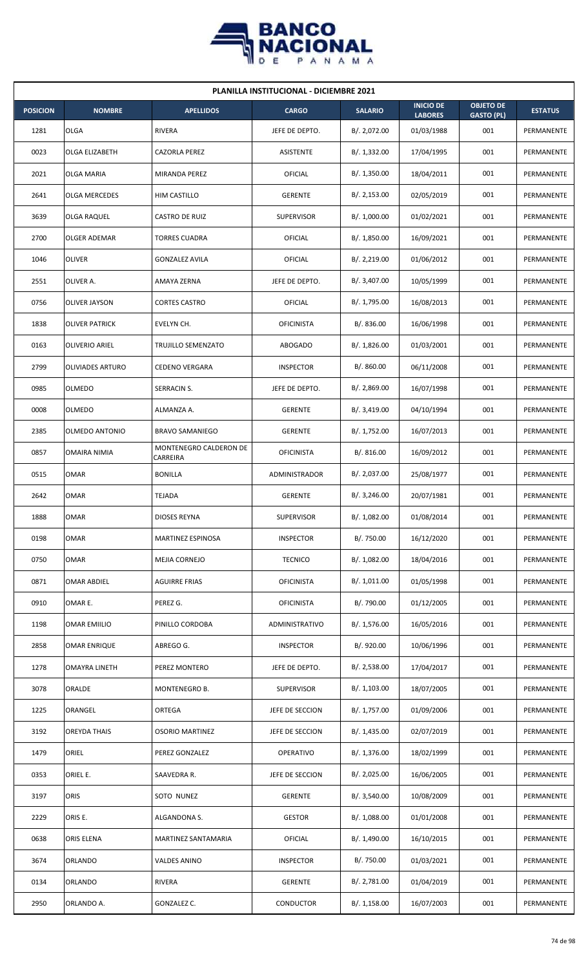

| <b>PLANILLA INSTITUCIONAL - DICIEMBRE 2021</b> |                         |                                    |                   |                |                                    |                                       |                |  |  |  |
|------------------------------------------------|-------------------------|------------------------------------|-------------------|----------------|------------------------------------|---------------------------------------|----------------|--|--|--|
| <b>POSICION</b>                                | <b>NOMBRE</b>           | <b>APELLIDOS</b>                   | <b>CARGO</b>      | <b>SALARIO</b> | <b>INICIO DE</b><br><b>LABORES</b> | <b>OBJETO DE</b><br><b>GASTO (PL)</b> | <b>ESTATUS</b> |  |  |  |
| 1281                                           | <b>OLGA</b>             | <b>RIVERA</b>                      | JEFE DE DEPTO.    | B/. 2,072.00   | 01/03/1988                         | 001                                   | PERMANENTE     |  |  |  |
| 0023                                           | <b>OLGA ELIZABETH</b>   | <b>CAZORLA PEREZ</b>               | ASISTENTE         | B/. 1,332.00   | 17/04/1995                         | 001                                   | PERMANENTE     |  |  |  |
| 2021                                           | <b>OLGA MARIA</b>       | MIRANDA PEREZ                      | OFICIAL           | B/.1,350.00    | 18/04/2011                         | 001                                   | PERMANENTE     |  |  |  |
| 2641                                           | <b>OLGA MERCEDES</b>    | HIM CASTILLO                       | <b>GERENTE</b>    | B/.2,153.00    | 02/05/2019                         | 001                                   | PERMANENTE     |  |  |  |
| 3639                                           | <b>OLGA RAQUEL</b>      | CASTRO DE RUIZ                     | <b>SUPERVISOR</b> | B/. 1,000.00   | 01/02/2021                         | 001                                   | PERMANENTE     |  |  |  |
| 2700                                           | OLGER ADEMAR            | <b>TORRES CUADRA</b>               | OFICIAL           | B/. 1,850.00   | 16/09/2021                         | 001                                   | PERMANENTE     |  |  |  |
| 1046                                           | <b>OLIVER</b>           | <b>GONZALEZ AVILA</b>              | OFICIAL           | B/.2,219.00    | 01/06/2012                         | 001                                   | PERMANENTE     |  |  |  |
| 2551                                           | OLIVER A.               | AMAYA ZERNA                        | JEFE DE DEPTO.    | B/. 3,407.00   | 10/05/1999                         | 001                                   | PERMANENTE     |  |  |  |
| 0756                                           | <b>OLIVER JAYSON</b>    | <b>CORTES CASTRO</b>               | OFICIAL           | B/. 1,795.00   | 16/08/2013                         | 001                                   | PERMANENTE     |  |  |  |
| 1838                                           | <b>OLIVER PATRICK</b>   | EVELYN CH.                         | <b>OFICINISTA</b> | B/. 836.00     | 16/06/1998                         | 001                                   | PERMANENTE     |  |  |  |
| 0163                                           | <b>OLIVERIO ARIEL</b>   | TRUJILLO SEMENZATO                 | <b>ABOGADO</b>    | B/. 1,826.00   | 01/03/2001                         | 001                                   | PERMANENTE     |  |  |  |
| 2799                                           | <b>OLIVIADES ARTURO</b> | <b>CEDENO VERGARA</b>              | <b>INSPECTOR</b>  | B/. 860.00     | 06/11/2008                         | 001                                   | PERMANENTE     |  |  |  |
| 0985                                           | <b>OLMEDO</b>           | SERRACIN S.                        | JEFE DE DEPTO.    | B/.2,869.00    | 16/07/1998                         | 001                                   | PERMANENTE     |  |  |  |
| 0008                                           | OLMEDO                  | ALMANZA A.                         | <b>GERENTE</b>    | B/.3,419.00    | 04/10/1994                         | 001                                   | PERMANENTE     |  |  |  |
| 2385                                           | <b>OLMEDO ANTONIO</b>   | <b>BRAVO SAMANIEGO</b>             | <b>GERENTE</b>    | B/. 1,752.00   | 16/07/2013                         | 001                                   | PERMANENTE     |  |  |  |
| 0857                                           | OMAIRA NIMIA            | MONTENEGRO CALDERON DE<br>CARREIRA | <b>OFICINISTA</b> | B/.816.00      | 16/09/2012                         | 001                                   | PERMANENTE     |  |  |  |
| 0515                                           | OMAR                    | <b>BONILLA</b>                     | ADMINISTRADOR     | B/. 2,037.00   | 25/08/1977                         | 001                                   | PERMANENTE     |  |  |  |
| 2642                                           | OMAR                    | <b>TEJADA</b>                      | <b>GERENTE</b>    | B/.3,246.00    | 20/07/1981                         | 001                                   | PERMANENTE     |  |  |  |
| 1888                                           | <b>OMAR</b>             | <b>DIOSES REYNA</b>                | SUPERVISOR        | B/. 1,082.00   | 01/08/2014                         | 001                                   | PERMANENTE     |  |  |  |
| 0198                                           | <b>OMAR</b>             | MARTINEZ ESPINOSA                  | <b>INSPECTOR</b>  | B/. 750.00     | 16/12/2020                         | 001                                   | PERMANENTE     |  |  |  |
| 0750                                           | <b>OMAR</b>             | MEJIA CORNEJO                      | <b>TECNICO</b>    | B/. 1,082.00   | 18/04/2016                         | 001                                   | PERMANENTE     |  |  |  |
| 0871                                           | <b>OMAR ABDIEL</b>      | <b>AGUIRRE FRIAS</b>               | <b>OFICINISTA</b> | B/. 1,011.00   | 01/05/1998                         | 001                                   | PERMANENTE     |  |  |  |
| 0910                                           | OMAR E.                 | PEREZ G.                           | <b>OFICINISTA</b> | B/. 790.00     | 01/12/2005                         | 001                                   | PERMANENTE     |  |  |  |
| 1198                                           | <b>OMAR EMIILIO</b>     | PINILLO CORDOBA                    | ADMINISTRATIVO    | B/. 1,576.00   | 16/05/2016                         | 001                                   | PERMANENTE     |  |  |  |
| 2858                                           | OMAR ENRIQUE            | ABREGO G.                          | <b>INSPECTOR</b>  | B/. 920.00     | 10/06/1996                         | 001                                   | PERMANENTE     |  |  |  |
| 1278                                           | OMAYRA LINETH           | PEREZ MONTERO                      | JEFE DE DEPTO.    | B/.2,538.00    | 17/04/2017                         | 001                                   | PERMANENTE     |  |  |  |
| 3078                                           | ORALDE                  | MONTENEGRO B.                      | <b>SUPERVISOR</b> | B/. 1,103.00   | 18/07/2005                         | 001                                   | PERMANENTE     |  |  |  |
| 1225                                           | ORANGEL                 | ORTEGA                             | JEFE DE SECCION   | B/. 1,757.00   | 01/09/2006                         | 001                                   | PERMANENTE     |  |  |  |
| 3192                                           | <b>OREYDA THAIS</b>     | <b>OSORIO MARTINEZ</b>             | JEFE DE SECCION   | B/.1,435.00    | 02/07/2019                         | 001                                   | PERMANENTE     |  |  |  |
| 1479                                           | ORIEL                   | PEREZ GONZALEZ                     | OPERATIVO         | B/. 1,376.00   | 18/02/1999                         | 001                                   | PERMANENTE     |  |  |  |
| 0353                                           | ORIEL E.                | SAAVEDRA R.                        | JEFE DE SECCION   | B/. 2,025.00   | 16/06/2005                         | 001                                   | PERMANENTE     |  |  |  |
| 3197                                           | ORIS                    | SOTO NUNEZ                         | <b>GERENTE</b>    | B/. 3,540.00   | 10/08/2009                         | 001                                   | PERMANENTE     |  |  |  |
| 2229                                           | ORIS E.                 | ALGANDONA S.                       | <b>GESTOR</b>     | B/.1,088.00    | 01/01/2008                         | 001                                   | PERMANENTE     |  |  |  |
| 0638                                           | ORIS ELENA              | MARTINEZ SANTAMARIA                | OFICIAL           | B/. 1,490.00   | 16/10/2015                         | 001                                   | PERMANENTE     |  |  |  |
| 3674                                           | ORLANDO                 | VALDES ANINO                       | <b>INSPECTOR</b>  | B/. 750.00     | 01/03/2021                         | 001                                   | PERMANENTE     |  |  |  |
| 0134                                           | ORLANDO                 | RIVERA                             | <b>GERENTE</b>    | B/. 2,781.00   | 01/04/2019                         | 001                                   | PERMANENTE     |  |  |  |
| 2950                                           | ORLANDO A.              | GONZALEZ C.                        | CONDUCTOR         | B/. 1,158.00   | 16/07/2003                         | 001                                   | PERMANENTE     |  |  |  |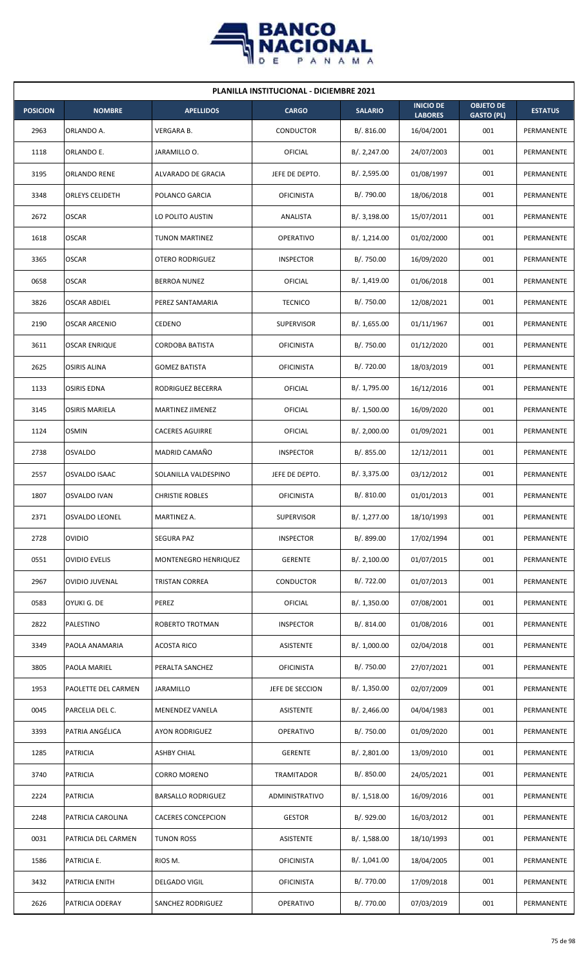

| <b>PLANILLA INSTITUCIONAL - DICIEMBRE 2021</b> |                        |                           |                   |                |                                    |                                       |                |  |  |  |
|------------------------------------------------|------------------------|---------------------------|-------------------|----------------|------------------------------------|---------------------------------------|----------------|--|--|--|
| <b>POSICION</b>                                | <b>NOMBRE</b>          | <b>APELLIDOS</b>          | <b>CARGO</b>      | <b>SALARIO</b> | <b>INICIO DE</b><br><b>LABORES</b> | <b>OBJETO DE</b><br><b>GASTO (PL)</b> | <b>ESTATUS</b> |  |  |  |
| 2963                                           | ORLANDO A.             | VERGARA B.                | CONDUCTOR         | B/.816.00      | 16/04/2001                         | 001                                   | PERMANENTE     |  |  |  |
| 1118                                           | ORLANDO E.             | JARAMILLO O.              | OFICIAL           | B/.2,247.00    | 24/07/2003                         | 001                                   | PERMANENTE     |  |  |  |
| 3195                                           | ORLANDO RENE           | ALVARADO DE GRACIA        | JEFE DE DEPTO.    | B/.2,595.00    | 01/08/1997                         | 001                                   | PERMANENTE     |  |  |  |
| 3348                                           | <b>ORLEYS CELIDETH</b> | POLANCO GARCIA            | <b>OFICINISTA</b> | B/. 790.00     | 18/06/2018                         | 001                                   | PERMANENTE     |  |  |  |
| 2672                                           | <b>OSCAR</b>           | LO POLITO AUSTIN          | ANALISTA          | B/. 3,198.00   | 15/07/2011                         | 001                                   | PERMANENTE     |  |  |  |
| 1618                                           | <b>OSCAR</b>           | <b>TUNON MARTINEZ</b>     | <b>OPERATIVO</b>  | B/. 1,214.00   | 01/02/2000                         | 001                                   | PERMANENTE     |  |  |  |
| 3365                                           | <b>OSCAR</b>           | OTERO RODRIGUEZ           | <b>INSPECTOR</b>  | B/. 750.00     | 16/09/2020                         | 001                                   | PERMANENTE     |  |  |  |
| 0658                                           | <b>OSCAR</b>           | <b>BERROA NUNEZ</b>       | <b>OFICIAL</b>    | B/.1,419.00    | 01/06/2018                         | 001                                   | PERMANENTE     |  |  |  |
| 3826                                           | <b>OSCAR ABDIEL</b>    | PEREZ SANTAMARIA          | <b>TECNICO</b>    | B/. 750.00     | 12/08/2021                         | 001                                   | PERMANENTE     |  |  |  |
| 2190                                           | <b>OSCAR ARCENIO</b>   | <b>CEDENO</b>             | <b>SUPERVISOR</b> | B/. 1,655.00   | 01/11/1967                         | 001                                   | PERMANENTE     |  |  |  |
| 3611                                           | <b>OSCAR ENRIQUE</b>   | <b>CORDOBA BATISTA</b>    | <b>OFICINISTA</b> | B/. 750.00     | 01/12/2020                         | 001                                   | PERMANENTE     |  |  |  |
| 2625                                           | <b>OSIRIS ALINA</b>    | <b>GOMEZ BATISTA</b>      | <b>OFICINISTA</b> | B/. 720.00     | 18/03/2019                         | 001                                   | PERMANENTE     |  |  |  |
| 1133                                           | <b>OSIRIS EDNA</b>     | RODRIGUEZ BECERRA         | OFICIAL           | B/. 1,795.00   | 16/12/2016                         | 001                                   | PERMANENTE     |  |  |  |
| 3145                                           | <b>OSIRIS MARIELA</b>  | MARTINEZ JIMENEZ          | OFICIAL           | B/. 1,500.00   | 16/09/2020                         | 001                                   | PERMANENTE     |  |  |  |
| 1124                                           | <b>OSMIN</b>           | <b>CACERES AGUIRRE</b>    | OFICIAL           | B/.2,000.00    | 01/09/2021                         | 001                                   | PERMANENTE     |  |  |  |
| 2738                                           | <b>OSVALDO</b>         | MADRID CAMAÑO             | <b>INSPECTOR</b>  | B/. 855.00     | 12/12/2011                         | 001                                   | PERMANENTE     |  |  |  |
| 2557                                           | OSVALDO ISAAC          | SOLANILLA VALDESPINO      | JEFE DE DEPTO.    | B/. 3,375.00   | 03/12/2012                         | 001                                   | PERMANENTE     |  |  |  |
| 1807                                           | <b>OSVALDO IVAN</b>    | <b>CHRISTIE ROBLES</b>    | <b>OFICINISTA</b> | B/. 810.00     | 01/01/2013                         | 001                                   | PERMANENTE     |  |  |  |
| 2371                                           | <b>OSVALDO LEONEL</b>  | MARTINEZ A.               | <b>SUPERVISOR</b> | B/. 1,277.00   | 18/10/1993                         | 001                                   | PERMANENTE     |  |  |  |
| 2728                                           | <b>OVIDIO</b>          | <b>SEGURA PAZ</b>         | <b>INSPECTOR</b>  | B/. 899.00     | 17/02/1994                         | 001                                   | PERMANENTE     |  |  |  |
| 0551                                           | <b>OVIDIO EVELIS</b>   | MONTENEGRO HENRIQUEZ      | <b>GERENTE</b>    | B/.2,100.00    | 01/07/2015                         | 001                                   | PERMANENTE     |  |  |  |
| 2967                                           | <b>OVIDIO JUVENAL</b>  | <b>TRISTAN CORREA</b>     | CONDUCTOR         | B/. 722.00     | 01/07/2013                         | 001                                   | PERMANENTE     |  |  |  |
| 0583                                           | OYUKI G. DE            | PEREZ                     | OFICIAL           | B/.1,350.00    | 07/08/2001                         | 001                                   | PERMANENTE     |  |  |  |
| 2822                                           | PALESTINO              | ROBERTO TROTMAN           | <b>INSPECTOR</b>  | B/. 814.00     | 01/08/2016                         | 001                                   | PERMANENTE     |  |  |  |
| 3349                                           | PAOLA ANAMARIA         | <b>ACOSTA RICO</b>        | ASISTENTE         | B/. 1,000.00   | 02/04/2018                         | 001                                   | PERMANENTE     |  |  |  |
| 3805                                           | PAOLA MARIEL           | PERALTA SANCHEZ           | <b>OFICINISTA</b> | B/. 750.00     | 27/07/2021                         | 001                                   | PERMANENTE     |  |  |  |
| 1953                                           | PAOLETTE DEL CARMEN    | JARAMILLO                 | JEFE DE SECCION   | B/.1,350.00    | 02/07/2009                         | 001                                   | PERMANENTE     |  |  |  |
| 0045                                           | PARCELIA DEL C.        | MENENDEZ VANELA           | ASISTENTE         | B/.2,466.00    | 04/04/1983                         | 001                                   | PERMANENTE     |  |  |  |
| 3393                                           | PATRIA ANGÉLICA        | <b>AYON RODRIGUEZ</b>     | OPERATIVO         | B/. 750.00     | 01/09/2020                         | 001                                   | PERMANENTE     |  |  |  |
| 1285                                           | <b>PATRICIA</b>        | ASHBY CHIAL               | <b>GERENTE</b>    | B/. 2,801.00   | 13/09/2010                         | 001                                   | PERMANENTE     |  |  |  |
| 3740                                           | <b>PATRICIA</b>        | CORRO MORENO              | TRAMITADOR        | B/. 850.00     | 24/05/2021                         | 001                                   | PERMANENTE     |  |  |  |
| 2224                                           | <b>PATRICIA</b>        | <b>BARSALLO RODRIGUEZ</b> | ADMINISTRATIVO    | B/. 1,518.00   | 16/09/2016                         | 001                                   | PERMANENTE     |  |  |  |
| 2248                                           | PATRICIA CAROLINA      | <b>CACERES CONCEPCION</b> | <b>GESTOR</b>     | B/. 929.00     | 16/03/2012                         | 001                                   | PERMANENTE     |  |  |  |
| 0031                                           | PATRICIA DEL CARMEN    | <b>TUNON ROSS</b>         | <b>ASISTENTE</b>  | B/.1,588.00    | 18/10/1993                         | 001                                   | PERMANENTE     |  |  |  |
| 1586                                           | PATRICIA E.            | RIOS M.                   | <b>OFICINISTA</b> | B/. 1,041.00   | 18/04/2005                         | 001                                   | PERMANENTE     |  |  |  |
| 3432                                           | PATRICIA ENITH         | <b>DELGADO VIGIL</b>      | <b>OFICINISTA</b> | B/. 770.00     | 17/09/2018                         | 001                                   | PERMANENTE     |  |  |  |
| 2626                                           | PATRICIA ODERAY        | SANCHEZ RODRIGUEZ         | OPERATIVO         | B/. 770.00     | 07/03/2019                         | 001                                   | PERMANENTE     |  |  |  |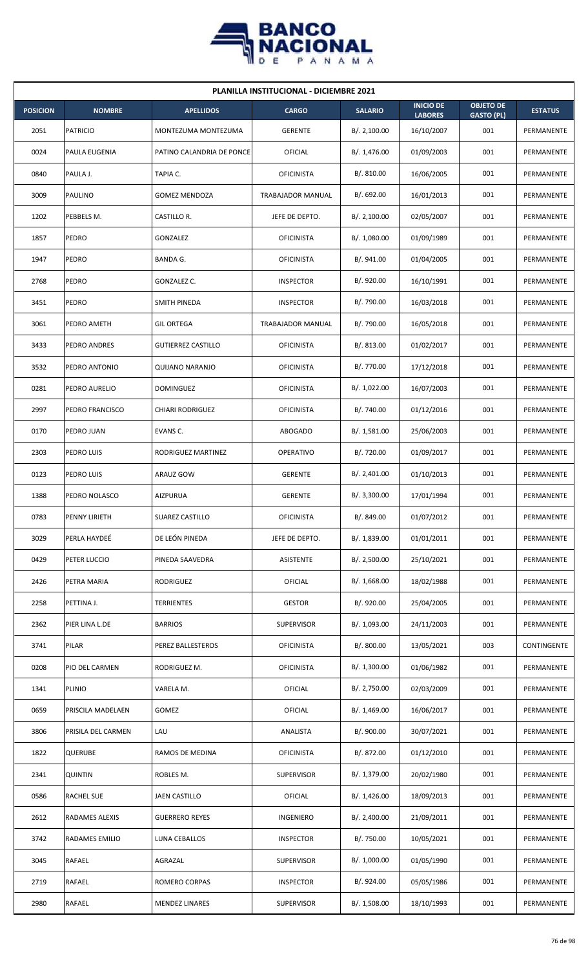

| <b>PLANILLA INSTITUCIONAL - DICIEMBRE 2021</b> |                    |                           |                   |                |                                    |                                       |                   |  |  |  |
|------------------------------------------------|--------------------|---------------------------|-------------------|----------------|------------------------------------|---------------------------------------|-------------------|--|--|--|
| <b>POSICION</b>                                | <b>NOMBRE</b>      | <b>APELLIDOS</b>          | <b>CARGO</b>      | <b>SALARIO</b> | <b>INICIO DE</b><br><b>LABORES</b> | <b>OBJETO DE</b><br><b>GASTO (PL)</b> | <b>ESTATUS</b>    |  |  |  |
| 2051                                           | <b>PATRICIO</b>    | MONTEZUMA MONTEZUMA       | <b>GERENTE</b>    | B/.2,100.00    | 16/10/2007                         | 001                                   | PERMANENTE        |  |  |  |
| 0024                                           | PAULA EUGENIA      | PATINO CALANDRIA DE PONCE | <b>OFICIAL</b>    | B/. 1,476.00   | 01/09/2003                         | 001                                   | PERMANENTE        |  |  |  |
| 0840                                           | PAULA J.           | TAPIA C.                  | <b>OFICINISTA</b> | B/. 810.00     | 16/06/2005                         | 001                                   | PERMANENTE        |  |  |  |
| 3009                                           | PAULINO            | <b>GOMEZ MENDOZA</b>      | TRABAJADOR MANUAL | B/0.692.00     | 16/01/2013                         | 001                                   | PERMANENTE        |  |  |  |
| 1202                                           | PEBBELS M.         | CASTILLO R.               | JEFE DE DEPTO.    | B/.2,100.00    | 02/05/2007                         | 001                                   | PERMANENTE        |  |  |  |
| 1857                                           | PEDRO              | GONZALEZ                  | <b>OFICINISTA</b> | B/. 1,080.00   | 01/09/1989                         | 001                                   | PERMANENTE        |  |  |  |
| 1947                                           | PEDRO              | BANDA G.                  | <b>OFICINISTA</b> | B/. 941.00     | 01/04/2005                         | 001                                   | PERMANENTE        |  |  |  |
| 2768                                           | PEDRO              | GONZALEZ C.               | <b>INSPECTOR</b>  | B/. 920.00     | 16/10/1991                         | 001                                   | PERMANENTE        |  |  |  |
| 3451                                           | PEDRO              | SMITH PINEDA              | <b>INSPECTOR</b>  | B/. 790.00     | 16/03/2018                         | 001                                   | PERMANENTE        |  |  |  |
| 3061                                           | PEDRO AMETH        | <b>GIL ORTEGA</b>         | TRABAJADOR MANUAL | B/. 790.00     | 16/05/2018                         | 001                                   | PERMANENTE        |  |  |  |
| 3433                                           | PEDRO ANDRES       | <b>GUTIERREZ CASTILLO</b> | <b>OFICINISTA</b> | B/. 813.00     | 01/02/2017                         | 001                                   | <b>PERMANENTE</b> |  |  |  |
| 3532                                           | PEDRO ANTONIO      | QUIJANO NARANJO           | <b>OFICINISTA</b> | B/. 770.00     | 17/12/2018                         | 001                                   | PERMANENTE        |  |  |  |
| 0281                                           | PEDRO AURELIO      | <b>DOMINGUEZ</b>          | <b>OFICINISTA</b> | B/. 1,022.00   | 16/07/2003                         | 001                                   | PERMANENTE        |  |  |  |
| 2997                                           | PEDRO FRANCISCO    | <b>CHIARI RODRIGUEZ</b>   | <b>OFICINISTA</b> | B/. 740.00     | 01/12/2016                         | 001                                   | PERMANENTE        |  |  |  |
| 0170                                           | PEDRO JUAN         | EVANS C.                  | ABOGADO           | B/.1,581.00    | 25/06/2003                         | 001                                   | PERMANENTE        |  |  |  |
| 2303                                           | PEDRO LUIS         | RODRIGUEZ MARTINEZ        | <b>OPERATIVO</b>  | B/. 720.00     | 01/09/2017                         | 001                                   | PERMANENTE        |  |  |  |
| 0123                                           | PEDRO LUIS         | ARAUZ GOW                 | <b>GERENTE</b>    | B/. 2,401.00   | 01/10/2013                         | 001                                   | PERMANENTE        |  |  |  |
| 1388                                           | PEDRO NOLASCO      | <b>AIZPURUA</b>           | <b>GERENTE</b>    | B/. 3,300.00   | 17/01/1994                         | 001                                   | PERMANENTE        |  |  |  |
| 0783                                           | PENNY LIRIETH      | SUAREZ CASTILLO           | <b>OFICINISTA</b> | B/. 849.00     | 01/07/2012                         | 001                                   | PERMANENTE        |  |  |  |
| 3029                                           | PERLA HAYDEÉ       | DE LEÓN PINEDA            | JEFE DE DEPTO.    | B/. 1,839.00   | 01/01/2011                         | 001                                   | PERMANENTE        |  |  |  |
| 0429                                           | PETER LUCCIO       | PINEDA SAAVEDRA           | ASISTENTE         | B/. 2,500.00   | 25/10/2021                         | 001                                   | PERMANENTE        |  |  |  |
| 2426                                           | PETRA MARIA        | RODRIGUEZ                 | <b>OFICIAL</b>    | B/. 1,668.00   | 18/02/1988                         | 001                                   | PERMANENTE        |  |  |  |
| 2258                                           | PETTINA J.         | TERRIENTES                | <b>GESTOR</b>     | B/. 920.00     | 25/04/2005                         | 001                                   | PERMANENTE        |  |  |  |
| 2362                                           | PIER LINA L.DE     | <b>BARRIOS</b>            | <b>SUPERVISOR</b> | B/. 1,093.00   | 24/11/2003                         | 001                                   | PERMANENTE        |  |  |  |
| 3741                                           | PILAR              | PEREZ BALLESTEROS         | <b>OFICINISTA</b> | B/. 800.00     | 13/05/2021                         | 003                                   | CONTINGENTE       |  |  |  |
| 0208                                           | PIO DEL CARMEN     | RODRIGUEZ M.              | <b>OFICINISTA</b> | B/. 1,300.00   | 01/06/1982                         | 001                                   | PERMANENTE        |  |  |  |
| 1341                                           | PLINIO             | VARELA M.                 | <b>OFICIAL</b>    | B/. 2,750.00   | 02/03/2009                         | 001                                   | PERMANENTE        |  |  |  |
| 0659                                           | PRISCILA MADELAEN  | GOMEZ                     | <b>OFICIAL</b>    | B/.1,469.00    | 16/06/2017                         | 001                                   | PERMANENTE        |  |  |  |
| 3806                                           | PRISILA DEL CARMEN | LAU                       | ANALISTA          | B/. 900.00     | 30/07/2021                         | 001                                   | PERMANENTE        |  |  |  |
| 1822                                           | <b>QUERUBE</b>     | RAMOS DE MEDINA           | <b>OFICINISTA</b> | B/. 872.00     | 01/12/2010                         | 001                                   | PERMANENTE        |  |  |  |
| 2341                                           | <b>QUINTIN</b>     | ROBLES M.                 | <b>SUPERVISOR</b> | B/. 1,379.00   | 20/02/1980                         | 001                                   | PERMANENTE        |  |  |  |
| 0586                                           | RACHEL SUE         | JAEN CASTILLO             | OFICIAL           | B/. 1,426.00   | 18/09/2013                         | 001                                   | PERMANENTE        |  |  |  |
| 2612                                           | RADAMES ALEXIS     | <b>GUERRERO REYES</b>     | INGENIERO         | B/.2,400.00    | 21/09/2011                         | 001                                   | PERMANENTE        |  |  |  |
| 3742                                           | RADAMES EMILIO     | LUNA CEBALLOS             | <b>INSPECTOR</b>  | B/. 750.00     | 10/05/2021                         | 001                                   | PERMANENTE        |  |  |  |
| 3045                                           | RAFAEL             | AGRAZAL                   | SUPERVISOR        | B/. 1,000.00   | 01/05/1990                         | 001                                   | PERMANENTE        |  |  |  |
| 2719                                           | RAFAEL             | ROMERO CORPAS             | <b>INSPECTOR</b>  | B/. 924.00     | 05/05/1986                         | 001                                   | PERMANENTE        |  |  |  |
| 2980                                           | RAFAEL             | <b>MENDEZ LINARES</b>     | <b>SUPERVISOR</b> | B/. 1,508.00   | 18/10/1993                         | 001                                   | PERMANENTE        |  |  |  |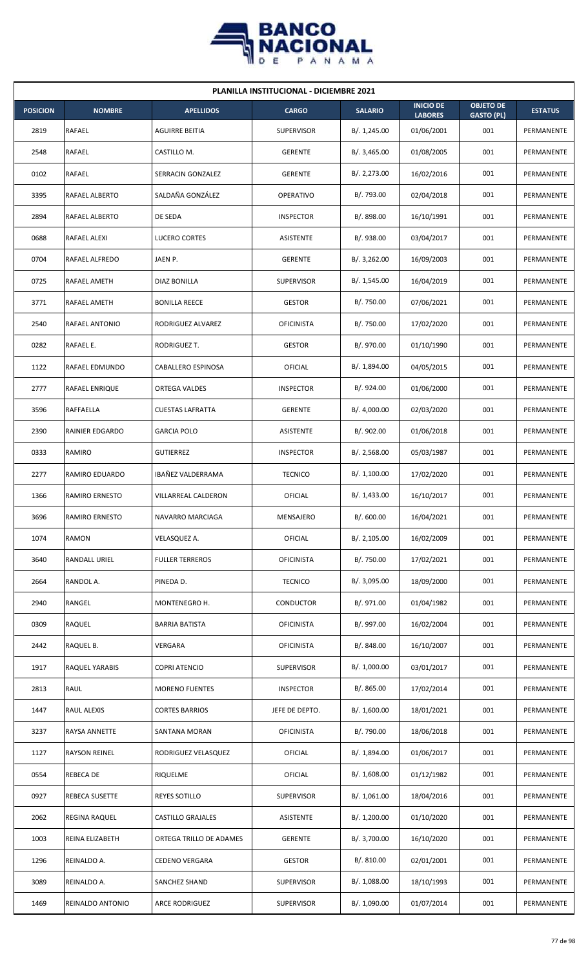

| <b>PLANILLA INSTITUCIONAL - DICIEMBRE 2021</b> |                        |                            |                   |                |                                    |                                       |                |  |  |
|------------------------------------------------|------------------------|----------------------------|-------------------|----------------|------------------------------------|---------------------------------------|----------------|--|--|
| <b>POSICION</b>                                | <b>NOMBRE</b>          | <b>APELLIDOS</b>           | <b>CARGO</b>      | <b>SALARIO</b> | <b>INICIO DE</b><br><b>LABORES</b> | <b>OBJETO DE</b><br><b>GASTO (PL)</b> | <b>ESTATUS</b> |  |  |
| 2819                                           | RAFAEL                 | AGUIRRE BEITIA             | <b>SUPERVISOR</b> | B/. 1,245.00   | 01/06/2001                         | 001                                   | PERMANENTE     |  |  |
| 2548                                           | RAFAEL                 | CASTILLO M.                | <b>GERENTE</b>    | B/.3,465.00    | 01/08/2005                         | 001                                   | PERMANENTE     |  |  |
| 0102                                           | <b>RAFAEL</b>          | SERRACIN GONZALEZ          | <b>GERENTE</b>    | B/. 2,273.00   | 16/02/2016                         | 001                                   | PERMANENTE     |  |  |
| 3395                                           | <b>RAFAEL ALBERTO</b>  | SALDAÑA GONZÁLEZ           | <b>OPERATIVO</b>  | B/. 793.00     | 02/04/2018                         | 001                                   | PERMANENTE     |  |  |
| 2894                                           | RAFAEL ALBERTO         | DE SEDA                    | <b>INSPECTOR</b>  | B/. 898.00     | 16/10/1991                         | 001                                   | PERMANENTE     |  |  |
| 0688                                           | RAFAEL ALEXI           | LUCERO CORTES              | <b>ASISTENTE</b>  | B/. 938.00     | 03/04/2017                         | 001                                   | PERMANENTE     |  |  |
| 0704                                           | <b>RAFAEL ALFREDO</b>  | JAEN P.                    | <b>GERENTE</b>    | B/.3,262.00    | 16/09/2003                         | 001                                   | PERMANENTE     |  |  |
| 0725                                           | RAFAEL AMETH           | DIAZ BONILLA               | <b>SUPERVISOR</b> | B/. 1,545.00   | 16/04/2019                         | 001                                   | PERMANENTE     |  |  |
| 3771                                           | RAFAEL AMETH           | <b>BONILLA REECE</b>       | <b>GESTOR</b>     | B/. 750.00     | 07/06/2021                         | 001                                   | PERMANENTE     |  |  |
| 2540                                           | RAFAEL ANTONIO         | RODRIGUEZ ALVAREZ          | <b>OFICINISTA</b> | B/. 750.00     | 17/02/2020                         | 001                                   | PERMANENTE     |  |  |
| 0282                                           | RAFAEL E.              | RODRIGUEZ T.               | <b>GESTOR</b>     | B/. 970.00     | 01/10/1990                         | 001                                   | PERMANENTE     |  |  |
| 1122                                           | RAFAEL EDMUNDO         | CABALLERO ESPINOSA         | OFICIAL           | B/. 1,894.00   | 04/05/2015                         | 001                                   | PERMANENTE     |  |  |
| 2777                                           | RAFAEL ENRIQUE         | ORTEGA VALDES              | <b>INSPECTOR</b>  | B/. 924.00     | 01/06/2000                         | 001                                   | PERMANENTE     |  |  |
| 3596                                           | RAFFAELLA              | <b>CUESTAS LAFRATTA</b>    | <b>GERENTE</b>    | B/.4,000.00    | 02/03/2020                         | 001                                   | PERMANENTE     |  |  |
| 2390                                           | <b>RAINIER EDGARDO</b> | <b>GARCIA POLO</b>         | <b>ASISTENTE</b>  | B/.902.00      | 01/06/2018                         | 001                                   | PERMANENTE     |  |  |
| 0333                                           | RAMIRO                 | <b>GUTIERREZ</b>           | <b>INSPECTOR</b>  | B/.2,568.00    | 05/03/1987                         | 001                                   | PERMANENTE     |  |  |
| 2277                                           | RAMIRO EDUARDO         | IBAÑEZ VALDERRAMA          | <b>TECNICO</b>    | B/. 1,100.00   | 17/02/2020                         | 001                                   | PERMANENTE     |  |  |
| 1366                                           | <b>RAMIRO ERNESTO</b>  | <b>VILLARREAL CALDERON</b> | OFICIAL           | B/. 1,433.00   | 16/10/2017                         | 001                                   | PERMANENTE     |  |  |
| 3696                                           | RAMIRO ERNESTO         | NAVARRO MARCIAGA           | MENSAJERO         | B/. 600.00     | 16/04/2021                         | 001                                   | PERMANENTE     |  |  |
| 1074                                           | RAMON                  | VELASQUEZ A.               | OFICIAL           | B/.2,105.00    | 16/02/2009                         | 001                                   | PERMANENTE     |  |  |
| 3640                                           | RANDALL URIEL          | <b>FULLER TERREROS</b>     | <b>OFICINISTA</b> | B/. 750.00     | 17/02/2021                         | 001                                   | PERMANENTE     |  |  |
| 2664                                           | RANDOL A.              | PINEDA D.                  | <b>TECNICO</b>    | B/. 3,095.00   | 18/09/2000                         | 001                                   | PERMANENTE     |  |  |
| 2940                                           | RANGEL                 | MONTENEGRO H.              | CONDUCTOR         | B/. 971.00     | 01/04/1982                         | 001                                   | PERMANENTE     |  |  |
| 0309                                           | RAQUEL                 | <b>BARRIA BATISTA</b>      | <b>OFICINISTA</b> | B/. 997.00     | 16/02/2004                         | 001                                   | PERMANENTE     |  |  |
| 2442                                           | RAQUEL B.              | VERGARA                    | <b>OFICINISTA</b> | B/. 848.00     | 16/10/2007                         | 001                                   | PERMANENTE     |  |  |
| 1917                                           | RAQUEL YARABIS         | <b>COPRI ATENCIO</b>       | <b>SUPERVISOR</b> | B/. 1,000.00   | 03/01/2017                         | 001                                   | PERMANENTE     |  |  |
| 2813                                           | RAUL                   | <b>MORENO FUENTES</b>      | <b>INSPECTOR</b>  | B/. 865.00     | 17/02/2014                         | 001                                   | PERMANENTE     |  |  |
| 1447                                           | RAUL ALEXIS            | <b>CORTES BARRIOS</b>      | JEFE DE DEPTO.    | B/.1,600.00    | 18/01/2021                         | 001                                   | PERMANENTE     |  |  |
| 3237                                           | RAYSA ANNETTE          | SANTANA MORAN              | <b>OFICINISTA</b> | B/. 790.00     | 18/06/2018                         | 001                                   | PERMANENTE     |  |  |
| 1127                                           | <b>RAYSON REINEL</b>   | RODRIGUEZ VELASQUEZ        | OFICIAL           | B/. 1,894.00   | 01/06/2017                         | 001                                   | PERMANENTE     |  |  |
| 0554                                           | REBECA DE              | RIQUELME                   | OFICIAL           | B/. 1,608.00   | 01/12/1982                         | 001                                   | PERMANENTE     |  |  |
| 0927                                           | REBECA SUSETTE         | REYES SOTILLO              | SUPERVISOR        | B/.1,061.00    | 18/04/2016                         | 001                                   | PERMANENTE     |  |  |
| 2062                                           | REGINA RAQUEL          | <b>CASTILLO GRAJALES</b>   | ASISTENTE         | B/. 1,200.00   | 01/10/2020                         | 001                                   | PERMANENTE     |  |  |
| 1003                                           | REINA ELIZABETH        | ORTEGA TRILLO DE ADAMES    | <b>GERENTE</b>    | B/. 3,700.00   | 16/10/2020                         | 001                                   | PERMANENTE     |  |  |
| 1296                                           | REINALDO A.            | <b>CEDENO VERGARA</b>      | <b>GESTOR</b>     | B/. 810.00     | 02/01/2001                         | 001                                   | PERMANENTE     |  |  |
| 3089                                           | REINALDO A.            | SANCHEZ SHAND              | SUPERVISOR        | B/. 1,088.00   | 18/10/1993                         | 001                                   | PERMANENTE     |  |  |
| 1469                                           | REINALDO ANTONIO       | <b>ARCE RODRIGUEZ</b>      | <b>SUPERVISOR</b> | B/. 1,090.00   | 01/07/2014                         | 001                                   | PERMANENTE     |  |  |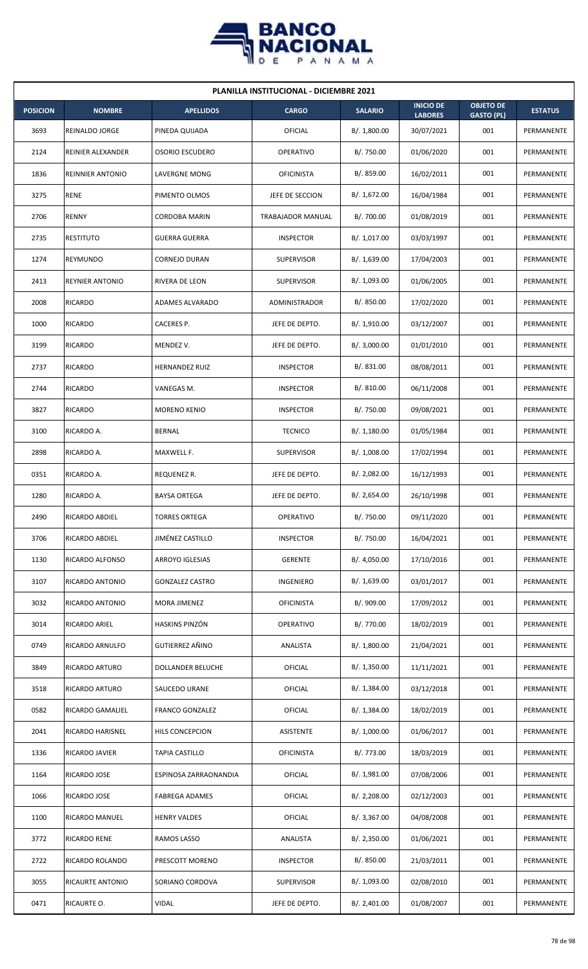

| <b>PLANILLA INSTITUCIONAL - DICIEMBRE 2021</b> |                         |                         |                   |                |                                    |                                       |                   |  |  |
|------------------------------------------------|-------------------------|-------------------------|-------------------|----------------|------------------------------------|---------------------------------------|-------------------|--|--|
| <b>POSICION</b>                                | <b>NOMBRE</b>           | <b>APELLIDOS</b>        | <b>CARGO</b>      | <b>SALARIO</b> | <b>INICIO DE</b><br><b>LABORES</b> | <b>OBJETO DE</b><br><b>GASTO (PL)</b> | <b>ESTATUS</b>    |  |  |
| 3693                                           | REINALDO JORGE          | PINEDA QUIJADA          | <b>OFICIAL</b>    | B/.1,800.00    | 30/07/2021                         | 001                                   | PERMANENTE        |  |  |
| 2124                                           | REINIER ALEXANDER       | <b>OSORIO ESCUDERO</b>  | <b>OPERATIVO</b>  | B/. 750.00     | 01/06/2020                         | 001                                   | PERMANENTE        |  |  |
| 1836                                           | <b>REINNIER ANTONIO</b> | LAVERGNE MONG           | <b>OFICINISTA</b> | B/. 859.00     | 16/02/2011                         | 001                                   | PERMANENTE        |  |  |
| 3275                                           | <b>RENE</b>             | PIMENTO OLMOS           | JEFE DE SECCION   | B/. 1,672.00   | 16/04/1984                         | 001                                   | <b>PERMANENTE</b> |  |  |
| 2706                                           | RENNY                   | <b>CORDOBA MARIN</b>    | TRABAJADOR MANUAL | B/. 700.00     | 01/08/2019                         | 001                                   | PERMANENTE        |  |  |
| 2735                                           | <b>RESTITUTO</b>        | <b>GUERRA GUERRA</b>    | <b>INSPECTOR</b>  | B/. 1,017.00   | 03/03/1997                         | 001                                   | PERMANENTE        |  |  |
| 1274                                           | <b>REYMUNDO</b>         | <b>CORNEJO DURAN</b>    | <b>SUPERVISOR</b> | B/. 1,639.00   | 17/04/2003                         | 001                                   | PERMANENTE        |  |  |
| 2413                                           | REYNIER ANTONIO         | RIVERA DE LEON          | <b>SUPERVISOR</b> | B/. 1,093.00   | 01/06/2005                         | 001                                   | PERMANENTE        |  |  |
| 2008                                           | <b>RICARDO</b>          | ADAMES ALVARADO         | ADMINISTRADOR     | B/. 850.00     | 17/02/2020                         | 001                                   | PERMANENTE        |  |  |
| 1000                                           | <b>RICARDO</b>          | CACERES P.              | JEFE DE DEPTO.    | B/. 1,910.00   | 03/12/2007                         | 001                                   | PERMANENTE        |  |  |
| 3199                                           | <b>RICARDO</b>          | MENDEZ V.               | JEFE DE DEPTO.    | B/.3,000.00    | 01/01/2010                         | 001                                   | PERMANENTE        |  |  |
| 2737                                           | <b>RICARDO</b>          | <b>HERNANDEZ RUIZ</b>   | <b>INSPECTOR</b>  | B/. 831.00     | 08/08/2011                         | 001                                   | PERMANENTE        |  |  |
| 2744                                           | RICARDO                 | VANEGAS M.              | <b>INSPECTOR</b>  | B/.810.00      | 06/11/2008                         | 001                                   | PERMANENTE        |  |  |
| 3827                                           | <b>RICARDO</b>          | <b>MORENO KENIO</b>     | <b>INSPECTOR</b>  | B/. 750.00     | 09/08/2021                         | 001                                   | PERMANENTE        |  |  |
| 3100                                           | RICARDO A.              | <b>BERNAL</b>           | <b>TECNICO</b>    | B/.1,180.00    | 01/05/1984                         | 001                                   | PERMANENTE        |  |  |
| 2898                                           | RICARDO A.              | MAXWELL F.              | <b>SUPERVISOR</b> | B/. 1,008.00   | 17/02/1994                         | 001                                   | PERMANENTE        |  |  |
| 0351                                           | RICARDO A.              | REQUENEZ R.             | JEFE DE DEPTO.    | B/.2,082.00    | 16/12/1993                         | 001                                   | PERMANENTE        |  |  |
| 1280                                           | RICARDO A.              | <b>BAYSA ORTEGA</b>     | JEFE DE DEPTO.    | B/.2,654.00    | 26/10/1998                         | 001                                   | PERMANENTE        |  |  |
| 2490                                           | RICARDO ABDIEL          | <b>TORRES ORTEGA</b>    | <b>OPERATIVO</b>  | B/. 750.00     | 09/11/2020                         | 001                                   | PERMANENTE        |  |  |
| 3706                                           | RICARDO ABDIEL          | <b>JIMÉNEZ CASTILLO</b> | <b>INSPECTOR</b>  | B/. 750.00     | 16/04/2021                         | 001                                   | PERMANENTE        |  |  |
| 1130                                           | RICARDO ALFONSO         | ARROYO IGLESIAS         | <b>GERENTE</b>    | B/. 4,050.00   | 17/10/2016                         | 001                                   | PERMANENTE        |  |  |
| 3107                                           | RICARDO ANTONIO         | <b>GONZALEZ CASTRO</b>  | INGENIERO         | B/. 1,639.00   | 03/01/2017                         | 001                                   | PERMANENTE        |  |  |
| 3032                                           | RICARDO ANTONIO         | MORA JIMENEZ            | <b>OFICINISTA</b> | B/. 909.00     | 17/09/2012                         | 001                                   | PERMANENTE        |  |  |
| 3014                                           | RICARDO ARIEL           | HASKINS PINZÓN          | OPERATIVO         | B/. 770.00     | 18/02/2019                         | 001                                   | PERMANENTE        |  |  |
| 0749                                           | RICARDO ARNULFO         | GUTIERREZ AÑINO         | ANALISTA          | B/. 1,800.00   | 21/04/2021                         | 001                                   | PERMANENTE        |  |  |
| 3849                                           | RICARDO ARTURO          | DOLLANDER BELUCHE       | <b>OFICIAL</b>    | B/.1,350.00    | 11/11/2021                         | 001                                   | PERMANENTE        |  |  |
| 3518                                           | RICARDO ARTURO          | SAUCEDO URANE           | <b>OFICIAL</b>    | B/. 1,384.00   | 03/12/2018                         | 001                                   | PERMANENTE        |  |  |
| 0582                                           | RICARDO GAMALIEL        | <b>FRANCO GONZALEZ</b>  | <b>OFICIAL</b>    | B/. 1,384.00   | 18/02/2019                         | 001                                   | PERMANENTE        |  |  |
| 2041                                           | RICARDO HARISNEL        | HILS CONCEPCION         | ASISTENTE         | B/. 1,000.00   | 01/06/2017                         | 001                                   | PERMANENTE        |  |  |
| 1336                                           | RICARDO JAVIER          | <b>TAPIA CASTILLO</b>   | <b>OFICINISTA</b> | B/. 773.00     | 18/03/2019                         | 001                                   | PERMANENTE        |  |  |
| 1164                                           | RICARDO JOSE            | ESPINOSA ZARRAONANDIA   | <b>OFICIAL</b>    | B/. 1,981.00   | 07/08/2006                         | 001                                   | PERMANENTE        |  |  |
| 1066                                           | RICARDO JOSE            | <b>FABREGA ADAMES</b>   | <b>OFICIAL</b>    | B/. 2,208.00   | 02/12/2003                         | 001                                   | PERMANENTE        |  |  |
| 1100                                           | RICARDO MANUEL          | <b>HENRY VALDES</b>     | OFICIAL           | B/. 3,367.00   | 04/08/2008                         | 001                                   | PERMANENTE        |  |  |
| 3772                                           | RICARDO RENE            | RAMOS LASSO             | ANALISTA          | B/.2,350.00    | 01/06/2021                         | 001                                   | PERMANENTE        |  |  |
| 2722                                           | RICARDO ROLANDO         | PRESCOTT MORENO         | <b>INSPECTOR</b>  | B/. 850.00     | 21/03/2011                         | 001                                   | PERMANENTE        |  |  |
| 3055                                           | RICAURTE ANTONIO        | SORIANO CORDOVA         | <b>SUPERVISOR</b> | B/. 1,093.00   | 02/08/2010                         | 001                                   | PERMANENTE        |  |  |
| 0471                                           | RICAURTE O.             | <b>VIDAL</b>            | JEFE DE DEPTO.    | B/.2,401.00    | 01/08/2007                         | 001                                   | PERMANENTE        |  |  |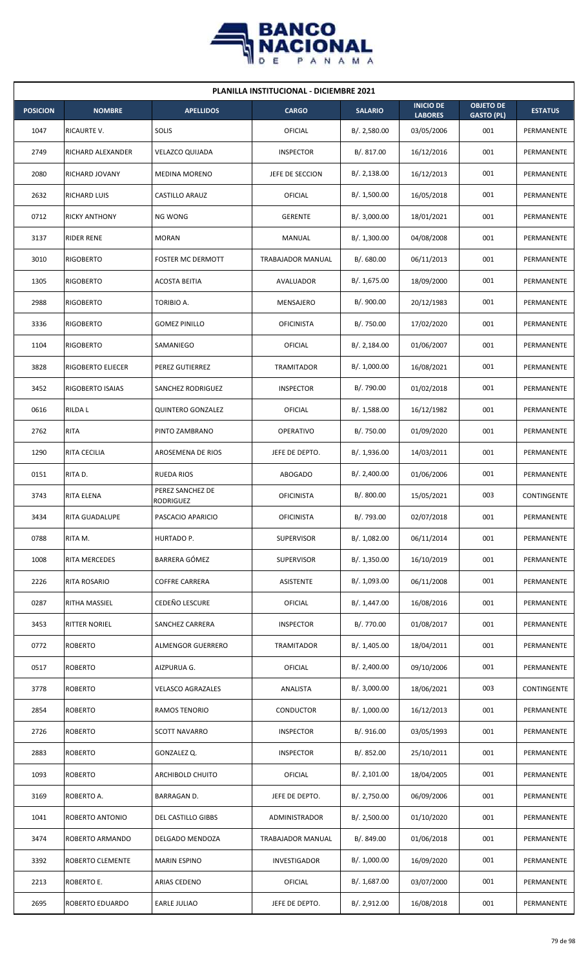

| <b>PLANILLA INSTITUCIONAL - DICIEMBRE 2021</b> |                      |                                      |                     |                |                                    |                                       |                |  |  |  |
|------------------------------------------------|----------------------|--------------------------------------|---------------------|----------------|------------------------------------|---------------------------------------|----------------|--|--|--|
| <b>POSICION</b>                                | <b>NOMBRE</b>        | <b>APELLIDOS</b>                     | <b>CARGO</b>        | <b>SALARIO</b> | <b>INICIO DE</b><br><b>LABORES</b> | <b>OBJETO DE</b><br><b>GASTO (PL)</b> | <b>ESTATUS</b> |  |  |  |
| 1047                                           | RICAURTE V.          | SOLIS                                | OFICIAL             | B/.2,580.00    | 03/05/2006                         | 001                                   | PERMANENTE     |  |  |  |
| 2749                                           | RICHARD ALEXANDER    | <b>VELAZCO QUIJADA</b>               | <b>INSPECTOR</b>    | B/.817.00      | 16/12/2016                         | 001                                   | PERMANENTE     |  |  |  |
| 2080                                           | RICHARD JOVANY       | <b>MEDINA MORENO</b>                 | JEFE DE SECCION     | B/.2,138.00    | 16/12/2013                         | 001                                   | PERMANENTE     |  |  |  |
| 2632                                           | RICHARD LUIS         | CASTILLO ARAUZ                       | OFICIAL             | B/. 1,500.00   | 16/05/2018                         | 001                                   | PERMANENTE     |  |  |  |
| 0712                                           | <b>RICKY ANTHONY</b> | <b>NG WONG</b>                       | <b>GERENTE</b>      | B/. 3,000.00   | 18/01/2021                         | 001                                   | PERMANENTE     |  |  |  |
| 3137                                           | <b>RIDER RENE</b>    | <b>MORAN</b>                         | MANUAL              | B/. 1,300.00   | 04/08/2008                         | 001                                   | PERMANENTE     |  |  |  |
| 3010                                           | <b>RIGOBERTO</b>     | <b>FOSTER MC DERMOTT</b>             | TRABAJADOR MANUAL   | B/0.680.00     | 06/11/2013                         | 001                                   | PERMANENTE     |  |  |  |
| 1305                                           | <b>RIGOBERTO</b>     | <b>ACOSTA BEITIA</b>                 | AVALUADOR           | B/. 1,675.00   | 18/09/2000                         | 001                                   | PERMANENTE     |  |  |  |
| 2988                                           | <b>RIGOBERTO</b>     | TORIBIO A.                           | MENSAJERO           | B/. 900.00     | 20/12/1983                         | 001                                   | PERMANENTE     |  |  |  |
| 3336                                           | <b>RIGOBERTO</b>     | <b>GOMEZ PINILLO</b>                 | <b>OFICINISTA</b>   | B/. 750.00     | 17/02/2020                         | 001                                   | PERMANENTE     |  |  |  |
| 1104                                           | <b>RIGOBERTO</b>     | SAMANIEGO                            | OFICIAL             | B/.2,184.00    | 01/06/2007                         | 001                                   | PERMANENTE     |  |  |  |
| 3828                                           | RIGOBERTO ELIECER    | PEREZ GUTIERREZ                      | <b>TRAMITADOR</b>   | B/. 1,000.00   | 16/08/2021                         | 001                                   | PERMANENTE     |  |  |  |
| 3452                                           | RIGOBERTO ISAIAS     | SANCHEZ RODRIGUEZ                    | <b>INSPECTOR</b>    | B/. 790.00     | 01/02/2018                         | 001                                   | PERMANENTE     |  |  |  |
| 0616                                           | <b>RILDAL</b>        | <b>QUINTERO GONZALEZ</b>             | OFICIAL             | B/. 1,588.00   | 16/12/1982                         | 001                                   | PERMANENTE     |  |  |  |
| 2762                                           | <b>RITA</b>          | PINTO ZAMBRANO                       | <b>OPERATIVO</b>    | B/. 750.00     | 01/09/2020                         | 001                                   | PERMANENTE     |  |  |  |
| 1290                                           | RITA CECILIA         | AROSEMENA DE RIOS                    | JEFE DE DEPTO.      | B/.1,936.00    | 14/03/2011                         | 001                                   | PERMANENTE     |  |  |  |
| 0151                                           | RITA D.              | <b>RUEDA RIOS</b>                    | ABOGADO             | B/.2,400.00    | 01/06/2006                         | 001                                   | PERMANENTE     |  |  |  |
| 3743                                           | RITA ELENA           | PEREZ SANCHEZ DE<br><b>RODRIGUEZ</b> | <b>OFICINISTA</b>   | B/. 800.00     | 15/05/2021                         | 003                                   | CONTINGENTE    |  |  |  |
| 3434                                           | RITA GUADALUPE       | PASCACIO APARICIO                    | <b>OFICINISTA</b>   | B/. 793.00     | 02/07/2018                         | 001                                   | PERMANENTE     |  |  |  |
| 0788                                           | RITA M.              | HURTADO P.                           | <b>SUPERVISOR</b>   | B/. 1,082.00   | 06/11/2014                         | 001                                   | PERMANENTE     |  |  |  |
| 1008                                           | RITA MERCEDES        | BARRERA GÓMEZ                        | <b>SUPERVISOR</b>   | B/. 1,350.00   | 16/10/2019                         | 001                                   | PERMANENTE     |  |  |  |
| 2226                                           | RITA ROSARIO         | <b>COFFRE CARRERA</b>                | ASISTENTE           | B/. 1,093.00   | 06/11/2008                         | 001                                   | PERMANENTE     |  |  |  |
| 0287                                           | RITHA MASSIEL        | CEDEÑO LESCURE                       | <b>OFICIAL</b>      | B/. 1,447.00   | 16/08/2016                         | 001                                   | PERMANENTE     |  |  |  |
| 3453                                           | <b>RITTER NORIEL</b> | SANCHEZ CARRERA                      | <b>INSPECTOR</b>    | B/. 770.00     | 01/08/2017                         | 001                                   | PERMANENTE     |  |  |  |
| 0772                                           | <b>ROBERTO</b>       | ALMENGOR GUERRERO                    | TRAMITADOR          | B/. 1,405.00   | 18/04/2011                         | 001                                   | PERMANENTE     |  |  |  |
| 0517                                           | <b>ROBERTO</b>       | AIZPURUA G.                          | OFICIAL             | B/.2,400.00    | 09/10/2006                         | 001                                   | PERMANENTE     |  |  |  |
| 3778                                           | <b>ROBERTO</b>       | <b>VELASCO AGRAZALES</b>             | ANALISTA            | B/. 3,000.00   | 18/06/2021                         | 003                                   | CONTINGENTE    |  |  |  |
| 2854                                           | <b>ROBERTO</b>       | RAMOS TENORIO                        | CONDUCTOR           | B/. 1,000.00   | 16/12/2013                         | 001                                   | PERMANENTE     |  |  |  |
| 2726                                           | <b>ROBERTO</b>       | <b>SCOTT NAVARRO</b>                 | <b>INSPECTOR</b>    | B/. 916.00     | 03/05/1993                         | 001                                   | PERMANENTE     |  |  |  |
| 2883                                           | <b>ROBERTO</b>       | GONZALEZ Q.                          | <b>INSPECTOR</b>    | B/. 852.00     | 25/10/2011                         | 001                                   | PERMANENTE     |  |  |  |
| 1093                                           | <b>ROBERTO</b>       | ARCHIBOLD CHUITO                     | <b>OFICIAL</b>      | B/. 2,101.00   | 18/04/2005                         | 001                                   | PERMANENTE     |  |  |  |
| 3169                                           | ROBERTO A.           | BARRAGAN D.                          | JEFE DE DEPTO.      | B/. 2,750.00   | 06/09/2006                         | 001                                   | PERMANENTE     |  |  |  |
| 1041                                           | ROBERTO ANTONIO      | DEL CASTILLO GIBBS                   | ADMINISTRADOR       | B/.2,500.00    | 01/10/2020                         | 001                                   | PERMANENTE     |  |  |  |
| 3474                                           | ROBERTO ARMANDO      | DELGADO MENDOZA                      | TRABAJADOR MANUAL   | B/. 849.00     | 01/06/2018                         | 001                                   | PERMANENTE     |  |  |  |
| 3392                                           | ROBERTO CLEMENTE     | <b>MARIN ESPINO</b>                  | <b>INVESTIGADOR</b> | B/. 1,000.00   | 16/09/2020                         | 001                                   | PERMANENTE     |  |  |  |
| 2213                                           | ROBERTO E.           | ARIAS CEDENO                         | OFICIAL             | B/. 1,687.00   | 03/07/2000                         | 001                                   | PERMANENTE     |  |  |  |
| 2695                                           | ROBERTO EDUARDO      | <b>EARLE JULIAO</b>                  | JEFE DE DEPTO.      | B/. 2,912.00   | 16/08/2018                         | 001                                   | PERMANENTE     |  |  |  |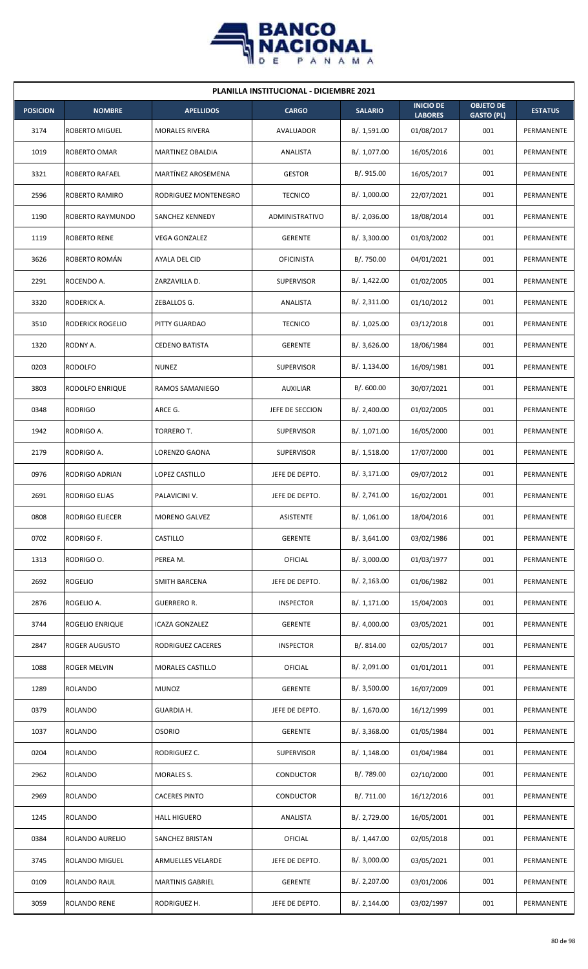

| <b>PLANILLA INSTITUCIONAL - DICIEMBRE 2021</b> |                       |                         |                   |                |                                    |                                       |                |  |  |  |
|------------------------------------------------|-----------------------|-------------------------|-------------------|----------------|------------------------------------|---------------------------------------|----------------|--|--|--|
| <b>POSICION</b>                                | <b>NOMBRE</b>         | <b>APELLIDOS</b>        | <b>CARGO</b>      | <b>SALARIO</b> | <b>INICIO DE</b><br><b>LABORES</b> | <b>OBJETO DE</b><br><b>GASTO (PL)</b> | <b>ESTATUS</b> |  |  |  |
| 3174                                           | ROBERTO MIGUEL        | <b>MORALES RIVERA</b>   | AVALUADOR         | B/. 1,591.00   | 01/08/2017                         | 001                                   | PERMANENTE     |  |  |  |
| 1019                                           | ROBERTO OMAR          | MARTINEZ OBALDIA        | ANALISTA          | B/. 1,077.00   | 16/05/2016                         | 001                                   | PERMANENTE     |  |  |  |
| 3321                                           | <b>ROBERTO RAFAEL</b> | MARTÍNEZ AROSEMENA      | <b>GESTOR</b>     | B/. 915.00     | 16/05/2017                         | 001                                   | PERMANENTE     |  |  |  |
| 2596                                           | ROBERTO RAMIRO        | RODRIGUEZ MONTENEGRO    | <b>TECNICO</b>    | B/. 1,000.00   | 22/07/2021                         | 001                                   | PERMANENTE     |  |  |  |
| 1190                                           | ROBERTO RAYMUNDO      | SANCHEZ KENNEDY         | ADMINISTRATIVO    | B/.2,036.00    | 18/08/2014                         | 001                                   | PERMANENTE     |  |  |  |
| 1119                                           | ROBERTO RENE          | VEGA GONZALEZ           | <b>GERENTE</b>    | B/. 3,300.00   | 01/03/2002                         | 001                                   | PERMANENTE     |  |  |  |
| 3626                                           | ROBERTO ROMÁN         | AYALA DEL CID           | <b>OFICINISTA</b> | B/. 750.00     | 04/01/2021                         | 001                                   | PERMANENTE     |  |  |  |
| 2291                                           | ROCENDO A.            | ZARZAVILLA D.           | <b>SUPERVISOR</b> | B/. 1,422.00   | 01/02/2005                         | 001                                   | PERMANENTE     |  |  |  |
| 3320                                           | RODERICK A.           | ZEBALLOS G.             | ANALISTA          | B/. 2,311.00   | 01/10/2012                         | 001                                   | PERMANENTE     |  |  |  |
| 3510                                           | RODERICK ROGELIO      | PITTY GUARDAO           | <b>TECNICO</b>    | B/. 1,025.00   | 03/12/2018                         | 001                                   | PERMANENTE     |  |  |  |
| 1320                                           | RODNY A.              | <b>CEDENO BATISTA</b>   | <b>GERENTE</b>    | B/.3,626.00    | 18/06/1984                         | 001                                   | PERMANENTE     |  |  |  |
| 0203                                           | <b>RODOLFO</b>        | <b>NUNEZ</b>            | <b>SUPERVISOR</b> | B/. 1,134.00   | 16/09/1981                         | 001                                   | PERMANENTE     |  |  |  |
| 3803                                           | RODOLFO ENRIQUE       | RAMOS SAMANIEGO         | <b>AUXILIAR</b>   | B/.600.00      | 30/07/2021                         | 001                                   | PERMANENTE     |  |  |  |
| 0348                                           | <b>RODRIGO</b>        | ARCE G.                 | JEFE DE SECCION   | B/.2,400.00    | 01/02/2005                         | 001                                   | PERMANENTE     |  |  |  |
| 1942                                           | RODRIGO A.            | TORRERO T.              | <b>SUPERVISOR</b> | B/. 1,071.00   | 16/05/2000                         | 001                                   | PERMANENTE     |  |  |  |
| 2179                                           | RODRIGO A.            | LORENZO GAONA           | <b>SUPERVISOR</b> | B/. 1,518.00   | 17/07/2000                         | 001                                   | PERMANENTE     |  |  |  |
| 0976                                           | RODRIGO ADRIAN        | LOPEZ CASTILLO          | JEFE DE DEPTO.    | B/. 3,171.00   | 09/07/2012                         | 001                                   | PERMANENTE     |  |  |  |
| 2691                                           | <b>RODRIGO ELIAS</b>  | PALAVICINI V.           | JEFE DE DEPTO.    | B/. 2,741.00   | 16/02/2001                         | 001                                   | PERMANENTE     |  |  |  |
| 0808                                           | RODRIGO ELIECER       | MORENO GALVEZ           | <b>ASISTENTE</b>  | B/. 1,061.00   | 18/04/2016                         | 001                                   | PERMANENTE     |  |  |  |
| 0702                                           | RODRIGO F.            | CASTILLO                | <b>GERENTE</b>    | B/.3,641.00    | 03/02/1986                         | 001                                   | PERMANENTE     |  |  |  |
| 1313                                           | RODRIGO O.            | PEREA M.                | OFICIAL           | B/. 3,000.00   | 01/03/1977                         | 001                                   | PERMANENTE     |  |  |  |
| 2692                                           | <b>ROGELIO</b>        | <b>SMITH BARCENA</b>    | JEFE DE DEPTO.    | B/.2,163.00    | 01/06/1982                         | 001                                   | PERMANENTE     |  |  |  |
| 2876                                           | ROGELIO A.            | GUERRERO R.             | <b>INSPECTOR</b>  | B/. 1,171.00   | 15/04/2003                         | 001                                   | PERMANENTE     |  |  |  |
| 3744                                           | ROGELIO ENRIQUE       | ICAZA GONZALEZ          | <b>GERENTE</b>    | B/. 4,000.00   | 03/05/2021                         | 001                                   | PERMANENTE     |  |  |  |
| 2847                                           | ROGER AUGUSTO         | RODRIGUEZ CACERES       | <b>INSPECTOR</b>  | B/. 814.00     | 02/05/2017                         | 001                                   | PERMANENTE     |  |  |  |
| 1088                                           | ROGER MELVIN          | <b>MORALES CASTILLO</b> | OFICIAL           | B/. 2,091.00   | 01/01/2011                         | 001                                   | PERMANENTE     |  |  |  |
| 1289                                           | <b>ROLANDO</b>        | <b>MUNOZ</b>            | <b>GERENTE</b>    | B/. 3,500.00   | 16/07/2009                         | 001                                   | PERMANENTE     |  |  |  |
| 0379                                           | <b>ROLANDO</b>        | GUARDIA H.              | JEFE DE DEPTO.    | B/. 1,670.00   | 16/12/1999                         | 001                                   | PERMANENTE     |  |  |  |
| 1037                                           | <b>ROLANDO</b>        | <b>OSORIO</b>           | <b>GERENTE</b>    | B/.3,368.00    | 01/05/1984                         | 001                                   | PERMANENTE     |  |  |  |
| 0204                                           | <b>ROLANDO</b>        | RODRIGUEZ C.            | <b>SUPERVISOR</b> | B/. 1,148.00   | 01/04/1984                         | 001                                   | PERMANENTE     |  |  |  |
| 2962                                           | ROLANDO               | MORALES S.              | CONDUCTOR         | B/. 789.00     | 02/10/2000                         | 001                                   | PERMANENTE     |  |  |  |
| 2969                                           | ROLANDO               | <b>CACERES PINTO</b>    | CONDUCTOR         | B/. 711.00     | 16/12/2016                         | 001                                   | PERMANENTE     |  |  |  |
| 1245                                           | <b>ROLANDO</b>        | <b>HALL HIGUERO</b>     | ANALISTA          | B/. 2,729.00   | 16/05/2001                         | 001                                   | PERMANENTE     |  |  |  |
| 0384                                           | ROLANDO AURELIO       | SANCHEZ BRISTAN         | OFICIAL           | B/. 1,447.00   | 02/05/2018                         | 001                                   | PERMANENTE     |  |  |  |
| 3745                                           | <b>ROLANDO MIGUEL</b> | ARMUELLES VELARDE       | JEFE DE DEPTO.    | B/.3,000.00    | 03/05/2021                         | 001                                   | PERMANENTE     |  |  |  |
| 0109                                           | ROLANDO RAUL          | <b>MARTINIS GABRIEL</b> | <b>GERENTE</b>    | B/. 2,207.00   | 03/01/2006                         | 001                                   | PERMANENTE     |  |  |  |
| 3059                                           | <b>ROLANDO RENE</b>   | RODRIGUEZ H.            | JEFE DE DEPTO.    | B/. 2,144.00   | 03/02/1997                         | 001                                   | PERMANENTE     |  |  |  |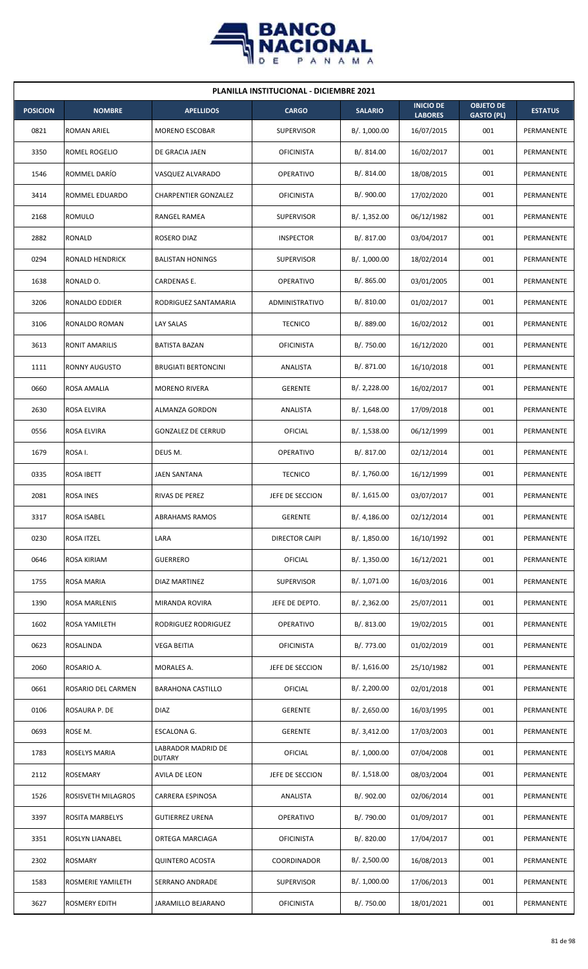

| <b>PLANILLA INSTITUCIONAL - DICIEMBRE 2021</b> |                       |                                     |                   |                |                                    |                                       |                |  |  |  |
|------------------------------------------------|-----------------------|-------------------------------------|-------------------|----------------|------------------------------------|---------------------------------------|----------------|--|--|--|
| <b>POSICION</b>                                | <b>NOMBRE</b>         | <b>APELLIDOS</b>                    | <b>CARGO</b>      | <b>SALARIO</b> | <b>INICIO DE</b><br><b>LABORES</b> | <b>OBJETO DE</b><br><b>GASTO (PL)</b> | <b>ESTATUS</b> |  |  |  |
| 0821                                           | ROMAN ARIEL           | <b>MORENO ESCOBAR</b>               | <b>SUPERVISOR</b> | B/. 1,000.00   | 16/07/2015                         | 001                                   | PERMANENTE     |  |  |  |
| 3350                                           | ROMEL ROGELIO         | DE GRACIA JAEN                      | <b>OFICINISTA</b> | B/. 814.00     | 16/02/2017                         | 001                                   | PERMANENTE     |  |  |  |
| 1546                                           | ROMMEL DARÍO          | VASQUEZ ALVARADO                    | <b>OPERATIVO</b>  | B/. 814.00     | 18/08/2015                         | 001                                   | PERMANENTE     |  |  |  |
| 3414                                           | ROMMEL EDUARDO        | <b>CHARPENTIER GONZALEZ</b>         | <b>OFICINISTA</b> | B/. 900.00     | 17/02/2020                         | 001                                   | PERMANENTE     |  |  |  |
| 2168                                           | <b>ROMULO</b>         | RANGEL RAMEA                        | <b>SUPERVISOR</b> | B/. 1,352.00   | 06/12/1982                         | 001                                   | PERMANENTE     |  |  |  |
| 2882                                           | RONALD                | ROSERO DIAZ                         | <b>INSPECTOR</b>  | B/. 817.00     | 03/04/2017                         | 001                                   | PERMANENTE     |  |  |  |
| 0294                                           | RONALD HENDRICK       | <b>BALISTAN HONINGS</b>             | <b>SUPERVISOR</b> | B/. 1,000.00   | 18/02/2014                         | 001                                   | PERMANENTE     |  |  |  |
| 1638                                           | RONALD O.             | CARDENAS E.                         | <b>OPERATIVO</b>  | B/. 865.00     | 03/01/2005                         | 001                                   | PERMANENTE     |  |  |  |
| 3206                                           | RONALDO EDDIER        | RODRIGUEZ SANTAMARIA                | ADMINISTRATIVO    | B/. 810.00     | 01/02/2017                         | 001                                   | PERMANENTE     |  |  |  |
| 3106                                           | RONALDO ROMAN         | LAY SALAS                           | <b>TECNICO</b>    | B/. 889.00     | 16/02/2012                         | 001                                   | PERMANENTE     |  |  |  |
| 3613                                           | <b>RONIT AMARILIS</b> | <b>BATISTA BAZAN</b>                | <b>OFICINISTA</b> | B/. 750.00     | 16/12/2020                         | 001                                   | PERMANENTE     |  |  |  |
| 1111                                           | <b>RONNY AUGUSTO</b>  | <b>BRUGIATI BERTONCINI</b>          | ANALISTA          | B/. 871.00     | 16/10/2018                         | 001                                   | PERMANENTE     |  |  |  |
| 0660                                           | ROSA AMALIA           | <b>MORENO RIVERA</b>                | <b>GERENTE</b>    | B/.2,228.00    | 16/02/2017                         | 001                                   | PERMANENTE     |  |  |  |
| 2630                                           | ROSA ELVIRA           | ALMANZA GORDON                      | ANALISTA          | B/.1,648.00    | 17/09/2018                         | 001                                   | PERMANENTE     |  |  |  |
| 0556                                           | ROSA ELVIRA           | <b>GONZALEZ DE CERRUD</b>           | OFICIAL           | B/.1,538.00    | 06/12/1999                         | 001                                   | PERMANENTE     |  |  |  |
| 1679                                           | ROSA I.               | DEUS M.                             | <b>OPERATIVO</b>  | B/. 817.00     | 02/12/2014                         | 001                                   | PERMANENTE     |  |  |  |
| 0335                                           | ROSA IBETT            | <b>JAEN SANTANA</b>                 | <b>TECNICO</b>    | B/. 1,760.00   | 16/12/1999                         | 001                                   | PERMANENTE     |  |  |  |
| 2081                                           | <b>ROSA INES</b>      | <b>RIVAS DE PEREZ</b>               | JEFE DE SECCION   | B/. 1,615.00   | 03/07/2017                         | 001                                   | PERMANENTE     |  |  |  |
| 3317                                           | ROSA ISABEL           | <b>ABRAHAMS RAMOS</b>               | <b>GERENTE</b>    | B/.4,186.00    | 02/12/2014                         | 001                                   | PERMANENTE     |  |  |  |
| 0230                                           | ROSA ITZEL            | LARA                                | DIRECTOR CAIPI    | B/. 1,850.00   | 16/10/1992                         | 001                                   | PERMANENTE     |  |  |  |
| 0646                                           | ROSA KIRIAM           | <b>GUERRERO</b>                     | OFICIAL           | B/. 1,350.00   | 16/12/2021                         | 001                                   | PERMANENTE     |  |  |  |
| 1755                                           | <b>ROSA MARIA</b>     | DIAZ MARTINEZ                       | <b>SUPERVISOR</b> | B/. 1,071.00   | 16/03/2016                         | 001                                   | PERMANENTE     |  |  |  |
| 1390                                           | ROSA MARLENIS         | MIRANDA ROVIRA                      | JEFE DE DEPTO.    | B/. 2,362.00   | 25/07/2011                         | 001                                   | PERMANENTE     |  |  |  |
| 1602                                           | ROSA YAMILETH         | RODRIGUEZ RODRIGUEZ                 | <b>OPERATIVO</b>  | B/. 813.00     | 19/02/2015                         | 001                                   | PERMANENTE     |  |  |  |
| 0623                                           | ROSALINDA             | <b>VEGA BEITIA</b>                  | <b>OFICINISTA</b> | B/. 773.00     | 01/02/2019                         | 001                                   | PERMANENTE     |  |  |  |
| 2060                                           | ROSARIO A.            | MORALES A.                          | JEFE DE SECCION   | B/.1,616.00    | 25/10/1982                         | 001                                   | PERMANENTE     |  |  |  |
| 0661                                           | ROSARIO DEL CARMEN    | <b>BARAHONA CASTILLO</b>            | OFICIAL           | B/.2,200.00    | 02/01/2018                         | 001                                   | PERMANENTE     |  |  |  |
| 0106                                           | ROSAURA P. DE         | <b>DIAZ</b>                         | <b>GERENTE</b>    | B/.2,650.00    | 16/03/1995                         | 001                                   | PERMANENTE     |  |  |  |
| 0693                                           | ROSE M.               | ESCALONA G.                         | <b>GERENTE</b>    | B/.3,412.00    | 17/03/2003                         | 001                                   | PERMANENTE     |  |  |  |
| 1783                                           | ROSELYS MARIA         | LABRADOR MADRID DE<br><b>DUTARY</b> | OFICIAL           | B/. 1,000.00   | 07/04/2008                         | 001                                   | PERMANENTE     |  |  |  |
| 2112                                           | ROSEMARY              | AVILA DE LEON                       | JEFE DE SECCION   | B/. 1,518.00   | 08/03/2004                         | 001                                   | PERMANENTE     |  |  |  |
| 1526                                           | ROSISVETH MILAGROS    | CARRERA ESPINOSA                    | ANALISTA          | B/. 902.00     | 02/06/2014                         | 001                                   | PERMANENTE     |  |  |  |
| 3397                                           | ROSITA MARBELYS       | <b>GUTIERREZ URENA</b>              | <b>OPERATIVO</b>  | B/. 790.00     | 01/09/2017                         | 001                                   | PERMANENTE     |  |  |  |
| 3351                                           | ROSLYN LIANABEL       | ORTEGA MARCIAGA                     | <b>OFICINISTA</b> | B/. 820.00     | 17/04/2017                         | 001                                   | PERMANENTE     |  |  |  |
| 2302                                           | <b>ROSMARY</b>        | <b>QUINTERO ACOSTA</b>              | COORDINADOR       | B/.2,500.00    | 16/08/2013                         | 001                                   | PERMANENTE     |  |  |  |
| 1583                                           | ROSMERIE YAMILETH     | SERRANO ANDRADE                     | <b>SUPERVISOR</b> | B/. 1,000.00   | 17/06/2013                         | 001                                   | PERMANENTE     |  |  |  |
| 3627                                           | <b>ROSMERY EDITH</b>  | JARAMILLO BEJARANO                  | <b>OFICINISTA</b> | B/. 750.00     | 18/01/2021                         | 001                                   | PERMANENTE     |  |  |  |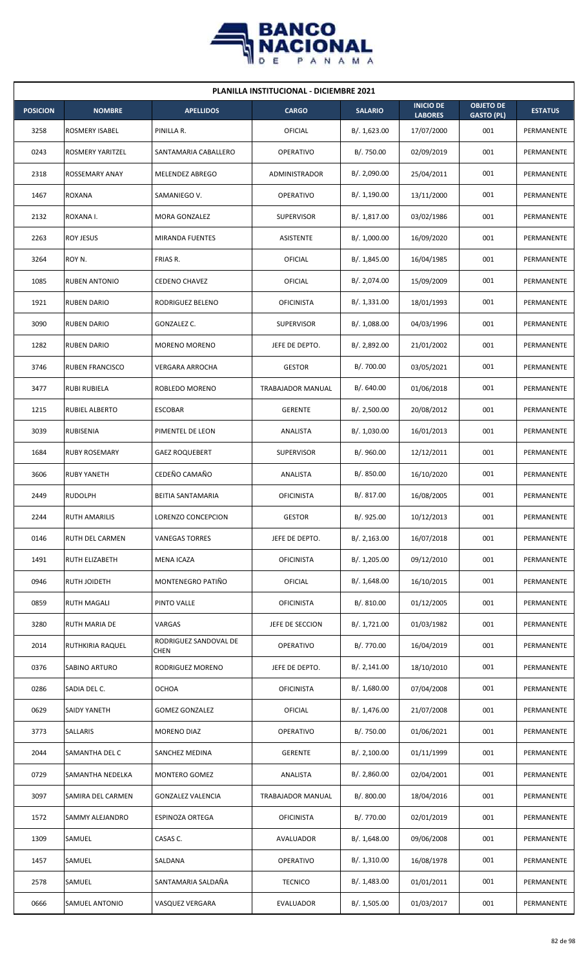

| <b>PLANILLA INSTITUCIONAL - DICIEMBRE 2021</b> |                         |                                      |                   |                |                                    |                                       |                |  |  |
|------------------------------------------------|-------------------------|--------------------------------------|-------------------|----------------|------------------------------------|---------------------------------------|----------------|--|--|
| <b>POSICION</b>                                | <b>NOMBRE</b>           | <b>APELLIDOS</b>                     | <b>CARGO</b>      | <b>SALARIO</b> | <b>INICIO DE</b><br><b>LABORES</b> | <b>OBJETO DE</b><br><b>GASTO (PL)</b> | <b>ESTATUS</b> |  |  |
| 3258                                           | <b>ROSMERY ISABEL</b>   | PINILLA R.                           | OFICIAL           | B/. 1,623.00   | 17/07/2000                         | 001                                   | PERMANENTE     |  |  |
| 0243                                           | <b>ROSMERY YARITZEL</b> | SANTAMARIA CABALLERO                 | <b>OPERATIVO</b>  | B/. 750.00     | 02/09/2019                         | 001                                   | PERMANENTE     |  |  |
| 2318                                           | <b>ROSSEMARY ANAY</b>   | MELENDEZ ABREGO                      | ADMINISTRADOR     | B/. 2,090.00   | 25/04/2011                         | 001                                   | PERMANENTE     |  |  |
| 1467                                           | <b>ROXANA</b>           | SAMANIEGO V.                         | <b>OPERATIVO</b>  | B/. 1,190.00   | 13/11/2000                         | 001                                   | PERMANENTE     |  |  |
| 2132                                           | ROXANA I.               | MORA GONZALEZ                        | <b>SUPERVISOR</b> | B/. 1,817.00   | 03/02/1986                         | 001                                   | PERMANENTE     |  |  |
| 2263                                           | ROY JESUS               | MIRANDA FUENTES                      | ASISTENTE         | B/. 1,000.00   | 16/09/2020                         | 001                                   | PERMANENTE     |  |  |
| 3264                                           | ROY N.                  | FRIAS R.                             | <b>OFICIAL</b>    | B/. 1,845.00   | 16/04/1985                         | 001                                   | PERMANENTE     |  |  |
| 1085                                           | <b>RUBEN ANTONIO</b>    | <b>CEDENO CHAVEZ</b>                 | OFICIAL           | B/. 2,074.00   | 15/09/2009                         | 001                                   | PERMANENTE     |  |  |
| 1921                                           | <b>RUBEN DARIO</b>      | RODRIGUEZ BELENO                     | <b>OFICINISTA</b> | B/. 1,331.00   | 18/01/1993                         | 001                                   | PERMANENTE     |  |  |
| 3090                                           | <b>RUBEN DARIO</b>      | GONZALEZ C.                          | SUPERVISOR        | B/.1,088.00    | 04/03/1996                         | 001                                   | PERMANENTE     |  |  |
| 1282                                           | <b>RUBEN DARIO</b>      | <b>MORENO MORENO</b>                 | JEFE DE DEPTO.    | B/. 2,892.00   | 21/01/2002                         | 001                                   | PERMANENTE     |  |  |
| 3746                                           | <b>RUBEN FRANCISCO</b>  | VERGARA ARROCHA                      | <b>GESTOR</b>     | B/. 700.00     | 03/05/2021                         | 001                                   | PERMANENTE     |  |  |
| 3477                                           | <b>RUBI RUBIELA</b>     | ROBLEDO MORENO                       | TRABAJADOR MANUAL | B/0.640.00     | 01/06/2018                         | 001                                   | PERMANENTE     |  |  |
| 1215                                           | <b>RUBIEL ALBERTO</b>   | <b>ESCOBAR</b>                       | <b>GERENTE</b>    | B/.2,500.00    | 20/08/2012                         | 001                                   | PERMANENTE     |  |  |
| 3039                                           | <b>RUBISENIA</b>        | PIMENTEL DE LEON                     | ANALISTA          | B/. 1,030.00   | 16/01/2013                         | 001                                   | PERMANENTE     |  |  |
| 1684                                           | <b>RUBY ROSEMARY</b>    | <b>GAEZ ROQUEBERT</b>                | <b>SUPERVISOR</b> | B/. 960.00     | 12/12/2011                         | 001                                   | PERMANENTE     |  |  |
| 3606                                           | <b>RUBY YANETH</b>      | CEDEÑO CAMAÑO                        | ANALISTA          | B/. 850.00     | 16/10/2020                         | 001                                   | PERMANENTE     |  |  |
| 2449                                           | <b>RUDOLPH</b>          | <b>BEITIA SANTAMARIA</b>             | <b>OFICINISTA</b> | B/. 817.00     | 16/08/2005                         | 001                                   | PERMANENTE     |  |  |
| 2244                                           | <b>RUTH AMARILIS</b>    | LORENZO CONCEPCION                   | <b>GESTOR</b>     | B/. 925.00     | 10/12/2013                         | 001                                   | PERMANENTE     |  |  |
| 0146                                           | RUTH DEL CARMEN         | <b>VANEGAS TORRES</b>                | JEFE DE DEPTO.    | B/. 2,163.00   | 16/07/2018                         | 001                                   | PERMANENTE     |  |  |
| 1491                                           | <b>RUTH ELIZABETH</b>   | MENA ICAZA                           | <b>OFICINISTA</b> | B/. 1,205.00   | 09/12/2010                         | 001                                   | PERMANENTE     |  |  |
| 0946                                           | <b>RUTH JOIDETH</b>     | MONTENEGRO PATIÑO                    | OFICIAL           | B/.1,648.00    | 16/10/2015                         | 001                                   | PERMANENTE     |  |  |
| 0859                                           | <b>RUTH MAGALI</b>      | PINTO VALLE                          | <b>OFICINISTA</b> | B/. 810.00     | 01/12/2005                         | 001                                   | PERMANENTE     |  |  |
| 3280                                           | RUTH MARIA DE           | VARGAS                               | JEFE DE SECCION   | B/. 1,721.00   | 01/03/1982                         | 001                                   | PERMANENTE     |  |  |
| 2014                                           | RUTHKIRIA RAQUEL        | RODRIGUEZ SANDOVAL DE<br><b>CHEN</b> | <b>OPERATIVO</b>  | B/. 770.00     | 16/04/2019                         | 001                                   | PERMANENTE     |  |  |
| 0376                                           | SABINO ARTURO           | RODRIGUEZ MORENO                     | JEFE DE DEPTO.    | B/.2,141.00    | 18/10/2010                         | 001                                   | PERMANENTE     |  |  |
| 0286                                           | SADIA DEL C.            | <b>OCHOA</b>                         | <b>OFICINISTA</b> | B/.1,680.00    | 07/04/2008                         | 001                                   | PERMANENTE     |  |  |
| 0629                                           | SAIDY YANETH            | <b>GOMEZ GONZALEZ</b>                | <b>OFICIAL</b>    | B/. 1,476.00   | 21/07/2008                         | 001                                   | PERMANENTE     |  |  |
| 3773                                           | SALLARIS                | MORENO DIAZ                          | <b>OPERATIVO</b>  | B/. 750.00     | 01/06/2021                         | 001                                   | PERMANENTE     |  |  |
| 2044                                           | SAMANTHA DEL C          | SANCHEZ MEDINA                       | <b>GERENTE</b>    | B/.2,100.00    | 01/11/1999                         | 001                                   | PERMANENTE     |  |  |
| 0729                                           | SAMANTHA NEDELKA        | MONTERO GOMEZ                        | ANALISTA          | B/. 2,860.00   | 02/04/2001                         | 001                                   | PERMANENTE     |  |  |
| 3097                                           | SAMIRA DEL CARMEN       | <b>GONZALEZ VALENCIA</b>             | TRABAJADOR MANUAL | B/. 800.00     | 18/04/2016                         | 001                                   | PERMANENTE     |  |  |
| 1572                                           | SAMMY ALEJANDRO         | ESPINOZA ORTEGA                      | <b>OFICINISTA</b> | B/. 770.00     | 02/01/2019                         | 001                                   | PERMANENTE     |  |  |
| 1309                                           | SAMUEL                  | CASAS C.                             | AVALUADOR         | B/. 1,648.00   | 09/06/2008                         | 001                                   | PERMANENTE     |  |  |
| 1457                                           | SAMUEL                  | SALDANA                              | OPERATIVO         | B/.1,310.00    | 16/08/1978                         | 001                                   | PERMANENTE     |  |  |
| 2578                                           | SAMUEL                  | SANTAMARIA SALDAÑA                   | <b>TECNICO</b>    | B/.1,483.00    | 01/01/2011                         | 001                                   | PERMANENTE     |  |  |
| 0666                                           | SAMUEL ANTONIO          | VASQUEZ VERGARA                      | EVALUADOR         | B/. 1,505.00   | 01/03/2017                         | 001                                   | PERMANENTE     |  |  |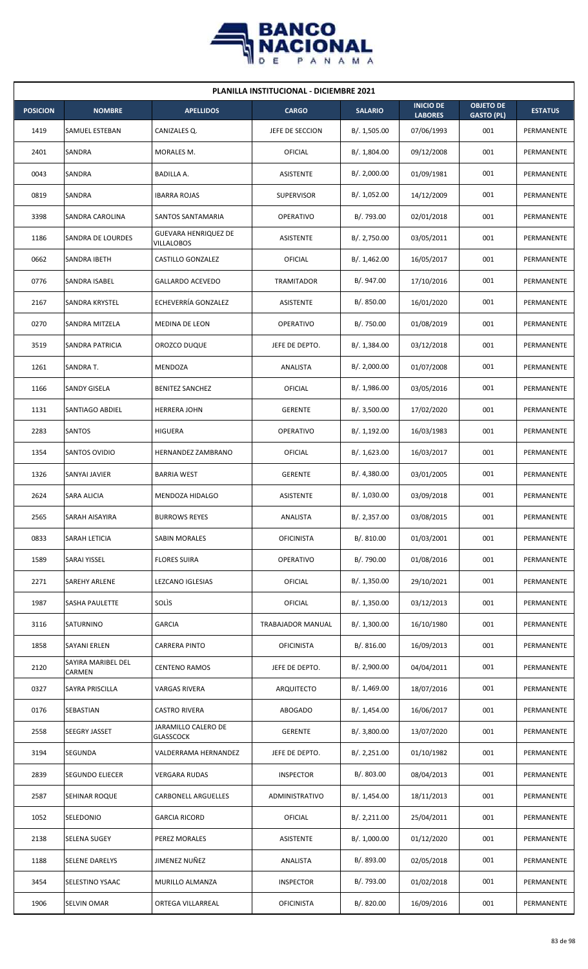

| <b>PLANILLA INSTITUCIONAL - DICIEMBRE 2021</b> |                              |                                           |                   |                |                                    |                                       |                |  |  |  |
|------------------------------------------------|------------------------------|-------------------------------------------|-------------------|----------------|------------------------------------|---------------------------------------|----------------|--|--|--|
| <b>POSICION</b>                                | <b>NOMBRE</b>                | <b>APELLIDOS</b>                          | <b>CARGO</b>      | <b>SALARIO</b> | <b>INICIO DE</b><br><b>LABORES</b> | <b>OBJETO DE</b><br><b>GASTO (PL)</b> | <b>ESTATUS</b> |  |  |  |
| 1419                                           | SAMUEL ESTEBAN               | CANIZALES Q.                              | JEFE DE SECCION   | B/. 1,505.00   | 07/06/1993                         | 001                                   | PERMANENTE     |  |  |  |
| 2401                                           | SANDRA                       | MORALES M.                                | OFICIAL           | B/. 1,804.00   | 09/12/2008                         | 001                                   | PERMANENTE     |  |  |  |
| 0043                                           | SANDRA                       | BADILLA A.                                | ASISTENTE         | B/.2,000.00    | 01/09/1981                         | 001                                   | PERMANENTE     |  |  |  |
| 0819                                           | SANDRA                       | <b>IBARRA ROJAS</b>                       | <b>SUPERVISOR</b> | B/. 1,052.00   | 14/12/2009                         | 001                                   | PERMANENTE     |  |  |  |
| 3398                                           | SANDRA CAROLINA              | SANTOS SANTAMARIA                         | <b>OPERATIVO</b>  | B/. 793.00     | 02/01/2018                         | 001                                   | PERMANENTE     |  |  |  |
| 1186                                           | SANDRA DE LOURDES            | <b>GUEVARA HENRIQUEZ DE</b><br>VILLALOBOS | <b>ASISTENTE</b>  | B/.2,750.00    | 03/05/2011                         | 001                                   | PERMANENTE     |  |  |  |
| 0662                                           | <b>SANDRA IBETH</b>          | CASTILLO GONZALEZ                         | OFICIAL           | B/. 1,462.00   | 16/05/2017                         | 001                                   | PERMANENTE     |  |  |  |
| 0776                                           | SANDRA ISABEL                | <b>GALLARDO ACEVEDO</b>                   | <b>TRAMITADOR</b> | B/. 947.00     | 17/10/2016                         | 001                                   | PERMANENTE     |  |  |  |
| 2167                                           | SANDRA KRYSTEL               | ECHEVERRÍA GONZALEZ                       | ASISTENTE         | B/.850.00      | 16/01/2020                         | 001                                   | PERMANENTE     |  |  |  |
| 0270                                           | SANDRA MITZELA               | MEDINA DE LEON                            | <b>OPERATIVO</b>  | B/. 750.00     | 01/08/2019                         | 001                                   | PERMANENTE     |  |  |  |
| 3519                                           | <b>SANDRA PATRICIA</b>       | OROZCO DUQUE                              | JEFE DE DEPTO.    | B/.1,384.00    | 03/12/2018                         | 001                                   | PERMANENTE     |  |  |  |
| 1261                                           | SANDRA T.                    | MENDOZA                                   | ANALISTA          | B/. 2,000.00   | 01/07/2008                         | 001                                   | PERMANENTE     |  |  |  |
| 1166                                           | SANDY GISELA                 | <b>BENITEZ SANCHEZ</b>                    | OFICIAL           | B/. 1,986.00   | 03/05/2016                         | 001                                   | PERMANENTE     |  |  |  |
| 1131                                           | SANTIAGO ABDIEL              | <b>HERRERA JOHN</b>                       | <b>GERENTE</b>    | B/. 3,500.00   | 17/02/2020                         | 001                                   | PERMANENTE     |  |  |  |
| 2283                                           | <b>SANTOS</b>                | <b>HIGUERA</b>                            | <b>OPERATIVO</b>  | B/.1,192.00    | 16/03/1983                         | 001                                   | PERMANENTE     |  |  |  |
| 1354                                           | SANTOS OVIDIO                | <b>HERNANDEZ ZAMBRANO</b>                 | OFICIAL           | B/. 1,623.00   | 16/03/2017                         | 001                                   | PERMANENTE     |  |  |  |
| 1326                                           | SANYAI JAVIER                | <b>BARRIA WEST</b>                        | <b>GERENTE</b>    | B/. 4,380.00   | 03/01/2005                         | 001                                   | PERMANENTE     |  |  |  |
| 2624                                           | SARA ALICIA                  | MENDOZA HIDALGO                           | ASISTENTE         | B/. 1,030.00   | 03/09/2018                         | 001                                   | PERMANENTE     |  |  |  |
| 2565                                           | SARAH AISAYIRA               | <b>BURROWS REYES</b>                      | ANALISTA          | B/. 2,357.00   | 03/08/2015                         | 001                                   | PERMANENTE     |  |  |  |
| 0833                                           | SARAH LETICIA                | SABIN MORALES                             | <b>OFICINISTA</b> | B/. 810.00     | 01/03/2001                         | 001                                   | PERMANENTE     |  |  |  |
| 1589                                           | SARAI YISSEL                 | <b>FLORES SUIRA</b>                       | OPERATIVO         | B/. 790.00     | 01/08/2016                         | 001                                   | PERMANENTE     |  |  |  |
| 2271                                           | SAREHY ARLENE                | LEZCANO IGLESIAS                          | OFICIAL           | B/. 1,350.00   | 29/10/2021                         | 001                                   | PERMANENTE     |  |  |  |
| 1987                                           | <b>SASHA PAULETTE</b>        | SOLIS                                     | OFICIAL           | B/. 1,350.00   | 03/12/2013                         | 001                                   | PERMANENTE     |  |  |  |
| 3116                                           | SATURNINO                    | GARCIA                                    | TRABAJADOR MANUAL | B/. 1,300.00   | 16/10/1980                         | 001                                   | PERMANENTE     |  |  |  |
| 1858                                           | <b>SAYANI ERLEN</b>          | <b>CARRERA PINTO</b>                      | <b>OFICINISTA</b> | B/. 816.00     | 16/09/2013                         | 001                                   | PERMANENTE     |  |  |  |
| 2120                                           | SAYIRA MARIBEL DEL<br>CARMEN | <b>CENTENO RAMOS</b>                      | JEFE DE DEPTO.    | B/. 2,900.00   | 04/04/2011                         | 001                                   | PERMANENTE     |  |  |  |
| 0327                                           | SAYRA PRISCILLA              | VARGAS RIVERA                             | ARQUITECTO        | B/. 1,469.00   | 18/07/2016                         | 001                                   | PERMANENTE     |  |  |  |
| 0176                                           | SEBASTIAN                    | <b>CASTRO RIVERA</b>                      | ABOGADO           | B/.1,454.00    | 16/06/2017                         | 001                                   | PERMANENTE     |  |  |  |
| 2558                                           | SEEGRY JASSET                | JARAMILLO CALERO DE<br><b>GLASSCOCK</b>   | <b>GERENTE</b>    | B/. 3,800.00   | 13/07/2020                         | 001                                   | PERMANENTE     |  |  |  |
| 3194                                           | SEGUNDA                      | VALDERRAMA HERNANDEZ                      | JEFE DE DEPTO.    | B/. 2,251.00   | 01/10/1982                         | 001                                   | PERMANENTE     |  |  |  |
| 2839                                           | SEGUNDO ELIECER              | <b>VERGARA RUDAS</b>                      | <b>INSPECTOR</b>  | B/. 803.00     | 08/04/2013                         | 001                                   | PERMANENTE     |  |  |  |
| 2587                                           | SEHINAR ROQUE                | CARBONELL ARGUELLES                       | ADMINISTRATIVO    | B/.1,454.00    | 18/11/2013                         | 001                                   | PERMANENTE     |  |  |  |
| 1052                                           | SELEDONIO                    | <b>GARCIA RICORD</b>                      | OFICIAL           | B/.2,211.00    | 25/04/2011                         | 001                                   | PERMANENTE     |  |  |  |
| 2138                                           | SELENA SUGEY                 | PEREZ MORALES                             | ASISTENTE         | B/. 1,000.00   | 01/12/2020                         | 001                                   | PERMANENTE     |  |  |  |
| 1188                                           | <b>SELENE DARELYS</b>        | JIMENEZ NUÑEZ                             | ANALISTA          | B/. 893.00     | 02/05/2018                         | 001                                   | PERMANENTE     |  |  |  |
| 3454                                           | SELESTINO YSAAC              | MURILLO ALMANZA                           | <b>INSPECTOR</b>  | B/. 793.00     | 01/02/2018                         | 001                                   | PERMANENTE     |  |  |  |
| 1906                                           | SELVIN OMAR                  | ORTEGA VILLARREAL                         | <b>OFICINISTA</b> | B/. 820.00     | 16/09/2016                         | 001                                   | PERMANENTE     |  |  |  |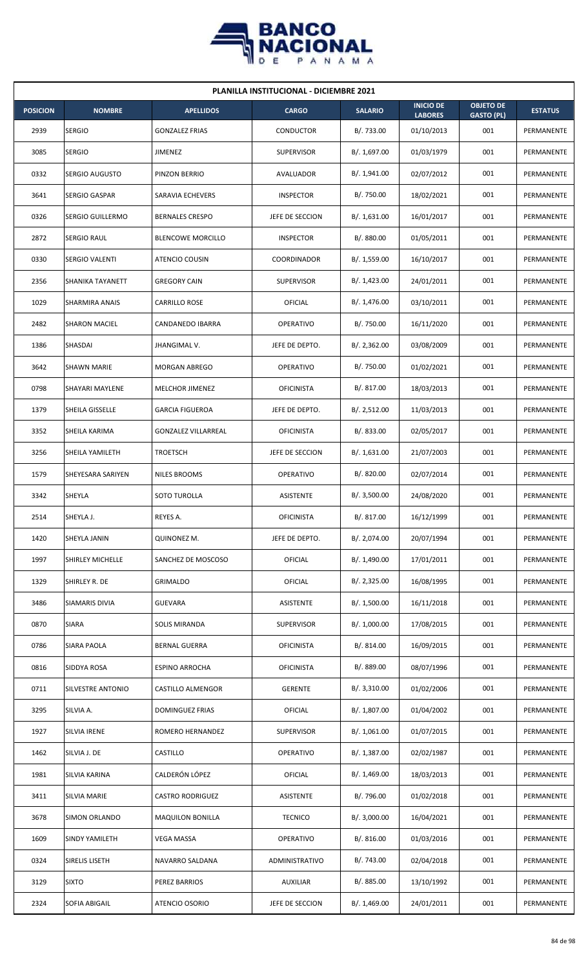

| <b>PLANILLA INSTITUCIONAL - DICIEMBRE 2021</b> |                       |                            |                   |                |                                    |                                       |                |  |  |  |
|------------------------------------------------|-----------------------|----------------------------|-------------------|----------------|------------------------------------|---------------------------------------|----------------|--|--|--|
| <b>POSICION</b>                                | <b>NOMBRE</b>         | <b>APELLIDOS</b>           | <b>CARGO</b>      | <b>SALARIO</b> | <b>INICIO DE</b><br><b>LABORES</b> | <b>OBJETO DE</b><br><b>GASTO (PL)</b> | <b>ESTATUS</b> |  |  |  |
| 2939                                           | <b>SERGIO</b>         | <b>GONZALEZ FRIAS</b>      | CONDUCTOR         | B/. 733.00     | 01/10/2013                         | 001                                   | PERMANENTE     |  |  |  |
| 3085                                           | <b>SERGIO</b>         | JIMENEZ                    | <b>SUPERVISOR</b> | B/. 1,697.00   | 01/03/1979                         | 001                                   | PERMANENTE     |  |  |  |
| 0332                                           | SERGIO AUGUSTO        | PINZON BERRIO              | AVALUADOR         | B/. 1,941.00   | 02/07/2012                         | 001                                   | PERMANENTE     |  |  |  |
| 3641                                           | <b>SERGIO GASPAR</b>  | SARAVIA ECHEVERS           | <b>INSPECTOR</b>  | B/. 750.00     | 18/02/2021                         | 001                                   | PERMANENTE     |  |  |  |
| 0326                                           | SERGIO GUILLERMO      | <b>BERNALES CRESPO</b>     | JEFE DE SECCION   | B/. 1,631.00   | 16/01/2017                         | 001                                   | PERMANENTE     |  |  |  |
| 2872                                           | <b>SERGIO RAUL</b>    | <b>BLENCOWE MORCILLO</b>   | <b>INSPECTOR</b>  | B/. 880.00     | 01/05/2011                         | 001                                   | PERMANENTE     |  |  |  |
| 0330                                           | <b>SERGIO VALENTI</b> | ATENCIO COUSIN             | COORDINADOR       | B/. 1,559.00   | 16/10/2017                         | 001                                   | PERMANENTE     |  |  |  |
| 2356                                           | SHANIKA TAYANETT      | <b>GREGORY CAIN</b>        | <b>SUPERVISOR</b> | B/.1,423.00    | 24/01/2011                         | 001                                   | PERMANENTE     |  |  |  |
| 1029                                           | SHARMIRA ANAIS        | <b>CARRILLO ROSE</b>       | OFICIAL           | B/. 1,476.00   | 03/10/2011                         | 001                                   | PERMANENTE     |  |  |  |
| 2482                                           | <b>SHARON MACIEL</b>  | CANDANEDO IBARRA           | <b>OPERATIVO</b>  | B/. 750.00     | 16/11/2020                         | 001                                   | PERMANENTE     |  |  |  |
| 1386                                           | SHASDAI               | JHANGIMAL V.               | JEFE DE DEPTO.    | B/.2,362.00    | 03/08/2009                         | 001                                   | PERMANENTE     |  |  |  |
| 3642                                           | <b>SHAWN MARIE</b>    | MORGAN ABREGO              | <b>OPERATIVO</b>  | B/. 750.00     | 01/02/2021                         | 001                                   | PERMANENTE     |  |  |  |
| 0798                                           | SHAYARI MAYLENE       | MELCHOR JIMENEZ            | <b>OFICINISTA</b> | B/. 817.00     | 18/03/2013                         | 001                                   | PERMANENTE     |  |  |  |
| 1379                                           | SHEILA GISSELLE       | <b>GARCIA FIGUEROA</b>     | JEFE DE DEPTO.    | B/.2,512.00    | 11/03/2013                         | 001                                   | PERMANENTE     |  |  |  |
| 3352                                           | SHEILA KARIMA         | <b>GONZALEZ VILLARREAL</b> | <b>OFICINISTA</b> | B/. 833.00     | 02/05/2017                         | 001                                   | PERMANENTE     |  |  |  |
| 3256                                           | SHEILA YAMILETH       | <b>TROETSCH</b>            | JEFE DE SECCION   | B/.1,631.00    | 21/07/2003                         | 001                                   | PERMANENTE     |  |  |  |
| 1579                                           | SHEYESARA SARIYEN     | <b>NILES BROOMS</b>        | <b>OPERATIVO</b>  | B/0.820.00     | 02/07/2014                         | 001                                   | PERMANENTE     |  |  |  |
| 3342                                           | SHEYLA                | SOTO TUROLLA               | ASISTENTE         | B/.3,500.00    | 24/08/2020                         | 001                                   | PERMANENTE     |  |  |  |
| 2514                                           | SHEYLA J.             | REYES A.                   | <b>OFICINISTA</b> | B/. 817.00     | 16/12/1999                         | 001                                   | PERMANENTE     |  |  |  |
| 1420                                           | SHEYLA JANIN          | QUINONEZ M.                | JEFE DE DEPTO.    | B/. 2,074.00   | 20/07/1994                         | 001                                   | PERMANENTE     |  |  |  |
| 1997                                           | SHIRLEY MICHELLE      | SANCHEZ DE MOSCOSO         | OFICIAL           | B/. 1,490.00   | 17/01/2011                         | 001                                   | PERMANENTE     |  |  |  |
| 1329                                           | SHIRLEY R. DE         | <b>GRIMALDO</b>            | OFICIAL           | B/.2,325.00    | 16/08/1995                         | 001                                   | PERMANENTE     |  |  |  |
| 3486                                           | SIAMARIS DIVIA        | <b>GUEVARA</b>             | ASISTENTE         | B/. 1,500.00   | 16/11/2018                         | 001                                   | PERMANENTE     |  |  |  |
| 0870                                           | <b>SIARA</b>          | <b>SOLIS MIRANDA</b>       | <b>SUPERVISOR</b> | B/. 1,000.00   | 17/08/2015                         | 001                                   | PERMANENTE     |  |  |  |
| 0786                                           | SIARA PAOLA           | <b>BERNAL GUERRA</b>       | <b>OFICINISTA</b> | B/. 814.00     | 16/09/2015                         | 001                                   | PERMANENTE     |  |  |  |
| 0816                                           | SIDDYA ROSA           | <b>ESPINO ARROCHA</b>      | <b>OFICINISTA</b> | B/. 889.00     | 08/07/1996                         | 001                                   | PERMANENTE     |  |  |  |
| 0711                                           | SILVESTRE ANTONIO     | CASTILLO ALMENGOR          | <b>GERENTE</b>    | B/.3,310.00    | 01/02/2006                         | 001                                   | PERMANENTE     |  |  |  |
| 3295                                           | SILVIA A.             | DOMINGUEZ FRIAS            | OFICIAL           | B/. 1,807.00   | 01/04/2002                         | 001                                   | PERMANENTE     |  |  |  |
| 1927                                           | SILVIA IRENE          | ROMERO HERNANDEZ           | SUPERVISOR        | B/. 1,061.00   | 01/07/2015                         | 001                                   | PERMANENTE     |  |  |  |
| 1462                                           | SILVIA J. DE          | CASTILLO                   | OPERATIVO         | B/. 1,387.00   | 02/02/1987                         | 001                                   | PERMANENTE     |  |  |  |
| 1981                                           | SILVIA KARINA         | CALDERÓN LÓPEZ             | OFICIAL           | B/. 1,469.00   | 18/03/2013                         | 001                                   | PERMANENTE     |  |  |  |
| 3411                                           | SILVIA MARIE          | <b>CASTRO RODRIGUEZ</b>    | ASISTENTE         | B/. 796.00     | 01/02/2018                         | 001                                   | PERMANENTE     |  |  |  |
| 3678                                           | SIMON ORLANDO         | <b>MAQUILON BONILLA</b>    | <b>TECNICO</b>    | B/.3,000.00    | 16/04/2021                         | 001                                   | PERMANENTE     |  |  |  |
| 1609                                           | SINDY YAMILETH        | VEGA MASSA                 | OPERATIVO         | B/.816.00      | 01/03/2016                         | 001                                   | PERMANENTE     |  |  |  |
| 0324                                           | SIRELIS LISETH        | NAVARRO SALDANA            | ADMINISTRATIVO    | B/.743.00      | 02/04/2018                         | 001                                   | PERMANENTE     |  |  |  |
| 3129                                           | <b>SIXTO</b>          | PEREZ BARRIOS              | AUXILIAR          | B/. 885.00     | 13/10/1992                         | 001                                   | PERMANENTE     |  |  |  |
| 2324                                           | SOFIA ABIGAIL         | ATENCIO OSORIO             | JEFE DE SECCION   | B/. 1,469.00   | 24/01/2011                         | 001                                   | PERMANENTE     |  |  |  |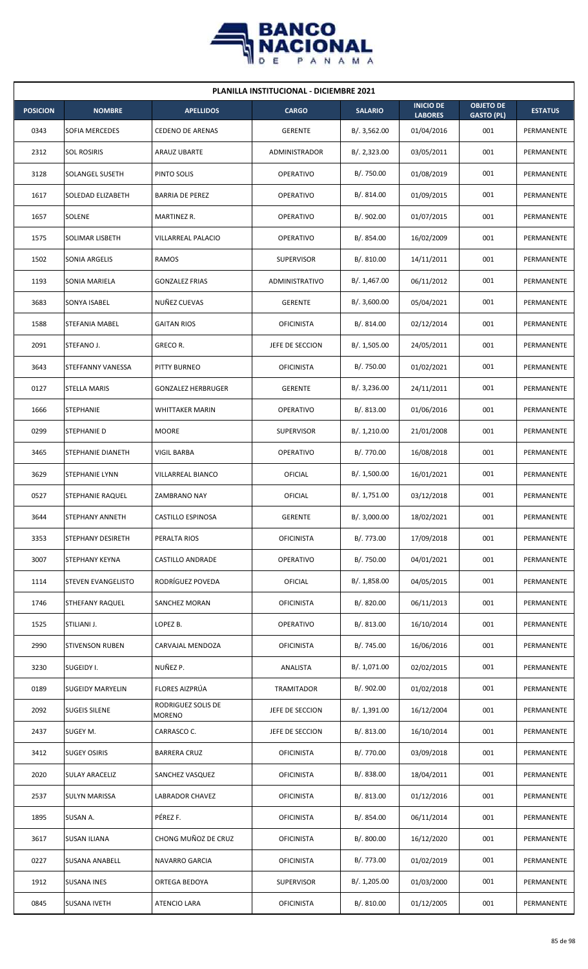

| <b>PLANILLA INSTITUCIONAL - DICIEMBRE 2021</b> |                        |                                     |                   |                |                                    |                                       |                |  |  |  |
|------------------------------------------------|------------------------|-------------------------------------|-------------------|----------------|------------------------------------|---------------------------------------|----------------|--|--|--|
| <b>POSICION</b>                                | <b>NOMBRE</b>          | <b>APELLIDOS</b>                    | <b>CARGO</b>      | <b>SALARIO</b> | <b>INICIO DE</b><br><b>LABORES</b> | <b>OBJETO DE</b><br><b>GASTO (PL)</b> | <b>ESTATUS</b> |  |  |  |
| 0343                                           | <b>SOFIA MERCEDES</b>  | <b>CEDENO DE ARENAS</b>             | <b>GERENTE</b>    | B/.3,562.00    | 01/04/2016                         | 001                                   | PERMANENTE     |  |  |  |
| 2312                                           | <b>SOL ROSIRIS</b>     | ARAUZ UBARTE                        | ADMINISTRADOR     | B/.2,323.00    | 03/05/2011                         | 001                                   | PERMANENTE     |  |  |  |
| 3128                                           | <b>SOLANGEL SUSETH</b> | PINTO SOLIS                         | <b>OPERATIVO</b>  | B/. 750.00     | 01/08/2019                         | 001                                   | PERMANENTE     |  |  |  |
| 1617                                           | SOLEDAD ELIZABETH      | <b>BARRIA DE PEREZ</b>              | <b>OPERATIVO</b>  | B/. 814.00     | 01/09/2015                         | 001                                   | PERMANENTE     |  |  |  |
| 1657                                           | SOLENE                 | MARTINEZ R.                         | <b>OPERATIVO</b>  | B/. 902.00     | 01/07/2015                         | 001                                   | PERMANENTE     |  |  |  |
| 1575                                           | SOLIMAR LISBETH        | VILLARREAL PALACIO                  | <b>OPERATIVO</b>  | B/. 854.00     | 16/02/2009                         | 001                                   | PERMANENTE     |  |  |  |
| 1502                                           | SONIA ARGELIS          | RAMOS                               | <b>SUPERVISOR</b> | B/.810.00      | 14/11/2011                         | 001                                   | PERMANENTE     |  |  |  |
| 1193                                           | SONIA MARIELA          | <b>GONZALEZ FRIAS</b>               | ADMINISTRATIVO    | B/. 1,467.00   | 06/11/2012                         | 001                                   | PERMANENTE     |  |  |  |
| 3683                                           | SONYA ISABEL           | NUÑEZ CUEVAS                        | <b>GERENTE</b>    | B/.3,600.00    | 05/04/2021                         | 001                                   | PERMANENTE     |  |  |  |
| 1588                                           | STEFANIA MABEL         | <b>GAITAN RIOS</b>                  | <b>OFICINISTA</b> | B/. 814.00     | 02/12/2014                         | 001                                   | PERMANENTE     |  |  |  |
| 2091                                           | STEFANO J.             | GRECO R.                            | JEFE DE SECCION   | B/. 1,505.00   | 24/05/2011                         | 001                                   | PERMANENTE     |  |  |  |
| 3643                                           | STEFFANNY VANESSA      | PITTY BURNEO                        | <b>OFICINISTA</b> | B/. 750.00     | 01/02/2021                         | 001                                   | PERMANENTE     |  |  |  |
| 0127                                           | STELLA MARIS           | <b>GONZALEZ HERBRUGER</b>           | <b>GERENTE</b>    | B/.3,236.00    | 24/11/2011                         | 001                                   | PERMANENTE     |  |  |  |
| 1666                                           | <b>STEPHANIE</b>       | <b>WHITTAKER MARIN</b>              | <b>OPERATIVO</b>  | B/.813.00      | 01/06/2016                         | 001                                   | PERMANENTE     |  |  |  |
| 0299                                           | <b>STEPHANIE D</b>     | <b>MOORE</b>                        | <b>SUPERVISOR</b> | B/. 1,210.00   | 21/01/2008                         | 001                                   | PERMANENTE     |  |  |  |
| 3465                                           | STEPHANIE DIANETH      | VIGIL BARBA                         | <b>OPERATIVO</b>  | B/. 770.00     | 16/08/2018                         | 001                                   | PERMANENTE     |  |  |  |
| 3629                                           | STEPHANIE LYNN         | VILLARREAL BIANCO                   | OFICIAL           | B/. 1,500.00   | 16/01/2021                         | 001                                   | PERMANENTE     |  |  |  |
| 0527                                           | STEPHANIE RAQUEL       | <b>ZAMBRANO NAY</b>                 | OFICIAL           | B/. 1,751.00   | 03/12/2018                         | 001                                   | PERMANENTE     |  |  |  |
| 3644                                           | <b>STEPHANY ANNETH</b> | CASTILLO ESPINOSA                   | GERENTE           | B/. 3,000.00   | 18/02/2021                         | 001                                   | PERMANENTE     |  |  |  |
| 3353                                           | STEPHANY DESIRETH      | PERALTA RIOS                        | <b>OFICINISTA</b> | B/. 773.00     | 17/09/2018                         | 001                                   | PERMANENTE     |  |  |  |
| 3007                                           | STEPHANY KEYNA         | <b>CASTILLO ANDRADE</b>             | <b>OPERATIVO</b>  | B/. 750.00     | 04/01/2021                         | 001                                   | PERMANENTE     |  |  |  |
| 1114                                           | STEVEN EVANGELISTO     | RODRÍGUEZ POVEDA                    | <b>OFICIAL</b>    | B/. 1,858.00   | 04/05/2015                         | 001                                   | PERMANENTE     |  |  |  |
| 1746                                           | STHEFANY RAQUEL        | SANCHEZ MORAN                       | <b>OFICINISTA</b> | B/. 820.00     | 06/11/2013                         | 001                                   | PERMANENTE     |  |  |  |
| 1525                                           | STILIANI J.            | LOPEZ B.                            | <b>OPERATIVO</b>  | B/. 813.00     | 16/10/2014                         | 001                                   | PERMANENTE     |  |  |  |
| 2990                                           | <b>STIVENSON RUBEN</b> | CARVAJAL MENDOZA                    | <b>OFICINISTA</b> | B/. 745.00     | 16/06/2016                         | 001                                   | PERMANENTE     |  |  |  |
| 3230                                           | SUGEIDY I.             | NUÑEZ P.                            | ANALISTA          | B/. 1,071.00   | 02/02/2015                         | 001                                   | PERMANENTE     |  |  |  |
| 0189                                           | SUGEIDY MARYELIN       | FLORES AIZPRÚA                      | TRAMITADOR        | B/. 902.00     | 01/02/2018                         | 001                                   | PERMANENTE     |  |  |  |
| 2092                                           | <b>SUGEIS SILENE</b>   | RODRIGUEZ SOLIS DE<br><b>MORENO</b> | JEFE DE SECCION   | B/. 1,391.00   | 16/12/2004                         | 001                                   | PERMANENTE     |  |  |  |
| 2437                                           | SUGEY M.               | CARRASCO C.                         | JEFE DE SECCION   | B/. 813.00     | 16/10/2014                         | 001                                   | PERMANENTE     |  |  |  |
| 3412                                           | <b>SUGEY OSIRIS</b>    | <b>BARRERA CRUZ</b>                 | <b>OFICINISTA</b> | B/. 770.00     | 03/09/2018                         | 001                                   | PERMANENTE     |  |  |  |
| 2020                                           | <b>SULAY ARACELIZ</b>  | SANCHEZ VASQUEZ                     | <b>OFICINISTA</b> | B/. 838.00     | 18/04/2011                         | 001                                   | PERMANENTE     |  |  |  |
| 2537                                           | <b>SULYN MARISSA</b>   | LABRADOR CHAVEZ                     | <b>OFICINISTA</b> | B/.813.00      | 01/12/2016                         | 001                                   | PERMANENTE     |  |  |  |
| 1895                                           | SUSAN A.               | PÉREZ F.                            | <b>OFICINISTA</b> | B/. 854.00     | 06/11/2014                         | 001                                   | PERMANENTE     |  |  |  |
| 3617                                           | SUSAN ILIANA           | CHONG MUÑOZ DE CRUZ                 | <b>OFICINISTA</b> | B/. 800.00     | 16/12/2020                         | 001                                   | PERMANENTE     |  |  |  |
| 0227                                           | SUSANA ANABELL         | NAVARRO GARCIA                      | <b>OFICINISTA</b> | B/. 773.00     | 01/02/2019                         | 001                                   | PERMANENTE     |  |  |  |
| 1912                                           | <b>SUSANA INES</b>     | ORTEGA BEDOYA                       | SUPERVISOR        | B/. 1,205.00   | 01/03/2000                         | 001                                   | PERMANENTE     |  |  |  |
| 0845                                           | <b>SUSANA IVETH</b>    | ATENCIO LARA                        | <b>OFICINISTA</b> | B/. 810.00     | 01/12/2005                         | 001                                   | PERMANENTE     |  |  |  |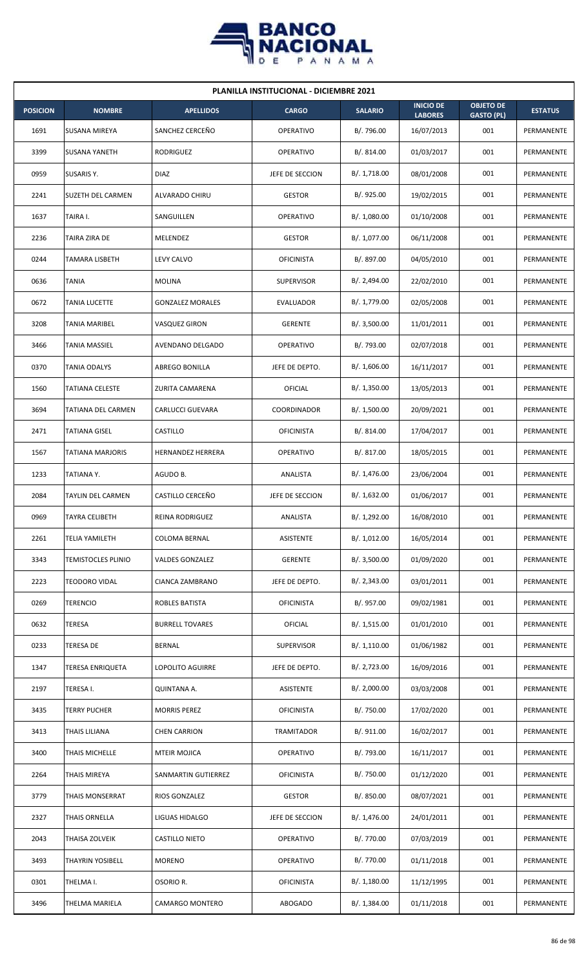

| <b>PLANILLA INSTITUCIONAL - DICIEMBRE 2021</b> |                           |                         |                   |                |                                    |                                       |                |  |  |
|------------------------------------------------|---------------------------|-------------------------|-------------------|----------------|------------------------------------|---------------------------------------|----------------|--|--|
| <b>POSICION</b>                                | <b>NOMBRE</b>             | <b>APELLIDOS</b>        | <b>CARGO</b>      | <b>SALARIO</b> | <b>INICIO DE</b><br><b>LABORES</b> | <b>OBJETO DE</b><br><b>GASTO (PL)</b> | <b>ESTATUS</b> |  |  |
| 1691                                           | <b>SUSANA MIREYA</b>      | SANCHEZ CERCEÑO         | <b>OPERATIVO</b>  | B/. 796.00     | 16/07/2013                         | 001                                   | PERMANENTE     |  |  |
| 3399                                           | <b>SUSANA YANETH</b>      | <b>RODRIGUEZ</b>        | <b>OPERATIVO</b>  | B/. 814.00     | 01/03/2017                         | 001                                   | PERMANENTE     |  |  |
| 0959                                           | SUSARIS Y.                | <b>DIAZ</b>             | JEFE DE SECCION   | B/. 1,718.00   | 08/01/2008                         | 001                                   | PERMANENTE     |  |  |
| 2241                                           | <b>SUZETH DEL CARMEN</b>  | ALVARADO CHIRU          | <b>GESTOR</b>     | B/. 925.00     | 19/02/2015                         | 001                                   | PERMANENTE     |  |  |
| 1637                                           | TAIRA I.                  | SANGUILLEN              | OPERATIVO         | B/. 1,080.00   | 01/10/2008                         | 001                                   | PERMANENTE     |  |  |
| 2236                                           | TAIRA ZIRA DE             | MELENDEZ                | <b>GESTOR</b>     | B/. 1,077.00   | 06/11/2008                         | 001                                   | PERMANENTE     |  |  |
| 0244                                           | TAMARA LISBETH            | LEVY CALVO              | <b>OFICINISTA</b> | B/. 897.00     | 04/05/2010                         | 001                                   | PERMANENTE     |  |  |
| 0636                                           | <b>TANIA</b>              | <b>MOLINA</b>           | <b>SUPERVISOR</b> | B/. 2,494.00   | 22/02/2010                         | 001                                   | PERMANENTE     |  |  |
| 0672                                           | <b>TANIA LUCETTE</b>      | <b>GONZALEZ MORALES</b> | <b>EVALUADOR</b>  | B/. 1,779.00   | 02/05/2008                         | 001                                   | PERMANENTE     |  |  |
| 3208                                           | TANIA MARIBEL             | VASQUEZ GIRON           | <b>GERENTE</b>    | B/.3,500.00    | 11/01/2011                         | 001                                   | PERMANENTE     |  |  |
| 3466                                           | <b>TANIA MASSIEL</b>      | AVENDANO DELGADO        | <b>OPERATIVO</b>  | B/.793.00      | 02/07/2018                         | 001                                   | PERMANENTE     |  |  |
| 0370                                           | TANIA ODALYS              | <b>ABREGO BONILLA</b>   | JEFE DE DEPTO.    | B/.1,606.00    | 16/11/2017                         | 001                                   | PERMANENTE     |  |  |
| 1560                                           | <b>TATIANA CELESTE</b>    | ZURITA CAMARENA         | OFICIAL           | B/.1,350.00    | 13/05/2013                         | 001                                   | PERMANENTE     |  |  |
| 3694                                           | TATIANA DEL CARMEN        | CARLUCCI GUEVARA        | COORDINADOR       | B/. 1,500.00   | 20/09/2021                         | 001                                   | PERMANENTE     |  |  |
| 2471                                           | <b>TATIANA GISEL</b>      | CASTILLO                | <b>OFICINISTA</b> | B/. 814.00     | 17/04/2017                         | 001                                   | PERMANENTE     |  |  |
| 1567                                           | <b>TATIANA MARJORIS</b>   | HERNANDEZ HERRERA       | <b>OPERATIVO</b>  | B/. 817.00     | 18/05/2015                         | 001                                   | PERMANENTE     |  |  |
| 1233                                           | TATIANA Y.                | AGUDO B.                | ANALISTA          | B/. 1,476.00   | 23/06/2004                         | 001                                   | PERMANENTE     |  |  |
| 2084                                           | <b>TAYLIN DEL CARMEN</b>  | CASTILLO CERCEÑO        | JEFE DE SECCION   | B/. 1,632.00   | 01/06/2017                         | 001                                   | PERMANENTE     |  |  |
| 0969                                           | <b>TAYRA CELIBETH</b>     | <b>REINA RODRIGUEZ</b>  | ANALISTA          | B/. 1,292.00   | 16/08/2010                         | 001                                   | PERMANENTE     |  |  |
| 2261                                           | <b>TELIA YAMILETH</b>     | COLOMA BERNAL           | <b>ASISTENTE</b>  | B/. 1,012.00   | 16/05/2014                         | 001                                   | PERMANENTE     |  |  |
| 3343                                           | <b>TEMISTOCLES PLINIO</b> | <b>VALDES GONZALEZ</b>  | <b>GERENTE</b>    | B/.3,500.00    | 01/09/2020                         | 001                                   | PERMANENTE     |  |  |
| 2223                                           | TEODORO VIDAL             | CIANCA ZAMBRANO         | JEFE DE DEPTO.    | B/.2,343.00    | 03/01/2011                         | 001                                   | PERMANENTE     |  |  |
| 0269                                           | <b>TERENCIO</b>           | ROBLES BATISTA          | <b>OFICINISTA</b> | B/. 957.00     | 09/02/1981                         | 001                                   | PERMANENTE     |  |  |
| 0632                                           | <b>TERESA</b>             | <b>BURRELL TOVARES</b>  | <b>OFICIAL</b>    | B/. 1,515.00   | 01/01/2010                         | 001                                   | PERMANENTE     |  |  |
| 0233                                           | TERESA DE                 | <b>BERNAL</b>           | <b>SUPERVISOR</b> | B/. 1,110.00   | 01/06/1982                         | 001                                   | PERMANENTE     |  |  |
| 1347                                           | <b>TERESA ENRIQUETA</b>   | <b>LOPOLITO AGUIRRE</b> | JEFE DE DEPTO.    | B/.2,723.00    | 16/09/2016                         | 001                                   | PERMANENTE     |  |  |
| 2197                                           | TERESA I.                 | QUINTANA A.             | <b>ASISTENTE</b>  | B/.2,000.00    | 03/03/2008                         | 001                                   | PERMANENTE     |  |  |
| 3435                                           | <b>TERRY PUCHER</b>       | <b>MORRIS PEREZ</b>     | <b>OFICINISTA</b> | B/. 750.00     | 17/02/2020                         | 001                                   | PERMANENTE     |  |  |
| 3413                                           | THAIS LILIANA             | <b>CHEN CARRION</b>     | TRAMITADOR        | B/. 911.00     | 16/02/2017                         | 001                                   | PERMANENTE     |  |  |
| 3400                                           | THAIS MICHELLE            | MTEIR MOJICA            | OPERATIVO         | B/. 793.00     | 16/11/2017                         | 001                                   | PERMANENTE     |  |  |
| 2264                                           | THAIS MIREYA              | SANMARTIN GUTIERREZ     | <b>OFICINISTA</b> | B/. 750.00     | 01/12/2020                         | 001                                   | PERMANENTE     |  |  |
| 3779                                           | <b>THAIS MONSERRAT</b>    | RIOS GONZALEZ           | <b>GESTOR</b>     | B/. 850.00     | 08/07/2021                         | 001                                   | PERMANENTE     |  |  |
| 2327                                           | <b>THAIS ORNELLA</b>      | LIGUAS HIDALGO          | JEFE DE SECCION   | B/. 1,476.00   | 24/01/2011                         | 001                                   | PERMANENTE     |  |  |
| 2043                                           | THAISA ZOLVEIK            | <b>CASTILLO NIETO</b>   | <b>OPERATIVO</b>  | B/. 770.00     | 07/03/2019                         | 001                                   | PERMANENTE     |  |  |
| 3493                                           | <b>THAYRIN YOSIBELL</b>   | <b>MORENO</b>           | OPERATIVO         | B/. 770.00     | 01/11/2018                         | 001                                   | PERMANENTE     |  |  |
| 0301                                           | THELMA I.                 | OSORIO R.               | <b>OFICINISTA</b> | B/.1,180.00    | 11/12/1995                         | 001                                   | PERMANENTE     |  |  |
| 3496                                           | THELMA MARIELA            | CAMARGO MONTERO         | ABOGADO           | B/. 1,384.00   | 01/11/2018                         | 001                                   | PERMANENTE     |  |  |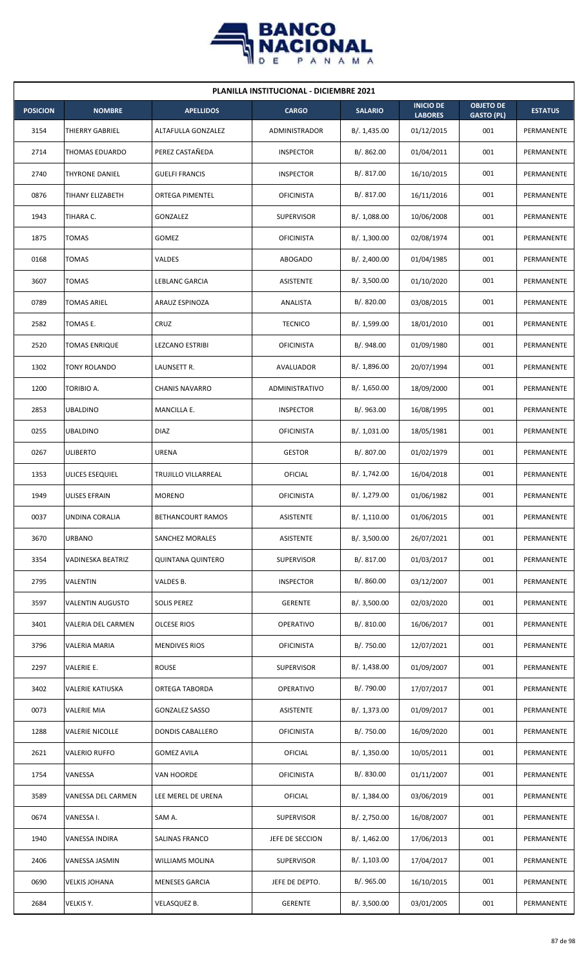

| <b>PLANILLA INSTITUCIONAL - DICIEMBRE 2021</b> |                         |                          |                      |                |                                    |                                       |                |  |  |  |
|------------------------------------------------|-------------------------|--------------------------|----------------------|----------------|------------------------------------|---------------------------------------|----------------|--|--|--|
| <b>POSICION</b>                                | <b>NOMBRE</b>           | <b>APELLIDOS</b>         | <b>CARGO</b>         | <b>SALARIO</b> | <b>INICIO DE</b><br><b>LABORES</b> | <b>OBJETO DE</b><br><b>GASTO (PL)</b> | <b>ESTATUS</b> |  |  |  |
| 3154                                           | THIERRY GABRIEL         | ALTAFULLA GONZALEZ       | <b>ADMINISTRADOR</b> | B/. 1,435.00   | 01/12/2015                         | 001                                   | PERMANENTE     |  |  |  |
| 2714                                           | THOMAS EDUARDO          | PEREZ CASTAÑEDA          | <b>INSPECTOR</b>     | B/. 862.00     | 01/04/2011                         | 001                                   | PERMANENTE     |  |  |  |
| 2740                                           | <b>THYRONE DANIEL</b>   | <b>GUELFI FRANCIS</b>    | <b>INSPECTOR</b>     | B/. 817.00     | 16/10/2015                         | 001                                   | PERMANENTE     |  |  |  |
| 0876                                           | TIHANY ELIZABETH        | ORTEGA PIMENTEL          | <b>OFICINISTA</b>    | B/. 817.00     | 16/11/2016                         | 001                                   | PERMANENTE     |  |  |  |
| 1943                                           | TIHARA C.               | <b>GONZALEZ</b>          | <b>SUPERVISOR</b>    | B/. 1,088.00   | 10/06/2008                         | 001                                   | PERMANENTE     |  |  |  |
| 1875                                           | TOMAS                   | GOMEZ                    | <b>OFICINISTA</b>    | B/. 1,300.00   | 02/08/1974                         | 001                                   | PERMANENTE     |  |  |  |
| 0168                                           | <b>TOMAS</b>            | VALDES                   | <b>ABOGADO</b>       | B/.2,400.00    | 01/04/1985                         | 001                                   | PERMANENTE     |  |  |  |
| 3607                                           | TOMAS                   | LEBLANC GARCIA           | ASISTENTE            | B/.3,500.00    | 01/10/2020                         | 001                                   | PERMANENTE     |  |  |  |
| 0789                                           | <b>TOMAS ARIEL</b>      | ARAUZ ESPINOZA           | ANALISTA             | B/. 820.00     | 03/08/2015                         | 001                                   | PERMANENTE     |  |  |  |
| 2582                                           | TOMAS E.                | CRUZ                     | <b>TECNICO</b>       | B/. 1,599.00   | 18/01/2010                         | 001                                   | PERMANENTE     |  |  |  |
| 2520                                           | TOMAS ENRIQUE           | <b>LEZCANO ESTRIBI</b>   | <b>OFICINISTA</b>    | B/. 948.00     | 01/09/1980                         | 001                                   | PERMANENTE     |  |  |  |
| 1302                                           | TONY ROLANDO            | LAUNSETT R.              | AVALUADOR            | B/. 1,896.00   | 20/07/1994                         | 001                                   | PERMANENTE     |  |  |  |
| 1200                                           | TORIBIO A.              | <b>CHANIS NAVARRO</b>    | ADMINISTRATIVO       | B/. 1,650.00   | 18/09/2000                         | 001                                   | PERMANENTE     |  |  |  |
| 2853                                           | <b>UBALDINO</b>         | MANCILLA E.              | <b>INSPECTOR</b>     | B/. 963.00     | 16/08/1995                         | 001                                   | PERMANENTE     |  |  |  |
| 0255                                           | <b>UBALDINO</b>         | <b>DIAZ</b>              | <b>OFICINISTA</b>    | B/. 1,031.00   | 18/05/1981                         | 001                                   | PERMANENTE     |  |  |  |
| 0267                                           | ULIBERTO                | URENA                    | <b>GESTOR</b>        | B/. 807.00     | 01/02/1979                         | 001                                   | PERMANENTE     |  |  |  |
| 1353                                           | ULICES ESEQUIEL         | TRUJILLO VILLARREAL      | OFICIAL              | B/. 1,742.00   | 16/04/2018                         | 001                                   | PERMANENTE     |  |  |  |
| 1949                                           | ULISES EFRAIN           | <b>MORENO</b>            | <b>OFICINISTA</b>    | B/. 1,279.00   | 01/06/1982                         | 001                                   | PERMANENTE     |  |  |  |
| 0037                                           | UNDINA CORALIA          | BETHANCOURT RAMOS        | <b>ASISTENTE</b>     | B/. 1,110.00   | 01/06/2015                         | 001                                   | PERMANENTE     |  |  |  |
| 3670                                           | URBANO                  | SANCHEZ MORALES          | ASISTENTE            | B/.3,500.00    | 26/07/2021                         | 001                                   | PERMANENTE     |  |  |  |
| 3354                                           | VADINESKA BEATRIZ       | <b>QUINTANA QUINTERO</b> | <b>SUPERVISOR</b>    | B/. 817.00     | 01/03/2017                         | 001                                   | PERMANENTE     |  |  |  |
| 2795                                           | VALENTIN                | VALDES B.                | <b>INSPECTOR</b>     | B/. 860.00     | 03/12/2007                         | 001                                   | PERMANENTE     |  |  |  |
| 3597                                           | <b>VALENTIN AUGUSTO</b> | <b>SOLIS PEREZ</b>       | <b>GERENTE</b>       | B/. 3,500.00   | 02/03/2020                         | 001                                   | PERMANENTE     |  |  |  |
| 3401                                           | VALERIA DEL CARMEN      | <b>OLCESE RIOS</b>       | OPERATIVO            | B/. 810.00     | 16/06/2017                         | 001                                   | PERMANENTE     |  |  |  |
| 3796                                           | VALERIA MARIA           | <b>MENDIVES RIOS</b>     | <b>OFICINISTA</b>    | B/. 750.00     | 12/07/2021                         | 001                                   | PERMANENTE     |  |  |  |
| 2297                                           | VALERIE E.              | <b>ROUSE</b>             | SUPERVISOR           | B/. 1,438.00   | 01/09/2007                         | 001                                   | PERMANENTE     |  |  |  |
| 3402                                           | VALERIE KATIUSKA        | ORTEGA TABORDA           | OPERATIVO            | B/. 790.00     | 17/07/2017                         | 001                                   | PERMANENTE     |  |  |  |
| 0073                                           | <b>VALERIE MIA</b>      | <b>GONZALEZ SASSO</b>    | ASISTENTE            | B/. 1,373.00   | 01/09/2017                         | 001                                   | PERMANENTE     |  |  |  |
| 1288                                           | <b>VALERIE NICOLLE</b>  | DONDIS CABALLERO         | <b>OFICINISTA</b>    | B/. 750.00     | 16/09/2020                         | 001                                   | PERMANENTE     |  |  |  |
| 2621                                           | <b>VALERIO RUFFO</b>    | <b>GOMEZ AVILA</b>       | <b>OFICIAL</b>       | B/. 1,350.00   | 10/05/2011                         | 001                                   | PERMANENTE     |  |  |  |
| 1754                                           | VANESSA                 | VAN HOORDE               | <b>OFICINISTA</b>    | B/. 830.00     | 01/11/2007                         | 001                                   | PERMANENTE     |  |  |  |
| 3589                                           | VANESSA DEL CARMEN      | LEE MEREL DE URENA       | OFICIAL              | B/. 1,384.00   | 03/06/2019                         | 001                                   | PERMANENTE     |  |  |  |
| 0674                                           | VANESSA I.              | SAM A.                   | <b>SUPERVISOR</b>    | B/. 2,750.00   | 16/08/2007                         | 001                                   | PERMANENTE     |  |  |  |
| 1940                                           | VANESSA INDIRA          | SALINAS FRANCO           | JEFE DE SECCION      | B/. 1,462.00   | 17/06/2013                         | 001                                   | PERMANENTE     |  |  |  |
| 2406                                           | VANESSA JASMIN          | <b>WILLIAMS MOLINA</b>   | SUPERVISOR           | B/. 1,103.00   | 17/04/2017                         | 001                                   | PERMANENTE     |  |  |  |
| 0690                                           | <b>VELKIS JOHANA</b>    | <b>MENESES GARCIA</b>    | JEFE DE DEPTO.       | B/. 965.00     | 16/10/2015                         | 001                                   | PERMANENTE     |  |  |  |
| 2684                                           | VELKIS Y.               | VELASQUEZ B.             | GERENTE              | B/. 3,500.00   | 03/01/2005                         | 001                                   | PERMANENTE     |  |  |  |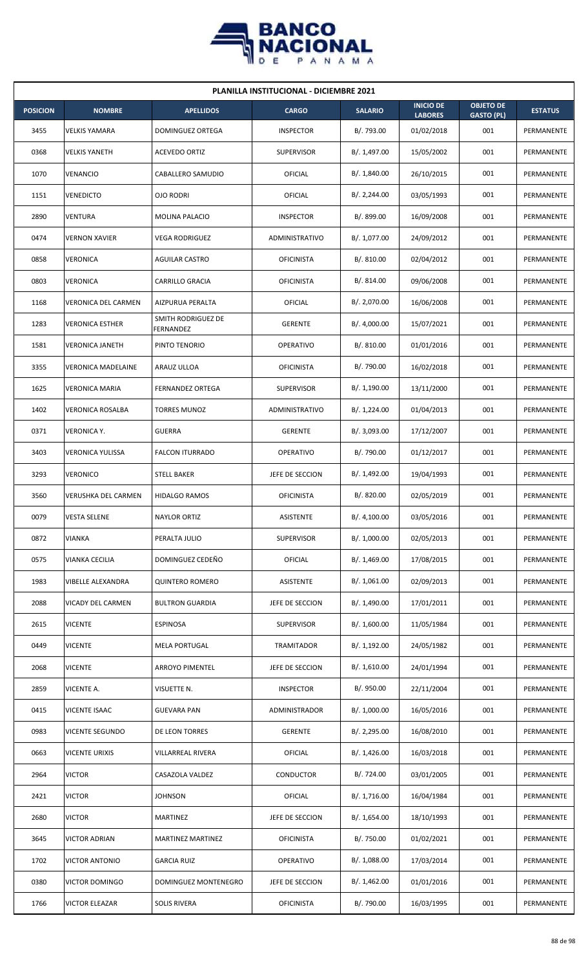

| <b>PLANILLA INSTITUCIONAL - DICIEMBRE 2021</b> |                            |                                 |                   |                |                                    |                                       |                |  |  |  |
|------------------------------------------------|----------------------------|---------------------------------|-------------------|----------------|------------------------------------|---------------------------------------|----------------|--|--|--|
| <b>POSICION</b>                                | <b>NOMBRE</b>              | <b>APELLIDOS</b>                | <b>CARGO</b>      | <b>SALARIO</b> | <b>INICIO DE</b><br><b>LABORES</b> | <b>OBJETO DE</b><br><b>GASTO (PL)</b> | <b>ESTATUS</b> |  |  |  |
| 3455                                           | <b>VELKIS YAMARA</b>       | DOMINGUEZ ORTEGA                | <b>INSPECTOR</b>  | B/. 793.00     | 01/02/2018                         | 001                                   | PERMANENTE     |  |  |  |
| 0368                                           | <b>VELKIS YANETH</b>       | <b>ACEVEDO ORTIZ</b>            | <b>SUPERVISOR</b> | B/. 1,497.00   | 15/05/2002                         | 001                                   | PERMANENTE     |  |  |  |
| 1070                                           | VENANCIO                   | CABALLERO SAMUDIO               | OFICIAL           | B/. 1,840.00   | 26/10/2015                         | 001                                   | PERMANENTE     |  |  |  |
| 1151                                           | <b>VENEDICTO</b>           | <b>OJO RODRI</b>                | OFICIAL           | B/.2,244.00    | 03/05/1993                         | 001                                   | PERMANENTE     |  |  |  |
| 2890                                           | VENTURA                    | MOLINA PALACIO                  | <b>INSPECTOR</b>  | B/. 899.00     | 16/09/2008                         | 001                                   | PERMANENTE     |  |  |  |
| 0474                                           | <b>VERNON XAVIER</b>       | <b>VEGA RODRIGUEZ</b>           | ADMINISTRATIVO    | B/. 1,077.00   | 24/09/2012                         | 001                                   | PERMANENTE     |  |  |  |
| 0858                                           | VERONICA                   | <b>AGUILAR CASTRO</b>           | <b>OFICINISTA</b> | B/.810.00      | 02/04/2012                         | 001                                   | PERMANENTE     |  |  |  |
| 0803                                           | <b>VERONICA</b>            | <b>CARRILLO GRACIA</b>          | <b>OFICINISTA</b> | B/.814.00      | 09/06/2008                         | 001                                   | PERMANENTE     |  |  |  |
| 1168                                           | <b>VERONICA DEL CARMEN</b> | AIZPURUA PERALTA                | OFICIAL           | B/. 2,070.00   | 16/06/2008                         | 001                                   | PERMANENTE     |  |  |  |
| 1283                                           | <b>VERONICA ESTHER</b>     | SMITH RODRIGUEZ DE<br>FERNANDEZ | <b>GERENTE</b>    | B/. 4,000.00   | 15/07/2021                         | 001                                   | PERMANENTE     |  |  |  |
| 1581                                           | <b>VERONICA JANETH</b>     | PINTO TENORIO                   | <b>OPERATIVO</b>  | B/. 810.00     | 01/01/2016                         | 001                                   | PERMANENTE     |  |  |  |
| 3355                                           | <b>VERONICA MADELAINE</b>  | ARAUZ ULLOA                     | <b>OFICINISTA</b> | B/. 790.00     | 16/02/2018                         | 001                                   | PERMANENTE     |  |  |  |
| 1625                                           | <b>VERONICA MARIA</b>      | <b>FERNANDEZ ORTEGA</b>         | <b>SUPERVISOR</b> | B/. 1,190.00   | 13/11/2000                         | 001                                   | PERMANENTE     |  |  |  |
| 1402                                           | <b>VERONICA ROSALBA</b>    | <b>TORRES MUNOZ</b>             | ADMINISTRATIVO    | B/. 1,224.00   | 01/04/2013                         | 001                                   | PERMANENTE     |  |  |  |
| 0371                                           | <b>VERONICA Y.</b>         | <b>GUERRA</b>                   | <b>GERENTE</b>    | B/.3,093.00    | 17/12/2007                         | 001                                   | PERMANENTE     |  |  |  |
| 3403                                           | VERONICA YULISSA           | <b>FALCON ITURRADO</b>          | <b>OPERATIVO</b>  | B/. 790.00     | 01/12/2017                         | 001                                   | PERMANENTE     |  |  |  |
| 3293                                           | <b>VERONICO</b>            | <b>STELL BAKER</b>              | JEFE DE SECCION   | B/. 1,492.00   | 19/04/1993                         | 001                                   | PERMANENTE     |  |  |  |
| 3560                                           | <b>VERUSHKA DEL CARMEN</b> | <b>HIDALGO RAMOS</b>            | <b>OFICINISTA</b> | B/. 820.00     | 02/05/2019                         | 001                                   | PERMANENTE     |  |  |  |
| 0079                                           | <b>VESTA SELENE</b>        | <b>NAYLOR ORTIZ</b>             | ASISTENTE         | B/. 4,100.00   | 03/05/2016                         | 001                                   | PERMANENTE     |  |  |  |
| 0872                                           | VIANKA                     | PERALTA JULIO                   | SUPERVISOR        | B/. 1,000.00   | 02/05/2013                         | 001                                   | PERMANENTE     |  |  |  |
| 0575                                           | VIANKA CECILIA             | DOMINGUEZ CEDEÑO                | <b>OFICIAL</b>    | B/. 1,469.00   | 17/08/2015                         | 001                                   | PERMANENTE     |  |  |  |
| 1983                                           | VIBELLE ALEXANDRA          | <b>QUINTERO ROMERO</b>          | ASISTENTE         | B/.1,061.00    | 02/09/2013                         | 001                                   | PERMANENTE     |  |  |  |
| 2088                                           | VICADY DEL CARMEN          | <b>BULTRON GUARDIA</b>          | JEFE DE SECCION   | B/. 1,490.00   | 17/01/2011                         | 001                                   | PERMANENTE     |  |  |  |
| 2615                                           | <b>VICENTE</b>             | <b>ESPINOSA</b>                 | <b>SUPERVISOR</b> | B/. 1,600.00   | 11/05/1984                         | 001                                   | PERMANENTE     |  |  |  |
| 0449                                           | <b>VICENTE</b>             | <b>MELA PORTUGAL</b>            | TRAMITADOR        | B/. 1,192.00   | 24/05/1982                         | 001                                   | PERMANENTE     |  |  |  |
| 2068                                           | <b>VICENTE</b>             | <b>ARROYO PIMENTEL</b>          | JEFE DE SECCION   | B/.1,610.00    | 24/01/1994                         | 001                                   | PERMANENTE     |  |  |  |
| 2859                                           | VICENTE A.                 | VISUETTE N.                     | <b>INSPECTOR</b>  | B/. 950.00     | 22/11/2004                         | 001                                   | PERMANENTE     |  |  |  |
| 0415                                           | VICENTE ISAAC              | <b>GUEVARA PAN</b>              | ADMINISTRADOR     | B/. 1,000.00   | 16/05/2016                         | 001                                   | PERMANENTE     |  |  |  |
| 0983                                           | VICENTE SEGUNDO            | DE LEON TORRES                  | <b>GERENTE</b>    | B/.2,295.00    | 16/08/2010                         | 001                                   | PERMANENTE     |  |  |  |
| 0663                                           | <b>VICENTE URIXIS</b>      | VILLARREAL RIVERA               | <b>OFICIAL</b>    | B/.1,426.00    | 16/03/2018                         | 001                                   | PERMANENTE     |  |  |  |
| 2964                                           | <b>VICTOR</b>              | CASAZOLA VALDEZ                 | CONDUCTOR         | B/. 724.00     | 03/01/2005                         | 001                                   | PERMANENTE     |  |  |  |
| 2421                                           | <b>VICTOR</b>              | <b>JOHNSON</b>                  | <b>OFICIAL</b>    | B/. 1,716.00   | 16/04/1984                         | 001                                   | PERMANENTE     |  |  |  |
| 2680                                           | <b>VICTOR</b>              | MARTINEZ                        | JEFE DE SECCION   | B/. 1,654.00   | 18/10/1993                         | 001                                   | PERMANENTE     |  |  |  |
| 3645                                           | VICTOR ADRIAN              | MARTINEZ MARTINEZ               | <b>OFICINISTA</b> | B/. 750.00     | 01/02/2021                         | 001                                   | PERMANENTE     |  |  |  |
| 1702                                           | <b>VICTOR ANTONIO</b>      | <b>GARCIA RUIZ</b>              | OPERATIVO         | B/. 1,088.00   | 17/03/2014                         | 001                                   | PERMANENTE     |  |  |  |
| 0380                                           | VICTOR DOMINGO             | DOMINGUEZ MONTENEGRO            | JEFE DE SECCION   | B/. 1,462.00   | 01/01/2016                         | 001                                   | PERMANENTE     |  |  |  |
| 1766                                           | <b>VICTOR ELEAZAR</b>      | <b>SOLIS RIVERA</b>             | <b>OFICINISTA</b> | B/. 790.00     | 16/03/1995                         | 001                                   | PERMANENTE     |  |  |  |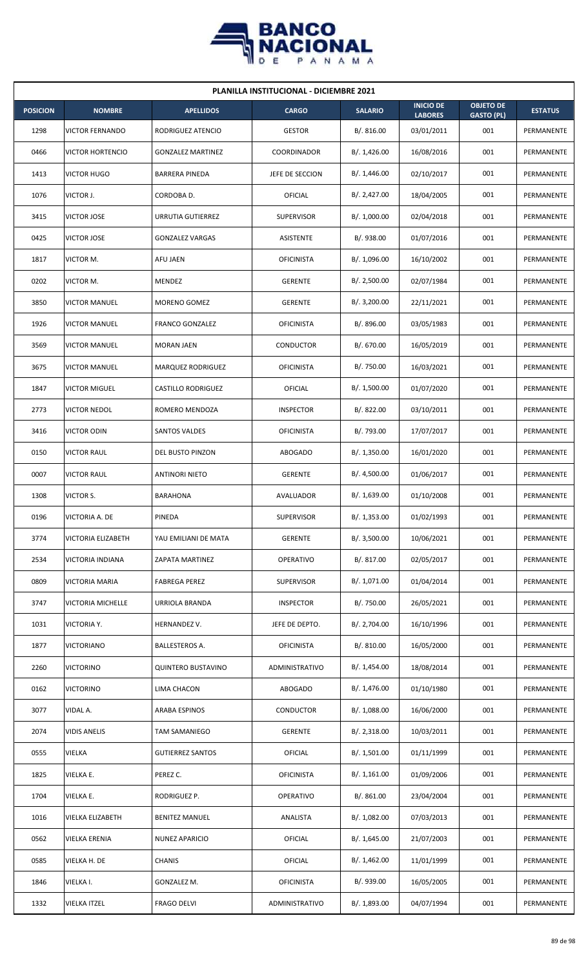

| <b>PLANILLA INSTITUCIONAL - DICIEMBRE 2021</b> |                         |                           |                    |                |                                    |                                       |                   |  |  |
|------------------------------------------------|-------------------------|---------------------------|--------------------|----------------|------------------------------------|---------------------------------------|-------------------|--|--|
| <b>POSICION</b>                                | <b>NOMBRE</b>           | <b>APELLIDOS</b>          | <b>CARGO</b>       | <b>SALARIO</b> | <b>INICIO DE</b><br><b>LABORES</b> | <b>OBJETO DE</b><br><b>GASTO (PL)</b> | <b>ESTATUS</b>    |  |  |
| 1298                                           | <b>VICTOR FERNANDO</b>  | RODRIGUEZ ATENCIO         | <b>GESTOR</b>      | B/. 816.00     | 03/01/2011                         | 001                                   | PERMANENTE        |  |  |
| 0466                                           | <b>VICTOR HORTENCIO</b> | <b>GONZALEZ MARTINEZ</b>  | <b>COORDINADOR</b> | B/. 1,426.00   | 16/08/2016                         | 001                                   | PERMANENTE        |  |  |
| 1413                                           | <b>VICTOR HUGO</b>      | <b>BARRERA PINEDA</b>     | JEFE DE SECCION    | B/.1,446.00    | 02/10/2017                         | 001                                   | PERMANENTE        |  |  |
| 1076                                           | VICTOR J.               | CORDOBA D.                | OFICIAL            | B/.2,427.00    | 18/04/2005                         | 001                                   | <b>PERMANENTE</b> |  |  |
| 3415                                           | <b>VICTOR JOSE</b>      | URRUTIA GUTIERREZ         | <b>SUPERVISOR</b>  | B/. 1,000.00   | 02/04/2018                         | 001                                   | PERMANENTE        |  |  |
| 0425                                           | <b>VICTOR JOSE</b>      | <b>GONZALEZ VARGAS</b>    | ASISTENTE          | B/. 938.00     | 01/07/2016                         | 001                                   | PERMANENTE        |  |  |
| 1817                                           | VICTOR M.               | AFU JAEN                  | <b>OFICINISTA</b>  | B/. 1,096.00   | 16/10/2002                         | 001                                   | PERMANENTE        |  |  |
| 0202                                           | VICTOR M.               | MENDEZ                    | <b>GERENTE</b>     | B/.2,500.00    | 02/07/1984                         | 001                                   | PERMANENTE        |  |  |
| 3850                                           | <b>VICTOR MANUEL</b>    | <b>MORENO GOMEZ</b>       | <b>GERENTE</b>     | B/. 3,200.00   | 22/11/2021                         | 001                                   | PERMANENTE        |  |  |
| 1926                                           | <b>VICTOR MANUEL</b>    | <b>FRANCO GONZALEZ</b>    | <b>OFICINISTA</b>  | B/. 896.00     | 03/05/1983                         | 001                                   | PERMANENTE        |  |  |
| 3569                                           | <b>VICTOR MANUEL</b>    | <b>MORAN JAEN</b>         | <b>CONDUCTOR</b>   | B/. 670.00     | 16/05/2019                         | 001                                   | PERMANENTE        |  |  |
| 3675                                           | <b>VICTOR MANUEL</b>    | MARQUEZ RODRIGUEZ         | <b>OFICINISTA</b>  | B/. 750.00     | 16/03/2021                         | 001                                   | PERMANENTE        |  |  |
| 1847                                           | <b>VICTOR MIGUEL</b>    | <b>CASTILLO RODRIGUEZ</b> | <b>OFICIAL</b>     | B/. 1,500.00   | 01/07/2020                         | 001                                   | PERMANENTE        |  |  |
| 2773                                           | <b>VICTOR NEDOL</b>     | ROMERO MENDOZA            | <b>INSPECTOR</b>   | B/0.822.00     | 03/10/2011                         | 001                                   | PERMANENTE        |  |  |
| 3416                                           | <b>VICTOR ODIN</b>      | SANTOS VALDES             | <b>OFICINISTA</b>  | B/. 793.00     | 17/07/2017                         | 001                                   | PERMANENTE        |  |  |
| 0150                                           | <b>VICTOR RAUL</b>      | DEL BUSTO PINZON          | <b>ABOGADO</b>     | B/.1,350.00    | 16/01/2020                         | 001                                   | PERMANENTE        |  |  |
| 0007                                           | <b>VICTOR RAUL</b>      | ANTINORI NIETO            | <b>GERENTE</b>     | B/. 4,500.00   | 01/06/2017                         | 001                                   | PERMANENTE        |  |  |
| 1308                                           | VICTOR S.               | <b>BARAHONA</b>           | AVALUADOR          | B/. 1,639.00   | 01/10/2008                         | 001                                   | PERMANENTE        |  |  |
| 0196                                           | VICTORIA A. DE          | PINEDA                    | <b>SUPERVISOR</b>  | B/. 1,353.00   | 01/02/1993                         | 001                                   | PERMANENTE        |  |  |
| 3774                                           | VICTORIA ELIZABETH      | YAU EMILIANI DE MATA      | <b>GERENTE</b>     | B/.3,500.00    | 10/06/2021                         | 001                                   | PERMANENTE        |  |  |
| 2534                                           | VICTORIA INDIANA        | ZAPATA MARTINEZ           | OPERATIVO          | B/. 817.00     | 02/05/2017                         | 001                                   | PERMANENTE        |  |  |
| 0809                                           | VICTORIA MARIA          | <b>FABREGA PEREZ</b>      | <b>SUPERVISOR</b>  | B/. 1,071.00   | 01/04/2014                         | 001                                   | PERMANENTE        |  |  |
| 3747                                           | VICTORIA MICHELLE       | URRIOLA BRANDA            | <b>INSPECTOR</b>   | B/. 750.00     | 26/05/2021                         | 001                                   | PERMANENTE        |  |  |
| 1031                                           | VICTORIA Y.             | HERNANDEZ V.              | JEFE DE DEPTO.     | B/. 2,704.00   | 16/10/1996                         | 001                                   | PERMANENTE        |  |  |
| 1877                                           | <b>VICTORIANO</b>       | BALLESTEROS A.            | <b>OFICINISTA</b>  | B/. 810.00     | 16/05/2000                         | 001                                   | PERMANENTE        |  |  |
| 2260                                           | <b>VICTORINO</b>        | <b>QUINTERO BUSTAVINO</b> | ADMINISTRATIVO     | B/.1,454.00    | 18/08/2014                         | 001                                   | PERMANENTE        |  |  |
| 0162                                           | <b>VICTORINO</b>        | LIMA CHACON               | ABOGADO            | B/.1,476.00    | 01/10/1980                         | 001                                   | PERMANENTE        |  |  |
| 3077                                           | VIDAL A.                | ARABA ESPINOS             | <b>CONDUCTOR</b>   | B/.1,088.00    | 16/06/2000                         | 001                                   | PERMANENTE        |  |  |
| 2074                                           | <b>VIDIS ANELIS</b>     | TAM SAMANIEGO             | <b>GERENTE</b>     | B/.2,318.00    | 10/03/2011                         | 001                                   | PERMANENTE        |  |  |
| 0555                                           | VIELKA                  | <b>GUTIERREZ SANTOS</b>   | OFICIAL            | B/. 1,501.00   | 01/11/1999                         | 001                                   | PERMANENTE        |  |  |
| 1825                                           | VIELKA E.               | PEREZ C.                  | <b>OFICINISTA</b>  | B/.1,161.00    | 01/09/2006                         | 001                                   | PERMANENTE        |  |  |
| 1704                                           | VIELKA E.               | RODRIGUEZ P.              | <b>OPERATIVO</b>   | B/.861.00      | 23/04/2004                         | 001                                   | PERMANENTE        |  |  |
| 1016                                           | VIELKA ELIZABETH        | <b>BENITEZ MANUEL</b>     | ANALISTA           | B/. 1,082.00   | 07/03/2013                         | 001                                   | PERMANENTE        |  |  |
| 0562                                           | VIELKA ERENIA           | NUNEZ APARICIO            | OFICIAL            | B/. 1,645.00   | 21/07/2003                         | 001                                   | PERMANENTE        |  |  |
| 0585                                           | VIELKA H. DE            | <b>CHANIS</b>             | OFICIAL            | B/.1,462.00    | 11/01/1999                         | 001                                   | PERMANENTE        |  |  |
| 1846                                           | VIELKA I.               | GONZALEZ M.               | <b>OFICINISTA</b>  | B/. 939.00     | 16/05/2005                         | 001                                   | PERMANENTE        |  |  |
| 1332                                           | <b>VIELKA ITZEL</b>     | <b>FRAGO DELVI</b>        | ADMINISTRATIVO     | B/. 1,893.00   | 04/07/1994                         | 001                                   | PERMANENTE        |  |  |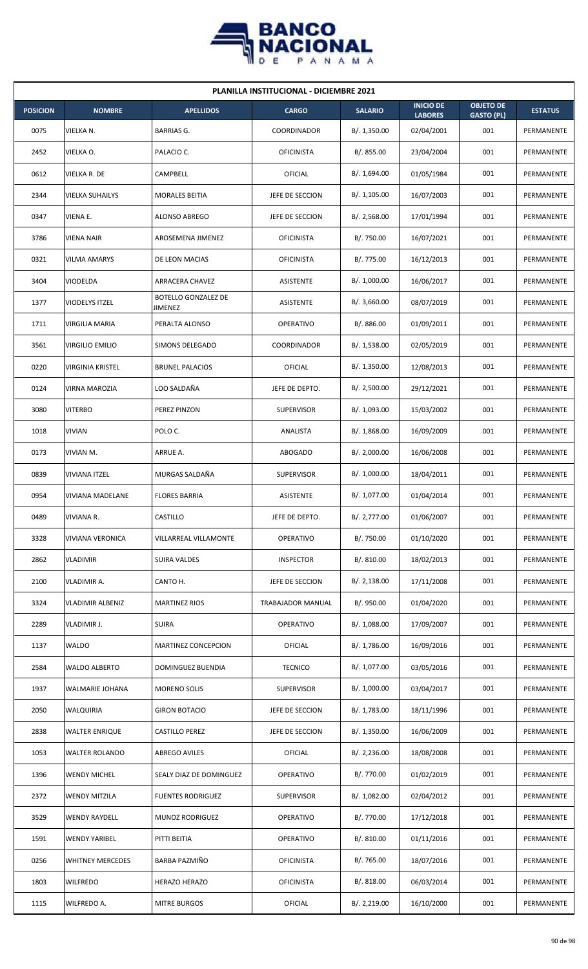

| <b>PLANILLA INSTITUCIONAL - DICIEMBRE 2021</b> |                         |                                |                   |                |                                    |                                       |                |  |  |  |
|------------------------------------------------|-------------------------|--------------------------------|-------------------|----------------|------------------------------------|---------------------------------------|----------------|--|--|--|
| <b>POSICION</b>                                | <b>NOMBRE</b>           | <b>APELLIDOS</b>               | <b>CARGO</b>      | <b>SALARIO</b> | <b>INICIO DE</b><br><b>LABORES</b> | <b>OBJETO DE</b><br><b>GASTO (PL)</b> | <b>ESTATUS</b> |  |  |  |
| 0075                                           | VIELKA N.               | <b>BARRIAS G.</b>              | COORDINADOR       | B/. 1,350.00   | 02/04/2001                         | 001                                   | PERMANENTE     |  |  |  |
| 2452                                           | VIELKA O.               | PALACIO C.                     | <b>OFICINISTA</b> | B/. 855.00     | 23/04/2004                         | 001                                   | PERMANENTE     |  |  |  |
| 0612                                           | VIELKA R. DE            | CAMPBELL                       | OFICIAL           | B/. 1,694.00   | 01/05/1984                         | 001                                   | PERMANENTE     |  |  |  |
| 2344                                           | <b>VIELKA SUHAILYS</b>  | <b>MORALES BEITIA</b>          | JEFE DE SECCION   | B/. 1,105.00   | 16/07/2003                         | 001                                   | PERMANENTE     |  |  |  |
| 0347                                           | VIENA E.                | ALONSO ABREGO                  | JEFE DE SECCION   | B/. 2,568.00   | 17/01/1994                         | 001                                   | PERMANENTE     |  |  |  |
| 3786                                           | <b>VIENA NAIR</b>       | AROSEMENA JIMENEZ              | <b>OFICINISTA</b> | B/. 750.00     | 16/07/2021                         | 001                                   | PERMANENTE     |  |  |  |
| 0321                                           | <b>VILMA AMARYS</b>     | DE LEON MACIAS                 | <b>OFICINISTA</b> | B/. 775.00     | 16/12/2013                         | 001                                   | PERMANENTE     |  |  |  |
| 3404                                           | VIODELDA                | <b>ARRACERA CHAVEZ</b>         | <b>ASISTENTE</b>  | B/. 1,000.00   | 16/06/2017                         | 001                                   | PERMANENTE     |  |  |  |
| 1377                                           | <b>VIODELYS ITZEL</b>   | BOTELLO GONZALEZ DE<br>JIMENEZ | ASISTENTE         | B/.3,660.00    | 08/07/2019                         | 001                                   | PERMANENTE     |  |  |  |
| 1711                                           | VIRGILIA MARIA          | PERALTA ALONSO                 | <b>OPERATIVO</b>  | B/0.886.00     | 01/09/2011                         | 001                                   | PERMANENTE     |  |  |  |
| 3561                                           | <b>VIRGILIO EMILIO</b>  | SIMONS DELEGADO                | COORDINADOR       | B/. 1,538.00   | 02/05/2019                         | 001                                   | PERMANENTE     |  |  |  |
| 0220                                           | <b>VIRGINIA KRISTEL</b> | <b>BRUNEL PALACIOS</b>         | OFICIAL           | B/. 1,350.00   | 12/08/2013                         | 001                                   | PERMANENTE     |  |  |  |
| 0124                                           | VIRNA MAROZIA           | LOO SALDAÑA                    | JEFE DE DEPTO.    | B/. 2,500.00   | 29/12/2021                         | 001                                   | PERMANENTE     |  |  |  |
| 3080                                           | <b>VITERBO</b>          | PEREZ PINZON                   | <b>SUPERVISOR</b> | B/. 1,093.00   | 15/03/2002                         | 001                                   | PERMANENTE     |  |  |  |
| 1018                                           | <b>VIVIAN</b>           | POLO C.                        | ANALISTA          | B/.1,868.00    | 16/09/2009                         | 001                                   | PERMANENTE     |  |  |  |
| 0173                                           | VIVIAN M.               | ARRUE A.                       | ABOGADO           | B/.2,000.00    | 16/06/2008                         | 001                                   | PERMANENTE     |  |  |  |
| 0839                                           | <b>VIVIANA ITZEL</b>    | MURGAS SALDAÑA                 | <b>SUPERVISOR</b> | B/.1,000.00    | 18/04/2011                         | 001                                   | PERMANENTE     |  |  |  |
| 0954                                           | VIVIANA MADELANE        | <b>FLORES BARRIA</b>           | ASISTENTE         | B/. 1,077.00   | 01/04/2014                         | 001                                   | PERMANENTE     |  |  |  |
| 0489                                           | VIVIANA R.              | CASTILLO                       | JEFE DE DEPTO.    | B/. 2,777.00   | 01/06/2007                         | 001                                   | PERMANENTE     |  |  |  |
| 3328                                           | VIVIANA VERONICA        | VILLARREAL VILLAMONTE          | OPERATIVO         | B/. 750.00     | 01/10/2020                         | 001                                   | PERMANENTE     |  |  |  |
| 2862                                           | <b>VLADIMIR</b>         | SUIRA VALDES                   | <b>INSPECTOR</b>  | B/. 810.00     | 18/02/2013                         | 001                                   | PERMANENTE     |  |  |  |
| 2100                                           | VLADIMIR A.             | CANTO H.                       | JEFE DE SECCION   | B/. 2,138.00   | 17/11/2008                         | 001                                   | PERMANENTE     |  |  |  |
| 3324                                           | <b>VLADIMIR ALBENIZ</b> | <b>MARTINEZ RIOS</b>           | TRABAJADOR MANUAL | B/. 950.00     | 01/04/2020                         | 001                                   | PERMANENTE     |  |  |  |
| 2289                                           | VLADIMIR J.             | <b>SUIRA</b>                   | OPERATIVO         | B/. 1,088.00   | 17/09/2007                         | 001                                   | PERMANENTE     |  |  |  |
| 1137                                           | <b>WALDO</b>            | MARTINEZ CONCEPCION            | OFICIAL           | B/.1,786.00    | 16/09/2016                         | 001                                   | PERMANENTE     |  |  |  |
| 2584                                           | <b>WALDO ALBERTO</b>    | DOMINGUEZ BUENDIA              | <b>TECNICO</b>    | B/. 1,077.00   | 03/05/2016                         | 001                                   | PERMANENTE     |  |  |  |
| 1937                                           | WALMARIE JOHANA         | MORENO SOLIS                   | <b>SUPERVISOR</b> | B/. 1,000.00   | 03/04/2017                         | 001                                   | PERMANENTE     |  |  |  |
| 2050                                           | WALQUIRIA               | <b>GIRON BOTACIO</b>           | JEFE DE SECCION   | B/. 1,783.00   | 18/11/1996                         | 001                                   | PERMANENTE     |  |  |  |
| 2838                                           | <b>WALTER ENRIQUE</b>   | <b>CASTILLO PEREZ</b>          | JEFE DE SECCION   | B/. 1,350.00   | 16/06/2009                         | 001                                   | PERMANENTE     |  |  |  |
| 1053                                           | <b>WALTER ROLANDO</b>   | <b>ABREGO AVILES</b>           | OFICIAL           | B/. 2,236.00   | 18/08/2008                         | 001                                   | PERMANENTE     |  |  |  |
| 1396                                           | <b>WENDY MICHEL</b>     | SEALY DIAZ DE DOMINGUEZ        | OPERATIVO         | B/. 770.00     | 01/02/2019                         | 001                                   | PERMANENTE     |  |  |  |
| 2372                                           | <b>WENDY MITZILA</b>    | <b>FUENTES RODRIGUEZ</b>       | SUPERVISOR        | B/. 1,082.00   | 02/04/2012                         | 001                                   | PERMANENTE     |  |  |  |
| 3529                                           | <b>WENDY RAYDELL</b>    | MUNOZ RODRIGUEZ                | <b>OPERATIVO</b>  | B/. 770.00     | 17/12/2018                         | 001                                   | PERMANENTE     |  |  |  |
| 1591                                           | <b>WENDY YARIBEL</b>    | PITTI BEITIA                   | <b>OPERATIVO</b>  | B/.810.00      | 01/11/2016                         | 001                                   | PERMANENTE     |  |  |  |
| 0256                                           | <b>WHITNEY MERCEDES</b> | BARBA PAZMIÑO                  | <b>OFICINISTA</b> | B/. 765.00     | 18/07/2016                         | 001                                   | PERMANENTE     |  |  |  |
| 1803                                           | <b>WILFREDO</b>         | HERAZO HERAZO                  | <b>OFICINISTA</b> | B/. 818.00     | 06/03/2014                         | 001                                   | PERMANENTE     |  |  |  |
| 1115                                           | WILFREDO A.             | <b>MITRE BURGOS</b>            | OFICIAL           | B/.2,219.00    | 16/10/2000                         | 001                                   | PERMANENTE     |  |  |  |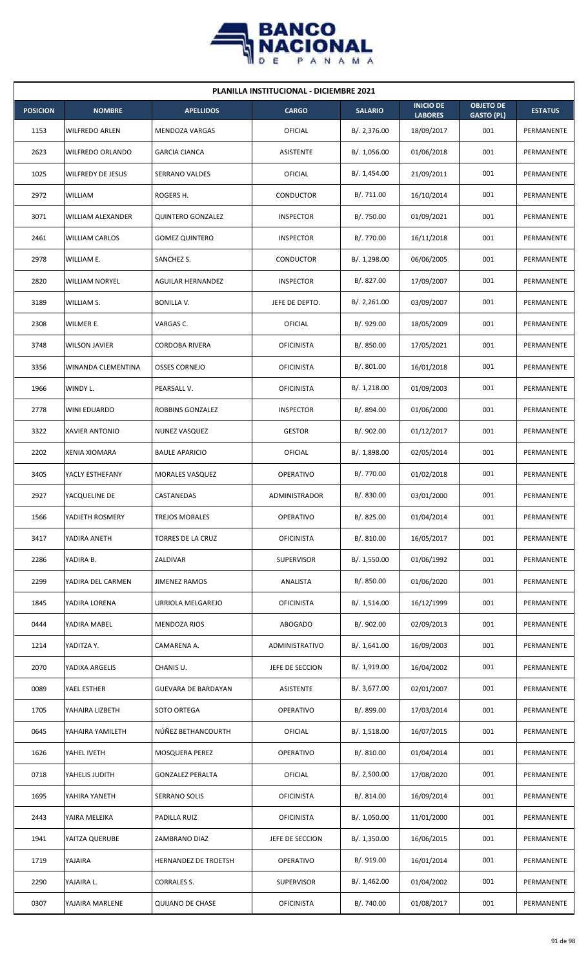

| <b>PLANILLA INSTITUCIONAL - DICIEMBRE 2021</b> |                          |                          |                      |                |                                    |                                       |                |  |  |  |
|------------------------------------------------|--------------------------|--------------------------|----------------------|----------------|------------------------------------|---------------------------------------|----------------|--|--|--|
| <b>POSICION</b>                                | <b>NOMBRE</b>            | <b>APELLIDOS</b>         | <b>CARGO</b>         | <b>SALARIO</b> | <b>INICIO DE</b><br><b>LABORES</b> | <b>OBJETO DE</b><br><b>GASTO (PL)</b> | <b>ESTATUS</b> |  |  |  |
| 1153                                           | WILFREDO ARLEN           | MENDOZA VARGAS           | OFICIAL              | B/.2,376.00    | 18/09/2017                         | 001                                   | PERMANENTE     |  |  |  |
| 2623                                           | WILFREDO ORLANDO         | <b>GARCIA CIANCA</b>     | <b>ASISTENTE</b>     | B/. 1,056.00   | 01/06/2018                         | 001                                   | PERMANENTE     |  |  |  |
| 1025                                           | <b>WILFREDY DE JESUS</b> | <b>SERRANO VALDES</b>    | OFICIAL              | B/. 1,454.00   | 21/09/2011                         | 001                                   | PERMANENTE     |  |  |  |
| 2972                                           | WILLIAM                  | ROGERS H.                | CONDUCTOR            | B/. 711.00     | 16/10/2014                         | 001                                   | PERMANENTE     |  |  |  |
| 3071                                           | WILLIAM ALEXANDER        | <b>QUINTERO GONZALEZ</b> | <b>INSPECTOR</b>     | B/. 750.00     | 01/09/2021                         | 001                                   | PERMANENTE     |  |  |  |
| 2461                                           | <b>WILLIAM CARLOS</b>    | <b>GOMEZ QUINTERO</b>    | <b>INSPECTOR</b>     | B/. 770.00     | 16/11/2018                         | 001                                   | PERMANENTE     |  |  |  |
| 2978                                           | WILLIAM E.               | SANCHEZ S.               | CONDUCTOR            | B/. 1,298.00   | 06/06/2005                         | 001                                   | PERMANENTE     |  |  |  |
| 2820                                           | WILLIAM NORYEL           | <b>AGUILAR HERNANDEZ</b> | <b>INSPECTOR</b>     | B/. 827.00     | 17/09/2007                         | 001                                   | PERMANENTE     |  |  |  |
| 3189                                           | WILLIAM S.               | <b>BONILLA V.</b>        | JEFE DE DEPTO.       | B/.2,261.00    | 03/09/2007                         | 001                                   | PERMANENTE     |  |  |  |
| 2308                                           | WILMER E.                | VARGAS C.                | OFICIAL              | B/. 929.00     | 18/05/2009                         | 001                                   | PERMANENTE     |  |  |  |
| 3748                                           | <b>WILSON JAVIER</b>     | <b>CORDOBA RIVERA</b>    | <b>OFICINISTA</b>    | B/. 850.00     | 17/05/2021                         | 001                                   | PERMANENTE     |  |  |  |
| 3356                                           | WINANDA CLEMENTINA       | <b>OSSES CORNEJO</b>     | <b>OFICINISTA</b>    | B/. 801.00     | 16/01/2018                         | 001                                   | PERMANENTE     |  |  |  |
| 1966                                           | WINDY L.                 | PEARSALL V.              | <b>OFICINISTA</b>    | B/. 1,218.00   | 01/09/2003                         | 001                                   | PERMANENTE     |  |  |  |
| 2778                                           | WINI EDUARDO             | ROBBINS GONZALEZ         | <b>INSPECTOR</b>     | B/. 894.00     | 01/06/2000                         | 001                                   | PERMANENTE     |  |  |  |
| 3322                                           | <b>XAVIER ANTONIO</b>    | <b>NUNEZ VASQUEZ</b>     | <b>GESTOR</b>        | B/. 902.00     | 01/12/2017                         | 001                                   | PERMANENTE     |  |  |  |
| 2202                                           | XENIA XIOMARA            | <b>BAULE APARICIO</b>    | OFICIAL              | B/. 1,898.00   | 02/05/2014                         | 001                                   | PERMANENTE     |  |  |  |
| 3405                                           | YACLY ESTHEFANY          | <b>MORALES VASQUEZ</b>   | <b>OPERATIVO</b>     | B/. 770.00     | 01/02/2018                         | 001                                   | PERMANENTE     |  |  |  |
| 2927                                           | YACQUELINE DE            | CASTANEDAS               | <b>ADMINISTRADOR</b> | B/. 830.00     | 03/01/2000                         | 001                                   | PERMANENTE     |  |  |  |
| 1566                                           | YADIETH ROSMERY          | <b>TREJOS MORALES</b>    | OPERATIVO            | B/.825.00      | 01/04/2014                         | 001                                   | PERMANENTE     |  |  |  |
| 3417                                           | YADIRA ANETH             | TORRES DE LA CRUZ        | <b>OFICINISTA</b>    | B/. 810.00     | 16/05/2017                         | 001                                   | PERMANENTE     |  |  |  |
| 2286                                           | YADIRA B.                | ZALDIVAR                 | <b>SUPERVISOR</b>    | B/. 1,550.00   | 01/06/1992                         | 001                                   | PERMANENTE     |  |  |  |
| 2299                                           | YADIRA DEL CARMEN        | <b>JIMENEZ RAMOS</b>     | ANALISTA             | B/. 850.00     | 01/06/2020                         | 001                                   | PERMANENTE     |  |  |  |
| 1845                                           | YADIRA LORENA            | URRIOLA MELGAREJO        | <b>OFICINISTA</b>    | B/. 1,514.00   | 16/12/1999                         | 001                                   | PERMANENTE     |  |  |  |
| 0444                                           | YADIRA MABEL             | <b>MENDOZA RIOS</b>      | ABOGADO              | B/. 902.00     | 02/09/2013                         | 001                                   | PERMANENTE     |  |  |  |
| 1214                                           | YADITZA Y.               | CAMARENA A.              | ADMINISTRATIVO       | B/.1,641.00    | 16/09/2003                         | 001                                   | PERMANENTE     |  |  |  |
| 2070                                           | YADIXA ARGELIS           | CHANIS U.                | JEFE DE SECCION      | B/. 1,919.00   | 16/04/2002                         | 001                                   | PERMANENTE     |  |  |  |
| 0089                                           | YAEL ESTHER              | GUEVARA DE BARDAYAN      | ASISTENTE            | B/. 3,677.00   | 02/01/2007                         | 001                                   | PERMANENTE     |  |  |  |
| 1705                                           | YAHAIRA LIZBETH          | SOTO ORTEGA              | OPERATIVO            | B/. 899.00     | 17/03/2014                         | 001                                   | PERMANENTE     |  |  |  |
| 0645                                           | YAHAIRA YAMILETH         | NÚÑEZ BETHANCOURTH       | OFICIAL              | B/.1,518.00    | 16/07/2015                         | 001                                   | PERMANENTE     |  |  |  |
| 1626                                           | YAHEL IVETH              | MOSQUERA PEREZ           | OPERATIVO            | B/. 810.00     | 01/04/2014                         | 001                                   | PERMANENTE     |  |  |  |
| 0718                                           | YAHELIS JUDITH           | <b>GONZALEZ PERALTA</b>  | OFICIAL              | B/. 2,500.00   | 17/08/2020                         | 001                                   | PERMANENTE     |  |  |  |
| 1695                                           | YAHIRA YANETH            | SERRANO SOLIS            | <b>OFICINISTA</b>    | B/. 814.00     | 16/09/2014                         | 001                                   | PERMANENTE     |  |  |  |
| 2443                                           | YAIRA MELEIKA            | PADILLA RUIZ             | <b>OFICINISTA</b>    | B/. 1,050.00   | 11/01/2000                         | 001                                   | PERMANENTE     |  |  |  |
| 1941                                           | YAITZA QUERUBE           | ZAMBRANO DIAZ            | JEFE DE SECCION      | B/. 1,350.00   | 16/06/2015                         | 001                                   | PERMANENTE     |  |  |  |
| 1719                                           | YAJAIRA                  | HERNANDEZ DE TROETSH     | OPERATIVO            | B/. 919.00     | 16/01/2014                         | 001                                   | PERMANENTE     |  |  |  |
| 2290                                           | YAJAIRA L.               | CORRALES S.              | <b>SUPERVISOR</b>    | B/.1,462.00    | 01/04/2002                         | 001                                   | PERMANENTE     |  |  |  |
| 0307                                           | YAJAIRA MARLENE          | <b>QUIJANO DE CHASE</b>  | <b>OFICINISTA</b>    | B/. 740.00     | 01/08/2017                         | 001                                   | PERMANENTE     |  |  |  |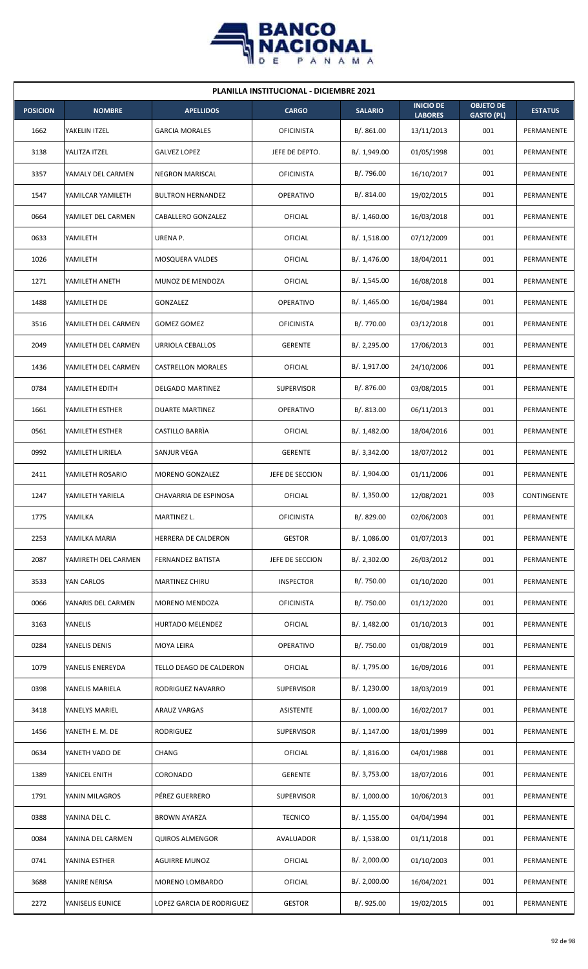

| <b>PLANILLA INSTITUCIONAL - DICIEMBRE 2021</b> |                     |                           |                   |                |                                    |                                       |                |  |  |  |
|------------------------------------------------|---------------------|---------------------------|-------------------|----------------|------------------------------------|---------------------------------------|----------------|--|--|--|
| <b>POSICION</b>                                | <b>NOMBRE</b>       | <b>APELLIDOS</b>          | <b>CARGO</b>      | <b>SALARIO</b> | <b>INICIO DE</b><br><b>LABORES</b> | <b>OBJETO DE</b><br><b>GASTO (PL)</b> | <b>ESTATUS</b> |  |  |  |
| 1662                                           | YAKELIN ITZEL       | <b>GARCIA MORALES</b>     | <b>OFICINISTA</b> | B/.861.00      | 13/11/2013                         | 001                                   | PERMANENTE     |  |  |  |
| 3138                                           | YALITZA ITZEL       | <b>GALVEZ LOPEZ</b>       | JEFE DE DEPTO.    | B/. 1,949.00   | 01/05/1998                         | 001                                   | PERMANENTE     |  |  |  |
| 3357                                           | YAMALY DEL CARMEN   | <b>NEGRON MARISCAL</b>    | <b>OFICINISTA</b> | B/. 796.00     | 16/10/2017                         | 001                                   | PERMANENTE     |  |  |  |
| 1547                                           | YAMILCAR YAMILETH   | <b>BULTRON HERNANDEZ</b>  | <b>OPERATIVO</b>  | B/. 814.00     | 19/02/2015                         | 001                                   | PERMANENTE     |  |  |  |
| 0664                                           | YAMILET DEL CARMEN  | CABALLERO GONZALEZ        | OFICIAL           | B/.1,460.00    | 16/03/2018                         | 001                                   | PERMANENTE     |  |  |  |
| 0633                                           | YAMILETH            | URENA P.                  | OFICIAL           | B/.1,518.00    | 07/12/2009                         | 001                                   | PERMANENTE     |  |  |  |
| 1026                                           | YAMILETH            | MOSQUERA VALDES           | <b>OFICIAL</b>    | B/. 1,476.00   | 18/04/2011                         | 001                                   | PERMANENTE     |  |  |  |
| 1271                                           | YAMILETH ANETH      | MUNOZ DE MENDOZA          | OFICIAL           | B/.1,545.00    | 16/08/2018                         | 001                                   | PERMANENTE     |  |  |  |
| 1488                                           | YAMILETH DE         | GONZALEZ                  | <b>OPERATIVO</b>  | B/.1,465.00    | 16/04/1984                         | 001                                   | PERMANENTE     |  |  |  |
| 3516                                           | YAMILETH DEL CARMEN | GOMEZ GOMEZ               | <b>OFICINISTA</b> | B/. 770.00     | 03/12/2018                         | 001                                   | PERMANENTE     |  |  |  |
| 2049                                           | YAMILETH DEL CARMEN | URRIOLA CEBALLOS          | <b>GERENTE</b>    | B/.2,295.00    | 17/06/2013                         | 001                                   | PERMANENTE     |  |  |  |
| 1436                                           | YAMILETH DEL CARMEN | CASTRELLON MORALES        | OFICIAL           | B/. 1,917.00   | 24/10/2006                         | 001                                   | PERMANENTE     |  |  |  |
| 0784                                           | YAMILETH EDITH      | DELGADO MARTINEZ          | <b>SUPERVISOR</b> | B/. 876.00     | 03/08/2015                         | 001                                   | PERMANENTE     |  |  |  |
| 1661                                           | YAMILETH ESTHER     | <b>DUARTE MARTINEZ</b>    | <b>OPERATIVO</b>  | B/. 813.00     | 06/11/2013                         | 001                                   | PERMANENTE     |  |  |  |
| 0561                                           | YAMILETH ESTHER     | CASTILLO BARRIA           | OFICIAL           | B/.1,482.00    | 18/04/2016                         | 001                                   | PERMANENTE     |  |  |  |
| 0992                                           | YAMILETH LIRIELA    | SANJUR VEGA               | <b>GERENTE</b>    | B/.3,342.00    | 18/07/2012                         | 001                                   | PERMANENTE     |  |  |  |
| 2411                                           | YAMILETH ROSARIO    | MORENO GONZALEZ           | JEFE DE SECCION   | B/. 1,904.00   | 01/11/2006                         | 001                                   | PERMANENTE     |  |  |  |
| 1247                                           | YAMILETH YARIELA    | CHAVARRIA DE ESPINOSA     | <b>OFICIAL</b>    | B/. 1,350.00   | 12/08/2021                         | 003                                   | CONTINGENTE    |  |  |  |
| 1775                                           | YAMILKA             | MARTINEZ L.               | <b>OFICINISTA</b> | B/. 829.00     | 02/06/2003                         | 001                                   | PERMANENTE     |  |  |  |
| 2253                                           | YAMILKA MARIA       | HERRERA DE CALDERON       | <b>GESTOR</b>     | B/. 1,086.00   | 01/07/2013                         | 001                                   | PERMANENTE     |  |  |  |
| 2087                                           | YAMIRETH DEL CARMEN | FERNANDEZ BATISTA         | JEFE DE SECCION   | B/. 2,302.00   | 26/03/2012                         | 001                                   | PERMANENTE     |  |  |  |
| 3533                                           | YAN CARLOS          | MARTINEZ CHIRU            | <b>INSPECTOR</b>  | B/. 750.00     | 01/10/2020                         | 001                                   | PERMANENTE     |  |  |  |
| 0066                                           | YANARIS DEL CARMEN  | MORENO MENDOZA            | <b>OFICINISTA</b> | B/. 750.00     | 01/12/2020                         | 001                                   | PERMANENTE     |  |  |  |
| 3163                                           | YANELIS             | HURTADO MELENDEZ          | <b>OFICIAL</b>    | B/. 1,482.00   | 01/10/2013                         | 001                                   | PERMANENTE     |  |  |  |
| 0284                                           | YANELIS DENIS       | MOYA LEIRA                | <b>OPERATIVO</b>  | B/. 750.00     | 01/08/2019                         | 001                                   | PERMANENTE     |  |  |  |
| 1079                                           | YANELIS ENEREYDA    | TELLO DEAGO DE CALDERON   | OFICIAL           | B/. 1,795.00   | 16/09/2016                         | 001                                   | PERMANENTE     |  |  |  |
| 0398                                           | YANELIS MARIELA     | RODRIGUEZ NAVARRO         | <b>SUPERVISOR</b> | B/. 1,230.00   | 18/03/2019                         | 001                                   | PERMANENTE     |  |  |  |
| 3418                                           | YANELYS MARIEL      | ARAUZ VARGAS              | <b>ASISTENTE</b>  | B/. 1,000.00   | 16/02/2017                         | 001                                   | PERMANENTE     |  |  |  |
| 1456                                           | YANETH E. M. DE     | <b>RODRIGUEZ</b>          | <b>SUPERVISOR</b> | B/. 1,147.00   | 18/01/1999                         | 001                                   | PERMANENTE     |  |  |  |
| 0634                                           | YANETH VADO DE      | <b>CHANG</b>              | <b>OFICIAL</b>    | B/.1,816.00    | 04/01/1988                         | 001                                   | PERMANENTE     |  |  |  |
| 1389                                           | YANICEL ENITH       | CORONADO                  | <b>GERENTE</b>    | B/. 3,753.00   | 18/07/2016                         | 001                                   | PERMANENTE     |  |  |  |
| 1791                                           | YANIN MILAGROS      | PÉREZ GUERRERO            | SUPERVISOR        | B/. 1,000.00   | 10/06/2013                         | 001                                   | PERMANENTE     |  |  |  |
| 0388                                           | YANINA DEL C.       | <b>BROWN AYARZA</b>       | <b>TECNICO</b>    | B/.1,155.00    | 04/04/1994                         | 001                                   | PERMANENTE     |  |  |  |
| 0084                                           | YANINA DEL CARMEN   | <b>QUIROS ALMENGOR</b>    | AVALUADOR         | B/.1,538.00    | 01/11/2018                         | 001                                   | PERMANENTE     |  |  |  |
| 0741                                           | YANINA ESTHER       | AGUIRRE MUNOZ             | OFICIAL           | B/.2,000.00    | 01/10/2003                         | 001                                   | PERMANENTE     |  |  |  |
| 3688                                           | YANIRE NERISA       | MORENO LOMBARDO           | OFICIAL           | B/.2,000.00    | 16/04/2021                         | 001                                   | PERMANENTE     |  |  |  |
| 2272                                           | YANISELIS EUNICE    | LOPEZ GARCIA DE RODRIGUEZ | <b>GESTOR</b>     | B/. 925.00     | 19/02/2015                         | 001                                   | PERMANENTE     |  |  |  |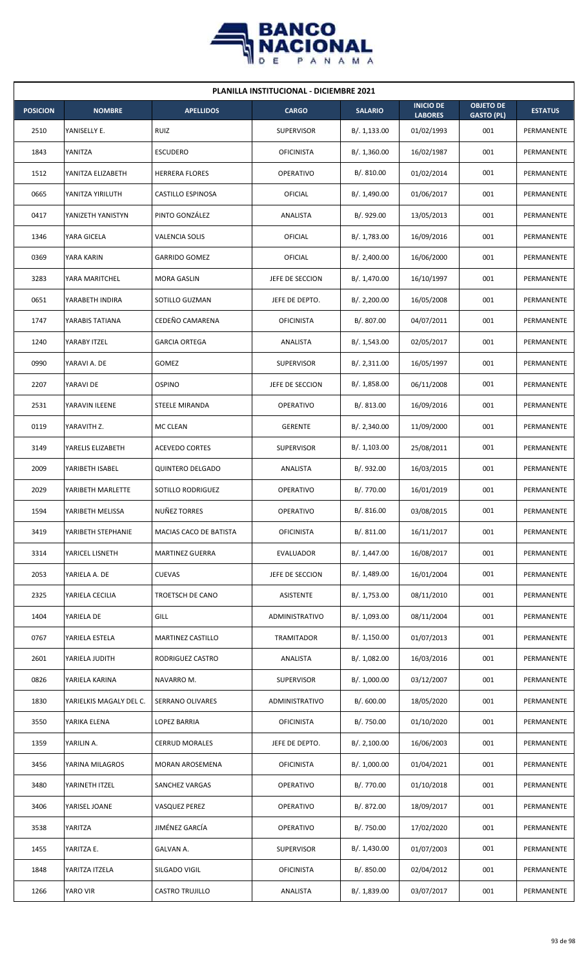

| <b>PLANILLA INSTITUCIONAL - DICIEMBRE 2021</b> |                         |                          |                   |                |                                    |                                       |                |  |  |
|------------------------------------------------|-------------------------|--------------------------|-------------------|----------------|------------------------------------|---------------------------------------|----------------|--|--|
| <b>POSICION</b>                                | <b>NOMBRE</b>           | <b>APELLIDOS</b>         | <b>CARGO</b>      | <b>SALARIO</b> | <b>INICIO DE</b><br><b>LABORES</b> | <b>OBJETO DE</b><br><b>GASTO (PL)</b> | <b>ESTATUS</b> |  |  |
| 2510                                           | YANISELLY E.            | RUIZ                     | <b>SUPERVISOR</b> | B/.1,133.00    | 01/02/1993                         | 001                                   | PERMANENTE     |  |  |
| 1843                                           | YANITZA                 | <b>ESCUDERO</b>          | <b>OFICINISTA</b> | B/.1,360.00    | 16/02/1987                         | 001                                   | PERMANENTE     |  |  |
| 1512                                           | YANITZA ELIZABETH       | <b>HERRERA FLORES</b>    | <b>OPERATIVO</b>  | B/. 810.00     | 01/02/2014                         | 001                                   | PERMANENTE     |  |  |
| 0665                                           | YANITZA YIRILUTH        | <b>CASTILLO ESPINOSA</b> | <b>OFICIAL</b>    | B/. 1,490.00   | 01/06/2017                         | 001                                   | PERMANENTE     |  |  |
| 0417                                           | YANIZETH YANISTYN       | PINTO GONZÁLEZ           | ANALISTA          | B/. 929.00     | 13/05/2013                         | 001                                   | PERMANENTE     |  |  |
| 1346                                           | YARA GICELA             | VALENCIA SOLIS           | <b>OFICIAL</b>    | B/. 1,783.00   | 16/09/2016                         | 001                                   | PERMANENTE     |  |  |
| 0369                                           | YARA KARIN              | <b>GARRIDO GOMEZ</b>     | OFICIAL           | B/.2,400.00    | 16/06/2000                         | 001                                   | PERMANENTE     |  |  |
| 3283                                           | YARA MARITCHEL          | <b>MORA GASLIN</b>       | JEFE DE SECCION   | B/. 1,470.00   | 16/10/1997                         | 001                                   | PERMANENTE     |  |  |
| 0651                                           | YARABETH INDIRA         | SOTILLO GUZMAN           | JEFE DE DEPTO.    | B/. 2,200.00   | 16/05/2008                         | 001                                   | PERMANENTE     |  |  |
| 1747                                           | YARABIS TATIANA         | CEDEÑO CAMARENA          | <b>OFICINISTA</b> | B/. 807.00     | 04/07/2011                         | 001                                   | PERMANENTE     |  |  |
| 1240                                           | YARABY ITZEL            | <b>GARCIA ORTEGA</b>     | ANALISTA          | B/. 1,543.00   | 02/05/2017                         | 001                                   | PERMANENTE     |  |  |
| 0990                                           | YARAVI A. DE            | GOMEZ                    | <b>SUPERVISOR</b> | B/. 2,311.00   | 16/05/1997                         | 001                                   | PERMANENTE     |  |  |
| 2207                                           | YARAVI DE               | <b>OSPINO</b>            | JEFE DE SECCION   | B/. 1,858.00   | 06/11/2008                         | 001                                   | PERMANENTE     |  |  |
| 2531                                           | YARAVIN ILEENE          | STEELE MIRANDA           | <b>OPERATIVO</b>  | B/. 813.00     | 16/09/2016                         | 001                                   | PERMANENTE     |  |  |
| 0119                                           | YARAVITH Z.             | MC CLEAN                 | <b>GERENTE</b>    | B/.2,340.00    | 11/09/2000                         | 001                                   | PERMANENTE     |  |  |
| 3149                                           | YARELIS ELIZABETH       | <b>ACEVEDO CORTES</b>    | <b>SUPERVISOR</b> | B/. 1,103.00   | 25/08/2011                         | 001                                   | PERMANENTE     |  |  |
| 2009                                           | YARIBETH ISABEL         | <b>QUINTERO DELGADO</b>  | ANALISTA          | B/. 932.00     | 16/03/2015                         | 001                                   | PERMANENTE     |  |  |
| 2029                                           | YARIBETH MARLETTE       | SOTILLO RODRIGUEZ        | <b>OPERATIVO</b>  | B/. 770.00     | 16/01/2019                         | 001                                   | PERMANENTE     |  |  |
| 1594                                           | YARIBETH MELISSA        | NUÑEZ TORRES             | OPERATIVO         | B/. 816.00     | 03/08/2015                         | 001                                   | PERMANENTE     |  |  |
| 3419                                           | YARIBETH STEPHANIE      | MACIAS CACO DE BATISTA   | <b>OFICINISTA</b> | B/. 811.00     | 16/11/2017                         | 001                                   | PERMANENTE     |  |  |
| 3314                                           | YARICEL LISNETH         | <b>MARTINEZ GUERRA</b>   | <b>EVALUADOR</b>  | B/. 1,447.00   | 16/08/2017                         | 001                                   | PERMANENTE     |  |  |
| 2053                                           | YARIELA A. DE           | <b>CUEVAS</b>            | JEFE DE SECCION   | B/. 1,489.00   | 16/01/2004                         | 001                                   | PERMANENTE     |  |  |
| 2325                                           | YARIELA CECILIA         | TROETSCH DE CANO         | ASISTENTE         | B/. 1,753.00   | 08/11/2010                         | 001                                   | PERMANENTE     |  |  |
| 1404                                           | YARIELA DE              | GILL                     | ADMINISTRATIVO    | B/. 1,093.00   | 08/11/2004                         | 001                                   | PERMANENTE     |  |  |
| 0767                                           | YARIELA ESTELA          | MARTINEZ CASTILLO        | TRAMITADOR        | B/. 1,150.00   | 01/07/2013                         | 001                                   | PERMANENTE     |  |  |
| 2601                                           | YARIELA JUDITH          | RODRIGUEZ CASTRO         | ANALISTA          | B/. 1,082.00   | 16/03/2016                         | 001                                   | PERMANENTE     |  |  |
| 0826                                           | YARIELA KARINA          | NAVARRO M.               | <b>SUPERVISOR</b> | B/. 1,000.00   | 03/12/2007                         | 001                                   | PERMANENTE     |  |  |
| 1830                                           | YARIELKIS MAGALY DEL C. | SERRANO OLIVARES         | ADMINISTRATIVO    | B/.600.00      | 18/05/2020                         | 001                                   | PERMANENTE     |  |  |
| 3550                                           | YARIKA ELENA            | LOPEZ BARRIA             | <b>OFICINISTA</b> | B/. 750.00     | 01/10/2020                         | 001                                   | PERMANENTE     |  |  |
| 1359                                           | YARILIN A.              | <b>CERRUD MORALES</b>    | JEFE DE DEPTO.    | B/.2,100.00    | 16/06/2003                         | 001                                   | PERMANENTE     |  |  |
| 3456                                           | YARINA MILAGROS         | MORAN AROSEMENA          | <b>OFICINISTA</b> | B/. 1,000.00   | 01/04/2021                         | 001                                   | PERMANENTE     |  |  |
| 3480                                           | YARINETH ITZEL          | SANCHEZ VARGAS           | OPERATIVO         | B/. 770.00     | 01/10/2018                         | 001                                   | PERMANENTE     |  |  |
| 3406                                           | YARISEL JOANE           | VASQUEZ PEREZ            | OPERATIVO         | B/. 872.00     | 18/09/2017                         | 001                                   | PERMANENTE     |  |  |
| 3538                                           | YARITZA                 | JIMÉNEZ GARCÍA           | OPERATIVO         | B/. 750.00     | 17/02/2020                         | 001                                   | PERMANENTE     |  |  |
| 1455                                           | YARITZA E.              | GALVAN A.                | <b>SUPERVISOR</b> | B/. 1,430.00   | 01/07/2003                         | 001                                   | PERMANENTE     |  |  |
| 1848                                           | YARITZA ITZELA          | SILGADO VIGIL            | <b>OFICINISTA</b> | B/. 850.00     | 02/04/2012                         | 001                                   | PERMANENTE     |  |  |
| 1266                                           | YARO VIR                | <b>CASTRO TRUJILLO</b>   | ANALISTA          | B/. 1,839.00   | 03/07/2017                         | 001                                   | PERMANENTE     |  |  |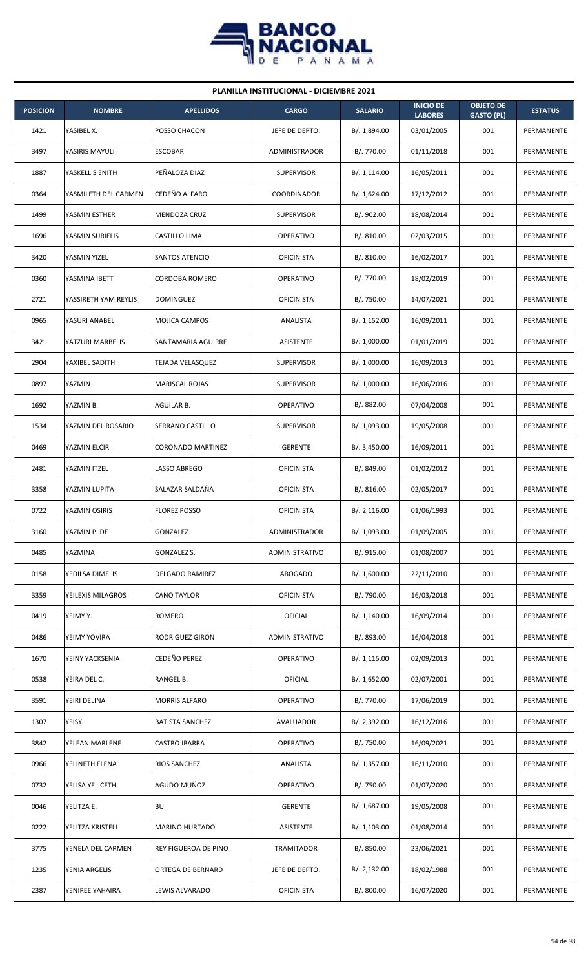

| <b>PLANILLA INSTITUCIONAL - DICIEMBRE 2021</b> |                      |                          |                   |                |                                    |                                       |                   |  |  |
|------------------------------------------------|----------------------|--------------------------|-------------------|----------------|------------------------------------|---------------------------------------|-------------------|--|--|
| <b>POSICION</b>                                | <b>NOMBRE</b>        | <b>APELLIDOS</b>         | <b>CARGO</b>      | <b>SALARIO</b> | <b>INICIO DE</b><br><b>LABORES</b> | <b>OBJETO DE</b><br><b>GASTO (PL)</b> | <b>ESTATUS</b>    |  |  |
| 1421                                           | YASIBEL X.           | POSSO CHACON             | JEFE DE DEPTO.    | B/. 1,894.00   | 03/01/2005                         | 001                                   | PERMANENTE        |  |  |
| 3497                                           | YASIRIS MAYULI       | <b>ESCOBAR</b>           | ADMINISTRADOR     | B/. 770.00     | 01/11/2018                         | 001                                   | PERMANENTE        |  |  |
| 1887                                           | YASKELLIS ENITH      | PEÑALOZA DIAZ            | <b>SUPERVISOR</b> | B/.1,114.00    | 16/05/2011                         | 001                                   | PERMANENTE        |  |  |
| 0364                                           | YASMILETH DEL CARMEN | CEDEÑO ALFARO            | COORDINADOR       | B/. 1,624.00   | 17/12/2012                         | 001                                   | PERMANENTE        |  |  |
| 1499                                           | YASMIN ESTHER        | MENDOZA CRUZ             | <b>SUPERVISOR</b> | B/. 902.00     | 18/08/2014                         | 001                                   | PERMANENTE        |  |  |
| 1696                                           | YASMIN SURIELIS      | CASTILLO LIMA            | <b>OPERATIVO</b>  | B/.810.00      | 02/03/2015                         | 001                                   | PERMANENTE        |  |  |
| 3420                                           | YASMIN YIZEL         | SANTOS ATENCIO           | <b>OFICINISTA</b> | B/. 810.00     | 16/02/2017                         | 001                                   | PERMANENTE        |  |  |
| 0360                                           | YASMINA IBETT        | CORDOBA ROMERO           | <b>OPERATIVO</b>  | B/. 770.00     | 18/02/2019                         | 001                                   | PERMANENTE        |  |  |
| 2721                                           | YASSIRETH YAMIREYLIS | <b>DOMINGUEZ</b>         | <b>OFICINISTA</b> | B/. 750.00     | 14/07/2021                         | 001                                   | PERMANENTE        |  |  |
| 0965                                           | YASURI ANABEL        | MOJICA CAMPOS            | ANALISTA          | B/. 1,152.00   | 16/09/2011                         | 001                                   | <b>PERMANENTE</b> |  |  |
| 3421                                           | YATZURI MARBELIS     | SANTAMARIA AGUIRRE       | ASISTENTE         | B/. 1,000.00   | 01/01/2019                         | 001                                   | PERMANENTE        |  |  |
| 2904                                           | YAXIBEL SADITH       | TEJADA VELASQUEZ         | <b>SUPERVISOR</b> | B/. 1,000.00   | 16/09/2013                         | 001                                   | PERMANENTE        |  |  |
| 0897                                           | YAZMIN               | <b>MARISCAL ROJAS</b>    | <b>SUPERVISOR</b> | B/. 1,000.00   | 16/06/2016                         | 001                                   | PERMANENTE        |  |  |
| 1692                                           | YAZMIN B.            | AGUILAR B.               | <b>OPERATIVO</b>  | B/. 882.00     | 07/04/2008                         | 001                                   | PERMANENTE        |  |  |
| 1534                                           | YAZMIN DEL ROSARIO   | SERRANO CASTILLO         | <b>SUPERVISOR</b> | B/. 1,093.00   | 19/05/2008                         | 001                                   | PERMANENTE        |  |  |
| 0469                                           | YAZMIN ELCIRI        | <b>CORONADO MARTINEZ</b> | <b>GERENTE</b>    | B/.3,450.00    | 16/09/2011                         | 001                                   | PERMANENTE        |  |  |
| 2481                                           | YAZMIN ITZEL         | LASSO ABREGO             | <b>OFICINISTA</b> | B/. 849.00     | 01/02/2012                         | 001                                   | PERMANENTE        |  |  |
| 3358                                           | YAZMIN LUPITA        | SALAZAR SALDAÑA          | <b>OFICINISTA</b> | B/.816.00      | 02/05/2017                         | 001                                   | PERMANENTE        |  |  |
| 0722                                           | YAZMIN OSIRIS        | <b>FLOREZ POSSO</b>      | OFICINISTA        | B/. 2,116.00   | 01/06/1993                         | 001                                   | PERMANENTE        |  |  |
| 3160                                           | YAZMIN P. DE         | GONZALEZ                 | ADMINISTRADOR     | B/. 1,093.00   | 01/09/2005                         | 001                                   | PERMANENTE        |  |  |
| 0485                                           | YAZMINA              | GONZALEZ S.              | ADMINISTRATIVO    | B/. 915.00     | 01/08/2007                         | 001                                   | PERMANENTE        |  |  |
| 0158                                           | YEDILSA DIMELIS      | <b>DELGADO RAMIREZ</b>   | ABOGADO           | B/. 1,600.00   | 22/11/2010                         | 001                                   | PERMANENTE        |  |  |
| 3359                                           | YEILEXIS MILAGROS    | <b>CANO TAYLOR</b>       | <b>OFICINISTA</b> | B/. 790.00     | 16/03/2018                         | 001                                   | PERMANENTE        |  |  |
| 0419                                           | YEIMY Y.             | <b>ROMERO</b>            | <b>OFICIAL</b>    | B/. 1,140.00   | 16/09/2014                         | 001                                   | PERMANENTE        |  |  |
| 0486                                           | YEIMY YOVIRA         | RODRIGUEZ GIRON          | ADMINISTRATIVO    | B/. 893.00     | 16/04/2018                         | 001                                   | PERMANENTE        |  |  |
| 1670                                           | YEINY YACKSENIA      | CEDEÑO PEREZ             | OPERATIVO         | B/. 1,115.00   | 02/09/2013                         | 001                                   | PERMANENTE        |  |  |
| 0538                                           | YEIRA DEL C.         | RANGEL B.                | <b>OFICIAL</b>    | B/. 1,652.00   | 02/07/2001                         | 001                                   | PERMANENTE        |  |  |
| 3591                                           | YEIRI DELINA         | <b>MORRIS ALFARO</b>     | OPERATIVO         | B/. 770.00     | 17/06/2019                         | 001                                   | PERMANENTE        |  |  |
| 1307                                           | YEISY                | <b>BATISTA SANCHEZ</b>   | AVALUADOR         | B/. 2,392.00   | 16/12/2016                         | 001                                   | PERMANENTE        |  |  |
| 3842                                           | YELEAN MARLENE       | <b>CASTRO IBARRA</b>     | OPERATIVO         | B/. 750.00     | 16/09/2021                         | 001                                   | PERMANENTE        |  |  |
| 0966                                           | YELINETH ELENA       | RIOS SANCHEZ             | ANALISTA          | B/. 1,357.00   | 16/11/2010                         | 001                                   | PERMANENTE        |  |  |
| 0732                                           | YELISA YELICETH      | AGUDO MUÑOZ              | OPERATIVO         | B/. 750.00     | 01/07/2020                         | 001                                   | PERMANENTE        |  |  |
| 0046                                           | YELITZA E.           | <b>BU</b>                | <b>GERENTE</b>    | B/. 1,687.00   | 19/05/2008                         | 001                                   | PERMANENTE        |  |  |
| 0222                                           | YELITZA KRISTELL     | <b>MARINO HURTADO</b>    | ASISTENTE         | B/. 1,103.00   | 01/08/2014                         | 001                                   | PERMANENTE        |  |  |
| 3775                                           | YENELA DEL CARMEN    | REY FIGUEROA DE PINO     | TRAMITADOR        | B/. 850.00     | 23/06/2021                         | 001                                   | PERMANENTE        |  |  |
| 1235                                           | YENIA ARGELIS        | ORTEGA DE BERNARD        | JEFE DE DEPTO.    | B/. 2,132.00   | 18/02/1988                         | 001                                   | PERMANENTE        |  |  |
| 2387                                           | YENIREE YAHAIRA      | LEWIS ALVARADO           | <b>OFICINISTA</b> | B/. 800.00     | 16/07/2020                         | 001                                   | PERMANENTE        |  |  |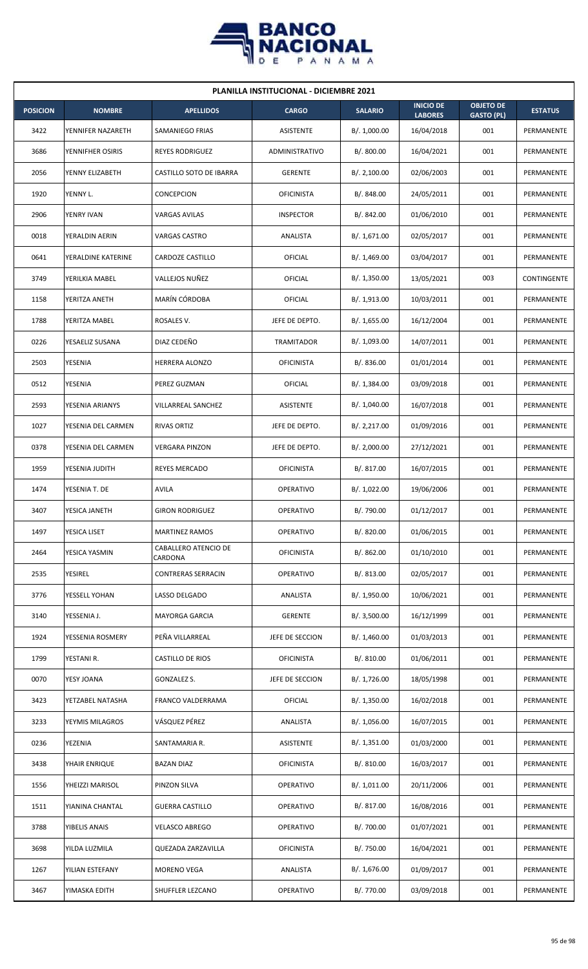

| <b>PLANILLA INSTITUCIONAL - DICIEMBRE 2021</b> |                    |                                 |                   |                |                                    |                                       |                |  |  |
|------------------------------------------------|--------------------|---------------------------------|-------------------|----------------|------------------------------------|---------------------------------------|----------------|--|--|
| <b>POSICION</b>                                | <b>NOMBRE</b>      | <b>APELLIDOS</b>                | <b>CARGO</b>      | <b>SALARIO</b> | <b>INICIO DE</b><br><b>LABORES</b> | <b>OBJETO DE</b><br><b>GASTO (PL)</b> | <b>ESTATUS</b> |  |  |
| 3422                                           | YENNIFER NAZARETH  | SAMANIEGO FRIAS                 | ASISTENTE         | B/. 1,000.00   | 16/04/2018                         | 001                                   | PERMANENTE     |  |  |
| 3686                                           | YENNIFHER OSIRIS   | <b>REYES RODRIGUEZ</b>          | ADMINISTRATIVO    | B/. 800.00     | 16/04/2021                         | 001                                   | PERMANENTE     |  |  |
| 2056                                           | YENNY ELIZABETH    | CASTILLO SOTO DE IBARRA         | <b>GERENTE</b>    | B/.2,100.00    | 02/06/2003                         | 001                                   | PERMANENTE     |  |  |
| 1920                                           | YENNY L.           | CONCEPCION                      | <b>OFICINISTA</b> | B/. 848.00     | 24/05/2011                         | 001                                   | PERMANENTE     |  |  |
| 2906                                           | YENRY IVAN         | <b>VARGAS AVILAS</b>            | <b>INSPECTOR</b>  | B/. 842.00     | 01/06/2010                         | 001                                   | PERMANENTE     |  |  |
| 0018                                           | YERALDIN AERIN     | <b>VARGAS CASTRO</b>            | ANALISTA          | B/.1,671.00    | 02/05/2017                         | 001                                   | PERMANENTE     |  |  |
| 0641                                           | YERALDINE KATERINE | CARDOZE CASTILLO                | <b>OFICIAL</b>    | B/.1,469.00    | 03/04/2017                         | 001                                   | PERMANENTE     |  |  |
| 3749                                           | YERILKIA MABEL     | VALLEJOS NUÑEZ                  | <b>OFICIAL</b>    | B/.1,350.00    | 13/05/2021                         | 003                                   | CONTINGENTE    |  |  |
| 1158                                           | YERITZA ANETH      | MARÍN CÓRDOBA                   | OFICIAL           | B/. 1,913.00   | 10/03/2011                         | 001                                   | PERMANENTE     |  |  |
| 1788                                           | YERITZA MABEL      | ROSALES V.                      | JEFE DE DEPTO.    | B/. 1,655.00   | 16/12/2004                         | 001                                   | PERMANENTE     |  |  |
| 0226                                           | YESAELIZ SUSANA    | DIAZ CEDEÑO                     | <b>TRAMITADOR</b> | B/. 1,093.00   | 14/07/2011                         | 001                                   | PERMANENTE     |  |  |
| 2503                                           | YESENIA            | HERRERA ALONZO                  | <b>OFICINISTA</b> | B/0.836.00     | 01/01/2014                         | 001                                   | PERMANENTE     |  |  |
| 0512                                           | YESENIA            | PEREZ GUZMAN                    | OFICIAL           | B/. 1,384.00   | 03/09/2018                         | 001                                   | PERMANENTE     |  |  |
| 2593                                           | YESENIA ARIANYS    | VILLARREAL SANCHEZ              | ASISTENTE         | B/. 1,040.00   | 16/07/2018                         | 001                                   | PERMANENTE     |  |  |
| 1027                                           | YESENIA DEL CARMEN | <b>RIVAS ORTIZ</b>              | JEFE DE DEPTO.    | B/.2,217.00    | 01/09/2016                         | 001                                   | PERMANENTE     |  |  |
| 0378                                           | YESENIA DEL CARMEN | <b>VERGARA PINZON</b>           | JEFE DE DEPTO.    | B/.2,000.00    | 27/12/2021                         | 001                                   | PERMANENTE     |  |  |
| 1959                                           | YESENIA JUDITH     | <b>REYES MERCADO</b>            | <b>OFICINISTA</b> | B/. 817.00     | 16/07/2015                         | 001                                   | PERMANENTE     |  |  |
| 1474                                           | YESENIA T. DE      | <b>AVILA</b>                    | <b>OPERATIVO</b>  | B/. 1,022.00   | 19/06/2006                         | 001                                   | PERMANENTE     |  |  |
| 3407                                           | YESICA JANETH      | <b>GIRON RODRIGUEZ</b>          | OPERATIVO         | B/. 790.00     | 01/12/2017                         | 001                                   | PERMANENTE     |  |  |
| 1497                                           | YESICA LISET       | <b>MARTINEZ RAMOS</b>           | OPERATIVO         | B/. 820.00     | 01/06/2015                         | 001                                   | PERMANENTE     |  |  |
| 2464                                           | YESICA YASMIN      | CABALLERO ATENCIO DE<br>CARDONA | <b>OFICINISTA</b> | B/. 862.00     | 01/10/2010                         | 001                                   | PERMANENTE     |  |  |
| 2535                                           | <b>YESIREL</b>     | <b>CONTRERAS SERRACIN</b>       | OPERATIVO         | B/. 813.00     | 02/05/2017                         | 001                                   | PERMANENTE     |  |  |
| 3776                                           | YESSELL YOHAN      | LASSO DELGADO                   | ANALISTA          | B/. 1,950.00   | 10/06/2021                         | 001                                   | PERMANENTE     |  |  |
| 3140                                           | YESSENIA J.        | <b>MAYORGA GARCIA</b>           | <b>GERENTE</b>    | B/. 3,500.00   | 16/12/1999                         | 001                                   | PERMANENTE     |  |  |
| 1924                                           | YESSENIA ROSMERY   | PEÑA VILLARREAL                 | JEFE DE SECCION   | B/. 1,460.00   | 01/03/2013                         | 001                                   | PERMANENTE     |  |  |
| 1799                                           | YESTANI R.         | CASTILLO DE RIOS                | <b>OFICINISTA</b> | B/. 810.00     | 01/06/2011                         | 001                                   | PERMANENTE     |  |  |
| 0070                                           | YESY JOANA         | GONZALEZ S.                     | JEFE DE SECCION   | B/. 1,726.00   | 18/05/1998                         | 001                                   | PERMANENTE     |  |  |
| 3423                                           | YETZABEL NATASHA   | FRANCO VALDERRAMA               | <b>OFICIAL</b>    | B/. 1,350.00   | 16/02/2018                         | 001                                   | PERMANENTE     |  |  |
| 3233                                           | YEYMIS MILAGROS    | VÁSQUEZ PÉREZ                   | ANALISTA          | B/. 1,056.00   | 16/07/2015                         | 001                                   | PERMANENTE     |  |  |
| 0236                                           | YEZENIA            | SANTAMARIA R.                   | ASISTENTE         | B/. 1,351.00   | 01/03/2000                         | 001                                   | PERMANENTE     |  |  |
| 3438                                           | YHAIR ENRIQUE      | <b>BAZAN DIAZ</b>               | <b>OFICINISTA</b> | B/. 810.00     | 16/03/2017                         | 001                                   | PERMANENTE     |  |  |
| 1556                                           | YHEIZZI MARISOL    | PINZON SILVA                    | OPERATIVO         | B/. 1,011.00   | 20/11/2006                         | 001                                   | PERMANENTE     |  |  |
| 1511                                           | YIANINA CHANTAL    | <b>GUERRA CASTILLO</b>          | OPERATIVO         | B/. 817.00     | 16/08/2016                         | 001                                   | PERMANENTE     |  |  |
| 3788                                           | YIBELIS ANAIS      | <b>VELASCO ABREGO</b>           | <b>OPERATIVO</b>  | B/. 700.00     | 01/07/2021                         | 001                                   | PERMANENTE     |  |  |
| 3698                                           | YILDA LUZMILA      | QUEZADA ZARZAVILLA              | <b>OFICINISTA</b> | B/. 750.00     | 16/04/2021                         | 001                                   | PERMANENTE     |  |  |
| 1267                                           | YILIAN ESTEFANY    | MORENO VEGA                     | ANALISTA          | B/. 1,676.00   | 01/09/2017                         | 001                                   | PERMANENTE     |  |  |
| 3467                                           | YIMASKA EDITH      | SHUFFLER LEZCANO                | OPERATIVO         | B/. 770.00     | 03/09/2018                         | 001                                   | PERMANENTE     |  |  |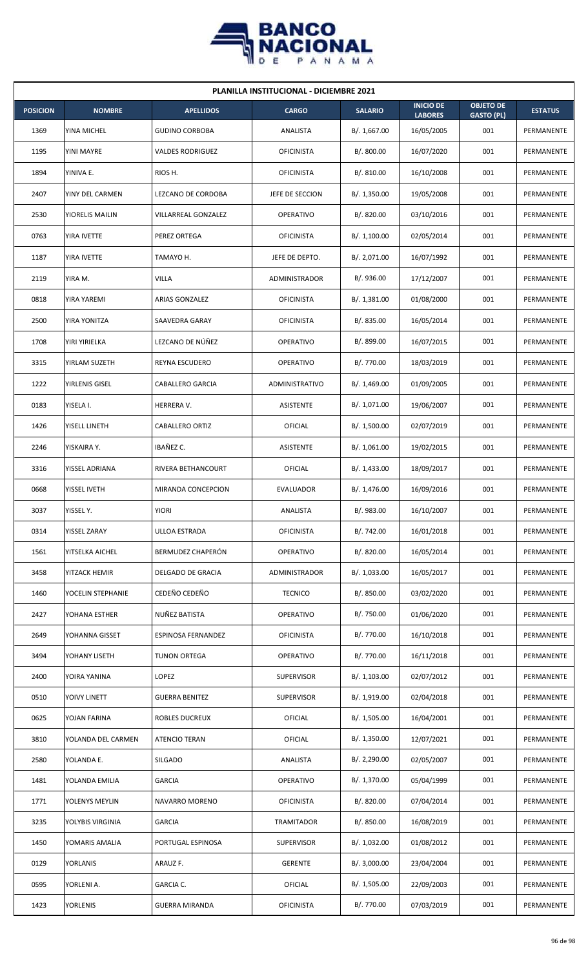

| <b>PLANILLA INSTITUCIONAL - DICIEMBRE 2021</b> |                    |                       |                   |                |                                    |                                       |                |  |  |
|------------------------------------------------|--------------------|-----------------------|-------------------|----------------|------------------------------------|---------------------------------------|----------------|--|--|
| <b>POSICION</b>                                | <b>NOMBRE</b>      | <b>APELLIDOS</b>      | <b>CARGO</b>      | <b>SALARIO</b> | <b>INICIO DE</b><br><b>LABORES</b> | <b>OBJETO DE</b><br><b>GASTO (PL)</b> | <b>ESTATUS</b> |  |  |
| 1369                                           | YINA MICHEL        | <b>GUDINO CORBOBA</b> | ANALISTA          | B/. 1,667.00   | 16/05/2005                         | 001                                   | PERMANENTE     |  |  |
| 1195                                           | YINI MAYRE         | VALDES RODRIGUEZ      | <b>OFICINISTA</b> | B/. 800.00     | 16/07/2020                         | 001                                   | PERMANENTE     |  |  |
| 1894                                           | YINIVA E.          | RIOS H.               | <b>OFICINISTA</b> | B/. 810.00     | 16/10/2008                         | 001                                   | PERMANENTE     |  |  |
| 2407                                           | YINY DEL CARMEN    | LEZCANO DE CORDOBA    | JEFE DE SECCION   | B/. 1,350.00   | 19/05/2008                         | 001                                   | PERMANENTE     |  |  |
| 2530                                           | YIORELIS MAILIN    | VILLARREAL GONZALEZ   | <b>OPERATIVO</b>  | B/. 820.00     | 03/10/2016                         | 001                                   | PERMANENTE     |  |  |
| 0763                                           | YIRA IVETTE        | PEREZ ORTEGA          | <b>OFICINISTA</b> | B/.1,100.00    | 02/05/2014                         | 001                                   | PERMANENTE     |  |  |
| 1187                                           | YIRA IVETTE        | TAMAYO H.             | JEFE DE DEPTO.    | B/. 2,071.00   | 16/07/1992                         | 001                                   | PERMANENTE     |  |  |
| 2119                                           | YIRA M.            | VILLA                 | ADMINISTRADOR     | B/. 936.00     | 17/12/2007                         | 001                                   | PERMANENTE     |  |  |
| 0818                                           | YIRA YAREMI        | ARIAS GONZALEZ        | <b>OFICINISTA</b> | B/. 1,381.00   | 01/08/2000                         | 001                                   | PERMANENTE     |  |  |
| 2500                                           | YIRA YONITZA       | SAAVEDRA GARAY        | <b>OFICINISTA</b> | B/. 835.00     | 16/05/2014                         | 001                                   | PERMANENTE     |  |  |
| 1708                                           | YIRI YIRIELKA      | LEZCANO DE NÚÑEZ      | OPERATIVO         | B/. 899.00     | 16/07/2015                         | 001                                   | PERMANENTE     |  |  |
| 3315                                           | YIRLAM SUZETH      | REYNA ESCUDERO        | <b>OPERATIVO</b>  | B/. 770.00     | 18/03/2019                         | 001                                   | PERMANENTE     |  |  |
| 1222                                           | YIRLENIS GISEL     | CABALLERO GARCIA      | ADMINISTRATIVO    | B/. 1,469.00   | 01/09/2005                         | 001                                   | PERMANENTE     |  |  |
| 0183                                           | YISELA I.          | HERRERA V.            | <b>ASISTENTE</b>  | B/. 1,071.00   | 19/06/2007                         | 001                                   | PERMANENTE     |  |  |
| 1426                                           | YISELL LINETH      | CABALLERO ORTIZ       | OFICIAL           | B/. 1,500.00   | 02/07/2019                         | 001                                   | PERMANENTE     |  |  |
| 2246                                           | YISKAIRA Y.        | IBAÑEZ C.             | <b>ASISTENTE</b>  | B/.1,061.00    | 19/02/2015                         | 001                                   | PERMANENTE     |  |  |
| 3316                                           | YISSEL ADRIANA     | RIVERA BETHANCOURT    | <b>OFICIAL</b>    | B/. 1,433.00   | 18/09/2017                         | 001                                   | PERMANENTE     |  |  |
| 0668                                           | YISSEL IVETH       | MIRANDA CONCEPCION    | EVALUADOR         | B/. 1,476.00   | 16/09/2016                         | 001                                   | PERMANENTE     |  |  |
| 3037                                           | YISSEL Y.          | <b>YIORI</b>          | ANALISTA          | B/. 983.00     | 16/10/2007                         | 001                                   | PERMANENTE     |  |  |
| 0314                                           | YISSEL ZARAY       | ULLOA ESTRADA         | <b>OFICINISTA</b> | B/. 742.00     | 16/01/2018                         | 001                                   | PERMANENTE     |  |  |
| 1561                                           | YITSELKA AICHEL    | BERMUDEZ CHAPERÓN     | OPERATIVO         | B/. 820.00     | 16/05/2014                         | 001                                   | PERMANENTE     |  |  |
| 3458                                           | YITZACK HEMIR      | DELGADO DE GRACIA     | ADMINISTRADOR     | B/. 1,033.00   | 16/05/2017                         | 001                                   | PERMANENTE     |  |  |
| 1460                                           | YOCELIN STEPHANIE  | CEDEÑO CEDEÑO         | <b>TECNICO</b>    | B/. 850.00     | 03/02/2020                         | 001                                   | PERMANENTE     |  |  |
| 2427                                           | YOHANA ESTHER      | NUÑEZ BATISTA         | <b>OPERATIVO</b>  | B/. 750.00     | 01/06/2020                         | 001                                   | PERMANENTE     |  |  |
| 2649                                           | YOHANNA GISSET     | ESPINOSA FERNANDEZ    | <b>OFICINISTA</b> | B/. 770.00     | 16/10/2018                         | 001                                   | PERMANENTE     |  |  |
| 3494                                           | YOHANY LISETH      | TUNON ORTEGA          | <b>OPERATIVO</b>  | B/. 770.00     | 16/11/2018                         | 001                                   | PERMANENTE     |  |  |
| 2400                                           | YOIRA YANINA       | LOPEZ                 | <b>SUPERVISOR</b> | B/. 1,103.00   | 02/07/2012                         | 001                                   | PERMANENTE     |  |  |
| 0510                                           | YOIVY LINETT       | <b>GUERRA BENITEZ</b> | <b>SUPERVISOR</b> | B/. 1,919.00   | 02/04/2018                         | 001                                   | PERMANENTE     |  |  |
| 0625                                           | YOJAN FARINA       | ROBLES DUCREUX        | <b>OFICIAL</b>    | B/. 1,505.00   | 16/04/2001                         | 001                                   | PERMANENTE     |  |  |
| 3810                                           | YOLANDA DEL CARMEN | ATENCIO TERAN         | <b>OFICIAL</b>    | B/. 1,350.00   | 12/07/2021                         | 001                                   | PERMANENTE     |  |  |
| 2580                                           | YOLANDA E.         | SILGADO               | ANALISTA          | B/. 2,290.00   | 02/05/2007                         | 001                                   | PERMANENTE     |  |  |
| 1481                                           | YOLANDA EMILIA     | GARCIA                | <b>OPERATIVO</b>  | B/. 1,370.00   | 05/04/1999                         | 001                                   | PERMANENTE     |  |  |
| 1771                                           | YOLENYS MEYLIN     | NAVARRO MORENO        | <b>OFICINISTA</b> | B/. 820.00     | 07/04/2014                         | 001                                   | PERMANENTE     |  |  |
| 3235                                           | YOLYBIS VIRGINIA   | GARCIA                | TRAMITADOR        | B/. 850.00     | 16/08/2019                         | 001                                   | PERMANENTE     |  |  |
| 1450                                           | YOMARIS AMALIA     | PORTUGAL ESPINOSA     | <b>SUPERVISOR</b> | B/. 1,032.00   | 01/08/2012                         | 001                                   | PERMANENTE     |  |  |
| 0129                                           | YORLANIS           | ARAUZ F.              | <b>GERENTE</b>    | B/. 3,000.00   | 23/04/2004                         | 001                                   | PERMANENTE     |  |  |
| 0595                                           | YORLENI A.         | GARCIA C.             | OFICIAL           | B/. 1,505.00   | 22/09/2003                         | 001                                   | PERMANENTE     |  |  |
| 1423                                           | <b>YORLENIS</b>    | <b>GUERRA MIRANDA</b> | <b>OFICINISTA</b> | B/. 770.00     | 07/03/2019                         | 001                                   | PERMANENTE     |  |  |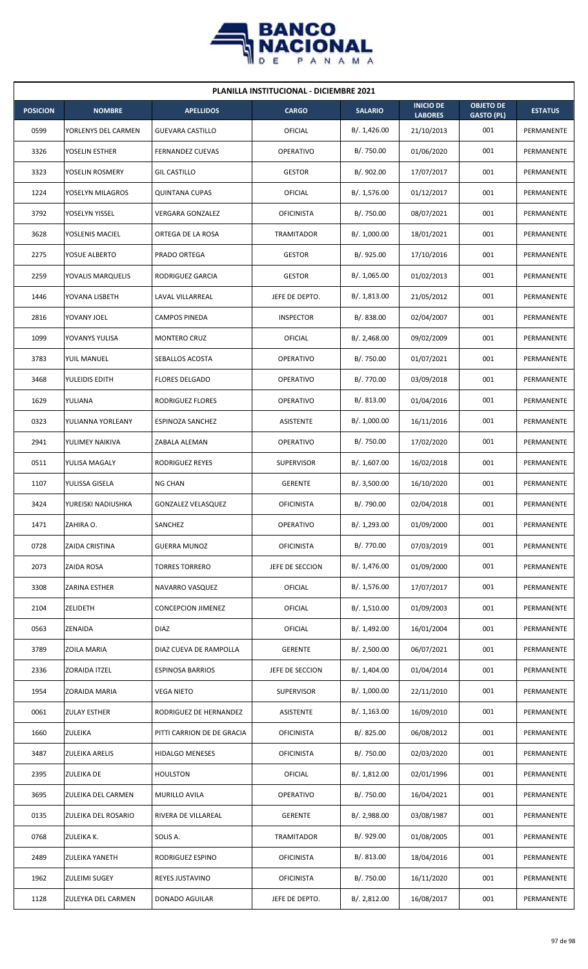

| <b>PLANILLA INSTITUCIONAL - DICIEMBRE 2021</b> |                     |                            |                   |                |                                    |                                       |                |  |  |  |  |  |
|------------------------------------------------|---------------------|----------------------------|-------------------|----------------|------------------------------------|---------------------------------------|----------------|--|--|--|--|--|
| <b>POSICION</b>                                | <b>NOMBRE</b>       | <b>APELLIDOS</b>           | <b>CARGO</b>      | <b>SALARIO</b> | <b>INICIO DE</b><br><b>LABORES</b> | <b>OBJETO DE</b><br><b>GASTO (PL)</b> | <b>ESTATUS</b> |  |  |  |  |  |
| 0599                                           | YORLENYS DEL CARMEN | <b>GUEVARA CASTILLO</b>    | OFICIAL           | B/. 1,426.00   | 21/10/2013                         | 001                                   | PERMANENTE     |  |  |  |  |  |
| 3326                                           | YOSELIN ESTHER      | <b>FERNANDEZ CUEVAS</b>    | <b>OPERATIVO</b>  | B/. 750.00     | 01/06/2020                         | 001                                   | PERMANENTE     |  |  |  |  |  |
| 3323                                           | YOSELIN ROSMERY     | <b>GIL CASTILLO</b>        | <b>GESTOR</b>     | B/. 902.00     | 17/07/2017                         | 001                                   | PERMANENTE     |  |  |  |  |  |
| 1224                                           | YOSELYN MILAGROS    | <b>QUINTANA CUPAS</b>      | OFICIAL           | B/.1,576.00    | 01/12/2017                         | 001                                   | PERMANENTE     |  |  |  |  |  |
| 3792                                           | YOSELYN YISSEL      | <b>VERGARA GONZALEZ</b>    | <b>OFICINISTA</b> | B/. 750.00     | 08/07/2021                         | 001                                   | PERMANENTE     |  |  |  |  |  |
| 3628                                           | YOSLENIS MACIEL     | ORTEGA DE LA ROSA          | TRAMITADOR        | B/. 1,000.00   | 18/01/2021                         | 001                                   | PERMANENTE     |  |  |  |  |  |
| 2275                                           | YOSUE ALBERTO       | PRADO ORTEGA               | <b>GESTOR</b>     | B/.925.00      | 17/10/2016                         | 001                                   | PERMANENTE     |  |  |  |  |  |
| 2259                                           | YOVALIS MARQUELIS   | RODRIGUEZ GARCIA           | <b>GESTOR</b>     | B/. 1,065.00   | 01/02/2013                         | 001                                   | PERMANENTE     |  |  |  |  |  |
| 1446                                           | YOVANA LISBETH      | LAVAL VILLARREAL           | JEFE DE DEPTO.    | B/.1,813.00    | 21/05/2012                         | 001                                   | PERMANENTE     |  |  |  |  |  |
| 2816                                           | YOVANY JOEL         | CAMPOS PINEDA              | <b>INSPECTOR</b>  | B/0.838.00     | 02/04/2007                         | 001                                   | PERMANENTE     |  |  |  |  |  |
| 1099                                           | YOVANYS YULISA      | <b>MONTERO CRUZ</b>        | OFICIAL           | B/.2,468.00    | 09/02/2009                         | 001                                   | PERMANENTE     |  |  |  |  |  |
| 3783                                           | YUIL MANUEL         | SEBALLOS ACOSTA            | <b>OPERATIVO</b>  | B/. 750.00     | 01/07/2021                         | 001                                   | PERMANENTE     |  |  |  |  |  |
| 3468                                           | YULEIDIS EDITH      | <b>FLORES DELGADO</b>      | <b>OPERATIVO</b>  | B/. 770.00     | 03/09/2018                         | 001                                   | PERMANENTE     |  |  |  |  |  |
| 1629                                           | YULIANA             | RODRIGUEZ FLORES           | <b>OPERATIVO</b>  | B/0.813.00     | 01/04/2016                         | 001                                   | PERMANENTE     |  |  |  |  |  |
| 0323                                           | YULIANNA YORLEANY   | ESPINOZA SANCHEZ           | <b>ASISTENTE</b>  | B/. 1,000.00   | 16/11/2016                         | 001                                   | PERMANENTE     |  |  |  |  |  |
| 2941                                           | YULIMEY NAIKIVA     | ZABALA ALEMAN              | <b>OPERATIVO</b>  | B/. 750.00     | 17/02/2020                         | 001                                   | PERMANENTE     |  |  |  |  |  |
| 0511                                           | YULISA MAGALY       | RODRIGUEZ REYES            | <b>SUPERVISOR</b> | B/. 1,607.00   | 16/02/2018                         | 001                                   | PERMANENTE     |  |  |  |  |  |
| 1107                                           | YULISSA GISELA      | <b>NG CHAN</b>             | <b>GERENTE</b>    | B/.3,500.00    | 16/10/2020                         | 001                                   | PERMANENTE     |  |  |  |  |  |
| 3424                                           | YUREISKI NADIUSHKA  | GONZALEZ VELASQUEZ         | <b>OFICINISTA</b> | B/. 790.00     | 02/04/2018                         | 001                                   | PERMANENTE     |  |  |  |  |  |
| 1471                                           | ZAHIRA O.           | SANCHEZ                    | OPERATIVO         | B/. 1,293.00   | 01/09/2000                         | 001                                   | PERMANENTE     |  |  |  |  |  |
| 0728                                           | ZAIDA CRISTINA      | <b>GUERRA MUNOZ</b>        | <b>OFICINISTA</b> | B/. 770.00     | 07/03/2019                         | 001                                   | PERMANENTE     |  |  |  |  |  |
| 2073                                           | ZAIDA ROSA          | <b>TORRES TORRERO</b>      | JEFE DE SECCION   | B/. 1,476.00   | 01/09/2000                         | 001                                   | PERMANENTE     |  |  |  |  |  |
| 3308                                           | ZARINA ESTHER       | NAVARRO VASQUEZ            | <b>OFICIAL</b>    | B/. 1,576.00   | 17/07/2017                         | 001                                   | PERMANENTE     |  |  |  |  |  |
| 2104                                           | ZELIDETH            | <b>CONCEPCION JIMENEZ</b>  | OFICIAL           | B/.1,510.00    | 01/09/2003                         | 001                                   | PERMANENTE     |  |  |  |  |  |
| 0563                                           | ZENAIDA             | <b>DIAZ</b>                | OFICIAL           | B/. 1,492.00   | 16/01/2004                         | 001                                   | PERMANENTE     |  |  |  |  |  |
| 3789                                           | ZOILA MARIA         | DIAZ CUEVA DE RAMPOLLA     | <b>GERENTE</b>    | B/.2,500.00    | 06/07/2021                         | 001                                   | PERMANENTE     |  |  |  |  |  |
| 2336                                           | ZORAIDA ITZEL       | <b>ESPINOSA BARRIOS</b>    | JEFE DE SECCION   | B/. 1,404.00   | 01/04/2014                         | 001                                   | PERMANENTE     |  |  |  |  |  |
| 1954                                           | ZORAIDA MARIA       | <b>VEGA NIETO</b>          | <b>SUPERVISOR</b> | B/. 1,000.00   | 22/11/2010                         | 001                                   | PERMANENTE     |  |  |  |  |  |
| 0061                                           | <b>ZULAY ESTHER</b> | RODRIGUEZ DE HERNANDEZ     | ASISTENTE         | B/.1,163.00    | 16/09/2010                         | 001                                   | PERMANENTE     |  |  |  |  |  |
| 1660                                           | ZULEIKA             | PITTI CARRION DE DE GRACIA | <b>OFICINISTA</b> | B/. 825.00     | 06/08/2012                         | 001                                   | PERMANENTE     |  |  |  |  |  |
| 3487                                           | ZULEIKA ARELIS      | HIDALGO MENESES            | <b>OFICINISTA</b> | B/. 750.00     | 02/03/2020                         | 001                                   | PERMANENTE     |  |  |  |  |  |
| 2395                                           | ZULEIKA DE          | <b>HOULSTON</b>            | OFICIAL           | B/. 1,812.00   | 02/01/1996                         | 001                                   | PERMANENTE     |  |  |  |  |  |
| 3695                                           | ZULEIKA DEL CARMEN  | MURILLO AVILA              | <b>OPERATIVO</b>  | B/. 750.00     | 16/04/2021                         | 001                                   | PERMANENTE     |  |  |  |  |  |
| 0135                                           | ZULEIKA DEL ROSARIO | RIVERA DE VILLAREAL        | <b>GERENTE</b>    | B/.2,988.00    | 03/08/1987                         | 001                                   | PERMANENTE     |  |  |  |  |  |
| 0768                                           | ZULEIKA K.          | SOLIS A.                   | TRAMITADOR        | B/. 929.00     | 01/08/2005                         | 001                                   | PERMANENTE     |  |  |  |  |  |
| 2489                                           | ZULEIKA YANETH      | RODRIGUEZ ESPINO           | <b>OFICINISTA</b> | B/. 813.00     | 18/04/2016                         | 001                                   | PERMANENTE     |  |  |  |  |  |
| 1962                                           | ZULEIMI SUGEY       | REYES JUSTAVINO            | <b>OFICINISTA</b> | B/. 750.00     | 16/11/2020                         | 001                                   | PERMANENTE     |  |  |  |  |  |
| 1128                                           | ZULEYKA DEL CARMEN  | <b>DONADO AGUILAR</b>      | JEFE DE DEPTO.    | B/. 2,812.00   | 16/08/2017                         | 001                                   | PERMANENTE     |  |  |  |  |  |